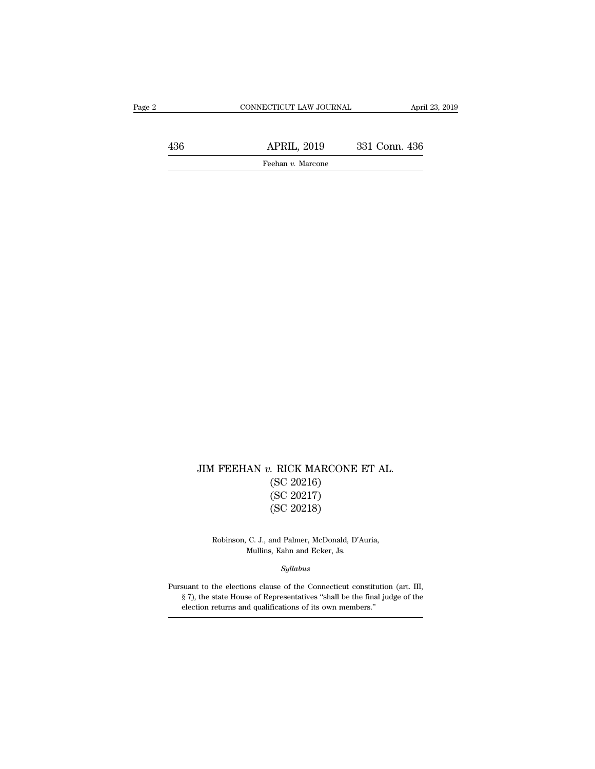$\begin{array}{lll} \text{JIM FEEHAN}\ v. \text{ RICK MARCONE ET AL.}\\ \text{(SC 20216)}\\ \text{(SC 20217)} \end{array}$ . RICK MARCONE<br>(SC 20216)<br>(SC 20217)<br>(SC 20218) . RICK MARCONE<br>(SC 20216)<br>(SC 20217)<br>(SC 20218) . RICK MARCONE<br>(SC 20216)<br>(SC 20217)<br>(SC 20218)  $(SC 20217)$ <br> $(SC 20217)$ <br> $(SC 20218)$ <br>Robinson, C. J., and Palmer, McDonald, D'Auria,<br>Mullins, Kahn and Ecker, Js. (SC 20217)<br>
(SC 20218)<br>
C. J., and Palmer, McDonald, D'A<br>
Mullins, Kahn and Ecker, Js.<br>
Sullabus

*Syllabus*

Robinson, C. J., and Palmer, McDonald, D'Auria,<br>Mullins, Kahn and Ecker, Js.<br>Syllabus<br>Pursuant to the elections clause of the Connecticut constitution (art. III,<br>§ 7), the state House of Representatives "shall be the final Robinson, C. J., and Palmer, McDonald, D'Auria,<br>Mullins, Kahn and Ecker, Js.<br>Syllabus<br>suant to the elections clause of the Connecticut constitution (art. III,<br>§ 7), the state House of Representatives "shall be the final ju Mullins, Kahn and Ecker, Js.<br> *Syllabus*<br>
suant to the elections clause of the Connecticut constit<br>
§ 7), the state House of Representatives "shall be the fina<br>
election returns and qualifications of its own members."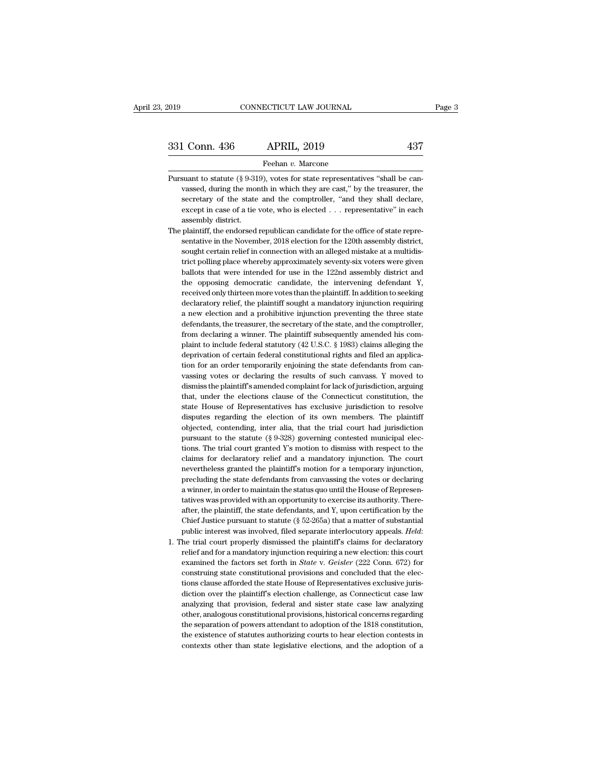331 Conn. 436 APRIL, 2019 437<br>
Feehan v. Marcone<br>
Pursuant to statute (§ 9-319), votes for state representatives "shall be can-<br>
vassed, during the month in which they are cast," by the treasurer, the Vason, 1986 Marting 1999<br>
Vason vasted, and to statute (§ 9-319), votes for state representatives "shall be can-<br>
Vassed, during the month in which they are cast," by the treasurer, the<br>
secretary of the state and the comp Secretary of the state and the comptroller, ''and they shall be can-<br>suant to statute (§ 9-319), votes for state representatives "shall be can-<br>vassed, during the month in which they are cast," by the treasurer, the<br>secre Feehan v. Marcone<br>suant to statute (§ 9-319), votes for state representatives "shall be can-<br>vassed, during the month in which they are cast," by the treasurer, the<br>secretary of the state and the comptroller, "and they sha suant to statute  $(\S 9-31)$ <br>vassed, during the more<br>secretary of the state<br>except in case of a tie<br>assembly district.<br>plaintiff, the endorsed Pursuant to statute (§ 9-319), votes for state representatives "shall be can-<br>vassed, during the month in which they are cast," by the treasurer, the<br>secretary of the state and the comptroller, "and they shall declare,<br>ex vassed, during the month in which they are cast," by the treasurer, the secretary of the state and the comptroller, "and they shall declare, except in case of a tie vote, who is elected  $\ldots$  representative" in each assem

- secretary of the state and the comptroller, "and they shall declare, except in case of a tie vote, who is elected . . . representative" in each assembly district.<br>plaintiff, the endorsed republican candidate for the office except in case of a tie vote, who is elected . . . representative" in each<br>assembly district.<br>plaintiff, the endorsed republican candidate for the office of state repre-<br>sentative in the November, 2018 election for the 120 assembly district.<br>
plaintiff, the endorsed republican candidate for the office of state repre-<br>
sentative in the November, 2018 election for the 120th assembly district,<br>
sought certain relief in connection with an allege plaintiff, the endorsed republican candidate for the office of state representative in the November, 2018 election for the 120th assembly district, sought certain relief in connection with an alleged mistake at a multidist sentative in the November, 2018 election for the 120th assembly district, sought certain relief in connection with an alleged mistake at a multidistrict polling place whereby approximately seventy-six voters were given bal sought certain relief in connection with an alleged mistake at a multidistrict polling place whereby approximately seventy-six voters were given ballots that were intended for use in the 122nd assembly district and the opp trict polling place whereby approximately seventy-six voters were given<br>ballots that were intended for use in the 122nd assembly district and<br>the opposing democratic candidate, the intervening defendant Y,<br>received only th ballots that were intended for use in the 122nd assembly district and the opposing democratic candidate, the intervening defendant Y, received only thirteen more votes than the plaintiff. In addition to seeking declaratory the opposing democratic candidate, the intervening defendant Y, received only thirteen more votes than the plaintiff. In addition to seeking declaratory relief, the plaintiff sought a mandatory injunction requiring a new e received only thirteen more votes than the plaintiff. In addition to seeking declaratory relief, the plaintiff sought a mandatory injunction requiring a new election and a prohibitive injunction preventing the three state received only thirteen more votes than the plaintiff. In addition to seeking declaratory relief, the plaintiff sought a mandatory injunction requiring a new election and a prohibitive injunction preventing the three state a new election and a prohibitive injunction preventing the three state defendants, the treasurer, the secretary of the state, and the comptroller, from declaring a winner. The plaintiff subsequently amended his complaint defendants, the treasurer, the secretary of the state, and the comptroller, from declaring a winner. The plaintiff subsequently amended his complaint to include federal statutory (42 U.S.C. § 1983) claims alleging the depr from declaring a winner. The plaintiff subsequently amended his complaint to include federal statutory  $(42 \text{ U.S.C. } 8 \text{ 1983})$  claims alleging the deprivation of certain federal constitutional rights and filed an applica plaint to include federal statutory (42 U.S.C. § 1983) claims alleging the deprivation of certain federal constitutional rights and filed an application for an order temporarily enjoining the state defendants from canvassi deprivation of certain federal constitutional rights and filed an application for an order temporarily enjoining the state defendants from canvassing votes or declaring the results of such canvass. Y moved to dismiss the p tion for an order temporarily enjoining the state defendants from can-<br>vassing votes or declaring the results of such canvass. Y moved to<br>dismiss the plaintiff's amended complaint for lack of jurisdiction, arguing<br>that, un vassing votes or declaring the results of such canvass. Y moved to dismiss the plaintiff's amended complaint for lack of jurisdiction, arguing that, under the elections clause of the Connecticut constitution, the state Hou dismiss the plaintiff's amended complaint for lack of jurisdiction, arguing<br>that, under the elections clause of the Connecticut constitution, the<br>state House of Representatives has exclusive jurisdiction to resolve<br>dispute that, under the elections clause of the Connecticut constitution, the state House of Representatives has exclusive jurisdiction to resolve disputes regarding the election of its own members. The plaintiff objected, conten state House of Representatives has exclusive jurisdiction to resolve<br>disputes regarding the election of its own members. The plaintiff<br>objected, contending, inter alia, that the trial court had jurisdiction<br>pursuant to the disputes regarding the election of its own members. The plaintiff<br>objected, contending, inter alia, that the trial court had jurisdiction<br>pursuant to the statute (§ 9-328) governing contested municipal elec-<br>tions. The tri objected, contending, inter alia, that the trial court had jurisdiction<br>pursuant to the statute (§ 9-328) governing contested municipal elec-<br>tions. The trial court granted Y's motion to dismiss with respect to the<br>claims pursuant to the statute (§ 9-328) governing contested municipal elections. The trial court granted Y's motion to dismiss with respect to the claims for declaratory relief and a mandatory injunction. The court nevertheless tions. The trial court granted Y's motion to dismiss with respect to the claims for declaratory relief and a mandatory injunction. The court nevertheless granted the plaintiff's motion for a temporary injunction, precludi claims for declaratory relief and a mandatory injunction. The court<br>nevertheless granted the plaintiff's motion for a temporary injunction,<br>precluding the state defendants from canvassing the votes or declaring<br>a winner, i nevertheless granted the plaintiff's motion for a temporary injunction,<br>precluding the state defendants from canvassing the votes or declaring<br>a winner, in order to maintain the status quo until the House of Represen-<br>tati precluding the state defendants from canvassing the votes or declaring a winner, in order to maintain the status quo until the House of Representatives was provided with an opportunity to exercise its authority. Thereafter tatives was provided with an opportunity to exercise its authority. Thereafter, the plaintiff, the state defendants, and Y, upon certification by the Chief Justice pursuant to statute (§ 52-265a) that a matter of substant
- after, the plaintiff, the state defendants, and Y, upon certification by the Chief Justice pursuant to statute (§ 52-265a) that a matter of substantial public interest was involved, filed separate interlocutory appeals. *H* Chief Justice pursuant to statute (§ 52-265a) that a matter of substantial public interest was involved, filed separate interlocutory appeals. *Held*: the trial court properly dismissed the plaintiff's claims for declarat public interest was involved, filed separate interlocutory appeals. Held:<br>he trial court properly dismissed the plaintiff's claims for declaratory<br>relief and for a mandatory injunction requiring a new election: this court<br> he trial court properly dismissed the plaintiff's claims for declaratory relief and for a mandatory injunction requiring a new election: this court examined the factors set forth in *State* v. *Geisler* (222 Conn. 672) for relief and for a mandatory injunction requiring a new election: this court<br>examined the factors set forth in *State* v. *Geisler* (222 Conn. 672) for<br>construing state constitutional provisions and concluded that the elec-<br> examined the factors set forth in *State* v. *Geisler* (222 Conn. 672) for construing state constitutional provisions and concluded that the elections clause afforded the state House of Representatives exclusive jurisdicti construing state constitutional provisions and concluded that the elections clause afforded the state House of Representatives exclusive jurisdiction over the plaintiff's election challenge, as Connecticut case law analyzi tions clause afforded the state House of Representatives exclusive juris-<br>diction over the plaintiff's election challenge, as Connecticut case law<br>analyzing that provision, federal and sister state case law analyzing<br>other tions clause afforded the state House of Representatives exclusive juris-<br>diction over the plaintiff's election challenge, as Connecticut case law<br>analyzing that provision, federal and sister state case law analyzing<br>other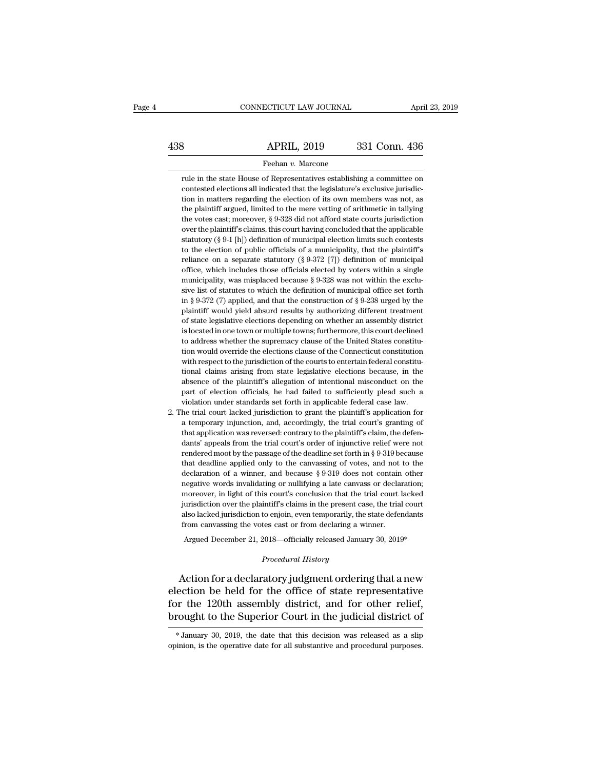# EXERCITE CONNECTICUT LAW JOURNAL April 23, 2019<br>438 APRIL, 2019 331 Conn. 436<br>Feehan v. Marcone

## Feehan *v.* Marcone

8<br>
Republic 19019 331 Conn. 436<br>
Feehan v. Marcone<br>
Fulle in the state House of Representatives establishing a committee on<br>
contested elections all indicated that the legislature's exclusive jurisdic-**COLUTE:** SO SET APPOST APPOSED APPOSED APPOSED FREE ALL INCREDIBLE THE SERVICE IN the state House of Representatives establishing a committee on contested elections all indicated that the legislature's exclusive jurisdict **EXECT AT SET ASSET AT A SET ASSET ASSET ASSET ASSET ASSET ASSET ASSET ASSET ASSET ASSET ASSET ASSET ASSET ASSET ASSET ASSET AND A POINT AND A SET AND AN ART AND IN MATTER STRAIGHT AND A SURFERING THE PLAINIFF ATGURE AND I** Feehan v. Marcone<br>Trule in the state House of Representatives establishing a committee on<br>contested elections all indicated that the legislature's exclusive jurisdic-<br>tion in matters regarding the election of its own membe Feehan v. Marcone<br>rule in the state House of Representatives establishing a committee on<br>contested elections all indicated that the legislature's exclusive jurisdic-<br>tion in matters regarding the election of its own member rule in the state House of Representatives establishing a committee on contested elections all indicated that the legislature's exclusive jurisdiction in matters regarding the election of its own members was not, as the pl contested elections all indicated that the legislature's exclusive jurisdiction in matters regarding the election of its own members was not, as the plaintiff argued, limited to the mere vetting of arithmetic in tallying tion in matters regarding the election of its own members was not, as<br>the plaintiff argued, limited to the mere vetting of arithmetic in tallying<br>the votes cast; moreover, § 9-328 did not afford state courts jurisdiction<br> the plaintiff argued, limited to the mere vetting of arithmetic in tallying<br>the votes cast; moreover, § 9-328 did not afford state courts jurisdiction<br>over the plaintiff's claims, this court having concluded that the appl the votes cast; moreover, § 9-328 did not afford state courts jurisdiction<br>over the plaintiff's claims, this court having concluded that the applicable<br>statutory (§ 9-1 [h]) definition of municipal election limits such co the votes cast; moreover, § 9-328 did not afford state courts jurisdiction<br>over the plaintiff's claims, this court having concluded that the applicable<br>statutory (§ 9-1 [h]) definition of municipal election limits such co statutory (§ 9-1 [h]) definition of municipal election limits such contests to the election of public officials of a municipality, that the plaintiff's reliance on a separate statutory (§ 9-372 [7]) definition of municipa but the election of public officials of a municipality, that the plaintiff's reliance on a separate statutory (§ 9-372 [7]) definition of municipal office, which includes those officials elected by voters within a single reliance on a separate statutory (§ 9-372 [7]) definition of municipal office, which includes those officials elected by voters within a single municipality, was misplaced because § 9-328 was not within the exclusive list office, which includes those officials elected by voters within a single municipality, was misplaced because § 9-328 was not within the exclusive list of statutes to which the definition of municipal office set forth in § municipality, was misplaced because § 9-328 was not within the exclusive list of statutes to which the definition of municipal office set forth in § 9-372 (7) applied, and that the construction of § 9-238 urged by the pla sive list of statutes to which the definition of municipal office set forth in § 9-372 (7) applied, and that the construction of § 9-238 urged by the plaintiff would yield absurd results by authorizing different treatment in § 9-372 (7) applied, and that the construction of § 9-238 urged by the plaintiff would yield absurd results by authorizing different treatment of state legislative elections depending on whether an assembly district is plaintiff would yield absurd results by authorizing different treatment<br>of state legislative elections depending on whether an assembly district<br>is located in one town or multiple towns; furthermore, this court declined<br>to of state legislative elections depending on whether an assembly district is located in one town or multiple towns; furthermore, this court declined to address whether the supremacy clause of the United States constitution is located in one town or multiple towns; furthermore, this court declined to address whether the supremacy clause of the United States constitution would override the elections clause of the Connecticut constitution with to address whether the supremacy clause of the United States constitution would override the supremacy clause of the Connecticut constitution with respect to the jurisdiction of the courts to entertain federal constitution tion would override the elections clause of the Connecticut constitution<br>with respect to the jurisdiction of the courts to entertain federal constitu-<br>tional claims arising from state legislative elections because, in the<br> with respect to the jurisdiction of the courts to entertain federal constitutional claims arising from state legislative elections because, in the absence of the plaintiff's allegation of intentional misconduct on the part tional claims arising from state legislative elections because, in the absence of the plaintiff's allegation of intentional misconduct on the part of election officials, he had failed to sufficiently plead such a violation

absence of the plaintiff's allegation of intentional misconduct on the part of election officials, he had failed to sufficiently plead such a violation under standards set forth in applicable federal case law.<br>he trial cou part of election officials, he had failed to sufficiently plead such a violation under standards set forth in applicable federal case law.<br>he trial court lacked jurisdiction to grant the plaintiff's application for a tempo rendered moothly increases that deadline set for the paintiff's application for a temporary injunction, and, accordingly, the trial court's granting of that application was reversed: contrary to the plaintiff's claim, the the trial court lacked jurisdiction to grant the plaintiff's application for a temporary injunction, and, accordingly, the trial court's granting of that application was reversed: contrary to the plaintiff's claim, the de a temporary injunction, and, accordingly, the trial court's granting of that application was reversed: contrary to the plaintiff's claim, the defendants' appeals from the trial court's order of injunctive relief were not r that application was reversed: contrary to the plaintiff's claim, the defendants' appeals from the trial court's order of injunctive relief were not rendered moot by the passage of the deadline set forth in § 9-319 becaus dants' appeals from the trial court's order of injunctive relief were not rendered moot by the passage of the deadline set forth in § 9-319 because that deadline applied only to the canvassing of votes, and not to the dec rendered moot by the passage of the deadline set forth in § 9-319 because that deadline applied only to the canvassing of votes, and not to the declaration of a winner, and because § 9-319 does not contain other negative that deadline applied only to the canvassing of votes, and not to the declaration of a winner, and because  $\S 9-319$  does not contain other negative words invalidating or nullifying a late canvass or declaration; moreover declaration of a winner, and because § 9-319 does not contain other negative words invalidating or nullifying a late canvass or declaration; moreover, in light of this court's conclusion that the trial court lacked jurisd negative words invalidating or nullifying a late canvass or declaration;<br>noreover, in light of this court's conclusion that the trial court lacked<br>urisdiction over the plaintiff's claims in the present case, the trial cour jurisdiction over the plaintiff's claims in the present case, the trial court<br>also lacked jurisdiction to enjoin, even temporarily, the state defendants<br>from canvassing the votes cast or from declaring a winner.<br>Argued Dec

from canvassing the votes cast or from declaring a winner.<br> *Argued December 21, 2018*—officially released January 30, 2019\*<br> *Procedural History*<br> **Action for a declaratory judgment ordering that a new** also lacked jurisdiction to enjoin, even temporarily, the state defendants<br>from canvassing the votes cast or from declaring a winner.<br>Argued December 21, 2018—officially released January 30, 2019\*<br>*Procedural History*<br>Acti from canvassing the votes cast or from declaring a winner.<br>
Argued December 21, 2018—officially released January 30, 2019\*<br>
Procedural History<br>
Action for a declaratory judgment ordering that a new<br>
election be held for th Argued December 21, 2018—officially released January 30, 2019\*<br> *Procedural History*<br>
Action for a declaratory judgment ordering that a new<br>
election be held for the office of state representative<br>
for the 120th assembly d Action for a declaratory judgment ordering that a new<br>ection be held for the office of state representative<br>pr the 120th assembly district, and for other relief,<br>rought to the Superior Court in the judicial district of<br>\*Ja election be held for the office of state representative<br>for the 120th assembly district, and for other relief,<br>brought to the Superior Court in the judicial district of<br>\*January 30, 2019, the date that this decision was re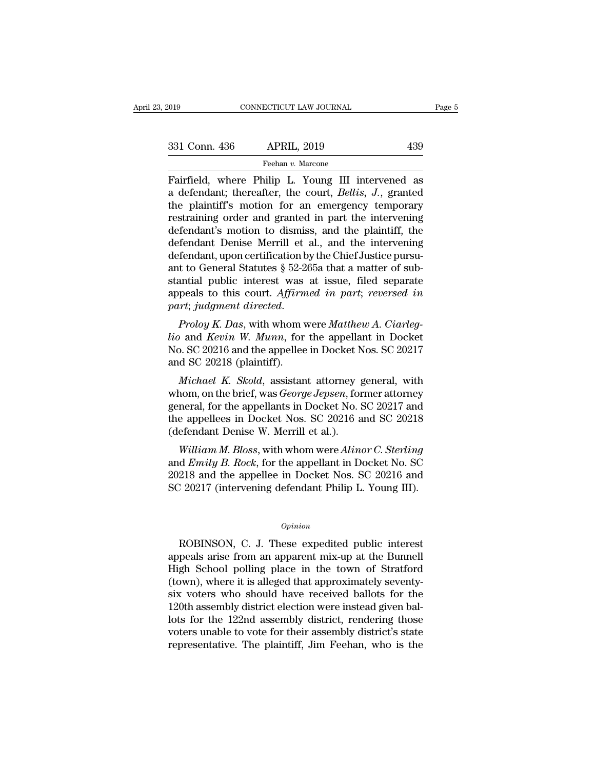| 2019          | CONNECTICUT LAW JOURNAL | Page 5 |
|---------------|-------------------------|--------|
| 331 Conn. 436 | <b>APRIL, 2019</b>      | 439    |
|               | Feehan v. Marcone       |        |

Fairfield, where Philip L. Young III intervened as<br>
a defendant; thereafter, the court, *Bellis*, *J*., granted<br>
the plaintiff's motion for an omorgonou temporary 331 Conn. 436 APRIL, 2019 439<br>
Feehan v. Marcone<br>
Fairfield, where Philip L. Young III intervened as<br>
a defendant; thereafter, the court, *Bellis, J.*, granted<br>
the plaintiff's motion for an emergency temporary<br>
restrainin 331 Conn. 436 APRIL, 2019 439<br>
Feehan v. Marcone<br>
Fairfield, where Philip L. Young III intervened as<br>
a defendant; thereafter, the court, *Bellis*, *J.*, granted<br>
the plaintiff's motion for an emergency temporary<br>
restrai 331 Conn. 436 APRIL, 2019 439<br>
Feehan v. Marcone<br>
Fairfield, where Philip L. Young III intervened as<br>
a defendant; thereafter, the court, *Bellis*, *J*., granted<br>
the plaintiff's motion for an emergency temporary<br>
restrai Fairfield, where Philip L. Young III intervened as<br>a defendant; thereafter, the court, *Bellis*, *J*., granted<br>the plaintiff's motion for an emergency temporary<br>restraining order and granted in part the intervening<br>defend Fairfield, where Philip L. Young III intervened as<br>a defendant; thereafter, the court, *Bellis*, *J.*, granted<br>the plaintiff's motion for an emergency temporary<br>restraining order and granted in part the intervening<br>defend Fairfield, where Philip L. Young III intervened as<br>a defendant; thereafter, the court, *Bellis*, J., granted<br>the plaintiff's motion for an emergency temporary<br>restraining order and granted in part the intervening<br>defendant a defendant; thereafter, the court, *Bellis*, *J.*, granted<br>the plaintiff's motion for an emergency temporary<br>restraining order and granted in part the intervening<br>defendant's motion to dismiss, and the plaintiff, the<br>def the plaintiff's motion for an emergency temporary<br>restraining order and granted in part the intervening<br>defendant's motion to dismiss, and the plaintiff, the<br>defendant Denise Merrill et al., and the intervening<br>defendant, restraining order and granted in part the intervening<br>defendant's motion to dismiss, and the plaintiff, the<br>defendant Denise Merrill et al., and the intervening<br>defendant, upon certification by the Chief Justice pursu-<br>ant defendant Denise Merrill et al., and the intervening<br>defendant Denise Merrill et al., and the intervening<br>defendant, upon certification by the Chief Justice pursu-<br>ant to General Statutes § 52-265a that a matter of sub-<br>st defendant, upon certification by the Chief Justice pulsu-<br>ant to General Statutes § 52-265a that a matter of sub-<br>stantial public interest was at issue, filed separate<br>appeals to this court. Affirmed in part; reversed in<br>p

and to defieral statutes y 32-200a that a matter of substantial public interest was at issue, filed separate appeals to this court. Affirmed in part; reversed in part; judgment directed.<br>Proloy K. Das, with whom were Matth Standar public interest was<br>appeals to this court. Affirm<br>part; judgment directed.<br>Proloy K. Das, with whom v<br>lio and Kevin W. Munn, for<br>No. SC 20218 (plaintiff).<br>Michael K. Skold, assistan *Michael Michael A. Ciarleg-*<br>*Proloy K. Das, with whom were Matthew A. Ciarleg-*<br>*Michael W. Munn, for the appellant in Docket*<br>*Michael K. Skold, assistant attorney general, with*<br>*Michael K. Skold, assistant attorney ge Proloy K. Das*, with whom were *Matthew A. Ciarleg-<br>
io* and *Kevin W. Munn*, for the appellant in Docket<br>
No. SC 20216 and the appellee in Docket Nos. SC 20217<br>
and SC 20218 (plaintiff).<br> *Michael K. Skold*, assistant at

Frotog K. Das, whit wholit were *matthew* A. Carrieg-<br>lio and *Kevin W. Munn*, for the appellant in Docket<br>No. SC 20216 and the appellee in Docket Nos. SC 20217<br>and SC 20218 (plaintiff).<br>*Michael K. Skold*, assistant atto the and *Revin W. Manni*, for the appenant in Docket Nos. SC 20216<br>No. SC 20216 and the appellee in Docket Nos. SC 20217<br>and SC 20218 (plaintiff).<br>*Michael K. Skold*, assistant attorney general, with<br>whom, on the brief, wa No. 50 20210 and the appence in Docket N<br>and SC 20218 (plaintiff).<br>*Michael K. Skold*, assistant attorney g<br>whom, on the brief, was *George Jepsen*, for<br>general, for the appellants in Docket No. 3<br>the appellees in Docket N *Michael K. Skold,* assistant attorney general, with<br>nom, on the brief, was *George Jepsen*, former attorney<br>neral, for the appellants in Docket No. SC 20217 and<br>e appellees in Docket Nos. SC 20216 and SC 20218<br>efendant De *Michael K. Skold, assistant attorney general, with*<br>whom, on the brief, was *George Jepsen*, former attorney<br>general, for the appellants in Docket No. SC 20217 and<br>the appellees in Docket Nos. SC 20216 and SC 20218<br>(defen

whoht, of the brief, was *George Jepsen*, former attorney<br>general, for the appellants in Docket No. SC 20217 and<br>the appellees in Docket Nos. SC 20216 and SC 20218<br>(defendant Denise W. Merrill et al.).<br>William M. Bloss, wi general, for the appenants in Docket No. So 20217 and<br>the appellees in Docket Nos. SC 20216 and SC 20218<br>(defendant Denise W. Merrill et al.).<br>William M. Bloss, with whom were Alinor C. Sterling<br>and Emily B. Rock, for the

## *Opinion*

Solution and the appellee in Docket Nos. SC 20216 and<br>
20217 (intervening defendant Philip L. Young III).<br>
20217 (intervening defendant Philip L. Young III).<br> *Opinion*<br>
ROBINSON, C. J. These expedited public interest<br>
pea 20216 and the appenee in Docket Nos. See 20210 and<br>SC 20217 (intervening defendant Philip L. Young III).<br> *Opinion*<br>
ROBINSON, C. J. These expedited public interest<br>
appeals arise from an apparent mix-up at the Bunnell<br>
Hi opinion<br>
Opinion<br>
ROBINSON, C. J. These expedited public interest<br>
appeals arise from an apparent mix-up at the Bunnell<br>
High School polling place in the town of Stratford<br>
(town), where it is alleged that approximately se <sup>Opinion</sup><br>
(opinion<br>
ROBINSON, C. J. These expedited public interest<br>
appeals arise from an apparent mix-up at the Bunnell<br>
High School polling place in the town of Stratford<br>
(town), where it is alleged that approximately opinion<br>
six voletility of the expedited public interest<br>
appeals arise from an apparent mix-up at the Bunnell<br>
High School polling place in the town of Stratford<br>
(town), where it is alleged that approximately seventy-<br>
s <sup>Opthook</sup><br>
120th assembly district appeals arise from an apparent mix-up at the Bunnell<br>
High School polling place in the town of Stratford<br>
(town), where it is alleged that approximately seventy-<br>
six voters who should ha ROBINSON, C. J. These expedited public interest<br>appeals arise from an apparent mix-up at the Bunnell<br>High School polling place in the town of Stratford<br>(town), where it is alleged that approximately seventy-<br>six voters who appeals arise from an apparent mix-up at the Bunnell<br>High School polling place in the town of Stratford<br>(town), where it is alleged that approximately seventy-<br>six voters who should have received ballots for the<br>120th asse High School polling place in the town of Stratford (town), where it is alleged that approximately seventy-<br>six voters who should have received ballots for the<br>120th assembly district election were instead given bal-<br>lots f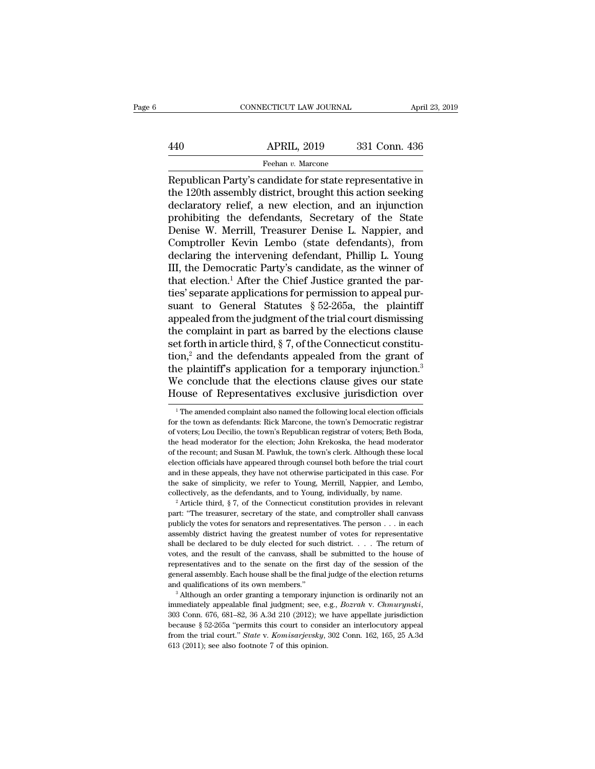# EXERCITE CONNECTICUT LAW JOURNAL April 23, 2019<br>440 APRIL, 2019 331 Conn. 436<br>Feehan v. Marcone Feehan *v.* Marcone

CONNECTICUT LAW JOURNAL April 23, 2019<br>
APRIL, 2019 331 Conn. 436<br>
Feehan v. Marcone<br>
Republican Party's candidate for state representative in<br>
the 120th assembly district, brought this action seeking<br>
doclaratory roliof a APRIL, 2019 331 Conn. 436<br>
Feehan v. Marcone<br>
Republican Party's candidate for state representative in<br>
the 120th assembly district, brought this action seeking<br>
declaratory relief, a new election, and an injunction<br>
probi  $\begin{array}{c|c} \text{APRIL, 2019} & \text{331 Conn. 436} \end{array}$ <br>
Feehan v. Marcone<br>
Republican Party's candidate for state representative in<br>
the 120th assembly district, brought this action seeking<br>
declaratory relief, a new election, and a  $\frac{\text{APRIL, 2019}}{\text{Feehan } v. \text{ Marcone}}$ <br>
Republican Party's candidate for state representative in<br>
the 120th assembly district, brought this action seeking<br>
declaratory relief, a new election, and an injunction<br>
prohibiting the Feehan v. Marcone<br>
Republican Party's candidate for state representative in<br>
the 120th assembly district, brought this action seeking<br>
declaratory relief, a new election, and an injunction<br>
prohibiting the defendants, Secr Freehan v. Marcone<br>
Republican Party's candidate for state representative in<br>
the 120th assembly district, brought this action seeking<br>
declaratory relief, a new election, and an injunction<br>
prohibiting the defendants, Sec Republican Party's candidate for state representative in<br>the 120th assembly district, brought this action seeking<br>declaratory relief, a new election, and an injunction<br>prohibiting the defendants, Secretary of the State<br>Den the 120th assembly district, brought this action seeking<br>declaratory relief, a new election, and an injunction<br>prohibiting the defendants, Secretary of the State<br>Denise W. Merrill, Treasurer Denise L. Nappier, and<br>Comptrol declaratory relief, a new election, and an injunction<br>prohibiting the defendants, Secretary of the State<br>Denise W. Merrill, Treasurer Denise L. Nappier, and<br>Comptroller Kevin Lembo (state defendants), from<br>declaring the in prohibiting the defendants, Secretary of the State<br>Denise W. Merrill, Treasurer Denise L. Nappier, and<br>Comptroller Kevin Lembo (state defendants), from<br>declaring the intervening defendant, Phillip L. Young<br>III, the Democra Denise W. Merrill, Treasurer Denise L. Nappier, and<br>Comptroller Kevin Lembo (state defendants), from<br>declaring the intervening defendant, Phillip L. Young<br>III, the Democratic Party's candidate, as the winner of<br>that electi Comptroller Kevin Lembo (state defendants), from<br>declaring the intervening defendant, Phillip L. Young<br>III, the Democratic Party's candidate, as the winner of<br>that election.<sup>1</sup> After the Chief Justice granted the par-<br>tie declaring the intervening defendant, Phillip L. Young<br>III, the Democratic Party's candidate, as the winner of<br>that election.<sup>1</sup> After the Chief Justice granted the par-<br>ties' separate applications for permission to appeal III, the Democratic Party's candidate, as the winner of that election.<sup>1</sup> After the Chief Justice granted the parties' separate applications for permission to appeal pursuant to General Statutes  $\S 52-265a$ , the plaintiff that election.<sup>1</sup> After the Chief Justice granted the parties' separate applications for permission to appeal pursuant to General Statutes § 52-265a, the plaintiff appealed from the judgment of the trial court dismissing ties' separate applications for permission to appeal pursuant to General Statutes  $\S 52-265a$ , the plaintiff<br>appealed from the judgment of the trial court dismissing<br>the complaint in part as barred by the elections clause suant to General Statutes § 52-265a, the plaintiff<br>appealed from the judgment of the trial court dismissing<br>the complaint in part as barred by the elections clause<br>set forth in article third, § 7, of the Connecticut const appealed from the judgment of the trial court dismissing<br>the complaint in part as barred by the elections clause<br>set forth in article third, § 7, of the Connecticut constitu-<br>tion,<sup>2</sup> and the defendants appealed from the on,<sup>2</sup> and the defendants appealed from the grant of<br>the plaintiff's application for a temporary injunction.<sup>3</sup><br>The conclude that the elections clause gives our state<br>ouse of Representatives exclusive jurisdiction over<br><sup>1</sup> the plaintiff's application for a temporary injunction.<sup>3</sup><br>We conclude that the elections clause gives our state<br>House of Representatives exclusive jurisdiction over<br><sup>1</sup>The amended complaint also named the following local

and in these appeals, they have not otherwise participated in this case. For the sake of simplicity, we refer to Young, Merrill, Nappier, and Lembo, collectively, as the defendants, and to Young, individually, by name.<br>
<sup></sup> the sake of simplicity, we refer to Young, Merrill, Nappier, and Lembo, collectively, as the defendants, and to Young, individually, by name.<br><sup>2</sup> Article third, § 7, of the Connecticut constitution provides in relevant pa collectively, as the defendants, and to Young, individually, by name.<br>
<sup>2</sup> Article third, § 7, of the Connecticut constitution provides in relevant<br>
part: "The treasurer, secretary of the state, and comptroller shall canv <sup>2</sup> Article third, § 7, of the Connecticut constitution provides in relevant part: "The treasurer, secretary of the state, and comptroller shall canvass publicly the votes for senators and representatives. The person  $\dots$ part: "The treasurer, secretary of the state, and comptroller shall canvass publicly the votes for senators and representatives. The person . . . in each assembly district having the greatest number of votes for representa publicly the votes for senators and representatives. The person  $\ldots$  in each assembly district having the greatest number of votes for representative shall be declared to be duly elected for such district.  $\ldots$  The retu assembly district having the greatest number of votes for representative shall be declared to be duly elected for such district. . . . The return of votes, and the result of the canvass, shall be submitted to the house of

immediately appealable final judgment; see, e.g., *Bozrah* v. *Chmurynski*, 303 Conn. 676, 681–82, 36 A.3d 210 (2012); we have appellate jurisdiction because § 52-265a "permits this court to consider an interlocutory appea because assembly. Each house shall be the final judge of the election returns and qualifications of its own members."<br>
<sup>3</sup> Although an order granting a temporary injunction is ordinarily not an inmediately appealable fina and qualifications of its own members."<br><sup>3</sup> Although an order granting a temporary injunction is ordinarily not an<br>immediately appealable final judgment; see, e.g., *Bozrah v. Chmurynski*,<br>303 Conn. 676, 681–82, 36 A.3d 21 <sup>3</sup> Although an order granting a temporary inj<br>immediately appealable final judgment; see, e.<br>303 Conn. 676, 681–82, 36 A.3d 210 (2012); we<br>because § 52-265a "permits this court to consi<br>from the trial court." *State v. K* 

We conclude that the elections clause gives our state<br>House of Representatives exclusive jurisdiction over<br>The amended complaint also named the following local election officials<br>for the town as defendants: Rick Marcone, t House of Representatives exclusive jurisdiction over<br>
<sup>1</sup>The amended complaint also named the following local election officials<br>
for the town as defendants: Rick Marcone, the town's Democratic registrar<br>
of voters; Lou De TOUSE OF Representatives exclusive jurisdiction over<br>
<sup>1</sup>The amended complaint also named the following local election officials<br>
for the town as defendants: Rick Marcone, the town's Democratic registrar<br>
of voters; Lou De <sup>1</sup> The amended complaint also named the following local election officials for the town as defendants: Rick Marcone, the town's Democratic registrar of voters; Lou Decilio, the town's Republican registrar of voters; Beth for the town as defendants: Rick Marcone, the town's Democratic registrar of voters; Lou Decilio, the town's Republican registrar of voters; Beth Boda, the head moderator for the election; John Krekoska, the head moderator for voters; Lou Decilio, the town's Republican registrar of voters; Beth Boda, the head moderator for the election; John Krekoska, the head moderator of the recount; and Susan M. Pawluk, the town's clerk. Although these lo the head moderator for the election; John Krekoska, the head moderator of the recount; and Susan M. Pawluk, the town's clerk. Although these local election officials have appeared through counsel both before the trial cour election officials have appeared through counsel both before the trial court<br>and in these appeals, they have not otherwise participated in this case. For<br>the sake of simplicity, we refer to Young, Merrill, Nappier, and Le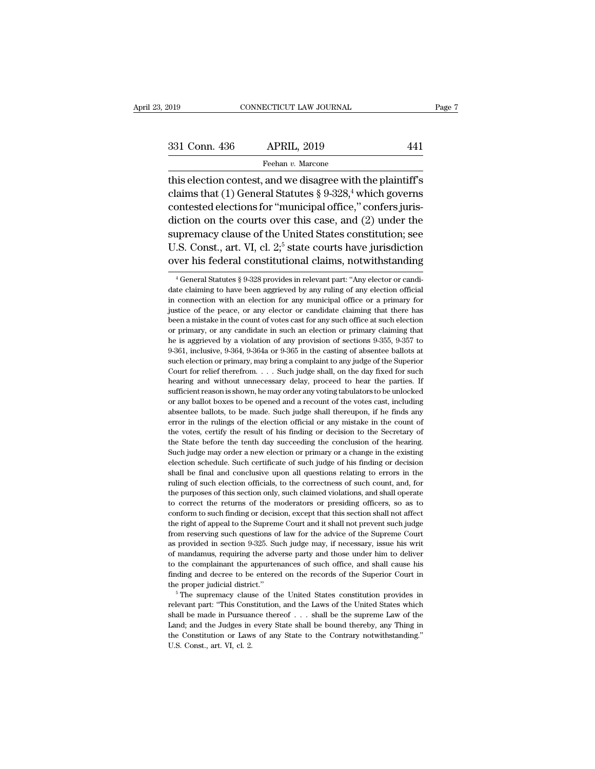| CONNECTICUT LAW JOURNAL             |     |                                                                                                                                                   |
|-------------------------------------|-----|---------------------------------------------------------------------------------------------------------------------------------------------------|
|                                     |     |                                                                                                                                                   |
| <b>APRIL, 2019</b><br>331 Conn. 436 | 441 |                                                                                                                                                   |
| Feehan v. Marcone                   |     |                                                                                                                                                   |
|                                     |     |                                                                                                                                                   |
|                                     |     | Page 7<br>this election contest, and we disagree with the plaintiff's<br>claims that (1) General Statutes $\S 9-328$ , <sup>4</sup> which governs |

331 Conn. 436 APRIL, 2019 441<br>
Feehan v. Marcone<br>
this election contest, and we disagree with the plaintiff's<br>
claims that (1) General Statutes § 9-328,<sup>4</sup> which governs<br>
contested elections for "municipal office," confer 331 Conn. 436 APRIL, 2019 441<br>
Feehan v. Marcone<br>
this election contest, and we disagree with the plaintiff's<br>
claims that (1) General Statutes § 9-328,<sup>4</sup> which governs<br>
contested elections for "municipal office," confer 331 Conn. 436 APRIL, 2019 441<br>
Feehan v. Marcone<br>
this election contest, and we disagree with the plaintiff's<br>
claims that (1) General Statutes § 9-328,<sup>4</sup> which governs<br>
contested elections for "municipal office," confer Feehan v. Marcone<br>this election contest, and we disagree with the plaintiff's<br>claims that (1) General Statutes § 9-328,<sup>4</sup> which governs<br>contested elections for "municipal office," confers juris-<br>diction on the courts ove this election contest, and we disagree with the plaintiff's<br>claims that (1) General Statutes § 9-328,<sup>4</sup> which governs<br>contested elections for "municipal office," confers juris-<br>diction on the courts over this case, and ( claims that (1) General Statutes § 9-328,<sup>4</sup> which governs<br>contested elections for "municipal office," confers juris-<br>diction on the courts over this case, and (2) under the<br>supremacy clause of the United States constitut diction on the courts over this case, and (2) under the<br>supremacy clause of the United States constitution; see<br>U.S. Const., art. VI, cl. 2;<sup>5</sup> state courts have jurisdiction<br>over his federal constitutional claims, notwit supremacy clause of the United States constitution; see<br>U.S. Const., art. VI, cl. 2<sup>5</sup> state courts have jurisdiction<br>over his federal constitutional claims, notwithstanding<br> $\frac{4}{3}$  General Statutes § 9-328 provides in

U.S. Const., art. VI, cl.  $2,5$  state courts have jurisdiction over his federal constitutional claims, notwithstanding  $\overline{ }$ <sup>4</sup> General Statutes § 9-328 provides in relevant part: "Any elector or candidate claiming to h over his federal constitutional claims, notwithstanding<br>
<sup>4</sup> General Statutes § 9-328 provides in relevant part: "Any elector or candidate claiming to have been aggreed by any ruling of any election official<br>
in connection been a mistake in the countertation of votes in the countries. The countert of the claiming to have been aggrieved by any ruling of any election official in connection with an election for any municipal office or a primary <sup>4</sup> General Statutes § 9-328 provides in relevant part: "Any elector or candidate claiming to have been aggrieved by any ruling of any election official in connection with an election for any municipal office or a primary date claiming to have been aggrieved by any ruling of any election official<br>in connection with an election for any municipal office or a primary for<br>justice of the peace, or any elector or candidate claiming that there has and connection with an election for any municipal office or a primary for justice of the peace, or any elector or candidate claiming that there has been a mistake in the count of votes cast for any such office at such ele in such that the peace, or any elector or candidate claiming that there has been a mistake in the count of votes cast for any such office at such election or primary, or any candidate in such an election or primary claimin been a mistake in the count of votes cast for any such office at such election<br>or primary, or any candidate in such an election or primary claiming that<br>he is aggrieved by a violation of any provision of sections 9-355, 9or primary, or any candidate in such an election or primary claiming that<br>he is aggrieved by a violation of any provision of sections 9-355, 9-357 to<br>9-361, inclusive, 9-364, 9-364a or 9-365 in the casting of absentee ball sufficient reason is shown, he may order any voting tabulators to be unlocked by a violation of any provision of sections 9-355, 9-357 to 9-361, inclusive, 9-364, 9-364a or 9-365 in the casting of absentee ballots at such no 39.361, inclusive, 9-364, 9-364a or 9-365 in the casting of absentee ballots at such election or primary, may bring a complaint to any judge of the Superior Court for relief therefrom. . . . Such judge shall, on the day such election or primary, may bring a complaint to any judge of the Superior Court for relief therefrom.  $\ldots$  Such judge shall, on the day fixed for such hearing and without unnecessary delay, proceed to hear the parties Court for relief therefrom.... Such judge shall, on the day fixed for such hearing and without unnecessary delay, proceed to hear the parties. If sufficient reason is shown, he may order any voting tabulators to be unlock hearing and without unnecessary delay, proceed to hear the parties. If sufficient reason is shown, he may order any voting tabulators to be unlocked or any ballot boxes to be opened and a recount of the votes cast, includi sufficient reason is shown, he may order any voting tabulators to be unlocked<br>or any ballot boxes to be opened and a recount of the votes cast, including<br>absentee ballots, to be made. Such judge shall thereupon, if he find such judge may order a new election or primary or a change in the votes cast, including absentee ballots, to be made. Such judge shall thereupon, if he finds any error in the rulings of the election official or any mistake absentee ballots, to be made. Such judge shall thereupon, if he finds any absentee ballots, to be made. Such judge shall thereupon, if he finds any error in the rulings of the election official or any mistake in the count shall be final and conclusive upon all questions relation of the count of the votes, certify the result of his finding or decision to the Secretary of the State before the tenth day succeeding the conclusion of the hearing the votes, certify the result of his finding or decision to the Secretary of the State before the tenth day succeeding the conclusion of the hearing. Such judge may order a new election or primary or a change in the existi the State before the tenth day succeeding the conclusion of the hearing.<br>Such judge may order a new election or primary or a change in the existing<br>election schedule. Such certificate of such judge of his finding or decisi Such judge may order a new election or primary or a change in the existing election schedule. Such certificate of such judge of his finding or decision shall be final and conclusive upon all questions relating to errors in Exertive such a conclusive upon all questions relation schedule. Such certificate of such judge of his finding or decision shall be final and conclusive upon all questions relating to errors in the ruling of such election shall be final and conclusive upon all questions relating to errors in the ruling of such election officials, to the correctness of such count, and, for the purposes of this section only, such claimed violations, and shall Fruling of such election officials, to the correctness of such count, and, for the purposes of this section only, such claimed violations, and shall operate to correct the returns of the moderators or presiding officers, s the purposes of this section only, such claimed violations, and shall operate to correct the returns of the moderators or presiding officers, so as to conform to such finding or decision, except that this section shall not to correct the returns of the moderators or presiding officers, so as to conform to such finding or decision, except that this section shall not affect the right of appeal to the Supreme Court and it shall not prevent such conform to such finding or decision, except that this section shall not affect<br>the right of appeal to the Supreme Court and it shall not prevent such judge<br>from reserving such questions of law for the advice of the Supreme the right of appeal to the Supreme Court and it shall not prevent such judge<br>from reserving such questions of law for the advice of the Supreme Court<br>as provided in section 9-325. Such judge may, if necessary, issue his wr the proper such district.'' This constitution, and the Laws of the United States which the supreme Court as provided in section 9-325. Such judge may, if necessary, issue his writ of mandamus, requiring the adverse party a relevant particular to the diverse party and those under him to deliver<br>of mandamus, requiring the adverse party and those under him to deliver<br>to the complainant the appurtenances of such office, and shall cause his<br>findi

shall be made in Pursuance thereof ... shall be the superior Court in the proper judicial district."<br>
<sup>5</sup> The supremacy clause of the United States constitution provides in relevant part: "This Constitution, and the Laws o Ending and decree to be entered on the records of the Superior Court in<br>the proper judicial district."<br><sup>5</sup> The supremacy clause of the United States constitution provides in<br>relevant part: "This Constitution, and the Laws the proper judicial district."<br>
<sup>5</sup> The supremacy clause of the United States constitution provides in<br>
relevant part: "This Constitution, and the Laws of the United States which<br>
shall be made in Pursuance thereof  $\ldots$  <sup>15</sup> The supremacy claus<br>relevant part: "This Cons<br>shall be made in Pursuan<br>Land; and the Judges in<br>the Constitution or Law:<br>U.S. Const., art. VI, cl. 2.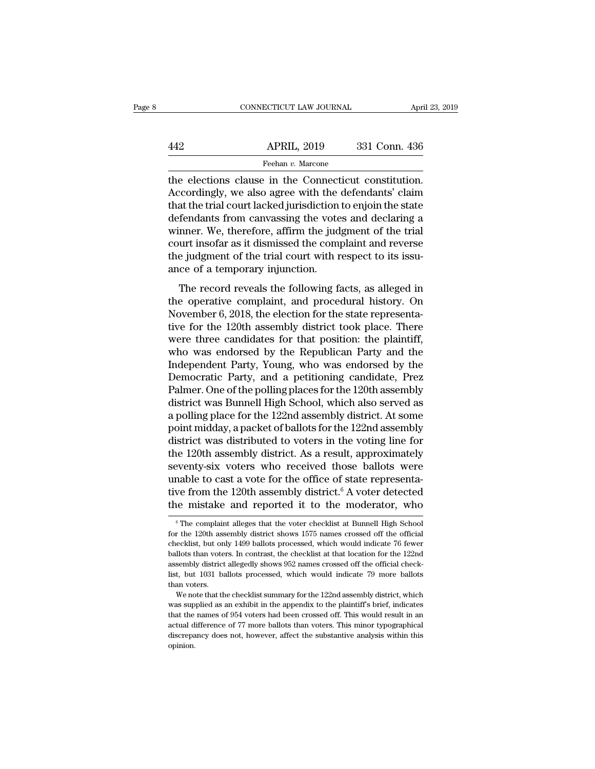# EXERCITE CONNECTICUT LAW JOURNAL April 23, 2019<br>442 APRIL, 2019 331 Conn. 436<br>Feehan v. Marcone Feehan *v.* Marcone

CONNECTICUT LAW JOURNAL April 23, 2<br>
442 APRIL, 2019 331 Conn. 436<br>
Feehan v. Marcone<br>
the elections clause in the Connecticut constitution.<br>
Accordingly, we also agree with the defendants' claim<br>
that the trial court lack APRIL, 2019 331 Conn. 436<br>
Feehan v. Marcone<br>
the elections clause in the Connecticut constitution.<br>
Accordingly, we also agree with the defendants' claim<br>
that the trial court lacked jurisdiction to enjoin the state<br>
defe  $\begin{array}{r}\n 442 \text{ APRIL, } 2019 \text{ 331 Conn. } 436 \\
 \hline\n\text{Feehan } v. \text{ Marcone} \\
 \text{the electrons clause in the Connecticut constitution.}\n \text{Accordingly, we also agree with the defendants' claim that the trial court lacked jurisdiction to enjoin the state\ndefendants from canvassing the votes and declaring a winner. We therefore, a firm the judgment of the trial.\n$  $\frac{\text{APRIL, 2019}}{\text{Feehan } v \cdot \text{Marcone}}$ <br>
the elections clause in the Connecticut constitution.<br>
Accordingly, we also agree with the defendants' claim<br>
that the trial court lacked jurisdiction to enjoin the state<br>
defendants fro Feehan  $v$ . Marcone<br>the elections clause in the Connecticut constitution.<br>Accordingly, we also agree with the defendants' claim<br>that the trial court lacked jurisdiction to enjoin the state<br>defendants from canvassing the v reenan *v*. Marcone<br>the elections clause in the Connecticut constitution.<br>Accordingly, we also agree with the defendants' claim<br>that the trial court lacked jurisdiction to enjoin the state<br>defendants from canvassing the vo the elections clause in the Connecticut constitution.<br>Accordingly, we also agree with the defendants' claim<br>that the trial court lacked jurisdiction to enjoin the state<br>defendants from canvassing the votes and declaring a<br> Accordingly, we also agree with the that the trial court lacked jurisdiction<br>defendants from canvassing the vote<br>winner. We, therefore, affirm the jud<br>court insofar as it dismissed the comp<br>the judgment of the trial court fendants from canvassing the votes and declaring a<br>fendants from canvassing the votes and declaring a<br>nner. We, therefore, affirm the judgment of the trial<br>urt insofar as it dismissed the complaint and reverse<br>e judgment o technalis from carriasing are votes and declaring a<br>winner. We, therefore, affirm the judgment of the trial<br>court insofar as it dismissed the complaint and reverse<br>the judgment of the trial court with respect to its issu-<br>

while: We, affectory, amin't are judgment of the that<br>court insofar as it dismissed the complaint and reverse<br>the judgment of the trial court with respect to its issu-<br>ance of a temporary injunction.<br>The record reveals the the judgment of the trial court with respect to its issu-<br>ance of a temporary injunction.<br>The record reveals the following facts, as alleged in<br>the operative complaint, and procedural history. On<br>November 6, 2018, the elec are judgment of the that coart with respect to as issued<br>ance of a temporary injunction.<br>The record reveals the following facts, as alleged in<br>the operative complaint, and procedural history. On<br>November 6, 2018, the elect The record reveals the following facts, as alleged in<br>the operative complaint, and procedural history. On<br>November 6, 2018, the election for the state representa-<br>tive for the 120th assembly district took place. There<br>were The record reveals the following facts, as alleged in<br>the operative complaint, and procedural history. On<br>November 6, 2018, the election for the state representa-<br>tive for the 120th assembly district took place. There<br>were the operative complaint, and procedural history. On<br>November 6, 2018, the election for the state representa-<br>tive for the 120th assembly district took place. There<br>were three candidates for that position: the plaintiff,<br>wh November 6, 2018, the election for the state representative for the 120th assembly district took place. There were three candidates for that position: the plaintiff, who was endorsed by the Republican Party and the Indepen tive for the 120th assembly district took place. There<br>were three candidates for that position: the plaintiff,<br>who was endorsed by the Republican Party and the<br>Independent Party, Young, who was endorsed by the<br>Democratic P were three candidates for that position: the plaintiff,<br>who was endorsed by the Republican Party and the<br>Independent Party, Young, who was endorsed by the<br>Democratic Party, and a petitioning candidate, Prez<br>Palmer. One of who was endorsed by the Republican Party and the<br>Independent Party, Young, who was endorsed by the<br>Democratic Party, and a petitioning candidate, Prez<br>Palmer. One of the polling places for the 120th assembly<br>district was B Independent Party, Young, who was endorsed by the<br>Democratic Party, and a petitioning candidate, Prez<br>Palmer. One of the polling places for the 120th assembly<br>district was Bunnell High School, which also served as<br>a pollin Democratic Party, and a petitioning candidate, Prez<br>Palmer. One of the polling places for the 120th assembly<br>district was Bunnell High School, which also served as<br>a polling place for the 122nd assembly district. At some<br>p Palmer. One of the polling places for the 120th assembly<br>district was Bunnell High School, which also served as<br>a polling place for the 122nd assembly district. At some<br>point midday, a packet of ballots for the 122nd assem district was Bunnell High School, which also served as<br>a polling place for the 122nd assembly district. At some<br>point midday, a packet of ballots for the 122nd assembly<br>district was distributed to voters in the voting line a polling place for the 122nd assembly district. At some<br>point midday, a packet of ballots for the 122nd assembly<br>district was distributed to voters in the voting line for<br>the 120th assembly district. As a result, approxim point midday, a packet of ballots for the 122nd assembly<br>district was distributed to voters in the voting line for<br>the 120th assembly district. As a result, approximately<br>seventy-six voters who received those ballots were<br> seventy-six voters who received those ballots were<br>unable to cast a vote for the office of state representa-<br>tive from the 120th assembly district.<sup>6</sup> A voter detected<br>the mistake and reported it to the moderator, who<br> $\frac$ unable to cast a vote for the office of state representative from the 120th assembly district.<sup>6</sup> A voter detected the mistake and reported it to the moderator, who  $\frac{1}{6}$  The complaint alleges that the voter checklist

tive from the 120th assembly district.<sup>6</sup> A voter detected<br>the mistake and reported it to the moderator, who<br><sup>6</sup> The complaint alleges that the voter checklist at Bunnell High School<br>for the 120th assembly district shows 1 The mistake and reported it to the moderator, who<br>
<sup>6</sup> The complaint alleges that the voter checklist at Bunnell High School<br>
for the 120th assembly district shows 1575 names crossed off the official<br>
checklist, but only 1  $^6$  The complaint alleges that the voter checklist at Bunnell High School for the 120th assembly district shows 1575 names crossed off the official checklist, but only 1499 ballots processed, which would indicate 76 fewe <sup>6</sup> The complaint alleges that the voter checklist at Bunnell High School for the 120th assembly district shows 1575 names crossed off the official checklist, but only 1499 ballots processed, which would indicate 76 fewer % for the 120th assembly district shows 1575 names crossed off the official checklist, but only 1499 ballots processed, which would indicate 76 fewer ballots than voters. In contrast, the checklist at that location for th ecklist, but only 1499 ballots processed, which would indicate 76 fewer<br>ecklist, but only 1499 ballots processed, which would indicate 76 fewer<br>llots than voters. In contrast, the checklist at that location for the 122nd<br>s ballots than voters. In contrast, the checklist at that location for the 122nd assembly district allegedly shows 952 names crossed off the official checklist, but 1031 ballots processed, which would indicate 79 more ballot

sussembly district allegedly shows 952 names crossed off the official check-<br>list, but 1031 ballots processed, which would indicate 79 more ballots<br>than voters.<br>We note that the checklist summary for the 122nd assembly dis List, but 1031 ballots processed, which would indicate 79 more ballots<br>than voters.<br>We note that the checklist summary for the 122nd assembly district, which<br>was supplied as an exhibit in the appendix to the plaintiff's br discrepancy does not, however, affect the substantive analysis within this was supplied as an exhibit in the appendix to the plaintiff's brief, indicates that the names of 954 voters had been crossed off. This would result opinion.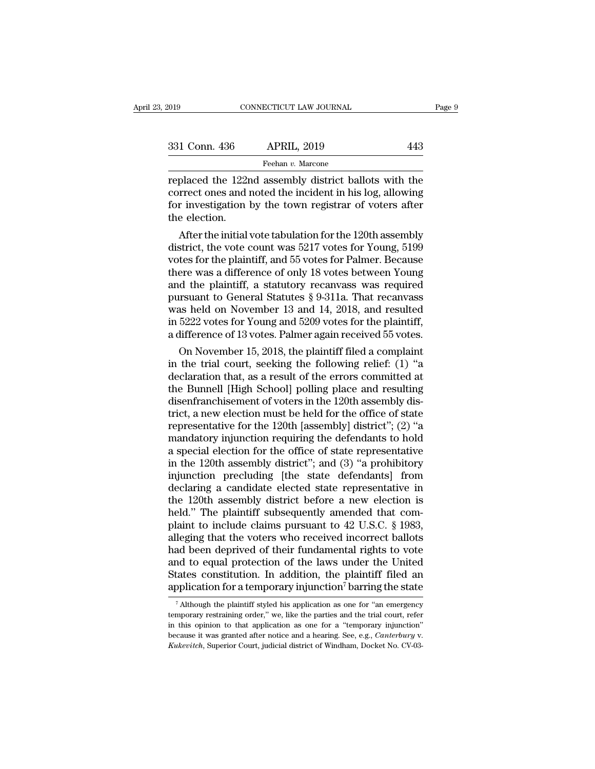| 2019          | CONNECTICUT LAW JOURNAL                                                                                                                                                      |     | Page 9 |
|---------------|------------------------------------------------------------------------------------------------------------------------------------------------------------------------------|-----|--------|
|               |                                                                                                                                                                              |     |        |
| 331 Conn. 436 | <b>APRIL, 2019</b>                                                                                                                                                           | 443 |        |
|               | Feehan v. Marcone                                                                                                                                                            |     |        |
|               | replaced the 122nd assembly district ballots with the<br>correct ones and noted the incident in his log, allowing<br>for investigation by the town registrar of votors after |     |        |

331 Conn. 436 APRIL, 2019 443<br>
Feehan v. Marcone<br>
replaced the 122nd assembly district ballots with the<br>
correct ones and noted the incident in his log, allowing<br>
for investigation by the town registrar of voters after<br>
th  $\frac{331 \text{ Conn. } 436 \qquad \text{APRIL, } 2019 \qquad \text{7} \qquad 443}$ <br>
Feehan v. Marcone<br>
replaced the 122nd assembly district ballots with the<br>
correct ones and noted the incident in his log, allowing<br>
for investigation by the town registr  $\begin{tabular}{l} \bf 331 \; Conn. \; 436 \\ \hline \bf 122r \; correct \; ones \; and \; 1 \\ \hline \bf 16r \; investigation \; the \; electrical \; and \; 1 \\ \hline \end{tabular}$ Feehan v. Marcone<br>
placed the 122nd assembly district ballots with the<br>
rrect ones and noted the incident in his log, allowing<br>
r investigation by the town registrar of voters after<br>
e election.<br>
After the initial vote ta replaced the 122nd assembly district ballots with the<br>correct ones and noted the incident in his log, allowing<br>for investigation by the town registrar of voters after<br>the election.<br>After the initial vote tabulation for the

replaced the 122nd assembly district ballots with the<br>correct ones and noted the incident in his log, allowing<br>for investigation by the town registrar of voters after<br>the election.<br>After the initial vote tabulation for the correct ones and noted the incident in his log, allowing<br>for investigation by the town registrar of voters after<br>the election.<br>After the initial vote tabulation for the 120th assembly<br>district, the vote count was 5217 vote for investigation by the town registrar of voters after<br>the election.<br>After the initial vote tabulation for the 120th assembly<br>district, the vote count was 5217 votes for Young, 5199<br>votes for the plaintiff, and 55 votes the election.<br>
After the initial vote tabulation for the 120th assembly<br>
district, the vote count was 5217 votes for Young, 5199<br>
votes for the plaintiff, and 55 votes for Palmer. Because<br>
there was a difference of only 1 After the initial vote tabulation for the 120th assembly<br>district, the vote count was 5217 votes for Young, 5199<br>votes for the plaintiff, and 55 votes for Palmer. Because<br>there was a difference of only 18 votes between Yo district, the vote count was 5217 votes for Young, 5199<br>votes for the plaintiff, and 55 votes for Palmer. Because<br>there was a difference of only 18 votes between Young<br>and the plaintiff, a statutory recanvass was required<br> votes for the plaintiff, and 55 votes for Palmer. Because<br>there was a difference of only 18 votes between Young<br>and the plaintiff, a statutory recanvass was required<br>pursuant to General Statutes § 9-311a. That recanvass<br>wa ere was a difference of only 18 votes between Young<br>d the plaintiff, a statutory recanvass was required<br>irsuant to General Statutes § 9-311a. That recanvass<br>as held on November 13 and 14, 2018, and resulted<br>5222 votes for and the plaintiff, a statutory recanvass was required<br>pursuant to General Statutes § 9-311a. That recanvass<br>was held on November 13 and 14, 2018, and resulted<br>in 5222 votes for Young and 5209 votes for the plaintiff,<br>a di

pursuant to General Statutes § 9-311a. That recanvass<br>was held on November 13 and 14, 2018, and resulted<br>in 5222 votes for Young and 5209 votes for the plaintiff,<br>a difference of 13 votes. Palmer again received 55 votes.<br>O was held on November 13 and 14, 2018, and resulted<br>in 5222 votes for Young and 5209 votes for the plaintiff,<br>a difference of 13 votes. Palmer again received 55 votes.<br>On November 15, 2018, the plaintiff filed a complaint<br>i in 5222 votes for Young and 5209 votes for the plaintiff, a difference of 13 votes. Palmer again received 55 votes.<br>On November 15, 2018, the plaintiff filed a complaint<br>in the trial court, seeking the following relief: ( a difference of 13 votes. Palmer again received 55 votes.<br>
On November 15, 2018, the plaintiff filed a complaint<br>
in the trial court, seeking the following relief: (1) "a<br>
declaration that, as a result of the errors commit On November 15, 2018, the plaintiff filed a complaint<br>in the trial court, seeking the following relief: (1) "a<br>declaration that, as a result of the errors committed at<br>the Bunnell [High School] polling place and resulting in the trial court, seeking the following relief: (1) "a<br>declaration that, as a result of the errors committed at<br>the Bunnell [High School] polling place and resulting<br>disenfranchisement of voters in the 120th assembly di declaration that, as a result of the errors committed at<br>the Bunnell [High School] polling place and resulting<br>disenfranchisement of voters in the 120th assembly dis-<br>trict, a new election must be held for the office of st the Bunnell [High School] polling place and resulting<br>disenfranchisement of voters in the 120th assembly dis-<br>trict, a new election must be held for the office of state<br>representative for the 120th [assembly] district''; ( disenfranchisement of voters in the 120th assembly district, a new election must be held for the office of state representative for the 120th [assembly] district"; (2) "a mandatory injunction requiring the defendants to ho trict, a new election must be held for the office of state<br>representative for the 120th [assembly] district"; (2) "a<br>mandatory injunction requiring the defendants to hold<br>a special election for the office of state represen representative for the 120th [assembly] district"; (2) "a<br>mandatory injunction requiring the defendants to hold<br>a special election for the office of state representative<br>in the 120th assembly district"; and (3) "a prohibi mandatory injunction requiring the defendants to hold<br>a special election for the office of state representative<br>in the 120th assembly district"; and (3) "a prohibitory<br>injunction precluding [the state defendants] from<br>decl a special election for the office of state representative<br>in the 120th assembly district"; and (3) "a prohibitory<br>injunction precluding [the state defendants] from<br>declaring a candidate elected state representative in<br>the in the 120th assembly district"; and (3) "a prohibitory<br>injunction precluding [the state defendants] from<br>declaring a candidate elected state representative in<br>the 120th assembly district before a new election is<br>held." T injunction precluding [the state defendants] from<br>declaring a candidate elected state representative in<br>the 120th assembly district before a new election is<br>held." The plaintiff subsequently amended that com-<br>plaint to inc declaring a candidate elected state representative in<br>the 120th assembly district before a new election is<br>held." The plaintiff subsequently amended that com-<br>plaint to include claims pursuant to 42 U.S.C. § 1983,<br>alleging the 120th assembly district before a new election is<br>held." The plaintiff subsequently amended that com-<br>plaint to include claims pursuant to 42 U.S.C. § 1983,<br>alleging that the voters who received incorrect ballots<br>had be held." The plaintiff subsequently amended that complaint to include claims pursuant to  $42$  U.S.C. § 1983, alleging that the voters who received incorrect ballots had been deprived of their fundamental rights to vote and ad been deprived of their fundamental rights to vote<br>nd to equal protection of the laws under the United<br>tates constitution. In addition, the plaintiff filed an<br>pplication for a temporary injunction<sup>7</sup> barring the state<br><sup>7</sup> and to equal protection of the laws under the United States constitution. In addition, the plaintiff filed an application for a temporary injunction<sup>7</sup> barring the state  $\frac{1}{7}$  Although the plaintiff styled his applica

States constitution. In addition, the plaintiff filed an application for a temporary injunction<sup>7</sup> barring the state  $\frac{1}{4}$  Although the plaintiff styled his application as one for "an emergency temporary restraining o because it was granted after notice and a hearing of error and a hearing order," we, like the parties and the trial court, refer in this opinion to that application as one for a "temporary injunction" because it was grante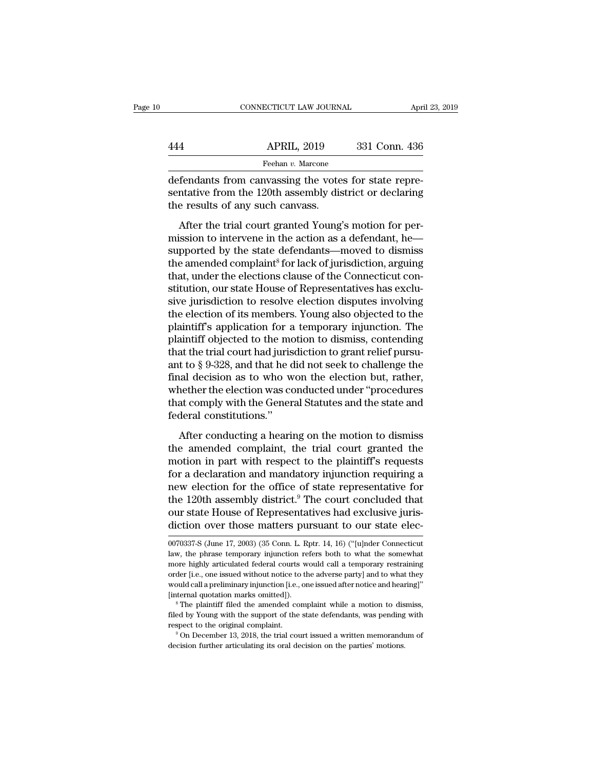| CONNECTICUT LAW JOURNAL | April 23, 2019 |
|-------------------------|----------------|
| <b>APRIL, 2019</b>      | 331 Conn. 436  |
| Feehan v. Marcone       |                |

CONNECTICUT LAW JOURNAL APR<br>
444 APRIL, 2019 331 Conn. 436<br>
Feehan v. Marcone<br>
defendants from canvassing the votes for state repre-<br>
sentative from the 120th assembly district or declaring<br>
the results of any such canvass APRIL, 2019 331 Conn. 436<br>
Feehan v. Marcone<br>
defendants from canvassing the votes for state representative from the 120th assembly district or declaring<br>
the results of any such canvass.  $\begin{tabular}{l l l} \multicolumn{1}{c}{ \textbf{APRIL, 2019}}\\ \hline \multicolumn{1}{c}{\textbf{Feehan }v. \text{ Marcone}}\\ \hline \textbf{defendants from canvassing the vote} \\ \textbf{sentative from the 120th assembly} \\ \textbf{the results of any such canvas.} \\ \hline \end{tabular}$  $APRLL$ , 2019  $331$  Conn. 436<br>  $Feehan v. Marcone$ <br>  $fendants$  from canvassing the votes for state repre-<br>
mative from the 120th assembly district or declaring<br>
e results of any such canvass.<br>
After the trial court granted Young's motion

Feehan v. Marcone<br>
defendants from canvassing the votes for state repre-<br>
sentative from the 120th assembly district or declaring<br>
the results of any such canvass.<br>
After the trial court granted Young's motion for per-<br>
m defendants from canvassing the votes for state repre-<br>sentative from the 120th assembly district or declaring<br>the results of any such canvass.<br>After the trial court granted Young's motion for per-<br>mission to intervene in t the results of any such canvassing are voces for state representative from the 120th assembly district or declaring<br>the results of any such canvass.<br>After the trial court granted Young's motion for per-<br>mission to interven the results of any such canvass.<br>
After the trial court granted Young's motion for per-<br>
mission to intervene in the action as a defendant, he-<br>
supported by the state defendants—moved to dismiss<br>
the amended complaint<sup>8</sup> are results of any start claress.<br>After the trial court granted Young's motion for per-<br>mission to intervene in the action as a defendant, he<br>supported by the state defendants—moved to dismiss<br>the amended complaint<sup>8</sup> for After the trial court granted Young's motion for per-<br>mission to intervene in the action as a defendant, he—<br>supported by the state defendants—moved to dismiss<br>the amended complaint<sup>8</sup> for lack of jurisdiction, arguing<br>tha mission to intervene in the action as a defendant, he—<br>supported by the state defendants—moved to dismiss<br>the amended complaint<sup>8</sup> for lack of jurisdiction, arguing<br>that, under the elections clause of the Connecticut con-<br> supported by the state defendants—moved to dismiss<br>the amended complaint<sup>8</sup> for lack of jurisdiction, arguing<br>that, under the elections clause of the Connecticut con-<br>stitution, our state House of Representatives has exclu the amended complaint<sup>8</sup> for lack of jurisdiction, arguing<br>that, under the elections clause of the Connecticut con-<br>stitution, our state House of Representatives has exclu-<br>sive jurisdiction to resolve election disputes i that, under the elections clause of the Connecticut constitution, our state House of Representatives has exclusive jurisdiction to resolve election disputes involving the election of its members. Young also objected to the stitution, our state House of Representatives has exclusive jurisdiction to resolve election disputes involving<br>the election of its members. Young also objected to the<br>plaintiff's application for a temporary injunction. Th sive jurisdiction to resolve election disputes involving<br>the election of its members. Young also objected to the<br>plaintiff's application for a temporary injunction. The<br>plaintiff objected to the motion to dismiss, contendi the election of its members. Young also objected to the plaintiff's application for a temporary injunction. The plaintiff objected to the motion to dismiss, contending that the trial court had jurisdiction to grant relief plaintiff's application for a temporary injunction. The plaintiff objected to the motion to dismiss, contending that the trial court had jurisdiction to grant relief pursuant to § 9-328, and that he did not seek to challen plaintiff objected to the mothat the trial court had juris<br>ant to § 9-328, and that he d<br>final decision as to who w<br>whether the election was co<br>that comply with the Gener<br>federal constitutions."<br>After conducting a heari and the state contrinsic and the did not seek to challenge the<br>
t to § 9-328, and that he did not seek to challenge the<br>
aal decision as to who won the election but, rather,<br>
nether the election was conducted under "proce and the amended complaint the diaments of the effinal decision as to who won the election but, rather,<br>whether the election was conducted under "procedures<br>that comply with the General Statutes and the state and<br>federal co

man accusion as to this work are created and, rather,<br>whether the election was conducted under "procedures<br>that comply with the General Statutes and the state and<br>federal constitutions."<br>After conducting a hearing on the m for a declaration and statutes and the state and<br>federal constitutions."<br>After conducting a hearing on the motion to dismiss<br>the amended complaint, the trial court granted the<br>motion in part with respect to the plaintiff' new electrical states and the state and<br>federal constitutions."<br>After conducting a hearing on the motion to dismiss<br>the amended complaint, the trial court granted the<br>motion in part with respect to the plaintiff's requests After conducting a hearing on the motion to dismiss<br>the amended complaint, the trial court granted the<br>motion in part with respect to the plaintiff's requests<br>for a declaration and mandatory injunction requiring a<br>new ele After conducting a hearing on the motion to dismiss<br>the amended complaint, the trial court granted the<br>motion in part with respect to the plaintiff's requests<br>for a declaration and mandatory injunction requiring a<br>new elec the amended complaint, the trial court granted the<br>motion in part with respect to the plaintiff's requests<br>for a declaration and mandatory injunction requiring a<br>new election for the office of state representative for<br>the new election for the office of state representative for<br>the 120th assembly district.<sup>9</sup> The court concluded that<br>our state House of Representatives had exclusive juris-<br>diction over those matters pursuant to our state elec the 120th assembly district.<sup>9</sup> The court concluded that<br>our state House of Representatives had exclusive juris-<br>diction over those matters pursuant to our state elec-<br> $\frac{0070337}{5}$  (June 17, 2003) (35 Conn. L. Rptr. 14

our state House of Representatives had exclusive juris-<br>diction over those matters pursuant to our state elec-<br> $\frac{0070337}{5}$  (June 17, 2003) (35 Conn. L. Rptr. 14, 16) ("[u]nder Connecticut<br>law, the phrase temporary inju order the model of the presentiative to the adversaries diction over those matters pursuant to our state elec-<br>0070337-S (June 17, 2003) (35 Conn. L. Rptr. 14, 16) ("[u]nder Connecticut<br>law, the phrase temporary injunction 0070337-S (June 17, 2003) (35 Conn. L. Rptr. 14, 16) ("[u]nder Connecticut law, the phrase temporary injunction refers both to what the somewhat more highly articulated federal courts would call a temporary restraining or [internal quotation marks omitted]). <sup>8</sup> The plaintiff filed the amended complaint while a motion to dismiss, filed by and the support of the state defendants, we can be always the support of the support of the support of the support of the support of the support of the support of the support of the support of the support of the s respect to the interval complete to the diverse party] and to what they would call a preliminary injunction [i.e., one issued after notice and hearing]"<br>[internal quotation marks omitted]].<br><sup>8</sup> The plaintiff filed the amen

filed by Young with the support of the state defendants, was pending with respect to the original complaint.<br><sup>9</sup> On December 13, 2018, the trial court issued a written memorandum of decision further articulating its oral d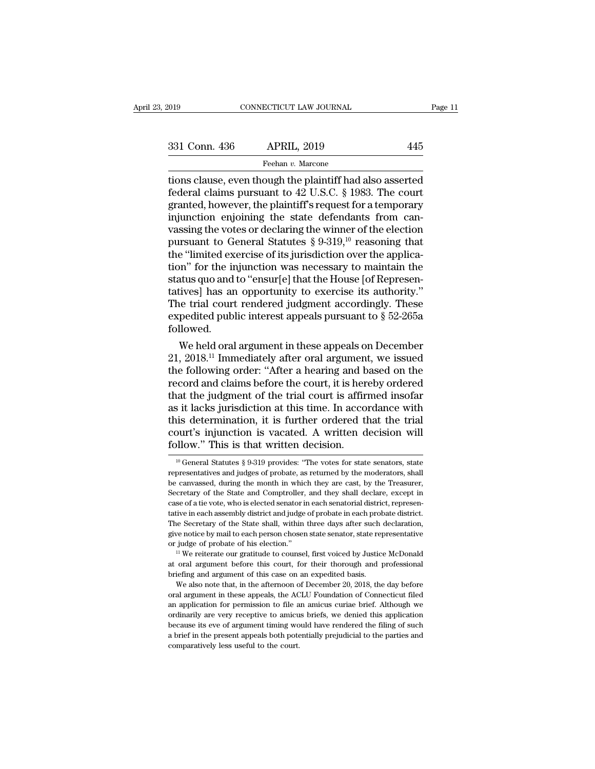the plaintiff's request for a temporary<br>
tions clause, even though the plaintiff had also asserted<br>
tions clause, even though the plaintiff had also asserted<br>
federal claims pursuant to 42 U.S.C. § 1983. The court<br>
granted  $f_{\text{Hehan }v}$  APRIL, 2019<br>  $f_{\text{Hechan }v}$  APRIL, 2019<br>  $f_{\text{Hehan }v}$  Marcone<br>  $f_{\text{Heden }v}$  and  $f_{\text{Heal }v}$  and  $f_{\text{Heal }v}$  and  $f_{\text{Heal }v}$  are court<br>  $f_{\text{Heal }v}$  and  $f_{\text{Heal }v}$  are court<br>  $f_{\text{Heal }v}$  are court<br>  $f_{\text{He$ 331 Conn. 436 APRIL, 2019 445<br>
Feehan v. Marcone<br>
tions clause, even though the plaintiff had also asserted<br>
federal claims pursuant to 42 U.S.C. § 1983. The court<br>
granted, however, the plaintiff's request for a temporar 331 Conn. 436 APRIL, 2019 445<br>
Feehan v. Marcone<br>
tions clause, even though the plaintiff had also asserted<br>
federal claims pursuant to 42 U.S.C. § 1983. The court<br>
granted, however, the plaintiff's request for a temporar Feehan v. Marcone<br>
values of the v. Marcone<br>
tions clause, even though the plaintiff had also asserted<br>
federal claims pursuant to 42 U.S.C. § 1983. The court<br>
granted, however, the plaintiff's request for a temporary<br>
in Feehan v. Marcone<br>tions clause, even though the plaintiff had also asserted<br>federal claims pursuant to 42 U.S.C. § 1983. The court<br>granted, however, the plaintiff's request for a temporary<br>injunction enjoining the state d tions clause, even though the plaintiff had also asserted<br>federal claims pursuant to 42 U.S.C. § 1983. The court<br>granted, however, the plaintiff's request for a temporary<br>injunction enjoining the state defendants from can federal claims pursuant to 42 U.S.C. § 1983. The court<br>granted, however, the plaintiff's request for a temporary<br>injunction enjoining the state defendants from can-<br>vassing the votes or declaring the winner of the electio granted, however, the plaintiff's request for a temporary<br>injunction enjoining the state defendants from can-<br>vassing the votes or declaring the winner of the election<br>pursuant to General Statutes § 9-319,<sup>10</sup> reasoning th injunction enjoining the state defendants from can-<br>vassing the votes or declaring the winner of the election<br>pursuant to General Statutes  $\S 9{\text -}319,^{10}$  reasoning that<br>the "limited exercise of its jurisdiction over th vassing the votes or declaring the winner of the election<br>pursuant to General Statutes  $\S 9{\text -}319, ^{10}$  reasoning that<br>the "limited exercise of its jurisdiction over the applica-<br>tion" for the injunction was necessary t pursuant to General Statutes  $\S$  9-319,<sup>10</sup> reasoning that<br>the "limited exercise of its jurisdiction over the applica-<br>tion" for the injunction was necessary to maintain the<br>status quo and to "ensur[e] that the House [of followed. m" for the injunction was necessary to maintain the<br>atus quo and to "ensur[e] that the House [of Represen-<br>tives] has an opportunity to exercise its authority."<br>ie trial court rendered judgment accordingly. These<br>pedited status quo and to "ensur[e] that the House [of Representatives] has an opportunity to exercise its authority."<br>The trial court rendered judgment accordingly. These<br>expedited public interest appeals pursuant to § 52-265a<br>fo

tatives] has an opportunity to exercise its authority."<br>The trial court rendered judgment accordingly. These<br>expedited public interest appeals pursuant to  $\S~52-265a$ <br>followed.<br>We held oral argument in these appeals on De The trial court rendered judgment accordingly. These<br>expedited public interest appeals pursuant to  $\S$  52-265a<br>followed.<br>We held oral argument in these appeals on December<br>21, 2018.<sup>11</sup> Immediately after oral argument, we expedited public interest appeals pursuant to  $\S$  52-265a<br>followed.<br>We held oral argument in these appeals on December<br>21, 2018.<sup>11</sup> Immediately after oral argument, we issued<br>the following order: "After a hearing and bas rollowed.<br>
We held oral argument in these appeals on December<br>
21, 2018.<sup>11</sup> Immediately after oral argument, we issued<br>
the following order: "After a hearing and based on the<br>
record and claims before the court, it is her We held oral argument in these appeals on December 21, 2018.<sup>11</sup> Immediately after oral argument, we issued the following order: "After a hearing and based on the record and claims before the court, it is hereby ordered th 21, 2018.<sup>11</sup> Immediately after oral argument, we issued<br>the following order: "After a hearing and based on the<br>record and claims before the court, it is hereby ordered<br>that the judgment of the trial court is affirmed inso the following order: "After a hearing and b<br>record and claims before the court, it is here that the judgment of the trial court is affirm<br>as it lacks jurisdiction at this time. In according this determination, it is furth is it lacks jurisdiction at this time. In accordance with<br>his determination, it is further ordered that the trial<br>burt's injunction is vacated. A written decision will<br>llow." This is that written decision.<br> $\frac{10}{10}$  Gen

We notice by mail to each person chosen state senator, state representative judge of probate of his election."<br><sup>11</sup> We reiterate our gratitude to counsel, first voiced by Justice McDonald oral argument before this court, f

or judge of probate of his election."<br>
<sup>11</sup> We reiterate our gratitude to counsel, first voiced by Justice McDonald<br>
at oral argument before this court, for their thorough and professional<br>
briefing and argument of this ca <sup>11</sup> We reiterate our gratitude to counsel, first voiced by Justice McDonald at oral argument before this court, for their thorough and professional briefing and argument of this case on an expedited basis. We also note th at oral argument before this court, for their thorough and professional<br>briefing and argument of this case on an expedited basis.<br>We also note that, in the afternoon of December 20, 2018, the day before<br>oral argument in th able between an expected basis.<br>
We also note that, in the afternoon of December 20, 2018, the day before<br>
oral argument in these appeals, the ACLU Foundation of Connecticut filed<br>
an application for permission to file an We also note that, in the afternoon of December 20, 2018, the day before oral argument in these appeals, the ACLU Foundation of Connecticut filed an application for permission to file an amicus curiae brief. Although we or an application for permission to file an amicus curiae brief. Although we ordinarily are very receptive to amicus briefs, we denied this application because its eve of argument timing would have rendered the filing of such

this determination, it is further ordered that the trial court's injunction is vacated. A written decision will follow." This is that written decision.<br>
<sup>10</sup> General Statutes § 9-319 provides: "The votes for state senator court's injunction is vacated. A written decision will<br>follow." This is that written decision.<br> $\frac{1}{10}$  General Statutes § 9-319 provides: "The votes for state senators, state<br>representatives and judges of probate, as r follow." This is that written decision.<br>
<sup>10</sup> General Statutes § 9-319 provides: "The votes for state senators, state representatives and judges of probate, as returned by the moderators, shall be canvassed, during the mo FOIIOW. THIS IS that WITCH decision.<br>
<sup>10</sup> General Statutes § 9-319 provides: "The votes for state senators, state<br>
representatives and judges of probate, as returned by the moderators, shall<br>
be canvassed, during the mon <sup>10</sup> General Statutes § 9-319 provides: "The votes for state senators, state representatives and judges of probate, as returned by the moderators, shall be canvassed, during the month in which they are cast, by the Treasu representatives and judges of probate. As returned by the moderators, shall be canvassed, during the month in which they are cast, by the Treasurer, Secretary of the State and Comptroller, and they shall declare, except in be canvassed, during the month in which they are cast, by the Treasurer, Secretary of the State and Comptroller, and they shall declare, except in case of a tie vote, who is elected senator in each senatorial district, rep Secretary of the State and Comptroller, and they shall declare, except in case of a tie vote, who is elected senator in each senatorial district, representative in each assembly district and judge of probate in each probat at tative in each assembly district and judge of probate in each probate district.<br>The Secretary of the State shall, within three days after such declaration,<br>give notice by mail to each person chosen state senator, state tative in each assembly district and judge of probate in each probate district.<br>The Secretary of the State shall, within three days after such declaration, give notice by mail to each person chosen state senator, state rep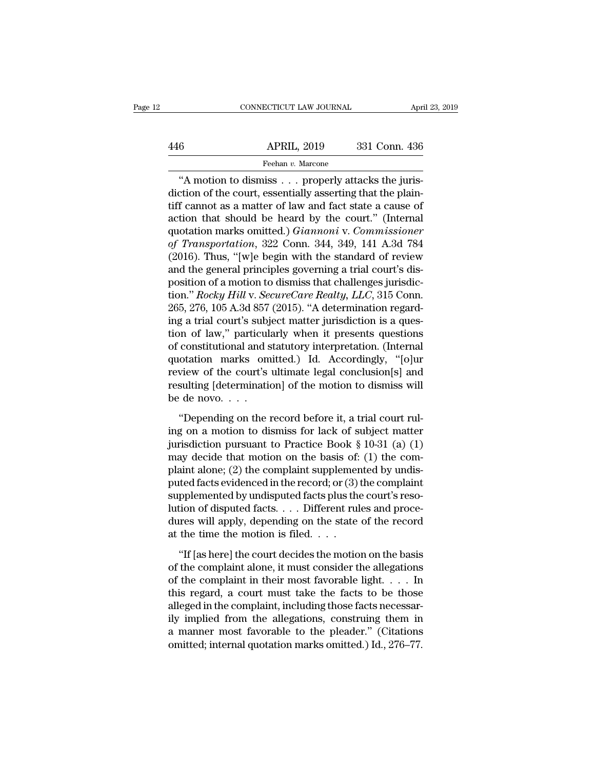# EXERCITE CONNECTICUT LAW JOURNAL April 23, 2019<br>446 APRIL, 2019 331 Conn. 436<br>Feehan v. Marcone Feehan *v.* Marcone

CONNECTICUT LAW JOURNAL<br>
49 APRIL, 2019 331 Conn. 436<br>
Feehan v. Marcone<br>
"A motion to dismiss . . . properly attacks the juris-<br>
"A motion of the court, essentially asserting that the plain-<br>
f cannot as a matter of law a 446 APRIL, 2019 331 Conn. 436<br>
Feehan v. Marcone<br>
"A motion to dismiss . . . properly attacks the juris-<br>
diction of the court, essentially asserting that the plain-<br>
tiff cannot as a matter of law and fact state a cause o APRIL, 2019 331 Conn. 436<br>
Feehan v. Marcone<br>
"A motion to dismiss . . . properly attacks the jurisdiction of the court, essentially asserting that the plain-<br>
tiff cannot as a matter of law and fact state a cause of<br>
act APRIL, 2019 331 Conn. 436<br>
Feehan v. Marcone<br>
"A motion to dismiss . . . properly attacks the jurisdiction of the court, essentially asserting that the plain-<br>
tiff cannot as a matter of law and fact state a cause of<br>
act Feehan *v*. Marcone<br>
"A motion to dismiss . . . properly attacks the juris-<br>
diction of the court, essentially asserting that the plain-<br>
tiff cannot as a matter of law and fact state a cause of<br>
action that should be hear *Feenar v. Marcone*<br>
"A motion to dismiss . . . properly attacks the juris-<br>
diction of the court, essentially asserting that the plain-<br>
tiff cannot as a matter of law and fact state a cause of<br>
action that should be hear "A motion to dismiss . . . properly attacks the juris-<br>diction of the court, essentially asserting that the plain-<br>tiff cannot as a matter of law and fact state a cause of<br>action that should be heard by the court." (Inter diction of the court, essentially asserting that the plain-<br>tiff cannot as a matter of law and fact state a cause of<br>action that should be heard by the court." (Internal<br>quotation marks omitted.) *Giannoni* v. *Commission* tiff cannot as a matter of law and fact state a cause of<br>action that should be heard by the court." (Internal<br>quotation marks omitted.) *Giannoni* v. *Commissioner*<br>of *Transportation*, 322 Conn. 344, 349, 141 A.3d 784<br>(2 action that should be heard by the court." (Internal<br>quotation marks omitted.) *Giannoni* v. *Commissioner*<br>of *Transportation*, 322 Conn. 344, 349, 141 A.3d 784<br>(2016). Thus, "[w]e begin with the standard of review<br>and th quotation marks omitted.) *Giannoni* v. *Commissioner*<br>of *Transportation*, 322 Conn. 344, 349, 141 A.3d 784<br>(2016). Thus, "[w]e begin with the standard of review<br>and the general principles governing a trial court's dis-<br>p (2016). Thus, "[w]e begin with the standard of review<br>and the general principles governing a trial court's dis-<br>position of a motion to dismiss that challenges jurisdic-<br>tion." *Rocky Hill* v. *SecureCare Realty*, *LLC*, (2016). Thus, "[w]e begin with the standard of review<br>and the general principles governing a trial court's dis-<br>position of a motion to dismiss that challenges jurisdic-<br>tion." *Rocky Hill* v. *SecureCare Realty*, *LLC*, and the general principles governing a trial court's dis-<br>position of a motion to dismiss that challenges jurisdic-<br>tion." *Rocky Hill* v. *SecureCare Realty*, *LLC*, 315 Conn.<br>265, 276, 105 A.3d 857 (2015). "A determinati position of a motion to dismiss that challenges jurisdiction." *Rocky Hill v. SecureCare Realty, LLC*, 315 Conn.<br>265, 276, 105 A.3d 857 (2015). "A determination regarding a trial court's subject matter jurisdiction is a qu tion." *Rocky Hill* v. *SecureCare Realty, LLC*, 315 Conn.<br>265, 276, 105 A.3d 857 (2015). "A determination regard-<br>ing a trial court's subject matter jurisdiction is a ques-<br>tion of law," particularly when it presents ques 265, 276, 105 A.3d 857 (2015). "A determination regarding a trial court's subject matter jurisdiction is a question of law," particularly when it presents questions of constitutional and statutory interpretation. (Interna ing a trial court's subj<br>tion of law," particula<br>of constitutional and s<br>quotation marks om<br>review of the court's<br>resulting [determinatio<br>be de novo. . . .<br>"Depending on the 1 constitutional and statutory interpretation. (Internal<br>otation marks omitted.) Id. Accordingly, "[o]ur<br>view of the court's ultimate legal conclusion[s] and<br>sulting [determination] of the motion to dismiss will<br>de novo.... quotation marks omitted.) Id. Accordingly, "[o]ur<br>review of the court's ultimate legal conclusion[s] and<br>resulting [determination] of the motion to dismiss will<br>be de novo....<br>"Depending on the record before it, a trial c

review of the court's ultimate legal conclusion[s] and<br>resulting [determination] of the motion to dismiss will<br>be de novo....<br>"Depending on the record before it, a trial court rul-<br>ing on a motion to dismiss for lack of s resulting [determination] of the motion to dismiss will<br>be de novo. . . .<br>"Depending on the record before it, a trial court rul-<br>ing on a motion to dismiss for lack of subject matter<br>jurisdiction pursuant to Practice Book be de novo. . . .<br>
"Depending on the record before it, a trial court rul-<br>
ing on a motion to dismiss for lack of subject matter<br>
jurisdiction pursuant to Practice Book § 10-31 (a) (1)<br>
may decide that motion on the basis "Depending on the record before it, a trial court rul-<br>ing on a motion to dismiss for lack of subject matter<br>jurisdiction pursuant to Practice Book § 10-31 (a) (1)<br>may decide that motion on the basis of: (1) the com-<br>plai "Depending on the record before it, a trial court rul-<br>ing on a motion to dismiss for lack of subject matter<br>jurisdiction pursuant to Practice Book § 10-31 (a) (1)<br>may decide that motion on the basis of: (1) the com-<br>plai ing on a motion to dismiss for lack of subject matter<br>jurisdiction pursuant to Practice Book § 10-31 (a) (1)<br>may decide that motion on the basis of: (1) the com-<br>plaint alone; (2) the complaint supplemented by undis-<br>pute jurisdiction pursuant to Practice Book § 10-31 (a) (1)<br>may decide that motion on the basis of: (1) the com-<br>plaint alone; (2) the complaint supplemented by undis-<br>puted facts evidenced in the record; or (3) the complaint<br> may decide that motion on the basis of:<br>plaint alone; (2) the complaint supplemer<br>puted facts evidenced in the record; or (3)<br>supplemented by undisputed facts plus the<br>lution of disputed facts. . . . Different rul<br>dures w the facts evidenced in the record; or (3) the complaint<br>
pplemented by undisputed facts plus the court's reso-<br>
tion of disputed facts. . . . Different rules and proce-<br>
res will apply, depending on the state of the recor supplemented by undisputed facts plus the court's resolution of disputed facts. . . . Different rules and procedures will apply, depending on the state of the record at the time the motion is filed. . . .<br>"If [as here] th

In the complete that is completed facts. . . . Different rules and procedures will apply, depending on the state of the record at the time the motion is filed. . . . .<br>"If [as here] the court decides the motion on the bas dures will apply, depending on the state of the record<br>at the time the motion is filed.  $\dots$ <br>"If [as here] the court decides the motion on the basis<br>of the complaint alone, it must consider the allegations<br>of the complain at the time the motion is filed.  $\dots$ <br>
"If [as here] the court decides the motion on the basis<br>
of the complaint alone, it must consider the allegations<br>
of the complaint in their most favorable light.  $\dots$  In<br>
this regar "If [as here] the court decides the motion on the basis<br>of the complaint alone, it must consider the allegations<br>of the complaint in their most favorable light. . . . . In<br>this regard, a court must take the facts to be th "If [as here] the court decides the motion on the basis<br>of the complaint alone, it must consider the allegations<br>of the complaint in their most favorable light. . . . In<br>this regard, a court must take the facts to be thos of the complaint alone, it must consider the allegations<br>of the complaint in their most favorable light.  $\dots$  In<br>this regard, a court must take the facts to be those<br>alleged in the complaint, including those facts necessa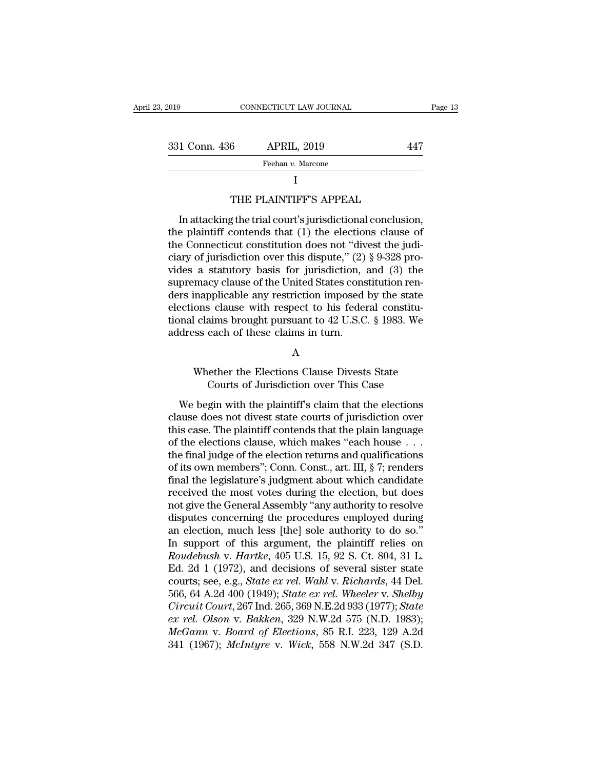| 2019          | CONNECTICUT LAW JOURNAL                                                                                           | Page 13 |
|---------------|-------------------------------------------------------------------------------------------------------------------|---------|
|               |                                                                                                                   |         |
| 331 Conn. 436 | <b>APRIL, 2019</b>                                                                                                | 447     |
|               | Feehan v. Marcone                                                                                                 |         |
|               |                                                                                                                   |         |
|               | THE PLAINTIFF'S APPEAL                                                                                            |         |
|               | In attacking the trial court's jurisdictional conclusion,                                                         |         |
|               | the plaintiff contends that (1) the elections clause of<br>the Connecticut constitution does not "divest the judi |         |

## I

Feehan v. Marcone<br>
I<br>
THE PLAINTIFF'S APPEAL<br>
In attacking the trial court's jurisdictional conclusion,<br>
the plaintiff contends that (1) the elections clause of<br>
the Connecticut constitution does not "divest the judi-<br>
ci THE PLAINTIFF'S APPEAL<br>
In attacking the trial court's jurisdictional conclusion,<br>
the plaintiff contends that (1) the elections clause of<br>
the Connecticut constitution does not "divest the judi-<br>
ciary of jurisdiction ove I<br>THE PLAINTIFF'S APPEAL<br>In attacking the trial court's jurisdictional conclusion,<br>the plaintiff contends that (1) the elections clause of<br>the Connecticut constitution does not "divest the judi-<br>ciary of jurisdiction over THE PLAINTIFF'S APPEAL<br>In attacking the trial court's jurisdictional conclusion,<br>the plaintiff contends that (1) the elections clause of<br>the Connecticut constitution does not "divest the judi-<br>ciary of jurisdiction over t In attacking the trial court's jurisdictional conclusion,<br>the plaintiff contends that (1) the elections clause of<br>the Connecticut constitution does not "divest the judi-<br>ciary of jurisdiction over this dispute," (2)  $\S$  9 In attacking the trial court's jurisdictional conclusion,<br>the plaintiff contends that (1) the elections clause of<br>the Connecticut constitution does not "divest the judi-<br>ciary of jurisdiction over this dispute," (2) § 9-3 the plaintiff contends that (1) the elections clause of<br>the Connecticut constitution does not "divest the judi-<br>ciary of jurisdiction over this dispute," (2) § 9-328 pro-<br>vides a statutory basis for jurisdiction, and (3) the Connecticut constitution does not "divest the judiciary of jurisdiction over this dispute," (2)  $\S$  9-328 provides a statutory basis for jurisdiction, and (3) the supremacy clause of the United States constitution ren ciary of jurisdiction over this dispute," (2)<br>vides a statutory basis for jurisdiction,<br>supremacy clause of the United States cons<br>ders inapplicable any restriction imposed<br>elections clause with respect to his feder<br>tional mapplicable any restriction imposed by the state<br>ons clause with respect to his federal constitu-<br>claims brought pursuant to  $42$  U.S.C. § 1983. We<br>sss each of these claims in turn.<br>A<br>Whether the Elections Clause Divests is clause with respect to his federal constitu-<br>aims brought pursuant to 42 U.S.C. § 1983. We<br>each of these claims in turn.<br>A<br>dether the Elections Clause Divests State<br>Courts of Jurisdiction over This Case<br>gin with the pla

## A

Mether the Elections Clause Divests State<br>
Whether the Elections Clause Divests State<br>
Courts of Jurisdiction over This Case<br>
We begin with the plaintiff's claim that the elections<br>
ause does not divest state courts of jur A<br>
Mether the Elections Clause Divests State<br>
Courts of Jurisdiction over This Case<br>
We begin with the plaintiff's claim that the elections<br>
clause does not divest state courts of jurisdiction over<br>
this case. The plaintif A<br>Whether the Elections Clause Divests State<br>Courts of Jurisdiction over This Case<br>We begin with the plaintiff's claim that the elections<br>clause does not divest state courts of jurisdiction over<br>this case. The plaintiff co Whether the Elections Clause Divests State<br>Courts of Jurisdiction over This Case<br>We begin with the plaintiff's claim that the elections<br>clause does not divest state courts of jurisdiction over<br>this case. The plaintiff con Final the latter of the electrons of the electrons of the electrons<br>
clause does not divest state courts of jurisdiction over<br>
this case. The plaintiff contends that the plain language<br>
of the elections clause, which make We begin with the plaintiff's claim that the elections<br>clause does not divest state courts of jurisdiction over<br>this case. The plaintiff contends that the plain language<br>of the elections clause, which makes "each house  $\$ We begin with the plaintiff's claim that the elections<br>clause does not divest state courts of jurisdiction over<br>this case. The plaintiff contends that the plain language<br>of the elections clause, which makes "each house . . clause does not divest state courts of jurisdiction over<br>this case. The plaintiff contends that the plain language<br>of the elections clause, which makes "each house . . .<br>the final judge of the election returns and qualific this case. The plaintiff contends that the plain language<br>of the elections clause, which makes "each house  $\ldots$ <br>the final judge of the election returns and qualifications<br>of its own members"; Conn. Const., art. III, § 7; of the elections clause, which makes "each house . . .<br>the final judge of the election returns and qualifications<br>of its own members"; Conn. Const., art. III, § 7; renders<br>final the legislature's judgment about which candi the final judge of the election returns and qualifications<br>of its own members"; Conn. Const., art. III, § 7; renders<br>final the legislature's judgment about which candidate<br>received the most votes during the election, but of its own members"; Conn. Const., art. III, § 7; renders<br>final the legislature's judgment about which candidate<br>received the most votes during the election, but does<br>not give the General Assembly "any authority to resolv final the legislature's judgment about which candidate<br>received the most votes during the election, but does<br>not give the General Assembly "any authority to resolve<br>disputes concerning the procedures employed during<br>an ele received the most votes during the election, but does<br>not give the General Assembly "any authority to resolve<br>disputes concerning the procedures employed during<br>an election, much less [the] sole authority to do so."<br>In sup not give the General Assembly "any authority to resolve<br>disputes concerning the procedures employed during<br>an election, much less [the] sole authority to do so."<br>In support of this argument, the plaintiff relies on<br>*Roudeb* disputes concerning the procedures employed during<br>an election, much less [the] sole authority to do so."<br>In support of this argument, the plaintiff relies on<br>*Roudebush v. Hartke*, 405 U.S. 15, 92 S. Ct. 804, 31 L.<br>Ed. 2d an election, much less [the] sole authority to do so."<br>In support of this argument, the plaintiff relies on<br>*Roudebush v. Hartke*, 405 U.S. 15, 92 S. Ct. 804, 31 L.<br>Ed. 2d 1 (1972), and decisions of several sister state<br>co In support of this argument, the plaintiff relies on<br>*Roudebush* v. *Hartke*, 405 U.S. 15, 92 S. Ct. 804, 31 L.<br>Ed. 2d 1 (1972), and decisions of several sister state<br>courts; see, e.g., *State ex rel. Wahl v. Richards*, 44 *Roudebush v. Hartke*, 405 U.S. 15, 92 S. Ct. 804, 31 L.<br>
Ed. 2d 1 (1972), and decisions of several sister state<br>
courts; see, e.g., *State ex rel. Wahl v. Richards*, 44 Del.<br>
566, 64 A.2d 400 (1949); *State ex rel. Wheele* Ed. 2d 1 (1972), and decisions of several sister state courts; see, e.g., *State ex rel. Wahl v. Richards*, 44 Del. 566, 64 A.2d 400 (1949); *State ex rel. Wheeler v. Shelby Circuit Court*, 267 Ind. 265, 369 N.E.2d 933 (19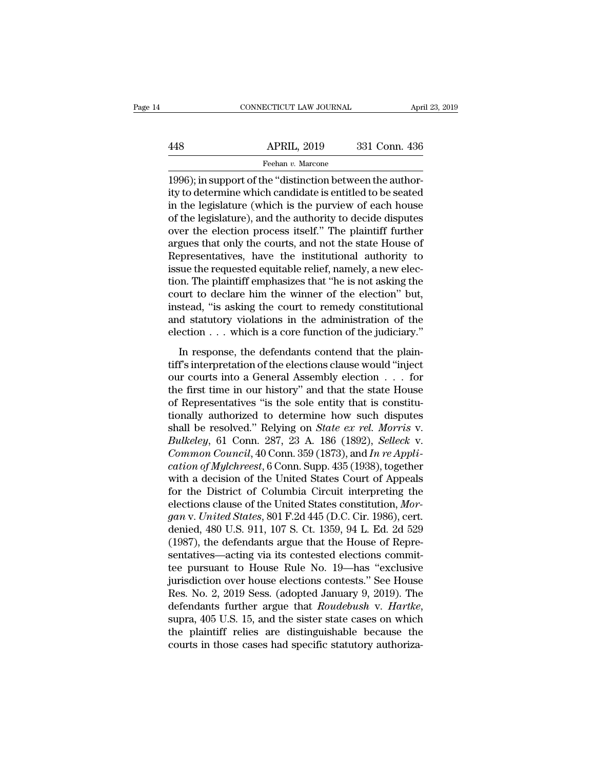# EXERCIT CONNECTICUT LAW JOURNAL April 23, 2019<br>448 APRIL, 2019 331 Conn. 436<br>Feehan v. Marcone Feehan *v.* Marcone

CONNECTICUT LAW JOURNAL APR<br>
448 APRIL, 2019 331 Conn. 436<br>
Feehan v. Marcone<br>
1996); in support of the "distinction between the author-<br>
ity to determine which candidate is entitled to be seated<br>
in the logiclature (which  $\begin{array}{r} \hline \text{APRIL, 2019} \qquad 331 \text{ Conn. } 436 \\ \hline \text{Feehan } v \text{ . } \text{Marcone} \end{array}$ <br>1996); in support of the "distinction between the authority to determine which candidate is entitled to be seated in the legislature (which is the pur  $\begin{array}{r} \text{APRIL, 2019} \\ \text{Feehan } v. \text{ Marcone} \end{array}$ <br>
T996); in support of the "distinction between the authority to determine which candidate is entitled to be seated in the legislature (which is the purview of each house of the  $\frac{\text{APRIL, 2019}}{\text{Feehan } v \cdot \text{Marcone}}$ <br>1996); in support of the "distinction between the authority to determine which candidate is entitled to be seated<br>in the legislature (which is the purview of each house<br>of the legislature Feehan  $v$ . Marcone<br>
1996); in support of the "distinction between the author-<br>
ity to determine which candidate is entitled to be seated<br>
in the legislature (which is the purview of each house<br>
of the legislature), and t Freenan v. Marcone<br>
1996); in support of the "distinction between the author-<br>
ity to determine which candidate is entitled to be seated<br>
in the legislature (which is the purview of each house<br>
of the legislature), and th 1996); in support of the "distinction between the authority to determine which candidate is entitled to be seated<br>in the legislature (which is the purview of each house<br>of the legislature), and the authority to decide disp ity to determine which candidate is entitled to be seated<br>in the legislature (which is the purview of each house<br>of the legislature), and the authority to decide disputes<br>over the election process itself." The plaintiff fu in the legislature (which is the purview of each house<br>of the legislature), and the authority to decide disputes<br>over the election process itself." The plaintiff further<br>argues that only the courts, and not the state House of the legislature), and the authority to decide disputes<br>over the election process itself." The plaintiff further<br>argues that only the courts, and not the state House of<br>Representatives, have the institutional authority t over the election process itself." The plaintiff further argues that only the courts, and not the state House of Representatives, have the institutional authority to issue the requested equitable relief, namely, a new elec argues that only the courts, and not the state House of<br>Representatives, have the institutional authority to<br>issue the requested equitable relief, namely, a new elec-<br>tion. The plaintiff emphasizes that "he is not asking Representatives, have the institutional authority to<br>issue the requested equitable relief, namely, a new elec-<br>tion. The plaintiff emphasizes that "he is not asking the<br>court to declare him the winner of the election" but In The plaintiff emphasizes that "he is not asking the<br>urt to declare him the winner of the election" but,<br>stead, "is asking the court to remedy constitutional<br>d statutory violations in the administration of the<br>ection . . from the plant of the winner of the election" but,<br>instead, "is asking the court to remedy constitutional<br>and statutory violations in the administration of the<br>election  $\dots$  which is a core function of the judiciary."<br>In

instead, "is asking the court to remedy constitutional<br>and statutory violations in the administration of the<br>election  $\dots$  which is a core function of the judiciary."<br>In response, the defendants contend that the plain-<br>ti and statutory violations in the administration of the<br>election  $\dots$  which is a core function of the judiciary."<br>In response, the defendants contend that the plain-<br>tiff's interpretation of the elections clause would "inje of Representatives in the diministance of the<br>election  $\ldots$  which is a core function of the judiciary."<br>In response, the defendants contend that the plain-<br>tiff's interpretation of the elections clause would "inject<br>our In response, the defendants contend that the plain-<br>tiff's interpretation of the elections clause would "inject<br>our courts into a General Assembly election . . . for<br>the first time in our history" and that the state House In response, the defendants contend that the plain-<br>tiff's interpretation of the elections clause would "inject<br>our courts into a General Assembly election  $\dots$  for<br>the first time in our history" and that the state House<br> tiff's interpretation of the elections clause would "inject<br>our courts into a General Assembly election . . . for<br>the first time in our history" and that the state House<br>of Representatives "is the sole entity that is const our courts into a General Assembly election . . . for<br>the first time in our history" and that the state House<br>of Representatives "is the sole entity that is constitu-<br>tionally authorized to determine how such disputes<br>shal the first time in our history" and that the state House<br>of Representatives "is the sole entity that is constitu-<br>tionally authorized to determine how such disputes<br>shall be resolved." Relying on *State ex rel. Morris v.*<br> of Representatives "is the sole entity that is constitu-<br>tionally authorized to determine how such disputes<br>shall be resolved." Relying on *State ex rel. Morris v.*<br>Bulkeley, 61 Conn. 287, 23 A. 186 (1892), *Selleck v.*<br>C tionally authorized to determine how such disputes<br>shall be resolved." Relying on *State ex rel. Morris v.*<br>*Bulkeley*, 61 Conn. 287, 23 A. 186 (1892), *Selleck v.*<br>*Common Council*, 40 Conn. 359 (1873), and *In re Appli*shall be resolved." Relying on *State ex rel. Morris v.*<br> *Bulkeley*, 61 Conn. 287, 23 A. 186 (1892), *Selleck v.*<br> *Common Council*, 40 Conn. 359 (1873), and *In re Application of Mylchreest*, 6 Conn. Supp. 435 (1938), to *Bulkeley*, 61 Conn. 287, 23 A. 186 (1892), *Selleck* v.<br> *Common Council*, 40 Conn. 359 (1873), and *In re Appli-*<br> *cation of Mylchreest*, 6 Conn. Supp. 435 (1938), together<br>
with a decision of the United States Court of Common Council, 40 Conn. 359 (1873), and In re Application of Mylchreest, 6 Conn. Supp. 435 (1938), together with a decision of the United States Court of Appeals for the District of Columbia Circuit interpreting the elect *cation of Mylchreest*, 6 Conn. Supp. 435 (1938), together<br>with a decision of the United States Court of Appeals<br>for the District of Columbia Circuit interpreting the<br>elections clause of the United States constitution, *M* with a decision of the United States Court of Appeals<br>for the District of Columbia Circuit interpreting the<br>elections clause of the United States constitution, *Mor-*<br>gan v. United States, 801 F.2d 445 (D.C. Cir. 1986), ce for the District of Columbia Circuit interpreting the<br>elections clause of the United States constitution, *Morgan v. United States*, 801 F.2d 445 (D.C. Cir. 1986), cert.<br>denied, 480 U.S. 911, 107 S. Ct. 1359, 94 L. Ed. 2d elections clause of the United States constitution, *Morgan v. United States*, 801 F.2d 445 (D.C. Cir. 1986), cert.<br>denied, 480 U.S. 911, 107 S. Ct. 1359, 94 L. Ed. 2d 529<br>(1987), the defendants argue that the House of Re gan v. United States, 801 F.2d 445 (D.C. Cir. 1986), cert.<br>denied, 480 U.S. 911, 107 S. Ct. 1359, 94 L. Ed. 2d 529<br>(1987), the defendants argue that the House of Repre-<br>sentatives—acting via its contested elections commitdenied, 480 U.S. 911, 107 S. Ct. 1359, 94 L. Ed. 2d 529<br>(1987), the defendants argue that the House of Repre-<br>sentatives—acting via its contested elections commit-<br>tee pursuant to House Rule No. 19—has "exclusive<br>jurisdict sentatives—acting via its contested elections commit-<br>tee pursuant to House Rule No. 19—has "exclusive<br>jurisdiction over house elections contests." See House<br>Res. No. 2, 2019 Sess. (adopted January 9, 2019). The<br>defendants tee pursuant to House Rule No. 19—has "exclusive<br>jurisdiction over house elections contests." See House<br>Res. No. 2, 2019 Sess. (adopted January 9, 2019). The<br>defendants further argue that *Roudebush* v. *Hartke*,<br>supra, 40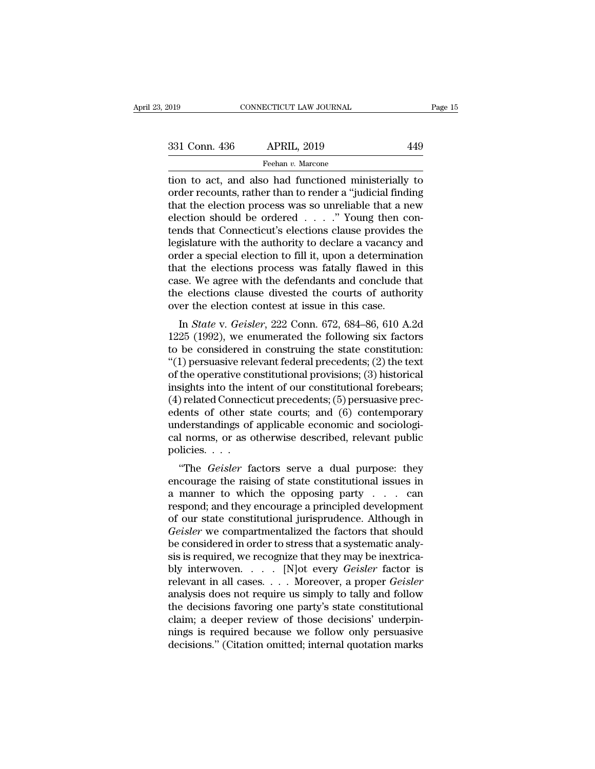The CONNECTICUT LAW JOURNAL Page 15<br>
331 Conn. 436 APRIL, 2019 449<br>
Feehan v. Marcone<br>
tion to act, and also had functioned ministerially to<br>
order recounts, rather than to render a "judicial finding<br>
that the election pro 331 Conn. 436 APRIL, 2019 449<br>
Feehan v. Marcone<br>
tion to act, and also had functioned ministerially to<br>
order recounts, rather than to render a "judicial finding<br>
that the election process was so unreliable that a new<br>
el 331 Conn. 436 APRIL, 2019 449<br>
Feehan v. Marcone<br>
tion to act, and also had functioned ministerially to<br>
order recounts, rather than to render a "judicial finding<br>
that the election process was so unreliable that a new<br>
e 331 Conn. 436 APRIL, 2019 449<br>
Feehan v. Marcone<br>
tion to act, and also had functioned ministerially to<br>
order recounts, rather than to render a "judicial finding<br>
that the election process was so unreliable that a new<br>
e From the set of the set of the set of the set of the set of the order recounts, rather than to render a "judicial finding that the election process was so unreliable that a new election should be ordered  $\ldots$  . . . " You Freehan v. Marcone<br>
tion to act, and also had functioned ministerially to<br>
order recounts, rather than to render a "judicial finding<br>
that the election process was so unreliable that a new<br>
election should be ordered . . tion to act, and also had functioned ministerially to<br>order recounts, rather than to render a "judicial finding<br>that the election process was so unreliable that a new<br>election should be ordered . . . . ." Young then con-<br>t order recounts, rather than to render a "judicial finding<br>that the election process was so unreliable that a new<br>election should be ordered  $\ldots$ ." Young then con-<br>tends that Connecticut's elections clause provides the<br>le that the election process was so unreliable that a new<br>election should be ordered  $\ldots$ . " Young then con-<br>tends that Connecticut's elections clause provides the<br>legislature with the authority to declare a vacancy and<br>ord election should be ordered  $\ldots$  .  $\ldots$   $\ldots$   $\ldots$   $\ldots$   $\ldots$   $\ldots$   $\ldots$   $\ldots$   $\ldots$   $\ldots$   $\ldots$   $\ldots$   $\ldots$   $\ldots$   $\ldots$   $\ldots$   $\ldots$   $\ldots$   $\ldots$   $\ldots$   $\ldots$   $\ldots$   $\ldots$   $\ldots$   $\ldots$   $\ldots$   $\ldots$   $\ldots$   $\ldots$   $\ldots$   $\ldots$  tends that Connecticut's elections clause provides is legislature with the authority to declare a vacancy a order a special election to fill it, upon a determination that the elections process was fatally flawed in the ca In *Stature* with the authority to declare a vacancy and<br>der a special election to fill it, upon a determination<br>at the elections process was fatally flawed in this<br>se. We agree with the defendants and conclude that<br>electi of a special election to fin it, upon a determination<br>that the elections process was fatally flawed in this<br>case. We agree with the defendants and conclude that<br>the elections clause divested the courts of authority<br>over t

that the elections process was fatally haven in this<br>case. We agree with the defendants and conclude that<br>the elections clause divested the courts of authority<br>over the election contest at issue in this case.<br>In *State* v case. We agree with the defendants and conclude that<br>the elections clause divested the courts of authority<br>over the election contest at issue in this case.<br>In *State* v. *Geisler*, 222 Conn. 672, 684–86, 610 A.2d<br>1225 (199 the elections clause divested the courts of authority<br>over the election contest at issue in this case.<br>In *State* v. *Geisler*, 222 Conn. 672, 684–86, 610 A.2d<br>1225 (1992), we enumerated the following six factors<br>to be co In *State v. Geisler*, 222 Conn. 672, 684–86, 610 A.2d<br>1225 (1992), we enumerated the following six factors<br>to be considered in construing the state constitution:<br>"(1) persuasive relevant federal precedents; (2) the text<br> In *State* v. *Geisler*, 222 Conn. 672, 684–86, 610 A.2d<br>1225 (1992), we enumerated the following six factors<br>to be considered in construing the state constitution:<br>"(1) persuasive relevant federal precedents; (2) the tex 1225 (1992), we enumerated the following six factors<br>to be considered in construing the state constitution:<br>"(1) persuasive relevant federal precedents; (2) the text<br>of the operative constitutional provisions; (3) histori to be considered in construing the state constitution:<br>"(1) persuasive relevant federal precedents; (2) the text<br>of the operative constitutional provisions; (3) historical<br>insights into the intent of our constitutional for "(1) persuasive relevant federal precedents; (2) the text<br>of the operative constitutional provisions; (3) historical<br>insights into the intent of our constitutional forebears;<br>(4) related Connecticut precedents; (5) persua of the operative co<br>insights into the in<br>(4) related Connect<br>edents of other s<br>understandings of<br>cal norms, or as o<br>policies. . . .<br>"The *Geisler* fa Fights mio the ment of our constitutional forebears,<br>
) related Connecticut precedents; (5) persuasive precents of other state courts; and (6) contemporary<br>
derstandings of applicable economic and sociologi-<br>
1 norms, or a (4) related conflectical precedents, (5) persuasive precedents of other state courts; and (6) contemporary understandings of applicable economic and sociological norms, or as otherwise described, relevant public policies.

edents of other state courts, and (o) contemporary<br>understandings of applicable economic and sociologi-<br>cal norms, or as otherwise described, relevant public<br>policies. . . .<br>"The *Geisler* factors serve a dual purpose: th understandings of applicable economic and sociological norms, or as otherwise described, relevant public<br>policies....<br>"The *Geisler* factors serve a dual purpose: they<br>encourage the raising of state constitutional issues car norms, or as otherwise described, relevant public policies.<br>
"The *Geisler* factors serve a dual purpose: they encourage the raising of state constitutional issues in<br>
a manner to which the opposing party  $\ldots$  can<br>
r poncies. . . .<br>
"The *Geisler* factors serve a dual purpose: they<br>
encourage the raising of state constitutional issues in<br>
a manner to which the opposing party . . . can<br>
respond; and they encourage a principled developme "The *Geisler* factors serve a dual purpose: they<br>encourage the raising of state constitutional issues in<br>a manner to which the opposing party  $\ldots$  can<br>respond; and they encourage a principled development<br>of our state co encourage the raising of state constitutional issues in<br>a manner to which the opposing party . . . . can<br>respond; and they encourage a principled development<br>of our state constitutional jurisprudence. Although in<br>*Geisler* a manner to which the opposing party . . . . can<br>respond; and they encourage a principled development<br>of our state constitutional jurisprudence. Although in<br>*Geisler* we compartmentalized the factors that should<br>be conside respond; and they encourage a principled development<br>of our state constitutional jurisprudence. Although in<br>*Geisler* we compartmentalized the factors that should<br>be considered in order to stress that a systematic analy-<br>s of our state constitutional jurisprudence. Although in<br> *Geisler* we compartmentalized the factors that should<br>
be considered in order to stress that a systematic analy-<br>
sis is required, we recognize that they may be inex Geisler we compartmentalized the factors that should<br>be considered in order to stress that a systematic analy-<br>sis is required, we recognize that they may be inextrica-<br>bly interwoven. . . . . [N]ot every *Geisler* factor be considered in order to stress that a systematic analysis is required, we recognize that they may be inextrica-<br>bly interwoven.  $\dots$  [N]ot every *Geisler* factor is<br>relevant in all cases.  $\dots$  Moreover, a proper *Geisle* sis is required, we recognize that they may be inextrica-<br>bly interwoven. . . . . [N] ot every *Geisler* factor is<br>relevant in all cases. . . . Moreover, a proper *Geisler*<br>analysis does not require us simply to tally and bly interwoven..... [N]ot every *Geisler* factor is<br>relevant in all cases.... Moreover, a proper *Geisler*<br>analysis does not require us simply to tally and follow<br>the decisions favoring one party's state constitutional<br>cla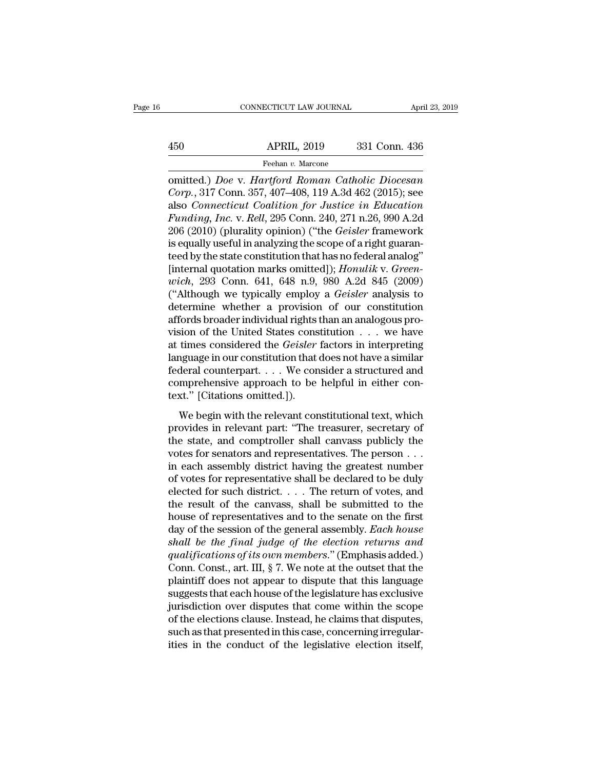# EXERCITE CONNECTICUT LAW JOURNAL April 23, 2019<br>450 APRIL, 2019 331 Conn. 436<br>Feehan v. Marcone

## Feehan *v.* Marcone

CONNECTICUT LAW JOURNAL April 23, 2019<br>
450 APRIL, 2019 331 Conn. 436<br>
Feehan v. Marcone<br> **Omitted.**) *Doe* v. *Hartford Roman Catholic Diocesan*<br> *Corp.*, 317 Conn. 357, 407–408, 119 A.3d 462 (2015); see *Corp.*, 317 Conn. 357, 407–408, 119 A.3d 462 (2015); see also *Connecticut Coalition for Justice in Education*<br> *Corp.*, 317 Conn. 357, 407–408, 119 A.3d 462 (2015); see also *Connecticut Coalition for Justice in Educatio* 450 APRIL, 2019 331 Conn. 436<br>
Feehan v. Marcone<br>
comitted.) *Doe* v. *Hartford Roman Catholic Diocesan*<br> *Corp.*, 317 Conn. 357, 407–408, 119 A.3d 462 (2015); see<br>
also *Connecticut Coalition for Justice in Education*<br> *F Freehan v. Marcone*<br> *Feehan v. Marcone*<br> **Feehan v. Marcone**<br> *Corp.*, 317 Conn. 357, 407–408, 119 A.3d 462 (2015); see<br>
also *Connecticut Coalition for Justice in Education*<br> *Funding, Inc.* v. *Rell*, 295 Conn. 240, 27 Feehan v. Marcone<br>
comitted.) *Doe* v. *Hartford Roman Catholic Diocesan*<br>
Corp., 317 Conn. 357, 407–408, 119 A.3d 462 (2015); see<br>
also Connecticut Coalition for Justice in Education<br>
Funding, Inc. v. Rell, 295 Conn. 240, Freenan v. Marcone<br>
comitted.) Doe v. Hartford Roman Catholic Diocesan<br>
Corp., 317 Conn. 357, 407–408, 119 A.3d 462 (2015); see<br>
also Connecticut Coalition for Justice in Education<br>
Funding, Inc. v. Rell, 295 Conn. 240, 27 omitted.) *Doe* v. *Hartford Roman Catholic Diocesan*<br>Corp., 317 Conn. 357, 407–408, 119 A.3d 462 (2015); see<br>also *Connecticut Coalition for Justice in Education*<br>*Funding, Inc.* v. *Rell*, 295 Conn. 240, 271 n.26, 990 A. Corp., 317 Conn. 357, 407–408, 119 A.3d 462 (2015); see<br>also *Connecticut Coalition for Justice in Education*<br>*Funding, Inc.* v. *Rell*, 295 Conn. 240, 271 n.26, 990 A.2d<br>206 (2010) (plurality opinion) ("the *Geisler* fram also *Connecticut Coalition for Justice in Education*<br>*Funding, Inc.* v. *Rell,* 295 Conn. 240, 271 n.26, 990 A.2d<br>206 (2010) (plurality opinion) ("the *Geisler* framework<br>is equally useful in analyzing the scope of a righ Funding, Inc. v. Rell, 295 Conn. 240, 271 n.26, 990 A.2d<br>206 (2010) (plurality opinion) ("the *Geisler* framework<br>is equally useful in analyzing the scope of a right guaran-<br>teed by the state constitution that has no feder 206 (2010) (plurality opinion) ("the *Geisler* framework<br>is equally useful in analyzing the scope of a right guaran-<br>teed by the state constitution that has no federal analog"<br>[internal quotation marks omitted]); *Honulik* is equally useful in analyzing the scope of a right guaranteed by the state constitution that has no federal analog"<br>[internal quotation marks omitted]); *Honulik v. Greenwich*, 293 Conn. 641, 648 n.9, 980 A.2d 845 (2009) teed by the state constitution that has no federal analog"<br>[internal quotation marks omitted]); *Honulik v. Green-<br>wich*, 293 Conn. 641, 648 n.9, 980 A.2d 845 (2009)<br>("Although we typically employ a *Geisler* analysis to<br>d [internal quotation marks omitted]); *Honulik v. Greenwich*, 293 Conn. 641, 648 n.9, 980 A.2d 845 (2009)<br>("Although we typically employ a *Geisler* analysis to<br>determine whether a provision of our constitution<br>affords broa wich, 293 Conn. 641, 648 n.9, 980 A.2d 845 (2009)<br>("Although we typically employ a *Geisler* analysis to<br>determine whether a provision of our constitution<br>affords broader individual rights than an analogous pro-<br>vision of ("Although we typically employ a *Geisler* analysis to<br>determine whether a provision of our constitution<br>affords broader individual rights than an analogous pro-<br>vision of the United States constitution  $\dots$  we have<br>at ti determine whether a provision of our constitution<br>affords broader individual rights than an analogous pro-<br>vision of the United States constitution  $\dots$  we have<br>at times considered the *Geisler* factors in interpreting<br>la affords broader individual rights<br>vision of the United States cons<br>at times considered the *Geisler*<br>language in our constitution that<br>federal counterpart.... We con<br>comprehensive approach to be<br>text." [Citations omitted.] times considered the *Geisler* factors in interpreting<br>times considered the *Geisler* factors in interpreting<br>guage in our constitution that does not have a similar<br>deral counterpart.... We consider a structured and<br>mpreh as antes considered are decoder ractors in interpreting<br>language in our constitution that does not have a similar<br>federal counterpart. . . . We consider a structured and<br>comprehensive approach to be helpful in either con-<br>

the state of consideration and determined the state of deferal counterpart.  $\dots$  We consider a structured and comprehensive approach to be helpful in either context." [Citations omitted.]).<br>We begin with the relevant cons volumerative approach to be helpful in either con-<br>text." [Citations omitted.]).<br>We begin with the relevant constitutional text, which<br>provides in relevant part: "The treasurer, secretary of<br>the state, and comptroller shal text." [Citations omitted.]).<br>
We begin with the relevant constitutional text, which<br>
provides in relevant part: "The treasurer, secretary of<br>
the state, and comptroller shall canvass publicly the<br>
votes for senators and r We begin with the relevant constitutional text, which<br>provides in relevant part: "The treasurer, secretary of<br>the state, and comptroller shall canvass publicly the<br>votes for senators and representatives. The person  $\dots$ <br>i We begin with the relevant constitutional text, which<br>provides in relevant part: "The treasurer, secretary of<br>the state, and comptroller shall canvass publicly the<br>votes for senators and representatives. The person  $\dots$ <br>i provides in relevant part: "The treasurer, secretary of<br>the state, and comptroller shall canvass publicly the<br>votes for senators and representatives. The person . . .<br>in each assembly district having the greatest number<br>o the state, and comptroller shall canvass publicly the votes for senators and representatives. The person  $\dots$  in each assembly district having the greatest number of votes for representative shall be declared to be duly e votes for senators and representatives. The person  $\dots$  in each assembly district having the greatest number<br>of votes for representative shall be declared to be duly<br>elected for such district.  $\dots$  The return of votes, an in each assembly district having the greatest number<br>of votes for representative shall be declared to be duly<br>elected for such district.... The return of votes, and<br>the result of the canvass, shall be submitted to the<br>hou of votes for representative shall be declared to be duly<br>elected for such district. . . . The return of votes, and<br>the result of the canvass, shall be submitted to the<br>house of representatives and to the senate on the firs elected for such district. . . . . The return of votes, and<br>the result of the canvass, shall be submitted to the<br>house of representatives and to the senate on the first<br>day of the session of the general assembly. *Each ho* the result of the canvass, shall be submitted to the<br>house of representatives and to the senate on the first<br>day of the session of the general assembly. Each house<br>shall be the final judge of the election returns and<br>quali house of representatives and to the senate on the first<br>day of the session of the general assembly. *Each house*<br>shall be the final judge of the election returns and<br>qualifications of its own members." (Emphasis added.)<br>Co day of the session of the general assembly. *Each house*<br>shall be the final judge of the election returns and<br>qualifications of its own members." (Emphasis added.)<br>Conn. Const., art. III, § 7. We note at the outset that th shall be the final judge of the election returns and<br>qualifications of its own members." (Emphasis added.)<br>Conn. Const., art. III, § 7. We note at the outset that the<br>plaintiff does not appear to dispute that this language qualifications of its own members." (Emphasis added.)<br>Conn. Const., art. III, § 7. We note at the outset that the<br>plaintiff does not appear to dispute that this language<br>suggests that each house of the legislature has exc Conn. Const., art. III, § 7. We note at the outset that the plaintiff does not appear to dispute that this language suggests that each house of the legislature has exclusive jurisdiction over disputes that come within the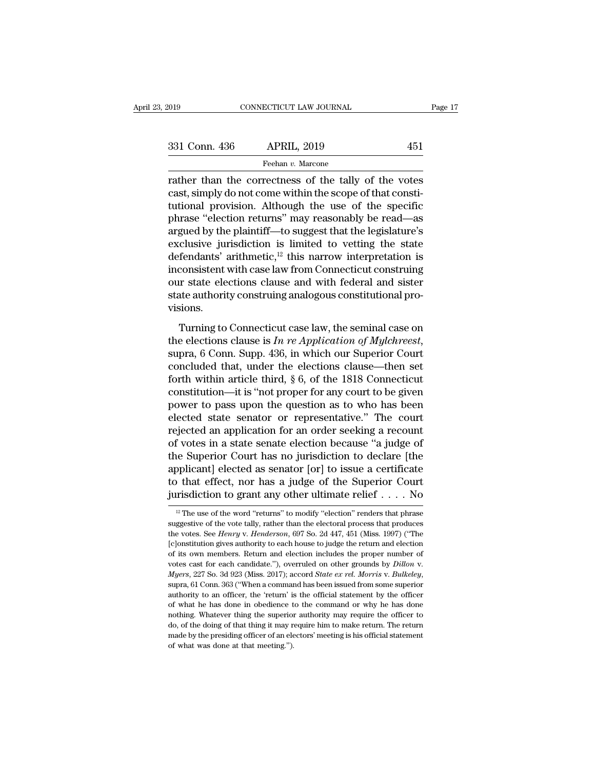|  | 331 Conn. 436 |  |
|--|---------------|--|
|--|---------------|--|

rather than the correctness of the tally of the correction of the correctness of the tally of the votes cast, simply do not come within the scope of that constitutional provision. Although the use of the specific 331 Conn. 436 APRIL, 2019 451<br>
Feehan v. Marcone<br>
Trather than the correctness of the tally of the votes<br>
cast, simply do not come within the scope of that consti-<br>
tutional provision. Although the use of the specific<br>
mhr 331 Conn. 436 APRIL, 2019 451<br>
Feehan v. Marcone<br>
Trather than the correctness of the tally of the votes<br>
cast, simply do not come within the scope of that consti-<br>
tutional provision. Although the use of the specific<br>
ph 331 Conn. 436 APRIL, 2019 451<br>
Feehan v. Marcone<br>
rather than the correctness of the tally of the votes<br>
cast, simply do not come within the scope of that consti-<br>
tutional provision. Although the use of the specific<br>
phr Feehan *v*. Marcone<br>
rather than the correctness of the tally of the votes<br>
cast, simply do not come within the scope of that consti-<br>
tutional provision. Although the use of the specific<br>
phrase "election returns" may re Freehan *v.* Marcone<br>
rather than the correctness of the tally of the votes<br>
cast, simply do not come within the scope of that consti-<br>
tutional provision. Although the use of the specific<br>
phrase "election returns" may r rather than the correctness of the tally of the votes<br>cast, simply do not come within the scope of that consti-<br>tutional provision. Although the use of the specific<br>phrase "election returns" may reasonably be read—as<br>argu cast, simply do not come within the scope of that constitutional provision. Although the use of the specific<br>phrase "election returns" may reasonably be read—as<br>argued by the plaintiff—to suggest that the legislature's<br>ex tutional provision. Although the use of the specific<br>phrase "election returns" may reasonably be read—as<br>argued by the plaintiff—to suggest that the legislature's<br>exclusive jurisdiction is limited to vetting the state<br>defe phrase "election returns" may reasonably be read—as<br>argued by the plaintiff—to suggest that the legislature's<br>exclusive jurisdiction is limited to vetting the state<br>defendants' arithmetic,<sup> $12$ </sup> this narrow interpretation visions. Fendants' arithmetic,<sup>12</sup> this narrow interpretation is<br>consistent with case law from Connecticut construing<br>ar state elections clause and with federal and sister<br>atte authority construing analogous constitutional pro-<br>si

inconsistent with case law from Connecticut construing<br>our state elections clause and with federal and sister<br>state authority construing analogous constitutional pro-<br>visions.<br>Turning to Connecticut case law, the seminal c state authority construing analogous constitutional provisions.<br>
Turning to Connecticut case law, the seminal case on<br>
the elections clause is  $In re Application of Mylchreest$ ,<br>
supra, 6 Conn. Supp. 436, in which our Superior Court<br>
concluded Forth within article third, § 6, of the 1818 Connecticut<br>newslet the elections clause is  $In$  re Application of Mylchreest,<br>supra, 6 Conn. Supp. 436, in which our Superior Court<br>concluded that, under the elections clause—t Turning to Connecticut case law, the seminal case on<br>the elections clause is  $In$  re Application of Mylchreest,<br>supra, 6 Conn. Supp. 436, in which our Superior Court<br>concluded that, under the elections clause—then set<br>fort Turning to Connecticut case law, the seminal case on<br>the elections clause is  $In$  re Application of Mylchreest,<br>supra, 6 Conn. Supp. 436, in which our Superior Court<br>concluded that, under the elections clause—then set<br>fort the elections clause is *In re Application of Mylchreest*,<br>supra, 6 Conn. Supp. 436, in which our Superior Court<br>concluded that, under the elections clause—then set<br>forth within article third, § 6, of the 1818 Connecticut supra, 6 Conn. Supp. 436, in which our Superior Court<br>concluded that, under the elections clause—then set<br>forth within article third, § 6, of the 1818 Connecticut<br>constitution—it is "not proper for any court to be given<br>po concluded that, under the elections clause—then set<br>forth within article third, § 6, of the 1818 Connecticut<br>constitution—it is "not proper for any court to be given<br>power to pass upon the question as to who has been<br>elect forth within article third,  $\S$  6, of the 1818 Connecticut<br>constitution—it is "not proper for any court to be given<br>power to pass upon the question as to who has been<br>elected state senator or representative." The court<br>re constitution—it is "not proper for any court to be given<br>power to pass upon the question as to who has been<br>elected state senator or representative." The court<br>rejected an application for an order seeking a recount<br>of vote power to pass upon the question as to who has been<br>elected state senator or representative." The court<br>rejected an application for an order seeking a recount<br>of votes in a state senate election because "a judge of<br>the Sup elected state senator or representative." The court<br>rejected an application for an order seeking a recount<br>of votes in a state senate election because "a judge of<br>the Superior Court has no jurisdiction to declare [the<br>app the Superior Court has no jurisdiction to declare [the applicant] elected as senator [or] to issue a certificate to that effect, nor has a judge of the Superior Court jurisdiction to grant any other ultimate relief  $\ldots$  applicant] elected as senator [or] to issue a certificate<br>to that effect, nor has a judge of the Superior Court<br>jurisdiction to grant any other ultimate relief . . . . No<br> $\frac{12}{12}$  The use of the word "returns" to modif

to that effect, nor has a judge of the Superior Court<br>jurisdiction to grant any other ultimate relief  $\ldots$ . No<br> $\frac{12}{10}$  The use of the word "returns" to modify "election" renders that phrase<br>suggestive of the vote tal **EXECUTE 1999 IS All the VIP CONSTANT SURFERENT CONSTANT IN The use of the word "returns" to modify "election" renders that phrase suggestive of the vote tally, rather than the electoral process that produces the votes. S** <sup>12</sup> The use of the word "returns" to modify "election" renders that phrase suggestive of the vote tally, rather than the electoral process that produces the votes. See *Henry v. Henderson*, 697 So. 2d 447, 451 (Miss. 199 <sup>12</sup> The use of the word "returns" to modify "election" renders that phrase suggestive of the vote tally, rather than the electoral process that produces the votes. See *Henry v. Henderson*, 697 So. 2d 447, 451 (Miss. 199 Le institution gives authority to each house to judge the return and election<br>of its own members. Return and election includes the proper number of<br>votes cast for each candidate."), overruled on other grounds by *Dillon* for the sown members. Return and election includes the proper number of ordits own members. Return and election includes the proper number of votes cast for each candidate."), overruled on other grounds by *Dillon* v. *My* votes cast for each candidate."), overruled on other grounds by *Dillon* v.<br> *Myers*, 227 So. 3d 923 (Miss. 2017); accord *State ex rel. Morris* v. *Bulkeley*,<br>
supra, 61 Conn. 363 ("When a command has been issued from so Myers, 227 So. 3d 923 (Miss. 2017); accord *State ex rel. Morris v. Bulkeley*, supra, 61 Conn. 363 ("When a command has been issued from some superior authority to an officer, the 'return' is the official statement by the may supper, 61 Conn. 363 ("When a command has been issued from some superior authority to an officer, the 'return' is the official statement by the officer of what he has done in obedience to the command or why he has don authority to an officer, the 'return' is<br>of what he has done in obedience to<br>nothing. Whatever thing the superior<br>do, of the doing of that thing it may  $r$ <br>made by the presiding officer of an ele<br>of what was done at that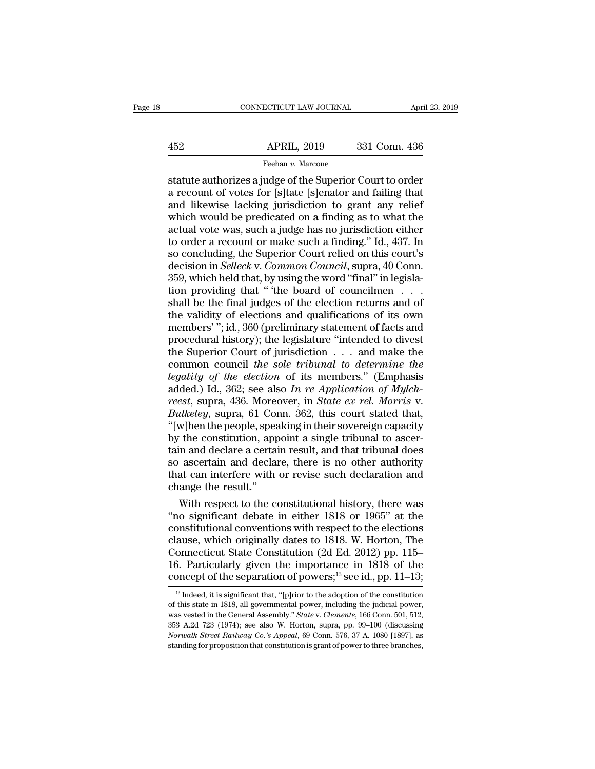# EXERCITE CONNECTICUT LAW JOURNAL April 23, 2019<br>452 APRIL, 2019 331 Conn. 436<br>Feehan v. Marcone

Feehan *v.* Marcone

CONNECTICUT LAW JOURNAL April 23, 2019<br>
APRIL, 2019 331 Conn. 436<br>
Feehan v. Marcone<br>
Statute authorizes a judge of the Superior Court to order<br>
a recount of votes for [s]tate [s]enator and failing that<br>
and likewise lacki 452 APRIL, 2019 331 Conn. 436<br>
Feehan v. Marcone<br>
statute authorizes a judge of the Superior Court to order<br>
a recount of votes for [s]tate [s]enator and failing that<br>
and likewise lacking jurisdiction to grant any relief  $\begin{array}{r} \text{APRIL, 2019} \\ \text{Feehan } v \text{. Marcone} \\ \text{statute authorities a judge of the Superior Court to order a recount of votes for [s]tate [s]enator and failing that and likewise lacking jurisdiction to grant any relief which would be predicted on a finding as to what the actual vote was such a judge has no investigation either.} \end{array}$  $\frac{\text{APRIL, 2019}}{\text{Feehan } v \cdot \text{Marcone}}$ <br>
statute authorizes a judge of the Superior Court to order<br>
a recount of votes for [s]tate [s]enator and failing that<br>
and likewise lacking jurisdiction to grant any relief<br>
which would b Feehan v. Marcone<br>
Feehan v. Marcone<br>
statute authorizes a judge of the Superior Court to order<br>
a recount of votes for [s]tate [s]enator and failing that<br>
and likewise lacking jurisdiction to grant any relief<br>
which woul Feehan v. Marcone<br>statute authorizes a judge of the Superior Court to order<br>a recount of votes for [s]tate [s]enator and failing that<br>and likewise lacking jurisdiction to grant any relief<br>which would be predicated on a fin statute authorizes a judge of the Superior Court to order<br>a recount of votes for [s]tate [s]enator and failing that<br>and likewise lacking jurisdiction to grant any relief<br>which would be predicated on a finding as to what th a recount of votes for [s]tate [s]enator and failing that<br>and likewise lacking jurisdiction to grant any relief<br>which would be predicated on a finding as to what the<br>actual vote was, such a judge has no jurisdiction either and likewise lacking jurisdiction to grant any relief<br>which would be predicated on a finding as to what the<br>actual vote was, such a judge has no jurisdiction either<br>to order a recount or make such a finding." Id., 437. In which would be predicated on a finding as to what the actual vote was, such a judge has no jurisdiction either to order a recount or make such a finding." Id., 437. In so concluding, the Superior Count relied on this cour actual vote was, such a judge has no jurisdiction either<br>to order a recount or make such a finding." Id., 437. In<br>so concluding, the Superior Court relied on this court's<br>decision in *Selleck* v. *Common Council*, supra, 4 to order a recount or make such a finding." Id., 437. In<br>so concluding, the Superior Court relied on this court's<br>decision in *Selleck* v. *Common Council*, supra, 40 Conn.<br>359, which held that, by using the word "final" i so concluding, the Superior Court relied on this court's<br>decision in *Selleck* v. *Common Council*, supra, 40 Conn.<br>359, which held that, by using the word "final" in legisla-<br>tion providing that " "the board of councilmen decision in *Selleck* v. *Common Council*, supra, 40 Conn.<br>359, which held that, by using the word "final" in legisla-<br>tion providing that " the board of councilmen . . . .<br>shall be the final judges of the election return 359, which held that, by using the word "final" in legislation providing that " the board of councilmen . . . . shall be the final judges of the election returns and of the validity of elections and qualifications of its tion providing that "the board of councilmen...<br>
shall be the final judges of the election returns and of<br>
the validity of elections and qualifications of its own<br>
members'"; id., 360 (preliminary statement of facts and<br> shall be the final judges of the election returns and of<br>the validity of elections and qualifications of its own<br>members'"; id., 360 (preliminary statement of facts and<br>procedural history); the legislature "intended to di the validity of elections and qualifications of its own<br>members'"; id., 360 (preliminary statement of facts and<br>procedural history); the legislature "intended to divest<br>the Superior Court of jurisdiction . . . and make the members'''; id., 360 (preliminary statement of facts and<br>procedural history); the legislature "intended to divest<br>the Superior Court of jurisdiction . . . and make the<br>common council the sole tribunal to determine the<br>lega procedural history); the legislature "intended to divest<br>the Superior Court of jurisdiction . . . and make the<br>common council the sole tribunal to determine the<br>legality of the election of its members." (Emphasis<br>added.) I the Superior Court of jurisdiction . . . and make the<br>common council the sole tribunal to determine the<br>legality of the election of its members." (Emphasis<br>added.) Id., 362; see also In re Application of Mylch-<br>reest, supr common council the sole tribunal to determine the<br>legality of the election of its members." (Emphasis<br>added.) Id., 362; see also In re Application of Mylch-<br>reest, supra, 436. Moreover, in *State ex rel. Morris* v.<br>Bulkele legality of the election of its members." (Emphasis added.) Id., 362; see also In re Application of Mylch-<br>reest, supra, 436. Moreover, in *State ex rel. Morris v.*<br>Bulkeley, supra, 61 Conn. 362, this court stated that,<br>"[ added.) Id., 362; see also In re Application of Mylch-<br>reest, supra, 436. Moreover, in *State ex rel. Morris v.*<br>Bulkeley, supra, 61 Conn. 362, this court stated that,<br>"[w]hen the people, speaking in their sovereign capac reest, supra, 436. Moreover, in *State ex rel. Morris* v.<br>Bulkeley, supra, 61 Conn. 362, this court stated that, "[w]hen the people, speaking in their sovereign capacity<br>by the constitution, appoint a single tribunal to as Bulkeley, supra, 61 Con<br>
"[w]hen the people, spear (will here constitution, approximation)<br>
tain and declare a certain so ascertain and declare<br>
that can interfere with change the result."<br>
With respect to the constant w]hen the people, speaking in their sovereign capacity<br>the constitution, appoint a single tribunal to ascer-<br>in and declare a certain result, and that tribunal does<br>ascertain and declare, there is no other authority<br>at can by the constitution, appoint a single tribunal to ascertain and declare a certain result, and that tribunal does<br>so ascertain and declare, there is no other authority<br>that can interfere with or revise such declaration and<br>

tain and declare a certain result, and that tribunal does<br>so ascertain and declare, there is no other authority<br>that can interfere with or revise such declaration and<br>change the result."<br>With respect to the constitutional so ascertain and declare, there is no other authority<br>that can interfere with or revise such declaration and<br>change the result."<br>With respect to the constitutional history, there was<br>"no significant debate in either 1818 o that can interfere with or revise such declaration and<br>change the result."<br>With respect to the constitutional history, there was<br>"no significant debate in either 1818 or 1965" at the<br>constitutional conventions with respec change the result."<br>
With respect to the constitutional history, there was<br>
"no significant debate in either 1818 or 1965" at the<br>
constitutional conventions with respect to the elections<br>
clause, which originally dates t With respect to the constitutional history, there was<br>"no significant debate in either 1818 or 1965" at the<br>constitutional conventions with respect to the elections<br>clause, which originally dates to 1818. W. Horton, The<br>C ause, which originally dates to 1818. W. Horton, The<br>onnecticut State Constitution (2d Ed. 2012) pp. 115–<br>5. Particularly given the importance in 1818 of the<br>pncept of the separation of powers;<sup>13</sup> see id., pp. 11–13;<br><sup>13</sup> Connecticut State Constitution (2d Ed. 2012) pp. 115–16. Particularly given the importance in 1818 of the concept of the separation of powers;<sup>13</sup> see id., pp. 11–13;<br><sup>13</sup> Indeed, it is significant that, "[p]rior to the a

<sup>16.</sup> Particularly given the importance in 1818 of the concept of the separation of powers;<sup>13</sup> see id., pp. 11–13;<br><sup>13</sup> Indeed, it is significant that, "[p]rior to the adoption of the constitution of this state in 1818, al **EXECUTE 1253** A.2d 723 (1974); see also W. Horton, supra, pp. 99–100 (discussing Norwalk Street Railway Co.'s Appeal, 69 Conn. 576, 37 A. 1080 [1897], as also W. Horton, supra, pp. 99–100 (discussing Norwalk Street Railw **COICEPT OI THE SEPATALIOIT OI POWETS;** SEE IQ., PP. 11–13;<br><sup>13</sup> Indeed, it is significant that, "[p]rior to the adoption of the constitution<br>of this state in 1818, all governmental power, including the judicial power,<br>was <sup>13</sup> Indeed, it is significant that, "[p]rior to the adoption of the constitution of this state in 1818, all governmental power, including the judicial power, was vested in the General Assembly." *State v. Clemente*, 166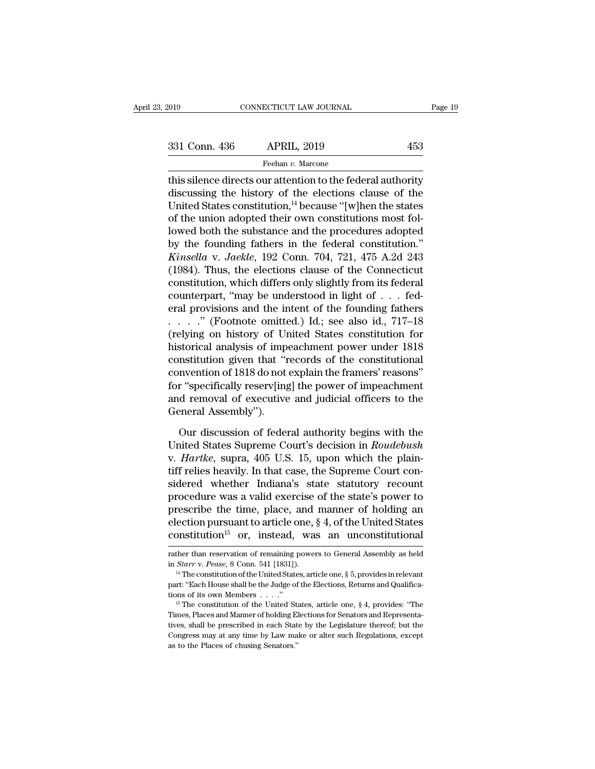Fage 19<br>  $\frac{1}{331}$  Conn. 436 APRIL, 2019 453<br>
Feehan v. Marcone<br>
This silence directs our attention to the federal authority<br>
discussing the history of the elections clause of the<br>
United States constitution <sup>14</sup> bogaug 331 Conn. 436 APRIL, 2019 453<br>
Feehan v. Marcone<br>
this silence directs our attention to the federal authority<br>
discussing the history of the elections clause of the<br>
United States constitution,<sup>14</sup> because "[w]hen the sta 331 Conn. 436 APRIL, 2019 453<br>
Feehan v. Marcone<br>
this silence directs our attention to the federal authority<br>
discussing the history of the elections clause of the<br>
United States constitution,<sup>14</sup> because "[w]hen the sta 331 Conn. 436 APRIL, 2019 453<br>
Feehan *v*. Marcone<br>
this silence directs our attention to the federal authority<br>
discussing the history of the elections clause of the<br>
United States constitution,<sup>14</sup> because "[w]hen the s Feehan *v*. Marcone<br>
this silence directs our attention to the federal authority<br>
discussing the history of the elections clause of the<br>
United States constitution,<sup>14</sup> because "[w]hen the states<br>
of the union adopted the Freehan *v*. Marcone<br>this silence directs our attention to the federal authority<br>discussing the history of the elections clause of the<br>United States constitution,<sup>14</sup> because "[w]hen the states<br>of the union adopted their this silence directs our attention to the federal authority<br>discussing the history of the elections clause of the<br>United States constitution,<sup>14</sup> because "[w]hen the states<br>of the union adopted their own constitutions most discussing the history of the elections clause of the<br>United States constitution,<sup>14</sup> because "[w]hen the states<br>of the union adopted their own constitutions most fol-<br>lowed both the substance and the procedures adopted<br>b United States constitution,<sup>14</sup> because "[w]hen the states<br>of the union adopted their own constitutions most fol-<br>lowed both the substance and the procedures adopted<br>by the founding fathers in the federal constitution."<br> of the union adopted their own constitutions most followed both the substance and the procedures adopted<br>by the founding fathers in the federal constitution."<br>*Kinsella v. Jaekle*, 192 Conn. 704, 721, 475 A.2d 243<br>(1984). lowed both the substance and the procedures adopted<br>by the founding fathers in the federal constitution."<br>*Kinsella v. Jaekle*, 192 Conn. 704, 721, 475 A.2d 243<br>(1984). Thus, the elections clause of the Connecticut<br>consti by the founding fathers in the federal constitution."<br> *Kinsella v. Jaekle*, 192 Conn. 704, 721, 475 A.2d 243<br>
(1984). Thus, the elections clause of the Connecticut<br>
constitution, which differs only slightly from its fede Kinsella v. Jaekle, 192 Conn. 704, 721, 475 A.2d 243<br>(1984). Thus, the elections clause of the Connecticut<br>constitution, which differs only slightly from its federal<br>counterpart, "may be understood in light of . . . fed-<br> (1984). Thus, the elections clause of the Connecticut<br>constitution, which differs only slightly from its federal<br>counterpart, "may be understood in light of  $\ldots$  fed-<br>eral provisions and the intent of the founding father constitution, which differs only slightly from its federal<br>counterpart, "may be understood in light of  $\dots$  fed-<br>eral provisions and the intent of the founding fathers<br> $\dots$ ." (Footnote omitted.) Id.; see also id., 717–18<br> counterpart, "may be understood in light of  $\dots$  federal provisions and the intent of the founding fathers  $\dots$ ." (Footnote omitted.) Id.; see also id., 717–18 (relying on history of United States constitution for histori eral provisions and the intent of the founding fathers<br>  $\ldots$  " (Footnote omitted.) Id.; see also id., 717–18<br>
(relying on history of United States constitution for<br>
historical analysis of impeachment power under 1818<br>
co ...." (Footnote omitted.) Id.; see also id., 717–18<br>(relying on history of United States constitution for<br>historical analysis of impeachment power under 1818<br>constitution given that "records of the constitutional<br>conventio (relying on history of Unistorical analysis of imp<br>constitution given that "r<br>convention of 1818 do not<br>for "specifically reserv[ing<br>and removal of executive<br>General Assembly").<br>Our discussion of feder nstitution given that "records of the constitutional<br>nvention of 1818 do not explain the framers' reasons"<br>r "specifically reserv[ing] the power of impeachment<br>d removal of executive and judicial officers to the<br>neral Asse convention of 1818 do not explain the framers' reasons"<br>for "specifically reserv[ing] the power of impeachment<br>and removal of executive and judicial officers to the<br>General Assembly").<br>Our discussion of federal authority b

for "specifically reserv[ing] the power of impeachment<br>and removal of executive and judicial officers to the<br>General Assembly").<br>Our discussion of federal authority begins with the<br>United States Supreme Court's decision in and removal of executive and judicial officers to the<br>General Assembly").<br>Our discussion of federal authority begins with the<br>United States Supreme Court's decision in *Roudebush*<br>v. *Hartke*, supra, 405 U.S. 15, upon whic General Assembly").<br>
Our discussion of federal authority begins with the<br>
United States Supreme Court's decision in *Roudebush*<br>
v. *Hartke*, supra, 405 U.S. 15, upon which the plain-<br>
tiff relies heavily. In that case, th Our discussion of federal authority begins with the<br>United States Supreme Court's decision in *Roudebush*<br>v. *Hartke*, supra, 405 U.S. 15, upon which the plain-<br>tiff relies heavily. In that case, the Supreme Court con-<br>si Our discussion of federal authority begins with the<br>United States Supreme Court's decision in *Roudebush*<br>v. *Hartke*, supra, 405 U.S. 15, upon which the plain-<br>tiff relies heavily. In that case, the Supreme Court con-<br>si United States Supreme Court's decision in *Roudebush*<br>v. *Hartke*, supra, 405 U.S. 15, upon which the plain-<br>tiff relies heavily. In that case, the Supreme Court con-<br>sidered whether Indiana's state statutory recount<br>proc v. *Hartke*, supra, 405 U.S. 15, upon which the plaintiff relies heavily. In that case, the Supreme Court considered whether Indiana's state statutory recount procedure was a valid exercise of the state's power to prescri procedure was a valid exercise of the state's power to<br>prescribe the time, place, and manner of holding an<br>election pursuant to article one, § 4, of the United States<br>constitution<sup>15</sup> or, instead, was an unconstitutional<br> prescribe the time, place, and manner of holding an election pursuant to article one, § 4, of the United States constitution<sup>15</sup> or, instead, was an unconstitutional rather than reservation of remaining powers to General A

**constitution**<sup>15</sup> or, instead, was an unconstitutional rather than reservation of remaining powers to General Assembly as held in *Starr* v. *Pease*, 8 Conn. 541 [1831]).<br><sup>14</sup> The constitution of the United States, artic Transference of its own Members . . . .''<br>Transference its own Members of General Assembly as held<br>in *Starr* v. *Pease*, 8 Conn. 541 [1831]).<br><sup>14</sup> The constitution of the United States, article one, § 5, provides in relev

In *Starr* v. *Pease*, 8 Conn. 541 [1831]).<br>
<sup>14</sup> The constitution of the United States, article one, § 5, provides in relevant<br>
part: "Each House shall be the Judge of the Elections, Returns and Qualifica-<br>
tions of its <sup>14</sup> The constitution of the United States, article one, § 5, provides in relevant part: "Each House shall be the Judge of the Elections, Returns and Qualifications of its own Members . . . ."<br><sup>15</sup> The constitution of the part: "Each House shall be the Judge of the Elections, Returns and Qualifications of its own Members . . . ."<br>
<sup>15</sup> The constitution of the United States, article one, § 4, provides: "The Times, Places and Manner of holdi tions of its own Members . . . ."<br>
<sup>15</sup> The constitution of the United Star Times, Places and Manner of holding Elives, shall be prescribed in each Stat Congress may at any time by Law ma<br>
as to the Places of chusing Senat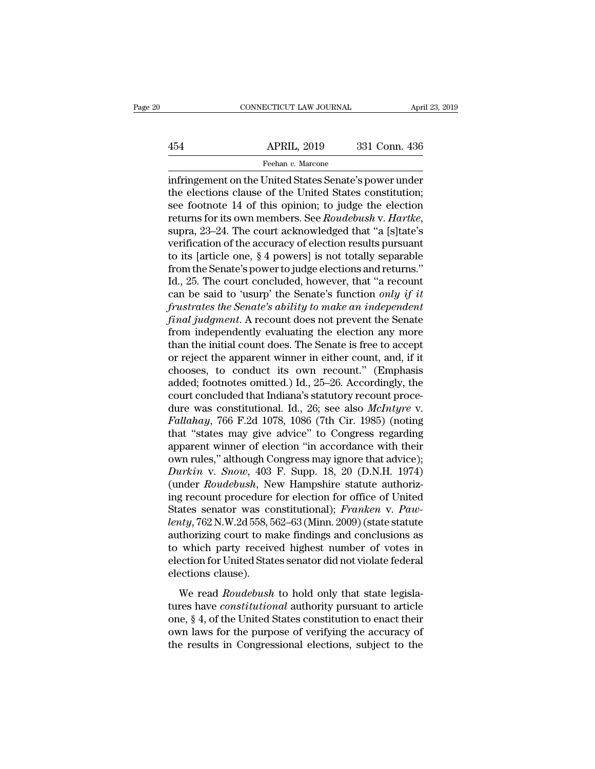# EXERCITE CONNECTICUT LAW JOURNAL April 23, 2019<br>454 APRIL, 2019 331 Conn. 436<br>Feehan v. Marcone Feehan *v.* Marcone

CONNECTICUT LAW JOURNAL April 23, 2019<br>
454 APRIL, 2019 331 Conn. 436<br>
Feehan v. Marcone<br>
infringement on the United States Senate's power under<br>
the elections clause of the United States constitution;<br>
see foctor of the U 454 APRIL, 2019 331 Conn. 436<br>
Feehan v. Marcone<br>
infringement on the United States Senate's power under<br>
the elections clause of the United States constitution;<br>
see footnote 14 of this opinion; to judge the election<br>
ret  $\begin{array}{ll}\n & \text{APRIL, 2019} & \text{331 Conn. 436} \\
 \hline\n & \text{Feehan } v. \text{ Marcone} \\
 \hline\n \text{infringement on the United States Senate's power under} \\
 \text{the elections clause of the United States constitution;} \\
 \text{see footnote 14 of this opinion; to judge the election} \\
 \text{returns for its own members. See } \text{Roudebush v. Hartke,} \\
 \text{sum 23. 24. The court acknowledged that "a Islattice's} \\
 \end{array}$ Returns for its own members. See *Roudebush* v. *Harthagement* on the United States Senate's power under<br>the elections clause of the United States constitution;<br>see footnote 14 of this opinion; to judge the election<br>return reenan v. Marcone<br>
infringement on the United States Senate's power under<br>
the elections clause of the United States constitution;<br>
see footnote 14 of this opinion; to judge the election<br>
returns for its own members. See infringement on the United States Senate's power under<br>the elections clause of the United States constitution;<br>see footnote 14 of this opinion; to judge the election<br>returns for its own members. See *Roudebush* v. *Hartke* the elections clause of the United States constitution;<br>see footnote 14 of this opinion; to judge the election<br>returns for its own members. See *Roudebush* v. *Hartke*,<br>supra, 23–24. The court acknowledged that "a [s]tate' see footnote 14 of this opinion; to judge the election<br>returns for its own members. See *Roudebush* v. *Hartke*,<br>supra, 23–24. The court acknowledged that "a [s]tate's<br>verification of the accuracy of election results purs returns for its own members. See *Roudebush* v. *Hartke*,<br>supra, 23–24. The court acknowledged that "a [s]tate's<br>verification of the accuracy of election results pursuant<br>to its [article one, § 4 powers] is not totally sep supra, 23–24. The court acknowledged that "a [s]tate's verification of the accuracy of election results pursuant to its [article one, § 4 powers] is not totally separable from the Senate's power to judge elections and retu *f* verification of the accuracy of election results pursuant<br>to its [article one, § 4 powers] is not totally separable<br>from the Senate's power to judge elections and returns."<br>Id., 25. The court concluded, however, that " to its [article one, § 4 powers] is not totally separable<br>from the Senate's power to judge elections and returns."<br>Id., 25. The court concluded, however, that "a recount<br>can be said to 'usurp' the Senate's function *only* from the Senate's power to judge elections and returns."<br>Id., 25. The court concluded, however, that "a recount<br>can be said to 'usurp' the Senate's function *only if it*<br>frustrates the Senate's ability to make an independ Id., 25. The court concluded, however, that "a recount<br>can be said to 'usurp' the Senate's function *only if it*<br>frustrates the Senate's ability to make an independent<br>final judgment. A recount does not prevent the Senate can be said to 'usurp' the Senate's function *only if it*<br>frustrates the Senate's ability to make an independent<br>final judgment. A recount does not prevent the Senate<br>from independently evaluating the election any more<br>th frustrates the Senate's ability to make an independent<br>final judgment. A recount does not prevent the Senate<br>from independently evaluating the election any more<br>than the initial count does. The Senate is free to accept<br>or final judgment. A recount does not prevent the Senate<br>from independently evaluating the election any more<br>than the initial count does. The Senate is free to accept<br>or reject the apparent winner in either count, and, if it from independently evaluating the election any more<br>than the initial count does. The Senate is free to accept<br>or reject the apparent winner in either count, and, if it<br>chooses, to conduct its own recount." (Emphasis<br>added; than the initial count does. The Senate is free to accept<br>or reject the apparent winner in either count, and, if it<br>chooses, to conduct its own recount." (Emphasis<br>added; footnotes omitted.) Id., 25–26. Accordingly, the<br>co or reject the apparent winner in either count, and, if it chooses, to conduct its own recount." (Emphasis added; footnotes omitted.) Id., 25–26. Accordingly, the court concluded that Indiana's statutory recount procedure w chooses, to conduct its own recount." (Emphasis added; footnotes omitted.) Id., 25–26. Accordingly, the court concluded that Indiana's statutory recount procedure was constitutional. Id., 26; see also *McIntyre* v. Fallah added; footnotes omitted.) Id., 25–26. Accordingly, the<br>court concluded that Indiana's statutory recount proce-<br>dure was constitutional. Id., 26; see also *McIntyre* v.<br>Fallahay, 766 F.2d 1078, 1086 (7th Cir. 1985) (noting *Court concluded that Indiana's statutory recount procedure was constitutional. Id., 26; see also <i>McIntyre v. Fallahay*, 766 F.2d 1078, 1086 (7th Cir. 1985) (noting that "states may give advice" to Congress regarding ap dure was constitutional. Id., 26; see also *McIntyre* v.<br>Fallahay, 766 F.2d 1078, 1086 (7th Cir. 1985) (noting<br>that "states may give advice" to Congress regarding<br>apparent winner of election "in accordance with their<br>own r *Fallahay*, 766 F.2d 1078, 1086 (7th Cir. 1985) (noting<br>that "states may give advice" to Congress regarding<br>apparent winner of election "in accordance with their<br>own rules," although Congress may ignore that advice);<br>*Dur* that "states may give advice" to Congress regarding<br>apparent winner of election "in accordance with their<br>own rules," although Congress may ignore that advice);<br>*Durkin* v. *Snow*, 403 F. Supp. 18, 20 (D.N.H. 1974)<br>(under apparent winner of election "in accordance with their<br>
own rules," although Congress may ignore that advice);<br> *Durkin* v. *Snow*, 403 F. Supp. 18, 20 (D.N.H. 1974)<br>
(under *Roudebush*, New Hampshire statute authoriz-<br>
ing own rules," although Congress may ignore that advice);<br> *Durkin* v. *Snow*, 403 F. Supp. 18, 20 (D.N.H. 1974)<br>
(under *Roudebush*, New Hampshire statute authoriz-<br>
ing recount procedure for election for office of United<br>
S Durkin v. Snow, 403 F. Supp. 18, 20 (D.N.H. 1974)<br>(under Roudebush, New Hampshire statute authorizing recount procedure for election for office of United<br>States senator was constitutional); Franken v. Paw-<br>lenty, 762 N.W.2 (under *Roudebush*, New Hampshire statute authorizing recount procedure for election for office of United States senator was constitutional); *Franken* v. *Pawlenty*, 762 N.W.2d 558, 562–63 (Minn. 2009) (state statute auth ing recount procedure<br>States senator was collenty, 762 N.W.2d 558, 5<br>authorizing court to m<br>to which party receiv<br>election for United Stat<br>elections clause).<br>We read *Roudebush My*, 762 N.W.2d 558, 562–63 (Minn. 2009) (state statute thorizing court to make findings and conclusions as which party received highest number of votes in ection for United States senator did not violate federal ections authorizing court to make findings and conclusions as<br>authorizing court to make findings and conclusions as<br>election for United States senator did not violate federal<br>elections clause).<br>We read *Roudebush* to hold only tha

one, is the United States senator did not violate federal<br>election for United States senator did not violate federal<br>elections clause).<br>We read *Roudebush* to hold only that state legisla-<br>tures have *constitutional* autho ownter party received righter name of vertect in<br>election for United States senator did not violate federal<br>elections clause).<br>We read *Roudebush* to hold only that state legisla-<br>tures have *constitutional* authority purs elections clause).<br>
We read *Roudebush* to hold only that state legislatures have *constitutional* authority pursuant to article<br>
one, § 4, of the United States constitution to enact their<br>
own laws for the purpose of veri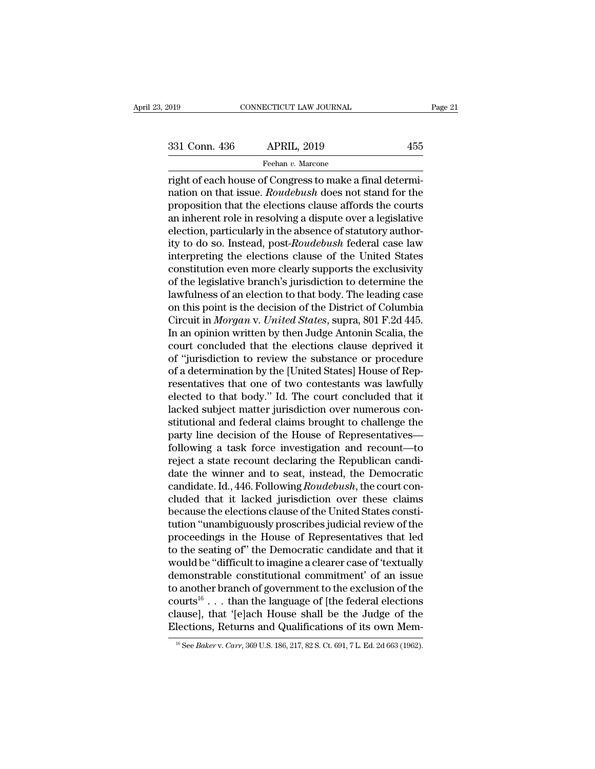reader of Connectricurum CONNECTICUT LAW JOURNAL<br>
Treehan v. Marcone<br>
Tight of each house of Congress to make a final determi-<br>
Transition on that issue. *Roudebush* does not stand for the<br>
proposition that the elections c 331 Conn. 436 APRIL, 2019 455<br>
Feehan v. Marcone<br>
right of each house of Congress to make a final determination on that issue. *Roudebush* does not stand for the<br>
proposition that the elections clause affords the courts<br>
a  $\begin{array}{r}\n 331 \text{ Conn. } 436 \quad \text{APRIL, } 2019 \quad \text{755}\n \end{array}$ <br>
Feehan v. Marcone<br>
right of each house of Congress to make a final determination on that issue. *Roudebush* does not stand for the<br>
proposition that the elections cl 331 Conn. 436 APRIL, 2019 455<br>
Feehan *v*. Marcone<br>
right of each house of Congress to make a final determination on that issue. *Roudebush* does not stand for the<br>
proposition that the elections clause affords the courts Feehan v. Marcone<br>
right of each house of Congress to make a final determi-<br>
nation on that issue. *Roudebush* does not stand for the<br>
proposition that the elections clause affords the courts<br>
an inherent role in resolving right of each house of Congress to make a final determination on that issue. *Roudebush* does not stand for the proposition that the elections clause affords the courts an inherent role in resolving a dispute over a legisl right of each house of Congress to make a final determination on that issue. *Roudebush* does not stand for the proposition that the elections clause affords the courts an inherent role in resolving a dispute over a legisl nation on that issue. *Roudebush* does not stand for the proposition that the elections clause affords the courts an inherent role in resolving a dispute over a legislative election, particularly in the absence of statutor proposition that the elections clause affords the courts<br>an inherent role in resolving a dispute over a legislative<br>election, particularly in the absence of statutory author-<br>ity to do so. Instead, post-*Roudebush* federal an inherent role in resolving a dispute over a legislative<br>election, particularly in the absence of statutory author-<br>ity to do so. Instead, post-*Roudebush* federal case law<br>interpreting the elections clause of the Unite election, particularly in the absence of statutory authority to do so. Instead, post-*Roudebush* federal case law<br>interpreting the elections clause of the United States<br>constitution even more clearly supports the exclusivi ity to do so. Instead, post-*Roudebush* federal case law<br>interpreting the elections clause of the United States<br>constitution even more clearly supports the exclusivity<br>of the legislative branch's jurisdiction to determine interpreting the elections clause of the United States<br>constitution even more clearly supports the exclusivity<br>of the legislative branch's jurisdiction to determine the<br>lawfulness of an election to that body. The leading c constitution even more clearly supports the exclusivity<br>of the legislative branch's jurisdiction to determine the<br>lawfulness of an election to that body. The leading case<br>on this point is the decision of the District of Co of the legislative branch's jurisdiction to determine the lawfulness of an election to that body. The leading case<br>on this point is the decision of the District of Columbia<br>Circuit in *Morgan* v. United States, supra, 801 lawfulness of an election to that body. The leading case<br>on this point is the decision of the District of Columbia<br>Circuit in *Morgan* v. United States, supra, 801 F.2d 445.<br>In an opinion written by then Judge Antonin Scal on this point is the decision of the District of Columbia<br>Circuit in *Morgan v. United States*, supra, 801 F.2d 445.<br>In an opinion written by then Judge Antonin Scalia, the<br>court concluded that the elections clause deprive Circuit in *Morgan v. United States*, supra, 801 F.2d 445.<br>In an opinion written by then Judge Antonin Scalia, the<br>court concluded that the elections clause deprived it<br>of "jurisdiction to review the substance or procedure In an opinion written by then Judge Antonin Scalia, the<br>court concluded that the elections clause deprived it<br>of "jurisdiction to review the substance or procedure<br>of a determination by the [United States] House of Rep-<br>re court concluded that the elections clause deprived it<br>of "jurisdiction to review the substance or procedure<br>of a determination by the [United States] House of Rep-<br>resentatives that one of two contestants was lawfully<br>elec of "jurisdiction to review the substance or procedure<br>of a determination by the [United States] House of Rep-<br>resentatives that one of two contestants was lawfully<br>elected to that body." Id. The court concluded that it<br>lac of a determination by the [United States] House of Representatives that one of two contestants was lawfully<br>elected to that body." Id. The court concluded that it<br>lacked subject matter jurisdiction over numerous con-<br>stitu resentatives that one of two contestants was lawfully<br>elected to that body." Id. The court concluded that it<br>lacked subject matter jurisdiction over numerous con-<br>stitutional and federal claims brought to challenge the<br>par elected to that body." Id. The court concluded that it<br>lacked subject matter jurisdiction over numerous con-<br>stitutional and federal claims brought to challenge the<br>party line decision of the House of Representatives—<br>foll lacked subject matter jurisdiction over numerous constitutional and federal claims brought to challenge the party line decision of the House of Representatives—following a task force investigation and recount—to reject a s stitutional and federal claims brought to challenge the<br>party line decision of the House of Representatives—<br>following a task force investigation and recount—to<br>reject a state recount declaring the Republican candi-<br>date t party line decision of the House of Representatives—<br>following a task force investigation and recount—to<br>reject a state recount declaring the Republican candi-<br>date the winner and to seat, instead, the Democratic<br>candidate following a task force investigation and recount—to<br>reject a state recount declaring the Republican candi-<br>date the winner and to seat, instead, the Democratic<br>candidate. Id., 446. Following *Roudebush*, the court con-<br>clu reject a state recount declaring the Republican candi-<br>date the winner and to seat, instead, the Democratic<br>candidate. Id., 446. Following *Roudebush*, the court con-<br>cluded that it lacked jurisdiction over these claims<br>be date the winner and to seat, instead, the Democratic<br>candidate. Id., 446. Following *Roudebush*, the court con-<br>cluded that it lacked jurisdiction over these claims<br>because the elections clause of the United States consticandidate. Id., 446. Following *Roudebush*, the court concluded that it lacked jurisdiction over these claims<br>because the elections clause of the United States constitution "unambiguously proscribes judicial review of the<br> cluded that it lacked jurisdiction over these claims<br>because the elections clause of the United States consti-<br>tution "unambiguously proscribes judicial review of the<br>proceedings in the House of Representatives that led<br>to because the elections clause of the United States constitution "unambiguously proscribes judicial review of the<br>proceedings in the House of Representatives that led<br>to the seating of" the Democratic candidate and that it<br>w tution "unambiguously proscribes judicial review of the<br>proceedings in the House of Representatives that led<br>to the seating of" the Democratic candidate and that it<br>would be "difficult to imagine a clearer case of 'textual proceedings in the House of Representatives that led<br>to the seating of" the Democratic candidate and that it<br>would be "difficult to imagine a clearer case of 'textually<br>demonstrable constitutional commitment' of an issue<br>t to the seating of" the Democratic candidate and that it would be "difficult to imagine a clearer case of 'textually demonstrable constitutional commitment' of an issue to another branch of government to the exclusion of t to another branch of government to the exclusion of the courts<sup>16</sup> . . . than the language of [the federal elections clause], that '[e]ach House shall be the Judge of the Elections, Returns and Qualifications of its own M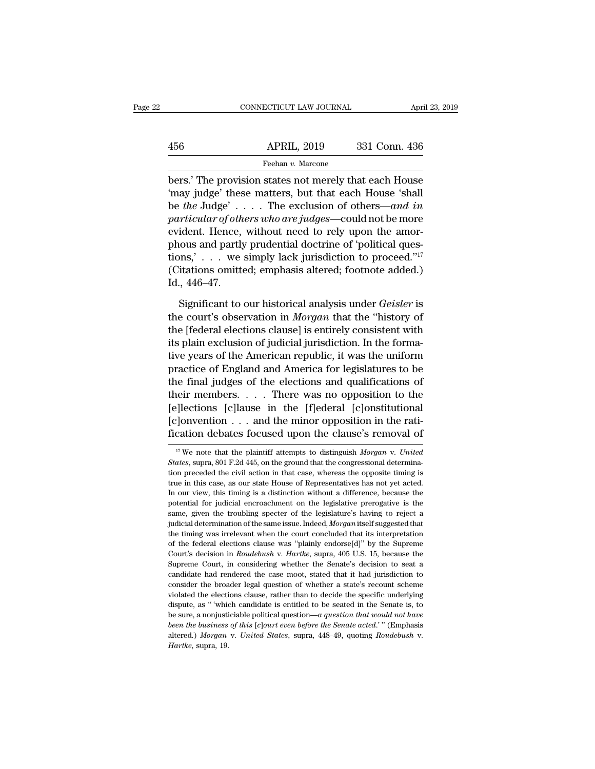|     | CONNECTICUT LAW JOURNAL | April 23, 2019 |  |
|-----|-------------------------|----------------|--|
|     |                         |                |  |
| 456 | <b>APRIL, 2019</b>      | 331 Conn. 436  |  |
|     | Feehan v. Marcone       |                |  |

CONNECTICUT LAW JOURNAL April 23, 2019<br>
456 APRIL, 2019 331 Conn. 436<br>
Feehan v. Marcone<br>
bers.' The provision states not merely that each House<br>
"may judge" these matters, but that each House 'shall<br>
he the ludge' The evo 456 APRIL, 2019 331 Conn. 436<br>
Feehan v. Marcone<br>
bers.' The provision states not merely that each House<br>
'may judge' these matters, but that each House 'shall<br>
be the Judge' . . . . The exclusion of others—and in<br>
martic  $\begin{array}{ll}\n & \text{APRIL, 2019} & \text{331 Conn. 436} \\
 \hline\n & \text{Feehan } v. \text{ Marcone} \\
 \hline\n \text{bers.' The provision states not merely that each House 'may judge' these matters, but that each House 'shall be the Judge' . . . . The exclusion of others—and in particular of others who are judges—could not be more evident. Hence, without need to rely upon the answer.$ *APRIL, 2019* 331 Conn. 436<br> *Feehan v. Marcone*<br> *particular of others who are judges*—could not be more evident. Hence, without need to rely upon the amor-<br>
particular of others who are judges—could not be more evident. Feehan v. Marcone<br>
bers.' The provision states not merely that each House<br>
"may judge" these matters, but that each House 'shall<br>
be the Judge' . . . . The exclusion of others—and in<br>
particular of others who are judges—c phonons.' The provision states not merely that each House<br>
"may judge" these matters, but that each House 'shall<br>
be *the* Judge' . . . . . The exclusion of others—and in<br>
particular of others who are judges—could not be m bers.' The provision states not merely that each House<br>
'may judge' these matters, but that each House 'shall<br>
be *the* Judge' . . . . The exclusion of others—and in<br>
particular of others who are judges—could not be more<br> 'may judge' these matters, but that each House 'shall<br>be *the* Judge' . . . . The exclusion of others—and in<br>particular of others who are judges—could not be more<br>evident. Hence, without need to rely upon the amor-<br>phous be *the J*udge'.<br> *particular of oth*<br>
evident. Hence,<br>
phous and partly<br>
tions,'...we<br>
(Citations omitte<br>
Id., 446–47.<br>
Significant to ident. Hence, without need to rely upon the amor-<br>ious and partly prudential doctrine of 'political ques-<br>pns,' . . . we simply lack jurisdiction to proceed."<sup>17</sup><br>itations omitted; emphasis altered; footnote added.)<br>., 446 phous and partly prudential doctrine of 'political questions,' . . . we simply lack jurisdiction to proceed."<sup>17</sup><br>(Citations omitted; emphasis altered; footnote added.)<br>Id., 446–47.<br>Significant to our historical analysis u

tions,' . . . we simply lack jurisdiction to proceed." $17$ <br>(Citations omitted; emphasis altered; footnote added.)<br>Id., 446–47.<br>Significant to our historical analysis under *Geisler* is<br>the court's observation in *Morgan* (Citations omitted; emphasis altered; footnote added.)<br>Id., 446–47.<br>Significant to our historical analysis under *Geisler* is<br>the court's observation in *Morgan* that the "history of<br>the [federal elections clause] is enti Id., 446–47.<br>
Significant to our historical analysis under *Geisler* is<br>
the court's observation in *Morgan* that the "history of<br>
the [federal elections clause] is entirely consistent with<br>
its plain exclusion of judicial Significant to our historical analysis under *Geisler* is<br>the court's observation in *Morgan* that the "history of<br>the [federal elections clause] is entirely consistent with<br>its plain exclusion of judicial jurisdiction. In Significant to our historical analysis under *Geisler* is<br>the court's observation in *Morgan* that the "history of<br>the [federal elections clause] is entirely consistent with<br>its plain exclusion of judicial jurisdiction. I the court's observation in *Morgan* that the "history of<br>the [federal elections clause] is entirely consistent with<br>its plain exclusion of judicial jurisdiction. In the forma-<br>tive years of the American republic, it was th the [federal elections clause] is entirely consistent with<br>its plain exclusion of judicial jurisdiction. In the forma-<br>tive years of the American republic, it was the uniform<br>practice of England and America for legislature its plain exclusion of judicial jurisdiction. In the formative years of the American republic, it was the uniform<br>practice of England and America for legislatures to be<br>the final judges of the elections and qualifications tive years of the American republic, it was the uniform<br>practice of England and America for legislatures to be<br>the final judges of the elections and qualifications of<br>their members.... There was no opposition to the<br>[e]le 17 We note that the plaintiff attempts to distinguish *Morgan* v. *United*<br>
17 We note that the plaintiff attempts to distinguish *Morgan* v. *United*<br>
17 We note that the plaintiff attempts to distinguish *Morgan* v. *Uni* [e]lections [c]lause in the [f]ederal [c]onstitutional<br>[c]onvention . . . and the minor opposition in the rati-<br>fication debates focused upon the clause's removal of<br> $\frac{1}{17}$  We note that the plaintiff attempts to disti

<sup>[</sup>c] onvention . . . and the minor opposition in the rati-<br>fication debates focused upon the clause's removal of<br> $\frac{17}{17}$  We note that the plaintiff attempts to distinguish *Morgan v. United*<br>*States*, supra, 801 F.2d 4 fication debates focused upon the clause's removal of  $\frac{17}{17}$  We note that the plaintiff attempts to distinguish *Morgan* v. United States, supra, 801 F.2d 445, on the ground that the congressional determination prece In transfer that the plaintiff attempts to distinguish *Morgan* v. United States, supra, 801 F.2d 445, on the ground that the congressional determination preceded the civil action in that case, whereas the opposite timing <sup>17</sup> We note that the plaintiff attempts to distinguish *Morgan* v. United States, supra, 801 F.2d 445, on the ground that the congressional determination preceded the civil action in that case, whereas the opposite timin States, supra, 801 F.2d 445, on the ground that the congressional determination preceded the civil action in that case, whereas the opposite timing is true in this case, as our state House of Representatives has not yet a tion preceded the civil action in that case, whereas the opposite timing is true in this case, as our state House of Representatives has not yet acted. In our view, this timing is a distinction without a difference, becaus true in this case, as our state House of Representatives has not yet acted.<br>In our view, this timing is a distinction without a difference, because the<br>potential for judicial encroachment on the legislative prerogative is In our view, this timing is a distinction without a difference, because the potential for judicial encroachment on the legislative prerogative is the same, given the troubling specter of the legislature's having to reject potential for judicial encroachment on the legislative prerogative is the same, given the troubling specter of the legislature's having to reject a judicial determination of the same issue. Indeed, *Morgan* itself suggeste same, given the troubling specter of the legislature's having to reject a judicial determination of the same issue. Indeed, *Morgan* itself suggested that the timing was irrelevant when the court concluded that its interp pulicial determination of the same issue. Indeed, *Morgan* itself suggested that the timing was irrelevant when the court concluded that its interpretation of the federal elections clause was "plainly endorse[d]" by the S the timing was irrelevant when the court concluded that its interpretation of the federal elections clause was "plainly endorse[d]" by the Supreme Court's decision in *Roudebush v. Hartlee*, supra, 405 U.S. 15, because th of the federal elections clause was "plainly endorse[d]" by the Supreme Court's decision in *Roudebush v. Hartke*, supra, 405 U.S. 15, because the Supreme Court, in considering whether the Senate's decision to seat a candi Court's decision in *Roudebush* v. *Hartke*, supra, 405 U.S. 15, because the Supreme Court, in considering whether the Senate's decision to seat a candidate had rendered the case moot, stated that it had jurisdiction to c Supreme Court, in considering whether the Senate's decision to seat a candidate had rendered the case moot, stated that it had jurisdiction to consider the broader legal question of whether a state's recount scheme violate *beth the business of this* [*c*] *beth case moot, stated that it had jurisdiction to consider the broader legal question of whether a state's recount scheme violated the elections clause, rather than to decide the specifi* consider the broader legal question of whether a state's recount scheme<br>violated the elections clause, rather than to decide the specific underlying<br>dispute, as "which candidate is entitled to be seated in the Senate is, t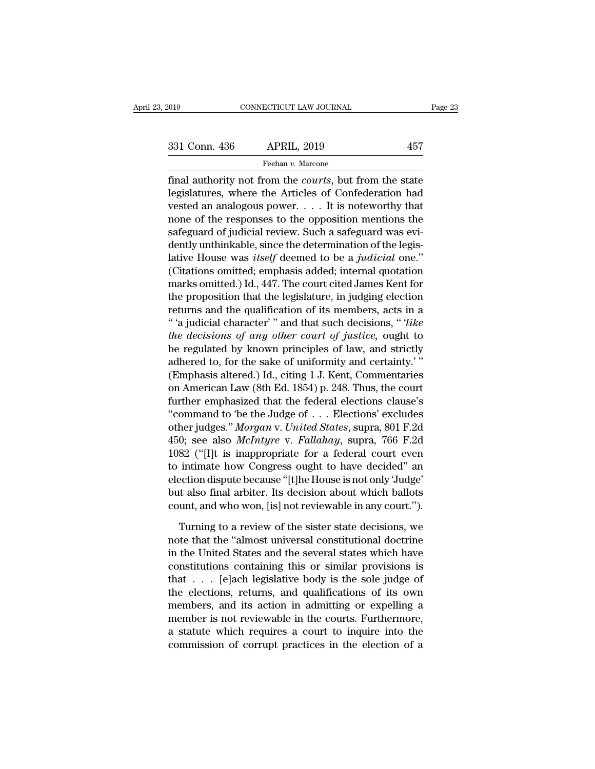Final authority not from the *courts*, but from the state<br>
egislatures, where the Articles of Confederation had 331 Conn. 436 APRIL, 2019 457<br>
Feehan v. Marcone<br>
final authority not from the *courts*, but from the state<br>
legislatures, where the Articles of Confederation had<br>
vested an analogous power. . . . It is noteworthy that<br>
n 331 Conn. 436 APRIL, 2019 457<br>
Feehan v. Marcone<br>
final authority not from the *courts*, but from the state<br>
legislatures, where the Articles of Confederation had<br>
vested an analogous power. . . . It is noteworthy that<br>
n 331 Conn. 436 APRIL, 2019 457<br>
Feehan v. Marcone<br>
final authority not from the *courts*, but from the state<br>
legislatures, where the Articles of Confederation had<br>
vested an analogous power. . . . It is noteworthy that<br>
n Feehan v. Marcone<br>
final authority not from the *courts*, but from the state<br>
legislatures, where the Articles of Confederation had<br>
vested an analogous power. . . . It is noteworthy that<br>
none of the responses to the opp  $\begin{array}{l} \hbox{[real] and $v$-meal $v$-} \hbox{[real] and $v$-} \hbox{[real] and $v$-} \hbox{[real] and $v$-} \hbox{[real] is a random variable.} \hbox{[real] is a random variable, where the Articles of Confederation had tested an analogous power. . . . It is noteworthy that none of the responses to the opposition mentions the safeguard of judicial review. Such a safeguard was evidently unthinkable, since the determination of the legislative House was itself deemed to be a judicial one." (Citation, a mathematical completion of the data) is a standard probability of the data. (Citation, a mathematical completion of the data) is a standard probability of the data. (Citation, a mathematical completion of the data) is a standard probability of the data. (Citation, a mathematical optimization of the data) is$ final authority not from the *courts*, but from the state<br>legislatures, where the Articles of Confederation had<br>vested an analogous power. . . . It is noteworthy that<br>none of the responses to the opposition mentions the<br>sa legislatures, where the Articles of Confederation had<br>vested an analogous power. . . . It is noteworthy that<br>none of the responses to the opposition mentions the<br>safeguard of judicial review. Such a safeguard was evi-<br>den vested an analogous power. . . . . It is noteworthy that<br>none of the responses to the opposition mentions the<br>safeguard of judicial review. Such a safeguard was evi-<br>dently unthinkable, since the determination of the legi none of the responses to the opposition mentions the<br>safeguard of judicial review. Such a safeguard was evi-<br>dently unthinkable, since the determination of the legis-<br>lative House was *itself* deemed to be a *judicial* one safeguard of judicial review. Such a safeguard was evidently unthinkable, since the determination of the legislative House was *itself* deemed to be a *judicial* one."<br>(Citations omitted; emphasis added; internal quotation dently unthinkable, since the determination of the legis-<br>lative House was *itself* deemed to be a *judicial* one."<br>(Citations omitted; emphasis added; internal quotation<br>marks omitted.) Id., 447. The court cited James Ken lative House was *itself* deemed to be a *judicial* one."<br>
(Citations omitted; emphasis added; internal quotation<br>
marks omitted.) Id., 447. The court cited James Kent for<br>
the proposition that the legislature, in judging (Citations omitted; emphasis added; internal quotation<br>marks omitted.) Id., 447. The court cited James Kent for<br>the proposition that the legislature, in judging election<br>returns and the qualification of its members, acts marks omitted.) Id., 447. The court cited James Kent for<br>the proposition that the legislature, in judging election<br>returns and the qualification of its members, acts in a<br>"a judicial character" and that such decisions, " the proposition that the legislature, in judging election<br>returns and the qualification of its members, acts in a<br>"'a judicial character'" and that such decisions, "'like<br>the decisions of any other court of justice, ought returns and the qualification of its members, acts in a<br>"'a judicial character'" and that such decisions, "'like<br>the decisions of any other court of justice, ought to<br>be regulated by known principles of law, and strictly<br>a " a judicial character" " and that such decisions, "*like*<br>the decisions of any other court of justice, ought to<br>be regulated by known principles of law, and strictly<br>adhered to, for the sake of uniformity and certainty." the decisions of any other court of justice, ought to<br>be regulated by known principles of law, and strictly<br>adhered to, for the sake of uniformity and certainty.'"<br>(Emphasis altered.) Id., citing 1 J. Kent, Commentaries<br>o be regulated by known principles of law, and strictly<br>adhered to, for the sake of uniformity and certainty.'"<br>(Emphasis altered.) Id., citing 1 J. Kent, Commentaries<br>on American Law (8th Ed. 1854) p. 248. Thus, the court<br>f adhered to, for the sake of uniformity and certainty."<br>
(Emphasis altered.) Id., citing 1 J. Kent, Commentaries<br>
on American Law (8th Ed. 1854) p. 248. Thus, the court<br>
further emphasized that the federal elections clause' (Emphasis altered.) Id., citing 1 J. Kent, Commentaries<br>on American Law (8th Ed. 1854) p. 248. Thus, the court<br>further emphasized that the federal elections clause's<br>"command to 'be the Judge of . . . Elections' excludes<br> on American Law (8th Ed. 1854) p. 248. Thus, the court<br>further emphasized that the federal elections clause's<br>"command to 'be the Judge of  $\ldots$  Elections' excludes<br>other judges." *Morgan v. United States*, supra, 801 F.2 further emphasized that the federal elections clause's<br>
"command to 'be the Judge of  $\ldots$  Elections' excludes<br>
other judges." *Morgan* v. *United States*, supra, 801 F.2d<br>
450; see also *McIntyre* v. *Fallahay*, supra, 7 "command to 'be the Judge of  $\ldots$  Elections' excludes<br>other judges." *Morgan v. United States*, supra, 801 F.2d<br>450; see also *McIntyre v. Fallahay*, supra, 766 F.2d<br>1082 ("[I]t is inappropriate for a federal court even<br> other judges." *Morgan v. United States*, supra, 801 F.2d<br>450; see also *McIntyre v. Fallahay*, supra, 766 F.2d<br>1082 ("[I]t is inappropriate for a federal court even<br>to intimate how Congress ought to have decided" an<br>elect 82 ("[I]t is inappropriate for a federal court even<br>intimate how Congress ought to have decided" an<br>ection dispute because "[t]he House is not only 'Judge'<br>it also final arbiter. Its decision about which ballots<br>unt, and w to intimate how Congress ought to have decided" an election dispute because "[t]he House is not only 'Judge' but also final arbiter. Its decision about which ballots count, and who won, [is] not reviewable in any court.").

election dispute because "[t]he House is not only 'Judge'<br>but also final arbiter. Its decision about which ballots<br>count, and who won, [is] not reviewable in any court.").<br>Turning to a review of the sister state decisions, but also final arbiter. Its decision about which ballots<br>count, and who won, [is] not reviewable in any court.").<br>Turning to a review of the sister state decisions, we<br>note that the "almost universal constitutional doctrin count, and who won, [is] not reviewable in any court.").<br>Turning to a review of the sister state decisions, we<br>note that the "almost universal constitutional doctrine<br>in the United States and the several states which have<br> Turning to a review of the sister state decisions, we<br>note that the "almost universal constitutional doctrine<br>in the United States and the several states which have<br>constitutions containing this or similar provisions is<br>t Turning to a review of the sister state decisions, we<br>note that the "almost universal constitutional doctrine<br>in the United States and the several states which have<br>constitutions containing this or similar provisions is<br>t note that the "almost universal constitutional doctrine<br>in the United States and the several states which have<br>constitutions containing this or similar provisions is<br>that . . . [e]ach legislative body is the sole judge of<br> in the United States and the several states which have<br>constitutions containing this or similar provisions is<br>that  $\ldots$  [e]ach legislative body is the sole judge of<br>the elections, returns, and qualifications of its own<br>m constitutions containing this or similar provisions is<br>that  $\ldots$  [e]ach legislative body is the sole judge of<br>the elections, returns, and qualifications of its own<br>members, and its action in admitting or expelling a<br>memb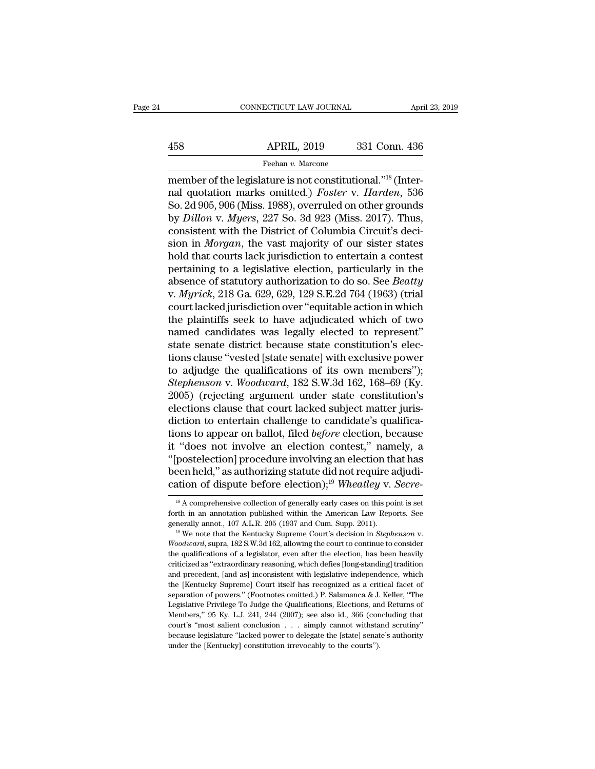# EXERCIT CONNECTICUT LAW JOURNAL April 23, 2019<br>458 APRIL, 2019 331 Conn. 436<br>Feehan v. Marcone

Feehan *v.* Marcone

CONNECTICUT LAW JOURNAL<br>
458 APRIL, 2019 331 Conn. 436<br>
Feehan v. Marcone<br>
member of the legislature is not constitutional.''<sup>18</sup> (Inter-<br>
mal quotation marks omitted.) *Foster* v. *Harden*, 536<br>
So 24,005,006 (Miss. 1088) 158 APRIL, 2019 331 Conn. 436<br>
Feehan v. Marcone<br>
member of the legislature is not constitutional."<sup>18</sup> (Inter-<br>
nal quotation marks omitted.) *Foster* v. *Harden*, 536<br>
So. 2d 905, 906 (Miss. 1988), overruled on other gro  $\begin{array}{r} \text{APRIL, 2019} \quad \text{331 Conn. 436} \ \text{Feehan } v. \text{ Marcone} \ \text{member of the legislature is not constitutional.} \text{''18 (Interval, 2019)} \ \text{m} \ \text{quotation marks omitted.)} \ \text{Foster v.} \ \text{Harden, 536} \ \text{So. 2d 905, 906 (Miss. 1988), overruled on other grounds by *Dillon v. Myers*, 227 So. 3d 923 (Miss. 2017). Thus, consistent with the District of Columbia Circuit's doi.$ APRIL, 2019 331 Conn. 436<br>
Feehan v. Marcone<br>
member of the legislature is not constitutional."<sup>18</sup> (Inter-<br>
nal quotation marks omitted.) *Foster* v. *Harden*, 536<br>
So. 2d 905, 906 (Miss. 1988), overruled on other grounds Feehan v. Marcone<br>
member of the legislature is not constitutional."<sup>18</sup> (Inter-<br>
nal quotation marks omitted.) *Foster* v. *Harden*, 536<br>
So. 2d 905, 906 (Miss. 1988), overruled on other grounds<br>
by *Dillon* v. *Myers*, Freehan *v.* Marcone<br>member of the legislature is not constitutional."<sup>18</sup> (Inter-<br>nal quotation marks omitted.) *Foster v. Harden*, 536<br>So. 2d 905, 906 (Miss. 1988), overruled on other grounds<br>by *Dillon v. Myers*, 227 So member of the legislature is not constitutional."<sup>18</sup> (Inter-<br>nal quotation marks omitted.) *Foster v. Harden*, 536<br>So. 2d 905, 906 (Miss. 1988), overruled on other grounds<br>by *Dillon v. Myers*, 227 So. 3d 923 (Miss. 2017) nal quotation marks omitted.) *Foster* v. *Harden*, 536<br>So. 2d 905, 906 (Miss. 1988), overruled on other grounds<br>by *Dillon* v. *Myers*, 227 So. 3d 923 (Miss. 2017). Thus,<br>consistent with the District of Columbia Circuit' So. 2d 905, 906 (Miss. 1988), overruled on other grounds<br>by *Dillon v. Myers*, 227 So. 3d 923 (Miss. 2017). Thus,<br>consistent with the District of Columbia Circuit's deci-<br>sion in *Morgan*, the vast majority of our sister s by *Dillon* v. *Myers*, 227 So. 3d 923 (Miss. 2017). Thus, consistent with the District of Columbia Circuit's decision in *Morgan*, the vast majority of our sister states hold that courts lack jurisdiction to entertain a c consistent with the District of Columbia Circuit's decision in *Morgan*, the vast majority of our sister states<br>hold that courts lack jurisdiction to entertain a contest<br>pertaining to a legislative election, particularly i sion in *Morgan*, the vast majority of our sister states<br>hold that courts lack jurisdiction to entertain a contest<br>pertaining to a legislative election, particularly in the<br>absence of statutory authorization to do so. See hold that courts lack jurisdiction to entertain a contest<br>pertaining to a legislative election, particularly in the<br>absence of statutory authorization to do so. See *Beatty*<br>v. *Myrick*, 218 Ga. 629, 629, 129 S.E.2d 764 (1 pertaining to a legislative election, particularly in the absence of statutory authorization to do so. See *Beatty* v. *Myrick*, 218 Ga. 629, 629, 129 S.E.2d 764 (1963) (trial court lacked jurisdiction over "equitable acti absence of statutory authorization to do so. See *Beatty*<br>v. *Myrick*, 218 Ga. 629, 629, 129 S.E.2d 764 (1963) (trial<br>court lacked jurisdiction over "equitable action in which<br>the plaintiffs seek to have adjudicated which v. *Myrick*, 218 Ga. 629, 629, 129 S.E.2d 764 (1963) (trial<br>court lacked jurisdiction over "equitable action in which<br>the plaintiffs seek to have adjudicated which of two<br>named candidates was legally elected to represent"<br> *Stephenson* v. *Woodward*, 182 S.W.3d 162, 168–69 (Ky.2005) (rejections clause that constitution's elections clause "vested [state senate] with exclusive power to adjudge the qualifications of its own members"); *Stephens* the plaintiffs seek to have adjudicated which of two<br>named candidates was legally elected to represent"<br>state senate district because state constitution's elec-<br>tions clause "vested [state senate] with exclusive power<br>to a named candidates was legally elected to represent"<br>state senate district because state constitution's elec-<br>tions clause "vested [state senate] with exclusive power<br>to adjudge the qualifications of its own members");<br>*Step* state senate district because state constitution's elections clause "vested [state senate] with exclusive power<br>to adjudge the qualifications of its own members");<br>Stephenson v. Woodward, 182 S.W.3d 162, 168–69 (Ky.<br>2005) tions clause "vested [state senate] with exclusive power<br>to adjudge the qualifications of its own members");<br>Stephenson v. Woodward, 182 S.W.3d 162, 168–69 (Ky.<br>2005) (rejecting argument under state constitution's<br>election to adjudge the qualifications of its own members");<br>
Stephenson v. Woodward, 182 S.W.3d 162, 168–69 (Ky.<br>
2005) (rejecting argument under state constitution's<br>
elections clause that court lacked subject matter juris-<br>
dic Stephenson v. Woodward, 182 S.W.3d 162, 168–69 (Ky.<br>2005) (rejecting argument under state constitution's<br>elections clause that court lacked subject matter juris-<br>diction to entertain challenge to candidate's qualifica-<br>ti 2005) (rejecting argument under state constitution's<br>elections clause that court lacked subject matter juris-<br>diction to entertain challenge to candidate's qualifica-<br>tions to appear on ballot, filed *before* election, be elections clause that court lacked subject matter juris-<br>diction to entertain challenge to candidate's qualifica-<br>tions to appear on ballot, filed *before* election, because<br>it "does not involve an election contest," namel "does not involve an election contest," namely, a<br>postelection] procedure involving an election that has<br>een held," as authorizing statute did not require adjudi-<br>ation of dispute before election);<sup>19</sup> Wheatley v. Secre-<br> "[postelection] procedure involving an election that has<br>been held," as authorizing statute did not require adjudi-<br>cation of dispute before election);<sup>19</sup> Wheatley v. Secre-<br><sup>18</sup> A comprehensive collection of generally e

been held," as authorizing statute did not require adjudication of dispute before election);<sup>19</sup> Wheatley v. Secretion in *Stephensive* collection of generally early cases on this point is set forth in an annotation publis <sup>18</sup> A comprehensive collection of generally early cases on this point is set forth in an annotation published within the American Law Reports. See generally annot., 107 A.L.R. 205 (1937 and Cum. Supp. 2011).<br><sup>19</sup> We note forth in an annotation published within the American Law Reports. See generally annot., 107 A.L.R. 205 (1937 and Cum. Supp. 2011).<br><sup>19</sup> We note that the Kentucky Supreme Court's decision in *Stephenson* v.<br>*Woodward*, sup generally annot., 107 A.L.R. 205 (1937 and Cum. Supp. 2011).<br><sup>19</sup> We note that the Kentucky Supreme Court's decision in *Stephenson* v.<br>*Woodward*, supra, 182 S.W.3d 162, allowing the court to continue to consider<br>the qual <sup>19</sup> We note that the Kentucky Supreme Court's decision in *Stephenson v.*<br> *Woodward*, supra, 182 S.W.3d 162, allowing the court to continue to consider the qualifications of a legislator, even after the election, has be Woodward, supra, 182 S.W.3d 162, allowing the court to continue to consider<br>the qualifications of a legislator, even after the election, has been heavily<br>criticized as "extraordinary reasoning, which defies [long-standing] The qualifications of a legislator, even after the election, has been heavily criticized as "extraordinary reasoning, which defies [long-standing] tradition and precedent, [and as] inconsistent with legislative independen eriticized as "extraordinary reasoning, which defies [long-standing] tradition<br>criticized as "extraordinary reasoning, which defies [long-standing] tradition<br>and precedent, [and as] inconsistent with legislative independen and precedent, [and as] inconsistent with legislative independence, which<br>the [Kentucky Supreme] Court itself has recognized as a critical facet of<br>separation of powers." (Footnotes omitted.) P. Salamanca & J. Keller, "The the [Kentucky Supreme] Court itself has recognized as a critical facet of separation of powers." (Footnotes omitted.) P. Salamanca & J. Keller, "The Legislative Privilege To Judge the Qualifications, Elections, and Return separation of powers." (Footnotes omitted.) P. Salamanca & J. Legislative Privilege To Judge the Qualifications, Elections, an Members," 95 Ky. L.J. 241, 244 (2007); see also id., 366 (concourt's "most salient conclusion .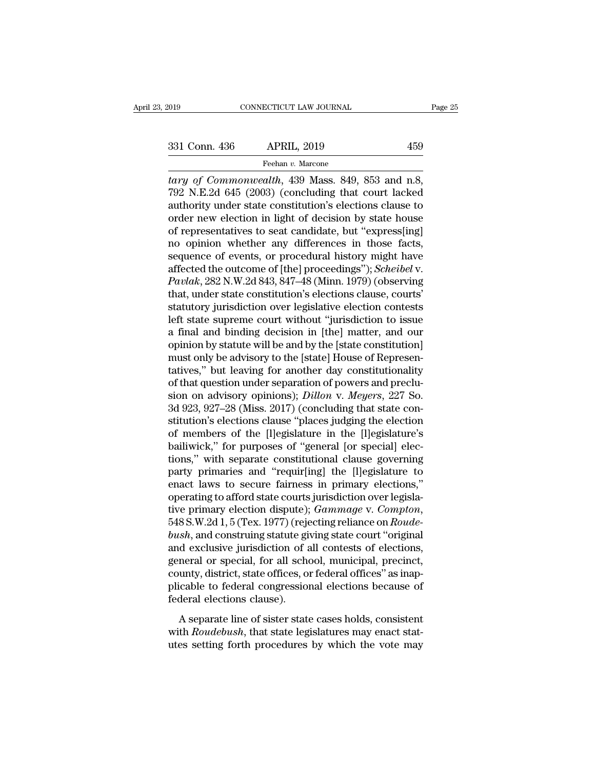<sup>th</sup> Commonwealth, 139 Mass. 849, 853 and n.8, 792 N.E.2d 645 (2003) (concluding that court lacked authority under state constitution's elections clause to 331 Conn. 436 APRIL, 2019 459<br>
Feehan v. Marcone<br> *tary of Commonwealth*, 439 Mass. 849, 853 and n.8,<br>
792 N.E.2d 645 (2003) (concluding that court lacked<br>
authority under state constitution's elections clause to<br>
order n 331 Conn. 436 APRIL, 2019 459<br>
Feehan v. Marcone<br> *tary of Commonwealth*, 439 Mass. 849, 853 and n.8,<br>
792 N.E.2d 645 (2003) (concluding that court lacked<br>
authority under state constitution's elections clause to<br>
order n 331 Conn. 436 APRIL, 2019 459<br>
Feehan v. Marcone<br> *tary of Commonwealth*, 439 Mass. 849, 853 and n.8,<br>
792 N.E.2d 645 (2003) (concluding that court lacked<br>
authority under state constitution's elections clause to<br>
order n Feehan v. Marcone<br>
tary of Commonwealth, 439 Mass. 849, 853 and n.8,<br>
792 N.E.2d 645 (2003) (concluding that court lacked<br>
authority under state constitution's elections clause to<br>
order new election in light of decision reenan v. Marcone<br>tary of Commonwealth, 439 Mass. 849, 853 and n.8,<br>792 N.E.2d 645 (2003) (concluding that court lacked<br>authority under state constitution's elections clause to<br>order new election in light of decision by s tary of Commonwealth, 439 Mass. 849, 853 and n.8,<br>792 N.E.2d 645 (2003) (concluding that court lacked<br>authority under state constitution's elections clause to<br>order new election in light of decision by state house<br>of repr 792 N.E.2d 645 (2003) (concluding that court lacked<br>authority under state constitution's elections clause to<br>order new election in light of decision by state house<br>of representatives to seat candidate, but "express[ing]<br>no authority under state constitution's elections clause to<br>order new election in light of decision by state house<br>of representatives to seat candidate, but "express[ing]<br>no opinion whether any differences in those facts,<br>seq order new election in light of decision by state house<br>of representatives to seat candidate, but "express[ing]<br>no opinion whether any differences in those facts,<br>sequence of events, or procedural history might have<br>affecte of representatives to seat candidate, but "express[ing]<br>no opinion whether any differences in those facts,<br>sequence of events, or procedural history might have<br>affected the outcome of [the] proceedings"); *Scheibel* v.<br>*Pa* no opinion whether any differences in those facts,<br>sequence of events, or procedural history might have<br>affected the outcome of [the] proceedings"); *Scheibel* v.<br>*Pavlak*, 282 N.W.2d 843, 847–48 (Minn. 1979) (observing<br>th sequence of events, or procedural history might have<br>affected the outcome of [the] proceedings"); *Scheibel* v.<br>*Pavlak*, 282 N.W.2d 843, 847–48 (Minn. 1979) (observing<br>that, under state constitution's elections clause, co affected the outcome of [the] proceedings"); *Scheibel* v.<br> *Pavlak*, 282 N.W.2d 843, 847–48 (Minn. 1979) (observing<br>
that, under state constitution's elections clause, courts'<br>
statutory jurisdiction over legislative elec Pavlak, 282 N.W.2d 843, 847–48 (Minn. 1979) (observing<br>that, under state constitution's elections clause, courts'<br>statutory jurisdiction over legislative election contests<br>left state supreme court without "jurisdiction to that, under state constitution's elections clause, courts'<br>
statutory jurisdiction over legislative election contests<br>
left state supreme court without "jurisdiction to issue<br>
a final and binding decision in [the] matter, statutory jurisdiction over legislative election contests<br>left state supreme court without "jurisdiction to issue<br>a final and binding decision in [the] matter, and our<br>opinion by statute will be and by the [state constitut left state supreme court without "jurisdiction to issue<br>a final and binding decision in [the] matter, and our<br>opinion by statute will be and by the [state constitution]<br>must only be advisory to the [state] House of Represe a final and binding decision in [the] matter, and our<br>opinion by statute will be and by the [state constitution]<br>must only be advisory to the [state] House of Represen-<br>tatives," but leaving for another day constitutionali opinion by statute will be and by the [state constitution]<br>must only be advisory to the [state] House of Representatives," but leaving for another day constitutionality<br>of that question under separation of powers and precl must only be advisory to the [state] House of Representatives," but leaving for another day constitutionality of that question under separation of powers and preclusion on advisory opinions); *Dillon* v. *Meyers*, 227 So. tatives," but leaving for another day constitutionality<br>of that question under separation of powers and preclu-<br>sion on advisory opinions); *Dillon v. Meyers*, 227 So.<br>3d 923, 927–28 (Miss. 2017) (concluding that state con of that question under separation of powers and preclusion on advisory opinions); *Dillon* v. *Meyers*, 227 So.<br>3d 923, 927–28 (Miss. 2017) (concluding that state constitution's elections clause "places judging the electio sion on advisory opinions); *Dillon* v. *Meyers*, 227 So.<br>3d 923, 927–28 (Miss. 2017) (concluding that state constitution's elections clause "places judging the election<br>of members of the [l]egislature in the [l]egislature 3d 923, 927–28 (Miss. 2017) (concluding that state constitution's elections clause "places judging the election<br>of members of the [l]egislature in the [l]egislature's<br>bailiwick," for purposes of "general [or special] elec stitution's elections clause "places judging the election<br>of members of the [l]egislature in the [l]egislature's<br>bailiwick," for purposes of "general [or special] elec-<br>tions," with separate constitutional clause governin of members of the [I]egislature in the [I]egislature's<br>bailiwick," for purposes of "general [or special] elec-<br>tions," with separate constitutional clause governing<br>party primaries and "requir[ing] the [I]egislature to<br>ena tions," with separate constitutional clause governing<br>party primaries and "requir[ing] the [l]egislature to<br>enact laws to secure fairness in primary elections,"<br>operating to afford state courts jurisdiction over legisla-<br>t party primaries and "requir[ing] the [l]egislature to<br>enact laws to secure fairness in primary elections,"<br>operating to afford state courts jurisdiction over legisla-<br>tive primary election dispute); *Gammage* v. *Compton*, enact laws to secure fairness in primary elections,"<br>operating to afford state courts jurisdiction over legisla-<br>tive primary election dispute); *Gammage* v. *Compton*,<br>548 S.W.2d 1, 5 (Tex. 1977) (rejecting reliance on *R* operating to afford state courts jurisdiction over legislative primary election dispute); *Gammage v. Compton*, 548 S.W.2d 1, 5 (Tex. 1977) (rejecting reliance on *Roude-bush*, and construing statute giving state court "or tive primary election dispute); *Gammage* v. *Compton*, 548 S.W.2d 1, 5 (Tex. 1977) (rejecting reliance on *Roude-bush*, and construing statute giving state court "original and exclusive jurisdiction of all contests of ele 548 S.W.2d 1, 5 (Tex. 1977) (reje<br>bush, and construing statute gives and exclusive jurisdiction of a<br>general or special, for all scheen county, district, state offices, or<br>plicable to federal congression<br>federal elections A separate line of sister state cases holds, consistent<br>approach and contests of elections,<br>neral or special, for all school, municipal, precinct,<br>unty, district, state offices, or federal offices" as inap-<br>cable to federa France of all school, municipal, precinct, general or special, for all school, municipal, precinct, county, district, state offices, or federal offices" as inapplicable to federal congressional elections because of federal general of special, for an sensor, mannerpal, promite, county, district, state offices, or federal offices" as inapplicable to federal congressional elections because of federal elections clause).<br>A separate line of sister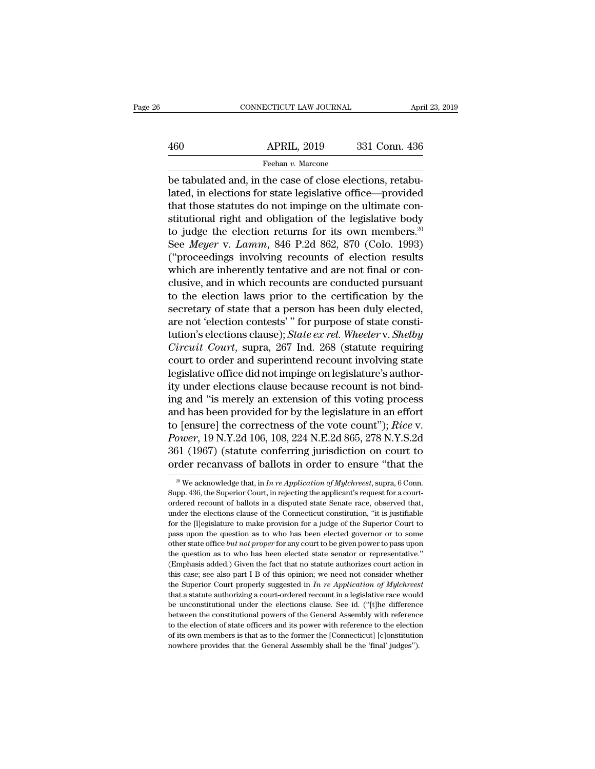# EXERCIT CONNECTICUT LAW JOURNAL April 23, 2019<br>460 APRIL, 2019 331 Conn. 436<br>Feehan v. Marcone Feehan *v.* Marcone

CONNECTICUT LAW JOURNAL Apr<br>
460 APRIL, 2019 331 Conn. 436<br>
Feehan v. Marcone<br>
be tabulated and, in the case of close elections, retabu-<br>
lated, in elections for state legislative office—provided<br>
that these statutes do no APRIL, 2019 331 Conn. 436<br>
Feehan v. Marcone<br>
be tabulated and, in the case of close elections, retabulated, in elections for state legislative office—provided<br>
that those statutes do not impinge on the ultimate constituti 460 APRIL, 2019 331 Conn. 436<br>
Feehan v. Marcone<br>
be tabulated and, in the case of close elections, retabulated, in elections for state legislative office—provided<br>
that those statutes do not impinge on the ultimate con-<br> APRIL, 2019 331 Conn. 436<br>
Feehan *v*. Marcone<br>
be tabulated and, in the case of close elections, retabulated, in elections for state legislative office—provided<br>
that those statutes do not impinge on the ultimate constit Feehan *v*. Marcone<br>be tabulated and, in the case of close elections, retabu-<br>lated, in elections for state legislative office—provided<br>that those statutes do not impinge on the ultimate con-<br>stitutional right and obligat reenar *v.* Macone<br>be tabulated and, in the case of close elections, retabu-<br>lated, in elections for state legislative office—provided<br>that those statutes do not impinge on the ultimate con-<br>stitutional right and obligatio be tabulated and, in the case of close elections, retabulated, in elections for state legislative office—provided that those statutes do not impinge on the ultimate constitutional right and obligation of the legislative b lated, in elections for state legislative office—provided<br>that those statutes do not impinge on the ultimate con-<br>stitutional right and obligation of the legislative body<br>to judge the election returns for its own members.<sup></sup> that those statutes do not impinge on the ultimate constitutional right and obligation of the legislative body<br>to judge the election returns for its own members.<sup>20</sup><br>See *Meyer* v. *Lamm*, 846 P.2d 862, 870 (Colo. 1993)<br>( stitutional right and obligation of the legislative body<br>to judge the election returns for its own members.<sup>20</sup><br>See *Meyer* v. *Lamm*, 846 P.2d 862, 870 (Colo. 1993)<br>("proceedings involving recounts of election results<br>whi to judge the election returns for its own members.<sup>20</sup><br>See *Meyer* v. *Lamm*, 846 P.2d 862, 870 (Colo. 1993)<br>("proceedings involving recounts of election results<br>which are inherently tentative and are not final or con-<br>cl See *Meyer* v. *Lamm*, 846 P.2d 862, 870 (Colo. 1993)<br>("proceedings involving recounts of election results<br>which are inherently tentative and are not final or conclusive, and in which recounts are conducted pursuant<br>to th ("proceedings involving recounts of election results<br>which are inherently tentative and are not final or con-<br>clusive, and in which recounts are conducted pursuant<br>to the election laws prior to the certification by the<br>sec which are inherently tentative and are not final or conclusive, and in which recounts are conducted pursuant<br>to the election laws prior to the certification by the<br>secretary of state that a person has been duly elected,<br>ar clusive, and in which recounts are conducted pursuant<br>to the election laws prior to the certification by the<br>secretary of state that a person has been duly elected,<br>are not 'election contests' " for purpose of state consti to the election laws prior to the certification by the secretary of state that a person has been duly elected, are not 'election contests' " for purpose of state constitution's elections clause); *State ex rel. Wheeler v.* secretary of state that a person has been duly elected,<br>are not 'election contests' " for purpose of state consti-<br>tution's elections clause); *State ex rel. Wheeler v. Shelby<br>Circuit Court*, supra, 267 Ind. 268 (statute are not 'election contests'" for purpose of state constitution's elections clause); *State ex rel. Wheeler v. Shelby*<br>Circuit Court, supra, 267 Ind. 268 (statute requiring<br>court to order and superintend recount involving s tution's elections clause); *State ex rel. Wheeler v. Shelby*<br> *Circuit Court*, supra, 267 Ind. 268 (statute requiring<br>
court to order and superintend recount involving state<br>
legislative office did not impinge on legisl Circuit Court, supra, 267 Ind. 268 (statute requiring<br>court to order and superintend recount involving state<br>legislative office did not impinge on legislature's author-<br>ity under elections clause because recount is not bin court to order and superintend recount involving state<br>legislative office did not impinge on legislature's author-<br>ity under elections clause because recount is not bind-<br>ing and "is merely an extension of this voting proc legislative office did not impinge on legislature's authority under elections clause because recount is not binding and "is merely an extension of this voting process<br>and has been provided for by the legislature in an effo ity under elections clause because recount is not bind-<br>ing and "is merely an extension of this voting process<br>and has been provided for by the legislature in an effort<br>to [ensure] the correctness of the vote count"); *Ri* p (ensure) the correctness of the vote count *); Rice v.*<br> *ower*, 19 N.Y.2d 106, 108, 224 N.E.2d 865, 278 N.Y.S.2d<br>
31 (1967) (statute conferring jurisdiction on court to<br>
rder recanvass of ballots in order to ensure "tha Power, 19 N.Y.2d 106, 108, 224 N.E.2d 865, 278 N.Y.S.2d 361 (1967) (statute conferring jurisdiction on court to order recanvass of ballots in order to ensure "that the  $\frac{1}{20}$  We acknowledge that, in *In re Application* 

<sup>361 (1967) (</sup>statute conferring jurisdiction on court to order recanvass of ballots in order to ensure "that the  $\frac{1}{20}$  We acknowledge that, in *In re Application of Mylchreest*, supra, 6 Conn. Supp. 436, the Superior order recanvass of ballots in order to ensure "that the  $\frac{20 \text{ V}}{20 \text{ W}}$  We acknowledge that, in *In re Application of Mylchreest*, supra, 6 Conn. Supp. 436, the Superior Court, in rejecting the applicant's request fo <sup>20</sup> We acknowledge that, in *In re Application of Mylchreest*, supra, 6 Conn.<br>Supp. 436, the Superior Court, in rejecting the applicant's request for a court-<br>ordered recount of ballots in a disputed state Senate race, o <sup>20</sup> We acknowledge that, in *In re Application of Mylchreest*, supra, 6 Conn.<br>Supp. 436, the Superior Court, in rejecting the applicant's request for a court-<br>ordered recount of ballots in a disputed state Senate race, o Supp. 436, the Superior Court, in rejecting the applicant's request for a court-<br>ordered recount of ballots in a disputed state Senate race, observed that,<br>under the elections clause of the Connecticut constitution, "it is ordered recount of ballots in a disputed state Senate race, observed that, under the elections clause of the Connecticut constitution, "it is justifiable for the [l]egislature to make provision for a judge of the Superior under the elections clause of the Connecticut constitution, "it is justifiable for the [l]egislature to make provision for a judge of the Superior Court to pass upon the question as to who has been elected governor or to for the [l]egislature to make provision for a judge of the Superior Court to pass upon the question as to who has been elected governor or to some other state office *but not proper* for any court to be given power to pas the superior court is the discussion of a superior court of the superior of the pass upon the question as to who has been elected governor or to pass upon the question as to who has been elected state senator or representa that a statute authorizing a court-ordered recount in a legislative race would unconstant a statute question as to who has been elected state senator or representative." (Emphasis added.) Given the fact that no statute au the question as to who has been elected state senator or representative."<br>
(Emphasis added.) Given the fact that no statute authorizes court action in<br>
this case; see also part I B of this opinion; we need not consider wh The constitutional powers of the General Assembly with reference to the election in (Emphasis added.) Given the fact that no statute authorizes court whether the Superior Court properly suggested in  $In$  re Application of this case; see also part I B of this opinion; we need not consider whether the Superior Court properly suggested in *In re Application of Mylchreest* that a statute authorizing a court-ordered recount in a legislative rac the Superior Court properly suggested in  $In$  re Application of Mylchreest that a statute authorizing a court-ordered recount in a legislative race would be unconstitutional under the elections clause. See id. ("[t]he diff the Superior Court properly suggested in *In re Application of Mylchreest* that a statute authorizing a court-ordered recount in a legislative race would be unconstitutional under the elections clause. See id. ("[t]he dif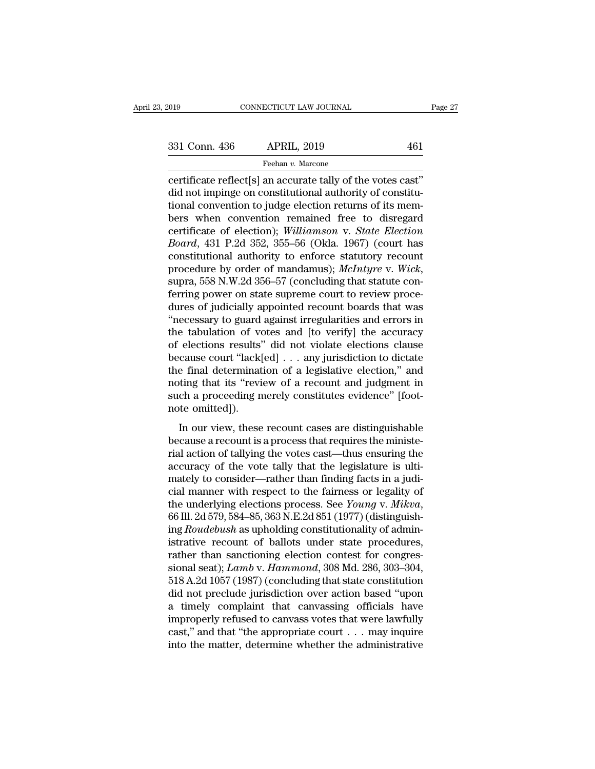connectricut LAW JOURNAL Page<br>
331 Conn. 436 APRIL, 2019 461<br>
Feehan v. Marcone<br>
certificate reflect[s] an accurate tally of the votes cast''<br>
did not impinge on constitutional authority of constitu-<br>
tional convention to 331 Conn. 436 APRIL, 2019 461<br>
Feehan v. Marcone<br>
certificate reflect[s] an accurate tally of the votes cast"<br>
did not impinge on constitutional authority of constitu-<br>
tional convention to judge election returns of its me 331 Conn. 436 APRIL, 2019 461<br>
Feehan v. Marcone<br>
certificate reflect[s] an accurate tally of the votes cast"<br>
did not impinge on constitutional authority of constitu-<br>
tional convention to judge election returns of its m 331 Conn. 436 APRIL, 2019 461<br>
Feehan v. Marcone<br>
certificate reflect[s] an accurate tally of the votes cast"<br>
did not impinge on constitutional authority of constitu-<br>
tional convention to judge election returns of its m Feehan v. Marcone<br>
certificate reflect[s] an accurate tally of the votes cast"<br>
did not impinge on constitutional authority of constitu-<br>
tional convention to judge election returns of its mem-<br>
bers when convention remain <sup>Freenan v.</sup> Marcone<br>
certificate reflect[s] an accurate tally of the votes cast"<br>
did not impinge on constitutional authority of constitu-<br>
tional convention to judge election returns of its mem-<br>
bers when convention rem certificate reflect[s] an accurate tally of the votes cast"<br>did not impinge on constitutional authority of constitu-<br>tional convention to judge election returns of its mem-<br>bers when convention remained free to disregard<br> did not impinge on constitutional authority of constitutional convention to judge election returns of its members when convention remained free to disregard certificate of election); *Williamson v. State Election Board*, 4 bers when convention remained free to disregard<br>certificate of election); *Williamson v. State Election*<br>*Board*, 431 P.2d 352, 355–56 (Okla. 1967) (court has<br>constitutional authority to enforce statutory recount<br>procedure certificate of election); *Williamson v. State Election*<br>*Board*, 431 P.2d 352, 355–56 (Okla. 1967) (court has<br>constitutional authority to enforce statutory recount<br>procedure by order of mandamus); *McIntyre v. Wick*,<br>supr Board, 431 P.2d 352, 355–56 (Okla. 1967) (court has<br>
constitutional authority to enforce statutory recount<br>
procedure by order of mandamus); *McIntyre* v. *Wick*,<br>
supra, 558 N.W.2d 356–57 (concluding that statute con-<br>
fe constitutional authority to enforce statutory recount<br>procedure by order of mandamus); *McIntyre* v. *Wick*,<br>supra, 558 N.W.2d 356–57 (concluding that statute con-<br>ferring power on state supreme court to review proce-<br>dure procedure by order of mandamus); *McIntyre v. Wick*,<br>supra, 558 N.W.2d 356–57 (concluding that statute con-<br>ferring power on state supreme court to review proce-<br>dures of judicially appointed recount boards that was<br>"nece supra, 558 N.W.2d 356–57 (concluding that statute conferring power on state supreme court to review procedures of judicially appointed recount boards that was "necessary to guard against irregularities and errors in the ta ferring power on state supreme court to review procedures of judicially appointed recount boards that was<br>"necessary to guard against irregularities and errors in<br>the tabulation of votes and [to verify] the accuracy<br>of ele dures of judicially appointed recount boards that was<br>
"necessary to guard against irregularities and errors in<br>
the tabulation of votes and [to verify] the accuracy<br>
of elections results" did not violate elections clause<br> "necessary to guard against irregularities and errors in<br>the tabulation of votes and [to verify] the accuracy<br>of elections results" did not violate elections clause<br>because court "lack[ed]  $\dots$  any jurisdiction to dictate the tabulation of voor elections results'<br>because court "lack|<br>the final determinat<br>noting that its "revi<br>such a proceeding n<br>note omitted]).<br>In our view, these Cases research and the view of a technology cause count "lack[ed]  $\ldots$  any jurisdiction to dictate e final determination of a legislative election," and thing that its "review of a recount and judgment in ch a proceeding because count interfed  $\cdots$  any jandsmeaton to dietate<br>the final determination of a legislative election," and<br>noting that its "review of a recount and judgment in<br>such a proceeding merely constitutes evidence" [foot-<br>no

rial action of a registrate ensuring that its "review of a recount and judgment in<br>such a proceeding merely constitutes evidence" [foot-<br>note omitted]).<br>In our view, these recount cases are distinguishable<br>because a recoun accuracy of the vote tally constitutes evidence" [foot-<br>note omitted]).<br>In our view, these recount cases are distinguishable<br>because a recount is a process that requires the ministe-<br>rial action of tallying the votes cast mote omitted]).<br>
In our view, these recount cases are distinguishable<br>
because a recount is a process that requires the ministe-<br>
rial action of tallying the votes cast—thus ensuring the<br>
accuracy of the vote tally that t In our view, these recount cases are distinguishable<br>because a recount is a process that requires the ministe-<br>rial action of tallying the votes cast—thus ensuring the<br>accuracy of the vote tally that the legislature is ul In our view, these recount cases are distinguishable<br>because a recount is a process that requires the ministe-<br>rial action of tallying the votes cast—thus ensuring the<br>accuracy of the vote tally that the legislature is ult rial action of tallying the votes cast—thus ensuring the accuracy of the vote tally that the legislature is ulti-<br>mately to consider—rather than finding facts in a judi-<br>cial manner with respect to the fairness or legality accuracy of the vote tally that the legislature is ulti-<br>mately to consider—rather than finding facts in a judi-<br>cial manner with respect to the fairness or legality of<br>the underlying elections process. See *Young v. Mikv* mately to consider—rather than finding facts in a judicial manner with respect to the fairness or legality of<br>the underlying elections process. See *Young v. Mikva*,<br>66 Ill. 2d 579, 584–85, 363 N.E.2d 851 (1977) (distingu cial manner with respect to the fairness or legality of<br>the underlying elections process. See *Young* v. *Mikva*,<br>66 Ill. 2d 579, 584–85, 363 N.E.2d 851 (1977) (distinguish-<br>ing *Roudebush* as upholding constitutionality the underlying elections process. See *Young v. Mikva*,<br>66 Ill. 2d 579, 584–85, 363 N.E.2d 851 (1977) (distinguish-<br>ing *Roudebush* as upholding constitutionality of admin-<br>istrative recount of ballots under state procedur 66 Ill. 2d 579, 584–85, 363 N.E.2d 851 (1977) (distinguishing *Roudebush* as upholding constitutionality of administrative recount of ballots under state procedures, rather than sanctioning election contest for congressio ing *Roudebush* as upholding constitutionality of administrative recount of ballots under state procedures,<br>rather than sanctioning election contest for congressional seat); *Lamb* v. *Hammond*, 308 Md. 286, 303–304,<br>518 A istrative recount of ballots under state procedures,<br>rather than sanctioning election contest for congres-<br>sional seat);  $Lamb$  v.  $Hammond$ , 308 Md. 286, 303–304,<br>518 A.2d 1057 (1987) (concluding that state constitution<br>did no rather than sanctioning election contest for congres-<br>sional seat);  $Lamb$  v.  $Hammond$ , 308 Md. 286, 303–304,<br>518 A.2d 1057 (1987) (concluding that state constitution<br>did not preclude jurisdiction over action based "upon<br>a tim sional seat); *Lamb* v. *Hammond*, 308 Md. 286, 303–304, 518 A.2d 1057 (1987) (concluding that state constitution did not preclude jurisdiction over action based "upon a timely complaint that canvassing officials have imp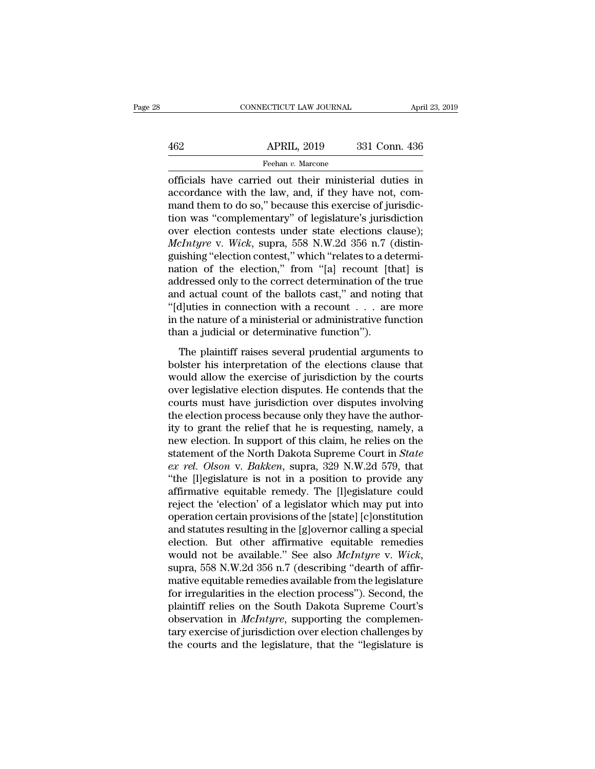# EXERCIT CONNECTICUT LAW JOURNAL April 23, 2019<br>462 APRIL, 2019 331 Conn. 436<br>Feehan v. Marcone Feehan *v.* Marcone

CONNECTICUT LAW JOURNAL April 23, 2019<br>  $\begin{array}{r}\n 462 \quad \text{APRIL, } 2019 \quad \text{331 Conn. } 436 \\
 \hline\n \text{Feehan } v. \text{ Marcone} \\
 \text{officials have carried out their ministerial duties in} \\
 \text{accordance with the law, and, if they have not, command them to do so, the exercise of *imiscide*.\n\end{array}$ 462 APRIL, 2019 331 Conn. 436<br>
Feehan v. Marcone<br>
officials have carried out their ministerial duties in<br>
accordance with the law, and, if they have not, com-<br>
mand them to do so," because this exercise of jurisdic-<br>
tion  $\begin{array}{c|c} \text{APRIL, 2019} & \text{331 Conn. 436} \\ \hline \hline \text{Feehan } v. \text{ Marcone} \\ \hline \text{officials have carried out their ministerial duties in accordance with the law, and, if they have not, command them to do so," because this exercise of jurisdiction was "complementary" of legislative's jurisdiction over election, contest, under state, decisions, clause).} \end{array}$  $\frac{\text{APRIL, 2019}}{\text{Feehan } v. \text{ Marcone}}$ <br>
officials have carried out their ministerial duties in<br>
accordance with the law, and, if they have not, com-<br>
mand them to do so," because this exercise of jurisdic-<br>
tion was "complement Feehan *v*. Marcone<br>
officials have carried out their ministerial duties in<br>
accordance with the law, and, if they have not, com-<br>
mand them to do so," because this exercise of jurisdic-<br>
tion was "complementary" of legis *Feenan v. Marcone*<br> *Marcone*<br> *McCordance with the law, and, if they have not, com-<br>
mand them to do so," because this exercise of jurisdic-<br>
tion was "complementary" of legislature's jurisdiction<br>
over election contests* officials have carried out their ministerial duties in<br>accordance with the law, and, if they have not, com-<br>mand them to do so," because this exercise of jurisdic-<br>tion was "complementary" of legislature's jurisdiction<br>ove accordance with the law, and, if they have not, com-<br>mand them to do so," because this exercise of jurisdic-<br>tion was "complementary" of legislature's jurisdiction<br>over election contests under state elections clause);<br> $McIntyre$ mand them to do so," because this exercise of jurisdiction<br>tion was "complementary" of legislature's jurisdiction<br>over election contests under state elections clause);<br>*McIntyre* v. *Wick*, supra, 558 N.W.2d 356 n.7 (disti tion was "complementary" of legislature's jurisdiction<br>over election contests under state elections clause);<br> $McIntyre$  v. Wick, supra, 558 N.W.2d 356 n.7 (distinguishing "election contest," which "relates to a determi-<br>nation over election contests under state elections clause);<br> *McIntyre* v. *Wick*, supra, 558 N.W.2d 356 n.7 (distinguishing "election contest," which "relates to a determination of the election," from "[a] recount [that] is<br>
a *McIntyre* v. *Wick*, supra, 558 N.W.2d 356 n.7 (distinguishing "election contest," which "relates to a determination of the election," from "[a] recount [that] is addressed only to the correct determination of the true a guishing "election contest," which "relates to a de<br>nation of the election," from "[a] recount [th<br>addressed only to the correct determination of th<br>and actual count of the ballots cast," and notin<br>"[d]uties in connection dressed only to the correct determination of the true<br>d actual count of the ballots cast," and noting that<br>d luties in connection with a recount  $\dots$  are more<br>the nature of a ministerial or administrative function<br>an a ju and esset only to the ballots cast," and noting that<br>
"[d]uties in connection with a recount  $\dots$  are more<br>
in the nature of a ministerial or administrative function<br>
than a judicial or determinative function").<br>
The plai

 $\text{``[d]}$  uties in connection with a recount  $\ldots$  are more in the nature of a ministerial or administrative function than a judicial or determinative function").<br>The plaintiff raises several prudential arguments to bolst In the nature of a ministerial or administrative function<br>than a judicial or determinative function").<br>The plaintiff raises several prudential arguments to<br>bolster his interpretation of the elections clause that<br>would all than a judicial or determinative function.<br>
The plaintiff raises several prudential arguments to<br>
bolster his interpretation of the elections clause that<br>
would allow the exercise of jurisdiction by the courts<br>
over legisl The plaintiff raises several prudential arguments to<br>bolster his interpretation of the elections clause that<br>would allow the exercise of jurisdiction by the courts<br>over legislative election disputes. He contends that the<br>c The plaintiff raises several prudential arguments to<br>bolster his interpretation of the elections clause that<br>would allow the exercise of jurisdiction by the courts<br>over legislative election disputes. He contends that the<br>c bolster his interpretation of the elections clause that<br>would allow the exercise of jurisdiction by the courts<br>over legislative election disputes. He contends that the<br>courts must have jurisdiction over disputes involving would allow the exercise of jurisdiction by the courts<br>over legislative election disputes. He contends that the<br>courts must have jurisdiction over disputes involving<br>the election process because only they have the author-<br> over legislative election disputes. He contends that the courts must have jurisdiction over disputes involving the election process because only they have the authority to grant the relief that he is requesting, namely, a courts must have jurisdiction over disputes involving<br>the election process because only they have the author-<br>ity to grant the relief that he is requesting, namely, a<br>new election. In support of this claim, he relies on th the election process because only they have the authority to grant the relief that he is requesting, namely, a<br>new election. In support of this claim, he relies on the<br>statement of the North Dakota Supreme Court in *State* ity to grant the relief that he is requesting, namely, a<br>new election. In support of this claim, he relies on the<br>statement of the North Dakota Supreme Court in *State*<br> $ex$  rel. Olson v. Bakken, supra, 329 N.W.2d 579, tha new election. In support of this claim, he relies on the<br>statement of the North Dakota Supreme Court in *State*<br>ex rel. Olson v. Bakken, supra, 329 N.W.2d 579, that<br>"the [l]egislature is not in a position to provide any<br>af statement of the North Dakota Supreme Court in *State*<br>ex rel. Olson v. Bakken, supra, 329 N.W.2d 579, that<br>"the [l]egislature is not in a position to provide any<br>affirmative equitable remedy. The [l]egislature could<br>rejec ex rel. Olson v. Bakken, supra, 329 N.W.2d 579, that<br>
"the [l]egislature is not in a position to provide any<br>
affirmative equitable remedy. The [l]egislature could<br>
reject the 'election' of a legislator which may put into "the [l]egislature is not in a position to provide any<br>affirmative equitable remedy. The [l]egislature could<br>reject the 'election' of a legislator which may put into<br>operation certain provisions of the [state] [c]onstituti reject the 'election' of a legislator which may put into<br>operation certain provisions of the [state] [c]onstitution<br>and statutes resulting in the [g]overnor calling a special<br>election. But other affirmative equitable remed operation certain provisions of the [state] [c]onstitution<br>and statutes resulting in the [g]overnor calling a special<br>election. But other affirmative equitable remedies<br>would not be available." See also *McIntyre* v. *Wick* and statutes resulting in the [g]overnor calling a special<br>election. But other affirmative equitable remedies<br>would not be available." See also *McIntyre* v. *Wick*,<br>supra, 558 N.W.2d 356 n.7 (describing "dearth of affir-<br> election. But other affirmative equitable remedies<br>would not be available." See also *McIntyre* v. *Wick*,<br>supra, 558 N.W.2d 356 n.7 (describing "dearth of affir-<br>mative equitable remedies available from the legislature<br>fo would not be available." See also *McIntyre* v. *Wick*, supra, 558 N.W.2d 356 n.7 (describing "dearth of affirmative equitable remedies available from the legislature for irregularities in the election process"). Second, supra, 558 N.W.2d 356 n.7 (describing "dearth of affirmative equitable remedies available from the legislature<br>for irregularities in the election process"). Second, the<br>plaintiff relies on the South Dakota Supreme Court's<br>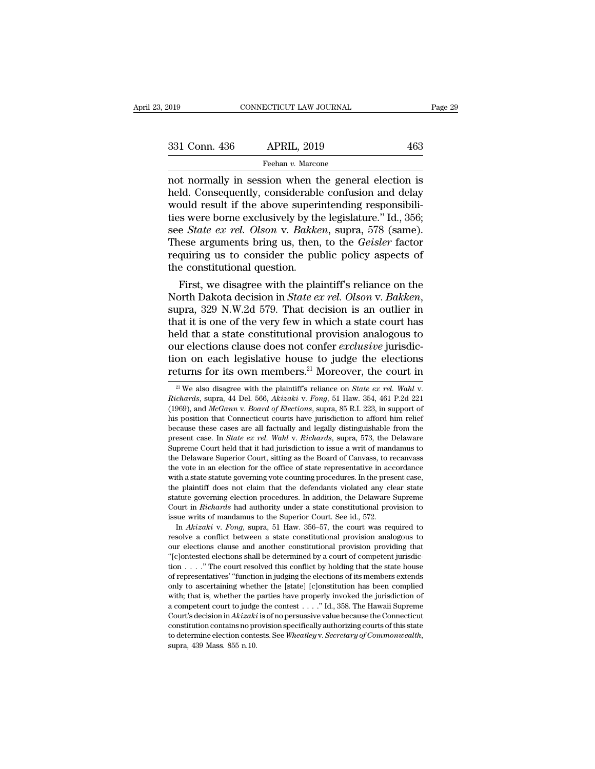| 2019          | CONNECTICUT LAW JOURNAL                                                                                                                                               | Page 29 |
|---------------|-----------------------------------------------------------------------------------------------------------------------------------------------------------------------|---------|
|               |                                                                                                                                                                       |         |
| 331 Conn. 436 | <b>APRIL, 2019</b>                                                                                                                                                    | 463     |
|               | Feehan v. Marcone                                                                                                                                                     |         |
|               | not normally in session when the general election is<br>held. Consequently, considerable confusion and delay<br>would recult if the above superintending responsibili |         |

 $\begin{array}{ll}\n 331 \text{ Conn. } 436 \quad \text{APRIL, } 2019 \quad \text{463} \\
 \text{Feehan } v. \text{ Marcone} \\
 \text{not normally in session when the general election is held. Consequently, considerable confusion and delay would result if the above superintending responsibility, the local structure, and the local structure of the other hand, the local structure of the first end.} \n\end{array}$ 331 Conn. 436 APRIL, 2019 463<br>
Feehan v. Marcone<br>
not normally in session when the general election is<br>
held. Consequently, considerable confusion and delay<br>
would result if the above superintending responsibili-<br>
ties we 331 Conn. 436 APRIL, 2019 463<br>
Feehan v. Marcone<br>
not normally in session when the general election is<br>
held. Consequently, considerable confusion and delay<br>
would result if the above superintending responsibili-<br>
ties we Feehan *v.* Marcone<br>
not normally in session when the general election is<br>
held. Consequently, considerable confusion and delay<br>
would result if the above superintending responsibili-<br>
ties were borne exclusively by the le Freehan *v*. Marcone<br>
not normally in session when the general election is<br>
held. Consequently, considerable confusion and delay<br>
would result if the above superintending responsibili-<br>
ties were borne exclusively by the l not normally in session when the general election is<br>held. Consequently, considerable confusion and delay<br>would result if the above superintending responsibili-<br>ties were borne exclusively by the legislature." Id., 356;<br>se held. Consequently, considerable would result if the above superities were borne exclusively by th see *State ex rel. Olson* v. *Bakke* These arguments bring us, then, requiring us to consider the put the constitutional q bould result if the above superintending responsibili-<br>
s were borne exclusively by the legislature." Id., 356;<br>
e *State ex rel. Olson* v. *Bakken*, supra, 578 (same).<br>
lese arguments bring us, then, to the *Geisler* fac thes were borne exclusively by the legislature." Id., 356;<br>see *State ex rel. Olson* v. *Bakken*, supra, 578 (same).<br>These arguments bring us, then, to the *Geisler* factor<br>requiring us to consider the public policy aspect

These arguments bring us, then, to the *Geisler* factor<br>requiring us to consider the public policy aspects of<br>the constitutional question.<br>First, we disagree with the plaintiff's reliance on the<br>North Dakota decision in *S* requiring us to consider the public policy aspects of<br>the constitutional question.<br>First, we disagree with the plaintiff's reliance on the<br>North Dakota decision in *State ex rel. Olson* v. *Bakken*,<br>supra, 329 N.W.2d 579. the constitutional question.<br>
First, we disagree with the plaintiff's reliance on the<br>
North Dakota decision in *State ex rel. Olson* v. *Bakken*,<br>
supra, 329 N.W.2d 579. That decision is an outlier in<br>
that it is one of t First, we disagree with the plaintiff's reliance on the<br>North Dakota decision in *State ex rel. Olson v. Bakken*,<br>supra, 329 N.W.2d 579. That decision is an outlier in<br>that it is one of the very few in which a state court North Dakota decision in *State ex rel. Olson* v. *Bakken*,<br>supra, 329 N.W.2d 579. That decision is an outlier in<br>that it is one of the very few in which a state court has<br>held that a state constitutional provision analog 21 Religions clause does not confer *exclusive* jurisdiction on each legislative house to judge the elections returns for its own members.<sup>21</sup> Moreover, the court in  $\frac{21}{10}$  We also disagree with the plaintiff's relian

the plantiful does not claim that the defendants violated any clear state<br>statute governing election procedures. In addition, the Delaware Supreme<br>Court in *Richards* had authority under a state constitutional provision to Court in *Richards* had authority under a state constitutional provision to issue writs of mandamus to the Superior Court. See id., 572. In *Akizaki* v. *Fong*, supra, 51 Haw. 356–57, the court was required to resolve a c tion . . . .'' The court resolved this conflict by holding that the state house Solution is of manufantus to the Superior Count. See Ra., 372.<br>In *Akizaki* v. *Fong*, supra, 51 Haw. 356–57, the court was required to<br>resolve a conflict between a state constitutional provision analogous to<br>our election In *Akkakk* v. *Fong*, supla, 51 Haw. 550–51, the court was required to<br>resolve a conflict between a state constitutional provision analogous to<br>our elections clause and another constitutional provision providing that<br>"[c resolve a conflict between a state constitutional provision analogous to<br>our elections clause and another constitutional provision providing that<br>"(clontested elections shall be determined by a court of competent jurisdic bout elections clause and another constitutional provision providing that "(c)ontested elections shall be determined by a court of competent jurisdiction . . . . " The court resolved this conflict by holding that the stat Court's decision in Akizaki is of no persuasive value because the Connection in  $\ldots$ ." The court resolved this conflict by holding that the state house of representatives' "function in judging the elections of its members from the court is connect by noning that the state house<br>of representatives' "function in judging the elections of its members extends<br>only to ascertaining whether the [state] [c]onstitution has been complied<br>with; that i of representatives Tunction in Judging the elections of its intenders extends<br>only to ascertaining whether the [state] [c]onstitution has been complied<br>with; that is, whether the parties have properly invoked the jurisdict

<sup>(1969),</sup> and *McGann* v. *Board of Elections*, supra, 85 R.I. 223, in support of the position that Connecticut courts have jurisdiction to afford him relief to the position that Connecticut courts have jurisdiction to affor From Social According that Connective House to Judge the efections<br>returns for its own members.<sup>21</sup> Moreover, the court in<br> $\frac{1}{2}$  We also disagree with the plaintiff's reliance on *State ex rel. Wahl v.*<br>*Richards*, su **PEUTING IOF 115 OWN MEMDETS.**<sup>21</sup> MOPEOVEP, the COUTT In all  $\frac{21}{N}$  We also disagree with the plaintiff's reliance on *State ex rel. Wahl v.*<br>*Richards*, supra, 44 Del. 566, *Akizaki v. Fong*, 51 Haw. 354, 461 P.2d 2 <sup>21</sup> We also disagree with the plaintiff's reliance on *State ex rel. Wahl* v. *Richards*, supra, 44 Del. 566, *Akizaki* v. *Fong*, 51 Haw. 354, 461 P.2d 221 (1969), and *McGann* v. *Board of Elections*, supra, 85 R.I. 22 We also ulsagree with the plantifies France on *State ex Fet. Wata V.*<br>Richards, supra, 44 Del. 566, Akizaki v. Fong, 51 Haw. 354, 461 P.2d 221<br>(1969), and McGann v. Board of Elections, supra, 85 R.I. 223, in support of<br>hi the Delaware Superior Court, sitting as the Board of Canvass, to recanvase these cases are all factually and legally distinguishable from the present case. In *State ex rel. Wahl v. Richards*, suppa, 573, the Delaware Supe (1909), and *incount v. Bourd of Bactions*, supra, 69 K.f. 225, in support of<br>his position that Connecticut courts have jurisdiction to afford him relief<br>because these cases are all factually and legally distinguishable f the position that connected counts have jurisdiction to anoto film reflered because these cases are all factually and legally distinguishable from the present case. In *State ex rel. Wahl* v. *Richards*, supra, 573, the D because these cases are an lactually and legally distinguishable from the<br>present case. In *State ex rel. Wahl* v. *Richards*, supra, 573, the Delaware<br>Supreme Court held that it had jurisdiction to issue a writ of mandamu Supreme Court held that it had jurisdiction to issue a writ of mandamus to the Delaware Superior Court, sitting as the Board of Canvass, to recanvass the vote in an election for the office of state representative in accord Supreme Court neta that it had jurisdiction to issue a writ of mandamus to<br>the Delaware Superior Court, sitting as the Board of Canvass, to recanvass<br>the vote in an election for the office of state representative in accord the Delaware Superior Court, sitting as the Board of Canvass, to recanvass the vote in an election for the office of state representative in accordance with a state statute governing vote counting procedures. In the prese In a state statute governing vote counting procedures. In the present case, e plaintiff does not claim that the defendants violated any clear state atute governing election procedures. In addition, the Delaware Supreme wur which state statute governing vote counting procedures. In the present case, the plaintiff does not claim that the defendants violated any clear state statute governing election procedures. In addition, the Delaware Suprem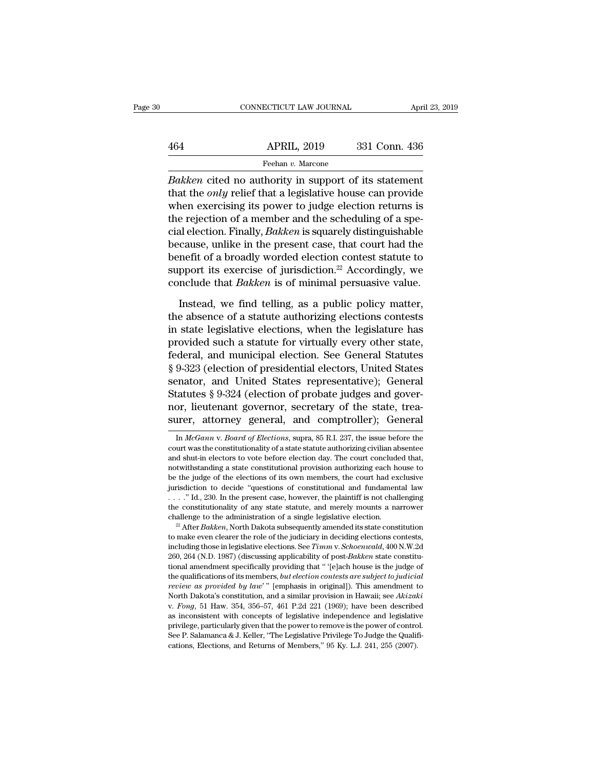# EXERCIT CONNECTICUT LAW JOURNAL April 23, 2019<br>464 APRIL, 2019 331 Conn. 436<br>Feehan v. Marcone Feehan *v.* Marcone

**EXECUTE CONNECTICUT LAW JOURNAL FORM**<br> **Bakken Bakken** cited no authority in support of its statement<br> **Bakken** cited no authority in support of its statement<br>
that the *only* relief that a legislative house can provide APRIL, 2019 331 Conn. 436<br>
Feehan *v*. Marcone<br> *Bakken* cited no authority in support of its statement<br>
that the *only* relief that a legislative house can provide<br>
when exercising its power to judge election returns is<br>  $\begin{array}{r}\n 464 \quad \text{APRIL, } 2019 \quad \text{331 Conn. } 436 \\
 \hline\n \text{Feehan } v. \text{ Marcone} \\
 \hline\n \text{Bakken cited no authority in support of its statement} \\
 \text{that the } only \text{ relief that a legislative house can provide when exercising its power to judge election returns is} \\
 \text{the rejection of a member and the scheduling of a special election.} \\
 \text{Finally, } \text{Bakken is equally distributed} \\
 \end{array}$  $\frac{\text{APRIL, 2019}}{\text{Feehan } v. \text{ Marcone}}$ <br>  $\frac{\text{Beaken cited no authority in support of its statement}}{\text{that the } only \text{ relief that a legislative house can provide when exercising its power to judge election returns is}$ the rejection of a member and the scheduling of a spe-<br>
cial election. Finally, *Bakken* is squarely distinguishable<br>
because, whilte in the Feehan v. Marcone<br>
Bakken cited no authority in support of its statement<br>
that the *only* relief that a legislative house can provide<br>
when exercising its power to judge election returns is<br>
the rejection of a member and t **Bakken cited no authority in support of its statement**<br>that the *only* relief that a legislative house can provide<br>when exercising its power to judge election returns is<br>the rejection of a member and the scheduling of a Bakken cited no authority in support of its statement<br>that the *only* relief that a legislative house can provide<br>when exercising its power to judge election returns is<br>the rejection of a member and the scheduling of a sp that the *only* relief that a legislative house can provide<br>when exercising its power to judge election returns is<br>the rejection of a member and the scheduling of a spe-<br>cial election. Finally, *Bakken* is squarely distin when exercising its power to judge election returns is<br>the rejection of a member and the scheduling of a spe-<br>cial election. Finally, *Bakken* is squarely distinguishable<br>because, unlike in the present case, that court had al election. Finally, *Bakken* is squarely distinguishable cause, unlike in the present case, that court had the nefit of a broadly worded election contest statute to pport its exercise of jurisdiction.<sup>22</sup> Accordingly, we because, unlike in the present case, that court had the<br>benefit of a broadly worded election contest statute to<br>support its exercise of jurisdiction.<sup>22</sup> Accordingly, we<br>conclude that *Bakken* is of minimal persuasive val

benefit of a broadly worded election contest statute to<br>support its exercise of jurisdiction.<sup>22</sup> Accordingly, we<br>conclude that *Bakken* is of minimal persuasive value.<br>Instead, we find telling, as a public policy matter, support its exercise of jurisdiction.<sup>22</sup> Accordingly, we conclude that *Bakken* is of minimal persuasive value.<br>Instead, we find telling, as a public policy matter, the absence of a statute authorizing elections contests Franchilde that *Bakken* is of minimal persuasive value.<br>
Instead, we find telling, as a public policy matter,<br>
the absence of a statute authorizing elections contests<br>
in state legislative elections, when the legislature Instead, we find telling, as a public policy matter,<br>the absence of a statute authorizing elections contests<br>in state legislative elections, when the legislature has<br>provided such a statute for virtually every other state, Instead, we find telling, as a public policy matter,<br>the absence of a statute authorizing elections contests<br>in state legislative elections, when the legislature has<br>provided such a statute for virtually every other state, the absence of a statute authorizing elections contests<br>in state legislative elections, when the legislature has<br>provided such a statute for virtually every other state,<br>federal, and municipal election. See General Statute in state legislative elections, when the legislature has<br>provided such a statute for virtually every other state,<br>federal, and municipal election. See General Statutes<br>§ 9-323 (election of presidential electors, United Sta provided such a statute for virtually every other state,<br>federal, and municipal election. See General Statutes<br>§ 9-323 (election of presidential electors, United States<br>senator, and United States representative); General<br> senator, and United States representative); General Statutes § 9-324 (election of probate judges and governor, lieutenant governor, secretary of the state, treasurer, attorney general, and comptroller); General In *McGann* Statutes § 9-324 (election of probate judges and governor, lieutenant governor, secretary of the state, treasurer, attorney general, and comptroller); General In  $McGann$  v. Board of Elections, supra, 85 R.I. 237, the issue

Instantion to decide questions of constitutional and initial<br>
...." Id., 230. In the present case, however, the plaintiff is not challenging<br>
the constitutionality of any state statute, and merely mounts a narrower<br>
challe 260, 264 (N.D. 1987) (discussing applicability of post-*Bakken* state constitutional and merely mounts a narrower challenge to the administration of a single legislative election.<br><sup>22</sup> After *Bakken*, North Dakota subsequ the constitutionally of any state statute, and interely mounts a narrower<br>challenge to the administration of a single legislative election.<br><sup>22</sup> After *Bakken*, North Dakota subsequently amended its state constitution<br>to channelige to the antihilistication of a single regislative election.<br><sup>22</sup> After *Bakken*, North Dakota subsequently amended its state constitution<br>to make even clearer the role of the judiciary in deciding elections cont *review as provided by law*. The assumed as state constitution<br>*review as exerciences* in legislative elections. See *Timm v. Schoenwald*, 400 N.W.2d<br>260, 264 (N.D. 1987) (discussing applicability of post-*Bakken* state co including those in legislative elections. See *Timm v. Schoenwald*, 400 N.W.2d 260, 264 (N.D. 1987) (discussing applicability of post-*Bakken* state constitutional amendment specifically providing that "[e]ach house is the 200, 204 (N.D. 1861) (uscussing applicability of post-Bukken state constitutional amendment specifically providing that " '[e]ach house is the judge of the qualifications of its members, *but election contests are subject* from a antendment specifically providing that  $\ell$  related nodes is the judge of the qualifications of its members, *but election contests are subject to judicial review as provided by law*" [emphasis in original]). This the qualifications of its intenders, *out election contests are subject to juard the review as provided by law*'" [emphasis in original]). This amendment to North Dakota's constitution, and a similar provision in Hawaii; s *Coleta as probated of that* [enphasis in originar]). This antendment is North Dakota's constitution, and a similar provision in Hawaii; see *Akizal* v. *Fong*, 51 Haw. 354, 356–57, 461 P.2d 221 (1969); have been describe

nor, lieutenant governor, secretary of the state, treasurer, attorney general, and comptroller); General In *McGann v. Board of Elections*, supra, 85 R.I. 237, the issue before the court was the constitutionality of a stat **EXECUTE SECUTE:** SUCTION, SECUTED, SUCTORY, SUCTORY, SUCTORY, SUCTORY, SUCTORY, SUPERTY, THE STATE STATE IN  $McGann$  v. *Board of Elections*, supra, 85 R.I. 237, the issue before the constitutionality of a state statute au **Surer, attorney general, and Comptromer); General**<br>In *McGann v. Board of Elections*, supra, 85 R.I. 237, the issue before the<br>court was the constitutionality of a state statute authorizing civilian absentee<br>and shut-in In *McGann* v. *Board of Elections*, supra, 85 R.I. 237, the issue before the court was the constitutionality of a state statute authorizing civilian absentee and shut-in electors to vote before election day. The court co In *McGuhh* v. *Bourt of Beettons*, supra,  $\omega$  in.1. 257, the issue before the court was the constitutionality of a state statute authorizing civilian absentee and shut-in electors to vote before election day. The court court was the constitutionally of a state statute attituding civiliant absentee<br>and shut-in electors to vote before election day. The court concluded that,<br>notwithstanding a state constitutional provision authorizing each and shut-in electors to vote before election tay. The court concluded that, notwithstanding a state constitutional provision authorizing each house to be the judge of the elections of its own members, the court had exclusi be the judge of the efections of its own intenders, the court had exclusive<br>jurisdiction to decide "questions of constitutional and fundamental law<br>..." Id., 230. In the present case, however, the plaintiff is not challen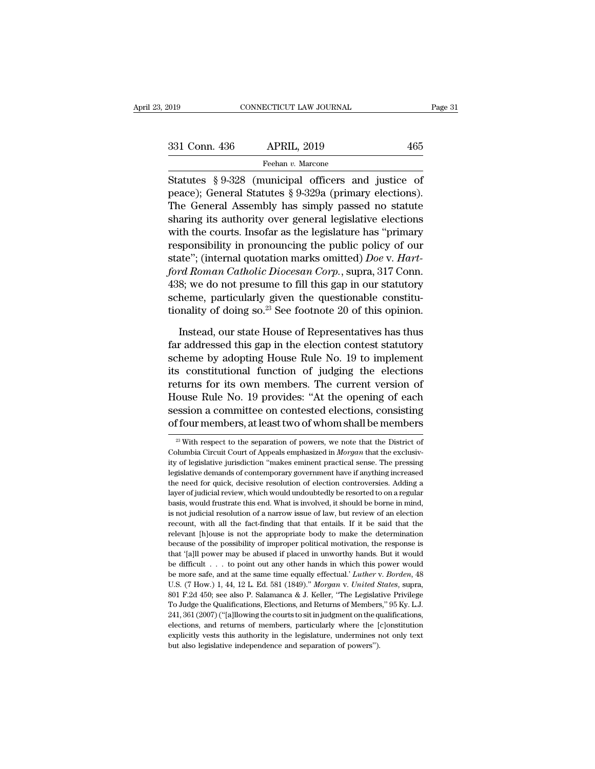| 331 Conn. 436 |  |
|---------------|--|
|               |  |

Fage 3.<br>
Statutes § 9-328 (municipal officers and justice of<br>
The Cancel of Statutes § 9-328 (municipal officers and justice of<br>
The Cancel Assembly has simply passed no statute 331 Conn. 436 APRIL, 2019 465<br>
Feehan v. Marcone<br>
Statutes § 9-328 (municipal officers and justice of peace); General Statutes § 9-329a (primary elections).<br>
The General Assembly has simply passed no statute 331 Conn. 436 APRIL, 2019 465<br>
Feehan v. Marcone<br>
Statutes § 9-328 (municipal officers and justice of<br>
peace); General Statutes § 9-329a (primary elections).<br>
The General Assembly has simply passed no statute<br>
sharing its 331 Conn. 436 APRIL, 2019 465<br>
Feehan v. Marcone<br>
Statutes § 9-328 (municipal officers and justice of<br>
peace); General Statutes § 9-329a (primary elections).<br>
The General Assembly has simply passed no statute<br>
sharing its Feehan v. Marcone<br>
Statutes § 9-328 (municipal officers and justice of<br>
peace); General Statutes § 9-329a (primary elections).<br>
The General Assembly has simply passed no statute<br>
sharing its authority over general legisla Frechan *t.* mateling<br>Statutes § 9-328 (municipal officers and justice of<br>peace); General Statutes § 9-329a (primary elections).<br>The General Assembly has simply passed no statute<br>sharing its authority over general legisla Statutes § 9-328 (municipal officers and justice of<br>peace); General Statutes § 9-329a (primary elections).<br>The General Assembly has simply passed no statute<br>sharing its authority over general legislative elections<br>with the peace); General Statutes § 9-329a (primary elections).<br>The General Assembly has simply passed no statute<br>sharing its authority over general legislative elections<br>with the courts. Insofar as the legislature has "primary<br>res The General Assembly has simply passed no statute<br>sharing its authority over general legislative elections<br>with the courts. Insofar as the legislature has "primary<br>responsibility in pronouncing the public policy of our<br>st sharing its authority over general legislative elections<br>with the courts. Insofar as the legislature has "primary<br>responsibility in pronouncing the public policy of our<br>state"; (internal quotation marks omitted) *Doe* v. with the courts. Insofar as the legislature has "primary<br>responsibility in pronouncing the public policy of our<br>state"; (internal quotation marks omitted) *Doe* v. *Hart-*<br>ford Roman Catholic Diocesan Corp., supra, 317 Con ate"; (internal quotation marks omitted) *Doe* v. Hart-<br>rd Roman Catholic Diocesan Corp., supra, 317 Conn.<br>8; we do not presume to fill this gap in our statutory<br>heme, particularly given the questionable constitu-<br>nality o ford Roman Catholic Diocesan Corp., supra, 317 Conn.<br>438; we do not presume to fill this gap in our statutory<br>scheme, particularly given the questionable constitu-<br>tionality of doing so.<sup>23</sup> See footnote 20 of this opinion

438; we do not presume to fill this gap in our statutory<br>scheme, particularly given the questionable constitu-<br>tionality of doing so.<sup>23</sup> See footnote 20 of this opinion.<br>Instead, our state House of Representatives has th scheme, particularly given the questionable constitu-<br>tionality of doing so.<sup>23</sup> See footnote 20 of this opinion.<br>Instead, our state House of Representatives has thus<br>far addressed this gap in the election contest statutor tionality of doing so.<sup>23</sup> See footnote 20 of this opinion.<br>Instead, our state House of Representatives has thus<br>far addressed this gap in the election contest statutory<br>scheme by adopting House Rule No. 19 to implement<br>it Instead, our state House of Representatives has thus<br>far addressed this gap in the election contest statutory<br>scheme by adopting House Rule No. 19 to implement<br>its constitutional function of judging the elections<br>returns f Instead, our state House of Representatives has thus<br>far addressed this gap in the election contest statutory<br>scheme by adopting House Rule No. 19 to implement<br>its constitutional function of judging the elections<br>returns f far addressed this gap in the election contest statutory<br>scheme by adopting House Rule No. 19 to implement<br>its constitutional function of judging the elections<br>returns for its own members. The current version of<br>House Rul Extracts for its own members. The current version of<br>ouse Rule No. 19 provides: "At the opening of each<br>ession a committee on contested elections, consisting<br>four members, at least two of whom shall be members<br> $\frac{23}{2}$  W House Rule No. 19 provides: "At the opening of each session a committee on contested elections, consisting of four members, at least two of whom shall be members  $\frac{2}{x}$  With respect to the separation of powers, we note

session a committee on contested elections, consisting<br>of four members, at least two of whom shall be members<br> $\frac{1}{\sqrt{2}}$  with respect to the separation of powers, we note that the District of<br>Columbia Circuit Court of Ap of four members, at least two of whom shall be members<br>
<sup>23</sup> With respect to the separation of powers, we note that the District of<br>
Columbia Circuit Court of Appeals emphasized in *Morgan* that the exclusiv-<br>
ity of legis or four fitentibers, at least two of witofit sitan be fitentibers<br>
<sup>23</sup> With respect to the separation of powers, we note that the District of<br>
Columbia Circuit Court of Appeals emphasized in *Morgan* that the exclusiv-<br>
i <sup>23</sup> With respect to the separation of powers, we note that the District of Columbia Circuit Court of Appeals emphasized in *Morgan* that the exclusivity of legislative jurisdiction "makes eminent practical sense. The pre Columbia Circuit Court of Appeals emphasized in *Morgan* that the exclusivity of legislative jurisdiction "makes eminent practical sense. The pressing legislative demands of contemporary government have if anything increas is not legislative jurisdiction "makes eminent practical sense. The pressing legislative demands of contemporary government have if anything increased the need for quick, decisive resolution of election controversies. Addi recount, with all the fact-finding that that entails. If it be said that the fleedy demands of contemporary government have if anything increased the need for quick, decisive resolution of election controversies. Adding a relevant (in the need for quick, decisive resolution of election controversies. Adding a layer of judicial review, which would undoubtedly be resorted to on a regular basis, would frustrate this end. What is involved, it s layer of judicial review, which would undoubtedly be resorted to on a regular basis, would frustrate this end. What is involved, it should be borne in mind, is not judicial resolution of a narrow issue of law, but review o that '[a]ll power may be abused if placed in unworthy hands. But it would depend in the fact-finding that that entails. If it be said that the relevant [h]ouse is not the appropriate body to make the determination because be difficult and the same three woulds of the same of law, but review of an election recount, with all the fact-finding that that entails. If it be said that the relevant [h]ouse is not the appropriate body to make the de be recount, with all the fact-finding that that entails. If it be said that the relevant [h]ouse is not the appropriate body to make the determination because of the possibility of improper political motivation, the respon recount, what all the tace many dual ends. It is to calculate the efferent in the relevant [h]ouse is not the appropriate body to make the determination because of the possibility of improper political motivation, the resp Exercial enforces of the possibility of improper political motivation, the response is that '[a]ll power may be abused if placed in unworthy hands. But it would be difficult  $\ldots$  to point out any other hands in which thi be difficult . . . to point out any other hands in unworthy hands. But it would<br>be difficult . . . to point out any other hands in which this power would<br>be more safe, and at the same time equally effectual.' *Luther* v. be difficult . . . to point out any other hands in which this power would<br>be more safe, and at the same time equally effectual.' *Luther* v. *Borden*, 48<br>U.S. (7 How.) 1, 44, 12 L. Ed. 581 (1849)." *Morgan* v. *United Stat* be more safe, and at the same time equally effectual.' *Luther* v. *Borden*, 48 U.S. (7 How.) 1, 44, 12 L. Ed. 581 (1849)." *Morgan v. United States*, supra, 801 F.2d 450; see also P. Salamanca & J. Keller, "The Legislativ U.S. (7 How.) 1, 44, 12 L. Ed. 581 (1849)." *Morgan v. United States*, supra, 801 F.2d 450; see also P. Salamanca & J. Keller, "The Legislative Privilege To Judge the Qualifications, Elections, and Returns of Members," 95 801 F.2d 450; see also P. Salamanca & J. Keller, "The Legislat To Judge the Qualifications, Elections, and Returns of Members 241, 361 (2007) ("[a]llowing the courts to sit in judgment on the quelotions, and returns of me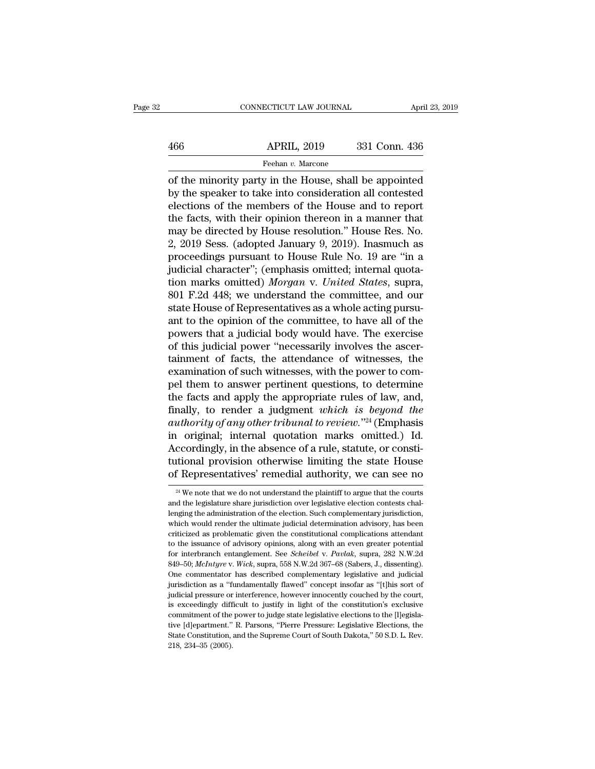# EXERCITE CONNECTICUT LAW JOURNAL April 23, 2019<br>466 APRIL, 2019 331 Conn. 436<br>Feehan v. Marcone Feehan *v.* Marcone

CONNECTICUT LAW JOURNAL April 23, 2019<br>  $\begin{array}{r}\n 466 \quad \text{APRIL, } 2019 \quad \text{331 Conn. } 436 \\
 \hline\n \text{Feehan } v. \text{ Marcone} \\
 \text{of the minority party in the House, shall be appointed} \\
 \text{by the speaker to take into consideration all contested} \\
 \text{electrons of the members of the House and to report}\n \end{array}$  $\begin{array}{ccc}\n & \text{APRIL, 2019} & \text{331 Conn. 436} \\
 \hline\n & \text{Feehan } v.\text{ Marcone} \\
 \hline\n \text{of the minority party in the House, shall be appointed} \\
 \text{by the speaker to take into consideration all contested} \\
 \text{elections of the members of the House and to report} \\
 \text{the fact, with their opinion theorem in a manner that}\n \end{array}$  $\begin{array}{c|c}\n 466 & \text{APRIL, } 2019 & 331 \text{ Conn. } 436 \\
 \hline\n\end{array}$ Feehan v. Marcone<br>
of the minority party in the House, shall be appointed<br>
by the speaker to take into consideration all contested<br>
elections of the members of the H  $\frac{\text{APRIL, 2019}}{\text{Feehan } v. \text{ Marcone}}$ <br>
of the minority party in the House, shall be appointed<br>
by the speaker to take into consideration all contested<br>
elections of the members of the House and to report<br>
the facts, with their Feehan *v*. Marcone<br>
of the minority party in the House, shall be appointed<br>
by the speaker to take into consideration all contested<br>
elections of the members of the House and to report<br>
the facts, with their opinion ther reenan *v*. Marcone<br>
of the minority party in the House, shall be appointed<br>
by the speaker to take into consideration all contested<br>
elections of the members of the House and to report<br>
the facts, with their opinion ther of the minority party in the House, shall be appointed<br>by the speaker to take into consideration all contested<br>elections of the members of the House and to report<br>the facts, with their opinion thereon in a manner that<br>may by the speaker to take into consideration all contested elections of the members of the House and to report the facts, with their opinion thereon in a manner that may be directed by House resolution." House Res. No. 2, 20 elections of the members of the House and to report<br>the facts, with their opinion thereon in a manner that<br>may be directed by House resolution." House Res. No.<br>2, 2019 Sess. (adopted January 9, 2019). Inasmuch as<br>proceedin the facts, with their opinion thereon in a manner that<br>may be directed by House resolution." House Res. No.<br>2, 2019 Sess. (adopted January 9, 2019). Inasmuch as<br>proceedings pursuant to House Rule No. 19 are "in a<br>judicial may be directed by House resolution." House Res. No.<br>2, 2019 Sess. (adopted January 9, 2019). Inasmuch as<br>proceedings pursuant to House Rule No. 19 are "in a<br>judicial character"; (emphasis omitted; internal quota-<br>tion mar 2, 2019 Sess. (adopted January 9, 2019). Inasmuch as<br>proceedings pursuant to House Rule No. 19 are "in a<br>judicial character"; (emphasis omitted; internal quota-<br>tion marks omitted) *Morgan* v. United States, supra,<br>801 F. proceedings pursuant to House Rule No. 19 are "in a<br>judicial character"; (emphasis omitted; internal quota-<br>tion marks omitted) *Morgan* v. United States, supra,<br>801 F.2d 448; we understand the committee, and our<br>state Hou judicial character"; (emphasis omitted; internal quotation marks omitted) *Morgan* v. *United States*, supra, 801 F.2d 448; we understand the committee, and our state House of Representatives as a whole acting pursuant to tion marks omitted) *Morgan* v. *United States*, supra, 801 F.2d 448; we understand the committee, and our state House of Representatives as a whole acting pursuant to the opinion of the committee, to have all of the power 801 F.2d 448; we understand the committee, and our state House of Representatives as a whole acting pursu-<br>ant to the opinion of the committee, to have all of the<br>powers that a judicial body would have. The exercise<br>of thi state House of Representatives as a whole acting pursu-<br>ant to the opinion of the committee, to have all of the<br>powers that a judicial body would have. The exercise<br>of this judicial power "necessarily involves the ascer-<br>t ant to the opinion of the committee, to have all of the powers that a judicial body would have. The exercise of this judicial power "necessarily involves the ascertainment of facts, the attendance of witnesses, the examin powers that a judicial body would have. The exercise<br>of this judicial power "necessarily involves the ascer-<br>tainment of facts, the attendance of witnesses, the<br>examination of such witnesses, with the power to com-<br>pel the of this judicial power "necessarily involves the ascertainment of facts, the attendance of witnesses, the examination of such witnesses, with the power to compel them to answer pertinent questions, to determine the facts a tainment of facts, the attendance of witnesses, the examination of such witnesses, with the power to compel them to answer pertinent questions, to determine the facts and apply the appropriate rules of law, and, finally, examination of such witnesses, with the power to compel them to answer pertinent questions, to determine<br>the facts and apply the appropriate rules of law, and,<br>finally, to render a judgment *which is beyond the*<br>*authorit* pel them to answer pertinent questions, to determine<br>the facts and apply the appropriate rules of law, and,<br>finally, to render a judgment *which is beyond the*<br>authority of any other tribunal to review."<sup>24</sup> (Emphasis<br>in o the facts and apply the appropriate rules of law, and,<br>finally, to render a judgment *which is beyond the*<br>*authority of any other tribunal to review.*<sup>724</sup> (Emphasis<br>in original; internal quotation marks omitted.) Id.<br>Ac in original; internal quotation marks omitted.) Id.<br>Accordingly, in the absence of a rule, statute, or constitutional provision otherwise limiting the state House<br>of Representatives' remedial authority, we can see no<br> $\frac{$ Accordingly, in the absence of a rule, statute, or constitutional provision otherwise limiting the state House of Representatives' remedial authority, we can see no  $\frac{24 \text{ We}}{4 \text{ We}}$  note that we do not understand the

tutional provision otherwise limiting the state House<br>of Representatives' remedial authority, we can see no<br><sup>24</sup> We note that we do not understand the plaintiff to argue that the courts<br>and the legislature share jurisdicti of Representatives' remedial authority, we can see no<br>  $\frac{24}{4}$  We note that we do not understand the plaintiff to argue that the courts<br>
and the legislature share jurisdiction over legislative election contests chal-<br> or Representatives Temecular additiontly, we can see no<br>
<sup>24</sup> We note that we do not understand the plaintiff to argue that the courts<br>
and the legislature share jurisdiction over legislative election contests chal-<br>
leng <sup>24</sup> We note that we do not understand the plaintiff to argue that the courts and the legislature share jurisdiction over legislative election contests challenging the administration of the election. Such complementary ju and the legislature share jurisdiction over legislative election contests challenging the administration of the election. Such complementary jurisdiction, which would render the ultimate judicial determination advisory, ha lenging the administration of the election. Such complementary jurisdiction, which would render the ultimate judicial determination advisory, has been criticized as problematic given the constitutional complications attend between two commentator that is determination advisory, has been eriticized as problematic given the constitutional complications attendant to the issuance of advisory opinions, along with an even greater potential for in criticized as problematic given the constitutional complications attendant<br>to the issuance of advisory opinions, along with an even greater potential<br>for interbranch entanglement. See *Scheibel* v. *Pavlak*, supra, 282 N. to the issuance of advisory opinions, along with an even greater potential<br>for interbranch entanglement. See *Scheibel* v. Pavlak, supra, 282 N.W.2d<br>849–50; *McIntyre* v. *Wick*, supra, 558 N.W.2d 367–68 (Sabers, J., disse for interbranch entanglement. See *Scheibel v. Pavlak*, supra, 282 N.W.2d 849–50; *McIntyre v. Wick*, supra, 558 N.W.2d 367–68 (Sabers, J., dissenting). One commentator has described complementary legislative and judicial commitment of the power to judge state legislative plections, the following of the power to find intrisdiction as a "fundamentally flaved" concept insofar as "[t]his sort of judicial jurisdiction as a "fundamentally flaved One commentator has described complementary legislative and judicial jurisdiction as a "fundamentally flawed" concept insofar as "[t]his sort of judicial pressure or interference, however innocently couched by the court, i intraction, as a "fundamentally flawed" concept insofar as "[t]his sort of judicial pressure or interference, however innocently couched by the court, is exceedingly difficult to justify in light of the constitution's excl Judicial pressure or<br>is exceedingly diff<br>commitment of the<br>commitment."<br>State Constitution,<br>218, 234–35 (2005).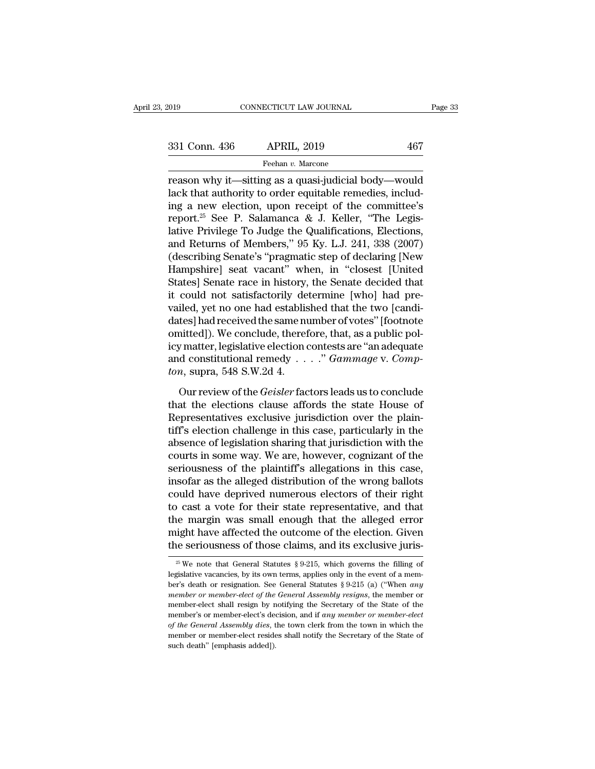reason why it—sitting as a quasi-judicial body—would<br>
reason why it—sitting as a quasi-judicial body—would<br>
reason why it—sitting as a quasi-judicial body—would<br>
lack that authority to order equitable remedies, including a 331 Conn. 436 APRIL, 2019 467<br>
Feehan v. Marcone<br>
reason why it—sitting as a quasi-judicial body—would<br>
lack that authority to order equitable remedies, includ-<br>
ing a new election, upon receipt of the committee's<br>
report 331 Conn. 436 APRIL, 2019 467<br>
Feehan v. Marcone<br>
reason why it—sitting as a quasi-judicial body—would<br>
lack that authority to order equitable remedies, includ-<br>
ing a new election, upon receipt of the committee's<br>
report 331 Conn. 436 APRIL, 2019 467<br>
Feehan v. Marcone<br>
reason why it—sitting as a quasi-judicial body—would<br>
lack that authority to order equitable remedies, includ-<br>
ing a new election, upon receipt of the committee's<br>
report Feehan *v*. Marcone<br>
reason why it—sitting as a quasi-judicial body—would<br>
lack that authority to order equitable remedies, includ-<br>
ing a new election, upon receipt of the committee's<br>
report.<sup>25</sup> See P. Salamanca & J. Ke Feenan v. Marcone<br>
reason why it—sitting as a quasi-judicial body—would<br>
lack that authority to order equitable remedies, includ-<br>
ing a new election, upon receipt of the committee's<br>
report.<sup>25</sup> See P. Salamanca & J. Kel reason why it—sitting as a quasi-judicial body—would<br>lack that authority to order equitable remedies, includ-<br>ing a new election, upon receipt of the committee's<br>report.<sup>25</sup> See P. Salamanca & J. Keller, "The Legis-<br>lative lack that authority to order equitable remedies, includ-<br>ing a new election, upon receipt of the committee's<br>report.<sup>25</sup> See P. Salamanca & J. Keller, "The Legis-<br>lative Privilege To Judge the Qualifications, Elections,<br>an ing a new election, upon receipt of the committee's<br>report.<sup>25</sup> See P. Salamanca & J. Keller, "The Legis-<br>lative Privilege To Judge the Qualifications, Elections,<br>and Returns of Members," 95 Ky. L.J. 241, 338 (2007)<br>(descr report.<sup>25</sup> See P. Salamanca & J. Keller, "The Legis-<br>lative Privilege To Judge the Qualifications, Elections,<br>and Returns of Members," 95 Ky. L.J. 241, 338 (2007)<br>(describing Senate's "pragmatic step of declaring [New<br>Ham lative Privilege To Judge the Qualifications, Elections,<br>and Returns of Members," 95 Ky. L.J. 241, 338 (2007)<br>(describing Senate's "pragmatic step of declaring [New<br>Hampshire] seat vacant" when, in "closest [United<br>States] and Returns of Members," 95 Ky. L.J. 241, 338 (2007)<br>(describing Senate's "pragmatic step of declaring [New<br>Hampshire] seat vacant" when, in "closest [United<br>States] Senate race in history, the Senate decided that<br>it could (describing Senate's "pragmatic step of declaring [New Hampshire] seat vacant" when, in "closest [United States] Senate race in history, the Senate decided that it could not satisfactorily determine [who] had prevailed, ye Hampshire] seat vacant" when, in "closest [United States] Senate race in history, the Senate decided that it could not satisfactorily determine [who] had prevailed, yet no one had established that the two [candidates] had States] Senate race in history, the Senate decided that<br>it could not satisfactorily determine [who] had pre-<br>vailed, yet no one had established that the two [candi-<br>dates] had received the same number of votes" [footnote<br>o it could not satisfactorily de<br>vailed, yet no one had establis<br>dates] had received the same no<br>omitted]). We conclude, theref<br>icy matter, legislative election of<br>and constitutional remedy . .<br>*ton*, supra, 548 S.W.2d 4.<br>Ou Less had received the same number of votes" [footnote<br>tes] had received the same number of votes" [footnote<br>interd]). We conclude, therefore, that, as a public pol-<br>y matter, legislative election contests are "an adequate<br> omitted]). We conclude, therefore, that, as a public pol-<br>icy matter, legislative election contests are "an adequate<br>and constitutional remedy  $\ldots$ ." *Gammage* v. *Comp-*<br>*ton*, supra, 548 S.W.2d 4.<br>Our review of the *Ge* 

Example in the settlement of the contests are "an adequate<br>and constitutional remedy  $\ldots$ ." *Gammage* v. *Compton*, supra, 548 S.W.2d 4.<br>Our review of the *Geisler* factors leads us to conclude<br>that the elections clause and constitutional remedy  $\ldots$ ." Gammage v. Compton, supra, 548 S.W.2d 4.<br>Our review of the *Geisler* factors leads us to conclude<br>that the elections clause affords the state House of<br>Representatives exclusive jurisdicti Frame Consumers, 1998 S.W.2d 4.<br>
Our review of the *Geisler* factors leads us to conclude<br>
that the elections clause affords the state House of<br>
Representatives exclusive jurisdiction over the plain-<br>
tiff's election chall Court review of the *Geisler* factors leads us to conclude<br>that the elections clause affords the state House of<br>Representatives exclusive jurisdiction over the plain-<br>tiff's election challenge in this case, particularly in Our review of the *Geisler* factors leads us to conclude<br>that the elections clause affords the state House of<br>Representatives exclusive jurisdiction over the plain-<br>tiff's election challenge in this case, particularly in t that the elections clause affords the state House of<br>Representatives exclusive jurisdiction over the plain-<br>tiff's election challenge in this case, particularly in the<br>absence of legislation sharing that jurisdiction with Representatives exclusive jurisdiction over the plain-<br>tiff's election challenge in this case, particularly in the<br>absence of legislation sharing that jurisdiction with the<br>courts in some way. We are, however, cognizant of tiff's election challenge in this case, particularly in the<br>absence of legislation sharing that jurisdiction with the<br>courts in some way. We are, however, cognizant of the<br>seriousness of the plaintiff's allegations in this absence of legislation sharing that jurisdiction with the courts in some way. We are, however, cognizant of the seriousness of the plaintiff's allegations in this case, insofar as the alleged distribution of the wrong ball courts in some way. We are, however, cognizant of the<br>seriousness of the plaintiff's allegations in this case,<br>insofar as the alleged distribution of the wrong ballots<br>could have deprived numerous electors of their right<br>t seriousness of the plaintiff's allegations in this case, insofar as the alleged distribution of the wrong ballots could have deprived numerous electors of their right to cast a vote for their state representative, and tha 25 Cast a vote for their state representative, and that the margin was small enough that the alleged error ight have affected the outcome of the election. Given the seriousness of those claims, and its exclusive juris-<br><sup>2</sup> the margin was small enough that the alleged error might have affected the outcome of the election. Given the seriousness of those claims, and its exclusive juris-<br><sup>25</sup> We note that General Statutes § 9-215, which governs

might have affected the outcome of the election. Given<br>the seriousness of those claims, and its exclusive juris-<br> $\frac{1}{20}$  We note that General Statutes § 9-215, which governs the filling of<br>legislative vacancies, by its *member of those claims, and its exclusive juris*<br><sup>25</sup> We note that General Statutes § 9-215, which governs the filling of<br>legislative vacancies, by its own terms, applies only in the event of a mem-<br>ber's death or resigna <sup>25</sup> We note that General Statutes § 9-215, which governs the filling of legislative vacancies, by its own terms, applies only in the event of a member's death or resignation. See General Statutes § 9-215 (a) ("When *any* <sup>25</sup> We note that General Statutes § 9-215, which governs the filling of legislative vacancies, by its own terms, applies only in the event of a member's death or resignation. See General Statutes § 9-215 (a) ("When *any of the General Satures*, the fine of a member's death or resignation. See General Statutes § 9-215 (a) ("When *any* member's death or resignation. See General Assembly resigns, the member or member-elect shall resign by n ber's death or resignation. See General Statutes § 9-215 (a) ("When *any* member or member-elect of the General Assembly resigns, the member or member-elect shall resign by notifying the Secretary of the State of the membe member or member-elect of the<br>member or member-elect of the<br>member's or member-elect's death<br>of the General Assembly dies, t<br>member or member-elect reside<br>such death" [emphasis added]).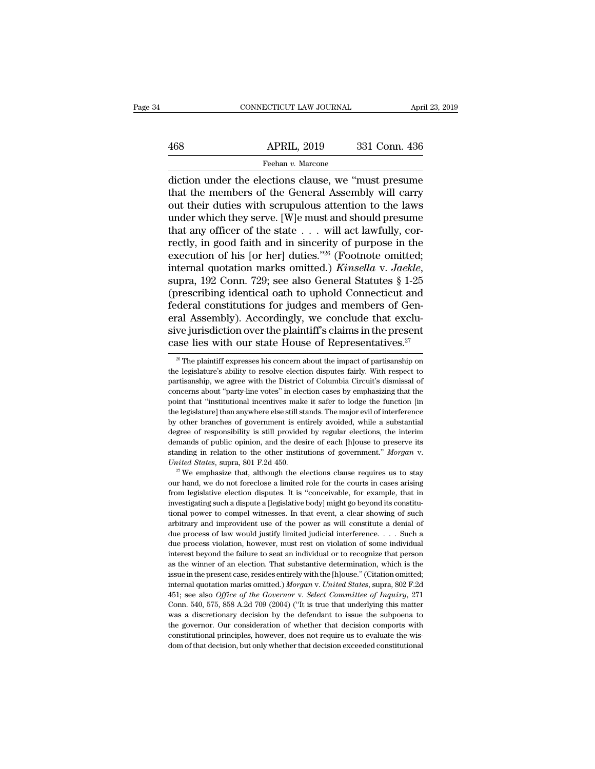# EXERCIT CONNECTICUT LAW JOURNAL April 23, 2019<br>468 APRIL, 2019 331 Conn. 436<br>Feehan v. Marcone Feehan *v.* Marcone

CONNECTICUT LAW JOURNAL April 23, 2019<br>
468 APRIL, 2019 331 Conn. 436<br>
Feehan v. Marcone<br>
diction under the elections clause, we "must presume<br>
that the members of the General Assembly will carry<br>
out their duties with scr 468 APRIL, 2019 331 Conn. 436<br>
Feehan v. Marcone<br>
diction under the elections clause, we "must presume<br>
that the members of the General Assembly will carry<br>
out their duties with scrupulous attention to the laws<br>
under whi  $\begin{array}{c|c} \text{APRIL, 2019} & \text{331 Conn. 436} \\ \hline \text{Feehan } v. \text{ Marcone} \\ \hline \text{diction under the electrons clause, we "must pressure} \\ \text{that the members of the General Assembly will carry out their duties with scrupulous attention to the laws under which they serve. [W]e must and should pressure that any officer of the state. } \begin{array}{c|c} \text{will act by fully.} \\ \end{array}$  $\frac{\text{APRIL, 2019}}{\text{Feehan } v. \text{ Marcone}}$ <br>
diction under the elections clause, we "must presume<br>
that the members of the General Assembly will carry<br>
out their duties with scrupulous attention to the laws<br>
under which they serve. Freehan v. Marcone<br>
diction under the elections clause, we "must presume<br>
that the members of the General Assembly will carry<br>
out their duties with scrupulous attention to the laws<br>
under which they serve. [W]e must and rechan v. Marcone<br>diction under the elections clause, we "must presume<br>that the members of the General Assembly will carry<br>out their duties with scrupulous attention to the laws<br>under which they serve. [W]e must and shoul diction under the elections clause, we "must presume<br>that the members of the General Assembly will carry<br>out their duties with scrupulous attention to the laws<br>under which they serve. [W]e must and should presume<br>that any that the members of the General Assembly will carry<br>out their duties with scrupulous attention to the laws<br>under which they serve. [W]e must and should presume<br>that any officer of the state . . . will act lawfully, cor-<br>re under which they serve. [W]e must and should presume<br>that any officer of the state . . . will act lawfully, cor-<br>rectly, in good faith and in sincerity of purpose in the<br>execution of his [or her] duties."<sup>26</sup> (Footnote om that any officer of the state  $\ldots$  will act lawfully, correctly, in good faith and in sincerity of purpose in the execution of his [or her] duties."<sup>26</sup> (Footnote omitted; internal quotation marks omitted.) *Kinsella* v. rectly, in good faith and in sincerity of purpose in the execution of his [or her] duties."<sup>26</sup> (Footnote omitted; internal quotation marks omitted.) *Kinsella v. Jaekle*, supra, 192 Conn. 729; see also General Statutes § execution of his [or her] duties."<sup>26</sup> (Footnote omitted;<br>internal quotation marks omitted.) *Kinsella v. Jaekle*,<br>supra, 192 Conn. 729; see also General Statutes § 1-25<br>(prescribing identical oath to uphold Connecticut a internal quotation marks omitted.) *Kinsella* v. *Jaekle*, supra, 192 Conn. 729; see also General Statutes § 1-25 (prescribing identical oath to uphold Connecticut and federal constitutions for judges and members of Gener deral constitutions for judges and members of Gen-<br>cal Assembly). Accordingly, we conclude that exclu-<br>ve jurisdiction over the plaintiff's claims in the present<br>ase lies with our state House of Representatives.<sup>27</sup><br><sup>28</sup> T eral Assembly). Accordingly, we conclude that exclusive jurisdiction over the plaintiff's claims in the present case lies with our state House of Representatives.<sup>27</sup><br><sup>26</sup> The plaintiff expresses his concern about the imp

sive jurisdiction over the plaintiff's claims in the present case lies with our state House of Representatives.<sup>27</sup><br>
<sup>26</sup> The plaintiff expresses his concern about the impact of partisanship on the legislature's ability t case lies with our state House of Representatives.<sup>27</sup><br>
<sup>26</sup> The plaintiff expresses his concern about the impact of partisanship on<br>
the legislature's ability to resolve election disputes fairly. With respect to<br>
partisa Case Hes WITT OUT state HOUSE OF Representatives.<br>
<sup>26</sup> The plaintiff expresses his concern about the impact of partisanship on<br>
the legislature's ability to resolve election disputes fairly. With respect to<br>
partisanship <sup>26</sup> The plaintiff expresses his concern about the impact of partisanship on the legislature's ability to resolve election disputes fairly. With respect to partisanship, we agree with the District of Columbia Circuit's di the legislature's ability to resolve election disputes fairly. With respect to partisanship, we agree with the District of Columbia Circuit's dismissal of concerns about "party-line votes" in election cases by emphasizing partisanship, we agree with the District of Columbia Circuit's dismissal of concerns about "party-line votes" in election cases by emphasizing that the point that "institutional incentives make it safer to lodge the functi concerns about "party-line votes" in election cases by emphasizing that the point that "institutional incentives make it safer to lodge the function [in the legislature] than anywhere else still stands. The major evil of point that "institutional incentives make it safer to lodge the function [in the legislature] than anywhere else still stands. The major evil of interference by other branches of government is entirely avoided, while a sub degree of responsibility is still provided by regular elections, the interim<br>demands of public opinion, and the desire of each [h]ouse to preserve its<br>standing in relation to the other institutions of government." *Morgan* 

demands of public opinion, and the desire of each [h]ouse to preserve its standing in relation to the other institutions of government." *Morgan* v. *United States*, supra, 801 F.2d 450.<br><sup>27</sup> We emphasize that, although t demands of public opinion, and the desire of each [h]ouse to preserve its standing in relation to the other institutions of government." *Morgan* v. *United States*, supra, 801 F.2d 450.<br><sup>27</sup> We emphasize that, although t United States, supra, 801 F.2d 450.<br>
<sup>27</sup> We emphasize that, although the elections clause requires us to stay<br>
our hand, we do not foreclose a limited role for the courts in cases arising<br>
from legislative election dispu <sup>27</sup> We emphasize that, although the elections clause requires us to stay our hand, we do not foreclose a limited role for the courts in cases arising from legislative election disputes. It is "conceivable, for example, t our hand, we do not foreclose a limited role for the courts in cases arising from legislative election disputes. It is "conceivable, for example, that in investigating such a dispute a [legislative body] might go beyond it from legislative election disputes. It is "conceivable, for example, that in investigating such a dispute a [legislative body] might go beyond its constitutional power to compel witnesses. In that event, a clear showing o investigating such a dispute a [legislative body] might go beyond its constitutional power to compel witnesses. In that event, a clear showing of such arbitrary and improvident use of the power as will constitute a denial as the winner of an election. That substantive determination, which is the winner and inprovident use of the power as will constitute a denial of due process of law would justify limited judicial interference. . . . Such a arbitrary and improvident use of the power as will constitute a denial of due process of law would justify limited judicial interference. . . . Such a due process violation, however, must rest on violation of some individ dubled process of law would justify limited judicial interference. . . . Such a due process violation, however, must rest on violation of some individual interest beyond the failure to seat an individual or to recognize th due process of *law boald*, however, must rest on violation of some individual interest beyond the failure to seat an individual or to recognize that person as the winner of an election. That substantive determination, w interest beyond the failure to seat an individual or to recognize that person<br>insterest beyond the failure to seat an individual or to recognize that person<br>as the winner of an election. That substantive determination, whi as the winner of an election. That substantive determination, which is the sissue in the present case, resides entirely with the [h]ouse." (Citation omitted; internal quotation marks omitted.) *Morgan v. United States*, s issue in the present case, resides entirely with the [h]ouse." (Citation omitted; internal quotation marks omitted.) *Morgan v. United States*, supra, 802 F.2d 451; see also *Office of the Governor v. Select Committee of* internal quotation marks omitted.) *Morgan v. United States*, supra, 802 F.2d 451; see also *Office of the Governor v. Select Committee of Inquiry*, 271 Conn. 540, 575, 858 A.2d 709 (2004) ("It is true that underlying thi 451; see also *Office of the Governor v. Select Committee of Inquiry*, 271 Conn. 540, 575, 858 A.2d 709 (2004) ("It is true that underlying this matter was a discretionary decision by the defendant to issue the subpoena t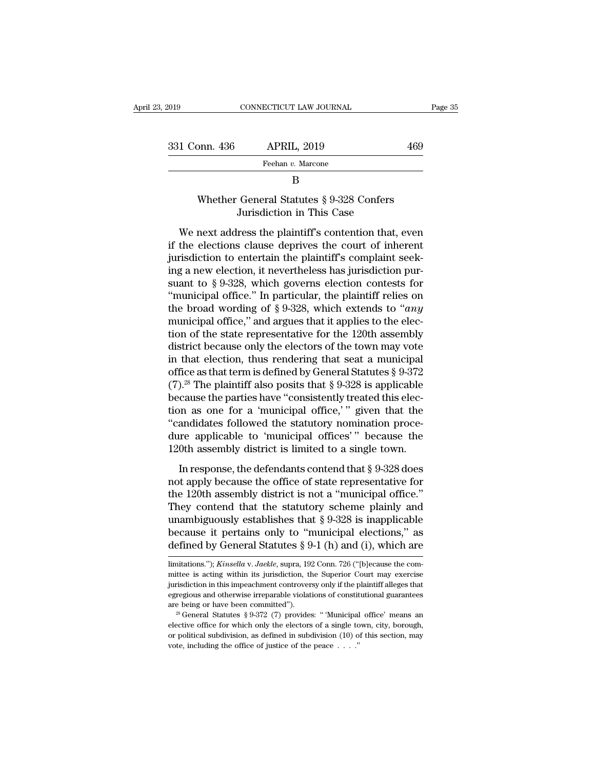| 23, 2019      | CONNECTICUT LAW JOURNAL                                               |     | Page 35 |
|---------------|-----------------------------------------------------------------------|-----|---------|
|               |                                                                       |     |         |
| 331 Conn. 436 | <b>APRIL, 2019</b>                                                    | 469 |         |
|               | Feehan v. Marcone                                                     |     |         |
|               | B                                                                     |     |         |
|               | Whether General Statutes § 9-328 Confers<br>Jurisdiction in This Case |     |         |
|               | We next address the plaintiff's contention that, even                 |     |         |

Feehan v. Marcone<br>
B<br>
Whether General Statutes  $\S 9$ -328 Confers<br>
Jurisdiction in This Case<br>
We next address the plaintiff's contention that, even<br>
the elections clause deprives the court of inherent<br>
risdiction to entert B<br>
B<br>
Whether General Statutes § 9-328 Confers<br>
Jurisdiction in This Case<br>
We next address the plaintiff's contention that, even<br>
if the elections clause deprives the court of inherent<br>
jurisdiction to entertain the plaint B<br>Whether General Statutes § 9-328 Confers<br>Jurisdiction in This Case<br>We next address the plaintiff's contention that, even<br>if the elections clause deprives the court of inherent<br>jurisdiction to entertain the plaintiff's c Whether General Statutes  $\S$  9-328 Confers<br>Jurisdiction in This Case<br>We next address the plaintiff's contention that, even<br>if the elections clause deprives the court of inherent<br>jurisdiction to entertain the plaintiff's c Jurisdiction in This Case<br>Jurisdiction in This Case<br>We next address the plaintiff's contention that, even<br>if the elections clause deprives the court of inherent<br>jurisdiction to entertain the plaintiff's complaint seek-<br>in We next address the plaintiff's contention that, even<br>if the elections clause deprives the court of inherent<br>jurisdiction to entertain the plaintiff's complaint seek-<br>ing a new election, it nevertheless has jurisdiction p We next address the plaintiff's contention that, even<br>if the elections clause deprives the court of inherent<br>jurisdiction to entertain the plaintiff's complaint seek-<br>ing a new election, it nevertheless has jurisdiction p if the elections clause deprives the court of inherent<br>jurisdiction to entertain the plaintiff's complaint seek-<br>ing a new election, it nevertheless has jurisdiction pur-<br>suant to § 9-328, which governs election contests jurisdiction to entertain the plaintiff's complaint seeking a new election, it nevertheless has jurisdiction pursuant to § 9-328, which governs election contests for "municipal office." In particular, the plaintiff relies ing a new election, it nevertheless has jurisdiction pursuant to § 9-328, which governs election contests for "municipal office." In particular, the plaintiff relies on the broad wording of § 9-328, which extends to "*any* suant to § 9-328, which governs election contests for<br>
"municipal office." In particular, the plaintiff relies on<br>
the broad wording of § 9-328, which extends to "*any*<br>
municipal office," and argues that it applies to th "municipal office." In particular, the plaintiff relies on<br>the broad wording of § 9-328, which extends to "*any*<br>municipal office," and argues that it applies to the elec-<br>tion of the state representative for the 120th as the broad wording of § 9-328, which extends to "*any* municipal office," and argues that it applies to the election of the state representative for the 120th assembly district because only the electors of the town may vot municipal office," and argues that it applies to the election of the state representative for the 120th assembly<br>district because only the electors of the town may vote<br>in that election, thus rendering that seat a municip tion of the state representative for the 120th assembly<br>district because only the electors of the town may vote<br>in that election, thus rendering that seat a municipal<br>office as that term is defined by General Statutes § 9 district because only the electors of the town may vote<br>in that election, thus rendering that seat a municipal<br>office as that term is defined by General Statutes § 9-372<br>(7).<sup>28</sup> The plaintiff also posits that § 9-328 is in that election, thus rendering that seat a municipal<br>office as that term is defined by General Statutes § 9-372<br>(7).<sup>28</sup> The plaintiff also posits that § 9-328 is applicable<br>because the parties have "consistently treate % office as that term is defined by General Statutes § 9-372 (7).<sup>28</sup> The plaintiff also posits that § 9-328 is applicable because the parties have "consistently treated this election as one for a 'municipal office,' " gi The parametries have "consistently treated this election as one for a 'municipal office,' " given that the andidates followed the statutory nomination proce-<br>re applicable to 'municipal offices' " because the 0th assembly Focalist the parties rate consistency," given that the "candidates followed the statutory nomination proce-<br>dure applicable to 'municipal offices'" because the<br>120th assembly district is limited to a single town.<br>In respo

"candidates followed the statutory nomination procedure applicable to 'municipal offices'" because the 120th assembly district is limited to a single town.<br>In response, the defendants contend that  $\S 9{\text -}328$  does not ap dure applicable to 'municipal offices'" because the<br>120th assembly district is limited to a single town.<br>In response, the defendants contend that § 9-328 does<br>not apply because the office of state representative for<br>the 1 120th assembly district is limited to a single town.<br>
In response, the defendants contend that § 9-328 does<br>
not apply because the office of state representative for<br>
the 120th assembly district is not a "municipal office In response, the defendants contend that  $\S 9-328$  does<br>not apply because the office of state representative for<br>the 120th assembly district is not a "municipal office."<br>They contend that the statutory scheme plainly and<br> In response, the defendants contend that § 9-328 does<br>not apply because the office of state representative for<br>the 120th assembly district is not a "municipal office."<br>They contend that the statutory scheme plainly and<br>un They contend that the statutory scheme plainly and<br>unambiguously establishes that  $\S 9-328$  is inapplicable<br>because it pertains only to "municipal elections," as<br>defined by General Statutes  $\S 9-1$  (h) and (i), which are<br> unambiguously establishes that § 9-328 is inapplicable<br>because it pertains only to "municipal elections," as<br>defined by General Statutes § 9-1 (h) and (i), which are<br>limitations."); *Kinsella v. Jaekle*, supra, 192 Conn.

because it pertains only to "municipal elections," as<br>defined by General Statutes § 9-1 (h) and (i), which are<br>limitations."); *Kinsella v. Jaekle*, supra, 192 Conn. 726 ("[b]ecause the com-<br>mittee is acting within its ju defined by General Statutes § 9-1 (h) and (i), which are<br>
limitations."); *Kinsella* v. *Jaekle*, supra, 192 Conn. 726 ("[b]ecause the com-<br>
mittee is acting within its jurisdiction, the Superior Court may exercise<br>
juris are being or have been committed' by Serieral Statutes § 9-1 (11) and (1), which are<br>limitations."); *Kinsella* v. *Jaekle*, supra, 192 Conn. 726 ("[b]ecause the committee is acting within its jurisdiction, the Superior C mittee is acting within its jurisdiction, the Superior Court may exercise<br>jurisdiction in this impeachment controversy only if the plaintiff alleges that<br>egregious and otherwise irreparable violations of constitutional gu

invision in this impeachment controversy only if the plaintiff alleges that egregious and otherwise irreparable violations of constitutional guarantees are being or have been committed").<br>
<sup>28</sup> General Statutes § 9-372 (7 egregious and otherwise irreparable violations of constitute of egregious and otherwise irreparable violations of constitution are being or have been committed").<br>
<sup>28</sup> General Statutes § 9-372 (7) provides: "Municipal el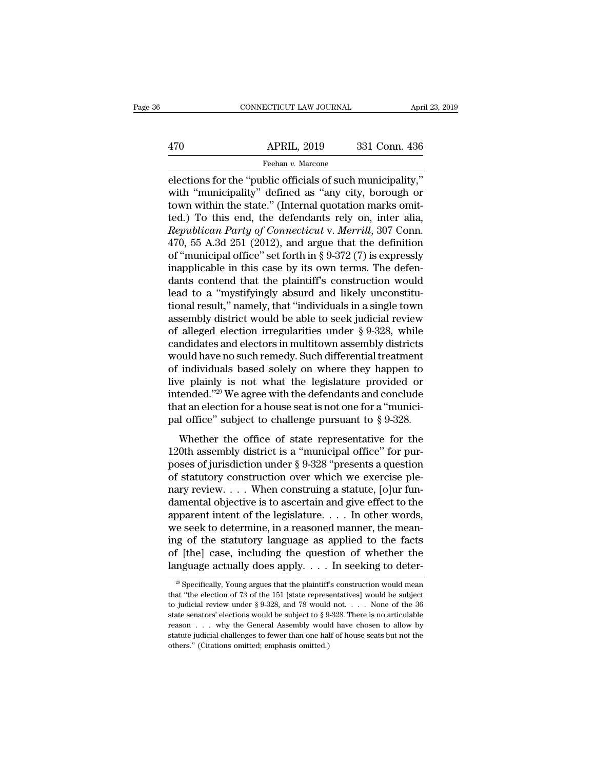# EXERCIT CONNECTICUT LAW JOURNAL April 23, 2019<br>470 APRIL, 2019 331 Conn. 436<br>Feehan v. Marcone Feehan *v.* Marcone

 $\begin{tabular}{ll} \multicolumn{1}{l}{{\text{CONRECTICUT LAW JOURNAL}}} & \multicolumn{1}{l}{\text{April 23, 2}}\\ \hline & \multicolumn{1}{l}{\text{APRIL, 2019}} & \multicolumn{1}{l}{\text{331 Conn. 436}}\\ \hline \multicolumn{1}{l}{\text{Feehan }v.\text{ Marcone}}\\ \hline \end{tabular}$ APRIL, 2019 331 Conn. 436<br>
Feehan v. Marcone<br>
elections for the "public officials of such municipality,"<br>
with "municipality" defined as "any city, borough or<br>
town within the state." (Internal quotation marks omit-<br>
tod).  $\frac{\text{APRIL, 2019}}{\text{Feehan } v \cdot \text{Marcone}}$ <br>
elections for the "public officials of such municipality,"<br>
with "municipality" defined as "any city, borough or<br>
town within the state." (Internal quotation marks omit-<br>
ted.) To this e  $\begin{array}{ll}\n & \text{APRIL, 2019} & \text{331 Conn. 436} \\
 \hline\n & \text{Feehan } v. \text{ Marcone} \\
 \hline\n \end{array}$ <br>
elections for the "public officials of such municipality,"<br>
with "municipality" defined as "any city, borough or<br>
town within the state." (Internal qu *Republican Party of Connections for the "public officials of such municipality,"*<br>
with "municipality" defined as "any city, borough or<br>
town within the state." (Internal quotation marks omit-<br>
ted.) To this end, the defe Freehan v. Marcone<br>
elections for the "public officials of such municipality,"<br>
with "municipality" defined as "any city, borough or<br>
town within the state." (Internal quotation marks omit-<br>
ted.) To this end, the defenda elections for the "public officials of such municipality,"<br>with "municipality" defined as "any city, borough or<br>town within the state." (Internal quotation marks omit-<br>ted.) To this end, the defendants rely on, inter alia with "municipality" defined as "any city, borough or<br>town within the state." (Internal quotation marks omit-<br>ted.) To this end, the defendants rely on, inter alia,<br>*Republican Party of Connecticut v. Merrill*, 307 Conn.<br>47 town within the state." (Internal quotation marks omit-<br>ted.) To this end, the defendants rely on, inter alia,<br>*Republican Party of Connecticut v. Merrill*, 307 Conn.<br>470, 55 A.3d 251 (2012), and argue that the definition ted.) To this end, the defendants rely on, inter alia,<br>*Republican Party of Connecticut v. Merrill*, 307 Conn.<br>470, 55 A.3d 251 (2012), and argue that the definition<br>of "municipal office" set forth in § 9-372 (7) is expres Republican Party of Connecticut v. Merrill, 307 Conn.<br>470, 55 A.3d 251 (2012), and argue that the definition<br>of "municipal office" set forth in § 9-372 (7) is expressly<br>inapplicable in this case by its own terms. The defe 470, 55 A.3d 251 (2012), and argue that the definition<br>of "municipal office" set forth in § 9-372 (7) is expressly<br>inapplicable in this case by its own terms. The defen-<br>dants contend that the plaintiff's construction wou of "municipal office" set forth in § 9-372 (7) is expressly<br>inapplicable in this case by its own terms. The defen-<br>dants contend that the plaintiff's construction would<br>lead to a "mystifyingly absurd and likely unconstitu inapplicable in this case by its own terms. The defendants contend that the plaintiff's construction would<br>lead to a "mystifyingly absurd and likely unconstitu-<br>tional result," namely, that "individuals in a single town<br>as dants contend that the plaintiff's construction would<br>lead to a "mystifyingly absurd and likely unconstitu-<br>tional result," namely, that "individuals in a single town<br>assembly district would be able to seek judicial review lead to a "mystifyingly absurd and likely unconstitutional result," namely, that "individuals in a single town<br>assembly district would be able to seek judicial review<br>of alleged election irregularities under § 9-328, while tional result," namely, that "individuals in a single town<br>assembly district would be able to seek judicial review<br>of alleged election irregularities under § 9-328, while<br>candidates and electors in multitown assembly distr assembly district would be able to seek judicial review<br>of alleged election irregularities under  $\S$  9-328, while<br>candidates and electors in multitown assembly districts<br>would have no such remedy. Such differential treatm of alleged election irregularities under  $\S$  9-328, while candidates and electors in multitown assembly districts would have no such remedy. Such differential treatment of individuals based solely on where they happen to candidates and electors in multitown assembly districts<br>would have no such remedy. Such differential treatment<br>of individuals based solely on where they happen to<br>live plainly is not what the legislature provided or<br>inten individuals based solely on where they happen to<br>re plainly is not what the legislature provided or<br>tended."<sup>29</sup> We agree with the defendants and conclude<br>at an election for a house seat is not one for a "munici-<br>I office be plainly is not what the legislature provided or intended."<sup>29</sup> We agree with the defendants and conclude that an election for a house seat is not one for a "municipal office" subject to challenge pursuant to  $\S 9-328$ .

more plantly is not what the regislature provided of<br>intended."<sup>29</sup> We agree with the defendants and conclude<br>that an election for a house seat is not one for a "munici-<br>pal office" subject to challenge pursuant to § 9-32 that an election for a house seat is not one for a "munici-<br>pal office" subject to challenge pursuant to § 9-328.<br>Whether the office of state representative for the<br>120th assembly district is a "municipal office" for purpal office" subject to challenge pursuant to  $\S$  9-328.<br>Whether the office of state representative for the<br>120th assembly district is a "municipal office" for pur-<br>poses of jurisdiction under  $\S$  9-328 "presents a questio Whether the office of state representative for the 120th assembly district is a "municipal office" for purposes of jurisdiction under § 9-328 "presents a question of statutory construction over which we exercise ple-<br>nary Whether the office of state representative for the 120th assembly district is a "municipal office" for purposes of jurisdiction under § 9-328 "presents a question of statutory construction over which we exercise plenary r 120th assembly district is a "municipal office" for purposes of jurisdiction under  $\S 9-328$  "presents a question of statutory construction over which we exercise plenary review.... When construing a statute, [o]ur fundam poses of jurisdiction under § 9-328 "presents a question<br>of statutory construction over which we exercise ple-<br>nary review. . . . When construing a statute, [o]ur fun-<br>damental objective is to ascertain and give effect to of statutory construction over which we exercise ple-<br>nary review. . . . When construing a statute, [o]ur fun-<br>damental objective is to ascertain and give effect to the<br>apparent intent of the legislature. . . . In other w nary review. . . . When construing a statute, [o]ur fun-<br>damental objective is to ascertain and give effect to the<br>apparent intent of the legislature. . . . In other words,<br>we seek to determine, in a reasoned manner, the we seek to determine, in a reasoned manner, the meaning of the statutory language as applied to the facts of [the] case, including the question of whether the language actually does apply. . . . In seeking to deter-<br> $\frac{1$ ing of the statutory language as applied to the facts<br>of [the] case, including the question of whether the<br>language actually does apply. . . . In seeking to deter-<br> $\frac{1}{20}$  Specifically, Young argues that the plaintiff'

of [the] case, including the question of whether the language actually does apply. . . . In seeking to deter-<br><sup>29</sup> Specifically, Young argues that the plaintiff's construction would mean that "the election of 73 of the 15 **Example 3** Specifically does apply. . . . In seeking to deter-<br><sup>29</sup> Specifically, Young argues that the plaintiff's construction would mean<br>that "the election of 73 of the 151 [state representatives] would be subject<br>to Example 20 deter-<br>
<sup>29</sup> Specifically, Young argues that the plaintiff's construction would mean<br>
that "the election of 73 of the 151 [state representatives] would be subject<br>
to judicial review under § 9-328, and 78 would <sup>29</sup> Specifically, Young argues that the plaintiff's construction would mean that "the election of 73 of the 151 [state representatives] would be subject to judicial review under § 9-328, and 78 would not. . . . None of t to judicial review under  $\S 9-328$ , and 78 would not. . . . None of the 36 state senators' elections would be subject to  $\S 9-328$ . There is no articulable reason . . . why the General Assembly would have chosen to allow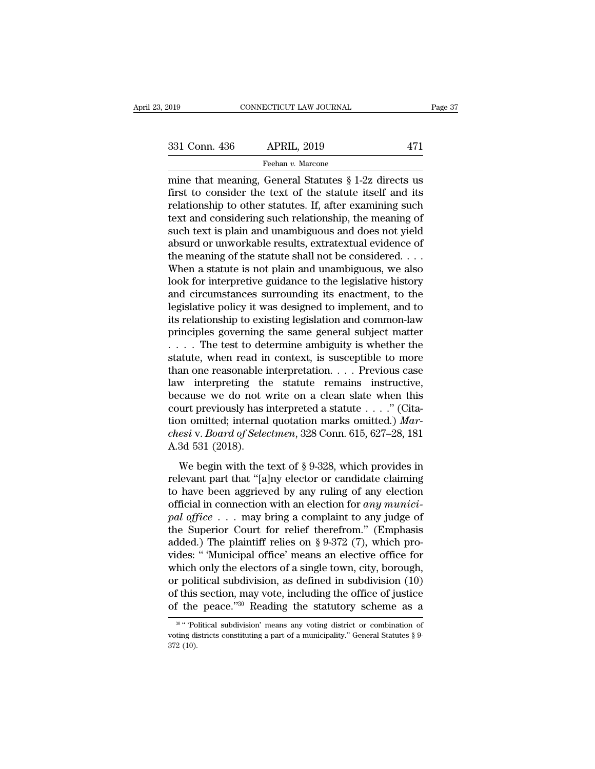mine that meaning, General Statutes § 1-2z directs us<br>
mine that meaning, General Statutes § 1-2z directs us<br>
first to consider the text of the statute itself and its<br>
relationship to other statutes of after examining suc 331 Conn. 436 APRIL, 2019 471<br>
Feehan v. Marcone<br>
mine that meaning, General Statutes § 1-2z directs us<br>
first to consider the text of the statute itself and its<br>
relationship to other statutes. If, after examining such<br> 331 Conn. 436 APRIL, 2019 471<br>
Feehan v. Marcone<br>
mine that meaning, General Statutes  $\S 1$ -2z directs us<br>
first to consider the text of the statute itself and its<br>
relationship to other statutes. If, after examining such 331 Conn. 436 APRIL, 2019 471<br>
Feehan v. Marcone<br>
mine that meaning, General Statutes § 1-2z directs us<br>
first to consider the text of the statute itself and its<br>
relationship to other statutes. If, after examining such<br> Feehan  $v$ . Marcone<br>
mine that meaning, General Statutes  $\S$  1-2z directs us<br>
first to consider the text of the statute itself and its<br>
relationship to other statutes. If, after examining such<br>
text and considering such r Freenan v. Marcone<br>
mine that meaning, General Statutes § 1-2z directs us<br>
first to consider the text of the statute itself and its<br>
relationship to other statutes. If, after examining such<br>
text and considering such rela mine that meaning, General Statutes  $\S$  1-2z directs us<br>first to consider the text of the statute itself and its<br>relationship to other statutes. If, after examining such<br>text and considering such relationship, the meaning first to consider the text of the statute itself and its<br>relationship to other statutes. If, after examining such<br>text and considering such relationship, the meaning of<br>such text is plain and unambiguous and does not yield relationship to other statutes. If, after examining such<br>text and considering such relationship, the meaning of<br>such text is plain and unambiguous and does not yield<br>absurd or unworkable results, extratextual evidence of<br>t text and considering such relationship, the meaning of<br>such text is plain and unambiguous and does not yield<br>absurd or unworkable results, extratextual evidence of<br>the meaning of the statute shall not be considered. . . .<br> such text is plain and unambiguous and does not yield<br>absurd or unworkable results, extratextual evidence of<br>the meaning of the statute shall not be considered. . . .<br>When a statute is not plain and unambiguous, we also<br>lo absurd or unworkable results, extratextual evidence of<br>the meaning of the statute shall not be considered. . . .<br>When a statute is not plain and unambiguous, we also<br>look for interpretive guidance to the legislative histo the meaning of the statute shall not be considered. . . . When a statute is not plain and unambiguous, we also look for interpretive guidance to the legislative history and circumstances surrounding its enactment, to the When a statute is not plain and unambiguous, we also<br>look for interpretive guidance to the legislative history<br>and circumstances surrounding its enactment, to the<br>legislative policy it was designed to implement, and to<br>it look for interpretive guidance to the legislative history<br>and circumstances surrounding its enactment, to the<br>legislative policy it was designed to implement, and to<br>its relationship to existing legislation and common-law and circumstances surrounding its enactment, to the<br>legislative policy it was designed to implement, and to<br>its relationship to existing legislation and common-law<br>principles governing the same general subject matter<br> $\dots$ legislative policy it was designed to implement, and to<br>its relationship to existing legislation and common-law<br>principles governing the same general subject matter<br> $\dots$ . The test to determine ambiguity is whether the<br>sta its relationship to existing legislation and common-law<br>principles governing the same general subject matter<br> $\dots$  The test to determine ambiguity is whether the<br>statute, when read in context, is susceptible to more<br>than o principles governing the same general subject matter .... The test to determine ambiguity is whether the statute, when read in context, is susceptible to more than one reasonable interpretation.... Previous case law inter .... The test to determine ambiguity is whether the statute, when read in context, is susceptible to more than one reasonable interpretation.... Previous case law interpreting the statute remains instructive, because we d statute, when read in context, is susceptible to more<br>than one reasonable interpretation. . . . Previous case<br>law interpreting the statute remains instructive,<br>because we do not write on a clean slate when this<br>court previ than one reasonable i<br>law interpreting th<br>because we do not v<br>court previously has i<br>tion omitted; internal<br>*chesi* v. *Board of Selee*<br>A.3d 531 (2018).<br>We begin with the t metrpreads are statute formally instructive,<br>cause we do not write on a clean slate when this<br>urt previously has interpreted a statute  $\ldots$ ." (Cita-<br>esi v. Board of Selectmen, 328 Conn. 615, 627–28, 181<br>3d 531 (2018).<br>We count previously has interpreted a statute  $\ldots$ ." (Citation omitted; internal quotation marks omitted.) *Marchesi* v. *Board of Selectmen*, 328 Conn. 615, 627–28, 181<br>A.3d 531 (2018).<br>We begin with the text of § 9-328, w

to multion omitted; internal quotation marks omitted.) *Marchesiv. Board of Selectmen*, 328 Conn. 615, 627–28, 181<br>A.3d 531 (2018).<br>We begin with the text of § 9-328, which provides in<br>relevant part that "[a]ny elector or chesi v. Board of Selectmen, 328 Conn. 615, 627–28, 181<br>A.3d 531 (2018).<br>We begin with the text of § 9-328, which provides in<br>relevant part that "[a]ny elector or candidate claiming<br>to have been aggrieved by any ruling of A.3d 531 (2018).<br> **A.3d 531 (2018).**<br>
We begin with the text of § 9-328, which provides in<br>
relevant part that "[a]ny elector or candidate claiming<br>
to have been aggrieved by any ruling of any election<br>
official in connec We begin with the text of § 9-328, which provides in<br>relevant part that "[a]ny elector or candidate claiming<br>to have been aggrieved by any ruling of any election<br>official in connection with an election for *any munici-*<br>p We begin with the text of § 9-328, which provides in relevant part that "[a]ny elector or candidate claiming to have been aggrieved by any ruling of any election official in connection with an election for *any municipal* relevant part that "[a]ny elector or candidate claiming<br>to have been aggrieved by any ruling of any election<br>official in connection with an election for *any munici-*<br>pal office  $\ldots$  may bring a complaint to any judge of to have been aggrieved by any ruling of any election<br>official in connection with an election for *any munici-*<br>pal office . . . may bring a complaint to any judge of<br>the Superior Court for relief therefrom." (Emphasis<br>add official in connection with an election for *any munici-*<br>pal office . . . may bring a complaint to any judge of<br>the Superior Court for relief therefrom." (Emphasis<br>added.) The plaintiff relies on § 9-372 (7), which pro-<br> pal office . . . may bring a complaint to any judge of<br>the Superior Court for relief therefrom." (Emphasis<br>added.) The plaintiff relies on § 9-372 (7), which pro-<br>vides: " Municipal office' means an elective office for<br>wh the Superior Court for relief therefrom." (Emphasis added.) The plaintiff relies on § 9-372 (7), which provides: "Municipal office' means an elective office for which only the electors of a single town, city, borough, or fuch only the electors of a single town, city, borough,<br>
it political subdivision, as defined in subdivision (10)<br>
if this section, may vote, including the office of justice<br>
if the peace."<sup>30</sup> Reading the statutory schem or political subdivision, as defined in subdivision (10) of this section, may vote, including the office of justice of the peace.''<sup>30</sup> Reading the statutory scheme as a  $\frac{1}{2}$  w.'' Political subdivision' means any vot

of this<br>of the<br> $\frac{30 \text{ m} \cdot \text{p}_0}{1000}$ <br> $\frac{372}{100}$ .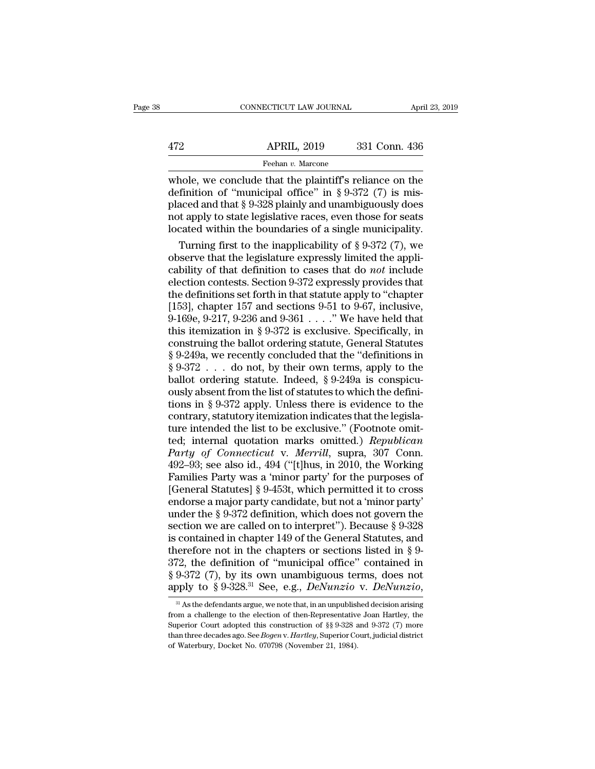## EXERCITE CONNECTICUT LAW JOURNAL April 23, 2019<br>472 APRIL, 2019 331 Conn. 436<br>Feehan v. Marcone Feehan *v.* Marcone

CONNECTICUT LAW JOURNAL April 23, 2019<br>  $\begin{array}{r}\n 472 \quad \text{APRIL, } 2019 \quad \text{331 Conn. } 436 \\
 \hline\n \text{Feehan } v. \text{ Marcone} \\
 \text{whole, we conclude that the plaintiff's reliance on the definition of "municipal office" in § 9-372 (7) is mis-  
placed and that § 9-328 playing and unambituous values does\n\end{array}$ 472 APRIL, 2019 331 Conn. 436<br>
Feehan v. Marcone<br>
whole, we conclude that the plaintiff's reliance on the<br>
definition of "municipal office" in § 9-372 (7) is mis-<br>
placed and that § 9-328 plainly and unambiguously does<br>
n APRIL, 2019 331 Conn. 436<br>
Feehan v. Marcone<br>
whole, we conclude that the plaintiff's reliance on the<br>
definition of "municipal office" in § 9-372 (7) is mis-<br>
placed and that § 9-328 plainly and unambiguously does<br>
not a APRIL, 2019 331 Conn. 436<br>
Feehan v. Marcone<br>
whole, we conclude that the plaintiff's reliance on the<br>
definition of "municipal office" in § 9-372 (7) is mis-<br>
placed and that § 9-328 plainly and unambiguously does<br>
not a From v. Marchellocated with the boundaries of a single municipality.<br>
The boundaries of the behavior of "municipal office" in § 9-372 (7) is mis-<br>
placed and that § 9-328 plainly and unambiguously does<br>
not apply to state Turning first to the plaintiff's reliance on the<br>finition of "municipal office" in § 9-372 (7) is mis-<br>aced and that § 9-328 plainly and unambiguously does<br>it apply to state legislative races, even those for seats<br>cated w whole, we conclude that the plaintiff's reliance on the<br>definition of "municipal office" in §9-372 (7) is mis-<br>placed and that §9-328 plainly and unambiguously does<br>not apply to state legislative races, even those for sea

definition of "municipal office" in § 9-372 (7) is mis-<br>placed and that § 9-328 plainly and unambiguously does<br>not apply to state legislative races, even those for seats<br>located within the boundaries of a single municipali placed and that § 9-328 plainly and unambiguously does<br>not apply to state legislative races, even those for seats<br>located within the boundaries of a single municipality.<br>Turning first to the inapplicability of § 9-372 (7) not apply to state legislative races, even those for seats<br>located within the boundaries of a single municipality.<br>Turning first to the inapplicability of  $\S 9-372$  (7), we<br>observe that the legislature expressly limited t located within the boundaries of a single municipality.<br>
Turning first to the inapplicability of § 9-372 (7), we<br>
observe that the legislature expressly limited the appli-<br>
cability of that definition to cases that do *no* Turning first to the inapplicability of § 9-372 (7), we<br>observe that the legislature expressly limited the appli-<br>cability of that definition to cases that do *not* include<br>election contests. Section 9-372 expressly provi % observe that the legislature expressly limited the applicability of that definition to cases that do *not* include<br>election contests. Section 9-372 expressly provides that<br>the definitions set forth in that statute apply cability of that definition to cases that do *not* include<br>election contests. Section 9-372 expressly provides that<br>the definitions set forth in that statute apply to "chapter<br>[153], chapter 157 and sections 9-51 to 9-67, election contests. Section 9-372 expressly provides that<br>the definitions set forth in that statute apply to "chapter<br>[153], chapter 157 and sections 9-51 to 9-67, inclusive,<br>9-169e, 9-217, 9-236 and 9-361 . . . . " We hav the definitions set forth in that statute apply to "chapter [153], chapter 157 and sections 9-51 to 9-67, inclusive, 9-169e, 9-217, 9-236 and 9-361 . . . . " We have held that this itemization in § 9-372 is exclusive. Spe [153], chapter 157 and sections 9-51 to 9-67, inclusive,<br>9-169e, 9-217, 9-236 and 9-361 . . . ." We have held that<br>this itemization in § 9-372 is exclusive. Specifically, in<br>construing the ballot ordering statute, General 9-169e, 9-217, 9-236 and 9-361 . . . ." We have held that<br>this itemization in § 9-372 is exclusive. Specifically, in<br>construing the ballot ordering statute, General Statutes<br>§ 9-249a, we recently concluded that the "defin this itemization in § 9-372 is exclusive. Specifically, in<br>construing the ballot ordering statute, General Statutes<br>§ 9-249a, we recently concluded that the "definitions in<br>§ 9-372 . . . do not, by their own terms, apply construing the ballot ordering statute, General Statutes  $\S 9-249a$ , we recently concluded that the "definitions in  $\S 9-372$  . . . do not, by their own terms, apply to the ballot ordering statute. Indeed,  $\S 9-249a$  is c  $\S$  9-249a, we recently concluded that the "definitions in  $\S$  9-372 . . . do not, by their own terms, apply to the ballot ordering statute. Indeed,  $\S$  9-249a is conspicuously absent from the list of statutes to which th  $\S 9-372$  . . . do not, by their own terms, apply to the ballot ordering statute. Indeed,  $\S 9-249a$  is conspicuously absent from the list of statutes to which the definitions in  $\S 9-372$  apply. Unless there is evidence ballot ordering statute. Indeed, § 9-249a is conspicu-<br>ously absent from the list of statutes to which the defini-<br>tions in § 9-372 apply. Unless there is evidence to the<br>contrary, statutory itemization indicates that the ously absent from the list of statutes to which the defini-<br>tions in § 9-372 apply. Unless there is evidence to the<br>contrary, statutory itemization indicates that the legisla-<br>ture intended the list to be exclusive." (Foot tions in § 9-372 apply. Unless there is evidence to the contrary, statutory itemization indicates that the legislature intended the list to be exclusive." (Footnote omitted; internal quotation marks omitted.) *Republican* contrary, statutory itemization indicates that the legisla-<br>ture intended the list to be exclusive." (Footnote omit-<br>ted; internal quotation marks omitted.) *Republican*<br>*Party of Connecticut v. Merrill*, supra, 307 Conn.<br> ture intended the list to be exclusive." (Footnote omit-<br>ted; internal quotation marks omitted.) *Republican*<br>*Party of Connecticut v. Merrill*, supra, 307 Conn.<br>492–93; see also id., 494 ("[t]hus, in 2010, the Working<br>Fa ted; internal quotation marks omitted.) *Republican*<br>*Party of Connecticut v. Merrill*, supra, 307 Conn.<br>492–93; see also id., 494 ("[t]hus, in 2010, the Working<br>Families Party was a 'minor party' for the purposes of<br>[Gene Party of Connecticut v. Merrill, supra, 307 Conn.<br>492–93; see also id., 494 ("[t]hus, in 2010, the Working<br>Families Party was a 'minor party' for the purposes of<br>[General Statutes] § 9-453t, which permitted it to cross<br>end 492–93; see also id., 494 ("[t]hus, in 2010, the Working<br>Families Party was a 'minor party' for the purposes of<br>[General Statutes] § 9-453t, which permitted it to cross<br>endorse a major party candidate, but not a 'minor pa Families Party was a 'minor party' for the purposes of<br>
[General Statutes] § 9-453t, which permitted it to cross<br>
endorse a major party candidate, but not a 'minor party'<br>
under the § 9-372 definition, which does not gove [General Statutes] § 9-453t, which permitted it to cross<br>endorse a major party candidate, but not a 'minor party'<br>under the § 9-372 definition, which does not govern the<br>section we are called on to interpret"). Because § endorse a major party candidate, but not a 'minor party'<br>under the § 9-372 definition, which does not govern the<br>section we are called on to interpret"). Because § 9-328<br>is contained in chapter 149 of the General Statutes under the § 9-372 definition, which does not govern the section we are called on to interpret"). Because § 9-328 is contained in chapter 149 of the General Statutes, and therefore not in the chapters or sections listed in erefore not in the chapters or sections listed in § 9-<br>72, the definition of "municipal office" contained in<br>9-372 (7), by its own unambiguous terms, does not<br>oply to § 9-328.<sup>31</sup> See, e.g., *DeNunzio* v. *DeNunzio*,<br><sup>31</sup> 372, the definition of "municipal office" contained in § 9-372 (7), by its own unambiguous terms, does not apply to § 9-328.<sup>31</sup> See, e.g., *DeNunzio* v. *DeNunzio*,  $\frac{31}{4}$  As the defendants argue, we note that, in an

<sup>§ 9-372 (7),</sup> by its own unambiguous terms, does not apply to § 9-328.<sup>31</sup> See, e.g., *DeNunzio* v. *DeNunzio*, <sup>31</sup> As the defendants argue, we note that, in an unpublished decision arising from a challenge to the electio apply to § 9-328.<sup>31</sup> See, e.g., *DeNunzio* v. *DeNunzio*,<br><sup>31</sup> As the defendants argue, we note that, in an unpublished decision arising<br>from a challenge to the election of then-Representative Joan Hartley, the<br>Superior C <sup>31</sup> As the defendants argue, we note that, in an unpublished decision arising from a challenge to the election of then-Representative Joan Hartley, the Superior Court adopted this construction of §§ 9-328 and 9-372 (7) m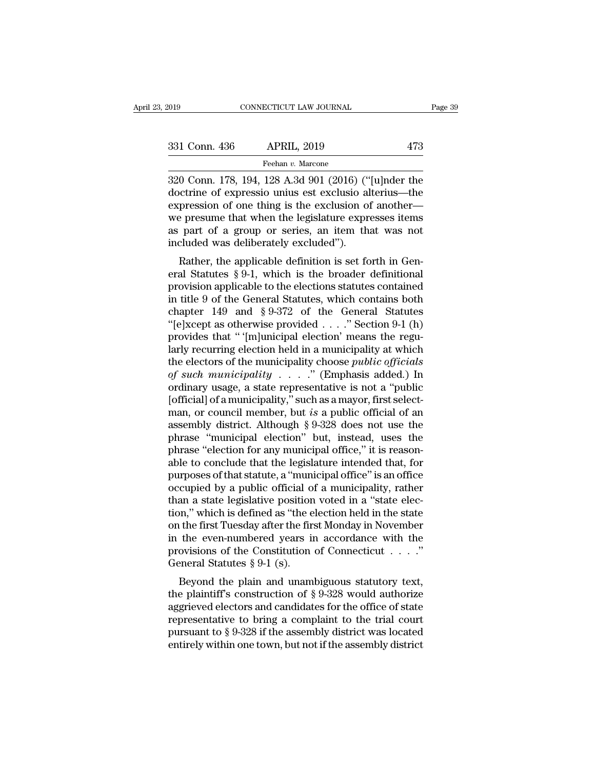| 2019          | CONNECTICUT LAW JOURNAL                                                                                                                                               | Page 39 |
|---------------|-----------------------------------------------------------------------------------------------------------------------------------------------------------------------|---------|
| 331 Conn. 436 | <b>APRIL, 2019</b>                                                                                                                                                    | 473     |
|               | Feehan v. Marcone                                                                                                                                                     |         |
|               | 320 Conn. 178, 194, 128 A.3d 901 (2016) ("[u]nder the<br>doctrine of expressio unius est exclusio alterius—the<br>expression of one thing is the exclusion of another |         |

 $\begin{array}{c|l} \n 331 \text{ Conn. } 436 \quad & \text{APRIL, } 2019 \quad & \text{473} \\
 \hline \text{Feehan } v. \text{ Marcone} \n 320 \text{ Conn. } 178, 194, 128 \text{ A.}3d 901 (2016) ("[u]nder the  
doctrine of expression units est exclusion. The expression of one thing is the exclusion of another—  
two pressure that when the logistic two expresses items.$ 331 Conn. 436 APRIL, 2019 473<br>
Feehan v. Marcone<br>
320 Conn. 178, 194, 128 A.3d 901 (2016) ("[u]nder the<br>
doctrine of expression unius est exclusion of another—<br>
we presume that when the legislature expresses items<br>
as par 331 Conn. 436 APRIL, 2019 473<br>
Feehan v. Marcone<br>
320 Conn. 178, 194, 128 A.3d 901 (2016) ("[u]nder the<br>
doctrine of expressio unius est exclusio alterius—the<br>
expression of one thing is the exclusion of another—<br>
we pres Feehan v. Marcone<br>  $\overline{320}$  Conn. 178, 194, 128 A.3d 901 (2016) ("[u]nder the<br>
doctrine of expressio unius est exclusio alterius—the<br>
expression of one thing is the exclusion of another—<br>
we presume that when the legisl Freehan v. Marcone<br>
320 Conn. 178, 194, 128 A.3d 901 (2016) ("<br>
doctrine of expressio unius est exclusio al<br>
expression of one thing is the exclusion of<br>
we presume that when the legislature expr<br>
as part of a group or ser b Colli. 176, 194, 128 A.5d 901 (2010) ( [u] pluer the excrite of expressio unius est exclusio alterius—the pression of one thing is the exclusion of another—<br>e presume that when the legislature expresses items part of a expression of one thing is the exclusion of another—<br>we presume that when the legislature expresses items<br>as part of a group or series, an item that was not<br>included was deliberately excluded").<br>Rather, the applicable defi

expression of one time is the exclusion of another—<br>we presume that when the legislature expresses items<br>as part of a group or series, an item that was not<br>included was deliberately excluded").<br>Rather, the applicable defi we presume that when the regislature expresses nems<br>as part of a group or series, an item that was not<br>included was deliberately excluded").<br>Rather, the applicable definition is set forth in Gen-<br>eral Statutes § 9-1, whic as part of a group of series, an nem that was not<br>included was deliberately excluded").<br>Rather, the applicable definition is set forth in General Statutes § 9-1, which is the broader definitional<br>provision applicable to t Fractured was democrately excluded .<br>
Rather, the applicable definition is set forth in General Statutes § 9-1, which is the broader definitional<br>
provision applicable to the elections statutes contained<br>
in title 9 of th Rather, the applicable definition is set forth in General Statutes § 9-1, which is the broader definitional<br>provision applicable to the elections statutes contained<br>in title 9 of the General Statutes, which contains both<br> eral Statutes § 9-1, which is the broader definitional<br>provision applicable to the elections statutes contained<br>in title 9 of the General Statutes, which contains both<br>chapter 149 and § 9-372 of the General Statutes<br>"(e]x provision applicable to the elections statutes contained<br>in title 9 of the General Statutes, which contains both<br>chapter 149 and §9-372 of the General Statutes<br>"[e]xcept as otherwise provided . . . ." Section 9-1 (h)<br>prov in title 9 of the General Statutes, which contains both<br>
chapter 149 and § 9-372 of the General Statutes<br>
"[e]xcept as otherwise provided . . . . " Section 9-1 (h)<br>
provides that " '[m]unicipal election' means the regu-<br>
l chapter 149 and § 9-372 of the General Statutes<br>
"[e]xcept as otherwise provided . . . . " Section 9-1 (h)<br>
provides that " [m]unicipal election' means the regu-<br>
larly recurring election held in a municipality at which<br> "[e]xcept as otherwise provided . . . ." Section 9-1 (h)<br>provides that " '[m]unicipal election' means the regularly recurring election held in a municipality at which<br>the electors of the municipality choose *public offici* provides that " '[m]unicipal election' means the regularly recurring election held in a municipality at which<br>the electors of the municipality choose *public officials*<br>of *such municipality* . . . . " (Emphasis added.) I larly recurring election held in a municipality at which<br>the electors of the municipality choose *public officials*<br>of *such municipality* . . . . . " (Emphasis added.) In<br>ordinary usage, a state representative is not a " the electors of the municipality choose *public officials*<br>of such municipality . . . . " (Emphasis added.) In<br>ordinary usage, a state representative is not a "public<br>[official] of a municipality," such as a mayor, first of such municipality . . . . ." (Emphasis added.) In ordinary usage, a state representative is not a "public [official] of a municipality," such as a mayor, first selectman, or council member, but *is* a public official o ordinary usage, a state representative is not a "public [official] of a municipality," such as a mayor, first select-<br>man, or council member, but *is* a public official of an assembly district. Although  $\S 9{\text -}328$  does [official] of a municipality," such as a mayor, first select-<br>man, or council member, but *is* a public official of an<br>assembly district. Although  $\S 9{\text -}328$  does not use the<br>phrase "municipal election" but, instead, us man, or council member, but *is* a public official of an assembly district. Although  $\S 9-328$  does not use the phrase "municipal election" but, instead, uses the phrase "election for any municipal office," it is reasonab assembly district. Although § 9-328 does not use the phrase "municipal election" but, instead, uses the phrase "election for any municipal office," it is reasonable to conclude that the legislature intended that, for purpo phrase "municipal election" but, instead, uses the phrase "election for any municipal office," it is reasonable to conclude that the legislature intended that, for purposes of that statute, a "municipal office" is an offic phrase "election for any municipal office," it is reasonable to conclude that the legislature intended that, for purposes of that statute, a "municipal office" is an office occupied by a public official of a municipality, able to conclude that the legislature intended that, for<br>purposes of that statute, a "municipal office" is an office<br>occupied by a public official of a municipality, rather<br>than a state legislative position voted in a "st purposes of that statute, a "municipal office" is an office<br>occupied by a public official of a municipality, rather<br>than a state legislative position voted in a "state elec-<br>tion," which is defined as "the election held i occupied by a public official of<br>than a state legislative position<br>tion," which is defined as "the e<br>on the first Tuesday after the fir-<br>in the even-numbered years in<br>provisions of the Constitution<br>General Statutes  $\S 9-1$ and a state registative position voted in a state effection.<br>
The plann," which is defined as "the election held in the state of the first Tuesday after the first Monday in November<br>
the even-numbered years in accordance the provisions of the constitution of Connecticut<br>in the even-numbered years in accordance with the<br>provisions of the Constitution of Connecticut  $\dots$ ."<br>General Statutes § 9-1 (s).<br>Beyond the plain and unambiguous statuto

on the first Tuesday after the first monday in November<br>in the even-numbered years in accordance with the<br>provisions of the Constitution of Connecticut . . . ."<br>General Statutes § 9-1 (s).<br>Beyond the plain and unambiguous In the even-humbered years in accordance whit the<br>provisions of the Constitution of Connecticut . . . ."<br>General Statutes § 9-1 (s).<br>Beyond the plain and unambiguous statutory text,<br>the plaintiff's construction of § 9-328 provisions of the constitution of connecticut  $\ldots$ .<br>General Statutes § 9-1 (s).<br>Beyond the plain and unambiguous statutory text,<br>the plaintiff's construction of § 9-328 would authorize<br>aggrieved electors and candidates f deneral statutes  $\S 9-1$  (s).<br>Beyond the plain and unambiguous statutory text,<br>the plaintiff's construction of  $\S 9-328$  would authorize<br>aggrieved electors and candidates for the office of state<br>representative to bring a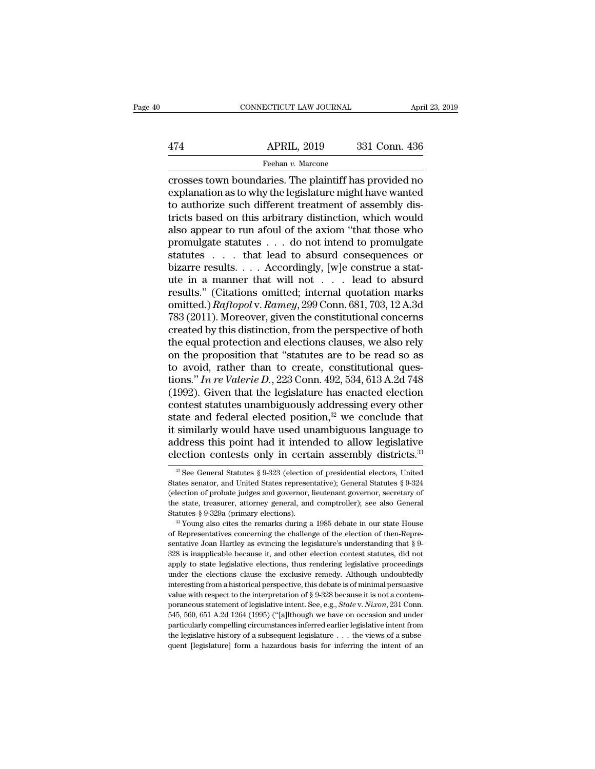## EXERCITE CONNECTICUT LAW JOURNAL April 23, 2019<br>474 APRIL, 2019 331 Conn. 436<br>Feehan v. Marcone Feehan *v.* Marcone

CONNECTICUT LAW JOURNAL April 23, 2019<br>
474 APRIL, 2019 331 Conn. 436<br>
Feehan v. Marcone<br>
Crosses town boundaries. The plaintiff has provided no<br>
explanation as to why the legislature might have wanted<br>
to authorize such d APRIL, 2019 331 Conn. 436<br>
Feehan v. Marcone<br>
Feehan v. Marcone<br>
Crosses town boundaries. The plaintiff has provided no<br>
explanation as to why the legislature might have wanted<br>
to authorize such different treatment of ass  $\begin{array}{r} \text{APRIL, 2019} \qquad \text{331 Conn. 436} \ \hline \text{Feehan } v. \text{ Marcone} \ \hline \text{crosses town boundaries. The plaintiff has provided no explanation as to why the legislature might have wanted to authorize such different treatment of assembly districts based on this arbitrary distinction, which would also appear to run afully of the axiom "that those who.$  $\frac{\text{APRIL, 2019}}{\text{Feehan } v. \text{ Marcone}}$ <br>
crosses town boundaries. The plaintiff has provided no<br>
explanation as to why the legislature might have wanted<br>
to authorize such different treatment of assembly dis-<br>
tricts based on th Feehan v. Marcone<br>
The axion of the axiom of the axiom of the axiom of the axiom of the axiom of axiom that those who different treatment of assembly districts based on this arbitrary distinction, which would also appear Feehan v. Marcone<br>
crosses town boundaries. The plaintiff has provided no<br>
explanation as to why the legislature might have wanted<br>
to authorize such different treatment of assembly dis-<br>
tricts based on this arbitrary di crosses town boundaries. The plaintiff has provided no<br>explanation as to why the legislature might have wanted<br>to authorize such different treatment of assembly dis-<br>tricts based on this arbitrary distinction, which would explanation as to why the legislature might have wanted<br>to authorize such different treatment of assembly dis-<br>tricts based on this arbitrary distinction, which would<br>also appear to run afoul of the axiom "that those who<br> to authorize such different treatment of assembly dis-<br>tricts based on this arbitrary distinction, which would<br>also appear to run afoul of the axiom "that those who<br>promulgate statutes . . . do not intend to promulgate<br>st tricts based on this arbitrary distinction, which would<br>also appear to run afoul of the axiom "that those who<br>promulgate statutes . . . do not intend to promulgate<br>statutes . . . . . Accordingly, [w]e construe a stat-<br>ute also appear to run afoul of the axiom "that those who<br>promulgate statutes . . . do not intend to promulgate<br>statutes . . . that lead to absurd consequences or<br>bizarre results. . . . Accordingly, [w]e construe a stat-<br>ute i promulgate statutes . . . do not intend to promulgate<br>statutes . . . that lead to absurd consequences or<br>bizarre results. . . . Accordingly, [w]e construe a stat-<br>ute in a manner that will not . . . lead to absurd<br>results statutes . . . . that lead to absurd consequences or<br>bizarre results. . . . Accordingly, [w]e construe a stat-<br>ute in a manner that will not . . . lead to absurd<br>results." (Citations omitted; internal quotation marks<br>omitt bizarre results.... Accordingly, [w]e construe a stat-<br>ute in a manner that will not ... lead to absurd<br>results." (Citations omitted; internal quotation marks<br>omitted.)  $Raffopol v. Ramey, 299$  Conn. 681, 703, 12 A.3d<br>783 (2011). M ute in a manner that will not . . . lead to absurd<br>results." (Citations omitted; internal quotation marks<br>omitted.)  $Raffopol v. Ramey, 299$  Conn. 681, 703, 12 A.3d<br>783 (2011). Moreover, given the constitutional concerns<br>created b results." (Citations omitted; internal quotation marks<br>omitted.) Raftopol v. Ramey, 299 Conn. 681, 703, 12 A.3d<br>783 (2011). Moreover, given the constitutional concerns<br>created by this distinction, from the perspective of omitted.) *Raftopol* v. *Ramey*, 299 Conn. 681, 703, 12 A.3d<br>783 (2011). Moreover, given the constitutional concerns<br>created by this distinction, from the perspective of both<br>the equal protection and elections clauses, we 783 (2011). Moreover, given the constitutional concerns<br>created by this distinction, from the perspective of both<br>the equal protection and elections clauses, we also rely<br>on the proposition that "statutes are to be read s created by this distinction, from the perspective of both<br>the equal protection and elections clauses, we also rely<br>on the proposition that "statutes are to be read so as<br>to avoid, rather than to create, constitutional que the equal protection and elections clauses, we also rely<br>on the proposition that "statutes are to be read so as<br>to avoid, rather than to create, constitutional ques-<br>tions." In re Valerie D., 223 Conn. 492, 534, 613 A.2d on the proposition that "statutes are to be read so as<br>to avoid, rather than to create, constitutional ques-<br>tions." In re Valerie D., 223 Conn. 492, 534, 613 A.2d 748<br>(1992). Given that the legislature has enacted electi to avoid, rather than to create, constitutional ques-<br>tions." *In re Valerie D.*, 223 Conn. 492, 534, 613 A.2d 748<br>(1992). Given that the legislature has enacted election<br>contest statutes unambiguously addressing every ot tions." In re Valerie D., 223 Conn. 492, 534, 613 A.2d 748 (1992). Given that the legislature has enacted election contest statutes unambiguously addressing every other state and federal elected position,<sup>32</sup> we conclude ate and federal elected position,<sup>32</sup> we conclude that<br>similarly would have used unambiguous language to<br>ddress this point had it intended to allow legislative<br>ection contests only in certain assembly districts.<sup>33</sup><br> $\frac{2$ it similarly would have used unambiguous language to address this point had it intended to allow legislative election contests only in certain assembly districts.<sup>33</sup><br><sup>22</sup> See General Statutes § 9-323 (election of preside election contests only in certain assembly districts.<sup>33</sup>

address this point had it intended to allow legislative election contests only in certain assembly districts.<sup>33</sup>  $\frac{20}{\text{e}}$  See General Statutes § 9-323 (election of presidential electors, United States senator, and U ELECTION CONTESTS ONLY IN CETTENT ASSEMBLY UISTNICTS.<br>
<sup>22</sup> See General Statutes § 9-323 (election of presidential electors, United<br>
States senator, and United States representative); General Statutes § 9-324<br>
(election o States senator, and United States representative); General Statutes § 9-324 (election of probate judges and governor, lieutenant governor, secretary of the state, treasurer, attorney general, and comptroller); see also Ge

<sup>(</sup>election of probate judges and governor, lieutenant governor, secretary of the state, treasurer, attorney general, and comptroller); see also General Statutes § 9-329a (primary elections).<br><sup>38</sup> Young also cites the remar the state, treasurer, attorney general, and comptroller); see also General<br>Statutes § 9-329a (primary elections).<br><sup>38</sup> Young also cites the remarks during a 1985 debate in our state House<br>of Representatives concerning the Statutes § 9-329a (primary elections). The conference, see the content as a Young also cites the remarks during a 1985 debate in our state House of Representatives concerning the challenge of the election of then-Represent <sup>23</sup> Young also cites the remarks during a 1985 debate in our state House<br>of Representatives concerning the challenge of the election of then-Repre-<br>sentative Joan Hartley as evincing the legislature's understanding that for Representatives concerning the challenge of the election of then-Representative Joan Hartley as evincing the legislature's understanding that  $\S$  9-328 is inapplicable because it, and other election contest statutes, sentative Joan Hartley as evincing the legislature's understanding that § 9-328 is inapplicable because it, and other election contest statutes, did not apply to state legislative elections, thus rendering legislative pro <sup>232</sup>8 is inapplicable because it, and other election contest statutes, did not apply to state legislative elections, thus rendering legislative proceedings under the elections clause the exclusive remedy. Although undoub stable parallel and the deptions, thus rendering legislative proceedings under the elections clause the exclusive remedy. Although undoubtedly interesting from a historical perspective, this debate is of minimal persuasiv experiment the elections clause the exclusive remedy. Although undoubtedly interesting from a historical perspective, this debate is of minimal persuasive value with respect to the interpretation of § 9-328 because it is interesting from a historical perspective, this debate is of minimal persuasive<br>value with respect to the interpretation of § 9-328 because it is not a contem-<br>poraneous statement of legislative intent. See, e.g., *State* walue with respect to the interpretation of § 9-328 because it is not a contem-<br>poraneous statement of legislative intent. See, e.g., *State v. Nixon*, 231 Conn.<br>545, 560, 651 A.2d 1264 (1995) ("[a]lthough we have on occa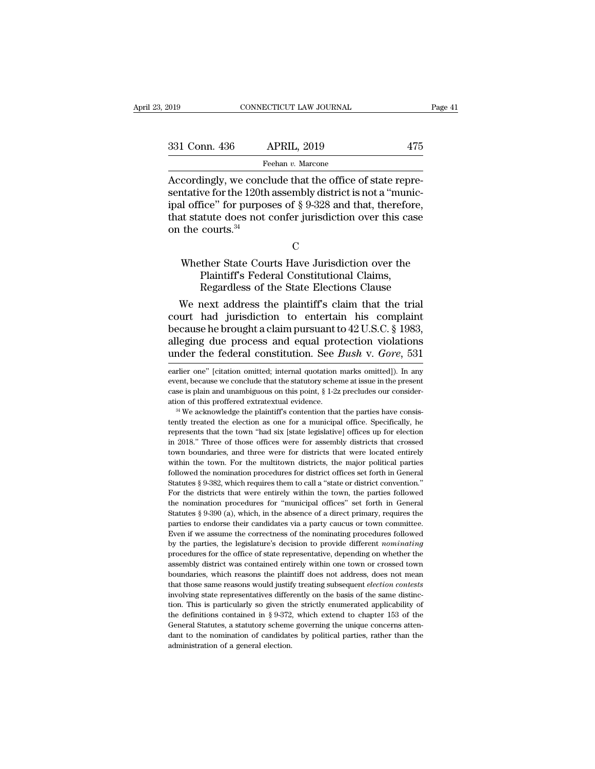CONNECTICUT LAW JOURNAL<br>
331 Conn. 436 APRIL, 2019 475<br>
Feehan v. Marcone<br>
Accordingly, we conclude that the office of state repre-<br>
sentative for the 120th assembly district is not a "munic-<br>
inal office" for nurnoses of 331 Conn. 436 APRIL, 2019 475<br>
Feehan v. Marcone<br>
Accordingly, we conclude that the office of state representative for the 120th assembly district is not a "munic-<br>
that statute does not confer jurisdiction over this case 331 Conn. 436 APRIL, 2019 475<br>
Feehan v. Marcone<br>
Accordingly, we conclude that the office of state representative for the 120th assembly district is not a "municipal office" for purposes of § 9-328 and that, therefore, t 331 Conn. 436 APRIL, 2019 475<br>
Feehan v. Marcone<br>
Accordingly, we conclude that the office of state representative for the 120th assembly district is not a "municipal office" for purposes of § 9-328 and that, therefore, t  $\frac{F}{\text{Recordingly, we conc}}$ <br>Accordingly, we concessentative for the 120th<br>ipal office" for purpose<br>that statute does not<br>on the courts. $34$ Example, we conclude that the office of state representative for the 120th assembly district is not a "munic-<br>al office" for purposes of  $\S$  9-328 and that, therefore,<br>at statute does not confer jurisdiction over this cas From the Economics of § 9-328 and that, therefore the does not confer jurisdiction over this case<br>courts.<sup>34</sup><br>C<br>ther State Courts Have Jurisdiction over the<br>Plaintiff's Federal Constitutional Claims,<br>Regardless of the Stat

# regardless of the State Election over this case<br>courts.<sup>34</sup><br>C<br>ther State Courts Have Jurisdiction over the<br>Plaintiff's Federal Constitutional Claims,<br>Regardless of the State Elections Clause<br>next address the plaintiff's cl

The courts.<sup>34</sup><br>C<br>Whether State Courts Have Jurisdiction over the<br>Plaintiff's Federal Constitutional Claims,<br>Regardless of the State Elections Clause<br>We next address the plaintiff's claim that the trial<br>urt had jurisdicti C<br>
Whether State Courts Have Jurisdiction over the<br>
Plaintiff's Federal Constitutional Claims,<br>
Regardless of the State Elections Clause<br>
We next address the plaintiff's claim that the trial<br>
court had jurisdiction to ente Whether State Courts Have Jurisdiction over the<br>Plaintiff's Federal Constitutional Claims,<br>Regardless of the State Elections Clause<br>We next address the plaintiff's claim that the trial<br>court had jurisdiction to entertain Whether State Courts Have Jurisdiction over the<br>Plaintiff's Federal Constitutional Claims,<br>Regardless of the State Elections Clause<br>We next address the plaintiff's claim that the trial<br>court had jurisdiction to entertain Plaintiff's Federal Constitutional Claims,<br>Regardless of the State Elections Clause<br>We next address the plaintiff's claim that the trial<br>court had jurisdiction to entertain his complaint<br>because he brought a claim pursuant court had jurisdiction to entertain his complaint<br>because he brought a claim pursuant to  $42$  U.S.C. § 1983,<br>alleging due process and equal protection violations<br>under the federal constitution. See *Bush v. Gore*, 531<br>ear because he brought a claim pursuant to  $42$  U.S.C. § 1983, alleging due process and equal protection violations under the federal constitution. See *Bush v. Gore*, 531 earlier one" [citation omitted; internal quotation ma

event, because we conclude that the statutory scheme at issue in the present case is plain and unambiguous on this point,  $\S 1-2z$  precludes our consideration of this proffered extratextual evidence.<br><sup>34</sup> We acknowledge t case is plain and unambiguous on this point,  $\S$  1-2z precludes our consideration of this proffered extratextual evidence.<br><sup>34</sup> We acknowledge the plaintiff's contention that the parties have consistently treated the elec ation of this proffered extratextual evidence.<br>
<sup>34</sup> We acknowledge the plaintiff's contention that the parties have consistently treated the election as one for a municipal office. Specifically, he represents that the tow <sup>24</sup> We acknowledge the plaintiff's contention that the parties have consistently treated the election as one for a municipal office. Specifically, he represents that the town "had six [state legislative] offices up for e followed the nomination as one for a municipal office. Specifically, he represents that the town "had six [state legislative] offices up for election in 2018." Three of those offices were for assembly districts that crosse represents that the town "had six [state legislative] offices up for election in 2018." Three of those offices were for assembly districts that crossed town boundaries, and three were for districts that were located entire in 2018." Three of those offices were for assembly districts that crossed town boundaries, and three were for districts that were located entirely within the town. For the multitown districts, the major political parties f the nomination and three were for districts that were located entirely within the town. For the multitown districts, the major political parties followed the nomination procedures for district offices set forth in General within the town. For the multitown districts, the major political parties followed the nomination procedures for district offices set forth in General Statutes § 9-382, which requires them to call a "state or district con mum are determined in procedures for district offices set forth in General Statutes § 9-382, which requires them to call a "state or district convention."<br>For the districts that were entirely within the town, the parties Statutes § 9-382, which requires them to call a "state or district convention."<br>For the districts that were entirely within the town, the parties followed<br>the nomination procedures for "municipal offices" set forth in Gen For the districts that were entirely within the town, the parties followed the nomination procedures for "municipal offices" set forth in General Statutes § 9-390 (a), which, in the absence of a direct primary, requires th the nomination procedures for "municipal offices" set forth in General Statutes  $\S 9-390$  (a), which, in the absence of a direct primary, requires the parties to endorse their candidates via a party caucus or town committ Extractives § 9-390 (a), which, in the absence of a direct primary, requires the parties to endorse their candidates via a party caucus or town committee. Even if we assume the correctness of the nominating procedures fol bauties to endorse their candidates via a party caucus or town committee.<br>Even if we assume the correctness of the nominating procedures followed<br>by the parties, the legislature's decision to provide different *nominating* Even if we assume the correctness of the nominating procedures followed<br>by the parties, the legislature's decision to provide different *nominating*<br>procedures for the office of state representative, depending on whether t Even if we assume the correctness of the nominating procedures followed<br>by the parties, the legislature's decision to provide different *nominating*<br>procedures for the office of state representative, depending on whether t by a function. This is particularly so given the strictly equality of the strictly district was contained entirely within one town or crossed town boundaries, which reasons the plaintiff does not address, does not mean th assembly district was contained entirely within one town or crossed town<br>boundaries, which reasons the plaintiff does not address, does not mean<br>that those same reasons would justify treating subsequent *election contests* boundaries, which reasons the plaintiff does not address, does not means<br>that those same reasons would justify treating subsequent *election contests*<br>involving state representatives differently on the basis of the same di but those same reasons would justify treating subsequent *election contests* involving state representatives differently on the basis of the same distinction. This is particularly so given the strictly enumerated applicab involving state representatives differ<br>tion. This is particularly so given the<br>definitions contained in  $\S$  9-372.<br>General Statutes, a statutory scheme<br>dant to the nomination of candidate<br>administration of a general elect

alleging due process and equal protection violations<br>under the federal constitution. See *Bush v. Gore*, 531<br>earlier one" [citation omitted; internal quotation marks omitted]). In any<br>event, because we conclude that the st and the federal constitution. See *Bush v. Gore*, 531 earlier one" [citation omitted; internal quotation marks omitted]). In any event, because we conclude that the statutory scheme at issue in the present case is plain a earlier one" [citation omitted; internal quotation marks omitted]). In any<br>event, because we conclude that the statutory scheme at issue in the present<br>case is plain and unambiguous on this point,  $\S 1-2z$  precludes our c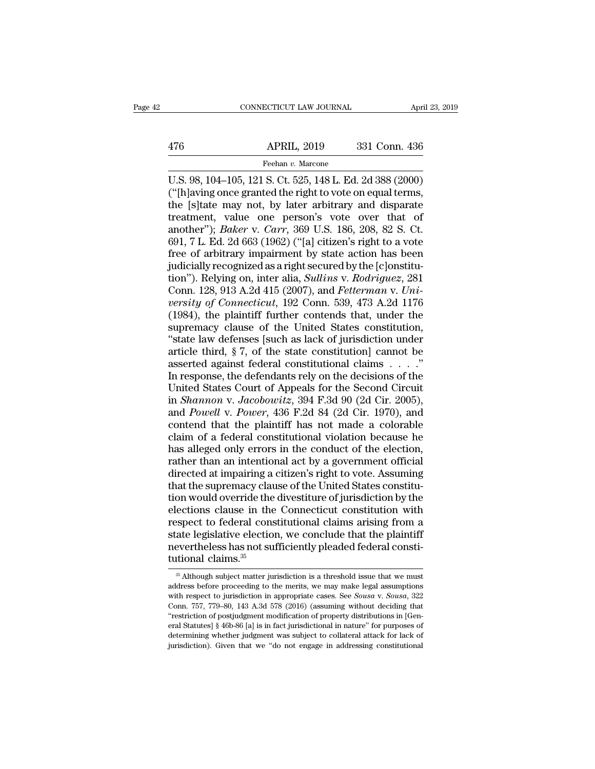# EXERCITE CONNECTICUT LAW JOURNAL April 23, 2019<br>476 APRIL, 2019 331 Conn. 436<br>Feehan v. Marcone

Feehan *v.* Marcone

CONNECTICUT LAW JOURNAL April 23, 2019<br>
476 APRIL, 2019 331 Conn. 436<br>
Feehan v. Marcone<br>
U.S. 98, 104–105, 121 S. Ct. 525, 148 L. Ed. 2d 388 (2000)<br>
("[h]aving once granted the right to vote on equal terms,<br>
the Isltate m 476 APRIL, 2019 331 Conn. 436<br>
Feehan v. Marcone<br>
U.S. 98, 104–105, 121 S. Ct. 525, 148 L. Ed. 2d 388 (2000)<br>
("[h]aving once granted the right to vote on equal terms,<br>
the [s]tate may not, by later arbitrary and disparat 476 APRIL, 2019 331 Conn. 436<br>
Feehan v. Marcone<br>
U.S. 98, 104–105, 121 S. Ct. 525, 148 L. Ed. 2d 388 (2000)<br>
("[h]aving once granted the right to vote on equal terms,<br>
the [s]tate may not, by later arbitrary and disparat 476 APRIL, 2019 331 Conn. 436<br>
Feehan v. Marcone<br>
U.S. 98, 104–105, 121 S. Ct. 525, 148 L. Ed. 2d 388 (2000)<br>
("[h]aving once granted the right to vote on equal terms,<br>
the [s]tate may not, by later arbitrary and disparat Feehan v. Marcone<br>U.S. 98, 104–105, 121 S. Ct. 525, 148 L. Ed. 2d 388 (2000)<br>("[h]aving once granted the right to vote on equal terms,<br>the [s]tate may not, by later arbitrary and disparate<br>treatment, value one person's vot Feehan v. Marcone<br>
U.S. 98, 104–105, 121 S. Ct. 525, 148 L. Ed. 2d 388 (2000)<br>
("[h]aving once granted the right to vote on equal terms,<br>
the [s]tate may not, by later arbitrary and disparate<br>
treatment, value one person' U.S. 98, 104–105, 121 S. Ct. 525, 148 L. Ed. 2d 388 (2000)<br>("[h]aving once granted the right to vote on equal terms,<br>the [s]tate may not, by later arbitrary and disparate<br>treatment, value one person's vote over that of<br>an ("[h]aving once granted the right to vote on equal terms,<br>the [s]tate may not, by later arbitrary and disparate<br>treatment, value one person's vote over that of<br>another"); *Baker* v. *Carr*, 369 U.S. 186, 208, 82 S. Ct.<br>69 the [s]tate may not, by later arbitrary and disparate<br>treatment, value one person's vote over that of<br>another"); *Baker* v. *Carr*, 369 U.S. 186, 208, 82 S. Ct.<br>691, 7 L. Ed. 2d 663 (1962) ("[a] citizen's right to a vote<br>f treatment, value one person's vote over that of<br>another"); *Baker* v. *Carr*, 369 U.S. 186, 208, 82 S. Ct.<br>691, 7 L. Ed. 2d 663 (1962) ("[a] citizen's right to a vote<br>free of arbitrary impairment by state action has been<br>j another"); *Baker* v. *Carr*, 369 U.S. 186, 208, 82 S. Ct.<br>691, 7 L. Ed. 2d 663 (1962) ("[a] citizen's right to a vote<br>free of arbitrary impairment by state action has been<br>judicially recognized as a right secured by the [ 691, 7 L. Ed. 2d 663 (1962) ("[a] citizen's right to a vote<br>free of arbitrary impairment by state action has been<br>judicially recognized as a right secured by the [c]onstitu-<br>tion"). Relying on, inter alia, *Sullins v. Rod* free of arbitrary impairment by state action has been<br>judicially recognized as a right secured by the [c]onstitu-<br>tion"). Relying on, inter alia, *Sullins v. Rodriguez*, 281<br>Conn. 128, 913 A.2d 415 (2007), and *Fetterman v* judicially recognized as a right secured by the [c]onstitution"). Relying on, inter alia, *Sullins v. Rodriguez*, 281<br>Conn. 128, 913 A.2d 415 (2007), and *Fetterman v. University of Connecticut*, 192 Conn. 539, 473 A.2d 11 tion"). Relying on, inter alia, *Sullins v. Rodriguez*, 281<br>Conn. 128, 913 A.2d 415 (2007), and *Fetterman v. University of Connecticut*, 192 Conn. 539, 473 A.2d 1176<br>(1984), the plaintiff further contends that, under the Conn. 128, 913 A.2d 415 (2007), and *Fetterman v. University of Connecticut*, 192 Conn. 539, 473 A.2d 1176 (1984), the plaintiff further contends that, under the supremacy clause of the United States constitution, "state versity of Connecticut, 192 Conn. 539, 473 A.2d 1176 (1984), the plaintiff further contends that, under the supremacy clause of the United States constitution, "state law defenses [such as lack of jurisdiction under artic (1984), the plaintiff further contends that, under the<br>supremacy clause of the United States constitution,<br>"state law defenses [such as lack of jurisdiction under<br>article third, § 7, of the state constitutional claims . . supremacy clause of the United States constitution,<br>
"state law defenses [such as lack of jurisdiction under<br>
article third, § 7, of the state constitutional claims . . . ."<br>
In response, the defendants rely on the decisio "state law defenses [such as lack of jurisdiction under<br>article third, § 7, of the state constitutional claims . . . . "<br>In response, the defendants rely on the decisions of the<br>United States Court of Appeals for the Secon article third, § 7, of the state constitution] cannot be asserted against federal constitutional claims . . . ."<br>In response, the defendants rely on the decisions of the United States Court of Appeals for the Second Circu asserted against federal constitutional claims  $\ldots$ ."<br>In response, the defendants rely on the decisions of the<br>United States Court of Appeals for the Second Circuit<br>in *Shannon v. Jacobowitz*, 394 F.3d 90 (2d Cir. 2005), In response, the defendants rely on the decisions of the United States Court of Appeals for the Second Circuit<br>in *Shannon v. Jacobowitz*, 394 F.3d 90 (2d Cir. 2005),<br>and *Powell v. Power*, 436 F.2d 84 (2d Cir. 1970), and<br> United States Court of Appeals for the Second Circuit<br>in *Shannon v. Jacobowitz*, 394 F.3d 90 (2d Cir. 2005),<br>and *Powell v. Power*, 436 F.2d 84 (2d Cir. 1970), and<br>contend that the plaintiff has not made a colorable<br>claim in *Shannon v. Jacobowitz*, 394 F.3d 90 (2d Cir. 2005),<br>and *Powell v. Power*, 436 F.2d 84 (2d Cir. 1970), and<br>contend that the plaintiff has not made a colorable<br>claim of a federal constitutional violation because he<br>has and *Powell* v. *Power*, 436 F.2d 84 (2d Cir. 1970), and<br>contend that the plaintiff has not made a colorable<br>claim of a federal constitutional violation because he<br>has alleged only errors in the conduct of the election,<br>ra contend that the plaintiff has not made a colorable<br>claim of a federal constitutional violation because he<br>has alleged only errors in the conduct of the election,<br>rather than an intentional act by a government official<br>dir claim of a federal constitutional violation because he<br>has alleged only errors in the conduct of the election,<br>rather than an intentional act by a government official<br>directed at impairing a citizen's right to vote. Assumi has alleged only errors in the conduct of the election,<br>rather than an intentional act by a government official<br>directed at impairing a citizen's right to vote. Assuming<br>that the supremacy clause of the United States const rather than an intentional act by a government official<br>directed at impairing a citizen's right to vote. Assuming<br>that the supremacy clause of the United States constitu-<br>tion would override the divestiture of jurisdiction directed at impairing a citizen's right to vote. Assuming<br>that the supremacy clause of the United States constitu-<br>tion would override the divestiture of jurisdiction by the<br>elections clause in the Connecticut constitution that the supremacy clau<br>tion would override the<br>elections clause in the<br>respect to federal cons<br>state legislative election<br>nevertheless has not su<br>tutional claims.<sup>35</sup> spect to federal constitutional claims arising from a<br>ate legislative election, we conclude that the plaintiff<br>evertheless has not sufficiently pleaded federal consti-<br>tional claims.<sup>35</sup><br><sup>35</sup> Although subject matter jurisd state legislative election, we conclude that the plaintiff<br>nevertheless has not sufficiently pleaded federal consti-<br>tutional claims.<sup>35</sup><br> $\frac{35}{45}$  Although subject matter jurisdiction is a threshold issue that we must<br>

weitheless has not sufficiently pleaded federal constitutional claims.<sup>35</sup><br>mevertheless has not sufficiently pleaded federal constitutional claims.<sup>35</sup><br>m. Although subject matter jurisdiction is a threshold issue that we m The verticent constructions and the state of the state of the state of the merits, we may make legal assumptions with respect to jurisdiction in appropriate cases. See *Sousa* v. *Sousa*, 322 Conn. 757, 779–80, 143 A.3d 57 Utional claims.<sup>35</sup><br>
<sup>35</sup> Although subject matter jurisdiction is a threshold issue that we must<br>
address before proceeding to the merits, we may make legal assumptions<br>
with respect to jurisdiction in appropriate cases. <sup>36</sup> Although subject matter jurisdiction is a threshold issue that we must address before proceeding to the merits, we may make legal assumptions with respect to jurisdiction in appropriate cases. See *Sousa* v. *Sousa*, address before proceeding to the merits, we may make legal assumptions with respect to jurisdiction in appropriate cases. See *Sousa* v. *Sousa*, 322 Conn. 757, 779–80, 143 A.3d 578 (2016) (assuming without deciding that determining whether judgment was subject to collateral attack for lack of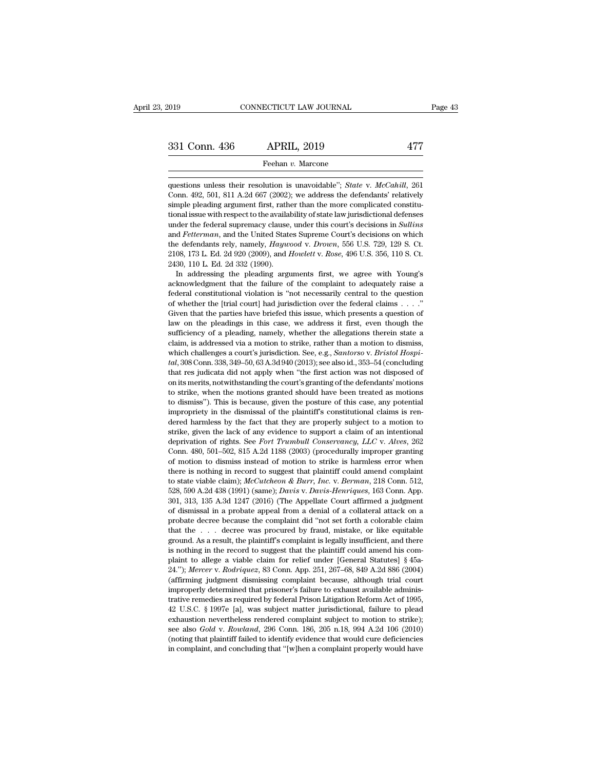331 Conn. 436 APRIL, 2019 477<br>
Feehan v. Marcone<br>
questions unless their resolution is unavoidable''; *State* v. *McCahill*, 261<br>
Conn. 492, 501, 811 A.2d 667 (2002); we address the defendants' relatively 331 Conn. 436 APRIL, 2019 477<br>
Feehan v. Marcone<br>
questions unless their resolution is unavoidable"; *State* v. McCahill, 261<br>
Conn. 492, 501, 811 A.2d 667 (2002); we address the defendants' relatively<br>
simple pleading arg **Simple 1988 Simple pleading argument first, 2019 Conn.** 436<br> **EVALUATE:** Feehan v. Marcone<br> **EVALUATE:** The more complicated constitu-<br>
Simple pleading argument first, rather than the more complicated constitu-<br>
tion Feehan v. Marcone<br>questions unless their resolution is unavoidable"; *State* v. McCahill, 261<br>Conn. 492, 501, 811 A.2d 667 (2002); we address the defendants' relatively<br>simple pleading argument first, rather than the more under the federal supercolution is unavoidable"; *State v. McCahill*, 261 Conn. 492, 501, 811 A.2d 667 (2002); we address the defendants' relatively simple pleading argument first, rather than the more complicated constitu questions unless their resolution is unavoidable"; *State v. McCahill*, 261 Conn. 492, 501, 811 A.2d 667 (2002); we address the defendants' relatively simple pleading argument first, rather than the more complicated consti defendants relations and the defendants relations of the defendants' relatively simple pleading argument first, rather than the more complicated constitutional issue with respect to the availability of state law jurisdicti Contr. 432, 301, 611 A.2d 607 (2002), we address the defendants relatively<br>simple pleading argument first, rather than the more complicated constitu-<br>tional issue with respect to the availability of state law jurisdictiona sinple pleading argument first, radio<br>tional issue with respect to the availal<br>under the federal supremacy clause,<br>and *Fetterman*, and the United State<br>the defendants rely, namely, *Haywo*<br>2108, 173 L. Ed. 2d 320 (2009), In a Issue white spect to the avanability of state law jurisdictional defertieses<br>der the federal supremacy clause, under this court's decisions in *Sullins*<br>d *Fetterman*, and the United States Supreme Court's decisions o and *Fetterman*, and the United States Supreme Court's decisions in *suaths* and *Fetterman*, and the United States Supreme Court's decisions on which the defendants rely, namely, *Haywood v. Drown*, 556 U.S. 729, 129 S. C

and *Petterman*, and the United states supreme Court's decisions on which<br>the defendants rely, namely, *Haywood v. Drown*, 556 U.S. 729, 129 S. Ct.<br>2130, 173 L. Ed. 2d 320 (2009), and *Howlett v. Rose*, 496 U.S. 356, 110 S differential courts and *Howlett v. Rose,* 496 U.S. 329, 129 S. Ct. 2138, 173 L. Ed. 2d 320 (2009), and *Howlett v. Rose*, 496 U.S. 356, 110 S. Ct. 2430, 110 L. Ed. 2d 332 (1990). In addressing the pleading arguments first 2100, 110 L. Ed. 2d 320 (2009), and *Houten v. 10se*, 430 0.5. 550, 110 S. Ct. 2430, 110 L. Ed. 2d 332 (1990).<br>
In addressing the pleading arguments first, we agree with Young's acknowledgment that the failure of the comp In addressing the pleading arguments first, we agree with Young's<br>acknowledgment that the failure of the complaint to adequately raise a<br>federal constitutional violation is "not necessarily central to the question<br>of whet In addressing the preading arguments inst, we agree what Tourg's acknowledgment that the failure of the complaint to adequately raise a federal constitutional violation is "not necessarily central to the question of wheth acknowledgment that the fantue of the complaint to adequately fasse a<br>federal constitutional violation is "not necessarily central to the question<br>of whether the [trial court] had jurisdiction over the federal claims . . . federal constitutional violation is "not necessarily central to the question of whether the [trial court] had jurisdiction over the federal claims  $\ldots$ ." Given that the parties have briefed this issue, which presents a q *tal*, 308 Conn. 338, 349–50, 63 A.3d 940 (2013); see also id., 353–54 (concluding that res judicata did not apply whether the allegations therein state a claim, is addressed via a motion to strike, rather than a motion to the must are parties in this case, we address it first, even though the sufficiency of a pleading, namely, whether the allegations therein state a claim, is addressed via a motion to strike, rather than a motion to dismiss aaw on the pleadings in this case, we address it first, even though the sufficiency of a pleading, namely, whether the allegations therein state a claim, is addressed via a motion to strike, rather than a motion to dismiss sunceincy or a pleating, namely, whether the anegations therein state a<br>claim, is addressed via a motion to strike, rather than a motion to dismiss,<br>which challenges a court's jurisdiction. See, e.g., *Santorso* v. *Bristo* claim, is addressed via a motion to strike, radier than a motion to usiniss, which challenges a court's jurisdiction. See, e.g., *Santorso v. Bristol Hospital*, 308 Conn. 338, 349–50, 63 A.3d 940 (2013); see also id., 353 in the dismissal of the plaintiff's constitutional claims is ren-<br>dal, 308 Conn. 338, 349–50, 63 A.3d 940 (2013); see also id., 353–54 (concluding<br>that res judicata did not apply when "the first action was not disposed of<br> dut, 500 Collit. 550, 543–50, 63 A.50 540 (2015), see also id., 555–54 (Concluding that res judicata did not apply when "the first action was not disposed of on its merits, notwithstanding the court's granting of the defe strate is junicata un not apply when the linst action was not usposed on<br>on its merits, notwithstanding the court's granting of the defendants' motions<br>to strike, when the motions granted should have been treated as motion on its merhs, notwithstanding the court s granting of the detendants motions<br>to strike, when the motions granted should have been treated as motions<br>to dismiss"). This is because, given the posture of this case, any potent to strike, when the motions granted should have been treated as motions<br>to dismiss"). This is because, given the posture of this case, any potential<br>impropriety in the dismissal of the plaintiff's constitutional claims is to usintss *j*. This is because, given the posture of this case, any potential impropriety in the dismissal of the plaintiff's constitutional claims is rendered harmless by the fact that they are properly subject to a moti Impropriety in the usinissal of the plaintiff sconstitutional claims is rendered harmless by the fact that they are properly subject to a motion to strike, given the lack of any evidence to support a claim of an intentiona dered namess by the ract that they are properly subject to a motion to<br>strike, given the lack of any evidence to support a claim of an intentional<br>deprivation of rights. See *Fort Trumbull Conservancy*, *LLC* v. *Alves*, 2 strike, given the lack of any evidence to support a claim of an intentional deprivation of rights. See *Fort Trumbull Conservancy*, *LLC* v. *Alves*, 262 Conn. 480, 501-502, 815 A.2d 1188 (2003) (procedurally improper gran deprivation of rights. See Fort Framout Conservanty, EEC v. Attes, 202<br>Conn. 480, 501-502, 815 A.2d 1188 (2003) (procedurally improper granting<br>of motion to dismiss instead of motion to strike is harmless error when<br>there colut. 450, 301–302, 613 A.2d 1160 (2005) (procedurally improper graining<br>of motion to dismiss instead of motion to strike is harmless error when<br>there is nothing in record to suggest that plaintiff could amend complaint<br> probate decree because the complaint did "not set forth a colorable claim"<br>there is nothing in record to suggest that plaintiff could amend complaint<br>to state viable claim);  $McCutchen & Burr$ ,  $Inc$ ,  $v$ .  $Bernu$ ,  $218$  Conn. 512,<br>528, there is nothing in record to suggest that plantific codd antend complaint<br>to state viable claim);  $McCutcheon & Burr, Inc. v. Berman, 218$  Conn. 512,<br>528, 590 A.2d 438 (1991) (same); *Davis v. Davis-Henriques*, 163 Conn. App.<br>301, 313, 135 ground. As a result, the plaintiff's complaint is legally insufficient, and there is nothing in the record to suggest that the plaintifficient, and there is nothing in the record to suggest that the plaintiff's complaint 328, 390 A.2d 458 (1991) (same), *Davis v. Davis-Hehriques*, 105 Confi. App. 301, 313, 135 A.3d 1247 (2016) (The Appellate Court affirmed a judgment of dismissal in a probate appeal from a denial of a collateral attack on port, 315, 135 A.5d 1247 (2010) (The Appenate Court annihed a judgment of dismissal in a probate appeal from a denial of a collateral attack on a probate decree because the complaint did "not set forth a colorable claim t or distinssal in a probate appear from a definal or a conateral attack on a<br>probate decree because the complaint did "not set forth a colorable claim<br>that the . . . decree was procured by fraud, mistake, or like equitable<br> probate decree because the complaint did not set form a colorable claim<br>that the . . . decree was procured by fraud, mistake, or like equitable<br>ground. As a result, the plaintiff's complaint is legally insufficient, and th that the ... decree was procured by fraud, mistake, or like equitable ground. As a result, the plaintiff's complaint is legally insufficient, and there is nothing in the record to suggest that the plaintiff could amend hi ground. As a result, the plantiful is complaint is regally insulficent, and there<br>is nothing in the record to suggest that the plaintiff could amend his com-<br>plaint to allege a viable claim for relief under [General Statut as notaing in the record to suggest that the plantin codul antend its complaint to allege a viable claim for relief under [General Statutes] § 45a-24."); *Mercer v. Rodriquez*, 83 Conn. App. 251, 267–68, 849 A.2d 886 (200 plant to anege a viable claim for rener under [deneral statutes] x +24-24."); *Mercer v. Rodriquez*, 83 Conn. App. 251, 267-68, 849 A.2d 886 (2004) (affirming judgment dismissing complaint because, although trial court imp 24. *J, metter v. houriquez, co Conni. App. 251, 201*-06, 649 A.2d *800 (2004)* (affirming judgment dismissing complaint because, although trial court improperly determined that prisoner's failure to exhaust available admi (antihing judgment distinssing complaint because, antiough trial court<br>improperly determined that prisoner's failure to exhaust available adminis-<br>trative remedies as required by federal Prison Litigation Reform Act of 19 42 U.S.C. § 1997e [a], was subject matter jurisdictional, failure to plead exhaustion nevertheless rendered complaint subject to motion to strike); see also *Gold v. Rowland*, 296 Conn. 186, 205 n.18, 994 A.2d 106 (2010)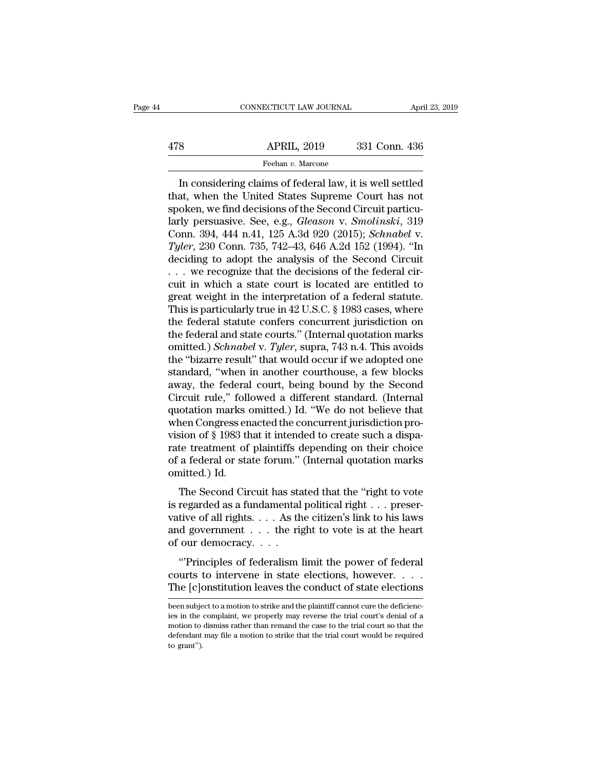## EXERCIT CONNECTICUT LAW JOURNAL April 23, 2019<br>478 APRIL, 2019 331 Conn. 436<br>Feehan v. Marcone Feehan *v.* Marcone

CONNECTICUT LAW JOURNAL April 23, 2019<br> **IN APRIL, 2019** 331 Conn. 436<br> **In considering claims of federal law, it is well settled**<br> **In considering claims of federal law, it is well settled**<br> **ARRIL, when the United States** APRIL, 2019 331 Conn. 436<br>
Feehan v. Marcone<br>
In considering claims of federal law, it is well settled<br>
that, when the United States Supreme Court has not<br>
spoken, we find decisions of the Second Circuit particu-<br>
larly po  $\begin{array}{r} \text{APRIL, 2019} \qquad \text{331 Conn. 436} \ \hline \text{Feehan } v. \text{ Marcone} \ \hline \text{In considering claims of federal law, it is is well settled that, when the United States Supreme Court has not spoken, we find decisions of the Second Circuit particularly pervasive. See, e.g., Gleason v. Smolinski, 319 Conn. 304, 444, p.41, 125, A. 34, 920 (2015): Schnabel V. \end{array}$ APRIL, 2019 331 Conn. 436<br>
Feehan *v*. Marcone<br>
In considering claims of federal law, it is well settled<br>
that, when the United States Supreme Court has not<br>
spoken, we find decisions of the Second Circuit particu-<br>
larly Feehan v. Marcone<br>In considering claims of federal law, it is well settled<br>that, when the United States Supreme Court has not<br>spoken, we find decisions of the Second Circuit particu-<br>larly persuasive. See, e.g., *Gleason v* ITYLERGAL CHAUGE TRANSFER IN A CONSIDENT IN A CONSIDER that, when the United States Supreme Court has not spoken, we find decisions of the Second Circuit particularly persuasive. See, e.g., *Gleason v. Smolinski*, 319 Conn In considering claims of federal law, it is well settled<br>that, when the United States Supreme Court has not<br>spoken, we find decisions of the Second Circuit particu-<br>larly persuasive. See, e.g., *Gleason v. Smolinski*, 319 that, when the United States Supreme Court has not spoken, we find decisions of the Second Circuit particularly persuasive. See, e.g., *Gleason v. Smolinski*, 319 Conn. 394, 444 n.41, 125 A.3d 920 (2015); *Schnabel v. Tyl* spoken, we find decisions of the Second Circuit particularly persuasive. See, e.g., *Gleason v. Smolinski*, 319<br>Conn. 394, 444 n.41, 125 A.3d 920 (2015); *Schnabel v.*<br>Tyler, 230 Conn. 735, 742–43, 646 A.2d 152 (1994). "I larly persuasive. See, e.g., *Gleason v. Smolinski*, 319<br>Conn. 394, 444 n.41, 125 A.3d 920 (2015); *Schnabel v.*<br>Tyler, 230 Conn. 735, 742–43, 646 A.2d 152 (1994). "In<br>deciding to adopt the analysis of the Second Circuit<br> Conn. 394, 444 n.41, 125 A.3d 920 (2015); *Schnabel v.*<br> *Tyler*, 230 Conn. 735, 742–43, 646 A.2d 152 (1994). "In<br>
deciding to adopt the analysis of the Second Circuit<br>  $\dots$  we recognize that the decisions of the federal Tyler, 230 Conn. 735, 742–43, 646 A.2d 152 (1994). "In<br>deciding to adopt the analysis of the Second Circuit<br>... we recognize that the decisions of the federal cir-<br>cuit in which a state court is located are entitled to<br>gr deciding to adopt the analysis of the Second Circuit<br>... we recognize that the decisions of the federal circuit in which a state court is located are entitled to<br>great weight in the interpretation of a federal statute.<br>Th omity in which a state court is located are entitled to<br>cuit in which a state court is located are entitled to<br>great weight in the interpretation of a federal statute.<br>This is particularly true in 42 U.S.C. § 1983 cases, w cuit in which a state court is located are entitled to<br>great weight in the interpretation of a federal statute.<br>This is particularly true in 42 U.S.C. § 1983 cases, where<br>the federal statute confers concurrent jurisdiction great weight in the interpretation of a federal statute.<br>This is particularly true in 42 U.S.C. § 1983 cases, where<br>the federal statute confers concurrent jurisdiction on<br>the federal and state courts." (Internal quotation This is particularly true in 42 U.S.C. § 1983 cases, where<br>the federal statute confers concurrent jurisdiction on<br>the federal and state courts." (Internal quotation marks<br>omitted.) *Schnabel* v. *Tyler*, supra, 743 n.4. T the federal statute confers concurrent jurisdiction on<br>the federal and state courts." (Internal quotation marks<br>omitted.) *Schnabel* v. *Tyler*, supra, 743 n.4. This avoids<br>the "bizarre result" that would occur if we adopt the federal and state courts." (Internal quotation marks<br>omitted.) *Schnabel* v. *Tyler*, supra, 743 n.4. This avoids<br>the "bizarre result" that would occur if we adopted one<br>standard, "when in another courthouse, a few blo omitted.) *Schnabel* v. *Tyler*, supra, 743 n.4. This avoids<br>the "bizarre result" that would occur if we adopted one<br>standard, "when in another courthouse, a few blocks<br>away, the federal court, being bound by the Second<br>Ci the "bizarre result" that would occur if we adopted one<br>standard, "when in another courthouse, a few blocks<br>away, the federal court, being bound by the Second<br>Circuit rule," followed a different standard. (Internal<br>quotati standard, "when in another courthouse, a few blocks<br>away, the federal court, being bound by the Second<br>Circuit rule," followed a different standard. (Internal<br>quotation marks omitted.) Id. "We do not believe that<br>when Cong away, the federal court, being bound by the Second<br>Circuit rule," followed a different standard. (Internal<br>quotation marks omitted.) Id. "We do not believe that<br>when Congress enacted the concurrent jurisdiction pro-<br>vision Circuit rule," foll<br>quotation marks of<br>when Congress en<br>vision of § 1983 th<br>rate treatment of<br>of a federal or sta<br>omitted.) Id.<br>The Second Cir The Second Circuit has stated that the "right to vote<br>reader of § 1983 that it intended to create such a dispate<br>te treatment of plaintiffs depending on their choice<br>a federal or state forum." (Internal quotation marks<br>nit when Congress enacted the concurrent jurisdiction provision of § 1983 that it intended to create such a disparate treatment of plaintiffs depending on their choice of a federal or state forum." (Internal quotation marks o

vision of y 1565 that it intended to create such a usparate treatment of plaintiffs depending on their choice<br>of a federal or state forum." (Internal quotation marks<br>omitted.) Id.<br>The Second Circuit has stated that the "ri Fract detailed or planting depending on their choice<br>of a federal or state forum." (Internal quotation marks<br>omitted.) Id.<br>The Second Circuit has stated that the "right to vote<br>is regarded as a fundamental political right on a reactal of state forally<br>omitted.) Id.<br>The Second Circuit has state<br>is regarded as a fundamental<br>vative of all rights.... As the<br>and government ... the right of our democracy....<br>"Principles of federalism" The Second Circuit has stated that the "right to vote<br>regarded as a fundamental political right  $\dots$  preser-<br>tive of all rights.  $\dots$  As the citizen's link to his laws<br>d government  $\dots$  the right to vote is at the heart<br>o The second cheat has stated that the Tight to vote<br>is regarded as a fundamental political right . . . preser-<br>vative of all rights. . . . As the citizen's link to his laws<br>and government . . . the right to vote is at the Example of all rights.  $\ldots$  As the citizen's link to his laws<br>and government  $\ldots$  the right to vote is at the heart<br>of our democracy.  $\ldots$ <br>"Principles of federalism limit the power of federal<br>courts to intervene in sta

"Principles of federalism limit the power of federal courts to intervene in state elections, however. . . . The [c]onstitution leaves the conduct of state elections been subject to a motion to strike and the plaintiff can "Principles of federalism limit the power of federal<br>courts to intervene in state elections, however. . . . The [c]onstitution leaves the conduct of state elections<br>been subject to a motion to strike and the plaintiff can

courts to intervene in state elections, however. . . . . The [c]onstitution leaves the conduct of state elections<br>been subject to a motion to strike and the plaintiff cannot cure the deficiencies in the complaint, we prop The [c] onstitution leaves the conduct of state elections<br>been subject to a motion to strike and the plaintiff cannot cure the deficienc-<br>ies in the complaint, we properly may reverse the trial court's denial of a<br>motion been subject to a motion to strike and the plaintiff cannot cure the deficiencies in the complaint, we properly may reverse the trial court's denial of a motion to dismiss rather than remand the case to the trial court so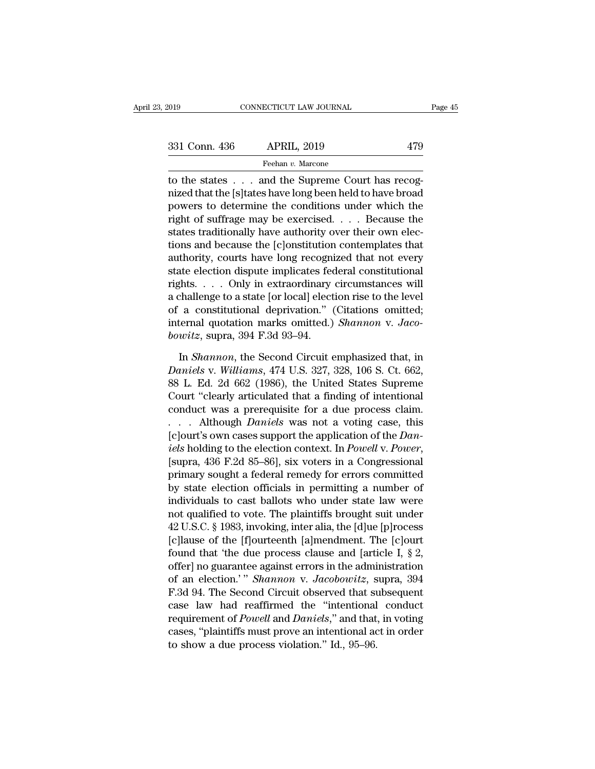The states of the states . . . and the Supreme Court has recognized that the [s] tates have long been held to have broad 331 Conn. 436 APRIL, 2019 479<br>
Feehan v. Marcone<br>
to the states . . . and the Supreme Court has recog-<br>
nized that the [s]tates have long been held to have broad<br>
powers to determine the conditions under which the<br>
right 331 Conn. 436 APRIL, 2019 479<br>
Feehan v. Marcone<br>
to the states . . . and the Supreme Court has recog-<br>
nized that the [s] tates have long been held to have broad<br>
powers to determine the conditions under which the<br>
right 331 Conn. 436 APRIL, 2019 479<br>
Feehan v. Marcone<br>
to the states . . . and the Supreme Court has recog-<br>
nized that the [s]tates have long been held to have broad<br>
powers to determine the conditions under which the<br>
right Feehan v. Marcone<br>to the states  $\ldots$  and the Supreme Court has recog-<br>nized that the [s]tates have long been held to have broad<br>powers to determine the conditions under which the<br>right of suffrage may be exercised.  $\ldots$ The states is a contemporary in the Supreme Court has recognized that the [s]tates have long been held to have broad powers to determine the conditions under which the right of suffrage may be exercised. . . . Because the to the states . . . and the Supreme Court has recognized that the [s]tates have long been held to have broad<br>powers to determine the conditions under which the<br>right of suffrage may be exercised. . . . Because the<br>states t nized that the [s]tates have long been held to have broad<br>powers to determine the conditions under which the<br>right of suffrage may be exercised. . . . Because the<br>states traditionally have authority over their own elec-<br>ti powers to determine the conditions under which the<br>right of suffrage may be exercised. . . . Because the<br>states traditionally have authority over their own elec-<br>tions and because the [c]onstitution contemplates that<br>autho right of suffrage may be exercised. . . . Because the<br>states traditionally have authority over their own elec-<br>tions and because the [c]onstitution contemplates that<br>authority, courts have long recognized that not every<br>s states traditionally have authority over their own elections and because the [c]onstitution contemplates that<br>authority, courts have long recognized that not every<br>state election dispute implicates federal constitutional<br> tions and because the [c]onstitution contemplates that<br>authority, courts have long recognized that not every<br>state election dispute implicates federal constitutional<br>rights. . . . Only in extraordinary circumstances will<br>a authority, courts have long recognistate election dispute implicates fed<br>rights. . . . Only in extraordinary<br>a challenge to a state [or local] elect<br>of a constitutional deprivation." (<br>internal quotation marks omitted.)<br>bo In *Shannon*, the Second Circuit emphasized that, in the Shannon, the Second Circuit emphasized that, in *Shannon*, the Second Circuit emphasized that, in *shannon*, the Second Circuit emphasized that, in *shannon*, the Se *Daniels* v. *Daniels* v. *Daniels* v. *Daniels* v. *Daniels* v. *Daniels* v. *Williams*, 474 U.S. 327, 328, 106 S. Ct. 662, 88 L. Ed. 2d 662 (1986), the United States Supreme Court "deceptive v. *Williams*, 474 U.S. 327,

of a constitutional deprivation." (Citations omitted;<br>internal quotation marks omitted.) *Shannon* v. Jaco-<br>bowitz, supra, 394 F.3d 93–94.<br>In *Shannon*, the Second Circuit emphasized that, in<br>Daniels v. Williams, 474 U.S. internal quotation marks omitted.) *Shannon* v. Jacobowitz, supra, 394 F.3d 93–94.<br>
In *Shannon*, the Second Circuit emphasized that, in<br>
Daniels v. Williams, 474 U.S. 327, 328, 106 S. Ct. 662,<br>
88 L. Ed. 2d 662 (1986), th bowitz, supra, 394 F.3d 93–94.<br>
In *Shannon*, the Second Circuit emphasized that, in<br>
Daniels v. Williams, 474 U.S. 327, 328, 106 S. Ct. 662,<br>
88 L. Ed. 2d 662 (1986), the United States Supreme<br>
Court "clearly articulated In *Shannon*, the Second Circuit emphasized that, in<br>Daniels v. Williams, 474 U.S. 327, 328, 106 S. Ct. 662,<br>88 L. Ed. 2d 662 (1986), the United States Supreme<br>Court "clearly articulated that a finding of intentional<br>condu In *Shannon*, the Second Circuit emphasized that, in<br> *Daniels* v. *Williams*, 474 U.S. 327, 328, 106 S. Ct. 662,<br>
88 L. Ed. 2d 662 (1986), the United States Supreme<br>
Court "clearly articulated that a finding of intentiona *Daniels* v. *Williams*, 474 U.S. 327, 328, 106 S. Ct. 662, 88 L. Ed. 2d 662 (1986), the United States Supreme Court "clearly articulated that a finding of intentional conduct was a prerequisite for a due process claim.<br>
. Court "clearly articulated that a finding of intentional<br>conduct was a prerequisite for a due process claim.<br>... Although *Daniels* was not a voting case, this<br>[c]ourt's own cases support the application of the *Dan-<br>iels* conduct was a prerequisite for a due process claim.<br>  $\ldots$  Although *Daniels* was not a voting case, this<br>
[c]ourt's own cases support the application of the *Dan-*<br> *iels* holding to the election context. In *Powell* v. ... Although *Daniels* was not a voting case, this<br>[c]ourt's own cases support the application of the *Dan-*<br>*iels* holding to the election context. In *Powell* v. *Power*,<br>[supra, 436 F.2d 85–86], six voters in a Congres [c]ourt's own cases support the application of the *Dan-*<br>iels holding to the election context. In *Powell* v. *Power*,<br>[supra, 436 F.2d 85–86], six voters in a Congressional<br>primary sought a federal remedy for errors com iels holding to the election context. In *Powell v. Power*,<br>[supra, 436 F.2d 85–86], six voters in a Congressional<br>primary sought a federal remedy for errors committed<br>by state election officials in permitting a number of<br> [supra, 436 F.2d 85–86], six voters in a Congressional<br>primary sought a federal remedy for errors committed<br>by state election officials in permitting a number of<br>individuals to cast ballots who under state law were<br>not qu primary sought a federal remedy for errors committed<br>by state election officials in permitting a number of<br>individuals to cast ballots who under state law were<br>not qualified to vote. The plaintiffs brought suit under<br>42 U. by state election officials in permitting a number of<br>individuals to cast ballots who under state law were<br>not qualified to vote. The plaintiffs brought suit under<br>42 U.S.C. § 1983, invoking, inter alia, the [d]ue [p]roce individuals to cast ballots who under state law were<br>not qualified to vote. The plaintiffs brought suit under<br>42 U.S.C. § 1983, invoking, inter alia, the [d]ue [p]rocess<br>[c]lause of the [f]ourteenth [a]mendment. The [c]our not qualified to vote. The plaintiffs brought suit under<br>42 U.S.C. § 1983, invoking, inter alia, the [d]ue [p]rocess<br>[c]lause of the [f]ourteenth [a]mendment. The [c]ourt<br>found that 'the due process clause and [article I, 42 U.S.C. § 1983, invoking, inter alia, the  $[d]$ ue  $[p]$ rocess  $[c]$ lause of the  $[f]$ ourteenth  $[a]$ mendment. The  $[c]$ ourt found that 'the due process clause and  $[$ article I, § 2, offer] no guarantee against errors in the a [c]lause of the [f]ourteenth [a]mendment. The [c]ourt<br>found that 'the due process clause and [article I, § 2,<br>offer] no guarantee against errors in the administration<br>of an election.'" *Shannon* v. *Jacobowitz*, supra, 394 found that 'the due process clause and [article 1, § 2, offer] no guarantee against errors in the administration of an election.'" *Shannon v. Jacobowitz*, supra, 394 F.3d 94. The Second Circuit observed that subsequent c offer] no guarantee against errors in the admi<br>of an election.'" *Shannon v. Jacobowitz*, s<br>F.3d 94. The Second Circuit observed that st<br>case law had reaffirmed the "intentional<br>requirement of *Powell* and *Daniels*," and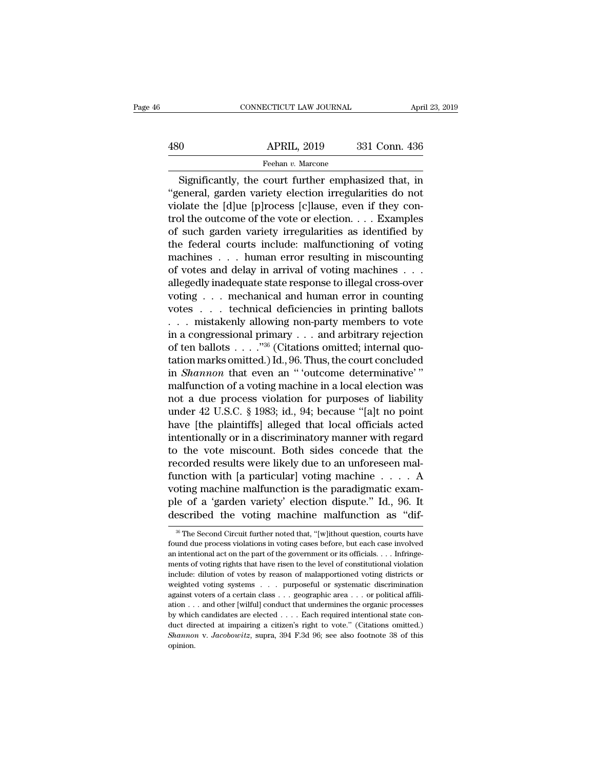## EXERCITE CONNECTICUT LAW JOURNAL April 23, 2019<br>480 APRIL, 2019 331 Conn. 436<br>Feehan v. Marcone Feehan *v.* Marcone

CONNECTICUT LAW JOURNAL April 23, 2019<br>
O APRIL, 2019 331 Conn. 436<br>
Feehan v. Marcone<br>
Significantly, the court further emphasized that, in<br>
eneral, garden variety election irregularities do not  $\begin{array}{r} \text{480} \text{ }\text{ }\text{~}\text{~}\text{~}\text{~}\text{~}\text{~}\text{~}\text{2019}} \text{ }\text{~}\text{~}\text{331} \text{ Conn. } \text{436} \end{array}$ <br>  $\begin{array}{r} \text{Feehan } v. \text{ Marcone} \ \text{Significantly, the court further emphasized that, in} \ \text{``general, garden variety election irregularities do not violate the [d]ue [p]rocess [c]lause, even if they control the outcome of the veto or election.$ 480 APRIL, 2019 331 Conn. 436<br>
Feehan v. Marcone<br>
Significantly, the court further emphasized that, in<br>
"general, garden variety election irregularities do not<br>
violate the [d]ue [p]rocess [c]lause, even if they con-<br>
tro  $\begin{array}{r} \text{APRIL, 2019} \\ \hline \text{Feehan } v. \text{ Marcone} \\ \hline \text{Significantly, the court further emphasized that, in} \\ \text{"general, garden variety election irregularities do not violate the [d]ue [p]rocess [c]lause, even if they control the outcome of the vote or election. . . Examples of such garden variety irregularities as identified by the federal source including off.$ Feehan v. Marcone<br>
Significantly, the court further emphasized that, in<br>
"general, garden variety election irregularities do not<br>
violate the [d]ue [p]rocess [c]lause, even if they con-<br>
trol the outcome of the vote or el Significantly, the court further emphasized that, in<br>
"general, garden variety election irregularities do not<br>
violate the [d]ue [p]rocess [c]lause, even if they con-<br>
trol the outcome of the vote or election.... Examples Significantly, the court further emphasized that, in<br>"general, garden variety election irregularities do not<br>violate the [d]ue [p]rocess [c]lause, even if they con-<br>trol the outcome of the vote or election.... Examples<br>of "general, garden variety election irregularities do not<br>violate the [d]ue [p]rocess [c]lause, even if they con-<br>trol the outcome of the vote or election. . . . Examples<br>of such garden variety irregularities as identified violate the [d]ue [p]rocess [c]lause, even if they control the outcome of the vote or election. . . . Examples of such garden variety irregularities as identified by the federal courts include: malfunctioning of voting ma trol the outcome of the vote or election. . . . Examples<br>of such garden variety irregularities as identified by<br>the federal courts include: malfunctioning of voting<br>machines . . . human error resulting in miscounting<br>of vo of such garden variety irregularities as identified by<br>the federal courts include: malfunctioning of voting<br>machines . . . human error resulting in miscounting<br>of votes and delay in arrival of voting machines . . .<br>alleged the federal courts include: malfunctioning of voting<br>machines . . . human error resulting in miscounting<br>of votes and delay in arrival of voting machines . . .<br>allegedly inadequate state response to illegal cross-over<br>vot machines . . . human error resulting in miscounting<br>of votes and delay in arrival of voting machines . . .<br>allegedly inadequate state response to illegal cross-over<br>voting . . . mechanical and human error in counting<br>vote of votes and delay in arrival of voting machines . . . allegedly inadequate state response to illegal cross-over voting . . . mechanical and human error in counting votes . . . technical deficiencies in printing ballots . allegedly inadequate state response to illegal cross-over<br>voting . . . mechanical and human error in counting<br>votes . . . technical deficiencies in printing ballots<br>. . . mistakenly allowing non-party members to vote<br>in a voting . . . . mechanical and human error in counting<br>votes . . . technical deficiencies in printing ballots<br>. . . mistakenly allowing non-party members to vote<br>in a congressional primary . . . and arbitrary rejection<br>of t malfunction of a voting machine in a local election was ... mistakenly allowing non-party members to vote<br>in a congressional primary ... and arbitrary rejection<br>of ten ballots ...."<sup>36</sup> (Citations omitted; internal quo-<br>tation marks omitted.) Id., 96. Thus, the court concluded in a congressional primary . . . and arbitrary rejection<br>of ten ballots . . . . "<sup>36</sup> (Citations omitted; internal quo-<br>tation marks omitted.) Id., 96. Thus, the court concluded<br>in *Shannon* that even an " 'outcome determ of ten ballots  $\ldots$ ."<sup>36</sup> (Citations omitted; internal quotation marks omitted.) Id., 96. Thus, the court concluded<br>in *Shannon* that even an "'outcome determinative'"<br>malfunction of a voting machine in a local election tation marks omitted.) Id., 96. Thus, the court concluded<br>in *Shannon* that even an "outcome determinative'"<br>malfunction of a voting machine in a local election was<br>not a due process violation for purposes of liability<br>und in *Shannon* that even an " 'outcome determinative'"<br>malfunction of a voting machine in a local election was<br>not a due process violation for purposes of liability<br>under 42 U.S.C. § 1983; id., 94; because "[a]t no point<br>ha malfunction of a voting machine in a local election was<br>not a due process violation for purposes of liability<br>under 42 U.S.C. § 1983; id., 94; because "[a]t no point<br>have [the plaintiffs] alleged that local officials acted not a due process violation for purposes of liability<br>under 42 U.S.C. § 1983; id., 94; because "[a]t no point<br>have [the plaintiffs] alleged that local officials acted<br>intentionally or in a discriminatory manner with regar under 42 U.S.C. § 1983; id., 94; because "[a]t no point<br>have [the plaintiffs] alleged that local officials acted<br>intentionally or in a discriminatory manner with regard<br>to the vote miscount. Both sides concede that the<br>re have [the plaintiffs] alleged that local officials acted<br>intentionally or in a discriminatory manner with regard<br>to the vote miscount. Both sides concede that the<br>recorded results were likely due to an unforeseen mal-<br>func intentionally or in a discriminatory manner with regard<br>to the vote miscount. Both sides concede that the<br>recorded results were likely due to an unforeseen mal-<br>function with [a particular] voting machine  $\dots$  . A<br>voting inction with [a particular] voting machine  $\ldots$  A<br>oting machine malfunction is the paradigmatic exam-<br>le of a 'garden variety' election dispute." Id., 96. It<br>secribed the voting machine malfunction as "dif-<br> $\frac{36}{100}$  voting machine malfunction is the paradigmatic example of a 'garden variety' election dispute." Id., 96. It described the voting machine malfunction as "dif-<br><sup>36</sup> The Second Circuit further noted that, "[w]ithout question

ple of a 'garden variety' election dispute." Id., 96. It<br>described the voting machine malfunction as "dif-<br><sup>36</sup> The Second Circuit further noted that, "[w]ithout question, courts have<br>found due process violations in voting ments of voting rights that the particle is a "dif-<br>
<sup>36</sup> The Second Circuit further noted that, "[w]ithout question, courts have<br>
found due process violations in voting cases before, but each case involved<br>
an intentional <sup>36</sup> The Second Circuit further noted that, "[w]ithout question, courts have found due process violations in voting cases before, but each case involved an intentional act on the part of the government or its officials. . <sup>36</sup> The Second Circuit further noted that, "[w]ithout question, courts have found due process violations in voting cases before, but each case involved an intentional act on the part of the government or its officials. . found due process violations in voting cases before, but each case involved<br>an intentional act on the part of the government or its officials. . . . Infringe-<br>ments of voting rights that have risen to the level of constit From an intentional act on the part of the government or its officials. . . . Infringements of voting rights that have risen to the level of constitutional violation include: dilution of votes by reason of malapportioned ments of voting rights that have risen to the level of constitutional violation include: dilution of votes by reason of malapportioned voting districts or weighted voting systems . . . purposeful or systematic discriminati include: dilution of votes by reason of malapportioned voting districts or weighted voting systems  $\ldots$  purposeful or systematic discrimination against voters of a certain class  $\ldots$  geographic area  $\ldots$  or political a *Shannon* v. *Jacobowitz*, supra, 394 F.3d 96; see also footnote 38 of this opinion.<br> *Shannon* v. *Jacobowitz*, supra, 394 F.3d 96; see also footnote 38 of this opinion. opinion.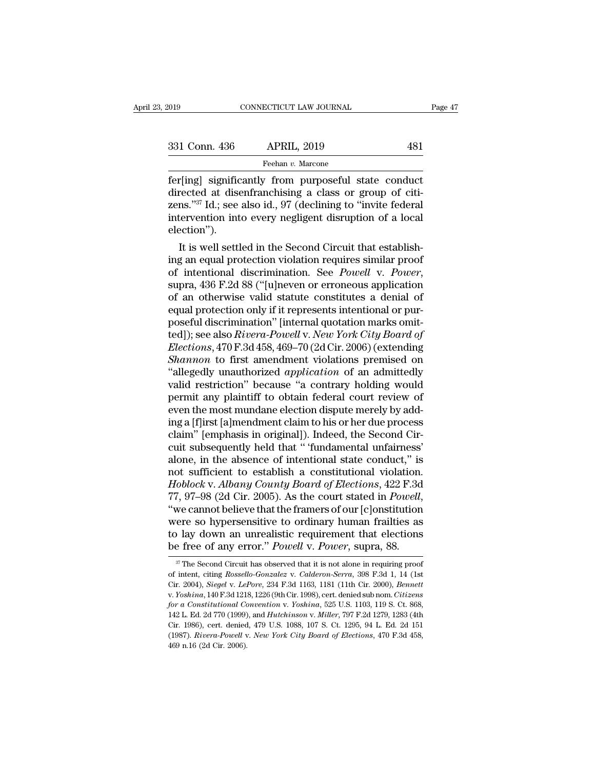| 2019          | CONNECTICUT LAW JOURNAL                                                                                                                                                                   | Page 47 |
|---------------|-------------------------------------------------------------------------------------------------------------------------------------------------------------------------------------------|---------|
| 331 Conn. 436 | <b>APRIL, 2019</b>                                                                                                                                                                        | 481     |
|               | Feehan v. Marcone                                                                                                                                                                         |         |
|               | fer [ing] significantly from purposeful state conduct<br>directed at disenfranchising a class or group of citi-<br>zons $^{37}$ Id $\cdot$ soo also id. 07 (doclining to "invite foloral" |         |

331 Conn. 436 APRIL, 2019 481<br>
Feehan v. Marcone<br>
fer[ing] significantly from purposeful state conduct<br>
directed at disenfranchising a class or group of citi-<br>
zens."<sup>37</sup> Id.; see also id., 97 (declining to "invite federal  $\begin{array}{c|c} \text{331 Conn. 436} & \text{APRIL, 2019} & \text{481} \\ \hline \text{Feehan } v. \text{ Marcone} \\ \text{fer[ing] significantly from purposeful state conduct directed at disenfranchising a class or group of citizens. "37 Id.; see also id., 97 (declining to "invite federal intervention into every neighbor distribution of a local electron")} \end{array}$ 331 Conn. 436 APRIL, 2019 481<br>
Feehan v. Marcone<br>
fer[ing] significantly from purposeful state conduct<br>
directed at disenfranchising a class or group of citi-<br>
zens."<sup>37</sup> Id.; see also id., 97 (declining to "invite federa election''). Fingl significantly from purposeful state conduct rected at disenfranchising a class or group of citi-<br>ns." $37$  Id.; see also id.,  $97$  (declining to "invite federal tervention into every negligent disruption of a local e Fering significantly from purposeful state conduct<br>directed at disenfranchising a class or group of citi-<br>zens."<sup>37</sup> Id.; see also id., 97 (declining to "invite federal<br>intervention into every negligent disruption of a lo

of intentional discrimination. See *Powell* v. *Power*, which is well settled in the Second Circuit that establishing an equal protection violation requires similar proof of intentional discrimination. See *Powell* v. *Pow* mervention into every negligent disruption of a local<br>election").<br>It is well settled in the Second Circuit that establish-<br>ing an equal protection violation requires similar proof<br>of intentional discrimination. See *Powell* election ).<br>
It is well settled in the Second Circuit that establishing an equal protection violation requires similar proof<br>
of intentional discrimination. See *Powell v. Power*,<br>
supra, 436 F.2d 88 ("[u]neven or erroneou It is well settled in the Second Circuit that establishing an equal protection violation requires similar proof<br>of intentional discrimination. See *Powell v. Power*,<br>supra, 436 F.2d 88 ("[u]neven or erroneous application<br> ing an equal protection violation requires similar proof<br>of intentional discrimination. See *Powell* v. *Power*,<br>supra, 436 F.2d 88 ("[u]neven or erroneous application<br>of an otherwise valid statute constitutes a denial of<br> of intentional discrimination. See *Powell v. Power*,<br>supra, 436 F.2d 88 ("[u]neven or erroneous application<br>of an otherwise valid statute constitutes a denial of<br>equal protection only if it represents intentional or pur-<br> supra, 436 F.2d 88 ("[u]neven or erroneous application<br>of an otherwise valid statute constitutes a denial of<br>equal protection only if it represents intentional or pur-<br>poseful discrimination" [internal quotation marks omit of an otherwise valid statute constitutes a denial of<br>equal protection only if it represents intentional or pur-<br>poseful discrimination" [internal quotation marks omit-<br>ted]); see also *Rivera-Powell* v. *New York City Boa* equal protection only if it represents intentional or pur-<br>poseful discrimination" [internal quotation marks omit-<br>ted]); see also *Rivera-Powell v. New York City Board of*<br>*Elections*, 470 F.3d 458, 469–70 (2d Cir. 2006) poseful discrimination" [internal quotation marks omitted]); see also *Rivera-Powell v. New York City Board of Elections,* 470 F.3d 458, 469–70 (2d Cir. 2006) (extending *Shannon* to first amendment violations premised o ted]); see also *Rivera-Powell* v. *New York City Board of Elections*, 470 F.3d 458, 469–70 (2d Cir. 2006) (extending *Shannon* to first amendment violations premised on "allegedly unauthorized *application* of an admitted *Elections,* 470 F.3d 458, 469–70 (2d Cir. 2006) (extending<br>*Shannon* to first amendment violations premised on<br>"allegedly unauthorized *application* of an admittedly<br>valid restriction" because "a contrary holding would<br>pe Shannon to first amendment violations premised on "allegedly unauthorized *application* of an admittedly valid restriction" because "a contrary holding would permit any plaintiff to obtain federal court review of even the "allegedly unauthorized *application* of an admittedly valid restriction" because "a contrary holding would permit any plaintiff to obtain federal court review of even the most mundane election dispute merely by adding a [ valid restriction" because "a contrary holding would<br>permit any plaintiff to obtain federal court review of<br>even the most mundane election dispute merely by add-<br>ing a [f]irst [a]mendment claim to his or her due process<br>cl permit any plaintiff to obtain federal court review of<br>even the most mundane election dispute merely by add-<br>ing a [f]irst [a]mendment claim to his or her due process<br>claim" [emphasis in original]). Indeed, the Second Cireven the most mundane election dispute merely by adding a [f]irst [a]mendment claim to his or her due process<br>claim" [emphasis in original]). Indeed, the Second Circuit subsequently held that " 'fundamental unfairness'<br>alo ing a [f]irst [a]mendment claim to his or her due process<br>claim" [emphasis in original]). Indeed, the Second Cir-<br>cuit subsequently held that " 'fundamental unfairness'<br>alone, in the absence of intentional state conduct," claim" [emphasis in original]). Indeed, the Second Circuit subsequently held that " 'fundamental unfairness'<br>alone, in the absence of intentional state conduct," is<br>not sufficient to establish a constitutional violation.<br> cuit subsequently held that " 'fundamental unfairness'<br>alone, in the absence of intentional state conduct," is<br>not sufficient to establish a constitutional violation.<br>Hoblock v. Albany County Board of Elections, 422 F.3d<br>7 alone, in the absence of intentional state conduct," is<br>not sufficient to establish a constitutional violation.<br>Hoblock v. Albany County Board of Elections, 422 F.3d<br>77, 97–98 (2d Cir. 2005). As the court stated in Powell, not sufficient to establish a constitutional violation.<br>Hoblock v. *Albany County Board of Elections*, 422 F.3d<br>77, 97–98 (2d Cir. 2005). As the court stated in *Powell*,<br>"we cannot believe that the framers of our [c]onsti we cannot believe that the framers of our [c]onstitution<br>ere so hypersensitive to ordinary human frailties as<br> $\alpha$  lay down an unrealistic requirement that elections<br> $\beta$  free of any error." Powell v. Power, supra, 88.<br> $\$ were so hypersensitive to ordinary human frailties as<br>to lay down an unrealistic requirement that elections<br>be free of any error." *Powell* v. *Power*, supra, 88.<br><sup>37</sup> The Second Circuit has observed that it is not alone i

to lay down an unrealistic requirement that elections<br>be free of any error." *Powell* v. *Power*, supra, 88.<br><sup>37</sup> The Second Circuit has observed that it is not alone in requiring proof<br>of intent, citing *Rossello-Gonzalez* **For a Constitutional Convention** v. *Power*, **Supper**, **So.**<br>
<sup>*st*</sup> The Second Circuit has observed that it is not alone in requiring proof<br>
of intent, citing *Rossello-Gonzalez* v. *Calderon-Serra*, 398 F.3d 1, 14 (1st<br> <sup>37</sup> The Second Circuit has observed that it is not alone in requiring proof of intent, citing *Rossello-Gonzalez* v. *Calderon-Serra*, 398 F.3d 1, 14 (1st Cir. 2004), *Siegel* v. *LePore*, 234 F.3d 1163, 1181 (11th Cir. 2 of intent, citing *Rossello-Gonzalez v. Calderon-Serra*, 398 F.3d 1, 14 (1st Cir. 2004), *Siegel v. LePore*, 234 F.3d 1163, 1181 (11th Cir. 2000), *Bennett* v. *Yoshina*, 140 F.3d 1218, 1226 (9th Cir. 1998), cert. denied s Cir. 2004), *Siegel v. LePore*, 234 F.3d 1163, 1181 (11th Cir. 2000), *Bennett* v. *Yoshina*, 140 F.3d 1218, 1226 (9th Cir. 1998), cert. denied sub nom. *Citizens* for a Constitutional Convention v. *Yoshina*, 525 U.S. 110 v. *Yoshina*, 140 F.3d 121<br>for a Constitutional Correlation Constitutional Correlation<br>142 L. Ed. 2d 770 (1999)<br>Cir. 1986), cert. denied<br>(1987). *Rivera-Powell* v<br>469 n.16 (2d Cir. 2006).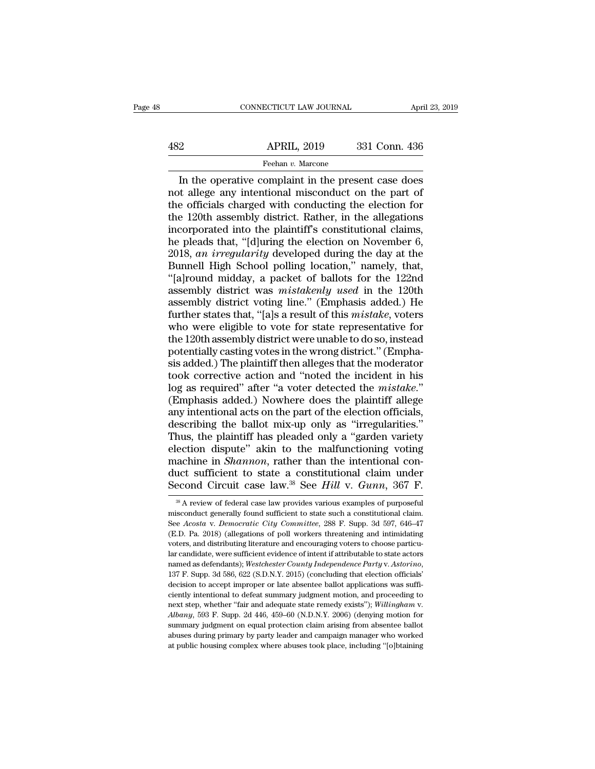## EXERCIT CONNECTICUT LAW JOURNAL April 23, 2019<br>482 APRIL, 2019 331 Conn. 436<br>Feehan v. Marcone Feehan *v.* Marcone

CONNECTICUT LAW JOURNAL April 23, 2019<br>
2 APRIL, 2019 331 Conn. 436<br>
Feehan v. Marcone<br>
In the operative complaint in the present case does<br>
it allege any intentional misconduct on the part of<br>
a officials charged with co  $\begin{array}{ccc}\n & \text{APRIL, 2019} & \text{331 Conn. 436} \\
 \hline\n & \text{Feehan } v. \text{ Marcone} \\
 \hline\n \end{array}$ In the operative complaint in the present case does<br>
not allege any intentional misconduct on the part of<br>
the officials charged with conducting the el  $\begin{array}{r|l} \hline \text{APRIL, 2019} & \text{331 Conn. 436} \hline \text{Feehan } v. \text{ Marcone} \hline \text{In the operative complaint in the present case does not all the any intentional misconduct on the part of the officials charged with conducting the election for the 120th assembly district. Rather, in the allegations incorporated into the plaintiff's constitutional claims.} \hline \end{array}$  $\begin{array}{r}\n 482 \text{ APRIL, } 2019 \text{ 331 Conn. } 436 \\
 \hline\n\text{Feehan } v. \text{ Marcone} \\
 \hline\n \text{In the operative complaint in the present case does not all.} \\
 \text{not all.} \text{the official standard misconduct on the part of the officials charged with conducting the election for the 120th assembly district. Rather, in the all.} \\
 \text{in corporate into the plaintiff's constitutional claims, he needs that "fdluring the election on November 6.\n$ Feehan v. Marcone<br>
In the operative complaint in the present case does<br>
not allege any intentional misconduct on the part of<br>
the officials charged with conducting the election for<br>
the 120th assembly district. Rather, in Feehan v. Marcone<br>
In the operative complaint in the present case does<br>
not allege any intentional misconduct on the part of<br>
the officials charged with conducting the election for<br>
the 120th assembly district. Rather, in In the operative complaint in the present case does<br>not allege any intentional misconduct on the part of<br>the officials charged with conducting the election for<br>the 120th assembly district. Rather, in the allegations<br>incorp not allege any intentional misconduct on the part of<br>the officials charged with conducting the election for<br>the 120th assembly district. Rather, in the allegations<br>incorporated into the plaintiff's constitutional claims,<br>h the officials charged with conducting the election for<br>the 120th assembly district. Rather, in the allegations<br>incorporated into the plaintiff's constitutional claims,<br>he pleads that, "[d]uring the election on November 6,<br> the 120th assembly district. Rather, in the allegations<br>incorporated into the plaintiff's constitutional claims,<br>he pleads that, "[d]uring the election on November 6,<br>2018, *an irregularity* developed during the day at the incorporated into the plaintiff's constitutional claims,<br>he pleads that, "[d]uring the election on November 6,<br>2018, *an irregularity* developed during the day at the<br>Bunnell High School polling location," namely, that,<br>"[ he pleads that, "[d]uring the election on November 6,<br>2018, *an irregularity* developed during the day at the<br>Bunnell High School polling location," namely, that,<br>"[a]round midday, a packet of ballots for the 122nd<br>assembl 2018, *an irregularity* developed during the day at the Bunnell High School polling location," namely, that, "[a]round midday, a packet of ballots for the 122nd assembly district was *mistakenly used* in the 120th assembl Bunnell High School polling location," namely, that,<br>"[a]round midday, a packet of ballots for the 122nd<br>assembly district was *mistakenly used* in the 120th<br>assembly district voting line." (Emphasis added.) He<br>further sta "[a]round midday, a packet of ballots for the 122nd<br>assembly district was *mistakenly used* in the 120th<br>assembly district voting line." (Emphasis added.) He<br>further states that, "[a]s a result of this *mistake*, voters<br>w assembly district was *mistakenly used* in the 120th<br>assembly district voting line." (Emphasis added.) He<br>further states that, "[a]s a result of this *mistake*, voters<br>who were eligible to vote for state representative fo assembly district voting line." (Emphasis added.) He<br>further states that, "[a]s a result of this *mistake*, voters<br>who were eligible to vote for state representative for<br>the 120th assembly district were unable to do so, in further states that, "[a]s a result of this *mistake*, voters<br>who were eligible to vote for state representative for<br>the 120th assembly district were unable to do so, instead<br>potentially casting votes in the wrong district who were eligible to vote for state representative for<br>the 120th assembly district were unable to do so, instead<br>potentially casting votes in the wrong district." (Empha-<br>sis added.) The plaintiff then alleges that the mo the 120th assembly district were unable to do so, instead<br>potentially casting votes in the wrong district." (Empha-<br>sis added.) The plaintiff then alleges that the moderator<br>took corrective action and "noted the incident i potentially casting votes in the wrong district." (Emphasis added.) The plaintiff then alleges that the moderator took corrective action and "noted the incident in his log as required" after "a voter detected the *mistake.* is added.) The plaintiff then alleges that the moderator<br>took corrective action and "noted the incident in his<br>log as required" after "a voter detected the *mistake.*"<br>(Emphasis added.) Nowhere does the plaintiff allege<br>an took corrective action and "noted the incident in his<br>log as required" after "a voter detected the *mistake*."<br>(Emphasis added.) Nowhere does the plaintiff allege<br>any intentional acts on the part of the election officials, log as required" after "a voter detected the *mistake.*"<br>(Emphasis added.) Nowhere does the plaintiff allege<br>any intentional acts on the part of the election officials,<br>describing the ballot mix-up only as "irregularities. (Emphasis added.) Nowhere does the plaintiff allege<br>any intentional acts on the part of the election officials,<br>describing the ballot mix-up only as "irregularities."<br>Thus, the plaintiff has pleaded only a "garden variety any intentional acts on the part of the election officials,<br>describing the ballot mix-up only as "irregularities."<br>Thus, the plaintiff has pleaded only a "garden variety<br>election dispute" akin to the malfunctioning voting<br> ection dispute" akin to the malfunctioning voting<br>achine in *Shannon*, rather than the intentional con-<br>uct sufficient to state a constitutional claim under<br>econd Circuit case law  $^{38}$  See *Hill* v. *Gunn*, 367 F.<br> $^{38}$ machine in *Shannon*, rather than the intentional conduct sufficient to state a constitutional claim under Second Circuit case law.<sup>38</sup> See *Hill* v. *Gunn*, 367 F.<br><sup>38</sup> A review of federal case law provides various examp

duct sufficient to state a constitutional claim under<br>Second Circuit case law.<sup>38</sup> See *Hill* v. *Gunn*, 367 F.<br><sup>38</sup> A review of federal case law provides various examples of purposeful<br>misconduct generally found sufficien Second Circuit case law,  $^{38}$  See Hill v. Gunn, 367 F.<br>  $^{38}$  A review of federal case law provides various examples of purposeful misconduct generally found sufficient to state such a constitutional claim.<br>
See Acosta Second Circuit case Taw. See True v. Guine, 300 F.<br>
<sup>38</sup> A review of federal case law provides various examples of purposeful<br>
misconduct generally found sufficient to state such a constitutional claim.<br>
See *Acosta v. De* <sup>38</sup> A review of federal case law provides various examples of purposeful misconduct generally found sufficient to state such a constitutional claim. See *Acosta v. Democratic City Committee*, 288 F. Supp. 3d 597, 646–47 misconduct generally found sufficient to state such a constitutional claim.<br>See Acosta v. Democratic City Committee, 288 F. Supp. 3d 597, 646–47<br>(E.D. Pa. 2018) (allegations of poll workers threatening and intimidating<br>vot See Acosta v. Democratic City Committee, 288 F. Supp. 3d 597, 646–47 (E.D. Pa. 2018) (allegations of poll workers threatening and intimidating voters, and distributing literature and encouraging voters to choose particula ciently intentional to defeat summary judgment motion, and proceeding volumes, and distributing literature and encouraging voters to choose particular candidate, were sufficient evidence of intent if attributable to state next step, whether ''fair and dequate state remedy exists''); *Vestchester County Independence Party* v. *Astorino*, 137 F. Supp. 3d 586, 622 (S.D.N.Y. 2015) (concluding that election officials' decision to accept improper 137 F. Supp. 3d 586, 622 (S.D.N.Y. 2015) (concluding that election officials' decision to accept improper or late absentee ballot applications was sufficiently intentional to defeat summary judgment motion, and proceeding decision to accept improper or late absentee ballot applications was sufficiently intentional to defeat summary judgment motion, and proceeding to next step, whether "fair and adequate state remedy exists"); Willingham v. ciently intentional to defeat summary judgment motion, and proceeding to<br>next step, whether "fair and adequate state remedy exists"); Willingham v.<br>Albany, 593 F. Supp. 2d 446, 459–60 (N.D.N.Y. 2006) (denying motion for<br>su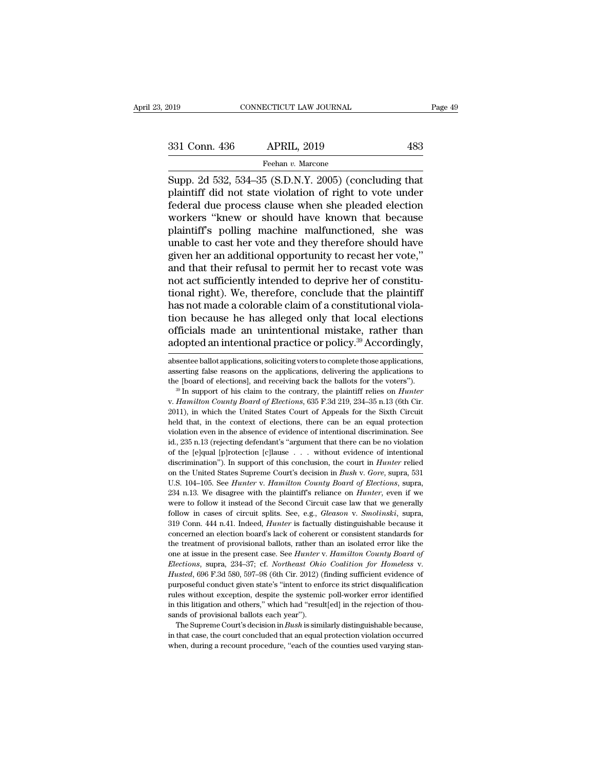Fage 4:<br>
Supp. 2d 532, 534–35 (S.D.N.Y. 2005) (concluding that<br>
Feehan v. Marcone<br>
Supp. 2d 532, 534–35 (S.D.N.Y. 2005) (concluding that<br>
plaintiff did not state violation of right to vote under<br>
foderal due process clause 331 Conn. 436 APRIL, 2019 483<br>
Feehan v. Marcone<br>
Supp. 2d 532, 534–35 (S.D.N.Y. 2005) (concluding that<br>
plaintiff did not state violation of right to vote under<br>
federal due process clause when she pleaded election<br>
worke 331 Conn. 436 APRIL, 2019 483<br>
Feehan v. Marcone<br>
Supp. 2d 532, 534–35 (S.D.N.Y. 2005) (concluding that<br>
plaintiff did not state violation of right to vote under<br>
federal due process clause when she pleaded election<br>
work  $\frac{331 \text{ Conn. } 436 \qquad \text{APRIL, } 2019 \qquad \text{483}}{\text{Feehan } v. \text{ Marcone}}$ <br>
Supp. 2d 532, 534–35 (S.D.N.Y. 2005) (concluding that plaintiff did not state violation of right to vote under federal due process clause when she pleaded elect Feehan v. Marcone<br>
Supp. 2d 532, 534–35 (S.D.N.Y. 2005) (concluding that<br>
plaintiff did not state violation of right to vote under<br>
federal due process clause when she pleaded election<br>
workers "knew or should have known Freehan v. Marcone<br>
Supp. 2d 532, 534–35 (S.D.N.Y. 2005) (concluding that<br>
plaintiff did not state violation of right to vote under<br>
federal due process clause when she pleaded election<br>
workers "knew or should have known Supp. 2d 532, 534–35 (S.D.N.Y. 2005) (concluding that plaintiff did not state violation of right to vote under federal due process clause when she pleaded election workers "knew or should have known that because plaintiff' plaintiff did not state violation of right to vote under<br>federal due process clause when she pleaded election<br>workers "knew or should have known that because<br>plaintiff's polling machine malfunctioned, she was<br>unable to cas federal due process clause when she pleaded election<br>workers "knew or should have known that because<br>plaintiff's polling machine malfunctioned, she was<br>unable to cast her vote and they therefore should have<br>given her an ad workers "knew or should have known that because<br>plaintiff's polling machine malfunctioned, she was<br>unable to cast her vote and they therefore should have<br>given her an additional opportunity to recast her vote,"<br>and that th plaintiff's polling machine malfunctioned, she was<br>unable to cast her vote and they therefore should have<br>given her an additional opportunity to recast her vote,"<br>and that their refusal to permit her to recast vote was<br>not unable to cast her vote and they therefore should have<br>given her an additional opportunity to recast her vote,"<br>and that their refusal to permit her to recast vote was<br>not act sufficiently intended to deprive her of consti given her an additional opportunity to recast her vote,"<br>and that their refusal to permit her to recast vote was<br>not act sufficiently intended to deprive her of constitu-<br>tional right). We, therefore, conclude that the pla and that their refusal to permit her to recast vote was<br>not act sufficiently intended to deprive her of constitu-<br>tional right). We, therefore, conclude that the plaintiff<br>has not made a colorable claim of a constitutional has not made a colorable claim of a constitutional violation because he has alleged only that local elections officials made an unintentional mistake, rather than adopted an intentional practice or policy.<sup>39</sup> Accordingly, tion because he has alleged only that local elections<br>officials made an unintentional mistake, rather than<br>adopted an intentional practice or policy.<sup>39</sup> Accordingly,<br>absentee ballot applications, soliciting voters to comp

officials made an unintentional mistake, rather than<br>adopted an intentional practice or policy.<sup>39</sup> Accordingly,<br>absentee ballot applications, soliciting voters to complete those applications,<br>asserting false reasons on t absentee ballot applications, soliciting voters to complete those applications, asserting false reasons on the applications, delivering the applications to the [board of elections], and receiving back the ballots for the asserting false reasons on the applications, delivering the applications to the [board of elections], and receiving back the ballots for the voters").<br><sup>39</sup> In support of his claim to the contrary, the plaintiff relies on the [board of elections], and receiving back the ballots for the voters").<br><sup>39</sup> In support of his claim to the contrary, the plaintiff relies on *Hunter* v. *Hamilton County Board of Elections*, 635 F.3d 219, 234–35 n.13 <sup>39</sup> In support of his claim to the contrary, the plaintiff relies on *Hunter* v. *Hamilton County Board of Elections*, 635 F.3d 219, 234–35 n.13 (6th Cir. 2011), in which the United States Court of Appeals for the Sixth *of the formulation County Board of Elections*, 635 F.3d 219, 234–35 n.13 (6th Cir. 2011), in which the United States Court of Appeals for the Sixth Circuit held that, in the context of elections, there can be an equal pr 2011), in which the United States Court of Appeals for the Sixth Circuit held that, in the context of elections, there can be an equal protection violation even in the absence of evidence of intentional discrimination. Se on the United States Supreme Court's decision in *Bush* v. *Gore*, suppose the United States in the absence of evidence of intentional discrimination. See id., 235 n.13 (rejecting defendant's "argument that there can be no near and, in the content of evidence of intentional discrimination. See id., 235 n.13 (rejecting defendant's "argument that there can be no violation of the [e]qual [p]rotection [c]lause . . . without evidence of intention id., 235 n.13 (rejecting defendant's "argument that there can be no violation<br>of the [e]qual [p]rotection [c]lause . . . without evidence of intentional<br>discrimination"). In support of this conclusion, the court in *Hunter* follow in cases of circuit splits. See, e.g., *Gleason v. Smolinski*, supraphendor in  $Bush$  v.  $Gore$ , supraphendor in Eurie Court in Hunter relied on the United States Supreme Court's decision in *Bush v. Gore*, supra, 531 discrimination"). In support of this conclusion, the court in *Hunter* relied on the United States Supreme Court's decision in *Bush v. Gore*, supra, 531 U.S. 104–105. See *Hunter v. Hamilton County Board of Elections*, su on the United States Supreme Court's decision in *Bush v. Gore*, supra, 531 U.S. 104–105. See *Hunter v. Hamilton County Board of Elections*, supra, 234 n.13. We disagree with the plaintiff's reliance on *Hunter*, even if U.S. 104–105. See *Hunter* v. *Hamilton County Board of Elections*, supra, 234 n.13. We disagree with the plaintiff's reliance on *Hunter*, even if we were to follow it instead of the Second Circuit case law that we genera 234 n.13. We disagree with the plaintiff's reliance on *Hunter*, even if we were to follow it instead of the Second Circuit case law that we generally follow in cases of circuit splits. See, e.g., *Gleason v. Smolinski*, one at issue in the present case. See, e.g., *Gleason v. Smolinski*, suprapped follow in cases of circuit splits. See, e.g., *Gleason v. Smolinski*, supra, 319 Conn. 444 n.41. Indeed, *Hunter* is factually distinguishable *Fellow* in cases of circuit splits. See, e.g., *Gleason v. Smolinski*, supra, 319 Conn. 444 n.41. Indeed, *Hunter* is factually distinguishable because it concerned an election board's lack of coherent or consistent stand concerned an election board's lack of coherent or consistent standards for the treatment of provisional ballots, rather than an isolated error like the one at issue in the present case. See *Hunter v. Hamilton County Board* the treatment of provisional ballots, rather than an isolated error like the one at issue in the present case. See *Hunter* v. *Hamilton County Board of Elections*, supra, 234–37; cf. *Northeast Ohio Coalition for Homeless* the treatment of provisional ballots, rather than an isolated error like the one at issue in the present case. See *Hunter v. Hamilton County Board of Elections*, supra, 234–37; cf. *Northeast Ohio Coalition for Homeless* usted, 696 F.3d 580, 597-98 (6th Cir. 2012) (finding sufficient evidence of proseful conduct given state's "intent to enforce its strict disqualification les without exception, despite the systemic poll-worker error identi in that case, the court of the court of the courter of the conclusion rules without exception, despite the systemic poll-worker error identified in this litigation and others," which had "result[ed] in the rejection of tho rules without exception, despite the systemic poll-worker error identified<br>in this litigation and others," which had "result[ed] in the rejection of thou-<br>sands of provisional ballots each year").<br>The Supreme Court's deci

The Supreme Court's decision in  $Bush$  is similarly distinguishable because,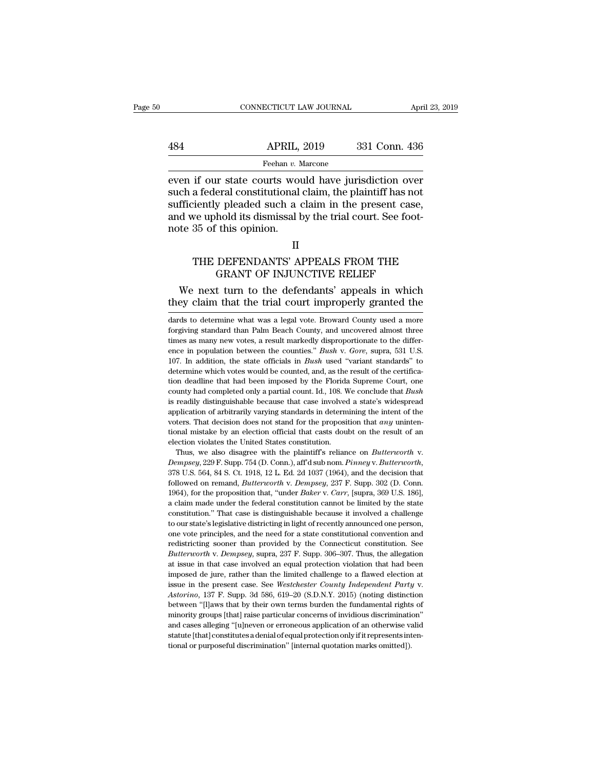## EXERCIT CONNECTICUT LAW JOURNAL April 23, 2019<br>484 APRIL, 2019 331 Conn. 436<br>Feehan v. Marcone Feehan *v.* Marcone

EXECUTE CONNECTICUT LAW JOURNAL FOR APRIL (2019)<br>
APRIL, 2019 331 Conn. 436<br>
Feehan v. Marcone<br>
Externed if our state courts would have jurisdiction over<br>
such a federal constitutional claim, the plaintiff has not<br>
suffici  $\begin{array}{ll}\n & \text{APRIL, 2019} & \text{331 Conn. 436} \\
 \text{Feehan } v. \text{ Marcone} \\
 \hline\n \end{array}$ Feehan v. Marcone<br>
even if our state courts would have jurisdiction over<br>
such a federal constitutional claim, the plaintiff has not<br>
sufficiently pleaded s  $\begin{array}{ll}\n & \text{APRIL, 2019} & \text{331 Conn. 436} \\
 \hline\n & \text{Feehan } v. \text{ Marcone} \\
 \hline\n \end{array}$ even if our state courts would have jurisdiction over<br>
such a federal constitutional claim, the plaintiff has not<br>
sufficiently pleaded such a claim in APRIL, 2019 331 Conn. 436<br>
Feehan v. Marcone<br>
even if our state courts would have jurisdiction over<br>
such a federal constitutional claim, the plaintiff has not<br>
sufficiently pleaded such a claim in the present case,<br>
and Frame,  $\frac{R_1R_2}{R_1R_3}$ <br>
even if our state courts wou<br>
such a federal constitutional<br>
sufficiently pleaded such a c<br>
and we uphold its dismissal h<br>
note 35 of this opinion. In our state courts would have jurisdiction over<br>a federal constitutional claim, the plaintiff has not<br>iently pleaded such a claim in the present case,<br>we uphold its dismissal by the trial court. See foot-<br>35 of this opini Franconstructional claim, the plantification has not<br>y pleaded such a claim in the present case,<br>hold its dismissal by the trial court. See foot-<br>ithis opinion.<br>II<br>DEFENDANTS' APPEALS FROM THE<br>GRANT OF INJUNCTIVE RELIEF<br>t d we uphold its dismissal by the trial court. See foot-<br>te 35 of this opinion.<br>II<br>THE DEFENDANTS' APPEALS FROM THE<br>GRANT OF INJUNCTIVE RELIEF<br>We next turn to the defendants' appeals in which<br>ey claim that the trial court i

### II

THE DEFENDANTS' APPEALS FROM THE<br>
THE DEFENDANTS' APPEALS FROM THE<br>
GRANT OF INJUNCTIVE RELIEF<br>
We next turn to the defendants' appeals in which<br>
they claim that the trial court improperly granted the<br>
dards to determine w

THE DEFENDANTS AFFEALS FROM THE<br>GRANT OF INJUNCTIVE RELIEF<br>We next turn to the defendants' appeals in which<br>they claim that the trial court improperly granted the<br>dards to determine what was a legal vote. Broward County us GRANT OF INJUNCTIVE RELIEF<br>We next turn to the defendants' appeals in which<br>they claim that the trial court improperly granted the<br>dards to determine what was a legal vote. Broward County used a more<br>forgiving standard tha We next turn to the defendants' appeals in which<br>they claim that the trial court improperly granted the<br>dards to determine what was a legal vote. Broward County used a more<br>forgiving standard than Palm Beach County, and un ence in population between the counties.<sup>"</sup> *Bush* v. *Gore*, suppose the direction of the dards to determine what was a legal vote. Broward County used a more forgiving standard than Palm Beach County, and uncovered almos 107. In addition, the state officials in *Bush* used a more forgiving standard than Palm Beach County, and uncovered almost three times as many new votes, a result markedly disproportionate to the difference in population dards to determine what was a legal vote. Broward County used a more forgiving standard than Palm Beach County, and uncovered almost three times as many new votes, a result markedly disproportionate to the difference in p forgiving standard than Palm Beach County, and uncovered almost three times as many new votes, a result markedly disproportionate to the difference in population between the counties." *Bush* v. Gore, supra, 531 U.S. 107. county as many new votes, a result markedly disproportionate to the difference in population between the counties." *Bush* v. Gore, supra, 531 U.S. 107. In addition, the state officials in *Bush* used "variant standards" t ence in population between the counties." *Bush v. Gore*, supra, 531 U.S. 107. In addition, the state officials in *Bush* used "variant standards" to determine which votes would be counted, and, as the result of the certi 107. In addition, the state officials in *Bush* used "variant standards" to determine which votes would be counted, and, as the result of the certification deadline that had been imposed by the Florida Supreme Court, one 107. In addition, the state officials in *Bush* used "variant standards" to determine which votes would be counted, and, as the result of the certification deadline that *had* been imposed by the Florida Supreme Court, on tion deadline that had been imposed by the Florida Supreme Court, one county had completed only a partial count. Id., 108. We conclude that *Bush* is readily distinguishable because that case involved a state's widespread election violates that can be county had completed only a partial count. Id., 108. We is readily distinguishable because that case involved application of arbitrarily varying standards in determ voters. That decision does is readily distinguishable because that case involved a state's widespread<br>application of arbitrarily varying standards in determining the intent of the<br>voters. That decision does not stand for the proposition that *any*

followed on remand, *Butterworth* v. *Dempsey*, 237 F. Supp. 369 U.S. 1964), for the proposition and *Butterworth* v. *Dempsey*, 229 F. Supp. 754 (D. Conn.), aff d sub nom. *Pinney* v. *Butterworth*, 378 U.S. 564, 84 S. Ct election violates the United States constitution.<br>
Thus, we also disagree with the plaintiff's reliance on *Butterworth* v.<br> *Dempsey*, 229 F. Supp. 754 (D. Conn.), aff'd sub nom. *Pinney* v. *Butterworth*,<br>
378 U.S. 564, Thus, we also disagree with the plaintiff's reliance on *Butterworth* v.<br> *Dempsey*, 229 F. Supp. 754 (D. Conn.), aff'd sub nom. *Pinney v. Butterworth*,<br>
378 U.S. 564, 84 S. Ct. 1918, 12 L. Ed. 2d 1037 (1964), and the de Dempsey, 229 F. Supp. 754 (D. Conn.), aff'd sub nom. *Pinney v. Butterworth*, 378 U.S. 564, 84 S. Ct. 1918, 12 L. Ed. 2d 1037 (1964), and the decision that followed on remand, *Butterworth v. Dempsey*, 237 F. Supp. 302 (D. Dempsey, 229 F. Supp. 754 (D. Conn.), aff'd sub nom. *Pinney v. Butterworth*, 378 U.S. 564, 84 S. Ct. 1918, 12 L. Ed. 2d 1037 (1964), and the decision that followed on remand, *Butterworth v. Dempsey*, 237 F. Supp. 302 (D followed on remand, *Butterworth* v. *Dempsey*, 237 F. Supp. 302 (D. Conn. 1964), for the proposition that, "under *Baker* v. *Carr*, [supra, 369 U.S. 186], a claim made under the federal constitution cannot be limited by 1964), for the proposition that, "under *Baker* v. *Carr*, [supra, 369 U.S. 186], a claim made under the federal constitution cannot be limited by the state constitution." That case is distinguishable because it involved *Buthermorth* v. *Permande* under the federal constitution cannot be limited by the state constitution." That case is distinguishable because it involved a challenge to our state's legislative districting in light of recen constitution." That case is distinguishable because it involved a challenge to our state's legislative districting in light of recently announced one person, one vote principles, and the need for a state constitutional con to our state's legislative districting in light of recently announced one person, one vote principles, and the need for a state constitutional convention and redistricting sooner than provided by the Connecticut constitut one vote principles, and the need for a state constitutional convention and redistricting sooner than provided by the Connecticut constitution. See *Butterworth* v. *Dempsey*, supra, 237 F. Supp. 306–307. Thus, the allegat Butterworth v. Dempsey, supra, 237 F. Supp. 306–307. Thus, the allegation at issue in that case involved an equal protection violation that had been imposed de jure, rather than the limited challenge to a flawed election a at issue in that case involved an equal protection violation that had been<br>imposed de jure, rather than the limited challenge to a flawed election at<br>issue in the present case. See *Westchester County Independent Party* v. and cases alleging "[u]neven or erroneous application of an otherwise valid statute [that] constituted challenge to a flawed election at issue in the present case. See *Westchester County Independent Party* v. *Astorino*, inspue in the present case. See *Westchester County Independent Party v.*<br>
Astorino, 137 F. Supp. 3d 586, 619–20 (S.D.N.Y. 2015) (noting distinction<br>
between "[l]aws that by their own terms burden the fundamental rights of Astorino, 137 F. Supp. 3d 586, 619–20 (S.D.N.Y. 2015) (noting distinct between "[l]aws that by their own terms burden the fundamental rights minority groups [that] raise particular concerns of invidious discrimination and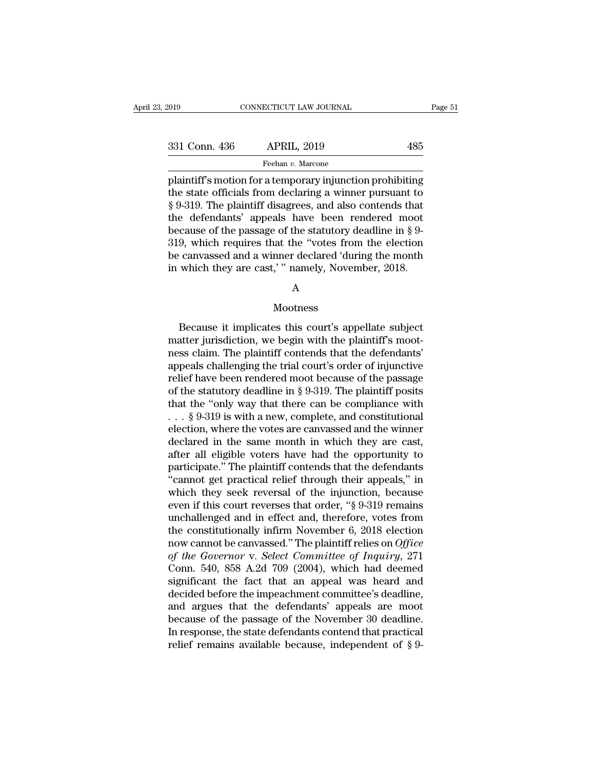Frage 51<br>
Page 51<br>
331 Conn. 436 APRIL, 2019 485<br>
Feehan v. Marcone<br>
plaintiff's motion for a temporary injunction prohibiting<br>
the state officials from declaring a winner pursuant to<br>
8.0.310. The plaintiff discorped also 331 Conn. 436 APRIL, 2019 485<br>
Feehan v. Marcone<br>
plaintiff's motion for a temporary injunction prohibiting<br>
the state officials from declaring a winner pursuant to<br>
§ 9-319. The plaintiff disagrees, and also contends that 331 Conn. 436 APRIL, 2019 485<br>
Feehan v. Marcone<br>
plaintiff's motion for a temporary injunction prohibiting<br>
the state officials from declaring a winner pursuant to<br>
§ 9-319. The plaintiff disagrees, and also contends tha 331 Conn. 436 APRIL, 2019 485<br>
Feehan v. Marcone<br>
plaintiff's motion for a temporary injunction prohibiting<br>
the state officials from declaring a winner pursuant to<br>  $\S 9-319$ . The plaintiff disagrees, and also contends t Feehan v. Marcone<br>
plaintiff's motion for a temporary injunction prohibiting<br>
the state officials from declaring a winner pursuant to<br>
§ 9-319. The plaintiff disagrees, and also contends that<br>
the defendants' appeals have Freehan v. Marcone<br>
plaintiff's motion for a temporary injunction prohibiting<br>
the state officials from declaring a winner pursuant to<br>
§ 9-319. The plaintiff disagrees, and also contends that<br>
the defendants' appeals hav plaintiff's motion for a temporary injunction prohibiting<br>the state officials from declaring a winner pursuant to<br>§ 9-319. The plaintiff disagrees, and also contends that<br>the defendants' appeals have been rendered moot<br>bec the state officials from declaring a winner pursuant to  $\S$  9-319. The plaintiff disagrees, and also contends that the defendants' appeals have been rendered moot because of the passage of the statutory deadline in  $\S$  9-

### A

### Mootness

canvassed and a winner declared 'during the month<br>which they are cast,' " namely, November, 2018.<br>A<br>Mootness<br>Because it implicates this court's appellate subject<br>atter jurisdiction, we begin with the plaintiff's moot-<br>as c in which they are cast,'" namely, November, 2018.<br>
A<br>
Mootness<br>
Because it implicates this court's appellate subject<br>
matter jurisdiction, we begin with the plaintiff's moot-<br>
ness claim. The plaintiff contends that the de A<br>Mootness<br>Because it implicates this court's appellate subject<br>matter jurisdiction, we begin with the plaintiff's moot-<br>ness claim. The plaintiff contends that the defendants'<br>appeals challenging the trial court's order o appeals challenging the trial court's order of injunctive Mootness<br>Because it implicates this court's appellate subject<br>matter jurisdiction, we begin with the plaintiff's moot-<br>ness claim. The plaintiff contends that the defendants'<br>appeals challenging the trial court's order of Because it implicates this court's appellate subject<br>matter jurisdiction, we begin with the plaintiff's moot-<br>ness claim. The plaintiff contends that the defendants'<br>appeals challenging the trial court's order of injuncti Because it implicates this court's appellate subject<br>matter jurisdiction, we begin with the plaintiff's moot-<br>ness claim. The plaintiff contends that the defendants'<br>appeals challenging the trial court's order of injuncti matter jurisdiction, we begin with the plaintiff's mootness claim. The plaintiff contends that the defendants'<br>appeals challenging the trial court's order of injunctive<br>relief have been rendered moot because of the passag ness claim. The plaintiff contends that the defendants'<br>appeals challenging the trial court's order of injunctive<br>relief have been rendered moot because of the passage<br>of the statutory deadline in § 9-319. The plaintiff p appeals challenging the trial court's order of injunctive<br>relief have been rendered moot because of the passage<br>of the statutory deadline in § 9-319. The plaintiff posits<br>that the "only way that there can be compliance wi relief have been rendered moot because of the passage<br>of the statutory deadline in § 9-319. The plaintiff posits<br>that the "only way that there can be compliance with<br> $\ldots$  § 9-319 is with a new, complete, and constitution of the statutory deadline in § 9-319. The plaintiff posits<br>
that the "only way that there can be compliance with<br>  $\ldots$  § 9-319 is with a new, complete, and constitutional<br>
election, where the votes are canvassed and the that the "only way that there can be compliance with<br>  $\ldots$  § 9-319 is with a new, complete, and constitutional<br>
election, where the votes are canvassed and the winner<br>
declared in the same month in which they are cast,<br>  $\dots$  § 9-319 is with a new, complete, and constitutional<br>election, where the votes are canvassed and the winner<br>declared in the same month in which they are cast,<br>after all eligible voters have had the opportunity to<br>part election, where the votes are canvassed and the winner<br>declared in the same month in which they are cast,<br>after all eligible voters have had the opportunity to<br>participate." The plaintiff contends that the defendants<br>"cann declared in the same month in which they are cast,<br>after all eligible voters have had the opportunity to<br>participate." The plaintiff contends that the defendants<br>"cannot get practical relief through their appeals," in<br>whic after all eligible voters have had the opportunity to<br>participate." The plaintiff contends that the defendants<br>"cannot get practical relief through their appeals," in<br>which they seek reversal of the injunction, because<br>eve participate." The plaintiff contends that the defendants<br>"cannot get practical relief through their appeals," in<br>which they seek reversal of the injunction, because<br>even if this court reverses that order, "§ 9-319 remains<br> "cannot get practical relief through their appeals," in<br>which they seek reversal of the injunction, because<br>even if this court reverses that order, "§ 9-319 remains<br>unchallenged and in effect and, therefore, votes from<br>the which they seek reversal of the injunction, because<br>even if this court reverses that order, "§ 9-319 remains<br>unchallenged and in effect and, therefore, votes from<br>the constitutionally infirm November 6, 2018 election<br>now c even if this court reverses that order, "§ 9-319 remains<br>unchallenged and in effect and, therefore, votes from<br>the constitutionally infirm November 6, 2018 election<br>now cannot be canvassed." The plaintiff relies on *Office* unchallenged and in effect and, therefore, votes from<br>the constitutionally infirm November 6, 2018 election<br>now cannot be canvassed." The plaintiff relies on *Office*<br>of the Governor v. Select Committee of Inquiry, 271<br>Con the constitutionally infirm November 6, 2018 election<br>now cannot be canvassed." The plaintiff relies on *Office*<br>of the Governor v. Select Committee of Inquiry, 271<br>Conn. 540, 858 A.2d 709 (2004), which had deemed<br>signific now cannot be canvassed." The plaintiff relies on *Office*<br>of the Governor v. Select Committee of Inquiry, 271<br>Conn. 540, 858 A.2d 709 (2004), which had deemed<br>significant the fact that an appeal was heard and<br>decided bef of the Governor v. Select Committee of Inquiry, 271<br>Conn. 540, 858 A.2d 709 (2004), which had deemed<br>significant the fact that an appeal was heard and<br>decided before the impeachment committee's deadline,<br>and argues that t Conn. 540, 858 A.2d 709 (2004), which had deemed significant the fact that an appeal was heard and decided before the impeachment committee's deadline, and argues that the defendants' appeals are moot because of the passa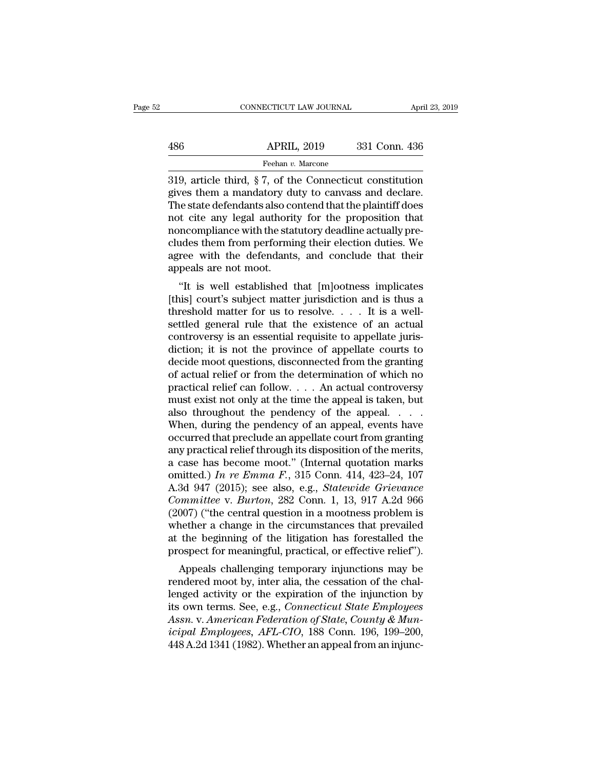|     | CONNECTICUT LAW JOURNAL | April 23, 2019 |
|-----|-------------------------|----------------|
|     |                         |                |
| 486 | <b>APRIL, 2019</b>      | 331 Conn. 436  |
|     | Feehan v. Marcone       |                |

CONNECTICUT LAW JOURNAL April 23, 2019<br>
486 APRIL, 2019 331 Conn. 436<br>
Feehan v. Marcone<br>
319, article third, § 7, of the Connecticut constitution<br>
gives them a mandatory duty to canvass and declare.<br>
The state defendants 486 APRIL, 2019 331 Conn. 436<br>
Feehan v. Marcone<br>
319, article third, § 7, of the Connecticut constitution<br>
gives them a mandatory duty to canvass and declare.<br>
The state defendants also contend that the plaintiff does<br>
n  $\begin{array}{r} \text{APRIL, 2019} \text{331 Conn. } 436 \\ \text{Feehan } v. \text{ Marcone} \end{array}$ <br>  $\begin{array}{r} \text{Feehan } v. \text{ Marcone} \end{array}$ <br>  $\begin{array}{r} \text{7, of the Connecticut constitution} \text{gives them a mandatory duty to canvas and declare.} \end{array}$ <br>
The state defendants also contend that the plaintiff does not cite any legal authority for  $\frac{\text{APRIL, 2019}}{\text{Feehan } v. \text{ Marcone}}$ <br>319, article third, § 7, of the Connecticut constitution<br>gives them a mandatory duty to canvass and declare.<br>The state defendants also contend that the plaintiff does<br>not cite any legal au Freehan v. Marcone<br>
The statutory during the Connecticut constitution<br>
gives them a mandatory duty to canvass and declare.<br>
The state defendants also contend that the plaintiff does<br>
not cite any legal authority for the p Freehan v. Marcone<br>
219, article third, § 7, of the Connecticut constitution<br>
gives them a mandatory duty to canvass and declare.<br>
The state defendants also contend that the plaintiff does<br>
not cite any legal authority fo 319, article third,  $\S 7$ , of the Connecticut constitution<br>gives them a mandatory duty to canvass and declare.<br>The state defendants also contend that the plaintiff does<br>not cite any legal authority for the proposition tha gives them a mandatory du<br>The state defendants also conot cite any legal authorit<br>noncompliance with the sta<br>cludes them from performi<br>agree with the defendants<br>appeals are not moot.<br>"It is well established t E state defendants also contend that the praintin does<br>
of the transformal extends that incompliance with the statutory deadline actually pre-<br>
ides them from performing their election duties. We<br>
ree with the defendants, For the any legal authority for the proposition that<br>noncompliance with the statutory deadline actually pre-<br>cludes them from performing their election duties. We<br>agree with the defendants, and conclude that their<br>appeals

noncompliance with the statutory deadline actually pre-<br>cludes them from performing their election duties. We<br>agree with the defendants, and conclude that their<br>appeals are not moot.<br>"It is well established that [m]ootness settled general roll performing the effection duties. We agree with the defendants, and conclude that their appeals are not moot.<br>
"It is well established that [m]ootness implicates [this] court's subject matter jurisdict agree with the defendants, and conclude that their<br>appeals are not moot.<br>"It is well established that [m]ootness implicates<br>[this] court's subject matter jurisdiction and is thus a<br>threshold matter for us to resolve.... It diction; it is well established that [m]ootness implicates [this] court's subject matter jurisdiction and is thus a threshold matter for us to resolve.  $\dots$  It is a well-settled general rule that the existence of an actua "It is well established that [m]ootness implicates [this] court's subject matter jurisdiction and is thus a threshold matter for us to resolve. . . . It is a well-settled general rule that the existence of an actual contr [this] court's subject matter jurisdiction and is thus a<br>threshold matter for us to resolve. . . . It is a well-<br>settled general rule that the existence of an actual<br>controversy is an essential requisite to appellate juri threshold matter for us to resolve. . . . It is a well-<br>settled general rule that the existence of an actual<br>controversy is an essential requisite to appellate juris-<br>diction; it is not the province of appellate courts to settled general rule that the existence of an actual<br>controversy is an essential requisite to appellate juris-<br>diction; it is not the province of appellate courts to<br>decide moot questions, disconnected from the granting<br>of controversy is an essential requisite to appellate juris-<br>diction; it is not the province of appellate courts to<br>decide moot questions, disconnected from the granting<br>of actual relief or from the determination of which no diction; it is not the province of appellate courts to<br>decide moot questions, disconnected from the granting<br>of actual relief or from the determination of which no<br>practical relief can follow. . . . An actual controversy<br>m decide moot questions, disconnected from the granting<br>of actual relief or from the determination of which no<br>practical relief can follow.... An actual controversy<br>must exist not only at the time the appeal is taken, but<br>al of actual relief or from the determination of which no<br>practical relief can follow. . . . An actual controversy<br>must exist not only at the time the appeal is taken, but<br>also throughout the pendency of the appeal. . . . .<br> practical relief can follow.... An actual controversy<br>must exist not only at the time the appeal is taken, but<br>also throughout the pendency of the appeal.....<br>When, during the pendency of an appeal, events have<br>occurred t must exist not only at the time the appeal is taken, but<br>also throughout the pendency of the appeal. . . . .<br>When, during the pendency of an appeal, events have<br>occurred that preclude an appellate court from granting<br>any p also throughout the pendency of the appeal. . . . . When, during the pendency of an appeal, events have occurred that preclude an appellate court from granting any practical relief through its disposition of the merits, a When, during the pendency of an appeal, events have<br>occurred that preclude an appellate court from granting<br>any practical relief through its disposition of the merits,<br>a case has become moot." (Internal quotation marks<br>omi occurred that preclude an appellate court from granting<br>any practical relief through its disposition of the merits,<br>a case has become moot." (Internal quotation marks<br>omitted.) In re Emma F., 315 Conn. 414, 423–24, 107<br>A.3 any practical relief through its disposition of the merits,<br>a case has become moot." (Internal quotation marks<br>omitted.) In re Emma F., 315 Conn. 414, 423–24, 107<br>A.3d 947 (2015); see also, e.g., *Statewide Grievance<br>Comm* a case has become moot." (Internal quotation marks<br>omitted.) In re Emma F., 315 Conn. 414, 423–24, 107<br>A.3d 947 (2015); see also, e.g., *Statewide Grievance*<br>Committee v. Burton, 282 Conn. 1, 13, 917 A.2d 966<br>(2007) ("the omitted.) In re Emma F., 315 Conn. 414, 423–24, 107<br>A.3d 947 (2015); see also, e.g., *Statewide Grievance*<br>Committee v. Burton, 282 Conn. 1, 13, 917 A.2d 966<br>(2007) ("the central question in a mootness problem is<br>whether  $A$ <sup>2</sup> (2015), see also, e.g., *Statewide* Griedmeer minimittee v. *Burton*, 282 Conn. 1, 13, 917 A.2d 966 007) ("the central question in a mootness problem is nether a change in the circumstances that prevailed the begin Committee v. *Barton*, 282 Colli. 1, 15, 317 A.2d 300 (2007) ("the central question in a mootness problem is whether a change in the circumstances that prevailed at the beginning of the litigation has forestalled the pros

(2007) ( the central question in a moothess problem is<br>whether a change in the circumstances that prevailed<br>at the beginning of the litigation has forestalled the<br>prospect for meaningful, practical, or effective relief"). whether a change in the circumstances that prevalled<br>at the beginning of the litigation has forestalled the<br>prospect for meaningful, practical, or effective relief").<br>Appeals challenging temporary injunctions may be<br>render at the beginning of the higation has forestaned the<br>prospect for meaningful, practical, or effective relief").<br>*Appeals challenging temporary injunctions may be*<br>rendered moot by, inter alia, the cessation of the chal-<br>len prospect for meaningful, practical, or effective refler *j*.<br>
Appeals challenging temporary injunctions may be<br>
rendered moot by, inter alia, the cessation of the chal-<br>
lenged activity or the expiration of the injunction Appeals challenging temporary injunctions may be<br>rendered moot by, inter alia, the cessation of the chal-<br>lenged activity or the expiration of the injunction by<br>its own terms. See, e.g., *Connecticut State Employees*<br>Assn.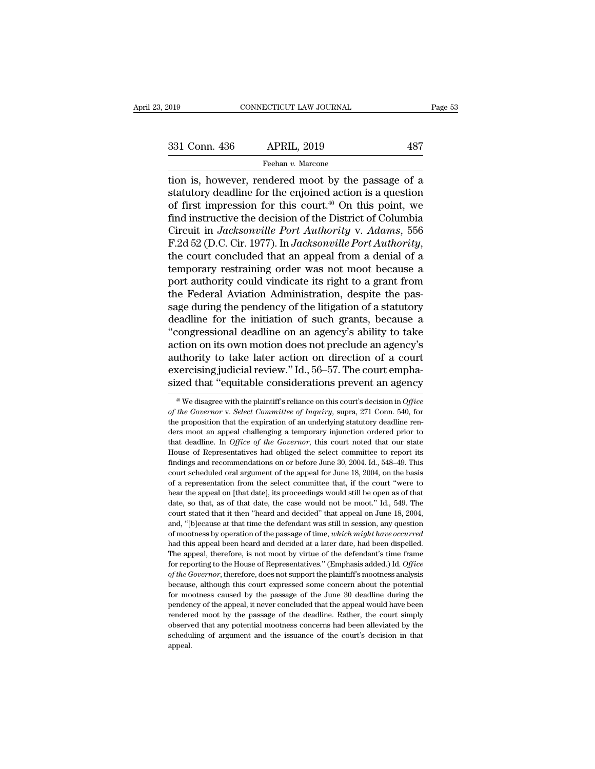the connective state of the passage of a<br>  $1331 \text{ Conn. } 436$  APRIL,  $2019$  487<br>
Feehan v. Marcone<br>
The passage of a<br>
tion is, however, rendered moot by the passage of a<br>
statutory deadline for the enjoined action is a quest 331 Conn. 436 APRIL, 2019 487<br>
Feehan v. Marcone<br>
tion is, however, rendered moot by the passage of a<br>
statutory deadline for the enjoined action is a question<br>
of first impression for this court.<sup>40</sup> On this point, we<br>
f 331 Conn. 436 APRIL, 2019 487<br>
Feehan v. Marcone<br>
tion is, however, rendered moot by the passage of a<br>
statutory deadline for the enjoined action is a question<br>
of first impression for this court.<sup>40</sup> On this point, we<br>
f 331 Conn. 436 APRIL, 2019 487<br>
Feehan v. Marcone<br>
tion is, however, rendered moot by the passage of a<br>
statutory deadline for the enjoined action is a question<br>
of first impression for this court.<sup>40</sup> On this point, we<br>
f Feehan *v.* Marcone<br>
The *v. Marcone*<br>
The *v. Marcone*<br>
Statutory deadline for the enjoined action is a question<br>
of first impression for this court.<sup>40</sup> On this point, we<br>
find instructive the decision of the District of Freehan v. Marcone<br>
from is, however, rendered moot by the passage of a<br>
statutory deadline for the enjoined action is a question<br>
of first impression for this court.<sup>40</sup> On this point, we<br>
find instructive the decision of statutory deadline for the enjoined action is a question<br>of first impression for this court.<sup>40</sup> On this point, we<br>find instructive the decision of the District of Columbia<br>Circuit in *Jacksonville Port Authority* v. Adams of first impression for this court.<sup>40</sup> On this point, we<br>find instructive the decision of the District of Columbia<br>Circuit in *Jacksonville Port Authority* v. *Adams*, 556<br>F.2d 52 (D.C. Cir. 1977). In *Jacksonville Port A* find instructive the decision of the District of Columbia<br>Circuit in *Jacksonville Port Authority* v. Adams, 556<br>F.2d 52 (D.C. Cir. 1977). In *Jacksonville Port Authority*,<br>the court concluded that an appeal from a denial Circuit in *Jacksonville Port Authority v. Adams*, 556<br>F.2d 52 (D.C. Cir. 1977). In *Jacksonville Port Authority*,<br>the court concluded that an appeal from a denial of a<br>temporary restraining order was not moot because a<br>po F.2d 52 (D.C. Cir. 1977). In *Jacksonville Port Authority*,<br>the court concluded that an appeal from a denial of a<br>temporary restraining order was not moot because a<br>port authority could vindicate its right to a grant from<br> the court concluded that an appeal from a denial of a<br>
temporary restraining order was not moot because a<br>
port authority could vindicate its right to a grant from<br>
the Federal Aviation Administration, despite the pas-<br>
sa temporary restraining order was not moot because a<br>port authority could vindicate its right to a grant from<br>the Federal Aviation Administration, despite the pas-<br>sage during the pendency of the litigation of a statutory<br>de port authority could vindicate its right to a grant from<br>the Federal Aviation Administration, despite the pas-<br>sage during the pendency of the litigation of a statutory<br>deadline for the initiation of such grants, because a the Federal Aviation Administration, despite the passage during the pendency of the litigation of a statutory deadline for the initiation of such grants, because a "congressional deadline on an agency's ability to take act sage during the pendency of the litigation of a statutory<br>deadline for the initiation of such grants, because a<br>"congressional deadline on an agency's ability to take<br>action on its own motion does not preclude an agency's<br> thority to take later action on direction of a court<br>xercising judicial review." Id., 56–57. The court empha-<br>zed that "equitable considerations prevent an agency<br><sup>#0</sup> We disagree with the plaintiff's reliance on this cour authority to take later action on direction of a court<br>exercising judicial review." Id., 56–57. The court empha-<br>sized that "equitable considerations prevent an agency<br><sup>40</sup> We disagree with the plaintiff's reliance on this

exercising judicial review." Id., 56–57. The court emphasized that "equitable considerations prevent an agency<br><sup>40</sup> We disagree with the plaintiff's reliance on this court's decision in *Office* of the Governor v. Select sized that "equitable considerations prevent an agency<br>  $\frac{40 \text{ We}}{40 \text{ We}}$  disagree with the plaintiff's reliance on this court's decision in *Office*<br> *of the Governor* v. *Select Committee of Inquiry*, supra, 271 Co sized that equitable considerations prevent all agency<br>
<sup>40</sup> We disagree with the plaintiff's reliance on this court's decision in *Office*<br> *of the Governor* v. *Select Committee of Inquiry*, supra, 271 Conn. 540, for<br>
th <sup>40</sup> We disagree with the plaintiff's reliance on this court's decision in Office of the Governor v. Select Committee of Inquiry, supra, 271 Conn. 540, for the proposition that the expiration of an underlying statutory de of the Governor v. Select Committee of Inquiry, supra, 271 Conn. 540, for the proposition that the expiration of an underlying statutory deadline renders moot an appeal challenging a temporary injunction ordered prior to the proposition that the expiration of an underlying statutory deadline renders moot an appeal challenging a temporary injunction ordered prior to that deadline. In *Office of the Governor*, this court noted that our stat ders moot an appeal challenging a temporary injunction ordered prior to that deadline. In *Office of the Governor*, this court noted that our state House of Representatives had obliged the select committee to report its fi that deadline. In *Office of the Governor*, this court noted that our state House of Representatives had obliged the select committee to report its findings and recommendations on or before June 30, 2004. Id., 548–49. Thi House of Representatives had obliged the select committee to report its findings and recommendations on or before June 30, 2004. Id., 548–49. This court scheduled oral argument of the appeal for June 18, 2004, on the basis findings and recommendations on or before June 30, 2004. Id., 548–49. This court scheduled oral argument of the appeal for June 18, 2004, on the basis of a representation from the select committee that, if the court "were court scheduled oral argument of the appeal for June 18, 2004, on the basis of a representation from the select committee that, if the court "were to hear the appeal on [that date], its proceedings would still be open as o of a representation from the select committee that, if the court "were to hear the appeal on [that date], its proceedings would still be open as of that date, so that, as of that date, the case would not be moot." Id., 549 hear the appeal on (that date), its proceedings would still be open as of that date, so that, as of that date, the case would not be moot." Id., 549. The court stated that it then "heard and decided" that appeal on June 18 date, so that, as of that date, the case would not be moot." Id., 549. The court stated that it then "heard and decided" that appeal on June 18, 2004, and, "[b]ecause at that time the defendant was still in session, any qu court stated that it then "heard and decided" that appeal on June 18, 2004, and, "[b]ecause at that time the defendant was still in session, any question of mootness by operation of the passage of time, *which might have o* and, "[b]ecause at that time the defendant was still in session, any question of mootness by operation of the passage of time, *which might have occurred* had this appeal been heard and decided at a later date, had been di and this approach of the passage of time, *which might have occurred* had this appeal been heard and decided at a later date, had been dispelled. The appeal, therefore, is not moot by virtue of the defendant's time frame For moothers are performed and decided at a later date, had been dispelled.<br>The appeal, therefore, is not moot by virtue of the defendant's time frame<br>for reporting to the House of Representatives." (Emphasis added.) Id. O The appeal, therefore, is not moot by virtue of the defendant's time frame<br>for reporting to the House of Representatives." (Emphasis added.) Id. *Office*<br>of the Governor, therefore, does not support the plaintiff's mootne For reporting to the House of Representatives." (Emphasis added.) Id. Office of the Governor, therefore, does not support the plaintiff's mootness analysis because, although this court expressed some concern about the pote of the Governor, therefore, does not support the plaintiff's mootness analysis because, although this court expressed some concern about the potential for mootness caused by the passage of the June 30 deadline during the p of the Governor, therefore, does not support the plaintiff's mootness analysis because, although this court expressed some concern about the potential for mootness caused by the passage of the June 30 deadline during the appeal.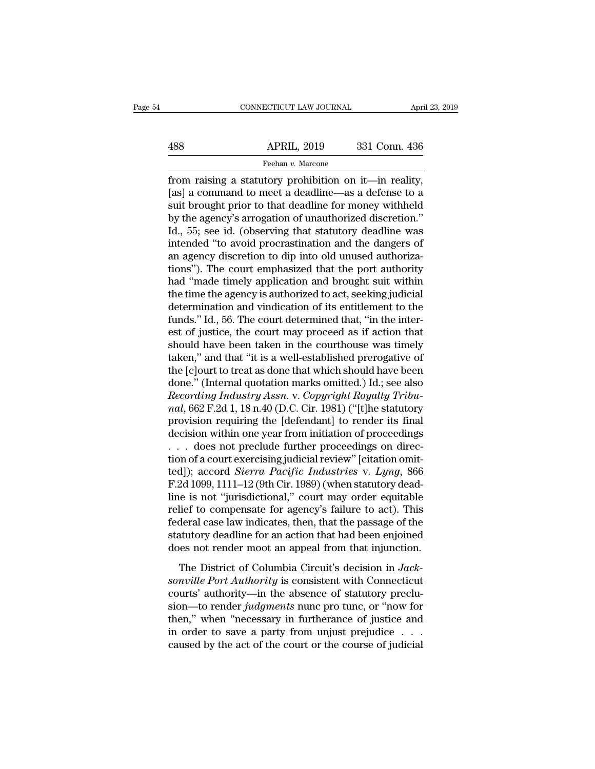# EXERCIT CONNECTICUT LAW JOURNAL April 23, 2019<br>488 APRIL, 2019 331 Conn. 436<br>Feehan v. Marcone

Feehan *v.* Marcone

FRIL, 2019 and the status of the status of the status of the status of the status of the status of the status of the status and to meet a deadline—as a defense to a suit brought prior to that deadline for monoy withhold  $\begin{array}{r} \text{APRIL, 2019} \\ \text{Feehan } v. \text{ Marcone} \\ \text{from raising a statutory prohibition on it—in reality, [as] a command to meet a deadline—as a defense to a suit brought prior to that deadline for money withheld by the genome's expectation of uncutboriized direction.} \end{array}$ APRIL, 2019 331 Conn. 436<br>
Feehan v. Marcone<br>
from raising a statutory prohibition on it—in reality,<br>
[as] a command to meet a deadline—as a defense to a<br>
suit brought prior to that deadline for money withheld<br>
by the age  $\begin{array}{r} \text{APRIL, 2019} \\ \text{Feehan } v. \text{ Marcone} \\ \text{from raising a statutory~prohibition on it—in reality, [as] a command to meet a deadline—as a defense to a suit brought prior to that deadline for money withheld by the agency's arrogation of unauthorized discretion." Id., 55; see id. (observing that statutory deadline was intended "to avoid precreation and the dangers of$ Feehan v. Marcone<br>
from raising a statutory prohibition on it—in reality,<br>
[as] a command to meet a deadline—as a defense to a<br>
suit brought prior to that deadline for money withheld<br>
by the agency's arrogation of unautho From raising a statutory prohibition on it—in reality,<br>[as] a command to meet a deadline—as a defense to a<br>suit brought prior to that deadline for money withheld<br>by the agency's arrogation of unauthorized discretion."<br>Id. from raising a statutory prohibition on it—in reality,<br>[as] a command to meet a deadline—as a defense to a<br>suit brought prior to that deadline for money withheld<br>by the agency's arrogation of unauthorized discretion."<br>Id., [as] a command to meet a deadline—as a defense to a<br>suit brought prior to that deadline for money withheld<br>by the agency's arrogation of unauthorized discretion."<br>Id., 55; see id. (observing that statutory deadline was<br>int suit brought prior to that deadline for money withheld<br>by the agency's arrogation of unauthorized discretion."<br>Id., 55; see id. (observing that statutory deadline was<br>intended "to avoid procrastination and the dangers of<br>a by the agency's arrogation of unauthorized discretion."<br>Id., 55; see id. (observing that statutory deadline was<br>intended "to avoid procrastination and the dangers of<br>an agency discretion to dip into old unused authoriza-<br>t Id., 55; see id. (observing that statutory deadline was<br>intended "to avoid procrastination and the dangers of<br>an agency discretion to dip into old unused authoriza-<br>tions"). The court emphasized that the port authority<br>had intended "to avoid procrastination and the dangers of<br>an agency discretion to dip into old unused authoriza-<br>tions"). The court emphasized that the port authority<br>had "made timely application and brought suit within<br>the ti an agency discretion to dip into old unused authorizations"). The court emphasized that the port authority had "made timely application and brought suit within the time the agency is authorized to act, seeking judicial det tions"). The court emphasized that the port authority<br>had "made timely application and brought suit within<br>the time the agency is authorized to act, seeking judicial<br>determination and vindication of its entitlement to the<br> had "made timely application and brought suit within<br>the time the agency is authorized to act, seeking judicial<br>determination and vindication of its entitlement to the<br>funds." Id., 56. The court determined that, "in the i the time the agency is authorized to act, seeking judicial<br>determination and vindication of its entitlement to the<br>funds." Id., 56. The court determined that, "in the inter-<br>est of justice, the court may proceed as if acti determination and vindication of its entitlement to the<br>funds." Id., 56. The court determined that, "in the inter-<br>est of justice, the court may proceed as if action that<br>should have been taken in the courthouse was timel funds." Id., 56. The court determined that, "in the inter-<br>est of justice, the court may proceed as if action that<br>should have been taken in the courthouse was timely<br>taken," and that "it is a well-established prerogative est of justice, the court may proceed as if action that<br>should have been taken in the courthouse was timely<br>taken," and that "it is a well-established prerogative of<br>the [c]ourt to treat as done that which should have been should have been taken in the courthouse was timely<br>taken," and that "it is a well-established prerogative of<br>the [c]ourt to treat as done that which should have been<br>done." (Internal quotation marks omitted.) Id.; see als taken," and that "it is a well-established prerogative of<br>the [c]ourt to treat as done that which should have been<br>done." (Internal quotation marks omitted.) Id.; see also<br>*Recording Industry Assn.* v. *Copyright Royalty* the [c]ourt to treat as done that which should have been<br>done." (Internal quotation marks omitted.) Id.; see also<br>*Recording Industry Assn.* v. *Copyright Royalty Tribu-<br>nal*, 662 F.2d 1, 18 n.40 (D.C. Cir. 1981) ("[t]he done." (Internal quotation marks omitted.) Id.; see also<br> *Recording Industry Assn.* v. *Copyright Royalty Tribu-*<br> *nal*, 662 F.2d 1, 18 n.40 (D.C. Cir. 1981) ("[t]he statutory<br>
provision requiring the [defendant] to ren Recording Industry Assn. v. Copyright Royalty Tribu-<br>nal, 662 F.2d 1, 18 n.40 (D.C. Cir. 1981) ("[t]he statutory<br>provision requiring the [defendant] to render its final<br>decision within one year from initiation of proceedin nal, 662 F.2d 1, 18 n.40 (D.C. Cir. 1981) ("[t]he statutory<br>provision requiring the [defendant] to render its final<br>decision within one year from initiation of proceedings<br> $\ldots$  does not preclude further proceedings on di

provision requiring the [defendant] to render its final<br>decision within one year from initiation of proceedings<br>... does not preclude further proceedings on direc-<br>tion of a court exercising judicial review" [citation omi decision within one year from initiation of proceedings<br>
. . . does not preclude further proceedings on direc-<br>
tion of a court exercising judicial review" [citation omit-<br>
ted]); accord *Sierra Pacific Industries* v. *Ly* Federal case in the proceedings on direction of a court exercising judicial review" [citation omitted]); accord *Sierra Pacific Industries* v. *Lyng*, 866 F.2d 1099, 1111–12 (9th Cir. 1989) (when statutory deadline is not tion of a court exercising judicial review" [citation omit-<br>ted]); accord *Sierra Pacific Industries* v. *Lyng*, 866<br>F.2d 1099, 1111–12 (9th Cir. 1989) (when statutory dead-<br>line is not "jurisdictional," court may order eq ted]); accord *Sierra Pacific Industries* v. *Lyng*, 866<br>F.2d 1099, 1111–12 (9th Cir. 1989) (when statutory dead-<br>line is not "jurisdictional," court may order equitable<br>relief to compensate for agency's failure to act). T The District of Columbia Circuit's decision in *Jackaville* Port *Authority* is consistent with Connecticut<br>
The District of Columbia Circuit's decision in *Jackaville Port Authority* is consistent with Connecticut<br>
Th relief to compensate for agency's failure to act). This<br>federal case law indicates, then, that the passage of the<br>statutory deadline for an action that had been enjoined<br>does not render moot an appeal from that injunction.

From the complements of algoring  $\sigma$  random to above. The federal case law indicates, then, that the passage of the statutory deadline for an action that had been enjoined does not render moot an appeal from that injunct statutory deadline for an action that had been enjoined<br>does not render moot an appeal from that injunction.<br>The District of Columbia Circuit's decision in *Jack-*<br>sonville Port Authority is consistent with Connecticut<br>cou the positive of the series and then that injunction.<br>The District of Columbia Circuit's decision in Jacksonville Port Authority is consistent with Connecticut<br>courts' authority—in the absence of statutory preclu-<br>sion—to The District of Columbia Circuit's decision in *Jacksonville Port Authority* is consistent with Connecticut courts' authority—in the absence of statutory preclusion—to render *judgments* nunc pro tunc, or "now for then," The District of Columbia Circuit's decision in *Jacksonville Port Authority* is consistent with Connecticut courts' authority—in the absence of statutory preclusion—to render *judgments* nunc pro tunc, or "now for then,"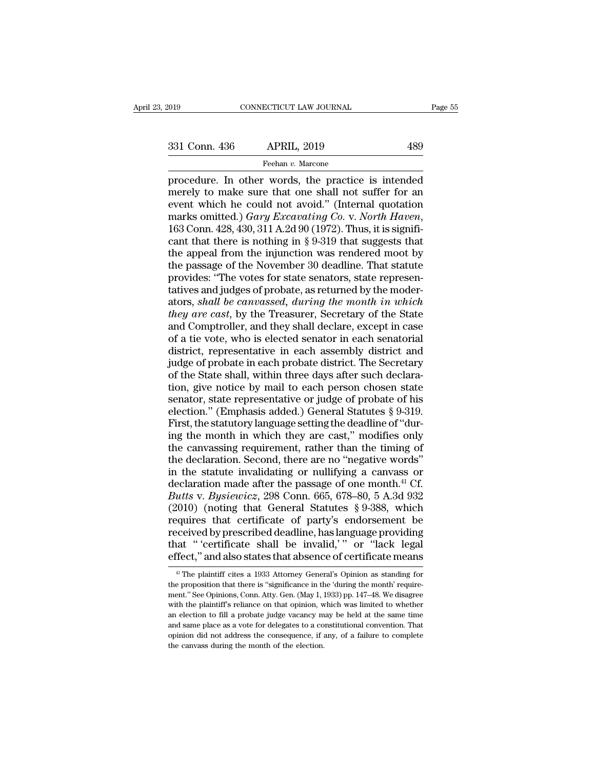Fage 55<br>
19 CONNECTICUT LAW JOURNAL Page 55<br>
231 Conn. 436 APRIL, 2019 489<br>
Feehan v. Marcone<br>
procedure. In other words, the practice is intended<br>
merely to make sure that one shall not suffer for an<br>
event which he could 331 Conn. 436 APRIL, 2019 489<br>
Feehan v. Marcone<br>
procedure. In other words, the practice is intended<br>
merely to make sure that one shall not suffer for an<br>
event which he could not avoid." (Internal quotation<br>
marks omit 331 Conn. 436 APRIL, 2019 489<br>
Feehan v. Marcone<br>
procedure. In other words, the practice is intended<br>
merely to make sure that one shall not suffer for an<br>
event which he could not avoid." (Internal quotation<br>
marks omit 331 Conn. 436 APRIL, 2019 489<br>
Feehan v. Marcone<br>
procedure. In other words, the practice is intended<br>
merely to make sure that one shall not suffer for an<br>
event which he could not avoid." (Internal quotation<br>
marks omitt Feehan v. Marcone<br>procedure. In other words, the practice is intended<br>merely to make sure that one shall not suffer for an<br>event which he could not avoid." (Internal quotation<br>marks omitted.) *Gary Excavating Co.* v. *Nor* procedure. In other words, the practice is intended<br>merely to make sure that one shall not suffer for an<br>event which he could not avoid." (Internal quotation<br>marks omitted.) *Gary Excavating Co. v. North Haven*,<br>163 Conn. merely to make sure that one shall not suffer for an<br>event which he could not avoid." (Internal quotation<br>marks omitted.) *Gary Excavating Co. v. North Haven*,<br>163 Conn. 428, 430, 311 A.2d 90 (1972). Thus, it is signifi-<br> event which he could not avoid." (Internal quotation<br>marks omitted.) *Gary Excavating Co. v. North Haven*,<br>163 Conn. 428, 430, 311 A.2d 90 (1972). Thus, it is signifi-<br>cant that there is nothing in § 9-319 that suggests th marks omitted.) *Gary Excavating* Co. v. *North Haven*, 163 Conn. 428, 430, 311 A.2d 90 (1972). Thus, it is significant that there is nothing in § 9-319 that suggests that the appeal from the injunction was rendered moot 163 Conn. 428, 430, 311 A.2d 90 (1972). Thus, it is significant that there is nothing in § 9-319 that suggests that the appeal from the injunction was rendered moot by the passage of the November 30 deadline. That statute cant that there is nothing in § 9-319 that suggests that<br>the appeal from the injunction was rendered moot by<br>the passage of the November 30 deadline. That statute<br>provides: "The votes for state senators, state represen-<br>ta the appeal from the injunction was rendered moot by<br>the passage of the November 30 deadline. That statute<br>provides: "The votes for state senators, state represen-<br>tatives and judges of probate, as returned by the moder-<br>at the passage of the November 30 deadline. That statute<br>provides: "The votes for state senators, state represen-<br>tatives and judges of probate, as returned by the moder-<br>ators, *shall be canvassed*, *during the month in whic* provides: "The votes for state senators, state representatives and judges of probate, as returned by the moder-<br>ators, *shall be canvassed, during the month in which*<br>*they are cast*, by the Treasurer, Secretary of the Sta is a statives and judges of probate, as returned by the moder-<br>ators, *shall be canvassed*, *during the month in which*<br>*they are cast*, by the Treasurer, Secretary of the State<br>and Comptroller, and they shall declare, exc ators, *shall be canvassed*, *during the month in which*<br>*they are cast*, by the Treasurer, Secretary of the State<br>and Comptroller, and they shall declare, except in case<br>of a tie vote, who is elected senator in each senat they are cast, by the Treasurer, Secretary of the State<br>and Comptroller, and they shall declare, except in case<br>of a tie vote, who is elected senator in each senatorial<br>district, representative in each assembly district an and Comptroller, and they shall declare, except in case<br>of a tie vote, who is elected senator in each senatorial<br>district, representative in each assembly district and<br>judge of probate in each probate district. The Secret of a tie vote, who is elected senator in each senatorial<br>district, representative in each assembly district and<br>judge of probate in each probate district. The Secretary<br>of the State shall, within three days after such decl district, representative in each assembly district and<br>judge of probate in each probate district. The Secretary<br>of the State shall, within three days after such declara-<br>tion, give notice by mail to each person chosen stat judge of probate in each probate district. The Secretary<br>of the State shall, within three days after such declara-<br>tion, give notice by mail to each person chosen state<br>senator, state representative or judge of probate of of the State shall, within three days after such declaration, give notice by mail to each person chosen state senator, state representative or judge of probate of his election." (Emphasis added.) General Statutes  $\S 9-319$ tion, give notice by mail to each person chosen state<br>senator, state representative or judge of probate of his<br>election." (Emphasis added.) General Statutes § 9-319.<br>First, the statutory language setting the deadline of " senator, state representative or judge of probate of his<br>election." (Emphasis added.) General Statutes § 9-319.<br>First, the statutory language setting the deadline of "dur-<br>ing the month in which they are cast," modifies o election." (Emphasis added.) General Statutes § 9-319.<br>First, the statutory language setting the deadline of "dur-<br>ing the month in which they are cast," modifies only<br>the canvassing requirement, rather than the timing of First, the statutory language setting the deadline of "during the month in which they are cast," modifies only<br>the canvassing requirement, rather than the timing of<br>the declaration. Second, there are no "negative words"<br>in ing the month in which they are cast," modifies only<br>the canvassing requirement, rather than the timing of<br>the declaration. Second, there are no "negative words"<br>in the statute invalidating or nullifying a canvass or<br>decl the canvassing requirement, rather than the timing of<br>the declaration. Second, there are no "negative words"<br>in the statute invalidating or nullifying a canvass or<br>declaration made after the passage of one month.<sup>41</sup> Cf.<br> the declaration. Second, there are no "negative words"<br>in the statute invalidating or nullifying a canvass or<br>declaration made after the passage of one month.<sup>41</sup> Cf.<br>*Butts* v. *Bysiewicz*, 298 Conn. 665, 678–80, 5 A.3d in the statute invalidating or nullifying a canvass or declaration made after the passage of one month.<sup>41</sup> Cf. *Butts v. Bysiewicz*, 298 Conn. 665, 678–80, 5 A.3d 932 (2010) (noting that General Statutes § 9-388, which r declaration made after the passage of one month.<sup>41</sup> Cf.<br>Butts v. Bysiewicz, 298 Conn. 665, 678–80, 5 A.3d 932<br>(2010) (noting that General Statutes § 9-388, which<br>requires that certificate of party's endorsement be<br>receiv equires that certificate of party's endorsement be<br>eceived by prescribed deadline, has language providing<br>at "'certificate shall be invalid,'" or "lack legal<br>fect," and also states that absence of certificate means<br><sup>41</sup> Th received by prescribed deadline, has language providing<br>that "'certificate shall be invalid,'" or "lack legal<br>effect," and also states that absence of certificate means<br><sup>41</sup> The plaintiff cites a 1933 Attorney General's Op

that " 'certificate shall be invalid,' " or "lack legal<br>effect," and also states that absence of certificate means<br><sup>41</sup> The plaintiff cites a 1933 Attorney General's Opinion as standing for<br>the proposition that there is "s effect," and also states that absence of certificate means  $\frac{4!}{4!}$  The plaintiff cites a 1933 Attorney General's Opinion as standing for the proposition that there is "significance in the 'during the month' requiremen effect, and also states that absence of certificate filearis<br>
<sup>41</sup> The plaintiff cites a 1933 Attorney General's Opinion as standing for<br>
the proposition that there is "significance in the 'during the month' require-<br>
men <sup>41</sup> The plaintiff cites a 1933 Attorney General's Opinion as standing for the proposition that there is "significance in the 'during the month' requirement." See Opinions, Conn. Atty. Gen. (May 1, 1933) pp. 147–48. We di the proposition that there is "significance in the 'during the month' requirement." See Opinions, Conn. Atty. Gen. (May 1, 1933) pp. 147–48. We disagree with the plaintiff's reliance on that opinion, which was limited to w opinion did not address the consequence, if any, of a failure to complete the canvass during the month of the election.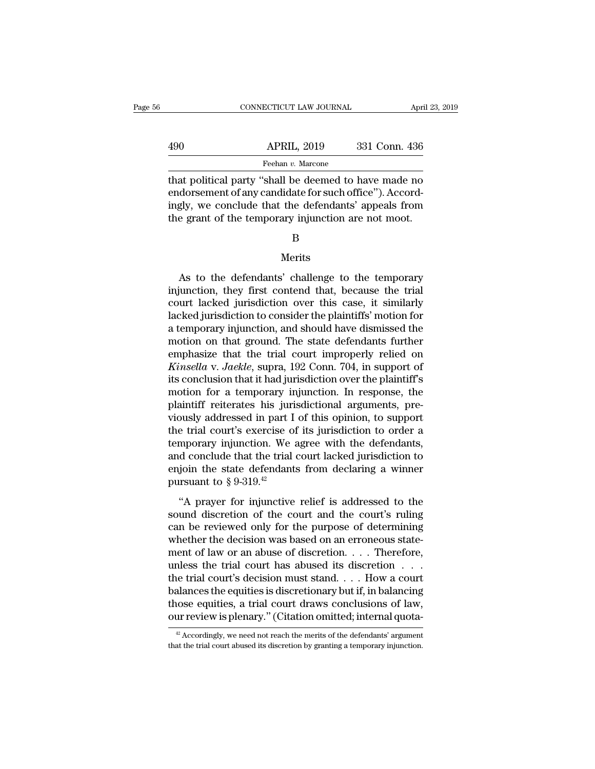|     | CONNECTICUT LAW JOURNAL | April 23, 2019 |
|-----|-------------------------|----------------|
|     |                         |                |
| 490 | <b>APRIL, 2019</b>      | 331 Conn. 436  |
|     | Feehan v. Marcone       |                |

CONNECTICUT LAW JOURNAL April 23, 2019<br>
490 APRIL, 2019 331 Conn. 436<br>
Feehan v. Marcone<br>
that political party "shall be deemed to have made no<br>
endorsement of any candidate for such office"). Accord-APRIL, 2019 331 Conn. 436<br>
Feehan v. Marcone<br>
that political party "shall be deemed to have made no<br>
endorsement of any candidate for such office"). Accord-<br>
ingly, we conclude that the defendants' appeals from<br>
the grapt  $\begin{array}{c|c} \text{APRIL, 2019} & \text{331 Conn. 436} \hline \text{Feehan } v. \text{ Marcone} \end{array}$ <br>that political party "shall be deemed to have made no endorsement of any candidate for such office"). Accordingly, we conclude that the defendants' appeals fro  $\begin{array}{r} \text{APRIL, 2019} \qquad \text{331 Conn. 436} \ \hline \text{Feehan } v. \text{ Marcone} \ \text{that political party "shall be deemed to have made no endorsement of any candidate for such office"). Accordingly, we conclude that the defendants' appeals from the grant of the temporary injunction are not moot.} \qquad \qquad \text{B} \end{array}$ 

### B

### Merits

gly, we conclude that the defendants' appeals from<br>
e grant of the temporary injunction are not moot.<br>
B<br>
Merits<br>
As to the defendants' challenge to the temporary<br>
junction, they first contend that, because the trial<br>
wet the grant of the temporary injunction are not moot.<br>
B<br>
Merits<br>
As to the defendants' challenge to the temporary<br>
injunction, they first contend that, because the trial<br>
court lacked jurisdiction over this case, it similar B<br>B<br>Merits<br>As to the defendants' challenge to the temporary<br>injunction, they first contend that, because the trial<br>court lacked jurisdiction over this case, it similarly<br>lacked jurisdiction to consider the plaintiffs' moti B<br>
Merits<br>
As to the defendants' challenge to the temporary<br>
injunction, they first contend that, because the trial<br>
court lacked jurisdiction over this case, it similarly<br>
lacked jurisdiction to consider the plaintiffs' m Merits<br>As to the defendants' challenge to the temporary<br>injunction, they first contend that, because the trial<br>court lacked jurisdiction over this case, it similarly<br>lacked jurisdiction to consider the plaintiffs' motion f As to the defendants' challenge to the temporary<br>injunction, they first contend that, because the trial<br>court lacked jurisdiction over this case, it similarly<br>lacked jurisdiction to consider the plaintiffs' motion for<br>a t As to the defendants' challenge to the temporary<br>injunction, they first contend that, because the trial<br>court lacked jurisdiction over this case, it similarly<br>lacked jurisdiction to consider the plaintiffs' motion for<br>a te injunction, they first contend that, because the trial<br>court lacked jurisdiction over this case, it similarly<br>lacked jurisdiction to consider the plaintiffs' motion for<br>a temporary injunction, and should have dismissed the court lacked jurisdiction over this case, it similarly<br>lacked jurisdiction to consider the plaintiffs' motion for<br>a temporary injunction, and should have dismissed the<br>motion on that ground. The state defendants further<br>em lacked jurisdiction to consider the plaintiffs' motion for<br>a temporary injunction, and should have dismissed the<br>motion on that ground. The state defendants further<br>emphasize that the trial court improperly relied on<br>*Kins* a temporary injunction, and should have dismissed the<br>motion on that ground. The state defendants further<br>emphasize that the trial court improperly relied on<br>*Kinsella* v. Jaekle, supra, 192 Conn. 704, in support of<br>its co motion on that ground. The state defendants further<br>emphasize that the trial court improperly relied on<br>*Kinsella* v. Jaekle, supra, 192 Conn. 704, in support of<br>its conclusion that it had jurisdiction over the plaintiff's emphasize that the trial court improperly relied on<br>Kinsella v. Jaekle, supra, 192 Conn. 704, in support of<br>its conclusion that it had jurisdiction over the plaintiff's<br>motion for a temporary injunction. In response, the<br>p Kinsella v. Jaekle, supra, 192 Conn. 704, in support of<br>its conclusion that it had jurisdiction over the plaintiff's<br>motion for a temporary injunction. In response, the<br>plaintiff reiterates his jurisdictional arguments, pr its conclusion that it had jurisdiction over the plaintiff's<br>motion for a temporary injunction. In response, the<br>plaintiff reiterates his jurisdictional arguments, pre-<br>viously addressed in part I of this opinion, to supp motion for a temporary injunction. In response, the plaintiff reiterates his jurisdictional arguments, previously addressed in part I of this opinion, to support the trial court's exercise of its jurisdiction to order a t plaintiff reiterates his juri<br>viously addressed in part I<br>the trial court's exercise of<br>temporary injunction. We and conclude that the trial<br>enjoin the state defendant<br>pursuant to  $\S 9-319.^{42}$ <br>"A prayer for injunctive e trial court's exercise of its jurisdiction to order a<br>
mporary injunction. We agree with the defendants,<br>
d conclude that the trial court lacked jurisdiction to<br>
join the state defendants from declaring a winner<br>
state temporary injunction. We agree with the defendants,<br>and conclude that the trial court lacked jurisdiction to<br>enjoin the state defendants from declaring a winner<br>pursuant to § 9-319.<sup>42</sup><br>"A prayer for injunctive relief is

and conclude that the trial court lacked jurisdiction to<br>enjoin the state defendants from declaring a winner<br>pursuant to  $\S 9{\text -}319.^{\text{42}}$ <br>"A prayer for injunctive relief is addressed to the<br>sound discretion of the cour enjoin the state defendants from declaring a winner<br>pursuant to § 9-319.<sup>42</sup><br>"A prayer for injunctive relief is addressed to the<br>sound discretion of the court and the court's ruling<br>can be reviewed only for the purpose of pursuant to § 9-319.<sup>42</sup><br>
"A prayer for injunctive relief is addressed to the<br>
sound discretion of the court and the court's ruling<br>
can be reviewed only for the purpose of determining<br>
whether the decision was based on a "A prayer for injunctive relief is addressed to the<br>sound discretion of the court and the court's ruling<br>can be reviewed only for the purpose of determining<br>whether the decision was based on an erroneous state-<br>ment of la "A prayer for injunctive relief is addressed to the sound discretion of the court and the court's ruling can be reviewed only for the purpose of determining whether the decision was based on an erroneous statement of law sound discretion of the court and the court's ruling<br>can be reviewed only for the purpose of determining<br>whether the decision was based on an erroneous state-<br>ment of law or an abuse of discretion. . . . Therefore,<br>unless can be reviewed only for the purpose of determining<br>whether the decision was based on an erroneous state-<br>ment of law or an abuse of discretion. . . . Therefore,<br>unless the trial court has abused its discretion . . .<br>the whether the decision was based on an erroneous statement of law or an abuse of discretion. . . . Therefore, unless the trial court has abused its discretion . . . . the trial court's decision must stand. . . . How a court de trial court's decision must stand.... How a court<br>alances the equities is discretionary but if, in balancing<br>nose equities, a trial court draws conclusions of law,<br> $\mu$ r review is plenary." (Citation omitted; internal balances the equities is discretionary but if, in balancing<br>those equities, a trial court draws conclusions of law,<br>our review is plenary." (Citation omitted; internal quota-<br> $\frac{1}{2}$  Accordingly, we need not reach the m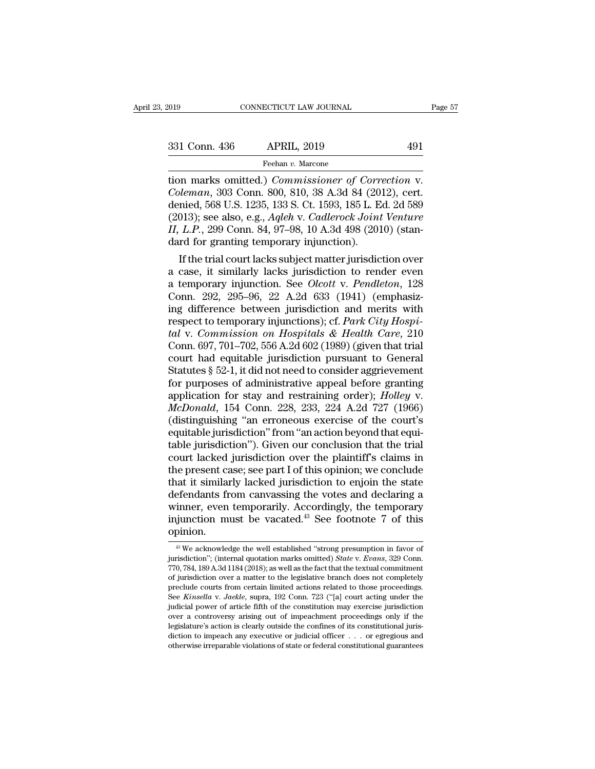The commeter of Correction marks omitted.) *Commissioner of Correction* v.<br> *Coleman*, 303 Conn. 800, 810, 38 A.3d 84 (2012), cert.<br> **Coleman**, 303 Conn. 800, 810, 38 A.3d 84 (2012), cert.<br> **Coleman**, 303 Conn. 800, 810, 3 **Coleman**, 303 Conn. 800, 810, 38 A.3d 84 (2012), cert.<br> **Coleman**, 303 Conn. 800, 810, 38 A.3d 84 (2012), cert.<br> **Coleman**, 303 Conn. 800, 810, 38 A.3d 84 (2012), cert.<br> **denied**, 568 U.S. 1235, 133 S. Ct. 1593, 185 L. Ed 331 Conn. 436 APRIL, 2019 491<br>
Feehan v. Marcone<br>
tion marks omitted.) *Commissioner of Correction* v.<br> *Coleman*, 303 Conn. 800, 810, 38 A.3d 84 (2012), cert.<br>
denied, 568 U.S. 1235, 133 S. Ct. 1593, 185 L. Ed. 2d 589<br>
(2 (2013)<br>
231 Conn. 436 APRIL, 2019<br>
2019<br>
2019<br>
2019<br>
2019<br>
2019<br>
2019<br>
2019<br>
2019, cert. *Coleman*, 303 Conn. 800, 810, 38 A.3d 84 (2012), cert.<br>
2014, 568 U.S. 1235, 133 S. Ct. 1593, 185 L. Ed. 2d 589<br>
2013); see also, e. *Feehan v. Marcone*<br> *III NIII, 2016*<br> *III NIII, 2016*<br> *III NIII, 2016*<br> *III NIII, 2016*<br> *III NIII, 2016*<br> *III NIIII SOME OF COPTECTION*<br> *Coleman*, 303 Conn. 800, 810, 38 A.3d 84 (2012), cert.<br>
denied, 568 U.S. 1235, Feehan v. Marcone<br>tion marks omitted.) *Commissioner of Corr*<br>Coleman, 303 Conn. 800, 810, 38 A.3d 84 (20<br>denied, 568 U.S. 1235, 133 S. Ct. 1593, 185 L. E<br>(2013); see also, e.g., *Aqleh* v. *Cadlerock Joint*<br>II, L.P., 299 If the trial court lacks subject matter jurisdiction over<br>the trial connection of S68 U.S. 1235, 133 S. Ct. 1593, 185 L. Ed. 2d 589<br>013); see also, e.g., *Aqleh* v. *Cadlerock Joint Venture*<br>*L.P.*, 299 Conn. 84, 97–98, 1 Coleman, 303 Conn. 800, 810, 38 A.3d 84 (2012), cert.<br>denied, 568 U.S. 1235, 133 S. Ct. 1593, 185 L. Ed. 2d 589<br>(2013); see also, e.g., *Aqleh* v. *Cadlerock Joint Venture*<br>II, L.P., 299 Conn. 84, 97–98, 10 A.3d 498 (2010

denied, 568 U.S. 1235, 133 S. Ct. 1593, 185 L. Ed. 2d 589<br>(2013); see also, e.g., *Aqleh* v. *Cadlerock Joint Venture*<br>*II*, *L.P.*, 299 Conn. 84, 97–98, 10 A.3d 498 (2010) (stan-<br>dard for granting temporary injunction).<br>I (2013); see also, e.g., *Aqlen v. Cadlerock Joint Venture II, L.P.*, 299 Conn. 84, 97–98, 10 A.3d 498 (2010) (standard for granting temporary injunction).<br>If the trial court lacks subject matter jurisdiction over a case, II, L.P., 299 Conn. 84, 97–98, 10 A.3d 498 (2010) (stan-<br>dard for granting temporary injunction).<br>If the trial court lacks subject matter jurisdiction over<br>a case, it similarly lacks jurisdiction to render even<br>a temporar dard for granting temporary injunction).<br>
If the trial court lacks subject matter jurisdiction over<br>
a case, it similarly lacks jurisdiction to render even<br>
a temporary injunction. See *Olcott* v. *Pendleton*, 128<br>
Conn. 2 If the trial court lacks subject matter jurisdiction over<br>a case, it similarly lacks jurisdiction to render even<br>a temporary injunction. See *Olcott v. Pendleton*, 128<br>Conn. 292, 295–96, 22 A.2d 633 (1941) (emphasiz-<br>ing d a case, it similarly lacks jurisdiction to render even<br>a temporary injunction. See *Olcott* v. *Pendleton*, 128<br>Conn. 292, 295–96, 22 A.2d 633 (1941) (emphasiz-<br>ing difference between jurisdiction and merits with<br>respect t a temporary injunction. See *Olcott* v. *Pendleton*, 128<br>Conn. 292, 295–96, 22 A.2d 633 (1941) (emphasiz-<br>ing difference between jurisdiction and merits with<br>respect to temporary injunctions); cf. *Park City Hospi-*<br>tal v. Conn. 292, 295–96, 22 A.2d 633 (1941) (emphasiz-<br>ing difference between jurisdiction and merits with<br>respect to temporary injunctions); cf. *Park City Hospi-*<br>tal v. Commission on Hospitals & Health Care, 210<br>Conn. 697, 7 ing difference between jurisdiction and merits with<br>respect to temporary injunctions); cf. *Park City Hospi-<br>tal* v. *Commission on Hospitals & Health Care*, 210<br>Conn. 697, 701–702, 556 A.2d 602 (1989) (given that trial<br>c respect to temporary injunctions); cf. *Park City Hospital* v. *Commission on Hospitals & Health Care*, 210 Conn. 697, 701–702, 556 A.2d 602 (1989) (given that trial court had equitable jurisdiction pursuant to General Sta *tal* v. *Commission on Hospitals & Health Care*, 210<br>Conn. 697, 701–702, 556 A.2d 602 (1989) (given that trial<br>court had equitable jurisdiction pursuant to General<br>Statutes § 52-1, it did not need to consider aggrievement Conn. 697, 701–702, 556 A.2d 602 (1989) (given that trial<br>court had equitable jurisdiction pursuant to General<br>Statutes § 52-1, it did not need to consider aggrievement<br>for purposes of administrative appeal before grantin court had equitable jurisdiction pursuant to General<br>Statutes § 52-1, it did not need to consider aggrievement<br>for purposes of administrative appeal before granting<br>application for stay and restraining order); *Holley v.* Statutes § 52-1, it did not need to consider aggrievement<br>for purposes of administrative appeal before granting<br>application for stay and restraining order); *Holley v.*<br>*McDonald*, 154 Conn. 228, 233, 224 A.2d 727 (1966)<br>( for purposes of administrative appeal before granting<br>application for stay and restraining order); *Holley* v.<br>*McDonald*, 154 Conn. 228, 233, 224 A.2d 727 (1966)<br>(distinguishing "an erroneous exercise of the court's<br>equit application for stay and restraining order); *Holley v.*<br>McDonald, 154 Conn. 228, 233, 224 A.2d 727 (1966)<br>(distinguishing "an erroneous exercise of the court's<br>equitable jurisdiction" from "an action beyond that equi-<br>tab McDonald, 154 Conn. 228, 233, 224 A.2d 727 (1966)<br>(distinguishing "an erroneous exercise of the court's<br>equitable jurisdiction" from "an action beyond that equi-<br>table jurisdiction"). Given our conclusion that the trial<br>co (distinguishing "an erroneous exercise of the court's<br>equitable jurisdiction" from "an action beyond that equi-<br>table jurisdiction"). Given our conclusion that the trial<br>court lacked jurisdiction over the plaintiff's clai equitable jurisdiction" from "an action beyond that equi-<br>table jurisdiction"). Given our conclusion that the trial<br>court lacked jurisdiction over the plaintiff's claims in<br>the present case; see part I of this opinion; we table jurisdiction"). Given our conclusion that the trial<br>court lacked jurisdiction over the plaintiff's claims in<br>the present case; see part I of this opinion; we conclude<br>that it similarly lacked jurisdiction to enjoin t opinion. Expedient that from canvassing the votes and declaring a<br>
inner, even temporarily. Accordingly, the temporary<br>
intion.<br>  $^{43}$  We acknowledge the well established "strong presumption in favor of<br>  $^{43}$  We acknowledge the winner, even temporarily. Accordingly, the temporary<br>injunction must be vacated.<sup>43</sup> See footnote 7 of this<br>opinion.<br><sup>43</sup> We acknowledge the well established "strong presumption in favor of<br>jurisdiction"; (internal quotati

injunction must be vacated.<sup>43</sup> See footnote 7 of this opinion.<br>
<sup>8</sup> We acknowledge the well established "strong presumption in favor of jurisdiction"; (internal quotation marks omitted) *State v. Evans*, 329 Conn.<br>
770, multimetrion in the vacated. See Toothote T of this<br>opinion.<br><sup>43</sup> We acknowledge the well established "strong presumption in favor of<br>jurisdiction"; (internal quotation marks omitted) *State* v. Evans, 329 Conn.<br>770, 784, **opinion.**<br>
<sup>43</sup> We acknowledge the well established "strong presumption in favor of jurisdiction"; (internal quotation marks omitted) *State v. Evans*, 329 Conn. 770, 784, 189 A.3d 1184 (2018); as well as the fact that t <sup>43</sup> We acknowledge the well established "strong presumption in favor of jurisdiction"; (internal quotation marks omitted) *State* v. *Evans*, 329 Conn. 770, 784, 189 A.3d 1184 (2018); as well as the fact that the textual <sup>w</sup> we acknowledge the well established 'strong presumption in ravor of jurisdiction"; (internal quotation marks omitted) *State* v. *Evans*, 329 Conn. 770, 784, 189 A.3d 1184 (2018); as well as the fact that the textual purisdiction ; (internal quotation marks omitted) *state* v. *Evans*, 329 Conn.<br>770, 784, 189 A.3d 1184 (2018); as well as the fact that the textual commitment<br>of jurisdiction over a matter to the legislative branch does n legislature's action is clearly outside the confines of its completely preclude courts from certain limited actions related to those proceedings.<br>See *Kinsella v. Jaekle*, supra, 192 Conn. 723 ("[a] court acting under the or jurisdiction over a matter to the legislative branch does not completely<br>preclude courts from certain limited actions related to those proceedings.<br>See *Kinsella v. Jaekle*, supra, 192 Conn. 723 ("[a] court acting unde preciude courts from certain influed actions related to those proceedings.<br>See *Kinsella v. Jaekle*, supra, 192 Conn. 723 ("[a] court acting under the<br>judicial power of article fifth of the constitution may exercise jurisd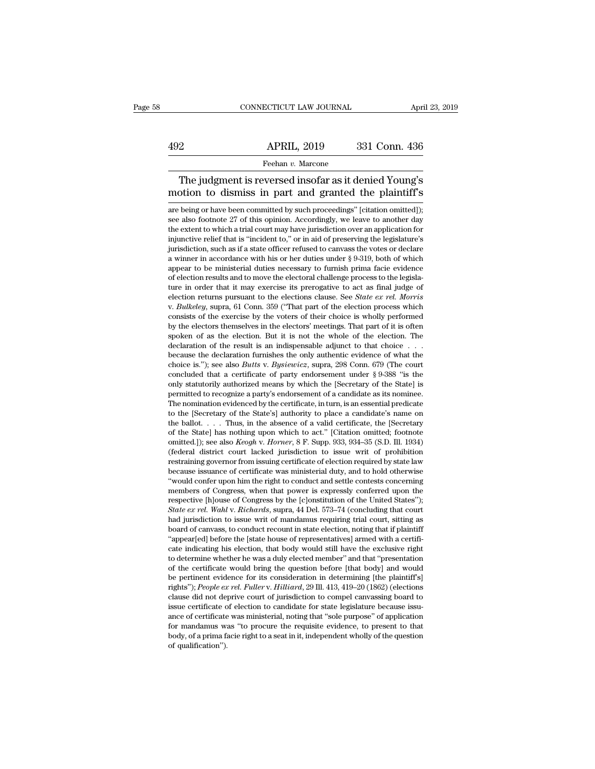# EXERCITE CONNECTICUT LAW JOURNAL April 23, 2019<br>492 APRIL, 2019 331 Conn. 436<br>Feehan v. Marcone

### Feehan *v.* Marcone

CONNECTICUT LAW JOURNAL April 23, 2019<br>
2<br>
APRIL, 2019 331 Conn. 436<br>
Feehan v. Marcone<br>
The judgment is reversed insofar as it denied Young's<br>
potion to dismiss in part and granted the plaintiff's APRIL, 2019 331 Conn. 436<br>
Feehan v. Marcone<br>
The judgment is reversed insofar as it denied Young's<br>
motion to dismiss in part and granted the plaintiff's<br>
are being or have been committed by such proceedings" [citation om Feehan v. Marcone<br>
The judgment is reversed insofar as it denied Young's<br>
motion to dismiss in part and granted the plaintiff's<br>
are being or have been committed by such proceedings" [citation omitted]);<br>
see also footnote

Feehan v. Marcone<br>The judgment is reversed insofar as it denied Young's<br>motion to dismiss in part and granted the plaintiff's<br>are being or have been committed by such proceedings" [citation omitted]);<br>see also footnote 27 The judgment is reversed insofar as it denied Young's<br>motion to dismiss in part and granted the plaintiff's<br>are being or have been committed by such proceedings" [citation omitted]);<br>see also footnote 27 of this opinion. A ine junction to dismiss in part and granted the plaintiff's<br>motion to dismiss in part and granted the plaintiff's<br>are being or have been committed by such proceedings" [citation omitted]);<br>see also footnote 27 of this opin motion to dismiss in part and granted the plaintiff's are being or have been committed by such proceedings" [citation omitted]); see also footnote 27 of this opinion. Accordingly, we leave to another day the extent to whi are being or have been committed by such proceedings" [citation omitted]);<br>see also footnote 27 of this opinion. Accordingly, we leave to another day<br>the extent to which a trial court may have jurisdiction over an applicat are being or nave been committed by such proceedings [citation omitted]);<br>see also footnote 27 of this opinion. Accordingly, we leave to another day<br>the extent to which a trial court may have jurisdiction over an applicat see also footnote 27 of this opinion. Accordingly, we leave to another day the extent to which a trial court may have jurisdiction over an application for injunctive relief that is "incident to," or in aid of preserving t the extent to which a trial court may have jurisdiction over an application for injunctive relief that is "incident to," or in aid of preserving the legislature's jurisdiction, such as if a state officer refused to canvas myunctive relief that is "incident to," or in aid of preserving the legislature's<br>jurisdiction, such as if a state officer refused to canvass the votes or declare<br>a winner in accordance with his or her duties under § 9-319 a winner in accordance with his or her duties under  $\S 9-319$ , both of which<br>appear to be ministerial duties necessary to furnish prima facie evidence<br>of election results and to move the electoral challenge process to the appear to be ministerial dutes necessary to furnish prima facte evidence<br>of election results and to move the electoral challenge process to the legisla-<br>ture in order that it may exercise its prerogative to act as final j of election results and to move the electoral challenge process to the legisla-<br>ture in order that it may exercise its prerogative to act as final judge of<br>election returns pursuant to the elections clause. See *State ex* ture in order that it may exercise its prerogative to act as imal judge of<br>election returns pursuant to the elections clause. See *State ex rel. Morris*<br>v. *Bulkeley*, supra, 61 Conn. 359 ("That part of the election proce election returns pursuant to the elections clause. See *State ex rel. Morris* v. *Bulkeley*, supra, 61 Conn. 359 ("That part of the election process which consists of the exercise by the voters of their choice is wholly p chour *Sulkeley*, suppra, 61 Conn. 359 ("That part of the election process which consists of the exercise by the voters of their choice is wholly performed by the electors themselves in the electors' meetings. That part of consists of the exercise by the voters of their choice is wholly performed<br>by the electors themselves in the electors' meetings. That part of it is often<br>spoken of as the election. But it is not the whole of the election. by the electors themselves in the electors meetings. That part of it is otten<br>spoken of as the election. But it is not the whole of the election. The<br>declaration of the result is an indispensable adjunct to that choice . spoken of as the election. But it is not the whole of the election. The declaration of the result is an indispensable adjunct to that choice . . . because the declaration furnishes the only authentic evidence of what the declaration of the result is an indispensable adjunct to that choice  $\ldots$  because the declaration furnishes the only authentic evidence of what the choice is."); see also *Butts* v. *Bysiewicz*, supra, 298 Conn. 679 (The because the declaration furnishes the only authentic evidence of what the choice is."); see also *Butts* v. *Bysiewicz*, supra, 298 Conn. 679 (The court concluded that a certificate of party endorsement under § 9-388 "is cnoice is. ); see also *Butts v. Bysiewicz*, supra, 298 Conn.  $679$  (The court concluded that a certificate of party endorsement under § 9-388 "is the only statutorily authorized means by which the [Secretary of the State concluded that a certificate of party endorsement under  $\S$  9-388 Ts the only statutorily authorized means by which the [Secretary of the State] is permitted to recognize a party's endorsement of a candidate as its nomine only statutorily authorized means by which the [Secretary of the State] is permitted to recognize a party's endorsement of a candidate as its nominee. The nomination evidenced by the certificate, in turn, is an essential p permitted to recognize a party s endorsement or a candidate as its nominee.<br>The nomination evidenced by the certificate, in turn, is an essential predicate<br>to the [Secretary of the State's] authority to place a candidate's The nomination evidenced by the certificate, in turn, is an essential predicate<br>to the [Secretary of the State's] authority to place a candidate's name on<br>the ballot. . . . Thus, in the absence of a valid certificate, the to the [secretary of the state s] authority to place a candidate's name on<br>the ballot.... Thus, in the absence of a valid certificate, the [Secretary<br>of the State] has nothing upon which to act." [Citation omitted; footno the ballot. . . . . Inus, in the absence of a valid certificate, the [secretary of the State] has nothing upon which to act." [Citation omitted; footnote omitted.]); see also *Keogh v. Horner*, 8 F. Supp. 933, 934–35 (S.D or the state] has nothing upon which to act. [Citation omitted; footnote omitted.]); see also *Keogh* v. *Horner*, 8 F. Supp. 933, 934–35 (S.D. Ill. 1934) (federal district court lacked jurisdiction to issue writ of prohib omitted. J); see also *Reogn v. Horner*, 8 F. Supp. 933, 934–35 (S.D. Ill. 1934)<br>(federal district court lacked jurisdiction to issue writ of prohibition<br>restraining governor from issuing certificate of election required b (rederal district court lacked jurisdiction to issue writ of prohibition<br>restraining governor from issuing certificate of election required by state law<br>because issuance of certificate was ministerial duty, and to hold oth restraining governor from issumg certificate of election required by state law<br>because issuance of certificate was ministerial duty, and to hold otherwise<br>"would confer upon him the right to conduct and settle contests con because issuance of certificate was ministerial duty, and to hold otherwise<br>"would confer upon him the right to conduct and settle contests concerning<br>members of Congress, when that power is expressly conferred upon the<br>re "would confer upon him the right to conduct and settle contests concerning<br>members of Congress, when that power is expressly conferred upon the<br>respective [h]ouse of Congress by the [c]onstitution of the United States");<br> members of Congress, when that power is expressly conferred upon the<br>respective [h]ouse of Congress by the [c]onstitution of the United States");<br>*State ex rel. Wahlv. Richards*, supra, 44 Del. 573–74 (concluding that cour respective [n]ouse or Congress by the [c]onstitution or the United States 3;<br>State ex rel. Wahl v. Richards, supra, 44 Del. 573–74 (concluding that court<br>had jurisdiction to issue writ of mandamus requiring trial court, si State ex ret. want v. Richaras, supra, 44 Del.  $3/3$ –/4 (concluding that court<br>had jurisdiction to issue writ of mandamus requiring trial court, sitting as<br>board of canvass, to conduct recount in state election, noting th had jurisulculon to issue writ of mandamus requiring trial court, sitting as<br>board of canvass, to conduct recount in state election, noting that if plaintiff<br>"appear[ed] before the [state house of representatives] armed wi board of canvass, to conduct recount in state election, noting that if plaintiff<br>
"appear[ed] before the [state house of representatives] armed with a certificate indicating his election, that body would still have the exc "appear[ed] before the [state notice of representatives] armed with a certificate indicating his election, that body would still have the exclusive right to determine whether he was a duly elected member" and that "presen to determine whether he was a duly elected member" and that "presentation of the certificate would bring the question before [that body] and would be pertinent evidence for its consideration in determining [the plaintiff' to determine whether he was a duly elected member and that presentation of the certificate would bring the question before [that body] and would be pertinent evidence for its consideration in determining [the plaintiff's] for the certificate would bring the question before [that body] and would<br>be pertinent evidence for its consideration in determining [the plaintiff's]<br>rights"); *People ex rel. Fuller* v. *Hilliard*, 29 Ill. 413, 419–20 ( be pertinent evidence for its consideration in determining [the plaintiff s] rights"); *People ex rel. Fuller* v. *Hilliard*, 29 Ill. 413, 419–20 (1862) (elections clause did not deprive court of jurisdiction to compel ca clause did not deprive court of jurisdiction to compel canvassing board to<br>issue certificate of election to candidate for state legislature because issu-<br>ance of certificate was ministerial, noting that "sole purpose" of a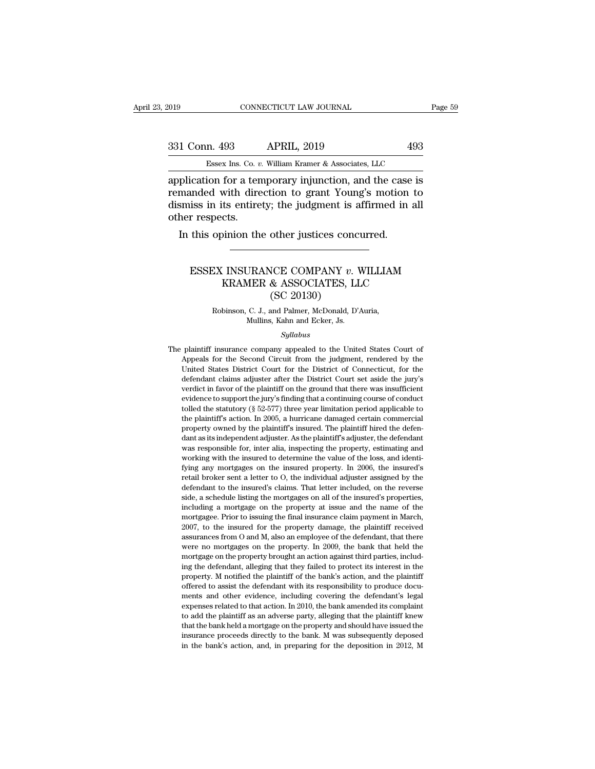| 2019          | CONNECTICUT LAW JOURNAL                                                                                                                                                   | Page 59 |
|---------------|---------------------------------------------------------------------------------------------------------------------------------------------------------------------------|---------|
|               |                                                                                                                                                                           |         |
| 331 Conn. 493 | <b>APRIL, 2019</b>                                                                                                                                                        | 493     |
|               | Essex Ins. Co. v. William Kramer & Associates, LLC                                                                                                                        |         |
|               | application for a temporary injunction, and the case is<br>remanded with direction to grant Young's motion to<br>digmige in its antiraty, the judgment is affirmed in all |         |

Fig. 2019<br>
Fig. 2019<br>
231 Conn. 493<br>
231 Conn. 493<br>
231 Conn. 493<br>
231 Conn. 493<br>
231 Conn. 493<br>
2493<br>
2493<br>
2493<br>
2493<br>
2493<br>
2493<br>
2493<br>
2493<br>
2493<br>
2493<br>
2493<br>
2493<br>
2493<br>
2405<br>
2405<br>
2405<br>
2405<br>
2405<br>
2405<br>
2405<br>
2405<br> 331 Conn. 493 APRIL, 2019 493<br>Essex Ins. Co. v. William Kramer & Associates, LLC<br>application for a temporary injunction, and the case is<br>remanded with direction to grant Young's motion to<br>dismiss in its entirety; the judg  $\frac{331 \text{ Conn. } 493}{\text{Essex Ins. Co. } v}$ <br>application for a ten<br>remanded with dire<br>dismiss in its entire<br>other respects.<br>In this opinion the Essex Ins. Co.  $v$ . William Kramer & Associates, LLC<br>plication for a temporary injunction, and the case<br>manded with direction to grant Young's motion<br>smiss in its entirety; the judgment is affirmed in<br>her respects.<br>In thi unded with direction to grant Young's motion to<br>iss in its entirety; the judgment is affirmed in all<br>r respects.<br>this opinion the other justices concurred.<br>ESSEX INSURANCE COMPANY *v*. WILLIAM<br>KRAMER & ASSOCIATES, LLC<br>(SC

### Its entirety; the judgment is affirmed in all<br>cts.<br>inion the other justices concurred.<br>All insurance COMPANY v. WILLIAM<br>KRAMER & ASSOCIATES, LLC<br>(SC 20130) other justices conce<br>
VCE COMPANY v.<br>
& ASSOCIATES, LI<br>
(SC 20130)<br>
and Palmer, McDonald, D'<br>
s. Kahn and Ecker, Is ESSEX INSURANCE COMPANY  $v$ . WILLIAM<br>KRAMER & ASSOCIATES, LLC<br>(SC 20130)<br>Robinson, C. J., and Palmer, McDonald, D'Auria,<br>Mullins, Kahn and Ecker, Js. KRAMER & ASSOCIATES, LLC

### *Syllabus*

 $(SC 20130)$ <br>
Robinson, C. J., and Palmer, McDonald, D'Auria,<br>
Mullins, Kahn and Ecker, Js.<br>
Syllabus<br>
The plaintiff insurance company appealed to the United States Court of<br>
Appeals for the Second Circuit from the judgmen Robinson, C. J., and Palmer, McDonald, D'Auria,<br>Mullins, Kahn and Ecker, Js.<br>Syllabus<br>plaintiff insurance company appealed to the United States Court of<br>Appeals for the Second Circuit from the judgment, rendered by the<br>Uni Republicance Court of Mullins, Kahn and Ecker, Js.<br>
Syllabus<br>
plaintiff insurance company appealed to the United States Court of<br>
Appeals for the Second Circuit from the judgment, rendered by the<br>
United States District Co syllabus<br>Syllabus<br>Depeats for the Second Circuit from the judgment, rendered by the<br>District Court for the District of Connecticut, for the<br>defendant claims adjuster after the District Court set aside the jury's<br>verdict in Syllabus<br>
Syllabus<br>
plaintiff insurance company appealed to the United States Court of<br>
Appeals for the Second Circuit from the judgment, rendered by the<br>
United States District Court for the District of Connecticut, for t plaintiff insurance company appealed to the United States Court of Appeals for the Second Circuit from the judgment, rendered by the United States District Court for the District of Connecticut, for the defendant claims a plantiful insurance company appeared to the cinted states Court of Appeals for the Second Circuit from the judgment, rendered by the United States District Court for the District of Connecticut, for the defendant claims ad Appeass for the second circuit front the judgment, rendered by the United States District Court for the District of Connecticut, for the defendant claims adjuster after the District Court set aside the jury's verdict in fa defendant claims adjuster after the District Court set aside the jury's verdict in favor of the plaintiff on the ground that there was insufficient evidence to support the jury's finding that a continuing course of conduc verdict in favor of the plaintiff on the ground that there was insufficient evidence to support the jury's finding that a continuing course of conduct tolled the statutory ( $\S$  52-577) three year limitation period applica vertuct in favor of the plantif of the ground that there was insufficent<br>evidence to support the jury's finding that a continuing course of conduct<br>tolled the statutory (§ 52-577) three year limitation period applicable to property owned by the plaintiff's insured. The plaintiff hired the defendant as its independent adjuster. As the plaintiff's adjuster, the defendant was responsible for, inter alia, inspecting the property, estimating and followed the statutory ( $\frac{1}{5}$   $32-511$ ) three year initiation period applicable to the plaintiff's action. In 2005, a hurricane damaged certain commercial property owned by the plaintiff's insured. The plaintiff's adj retail broker sent a letter to O, the individual adjuster assigned by the endeavorship of the plaintiff's insured. The plaintiff's adjuster, the defendant was responsible for, inter alia, inspecting the property, estimatin property owned by the plantin's insured. The plantin'i fired the defendant<br>dant as its independent adjuster. As the plaintiff's adjuster, the defendant<br>was responsible for, inter alia, inspecting the property, estimating a was responsible for, inter alia, inspecting the property, estimating and working with the insured to determine the value of the loss, and identifying any mortgages on the insured property. In  $2006$ , the insured's retail was responsible for, inter ana, inspecting the property, estimating and working with the insured to determine the value of the loss, and identifying any mortgages on the insured property. In 2006, the insured's retail brok working with the insured to determine the value of the loss, and identifying any mortgages on the insured property. In 2006, the insured's retail broker sent a letter to O, the individual adjuster assigned by the defendant rying any inorigages on the insured property. In 2000, the insured s<br>retail broker sent a letter to O, the individual adjuster assigned by the<br>defendant to the insured's claims. That letter included, on the reverse<br>side, a retain broker sent a fetter to O, the intuvidual adjuster assigned by the defendant to the insured's claims. That letter included, on the reverse side, a schedule listing the mortgages on all of the insured's properties, i derendant to the insuled s claims. That letter included, on the leverse side, a schedule listing the mortgages on all of the insured's properties, including a mortgage on the property at issue and the name of the mortgage. side, a schedule ilsting the hiorogages on an of the instituted s properties, including a mortgage on the property at issue and the name of the mortgage. Prior to issuing the final insurance claim payment in March, 2007, t including a mortgage on the property at issue and the name of the<br>mortgagee. Prior to issuing the final insurance claim payment in March,<br>2007, to the insured for the property damage, the plaintiff received<br>assurances from mortgage. Thot to issuing the mial institute claim payment in match, 2007, to the insured for the property damage, the plaintiff received assurances from O and M, also an employee of the defendant, that there were no mortg 2007, to the instituted for the property dantage, the plantificant received assurances from O and M, also an employee of the defendant, that there were no mortgages on the property. In 2009, the bank that held the mortgage assurances from O and *m*, also an employee of the defendant, that there were no mortgages on the property. In 2009, the bank that held the mortgage on the property brought an action against third parties, including the de were no mortgages on the property. In 2009, the bank that held the mortgage on the property brought an action against third parties, including the defendant, alleging that they failed to protect its interest in the propert Inorigage on the property prought an action against third parties, including the defendant, alleging that they failed to protect its interest in the property. M notified the plaintiff of the bank's action, and the plaintif In the bank held a mortgage on the property and should have issued the property. M notified the plaintiff of the bank's action, and the plaintiff offered to assist the defendant with its responsibility to produce documents property. In nothed the plantiff of the bank s action, and the plantiff<br>offered to assist the defendant with its responsibility to produce docu-<br>ments and other evidence, including covering the defendant's legal<br>expenses r offered to assist the defendant with its responsibility to produce documents and other evidence, including covering the defendant's legal expenses related to that action. In 2010, the bank amended its complaint to add the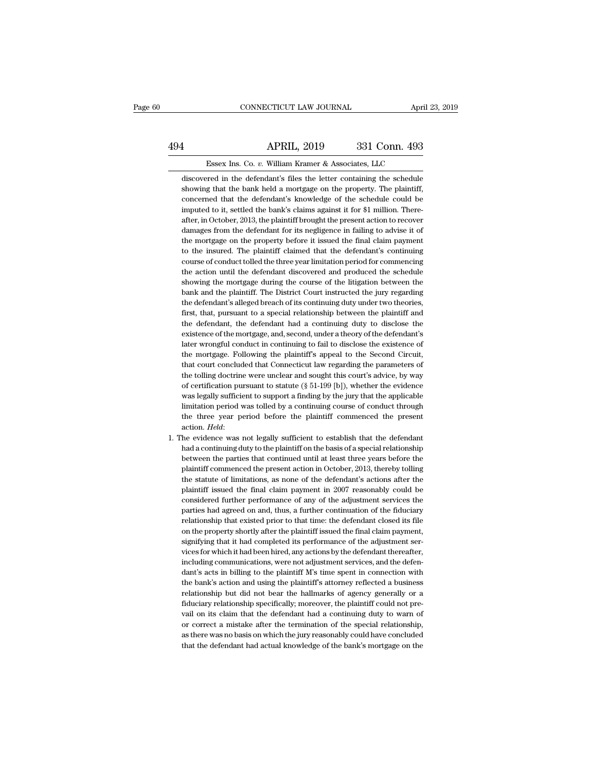## CONNECTICUT LAW JOURNAL April 23, 2019<br>494 APRIL, 2019 331 Conn. 493<br>Essex Ins. Co. v. William Kramer & Associates, LLC CONNECTICUT LAW JOURNAL April 3<br>APRIL, 2019 331 Conn. 493<br>Essex Ins. Co. *v.* William Kramer & Associates, LLC<br>rred in the defendant's files the letter containing the schedule

discovered in the defendant's files the letter containing the schedule<br>discovered in the defendant's files the letter containing the schedule<br>showing that the bank held a mortgage on the property. The plaintiff, Showing that the bank held a mortgage on the property. The plaintiff, a concerned that the defendant's knowledge on the property. The plaintiff, concerned that the defendant's knowledge of the schedule could be **EXECUTE:** APRIL, 2019 331 Conn. 493<br>
ESSEX Ins. Co. v. William Kramer & Associates, LLC<br>
discovered in the defendant's files the letter containing the schedule<br>
showing that the bank held a mortgage on the property. The p Essex Ins. Co.  $v$ . William Kramer & Associates, LLC discovered in the defendant's files the letter containing the schedule showing that the bank held a mortgage on the property. The plaintiff, concerned that the defendan Essex Ins. Co.  $v$ . William Kramer & Associates, LLC<br>discovered in the defendant's files the letter containing the schedule<br>showing that the bank held a mortgage on the property. The plaintiff,<br>concerned that the defendan discovered in the defendant's files the letter containing the schedule<br>showing that the bank held a mortgage on the property. The plaintiff,<br>concerned that the defendant's knowledge of the schedule could be<br>imputed to it, showing that the bank held a mortgage on the property. The plaintiff, concerned that the defendant's knowledge of the schedule could be imputed to it, settled the bank's claims against it for \$1 million. Thereafter, in Oct concerned that the defendant's knowledge of the schedule could be<br>imputed to it, settled the bank's claims against it for \$1 million. There-<br>after, in October, 2013, the plaintiff brought the present action to recover<br>dama imputed to it, settled the bank's claims against it for \$1 million. Thereafter, in October, 2013, the plaintiff brought the present action to recover damages from the defendant for its negligence in failing to advise it of after, in October, 2013, the plaintiff brought the present action to recover damages from the defendant for its negligence in failing to advise it of the mortgage on the property before it issued the final claim payment to damages from the defendant for its negligence in failing to advise it of the mortgage on the property before it issued the final claim payment to the insured. The plaintiff claimed that the defendant's continuing course of the mortgage on the property before it issued the final claim payment<br>to the insured. The plaintiff claimed that the defendant's continuing<br>course of conduct tolled the three year limitation period for commencing<br>the actio to the insured. The plaintiff claimed that the defendant's continuing course of conduct tolled the three year limitation period for commencing the action until the defendant discovered and produced the schedule showing the first, that, pursuant to a special relation period for commencing the action until the defendant discovered and produced the schedule showing the mortgage during the course of the litigation between the bank and the plaint the action until the defendant discovered and produced the schedule<br>showing the mortgage during the course of the litigation between the<br>bank and the plaintiff. The District Court instructed the jury regarding<br>the defendan showing the mortgage during the course of the litigation between the bank and the plaintiff. The District Court instructed the jury regarding the defendant's alleged breach of its continuing duty under two theories, first, bank and the plaintiff. The District Court instructed the jury regarding the defendant's alleged breach of its continuing duty under two theories, first, that, pursuant to a special relationship between the plaintiff and t the defendant's alleged breach of its continuing duty under two theories, first, that, pursuant to a special relationship between the plaintiff and the defendant, the defendant had a continuing duty to disclose the existen first, that, pursuant to a special relationship between the plaintiff and<br>the defendant, the defendant had a continuing duty to disclose the<br>existence of the mortgage, and, second, under a theory of the defendant's<br>later w the defendant, the defendant had a continuing duty to disclose the existence of the mortgage, and, second, under a theory of the defendant's later wrongful conduct in continuing to fail to disclose the existence of the mor existence of the mortgage, and, second, under a theory of the defendant's<br>later wrongful conduct in continuing to fail to disclose the existence of<br>the mortgage. Following the plaintiff's appeal to the Second Circuit,<br>that later wrongful conduct in continuing to fail to disclose the existence of<br>the mortgage. Following the plaintiff's appeal to the Second Circuit,<br>that court concluded that Connecticut law regarding the parameters of<br>the toll the mortgage. Following the plaintiff's appeal to the Second Circuit,<br>that court concluded that Connecticut law regarding the parameters of<br>the tolling doctrine were unclear and sought this court's advice, by way<br>of certif that court concluded that Connecticut law regarding the parameters of<br>the tolling doctrine were unclear and sought this court's advice, by way<br>of certification pursuant to statute (§ 51-199 [b]), whether the evidence<br>was the tolling doctrine were unclear and sought this court's advice, by way<br>of certification pursuant to statute  $(\S 51-199 \text{ [b]})$ , whether the evidence<br>was legally sufficient to support a finding by the jury that the appli was legally sufficient to support a finding by the jury that the applicable limitation period was tolled by a continuing course of conduct through the three year period before the plaintiff commenced the present action. *H* 

limitation period was tolled by a continuing course of conduct through<br>the three year period before the plaintiff commenced the present<br>action. *Held*:<br>he evidence was not legally sufficient to establish that the defendant the three year period before the plaintiff commenced the present action. *Held*:<br>he evidence was not legally sufficient to establish that the defendant<br>had a continuing duty to the plaintiff on the basis of a special relat action. *Held:*<br>he evidence was not legally sufficient to establish that the defendant<br>had a continuing duty to the plaintiff on the basis of a special relationship<br>between the parties that continued until at least three y he evidence was not legally sufficient to establish that the defendant<br>had a continuing duty to the plaintiff on the basis of a special relationship<br>between the parties that continued until at least three years before the<br> had a continuing duty to the plaintiff on the basis of a special relationship<br>between the parties that continued until at least three years before the<br>plaintiff commenced the present action in October, 2013, thereby tollin between the parties that continued until at least three years before the plaintiff commenced the present action in October, 2013, thereby tolling the statute of limitations, as none of the defendant's actions after the pla plaintiff commenced the present action in October, 2013, thereby tolling<br>the statute of limitations, as none of the defendant's actions after the<br>plaintiff issued the final claim payment in 2007 reasonably could be<br>conside the statute of limitations, as none of the defendant's actions after the plaintiff issued the final claim payment in 2007 reasonably could be considered further performance of any of the adjustment services the parties had plaintiff issued the final claim payment in 2007 reasonably could be considered further performance of any of the adjustment services the parties had agreed on and, thus, a further continuation of the fiduciary relationshi considered further performance of any of the adjustment services the parties had agreed on and, thus, a further continuation of the fiduciary relationship that existed prior to that time: the defendant closed its file on t parties had agreed on and, thus, a further continuation of the fiduciary relationship that existed prior to that time: the defendant closed its file on the property shortly after the plaintiff issued the final claim paymen relationship that existed prior to that time: the defendant closed its file<br>on the property shortly after the plaintiff issued the final claim payment,<br>signifying that it had completed its performance of the adjustment ser on the property shortly after the plaintiff issued the final claim payment, signifying that it had completed its performance of the adjustment services for which it had been hired, any actions by the defendant thereafter, signifying that it had completed its performance of the adjustment services for which it had been hired, any actions by the defendant thereafter, including communications, were not adjustment services, and the defendant's vices for which it had been hired, any actions by the defendant thereafter, including communications, were not adjustment services, and the defendant's acts in billing to the plaintiff M's time spent in connection with the including communications, were not adjustment services, and the defendant's acts in billing to the plaintiff M's time spent in connection with the bank's action and using the plaintiff's attorney reflected a business relat dant's acts in billing to the plaintiff M's time spent in connection with<br>the bank's action and using the plaintiff's attorney reflected a business<br>relationship but did not bear the hallmarks of agency generally or a<br>fiduc the bank's action and using the plaintiff's attorney reflected a business<br>relationship but did not bear the hallmarks of agency generally or a<br>fiduciary relationship specifically; moreover, the plaintiff could not pre-<br>vai relationship but did not bear the hallmarks of agency generally or a<br>fiduciary relationship specifically; moreover, the plaintiff could not pre-<br>vail on its claim that the defendant had a continuing duty to warn of<br>or corr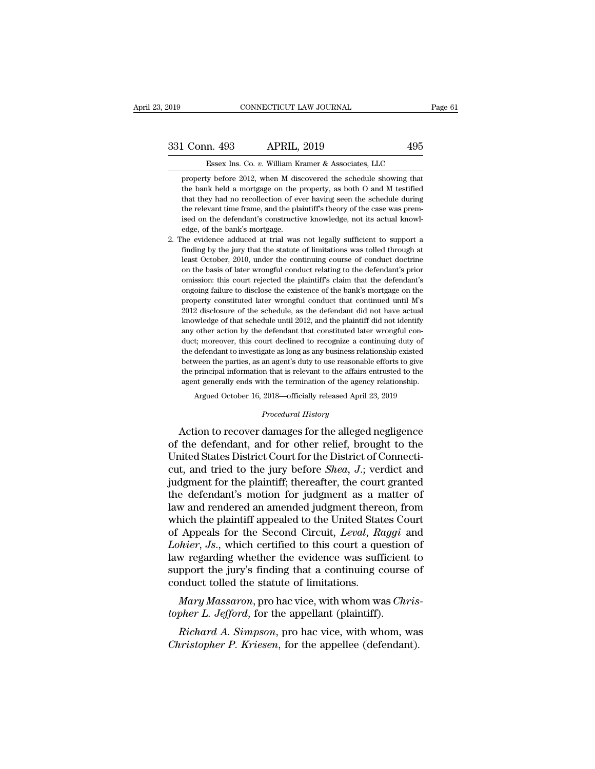# External CONNECTICUT LAW JOURNAL Page 61<br>331 Conn. 493 APRIL, 2019 495<br>Essex Ins. Co. v. William Kramer & Associates, LLC

CONNECTICUT LAW JOURNAL<br> **n. 493** APRIL, 2019 495<br>
Essex Ins. Co. *v.* William Kramer & Associates, LLC<br>
y before 2012, when M discovered the schedule showing that 1 Conn. 493 APRIL, 2019 495<br>Essex Ins. Co. v. William Kramer & Associates, LLC<br>property before 2012, when M discovered the schedule showing that<br>the bank held a mortgage on the property, as both O and M testified the bank held a mortgage on the property, as both O and M testified that they had no recollection of ever having seen the schedule during that the pank held a mortgage on the property, as both O and M testified that they h L Conn. 493 APRIL, 2019 495<br>Essex Ins. Co. v. William Kramer & Associates, LLC<br>property before 2012, when M discovered the schedule showing that<br>the bank held a mortgage on the property, as both O and M testified<br>that they Essex Ins. Co.  $v$ . William Kramer & Associates, LLC<br>property before 2012, when M discovered the schedule showing that<br>the bank held a mortgage on the property, as both O and M testified<br>that they had no recollection of e Essex Ins. Co. v. William Kramer & Associates, LLC<br>property before 2012, when M discovered the schedule showing that<br>the bank held a mortgage on the property, as both O and M testified<br>that they had no recollection of ever property before 2012, when M distel bank held a mortgage on the phat they had no recollection of events the relevant time frame, and the plaised on the defendant's constructive dge, of the bank's mortgage. The evidence add Everaly the bank held a mortgage on the property, as both O and M testified that they had no recollection of ever having seen the schedule during the relevant time frame, and the plaintiff's theory of the case was premised find they had no recollection of ever having seen the schedule during<br>the relevant time frame, and the plaintiff's theory of the case was prem-<br>ised on the defendant's constructive knowledge, not its actual knowl-<br>edge, of

the relevant time frame, and the plaintiff's theory of the case was premised on the defendant's constructive knowledge, not its actual knowledge, of the bank's mortgage.<br>The evidence adduced at trial was not legally suffic ised on the defendant's constructive knowledge, not its actual knowledge, of the bank's mortgage.<br>The evidence adduced at trial was not legally sufficient to support a finding by the jury that the statute of limitations wa edge, of the bank's mortgage.<br>
He evidence adduced at trial was not legally sufficient to support a<br>
finding by the jury that the statute of limitations was tolled through at<br>
least October, 2010, under the continuing cour be evidence adduced at trial was not legally sufficient to support a finding by the jury that the statute of limitations was tolled through at least October, 2010, under the continuing course of conduct doctrine on the bas finding by the jury that the statute of limitations was tolled through at least October, 2010, under the continuing course of conduct doctrine on the basis of later wrongful conduct relating to the defendant's prior omissi Example 25 disclosure of the continuing course of conduct doctrine<br>on the basis of later wrongful conduct relating to the defendant's prior<br>omission: this court rejected the plaintiff's claim that the defendant's<br>ongoing come to basis of later wrongful conduct relating to the defendant's prior omission: this court rejected the plaintiff's claim that the defendant's ongoing failure to disclose the existence of the bank's mortgage on the pro on the basis of later wrongful conduct relating to the defendant's prior omission: this court rejected the plaintiff's claim that the defendant's ongoing failure to disclose the existence of the bank's mortgage on the prop ongoing failure to disclose the existence of the bank's mortgage on the property constituted later wrongful conduct that continued until M's 2012 disclosure of the schedule, as the defendant did not have actual knowledge o beyout constituted later wrongful conduct that continued until M's<br>2012 disclosure of the schedule, as the defendant did not have actual<br>knowledge of that schedule until 2012, and the plaintiff did not identify<br>any other a 2012 disclosure of the schedule, as the defendant did not have actual knowledge of that schedule until 2012, and the plaintiff did not identify any other action by the defendant that constituted later wrongful conduct; mo knowledge of that schedule until 2012, and the plaintiff did not identify any other action by the defendant that constituted later wrongful conduct; moreover, this court declined to recognize a continuing duty of the defen any other action by the defendant that constituted later wrongful conduct; moreover, this court declined to recognize a continuing duty of the defendant to investigate as long as any business relationship existed between t t; moreover, this court declined to recognize a continuing duty of defendant to investigate as long as any business relationship existed ween the parties, as an agent's duty to use reasonable efforts to give principal info between the parties, as an agent's duty to use reasonable efforts to give<br>the principal information that is relevant to the affairs entrusted to the<br>agent generally ends with the termination of the agency relationship.<br>Arg the defendant of investigate as long as any business relationship existed<br>between the parties, as an agent's duty to use reasonable efforts to give<br>the principal information that is relevant to the affairs entrusted to the

between the platacs, as an agents dary to allocated and to the principal information that is relevant to the affairs entrusted to the agent generally ends with the termination of the agency relationship.<br>Argued October 16, agent generally ends with the termination of the agency relationship.<br>Argued October 16, 2018—officially released April 23, 2019<br>*Procedural History*<br>Action to recover damages for the alleged negligence<br>of the defendant, a Argued October 16, 2018—officially released April 23, 2019<br> *Procedural History*<br> **Action to recover damages for the alleged negligence**<br>
of the defendant, and for other relief, brought to the<br>
United States District Court *Procedural History*<br>Action to recover damages for the alleged negligence<br>of the defendant, and for other relief, brought to the<br>United States District Court for the District of Connecti-<br>cut, and tried to the jury before Froceaural History<br>
Action to recover damages for the alleged negligence<br>
of the defendant, and for other relief, brought to the<br>
United States District Court for the District of Connecti-<br>
cut, and tried to the jury befor Action to recover damages for the alleged negligence<br>of the defendant, and for other relief, brought to the<br>United States District Court for the District of Connecti-<br>cut, and tried to the jury before *Shea*, *J*.; verdic of the defendant, and for other relief, brought to the United States District Court for the District of Connecticut, and tried to the jury before *Shea*, *J*.; verdict and judgment for the plaintiff; thereafter, the court United States District Court for the District of Connecticut, and tried to the jury before *Shea*, *J*.; verdict and judgment for the plaintiff; thereafter, the court granted the defendant's motion for judgment as a matter cut, and tried to the jury before *Shea*, *J*.; verdict and<br>judgment for the plaintiff; thereafter, the court granted<br>the defendant's motion for judgment as a matter of<br>law and rendered an amended judgment thereon, from<br>wh judgment for the plaintiff; thereafter, the court granted<br>the defendant's motion for judgment as a matter of<br>law and rendered an amended judgment thereon, from<br>which the plaintiff appealed to the United States Court<br>of App the defendant's motion for judgment as a matter of<br>law and rendered an amended judgment thereon, from<br>which the plaintiff appealed to the United States Court<br>of Appeals for the Second Circuit, *Leval*, *Raggi* and<br>*Lohier* law and rendered an amended judgment thereon, from<br>which the plaintiff appealed to the United States Court<br>of Appeals for the Second Circuit, *Leval*, *Raggi* and<br>*Lohier*, *Js.*, which certified to this court a question o *Mary Massaron*, pro hac vice, with whom was *Chary Mary Massaron*, pro hac vice, with whom was *Chris-her L. Jefford*, for the appellant (plaintiff). of Appears for the second Circuit, *Levat*, *Raggt i*<br>*Lohier, Js.*, which certified to this court a question<br>law regarding whether the evidence was sufficient<br>support the jury's finding that a continuing course<br>conduct *Reading whether the evidence was sufficient to*<br>pport the jury's finding that a continuing course of<br>mduct tolled the statute of limitations.<br>*Mary Massaron*, pro hac vice, with whom was *Chris-*<br>pher *L. Jefford*, for th *Christopher P. Kriesen*, for the appellee (defendant).<br> *Chary Massaron*, pro hac vice, with whom was *Christopher L. Jefford*, for the appellant (plaintiff).<br> *Richard A. Simpson*, pro hac vice, with whom, was *Christoph*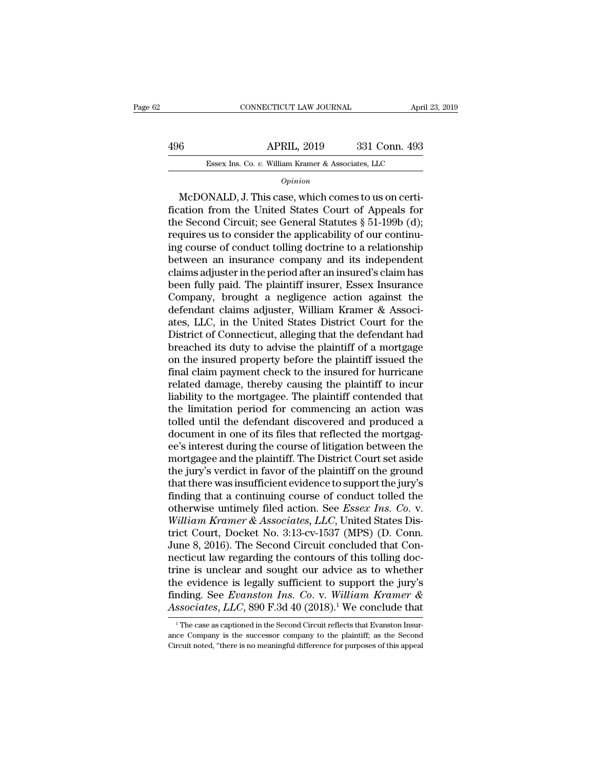CONNECTICUT LAW JOURNAL April 23, 2019<br>496 APRIL, 2019 331 Conn. 493<br>Essex Ins. Co. v. William Kramer & Associates, LLC ESSEX Ins. Co. *v.* William Kramer & Associates, LLC<br>
Opinion

### *Opinion*

Mac Bossex Ins. Co. v. William Kramer & Associates, LLC<br>
Opinion<br>
McDONALD, J. This case, which comes to us on certi-<br>
cation from the United States Court of Appeals for<br>
A Second Circuit: see General Statutes & 51.100b (d Figure 1.1 and the United States Court of Appeals for<br>the Second Circuit; see General States Court of Appeals for<br>the Second Circuit; see General Statuses  $\S$  51-199b (d);<br>requires us to consider the applicability of our 496 **APRIL**, 2019 331 Conn. 493<br>
Essex Ins. Co. *v.* William Kramer & Associates, LLC<br>  $Opinion$ <br>
McDONALD, J. This case, which comes to us on certification from the United States Court of Appeals for<br>
the Second Circuit; see Essex Ins. Co. v. William Kramer & Associates, LLC<br>
Opinion<br>
McDONALD, J. This case, which comes to us on certi-<br>
fication from the United States Court of Appeals for<br>
the Second Circuit; see General Statutes § 51-199b (d)  $o_{pinion}$ <br>
McDONALD, J. This case, which comes to us on certification from the United States Court of Appeals for<br>
the Second Circuit; see General Statutes § 51-199b (d);<br>
requires us to consider the applicability of our co **Example 19 Example 19 Example 2011**<br>
McDONALD, J. This case, which comes to us on certification from the United States Court of Appeals for<br>
the Second Circuit; see General Statutes § 51-199b (d);<br>
requires us to conside McDONALD, J. This case, which comes to us on certification from the United States Court of Appeals for<br>the Second Circuit; see General Statutes § 51-199b (d);<br>requires us to consider the applicability of our continu-<br>ing c fication from the United States Court of Appeals for<br>the Second Circuit; see General Statutes § 51-199b (d);<br>requires us to consider the applicability of our continu-<br>ing course of conduct tolling doctrine to a relationshi the Second Circuit; see General Statutes § 51-199b (d);<br>requires us to consider the applicability of our continu-<br>ing course of conduct tolling doctrine to a relationship<br>between an insurance company and its independent<br>cl requires us to consider the applicability of our continuing course of conduct tolling doctrine to a relationship<br>between an insurance company and its independent<br>claims adjuster in the period after an insured's claim has<br>b ing course of conduct tolling doctrine to a relationship<br>between an insurance company and its independent<br>claims adjuster in the period after an insured's claim has<br>been fully paid. The plaintiff insurer, Essex Insurance<br>C between an insurance company and its independent<br>claims adjuster in the period after an insured's claim has<br>been fully paid. The plaintiff insurer, Essex Insurance<br>Company, brought a negligence action against the<br>defendant claims adjuster in the period after an insured's claim has<br>been fully paid. The plaintiff insurer, Essex Insurance<br>Company, brought a negligence action against the<br>defendant claims adjuster, William Kramer & Associ-<br>ates, been fully paid. The plaintiff insurer, Essex Insurance<br>Company, brought a negligence action against the<br>defendant claims adjuster, William Kramer & Associ-<br>ates, LLC, in the United States District Court for the<br>District o Company, brought a negligence action against the<br>defendant claims adjuster, William Kramer & Associ-<br>ates, LLC, in the United States District Court for the<br>District of Connecticut, alleging that the defendant had<br>breached defendant claims adjuster, William Kramer & Associates, LLC, in the United States District Court for the District of Connecticut, alleging that the defendant had breached its duty to advise the plaintiff of a mortgage on t ates, LLC, in the United States District Court for the District of Connecticut, alleging that the defendant had breached its duty to advise the plaintiff of a mortgage on the insured property before the plaintiff issued th District of Connecticut, alleging that the defendant had<br>breached its duty to advise the plaintiff of a mortgage<br>on the insured property before the plaintiff issued the<br>final claim payment check to the insured for hurrican breached its duty to advise the plaintiff of a mortgage<br>on the insured property before the plaintiff issued the<br>final claim payment check to the insured for hurricane<br>related damage, thereby causing the plaintiff to incur<br> on the insured property before the plaintiff issued the final claim payment check to the insured for hurricane<br>related damage, thereby causing the plaintiff to incur<br>liability to the mortgagee. The plaintiff contended that final claim payment check to the insured for hurricane<br>related damage, thereby causing the plaintiff to incur<br>liability to the mortgagee. The plaintiff contended that<br>the limitation period for commencing an action was<br>toll related damage, thereby causing the plaintiff to incur<br>liability to the mortgagee. The plaintiff contended that<br>the limitation period for commencing an action was<br>tolled until the defendant discovered and produced a<br>docume liability to the mortgagee. The plaintiff contended that<br>the limitation period for commencing an action was<br>tolled until the defendant discovered and produced a<br>document in one of its files that reflected the mortgag-<br>ee's the limitation period for commencing an action was<br>tolled until the defendant discovered and produced a<br>document in one of its files that reflected the mortgag-<br>ee's interest during the course of litigation between the<br>mor tolled until the defendant discovered and produced a<br>document in one of its files that reflected the mortgag-<br>ee's interest during the course of litigation between the<br>mortgagee and the plaintiff. The District Court set as document in one of its files that reflected the mortgag-<br>ee's interest during the course of litigation between the<br>mortgagee and the plaintiff. The District Court set aside<br>the jury's verdict in favor of the plaintiff on t ee's interest during the course of litigation between the<br>mortgagee and the plaintiff. The District Court set aside<br>the jury's verdict in favor of the plaintiff on the ground<br>that there was insufficient evidence to support mortgagee and the plaintiff. The District Court set aside<br>the jury's verdict in favor of the plaintiff on the ground<br>that there was insufficient evidence to support the jury's<br>finding that a continuing course of conduct to the jury's verdict in favor of the plaintiff on the ground<br>that there was insufficient evidence to support the jury's<br>finding that a continuing course of conduct tolled the<br>otherwise untimely filed action. See *Essex Ins.* that there was insufficient evidence to support the jury's<br>finding that a continuing course of conduct tolled the<br>otherwise untimely filed action. See *Essex Ins. Co. v.*<br>William Kramer & Associates, LLC, United States Dis finding that a continuing course of conduct tolled the<br>otherwise untimely filed action. See *Essex Ins. Co.* v.<br>William Kramer & Associates, LLC, United States Dis-<br>trict Court, Docket No. 3:13-cv-1537 (MPS) (D. Conn.<br>Jun otherwise untimely filed action. See *Essex Ins. Co. v.*<br>William Kramer & Associates, LLC, United States District Court, Docket No. 3:13-cv-1537 (MPS) (D. Conn.<br>June 8, 2016). The Second Circuit concluded that Con-<br>nectic William Kramer & Associates, LLC, United States District Court, Docket No. 3:13-cv-1537 (MPS) (D. Conn.<br>June 8, 2016). The Second Circuit concluded that Connecticut law regarding the contours of this tolling doctrine is un trict Court, Docket No. 3:13-cv-1537 (MPS) (D. Conn.<br>June 8, 2016). The Second Circuit concluded that Con-<br>necticut law regarding the contours of this tolling doc-<br>trine is unclear and sought our advice as to whether<br>the e ine is unclear and sought our advice as to whether<br>the evidence is legally sufficient to support the jury's<br>nding. See Evanston Ins. Co. v. William Kramer &<br>ssociates, LLC, 890 F.3d 40 (2018).<sup>1</sup> We conclude that<br><sup>1</sup>The c the evidence is legally sufficient to support the jury's finding. See *Evanston Ins. Co.* v. *William Kramer &* Associates, LLC, 890 F.3d 40 (2018).<sup>1</sup> We conclude that  $\frac{1}{1}$  The case as captioned in the Second Circui

finding. See Evanston Ins. Co. v. William Kramer &<br>Associates, LLC, 890 F.3d 40 (2018).<sup>1</sup> We conclude that<br><sup>1</sup>The case as captioned in the Second Circuit reflects that Evanston Insurance Company is the successor company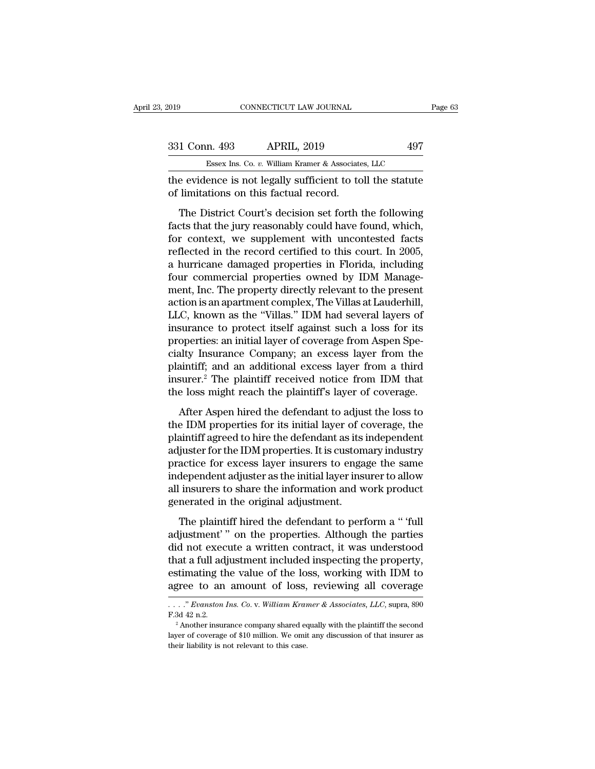| 2019          | CONNECTICUT LAW JOURNAL                                                                              | Page 63 |
|---------------|------------------------------------------------------------------------------------------------------|---------|
| 331 Conn. 493 | <b>APRIL, 2019</b>                                                                                   | 497     |
|               | Essex Ins. Co. v. William Kramer & Associates, LLC                                                   |         |
|               | the evidence is not legally sufficient to toll the statute<br>of limitations on this factual record. |         |
|               | The District Court's decision set forth the following                                                |         |

1 Conn. 493 APRIL, 2019 497<br>
Essex Ins. Co. v. William Kramer & Associates, LLC<br>
e evidence is not legally sufficient to toll the statute<br>
limitations on this factual record.<br>
The District Court's decision set forth the fo Factor 1993 APRIL, 2019<br>
Factor 1993<br>
Factor 1993<br>
Factor 1994<br>
The evidence is not legally sufficient to toll the statute<br>
of limitations on this factual record.<br>
The District Court's decision set forth the following<br>
fa Essex Ins. Co.  $v$ . William Kramer & Associates, LLC<br>the evidence is not legally sufficient to toll the statute<br>of limitations on this factual record.<br>The District Court's decision set forth the following<br>facts that the j the evidence is not legally sufficient to toll the statute<br>of limitations on this factual record.<br>The District Court's decision set forth the following<br>facts that the jury reasonably could have found, which,<br>for context, w and the transition of limitations on this factual record.<br>
The District Court's decision set forth the following<br>
facts that the jury reasonably could have found, which,<br>
for context, we supplement with uncontested facts<br> The District Court's decision set forth the following<br>facts that the jury reasonably could have found, which,<br>for context, we supplement with uncontested facts<br>reflected in the record certified to this court. In 2005,<br>a hu The District Court's decision set forth the following<br>facts that the jury reasonably could have found, which,<br>for context, we supplement with uncontested facts<br>reflected in the record certified to this court. In 2005,<br>a hu facts that the jury reasonably could have found, which,<br>for context, we supplement with uncontested facts<br>reflected in the record certified to this court. In 2005,<br>a hurricane damaged properties in Florida, including<br>four for context, we supplement with uncontested facts<br>reflected in the record certified to this court. In 2005,<br>a hurricane damaged properties in Florida, including<br>four commercial properties owned by IDM Manage-<br>ment, Inc. Th reflected in the record certified to this court. In 2005,<br>a hurricane damaged properties in Florida, including<br>four commercial properties owned by IDM Manage-<br>ment, Inc. The property directly relevant to the present<br>action a hurricane damaged properties in Florida, including<br>four commercial properties owned by IDM Manage-<br>ment, Inc. The property directly relevant to the present<br>action is an apartment complex, The Villas at Lauderhill,<br>LLC, k four commercial properties owned by IDM Management, Inc. The property directly relevant to the present action is an apartment complex, The Villas at Lauderhill, LLC, known as the "Villas." IDM had several layers of insuran ment, Inc. The property directly relevant to the present<br>action is an apartment complex, The Villas at Lauderhill,<br>LLC, known as the "Villas." IDM had several layers of<br>insurance to protect itself against such a loss for i action is an apartment complex, The Villas at Lauderhill,<br>LLC, known as the "Villas." IDM had several layers of<br>insurance to protect itself against such a loss for its<br>properties: an initial layer of coverage from Aspen Sp LLC, known as the "Villas." IDM had several layers of<br>insurance to protect itself against such a loss for its<br>properties: an initial layer of coverage from Aspen Spe-<br>cialty Insurance Company; an excess layer from the<br>plai Surface to protect hierd against back a rest ratio<br>operties: an initial layer of coverage from Aspen Spe-<br>ality Insurance Company; an excess layer from the<br>aintiff; and an additional excess layer from a third<br>surer.<sup>2</sup> The properator an initial layer of coverage nontripental po<br>cialty Insurance Company; an excess layer from the<br>plaintiff; and an additional excess layer from a third<br>insurer.<sup>2</sup> The plaintiff received notice from IDM that<br>the

plaintiff; and an additional excess layer from a third<br>plaintiff; and an additional excess layer from a third<br>insurer.<sup>2</sup> The plaintiff received notice from IDM that<br>the loss might reach the plaintiff's layer of coverage.<br> insurer.<sup>2</sup> The plaintiff received notice from IDM that<br>the loss might reach the plaintiff's layer of coverage.<br>After Aspen hired the defendant to adjust the loss to<br>the IDM properties for its initial layer of coverage, t matter. The plantary received helder from 1941 and<br>the loss might reach the plaintiff's layer of coverage.<br>After Aspen hired the defendant to adjust the loss to<br>the IDM properties for its initial layer of coverage, the<br>pla After Aspen hired the defendant to adjust the loss to<br>the IDM properties for its initial layer of coverage, the<br>plaintiff agreed to hire the defendant as its independent<br>adjuster for the IDM properties. It is customary ind After Aspen hired the defendant to adjust the loss to<br>the IDM properties for its initial layer of coverage, the<br>plaintiff agreed to hire the defendant as its independent<br>adjuster for the IDM properties. It is customary ind the IDM properties for its initial layer of c<br>plaintiff agreed to hire the defendant as its is<br>adjuster for the IDM properties. It is custom<br>practice for excess layer insurers to enga<br>independent adjuster as the initial la The plaintiff hired the defendant to perform a '' full speed to the IDM properties. It is customary industry actice for excess layer insurers to engage the same dependent adjuster as the initial layer insurer to allow insu adjusted for excess layer insurers to engage the same<br>independent adjuster as the initial layer insurer to allow<br>all insurers to share the information and work product<br>generated in the original adjustment.<br>The plaintiff hi

independent adjuster as the initial layer insurer to allow<br>all insurers to share the information and work product<br>generated in the original adjustment.<br>The plaintiff hired the defendant to perform a " 'full<br>adjustment' " o all insurers to share the information and work product<br>generated in the original adjustment.<br>The plaintiff hired the defendant to perform a " full<br>adjustment" on the properties. Although the parties<br>did not execute a writt estimate of the value of the value of the value of the value of the defendant of the partical adjustment'" on the properties. Although the parties did not execute a written contract, it was understood that a full adjustmen The plaintiff hired the defendant to perform a "full adjustment" on the properties. Although the parties did not execute a written contract, it was understood that a full adjustment included inspecting the property, estim did not execute a written contract, it was understood<br>that a full adjustment included inspecting the property,<br>estimating the value of the loss, working with IDM to<br>agree to an amount of loss, reviewing all coverage<br> $\dots r$  that a full adjustment included inspecting the property,<br>estimating the value of the loss, working with IDM to<br>agree to an amount of loss, reviewing all coverage<br> $\dots$ " Evanston Ins. Co. v. William Kramer & Associates, LLC

Layer of coverage of an amount of loss, reviewing all coverage  $\ldots$ ." Evanston Ins. Co. v. William Kramer & Associates, LLC, supra, 890 F.3d 42 n.2.<br>
<sup>2</sup> Another insurance company shared equally with the plaintiff the se ...." Evanston Ins. Co. v. William Kramer & Associates, LLC, supra, 890 F.3d 42 n.2.<br><sup>2</sup> Another insurance company shared equally with the plaintiff the second layer of coverage of \$10 million. We omit any discussion of t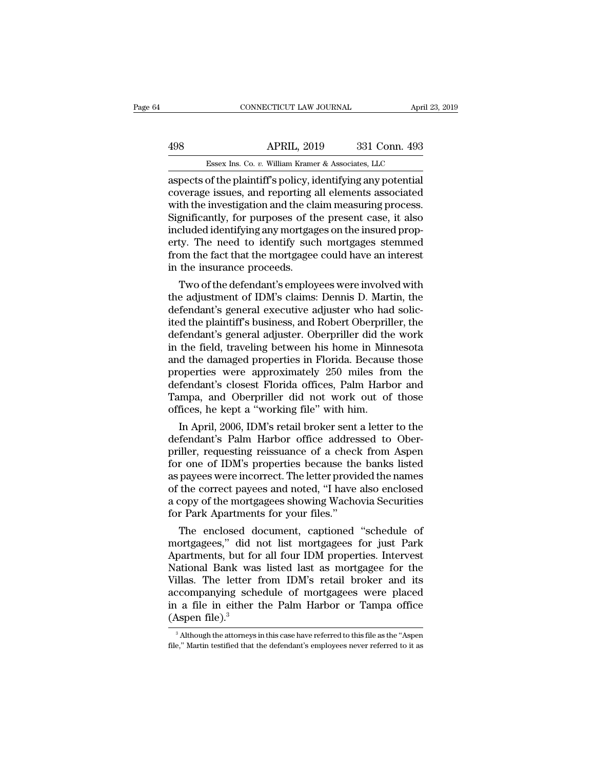## CONNECTICUT LAW JOURNAL April 23, 2019<br>498 APRIL, 2019 331 Conn. 493<br>Essex Ins. Co. v. William Kramer & Associates, LLC CONNECTICUT LAW JOURNAL April 3<br>APRIL, 2019 331 Conn. 493<br>Essex Ins. Co. *v.* William Kramer & Associates, LLC<br>of the plaintiff's policy identifying any potential

CONNECTICUT LAW JOURNAL April 23, 20<br>498 APRIL, 2019 331 Conn. 493<br>Essex Ins. Co. v. William Kramer & Associates, LLC<br>aspects of the plaintiff's policy, identifying any potential<br>coverage issues, and reporting all elements 498 APRIL, 2019 331 Conn. 493<br>Essex Ins. Co. v. William Kramer & Associates, LLC<br>aspects of the plaintiff's policy, identifying any potential<br>coverage issues, and reporting all elements associated<br>with the investigation an  $\frac{\text{APRIL, 2019}}{\text{Essex Ins. Co. } v. \text{ William Kramer & Associates, LLC}}$ <br>aspects of the plaintiff's policy, identifying any potential coverage issues, and reporting all elements associated with the investigation and the claim measuring process.<br>Signif  $\frac{\text{APRIL, 2019}}{\text{Essex Ins. Co. } v. \text{ William Kramer & Associates, LLC}}$ <br>
aspects of the plaintiff's policy, identifying any potential<br>
coverage issues, and reporting all elements associated<br>
with the investigation and the claim measuring process.<br>
Si Essex Ins. Co. *v.* William Kramer & Associates, LLC<br>aspects of the plaintiff's policy, identifying any potential<br>coverage issues, and reporting all elements associated<br>with the investigation and the claim measuring proces Essex lns. Co.  $v$ . William Kramer & Associates, LLC<br>aspects of the plaintiff's policy, identifying any potential<br>coverage issues, and reporting all elements associated<br>with the investigation and the claim measuring proce aspects of the plaintiff's policy, identifying any potential coverage issues, and reporting all elements associated with the investigation and the claim measuring process. Significantly, for purposes of the present case, i coverage issues, and reporting a<br>with the investigation and the cla<br>Significantly, for purposes of the included identifying any mortgage<br>erty. The need to identify suck<br>from the fact that the mortgage<br>in the insurance proc In the investigation and the claim measuring process.<br>gnificantly, for purposes of the present case, it also<br>cluded identifying any mortgages on the insured prop-<br>ty. The need to identify such mortgages stemmed<br>om the fact Signincantly, for purposes of the present case, it also<br>included identifying any mortgages on the insured prop-<br>erty. The need to identify such mortgages stemmed<br>from the fact that the mortgagee could have an interest<br>in t

mcluded identifying any mortgages on the insured property. The need to identify such mortgages stemmed<br>from the fact that the mortgagee could have an interest<br>in the insurance proceeds.<br>Two of the defendant's employees wer erty. The need to identify such mortgages stemmed<br>from the fact that the mortgagee could have an interest<br>in the insurance proceeds.<br>Two of the defendant's employees were involved with<br>the adjustment of IDM's claims: Denni from the fact that the mortgagee could nave an interest<br>in the insurance proceeds.<br>Two of the defendant's employees were involved with<br>the adjustment of IDM's claims: Dennis D. Martin, the<br>defendant's general executive adj in the insurance proceeds.<br>
Two of the defendant's employees were involved with<br>
the adjustment of IDM's claims: Dennis D. Martin, the<br>
defendant's general executive adjuster who had solic-<br>
ited the plaintiff's business, Two of the defendant's employees were involved with<br>the adjustment of IDM's claims: Dennis D. Martin, the<br>defendant's general executive adjuster who had solic-<br>ited the plaintiff's business, and Robert Oberpriller, the<br>def the adjustment of IDM's claims: Dennis D. Martin, the<br>defendant's general executive adjuster who had solic-<br>ited the plaintiff's business, and Robert Oberpriller, the<br>defendant's general adjuster. Oberpriller did the work<br> defendant's general executive adjuster who had solicited the plaintiff's business, and Robert Oberpriller, the defendant's general adjuster. Oberpriller did the work in the field, traveling between his home in Minnesota an ited the plaintiff's business, and Robert Oberpriller, the<br>defendant's general adjuster. Oberpriller did the work<br>in the field, traveling between his home in Minnesota<br>and the damaged properties in Florida. Because those<br>p defendant's general adjuster. Oberpriller did the<br>in the field, traveling between his home in Min<br>and the damaged properties in Florida. Because<br>properties were approximately 250 miles fro<br>defendant's closest Florida offic the field, traveling between his nome in Minnesota<br>d the damaged properties in Florida. Because those<br>operties were approximately 250 miles from the<br>fendant's closest Florida offices, Palm Harbor and<br>mpa, and Oberpriller d and the damaged properties in Florida. Because those<br>properties were approximately 250 miles from the<br>defendant's closest Florida offices, Palm Harbor and<br>Tampa, and Oberpriller did not work out of those<br>offices, he kept a

properties were approximately 250 miles from the<br>defendant's closest Florida offices, Palm Harbor and<br>Tampa, and Oberpriller did not work out of those<br>offices, he kept a "working file" with him.<br>In April, 2006, IDM's retai defendant's closest Florida offices, Palm Harbor and<br>Tampa, and Oberpriller did not work out of those<br>offices, he kept a "working file" with him.<br>In April, 2006, IDM's retail broker sent a letter to the<br>defendant's Palm Ha Tampa, and Oberpriller did not work out of those<br>offices, he kept a "working file" with him.<br>In April, 2006, IDM's retail broker sent a letter to the<br>defendant's Palm Harbor office addressed to Ober-<br>priller, requesting re offices, he kept a "working file" with him.<br>
In April, 2006, IDM's retail broker sent a letter to the<br>
defendant's Palm Harbor office addressed to Ober-<br>
priller, requesting reissuance of a check from Aspen<br>
for one of IDM In April, 2006, IDM's retail broker sent a letter to the<br>defendant's Palm Harbor office addressed to Ober-<br>priller, requesting reissuance of a check from Aspen<br>for one of IDM's properties because the banks listed<br>as payees defendant's Palm Harbor office addres<br>priller, requesting reissuance of a checl<br>for one of IDM's properties because the<br>as payees were incorrect. The letter provie<br>of the correct payees and noted, "I have<br>a copy of the mor iller, requesting reissuance of a check from Aspen<br>r one of IDM's properties because the banks listed<br>payees were incorrect. The letter provided the names<br>the correct payees and noted, "I have also enclosed<br>copy of the mor for one of IDM's properties because the banks listed<br>as payees were incorrect. The letter provided the names<br>of the correct payees and noted, "I have also enclosed<br>a copy of the mortgagees showing Wachovia Securities<br>for P

as payees were incorrect. The letter provided the names<br>of the correct payees and noted, "I have also enclosed<br>a copy of the mortgagees showing Wachovia Securities<br>for Park Apartments for your files."<br>The enclosed document of the correct payees and noted, "I have also enclosed<br>a copy of the mortgagees showing Wachovia Securities<br>for Park Apartments for your files."<br>The enclosed document, captioned "schedule of<br>mortgagees," did not list mortg a copy of the mortgagees showing Wachovia Securities<br>for Park Apartments for your files."<br>The enclosed document, captioned "schedule of<br>mortgagees," did not list mortgagees for just Park<br>Apartments, but for all four IDM pr for Park Apartments for your files."<br>
The enclosed document, captioned "schedule of<br>
mortgagees," did not list mortgagees for just Park<br>
Apartments, but for all four IDM properties. Intervest<br>
National Bank was listed last The enclosed document, captioned "schedule of mortgagees," did not list mortgagees for just Park Apartments, but for all four IDM properties. Intervest National Bank was listed last as mortgagee for the Villas. The letter mortgagees," did 1<br>Apartments, but fol<br>National Bank was<br>Villas. The letter<br>accompanying sch<br>in a file in either<br>(Aspen file).<sup>3</sup> illas. The letter from IDM's retail broker and its<br>ccompanying schedule of mortgagees were placed<br>a file in either the Palm Harbor or Tampa office<br>Aspen file).<sup>3</sup><br> $\frac{3}{2}$ Although the attorneys in this case have referred accompanying schedule of mortgagees were placed<br>in a file in either the Palm Harbor or Tampa office<br>(Aspen file).<sup>3</sup><br><sup>3</sup> Although the attorneys in this case have referred to this file as the "Aspen<br>file," Martin testified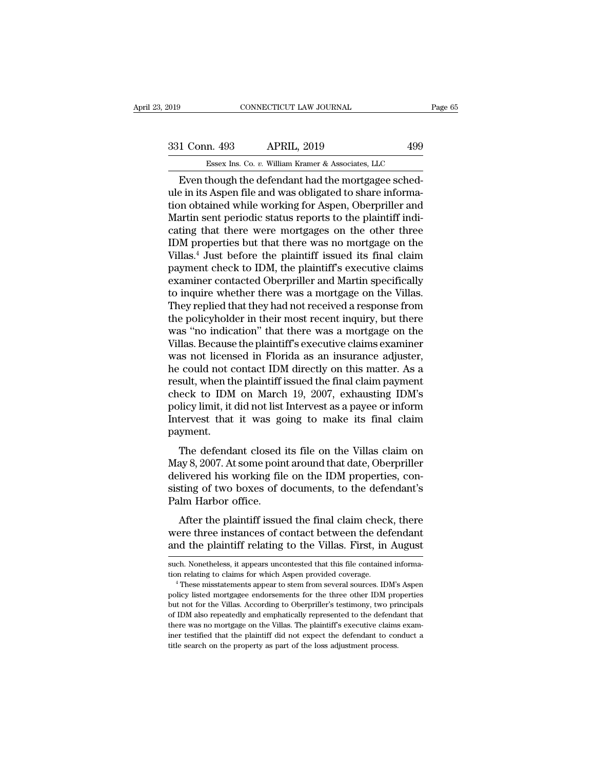## External CONNECTICUT LAW JOURNAL Page 65<br>331 Conn. 493 APRIL, 2019 499<br>Essex Ins. Co. v. William Kramer & Associates, LLC ESSEX Ins. Co. *v.* William Kramer & Associates, LLC<br>
Though the defendant had the mortgagee sched-

CONNECTICUT LAW JOURNAL<br>
1 Conn. 493 APRIL, 2019 499<br>
Essex Ins. Co. v. William Kramer & Associates, LLC<br>
Even though the defendant had the mortgagee sched-<br>
e in its Aspen file and was obligated to share informa-<br>
e in it 331 Conn. 493 APRIL, 2019 499<br>Essex Ins. Co. v. William Kramer & Associates, LLC<br>Even though the defendant had the mortgagee sched-<br>ule in its Aspen file and was obligated to share informa-<br>tion obtained while working for 331 Conn. 493 APRIL, 2019 499<br>
Essex Ins. Co. v. William Kramer & Associates, LLC<br>
Even though the defendant had the mortgagee sched-<br>
ule in its Aspen file and was obligated to share informa-<br>
tion obtained while working  $\frac{331 \text{ Conn. } 493}{\text{Essex Ins. Co. } v. } \frac{\text{William Kramer & Associates, LLC}}{\text{Even though the defendant had the mortgage schedule in its Aspen file and was obligeded to share information obtained while working for Aspen, Oberpriller and Martin sent periodic status reports to the plaintiff indicating that there were mortgages on the other three IDM properties but that there was no mortago on the$ Essex Ins. Co. *v.* William Kramer & Associates, LLC<br>
Even though the defendant had the mortgagee sched-<br>
ule in its Aspen file and was obligated to share informa-<br>
tion obtained while working for Aspen, Oberpriller and<br>
M Essex ins. Co.  $v$ . William Kramer & Associates, LLC<br>
Even though the defendant had the mortgagee sched-<br>
ule in its Aspen file and was obligated to share informa-<br>
tion obtained while working for Aspen, Oberpriller and<br> Even though the defendant had the mortgagee sched-<br>ule in its Aspen file and was obligated to share informa-<br>tion obtained while working for Aspen, Oberpriller and<br>Martin sent periodic status reports to the plaintiff indiule in its Aspen file and was obligated to share information obtained while working for Aspen, Oberpriller and<br>Martin sent periodic status reports to the plaintiff indicating that there were mortgages on the other three<br>ID tion obtained while working for Aspen, Oberpriller and<br>Martin sent periodic status reports to the plaintiff indicating that there were mortgages on the other three<br>IDM properties but that there was no mortgage on the<br>Villa Martin sent periodic status reports to the plaintiff indicating that there were mortgages on the other three IDM properties but that there was no mortgage on the Villas.<sup>4</sup> Just before the plaintiff issued its final claim cating that there were mortgages on the other three<br>IDM properties but that there was no mortgage on the<br>Villas.<sup>4</sup> Just before the plaintiff issued its final claim<br>payment check to IDM, the plaintiff's executive claims<br>ex IDM properties but that there was no mortgage on the Villas.<sup>4</sup> Just before the plaintiff issued its final claim payment check to IDM, the plaintiff's executive claims examiner contacted Oberpriller and Martin specifically Villas.<sup>4</sup> Just before the plaintiff issued its final claim<br>payment check to IDM, the plaintiff's executive claims<br>examiner contacted Oberpriller and Martin specifically<br>to inquire whether there was a mortgage on the Villa payment check to IDM, the plaintiff's executive claims<br>examiner contacted Oberpriller and Martin specifically<br>to inquire whether there was a mortgage on the Villas.<br>They replied that they had not received a response from<br>t examiner contacted Oberpriller and Martin specifically<br>to inquire whether there was a mortgage on the Villas.<br>They replied that they had not received a response from<br>the policyholder in their most recent inquiry, but there to inquire whether there was a mortgage on the Villas.<br>They replied that they had not received a response from<br>the policyholder in their most recent inquiry, but there<br>was "no indication" that there was a mortgage on the<br>V They replied that they had not received a response from<br>the policyholder in their most recent inquiry, but there<br>was "no indication" that there was a mortgage on the<br>Villas. Because the plaintiff's executive claims examine the policyholder in their most recent inquiry, but there was "no indication" that there was a mortgage on the Villas. Because the plaintiff's executive claims examiner was not licensed in Florida as an insurance adjuster, was "no indication" that there was a mortgage on the<br>Villas. Because the plaintiff's executive claims examiner<br>was not licensed in Florida as an insurance adjuster,<br>he could not contact IDM directly on this matter. As a<br>re Villas. Because the plaintiff's executive claims examiner<br>was not licensed in Florida as an insurance adjuster,<br>he could not contact IDM directly on this matter. As a<br>result, when the plaintiff issued the final claim payme payment. sult, when the plaintiff issued the final claim payment<br>eck to IDM on March 19, 2007, exhausting IDM's<br>licy limit, it did not list Intervest as a payee or inform<br>tervest that it was going to make its final claim<br>yment.<br>The result, when the plantificant issued the final claim payment<br>check to IDM on March 19, 2007, exhausting IDM's<br>policy limit, it did not list Intervest as a payee or inform<br>Intervest that it was going to make its final claim

check to TDM on March 19, 2007, exhausting TDM's<br>policy limit, it did not list Intervest as a payee or inform<br>Intervest that it was going to make its final claim<br>payment.<br>The defendant closed its file on the Villas claim o poncy mmt, it dut not is there west as a payee of morm<br>Intervest that it was going to make its final claim<br>payment.<br>The defendant closed its file on the Villas claim on<br>May 8, 2007. At some point around that date, Oberpril mervest that it was generally<br>payment.<br>The defendant closed<br>May 8, 2007. At some poin<br>delivered his working file<br>sisting of two boxes of d<br>Palm Harbor office.<br>After the plaintiff issue The defendant closed its file on the Villas claim on<br>ay 8, 2007. At some point around that date, Oberpriller<br>livered his working file on the IDM properties, con-<br>ting of two boxes of documents, to the defendant's<br>lm Harbor The definition to the video which the video May 8, 2007. At some point around that date, Oberpriller delivered his working file on the IDM properties, consisting of two boxes of documents, to the defendant's Palm Harbor of and the plaintiff relating to the Villas. First, in August and the plaintiff relating to the defendant's Palm Harbor office.<br>After the plaintiff issued the final claim check, there were three instances of contact between t

Palm Harbor office.<br>After the plaintiff issued the final claim check, there<br>were three instances of contact between the defendant<br>and the plaintiff relating to the Villas. First, in August<br>such. Nonetheless, it appears unc After the plaintiff issued the final claim check, there were three instances of contact between the defendant and the plaintiff relating to the Villas. First, in August such. Nonetheless, it appears uncontested that this f

and the plaintiff relating to the Villas. First, in August<br>such. Nonetheless, it appears uncontested that this file contained informa-<br>tion relating to claims for which Aspen provided coverage.<br><sup>4</sup> These misstatements appe and the planntin relating to the Villas. First, in August<br>such. Nonetheless, it appears uncontested that this file contained informa-<br>tion relating to claims for which Aspen provided coverage.<br><sup>4</sup> These misstatements appea such. Nonetheless, it appears uncontested that this file contained information relating to claims for which Aspen provided coverage.<br>
"These misstatements appear to stem from several sources. IDM's Aspen<br>
policy listed mor tion relating to claims for which Aspen provided coverage.<br>
<sup>4</sup> These misstatements appear to stem from several sources. IDM's Aspen<br>
policy listed mortgagee endorsements for the three other IDM properties<br>
but not for the <sup>4</sup> These misstatements appear to stem from several sources. IDM's Aspen<br>policy listed mortgagee endorsements for the three other IDM properties<br>but not for the Villas. According to Oberpriller's testimony, two principals policy listed mortgagee endorsements for the three other IDM probut not for the Villas. According to Oberpriller's testimony, two prior IDM also repeatedly and emphatically represented to the defendathere was no mortgage o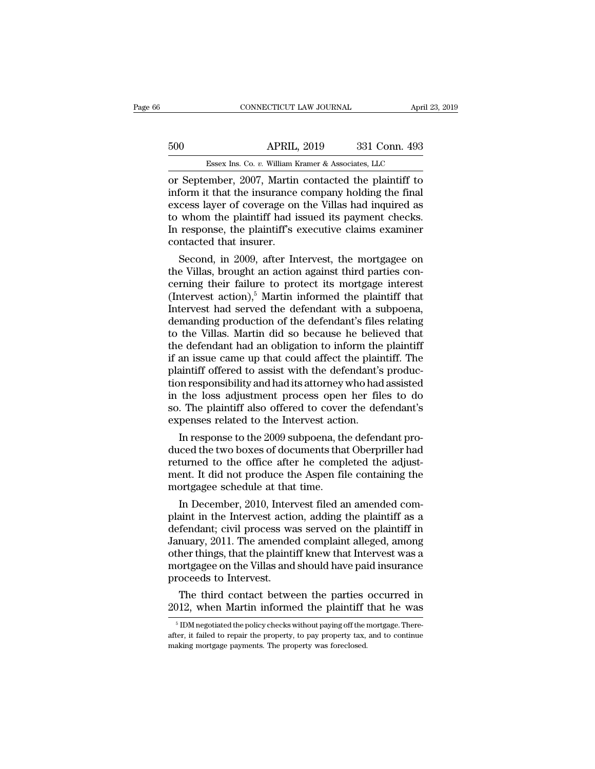## CONNECTICUT LAW JOURNAL April 23, 2019<br>500 APRIL, 2019 331 Conn. 493<br>Essex Ins. Co. v. William Kramer & Associates, LLC ESSEX Ins. Co. *v.* William Kramer & Associates, LLC<br>
PESSEX Ins. Co. *v.* William Kramer & Associates, LLC<br>
PESSEX Ins. Co. *v.* William Kramer & Associates, LLC

CONNECTICUT LAW JOURNAL April 23, 2019<br>
500 APRIL, 2019 331 Conn. 493<br>
Essex Ins. Co. v. William Kramer & Associates, LLC<br>
or September, 2007, Martin contacted the plaintiff to<br>
inform it that the insurance company holding 500 APRIL, 2019 331 Conn. 493<br>
Essex Ins. Co. v. William Kramer & Associates, LLC<br>
or September, 2007, Martin contacted the plaintiff to<br>
inform it that the insurance company holding the final<br>
excess layer of coverage on Essex Ins. Co. v. William Kramer & Associates, LLC<br>
or September, 2007, Martin contacted the plaintiff to<br>
inform it that the insurance company holding the final<br>
excess layer of coverage on the Villas had inquired as<br>
to 500 APRIL, 2019 331 Conn. 493<br>
Essex Ins. Co. v. William Kramer & Associates, LLC<br>
or September, 2007, Martin contacted the plaintiff to<br>
inform it that the insurance company holding the final<br>
excess layer of coverage on Essex Ins. Co. v. William Kramer & Associates, LLC<br>
or September, 2007, Martin contacted the plaintiff to<br>
inform it that the insurance company holding the final<br>
excess layer of coverage on the Villas had inquired as<br>
to Essex Ins. Co.  $v$ . William K<br>or September, 2007, Martin<br>inform it that the insurance<br>excess layer of coverage on<br>to whom the plaintiff had is<br>In response, the plaintiff's e<br>contacted that insurer.<br>Second, in 2009, after September, 2007, Martin contacted the plaintiff to<br>form it that the insurance company holding the final<br>cess layer of coverage on the Villas had inquired as<br>whom the plaintiff had issued its payment checks.<br>response, the p Inform it that the insurance company holding the final excess layer of coverage on the Villas had inquired as<br>to whom the plaintiff had issued its payment checks.<br>In response, the plaintiff's executive claims examiner<br>con

excess layer of coverage on the villas had inquired as<br>to whom the plaintiff had issued its payment checks.<br>In response, the plaintiff's executive claims examiner<br>contacted that insurer.<br>Second, in 2009, after Intervest, t to whom the plaintiff had issued its payment checks.<br>In response, the plaintiff's executive claims examiner<br>contacted that insurer.<br>Second, in 2009, after Intervest, the mortgagee on<br>the Villas, brought an action against t In response, the plaintiff s executive claims examiner<br>contacted that insurer.<br>Second, in 2009, after Intervest, the mortgagee on<br>the Villas, brought an action against third parties con-<br>cerning their failure to protect i contacted that insurer.<br>
Second, in 2009, after Intervest, the mortgagee on<br>
the Villas, brought an action against third parties con-<br>
cerning their failure to protect its mortgage interest<br>
(Intervest action),<sup>5</sup> Martin i Second, in 2009, after Intervest, the mortgagee on<br>the Villas, brought an action against third parties con-<br>cerning their failure to protect its mortgage interest<br>(Intervest action),<sup>5</sup> Martin informed the plaintiff that<br> the Villas, brought an action against third parties concerning their failure to protect its mortgage interest<br>(Intervest action),<sup>5</sup> Martin informed the plaintiff that<br>Intervest had served the defendant with a subpoena,<br>de cerning their failure to protect its mortgage interest<br>(Intervest action),<sup>5</sup> Martin informed the plaintiff that<br>Intervest had served the defendant with a subpoena,<br>demanding production of the defendant's files relating<br>to (Intervest action),<sup>5</sup> Martin informed the plaintiff that<br>Intervest had served the defendant with a subpoena,<br>demanding production of the defendant's files relating<br>to the Villas. Martin did so because he believed that<br>th Intervest had served the defendant with a subpoena,<br>demanding production of the defendant's files relating<br>to the Villas. Martin did so because he believed that<br>the defendant had an obligation to inform the plaintiff<br>if an demanding production of the defendant's files relating<br>to the Villas. Martin did so because he believed that<br>the defendant had an obligation to inform the plaintiff<br>if an issue came up that could affect the plaintiff. The<br> to the Villas. Martin did so because he believed that<br>the defendant had an obligation to inform the plaintiff<br>if an issue came up that could affect the plaintiff. The<br>plaintiff offered to assist with the defendant's produc the defendant had an obligation to inform the<br>if an issue came up that could affect the plain<br>plaintiff offered to assist with the defendant's<br>tion responsibility and had its attorney who had<br>in the loss adjustment process aintiff offered to assist with the defendant's production responsibility and had its attorney who had assisted<br>the loss adjustment process open her files to do<br>. The plaintiff also offered to cover the defendant's<br>penses r plantiff offered to assist with the defendant's production responsibility and had its attorney who had assisted<br>in the loss adjustment process open her files to do<br>so. The plaintiff also offered to cover the defendant's<br>ex

tion responsibility and nad its attorney who had assisted<br>in the loss adjustment process open her files to do<br>so. The plaintiff also offered to cover the defendant's<br>expenses related to the Intervest action.<br>In response to ment in the loss adjustment process open her files to do<br>so. The plaintiff also offered to cover the defendant's<br>expenses related to the Intervest action.<br>In response to the 2009 subpoena, the defendant pro-<br>duced the two so. The plaintiff also offered to cover<br>expenses related to the Intervest action<br>In response to the 2009 subpoena, the<br>duced the two boxes of documents than<br>returned to the office after he complement. It did not produce th In response to the 2009 subpoena, the defendant pro-<br>ced the two boxes of documents that Oberpriller had<br>turned to the office after he completed the adjust-<br>ent. It did not produce the Aspen file containing the<br>ortgagee sc In response to the 2009 subpoena, the defendant produced the two boxes of documents that Oberpriller had<br>returned to the office after he completed the adjust-<br>ment. It did not produce the Aspen file containing the<br>mortgag

duced the two boxes of documents that Oberpriller had<br>returned to the office after he completed the adjust-<br>ment. It did not produce the Aspen file containing the<br>mortgagee schedule at that time.<br>In December, 2010, Interve returned to the office after he completed the adjust-<br>ment. It did not produce the Aspen file containing the<br>mortgagee schedule at that time.<br>In December, 2010, Intervest filed an amended com-<br>plaint in the Intervest actio ment. It did not produce the Aspen file containing the<br>mortgagee schedule at that time.<br>In December, 2010, Intervest filed an amended com-<br>plaint in the Intervest action, adding the plaintiff as a<br>defendant; civil process mortgagee schedule at that time.<br>
In December, 2010, Intervest filed an amended com-<br>
plaint in the Intervest action, adding the plaintiff as a<br>
defendant; civil process was served on the plaintiff in<br>
January, 2011. The a In December, 2010, Inter<br>plaint in the Intervest actio<br>defendant; civil process wa<br>January, 2011. The amende<br>other things, that the plainti<br>mortgagee on the Villas and<br>proceeds to Intervest.<br>The third contact betwe aint in the Intervest action, adding the plaintiff as a fendant; civil process was served on the plaintiff in nuary, 2011. The amended complaint alleged, among her things, that the plaintiff knew that Intervest was a ortga defendant; civil process was served on the plaintiff in January, 2011. The amended complaint alleged, among other things, that the plaintiff knew that Intervest was a mortgagee on the Villas and should have paid insurance

for tydage of the vinas and should have paid insurance<br>roceeds to Intervest.<br>The third contact between the parties occurred in<br> $112$ , when Martin informed the plaintiff that he was<br> $^{5}$  IDM negotiated the policy checks wi

proceeds to intervest.<br>The third contact between the parties occurred in 2012, when Martin informed the plaintiff that he was<br><sup>5</sup> IDM negotiated the policy checks without paying off the mortgage. Thereafter, it failed to r The third contact between the parties 2012, when Martin informed the plaintiff  $\frac{5}{10}$  TDM negotiated the policy checks without paying off the rafter, it failed to repair the property, to pay property tax, making mortg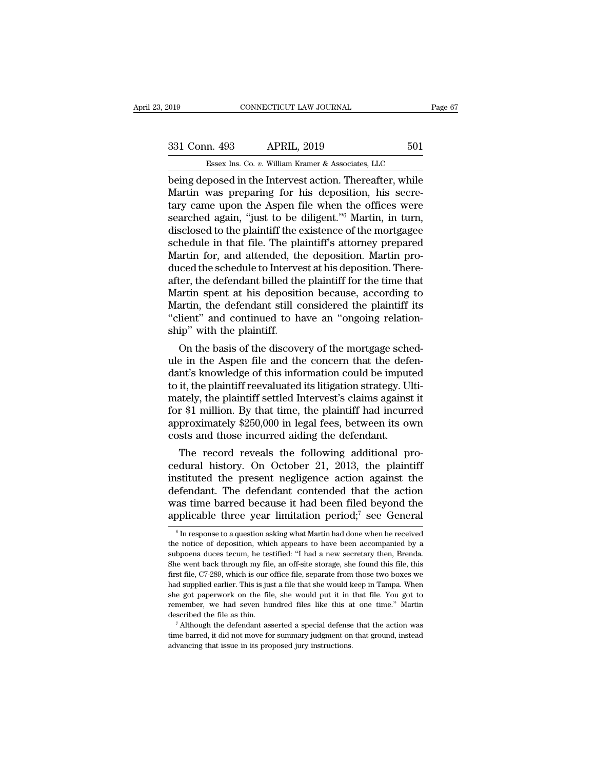## 019 CONNECTICUT LAW JOURNAL Page 67<br>331 Conn. 493 APRIL, 2019 501<br>Essex Ins. Co. v. William Kramer & Associates, LLC ESSEX Ins. Co. *v.* William Kramer & Associates, LLC<br>
Proposed in the Intervest action. Thereafter while

Fage 67<br>
Being deposed in the Intervest action. Thereafter, while<br>
Deing deposed in the Intervest action. Thereafter, while<br>
Martin was preparing for his deposition, his secre-331 Conn. 493 APRIL, 2019 501<br>
Essex Ins. Co. v. William Kramer & Associates, LLC<br>
being deposed in the Intervest action. Thereafter, while<br>
Martin was preparing for his deposition, his secre-<br>
tary came upon the Aspen fil 331 Conn. 493 APRIL, 2019 501<br>
Essex Ins. Co. v. William Kramer & Associates, LLC<br>
being deposed in the Intervest action. Thereafter, while<br>
Martin was preparing for his deposition, his secre-<br>
tary came upon the Aspen fi 331 Conn. 493 APRIL, 2019 501<br>
Essex Ins. Co. v. William Kramer & Associates, LLC<br>
being deposed in the Intervest action. Thereafter, while<br>
Martin was preparing for his deposition, his secre-<br>
tary came upon the Aspen fi Essex Ins. Co. *v.* William Kramer & Associates, LLC<br>being deposed in the Intervest action. Thereafter, while<br>Martin was preparing for his deposition, his secre-<br>tary came upon the Aspen file when the offices were<br>searched Essex ins. Co.  $v$ . William Kramer & Associates, LLC<br>being deposed in the Intervest action. Thereafter, while<br>Martin was preparing for his deposition, his secre-<br>tary came upon the Aspen file when the offices were<br>searche being deposed in the Intervest action. Thereafter, while<br>Martin was preparing for his deposition, his secre-<br>tary came upon the Aspen file when the offices were<br>searched again, "just to be diligent."<sup>6</sup> Martin, in turn,<br>di Martin was preparing for his deposition, his secretary came upon the Aspen file when the offices were<br>searched again, "just to be diligent."<sup>6</sup> Martin, in turn,<br>disclosed to the plaintiff the existence of the mortgagee<br>sch tary came upon the Aspen file when the offices were<br>searched again, "just to be diligent."<sup>6</sup> Martin, in turn,<br>disclosed to the plaintiff the existence of the mortgagee<br>schedule in that file. The plaintiff's attorney prepa searched again, "just to be diligent."<sup>6</sup> Martin, in turn,<br>disclosed to the plaintiff the existence of the mortgagee<br>schedule in that file. The plaintiff's attorney prepared<br>Martin for, and attended, the deposition. Martin disclosed to the plaintiff the existence of the mortgagee<br>schedule in that file. The plaintiff's attorney prepared<br>Martin for, and attended, the deposition. Martin pro-<br>duced the schedule to Intervest at his deposition. Th schedule in that file. The plaintiff's attorney prepared<br>Martin for, and attended, the deposition. Martin pro-<br>duced the schedule to Intervest at his deposition. There-<br>after, the defendant billed the plaintiff for the tim Martin for, and attended, the duced the schedule to Interve<br>after, the defendant billed the Martin spent at his depositi<br>Martin, the defendant still c<br>"client" and continued to h<br>ship" with the plaintiff.<br>On the basis of t cea the scheaue to mtervest at his deposition. There-<br>ter, the defendant billed the plaintiff for the time that<br>artin spent at his deposition because, according to<br>artin, the defendant still considered the plaintiff its<br>li atter, the detendant billed the plaintiff for the time that<br>Martin spent at his deposition because, according to<br>Martin, the defendant still considered the plaintiff its<br>"client" and continued to have an "ongoing relation-

martin spent at his deposition because, according to<br>Martin, the defendant still considered the plaintiff its<br>"client" and continued to have an "ongoing relation-<br>ship" with the plaintiff.<br>On the basis of the discovery of martin, the defendant still considered the plaintiff its<br>"client" and continued to have an "ongoing relation-<br>ship" with the plaintiff.<br>On the basis of the discovery of the mortgage sched-<br>ule in the Aspen file and the con chemical and continued to have an ongoing relation-<br>ship" with the plaintiff.<br>On the basis of the discovery of the mortgage sched-<br>ule in the Aspen file and the concern that the defen-<br>dant's knowledge of this information ship with the plaintiff.<br>On the basis of the discovery of the mortgage sched-<br>ule in the Aspen file and the concern that the defen-<br>dant's knowledge of this information could be imputed<br>to it, the plaintiff reevaluated its On the basis of the discovery of the mortgage sched-<br>ule in the Aspen file and the concern that the defen-<br>dant's knowledge of this information could be imputed<br>to it, the plaintiff reevaluated its litigation strategy. Ult ule in the Aspen file and the concern that the deferent dant's knowledge of this information could be imput to it, the plaintiff reevaluated its litigation strategy. Un mately, the plaintiff settled Intervest's claims agai In s knowledge of this information could be imputed<br>it, the plaintiff reevaluated its litigation strategy. Ulti-<br>ately, the plaintiff settled Intervest's claims against it<br>r \$1 million. By that time, the plaintiff had incu to it, the plaintiff settled Intervest's claims against it<br>for \$1 million. By that time, the plaintiff had incurred<br>approximately \$250,000 in legal fees, between its own<br>costs and those incurred aiding the defendant.<br>The r

mately, the plaintiff settled intervest s claims against it<br>for \$1 million. By that time, the plaintiff had incurred<br>approximately \$250,000 in legal fees, between its own<br>costs and those incurred aiding the defendant.<br>The for \$1 minion. By that time, the plaintif had incurred<br>approximately \$250,000 in legal fees, between its own<br>costs and those incurred aiding the defendant.<br>The record reveals the following additional pro-<br>cedural history. approximately  $\frac{3250,000 \text{ m}}{20100 \text{ m}}$  regal rees, between its own<br>costs and those incurred aiding the defendant.<br>The record reveals the following additional pro-<br>cedural history. On October 21, 2013, the plaintiff<br>i costs and those incurred along the defendant.<br>The record reveals the following additional pro-<br>cedural history. On October 21, 2013, the plaintiff<br>instituted the present negligence action against the<br>defendant. The defend stituted the present negligence action against the efendant. The defendant contended that the action as time barred because it had been filed beyond the opplicable three year limitation period;<sup>7</sup> see General  $\frac{6}{n}$  In defendant. The defendant contended that the action<br>was time barred because it had been filed beyond the<br>applicable three year limitation period;<sup>7</sup> see General<br> $\frac{1}{6}$  In response to a question asking what Martin had do

was time barred because it had been filed beyond the applicable three year limitation period;<sup>7</sup> see General  $\frac{1}{6}$  In response to a question asking what Martin had done when he received the notice of deposition, which applicable three year limitation period;<sup>7</sup> see General  $\frac{1}{6}$  In response to a question asking what Martin had done when he received the notice of deposition, which appears to have been accompanied by a subpoena duces appricable trive year initiation period; see General  $\frac{1}{2}$  of In response to a question asking what Martin had done when he received the notice of deposition, which appears to have been accompanied by a subpoena duces <sup>6</sup> In response to a question asking what Martin had done when he received the notice of deposition, which appears to have been accompanied by a subpoena duces tecum, he testified: "I had a new secretary then, Brenda. She in the notice of deposition, which appears to have been accompanied by a subpoena duces tecum, he testified: "I had a new secretary then, Brenda. She went back through my file, an off-site storage, she found this file, thi subpoena duces tecum, he testified: "I had a new secretary then, Brenda.<br>She went back through my file, an off-site storage, she found this file, this first file, C7-289, which is our office file, separate from those two b She went back through my file, an off-site storage, she found this file, this first file, C7-289, which is our office file, separate from those two boxes we had supplied earlier. This is just a file that she would keep in the dumplied earlier. This is just a file that she would keep in Tampa. When she got paperwork on the file, she would put it in that file. You got to remember, we had seven hundred files like this at one time." Martin desc she got paperwork on the file, she would put it in that file. You got to remember, we had seven hundred files like this at one time." Martin described the file as thin.<br><sup>7</sup> Although the defendant asserted a special defense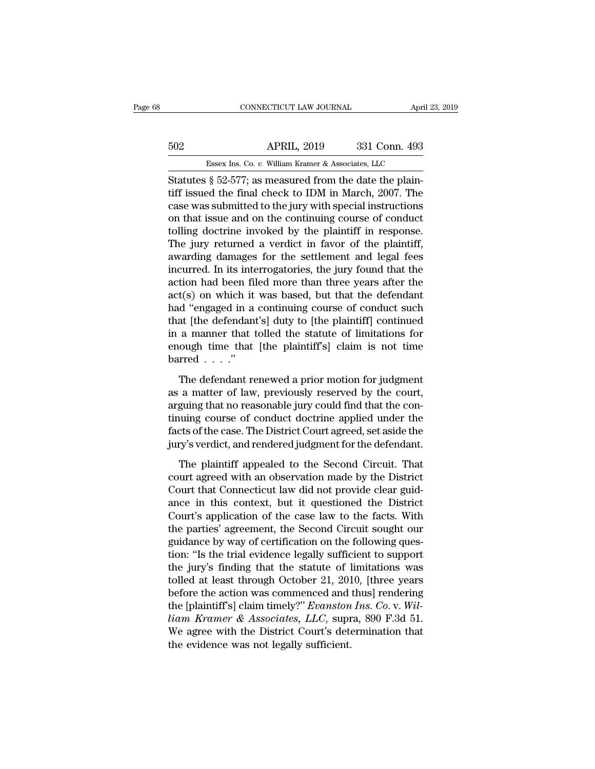## EXERCIT CONNECTICUT LAW JOURNAL April 23, 2019<br>502 APRIL, 2019 331 Conn. 493<br>Essex Ins. Co. v. William Kramer & Associates, LLC CONNECTICUT LAW JOURNAL April 3<br>APRIL, 2019 331 Conn. 493<br>Essex Ins. Co. *v.* William Kramer & Associates, LLC<br>8 52-577: as measured from the date the plain-

CONNECTICUT LAW JOURNAL APT<br>
SO2 APRIL, 2019 331 Conn. 493<br>
Essex Ins. Co. v. William Kramer & Associates, LLC<br>
Statutes § 52-577; as measured from the date the plain-<br>
tiff issued the final check to IDM in March, 2007. Th the final check to IDM in March, 2019<br>
Essex Ins. Co. v. William Kramer & Associates, LLC<br>
Statutes § 52-577; as measured from the date the plain-<br>
tiff issued the final check to IDM in March, 2007. The<br>
case was submitted 502 APRIL, 2019 331 Conn. 493<br>
Essex Ins. Co. v. William Kramer & Associates, LLC<br>
Statutes § 52-577; as measured from the date the plain-<br>
tiff issued the final check to IDM in March, 2007. The<br>
case was submitted to the 502 **APRIL, 2019** 331 Conn. 493<br>
Essex Ins. Co. *v.* William Kramer & Associates, LLC<br>
Statutes § 52-577; as measured from the date the plain-<br>
tiff issued the final check to IDM in March, 2007. The<br>
case was submitted to Essex Ins. Co.  $v$ . William Kramer & Associates, LLC<br>Statutes § 52-577; as measured from the date the plain-<br>tiff issued the final check to IDM in March, 2007. The<br>case was submitted to the jury with special instructions<br> ESSEX INS. Co. v. William Kramer & Associates, LLC<br>Statutes § 52-577; as measured from the date the plain-<br>tiff issued the final check to IDM in March, 2007. The<br>case was submitted to the jury with special instructions<br>on Statutes § 52-577; as measured from the date the plain-<br>tiff issued the final check to IDM in March, 2007. The<br>case was submitted to the jury with special instructions<br>on that issue and on the continuing course of conduct tiff issued the final check to IDM in March, 2007. The<br>case was submitted to the jury with special instructions<br>on that issue and on the continuing course of conduct<br>tolling doctrine invoked by the plaintiff in response.<br>T case was submitted to the jury with special instructions<br>on that issue and on the continuing course of conduct<br>tolling doctrine invoked by the plaintiff in response.<br>The jury returned a verdict in favor of the plaintiff,<br>a on that issue and on the continuing course of conduct<br>tolling doctrine invoked by the plaintiff in response.<br>The jury returned a verdict in favor of the plaintiff,<br>awarding damages for the settlement and legal fees<br>incurre tolling doctrine invoked by the plaintiff in response.<br>The jury returned a verdict in favor of the plaintiff,<br>awarding damages for the settlement and legal fees<br>incurred. In its interrogatories, the jury found that the<br>act The jury returned a verdict in favor of the plaintiff,<br>awarding damages for the settlement and legal fees<br>incurred. In its interrogatories, the jury found that the<br>action had been filed more than three years after the<br>act( awarding damages for the settlement and legal fees<br>incurred. In its interrogatories, the jury found that the<br>action had been filed more than three years after the<br>act(s) on which it was based, but that the defendant<br>had "e incurred. In its interrogatories, the jury found that the action had been filed more than three years after the act(s) on which it was based, but that the defendant had "engaged in a continuing course of conduct such that action had been fil<br>act(s) on which it<br>had "engaged in a<br>that [the defendant<br>in a manner that t<br>enough time that<br>barred . . . ."<br>The defendant re d "engaged in a continuing course of conduct such<br>at [the defendant's] duty to [the plaintiff] continued<br>a manner that tolled the statute of limitations for<br>ough time that [the plaintiff's] claim is not time<br>rred . . . ." that [the defendant's] duty to [the plaintiff] continued<br>in a manner that tolled the statute of limitations for<br>enough time that [the plaintiff's] claim is not time<br>barred . . . ."<br>The defendant renewed a prior motion for

in a manner that tolled the statute of limitations for<br>enough time that [the plaintiff's] claim is not time<br>barred . . . ."<br>The defendant renewed a prior motion for judgment<br>as a matter of law, previously reserved by the enough time that [the plaintiff's] claim is not time<br>barred . . . ."<br>The defendant renewed a prior motion for judgment<br>as a matter of law, previously reserved by the court,<br>arguing that no reasonable jury could find that factor of the case. The defendant renewed a prior motion for judgment<br>as a matter of law, previously reserved by the court,<br>arguing that no reasonable jury could find that the con-<br>tinuing course of conduct doctrine appli The defendant renewed a prior motion for judgment<br>as a matter of law, previously reserved by the court,<br>arguing that no reasonable jury could find that the con-<br>tinuing course of conduct doctrine applied under the<br>facts of a matter of law, previously reserved by the court,<br>guing that no reasonable jury could find that the con-<br>uuing course of conduct doctrine applied under the<br>cts of the case. The District Court agreed, set aside the<br>ry's ve arguing that no reasonable jury could find that the continuing course of conduct doctrine applied under the facts of the case. The District Court agreed, set aside the jury's verdict, and rendered judgment for the defendan

tinuing course of conduct doctrine applied under the<br>facts of the case. The District Court agreed, set aside the<br>jury's verdict, and rendered judgment for the defendant.<br>The plaintiff appealed to the Second Circuit. That<br>c facts of the case. The District Court agreed, set aside the<br>jury's verdict, and rendered judgment for the defendant.<br>The plaintiff appealed to the Second Circuit. That<br>court agreed with an observation made by the District<br> jury's verdict, and rendered judgment for the defendant.<br>The plaintiff appealed to the Second Circuit. That<br>court agreed with an observation made by the District<br>Court that Connecticut law did not provide clear guid-<br>ance The plaintiff appealed to the Second Circuit. That<br>court agreed with an observation made by the District<br>Court that Connecticut law did not provide clear guid-<br>ance in this context, but it questioned the District<br>Court's a The plaintiff appealed to the Second Circuit. That<br>court agreed with an observation made by the District<br>Court that Connecticut law did not provide clear guid-<br>ance in this context, but it questioned the District<br>Court's a court agreed with an observation made by the District<br>Court that Connecticut law did not provide clear guid-<br>ance in this context, but it questioned the District<br>Court's application of the case law to the facts. With<br>the p Court that Connecticut law did not provide clear guidance in this context, but it questioned the District Court's application of the case law to the facts. With the parties' agreement, the Second Circuit sought our guidanc ance in this context, but it questioned the District<br>Court's application of the case law to the facts. With<br>the parties' agreement, the Second Circuit sought our<br>guidance by way of certification on the following ques-<br>tio Court's application of the case law to the facts. With<br>the parties' agreement, the Second Circuit sought our<br>guidance by way of certification on the following ques-<br>tion: "Is the trial evidence legally sufficient to suppo the parties' agreement, the Second Circuit sought our<br>guidance by way of certification on the following ques-<br>tion: "Is the trial evidence legally sufficient to support<br>the jury's finding that the statute of limitations wa guidance by way of certification on the following question: "Is the trial evidence legally sufficient to support<br>the jury's finding that the statute of limitations was<br>tolled at least through October 21, 2010, [three years tion: "Is the trial evidence legally sufficient to support<br>the jury's finding that the statute of limitations was<br>tolled at least through October 21, 2010, [three years<br>before the action was commenced and thus] rendering<br> the jury's finding that the statute of l<br>tolled at least through October 21, 201<br>before the action was commenced and<br>the [plaintiff's] claim timely?" *Evanston*<br>liam Kramer & Associates, LLC, supr<br>We agree with the Distric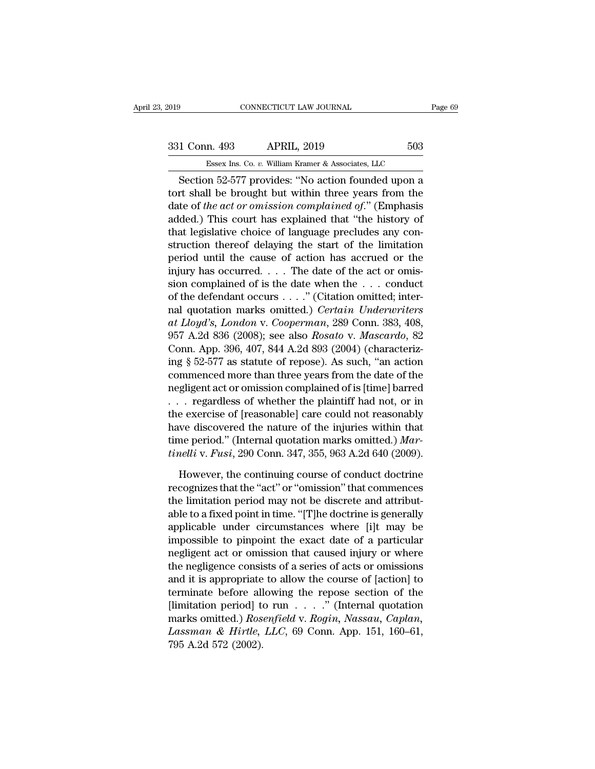## External CONNECTICUT LAW JOURNAL Page 69<br>331 Conn. 493 APRIL, 2019 503<br>Essex Ins. Co. v. William Kramer & Associates, LLC ESSEX Ins. Co. *v.* William Kramer & Associates, LLC<br>
Essex Ins. Co. *v.* William Kramer & Associates, LLC<br>
Essex Ins. Co. *v.* William Kramer & Associates, LLC<br>
Mn. 52-577 provides: "No action founded upon a

Fage 69<br>
Section 52-577 provides: ''No action founded upon a<br>
Section 52-577 provides: ''No action founded upon a<br>
The stead of the set of the set of the set of the set of the set of the set of the set of the set of the se 331 Conn. 493 APRIL, 2019 503<br>
Essex Ins. Co. v. William Kramer & Associates, LLC<br>
Section 52-577 provides: "No action founded upon a<br>
tort shall be brought but within three years from the<br>
date of the act or omission com 331 Conn. 493 APRIL, 2019 503<br>
Essex Ins. Co. v. William Kramer & Associates, LLC<br>
Section 52-577 provides: "No action founded upon a<br>
tort shall be brought but within three years from the<br>
date of *the act or omission com* 331 Conn. 493 APRIL, 2019 503<br>
Essex Ins. Co. v. William Kramer & Associates, LLC<br>
Section 52-577 provides: "No action founded upon a<br>
tort shall be brought but within three years from the<br>
date of the act or omission com Essex Ins. Co.  $v$ . William Kramer & Associates, LLC<br>
Section 52-577 provides: "No action founded upon a<br>
tort shall be brought but within three years from the<br>
date of *the act or omission complained of.*" (Emphasis<br>
add Section 52-577 provides: "No action founded upon a<br>tort shall be brought but within three years from the<br>date of the act or omission complained of." (Emphasis<br>added.) This court has explained that "the history of<br>that leg Section 52-577 provides: "No action founded upon a<br>tort shall be brought but within three years from the<br>date of *the act or omission complained of.*" (Emphasis<br>added.) This court has explained that "the history of<br>that l fort shall be brought but within three years from the date of *the act or omission complained of.*" (Emphasis added.) This court has explained that "the history of that legislative choice of language precludes any constru date of the act or omission complained of." (Emphasis added.) This court has explained that "the history of that legislative choice of language precludes any construction thereof delaying the start of the limitation perio added.) This court has explained that "the history of<br>that legislative choice of language precludes any con-<br>struction thereof delaying the start of the limitation<br>period until the cause of action has accrued or the<br>injur that legislative choice of language precludes any construction thereof delaying the start of the limitation<br>period until the cause of action has accrued or the<br>injury has occurred.... The date of the act or omis-<br>sion com struction thereof delaying the start of the limitation<br>period until the cause of action has accrued or the<br>injury has occurred. . . . The date of the act or omis-<br>sion complained of is the date when the . . . conduct<br>of th period until the cause of action has accrued or the<br>injury has occurred.... The date of the act or omis-<br>sion complained of is the date when the ... conduct<br>of the defendant occurs ...." (Citation omitted; inter-<br>nal quota injury has occurred. . . . The date of the act or omission complained of is the date when the . . . conduct<br>of the defendant occurs . . . ." (Citation omitted; inter-<br>nal quotation marks omitted.) *Certain Underwriters*<br>a sion complained of is the date when the ... conduct<br>of the defendant occurs ...." (Citation omitted; inter-<br>nal quotation marks omitted.) *Certain Underwriters*<br>at Lloyd's, London v. Cooperman, 289 Conn. 383, 408,<br>957 A.2 of the defendant occurs . . . ." (Citation omitted; inter-<br>nal quotation marks omitted.) *Certain Underwriters*<br>at Lloyd's, London v. Cooperman, 289 Conn. 383, 408,<br>957 A.2d 836 (2008); see also Rosato v. Mascardo, 82<br>Conn nal quotation marks omitted.) Certain Underwriters<br>at Lloyd's, London v. Cooperman, 289 Conn. 383, 408,<br>957 A.2d 836 (2008); see also Rosato v. Mascardo, 82<br>Conn. App. 396, 407, 844 A.2d 893 (2004) (characteriz-<br>ing § 52-5 at Lloyd's, London v. Cooperman, 289 Conn. 383, 408,<br>957 A.2d 836 (2008); see also Rosato v. Mascardo, 82<br>Conn. App. 396, 407, 844 A.2d 893 (2004) (characteriz-<br>ing § 52-577 as statute of repose). As such, "an action<br>comm 957 A.2d 836 (2008); see also *Rosato* v. *Mascardo*, 82<br>Conn. App. 396, 407, 844 A.2d 893 (2004) (characteriz-<br>ing § 52-577 as statute of repose). As such, "an action<br>commenced more than three years from the date of the<br> Conn. App. 396, 407, 844 A.2d 893 (2004) (characterizing § 52-577 as statute of repose). As such, "an action commenced more than three years from the date of the negligent act or omission complained of is [time] barred . ing § 52-577 as statute of repose). As such, "an action<br>commenced more than three years from the date of the<br>negligent act or omission complained of is [time] barred<br>... regardless of whether the plaintiff had not, or in<br>t commenced more than three years from the date of the<br>negligent act or omission complained of is [time] barred<br>. . . . regardless of whether the plaintiff had not, or in<br>the exercise of [reasonable] care could not reasonabl regardless of whether the plaintiff had not, or in<br>e exercise of [reasonable] care could not reasonably<br>we discovered the nature of the injuries within that<br>me period." (Internal quotation marks omitted.) *Mar-<br>nelli* v. the exercise of [reasonable] care could not reasonably<br>have discovered the nature of the injuries within that<br>time period." (Internal quotation marks omitted.) *Mar-<br>tinelli* v. *Fusi*, 290 Conn. 347, 355, 963 A.2d 640 (20

have discovered the nature of the injuries within that<br>time period." (Internal quotation marks omitted.) *Mar-<br>tinelli* v. *Fusi*, 290 Conn. 347, 355, 963 A.2d 640 (2009).<br>However, the continuing course of conduct doctrine time period." (Internal quotation marks omitted.) *Mar-*<br>tinelli v. Fusi, 290 Conn. 347, 355, 963 A.2d 640 (2009).<br>However, the continuing course of conduct doctrine<br>recognizes that the "act" or "omission" that commences<br> tinelli v. Fusi, 290 Conn. 347, 355, 963 A.2d 640 (2009).<br>
However, the continuing course of conduct doctrine<br>
recognizes that the "act" or "omission" that commences<br>
the limitation period may not be discrete and attribut-However, the continuing course of conduct doctrine<br>recognizes that the "act" or "omission" that commences<br>the limitation period may not be discrete and attribut-<br>able to a fixed point in time. "[T]he doctrine is generally<br> However, the continuing course of conduct doctrine<br>recognizes that the "act" or "omission" that commences<br>the limitation period may not be discrete and attribut-<br>able to a fixed point in time. "[T]he doctrine is generally<br> recognizes that the "act" or "omission" that commences<br>the limitation period may not be discrete and attribut-<br>able to a fixed point in time. "[T]he doctrine is generally<br>applicable under circumstances where [i]t may be<br>im the limitation period may not be discrete and attribut-<br>able to a fixed point in time. "[T]he doctrine is generally<br>applicable under circumstances where [i]t may be<br>impossible to pinpoint the exact date of a particular<br>neg able to a fixed point in time. "[T]he doctrine is generally<br>applicable under circumstances where [i]t may be<br>impossible to pinpoint the exact date of a particular<br>negligent act or omission that caused injury or where<br>the applicable under circumstances where [i]t may be<br>impossible to pinpoint the exact date of a particular<br>negligent act or omission that caused injury or where<br>the negligence consists of a series of acts or omissions<br>and it impossible to pinpoint the exact date of a particular<br>negligent act or omission that caused injury or where<br>the negligence consists of a series of acts or omissions<br>and it is appropriate to allow the course of [action] to<br> regligent act or omission that caused injury or where<br>the negligence consists of a series of acts or omissions<br>and it is appropriate to allow the course of [action] to<br>terminate before allowing the repose section of the<br>[l the negligence consiand it is appropriate<br>terminate before all<br>[limitation period] to<br>marks omitted.) Ros<br>Lassman & Hirtle,<br>795 A.2d 572 (2002).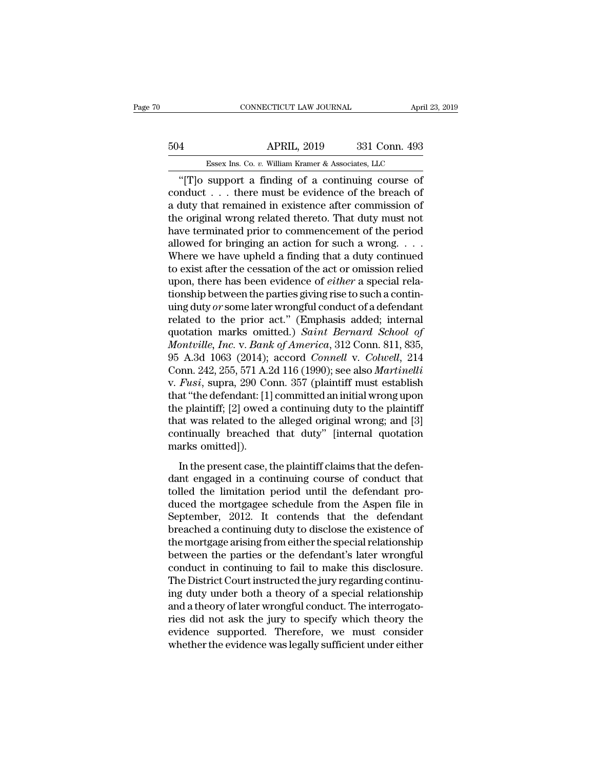## CONNECTICUT LAW JOURNAL April 23, 2019<br>504 APRIL, 2019 331 Conn. 493<br>Essex Ins. Co. v. William Kramer & Associates, LLC ESSEX Ins. Co. *v.* William Kramer & Associates, LLC<br>
Support a finding of a continuing course of

CONNECTICUT LAW JOURNAL April 23, 2019<br>
4<br>
APRIL, 2019 331 Conn. 493<br>
Essex Ins. Co. v. William Kramer & Associates, LLC<br>
"[T]o support a finding of a continuing course of<br>
mduct... there must be evidence of the breach of<br> 504 APRIL, 2019 331 Conn. 493<br>
Essex Ins. Co. v. William Kramer & Associates, LLC<br>
"[T]o support a finding of a continuing course of conduct . . . there must be evidence of the breach of a duty that remained in existence 504 APRIL, 2019 331 Conn. 493<br>
Essex Ins. Co. v. William Kramer & Associates, LLC<br>
"[T]o support a finding of a continuing course of<br>
conduct . . . there must be evidence of the breach of<br>
a duty that remained in existenc 504 **APRIL, 2019** 331 Conn. 493<br> **ESSEX INS.** Co. v. William Kramer & Associates, LLC<br>
"[T]o support a finding of a continuing course of<br>
conduct . . . there must be evidence of the breach of<br>
a duty that remained in exis Essex Ins. Co.  $v$ . William Kramer & Associates, LLC<br>
"[T]o support a finding of a continuing course of<br>
conduct . . . there must be evidence of the breach of<br>
a duty that remained in existence after commission of<br>
the or ESSEX INS. Co. *v.* William Kramer & Associates, LLC<br>
"[T]o support a finding of a continuing course of<br>
conduct . . . there must be evidence of the breach of<br>
a duty that remained in existence after commission of<br>
the or "[T]o support a finding of a continuing course of<br>conduct . . . there must be evidence of the breach of<br>a duty that remained in existence after commission of<br>the original wrong related thereto. That duty must not<br>have ter conduct . . . there must be evidence of the breach of<br>a duty that remained in existence after commission of<br>the original wrong related thereto. That duty must not<br>have terminated prior to commencement of the period<br>allowe a duty that remained in existence after commission of<br>the original wrong related thereto. That duty must not<br>have terminated prior to commencement of the period<br>allowed for bringing an action for such a wrong. . . . .<br>Wher the original wrong related thereto. That duty must not<br>have terminated prior to commencement of the period<br>allowed for bringing an action for such a wrong. . . . .<br>Where we have upheld a finding that a duty continued<br>to e have terminated prior to commencement of the period<br>allowed for bringing an action for such a wrong. . . .<br>Where we have upheld a finding that a duty continued<br>to exist after the cessation of the act or omission relied<br>upo allowed for bringing an action for such a wrong....<br>Where we have upheld a finding that a duty continued<br>to exist after the cessation of the act or omission relied<br>upon, there has been evidence of *either* a special rela-Where we have upheld a finding that a duty continued<br>to exist after the cessation of the act or omission relied<br>upon, there has been evidence of *either* a special rela-<br>tionship between the parties giving rise to such a to exist after the cessation of the act or omission relied<br>upon, there has been evidence of *either* a special rela-<br>tionship between the parties giving rise to such a contin-<br>uing duty *or* some later wrongful conduct of upon, there has been evidence of *either* a special relationship between the parties giving rise to such a contin-<br>uing duty or some later wrongful conduct of a defendant<br>related to the prior act." (Emphasis added; interna tionship between the parties giving rise to such a contin-<br>uing duty *or* some later wrongful conduct of a defendant<br>related to the prior act." (Emphasis added; internal<br>quotation marks omitted.) *Saint Bernard School of*<br> uing duty *or* some later wrongful conduct of a defendant<br>related to the prior act." (Emphasis added; internal<br>quotation marks omitted.) *Saint Bernard School of*<br>*Montville, Inc.* v. *Bank of America*, 312 Conn. 811, 835, related to the prior act." (Emphasis added; internal<br>quotation marks omitted.) *Saint Bernard School of*<br>*Montville, Inc.* v. *Bank of America*, 312 Conn. 811, 835,<br>95 A.3d 1063 (2014); accord *Connell v. Colwell*, 214<br>Con quotation marks omitted.) Saint Bernard School of<br>Montville, Inc. v. Bank of America, 312 Conn. 811, 835,<br>95 A.3d 1063 (2014); accord Connell v. Colwell, 214<br>Conn. 242, 255, 571 A.2d 116 (1990); see also Martinelli<br>v. Fusi Montville, Inc. v. Bank of America, 312 Conn. 811, 835,<br>95 A.3d 1063 (2014); accord *Connell v. Colwell*, 214<br>Conn. 242, 255, 571 A.2d 116 (1990); see also *Martinelli*<br>v. *Fusi*, supra, 290 Conn. 357 (plaintiff must estab 95 A.3d 1063 (2014); accord *Connell v. Colwell*, 214<br>Conn. 242, 255, 571 A.2d 116 (1990); see also *Martinelli*<br>v. *Fusi*, supra, 290 Conn. 357 (plaintiff must establish<br>that "the defendant: [1] committed an initial wrong Conn. 242, 255, 571 A.2<br>v. *Fusi*, supra, 290 Cc<br>that "the defendant: [1]<br>the plaintiff; [2] owed<br>that was related to the<br>continually breached<br>marks omitted]).<br>In the present case, 1 In the defendant: [1] committed an initial wrong upon<br>at "the defendant: [1] committed an initial wrong upon<br>e plaintiff; [2] owed a continuing duty to the plaintiff<br>at was related to the alleged original wrong; and [3]<br>nt the plaintiff; [2] owed a continuing duty to the plaintiff<br>that was related to the alleged original wrong; and [3]<br>continually breached that duty" [internal quotation<br>marks omitted]).<br>In the present case, the plaintiff cl

the plantant, [2] owed a columning daty to the plantant<br>that was related to the alleged original wrong; and [3]<br>continually breached that duty" [internal quotation<br>marks omitted]).<br>In the present case, the plaintiff claims duced the mortgage schedule from the disclosed that duty and the present case, the plaintiff claims that the defendant engaged in a continuing course of conduct that tolled the limitation period until the defendant produce Exploration marks omitted]).<br>
In the present case, the plaintiff claims that the defendant engaged in a continuing course of conduct that<br>
tolled the limitation period until the defendant pro-<br>
duced the mortgagee schedule In the present case, the plaintiff claims that the defendant engaged in a continuing course of conduct that tolled the limitation period until the defendant produced the mortgagee schedule from the Aspen file in September, In the present case, the plaintiff claims that the defen-<br>dant engaged in a continuing course of conduct that<br>tolled the limitation period until the defendant pro-<br>duced the mortgagee schedule from the Aspen file in<br>Septem dant engaged in a continuing course of conduct that<br>tolled the limitation period until the defendant pro-<br>duced the mortgagee schedule from the Aspen file in<br>September, 2012. It contends that the defendant<br>breached a conti tolled the limitation period until the defendant pro-<br>duced the mortgagee schedule from the Aspen file in<br>September, 2012. It contends that the defendant<br>breached a continuing duty to disclose the existence of<br>the mortgage duced the mortgagee schedule from the Aspen file in<br>September, 2012. It contends that the defendant<br>breached a continuing duty to disclose the existence of<br>the mortgage arising from either the special relationship<br>between September, 2012. It contends that the defendant<br>breached a continuing duty to disclose the existence of<br>the mortgage arising from either the special relationship<br>between the parties or the defendant's later wrongful<br>conduc breached a continuing duty to disclose the existence of<br>the mortgage arising from either the special relationship<br>between the parties or the defendant's later wrongful<br>conduct in continuing to fail to make this disclosure. the mortgage arising from either the special relationship<br>between the parties or the defendant's later wrongful<br>conduct in continuing to fail to make this disclosure.<br>The District Court instructed the jury regarding contin between the parties or the defendant's later wrongful<br>conduct in continuing to fail to make this disclosure.<br>The District Court instructed the jury regarding continu-<br>ing duty under both a theory of a special relationship<br> conduct in continuing to fail to make this disclosure.<br>The District Court instructed the jury regarding continuing duty under both a theory of a special relationship<br>and a theory of later wrongful conduct. The interrogato-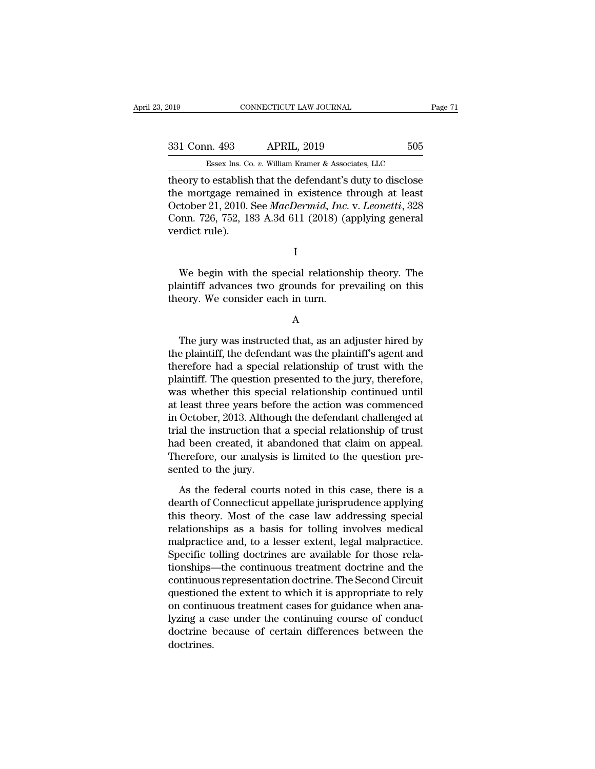| 019           | CONNECTICUT LAW JOURNAL                                   |     | Page 71 |
|---------------|-----------------------------------------------------------|-----|---------|
|               |                                                           |     |         |
| 331 Conn. 493 | <b>APRIL, 2019</b>                                        | 505 |         |
|               | Essex Ins. Co. v. William Kramer & Associates, LLC        |     |         |
|               | theory to establish that the defendant's duty to disclose |     |         |

theory to establish that the defendant's duty to disclose<br>the mortgage remained in existence through at least<br>October 21-2010. See *MacDermid, Inc. v. Leonatti* 328 331 Conn. 493 APRIL, 2019 505<br>
Essex Ins. Co. v. William Kramer & Associates, LLC<br>
theory to establish that the defendant's duty to disclose<br>
the mortgage remained in existence through at least<br>
October 21, 2010. See *Mac* 331 Conn. 493 APRIL, 2019 505<br>Essex Ins. Co. v. William Kramer & Associates, LLC<br>theory to establish that the defendant's duty to disclose<br>the mortgage remained in existence through at least<br>October 21, 2010. See *MacDermi* 331 Conn. 493 APRIL, 2019 505<br>
Essex Ins. Co. v. William Kramer & Associates, LLC<br>
theory to establish that the defendant's duty to disclose<br>
the mortgage remained in existence through at least<br>
October 21, 2010. See *MacD* Essex Ins. Co<br>theory to establish<br>the mortgage rem<br>October 21, 2010. S<br>Conn. 726, 752, 18<br>verdict rule). E mortgage remained in existence through at least<br>tober 21, 2010. See *MacDermid, Inc. v. Leonetti*, 328<br>pnn. 726, 752, 183 A.3d 611 (2018) (applying general<br>rdict rule).<br>I<br>We begin with the special relationship theory. Th

I

plantiff advances two grounds for prevailing on this theory. We consider each in turn.<br>
We begin with the special relationship theory. The plaintiff advances two grounds for prevailing on this theory. We consider each in t Conn. 726, 752, 185 A.5d 611 (2018) (a<br>verdict rule).<br>I<br>We begin with the special relations<br>plaintiff advances two grounds for pre<br>theory. We consider each in turn.<br>A We begin with the special relationship theory. The<br>aintiff advances two grounds for prevailing on this<br>eory. We consider each in turn.<br>A<br>The jury was instructed that, as an adjuster hired by<br>e plaintiff, the defendant was

A

We begin with the special relationship theory. The<br>plaintiff advances two grounds for prevailing on this<br>theory. We consider each in turn.<br>A<br>The jury was instructed that, as an adjuster hired by<br>the plaintiff, the defendan plaintiff advances two grounds for prevailing on this<br>theory. We consider each in turn.<br>A<br>The jury was instructed that, as an adjuster hired by<br>the plaintiff, the defendant was the plaintiff's agent and<br>therefore had a spe A<br>
The jury was instructed that, as an adjuster hired by<br>
the plaintiff, the defendant was the plaintiff's agent and<br>
therefore had a special relationship of trust with the<br>
plaintiff. The question presented to the jury, t A<br>
The jury was instructed that, as an adjuster hired by<br>
the plaintiff, the defendant was the plaintiff's agent and<br>
therefore had a special relationship of trust with the<br>
plaintiff. The question presented to the jury, t The jury was instructed that, as an adjuster hired by<br>the plaintiff, the defendant was the plaintiff's agent and<br>therefore had a special relationship of trust with the<br>plaintiff. The question presented to the jury, therefo The jury was instructed that, as an adjuster hired by<br>the plaintiff, the defendant was the plaintiff's agent and<br>therefore had a special relationship of trust with the<br>plaintiff. The question presented to the jury, therefo the plaintiff, the defendant was the plaintiff's agent and<br>therefore had a special relationship of trust with the<br>plaintiff. The question presented to the jury, therefore,<br>was whether this special relationship continued un therefore had a special relationship of trust with the plaintiff. The question presented to the jury, therefore, was whether this special relationship continued until at least three years before the action was commenced in plaintiff. The question presented to the jury, therefore, was whether this special relationship continued until at least three years before the action was commenced in October, 2013. Although the defendant challenged at tr was whether this speci<br>at least three years before<br>in October, 2013. Althou<br>trial the instruction tha<br>had been created, it ab<br>Therefore, our analysis<br>sented to the jury.<br>As the federal courts October, 2013. Although the defendant challenged at<br>al the instruction that a special relationship of trust<br>d been created, it abandoned that claim on appeal.<br>nerefore, our analysis is limited to the question pre-<br>nted to trial the instruction that a special relationship of trust<br>had been created, it abandoned that claim on appeal.<br>Therefore, our analysis is limited to the question pre-<br>sented to the jury.<br>As the federal courts noted in thi

had been created, it abandoned that claim on appeal.<br>Therefore, our analysis is limited to the question pre-<br>sented to the jury.<br>As the federal courts noted in this case, there is a<br>dearth of Connecticut appellate jurispru Therefore, our analysis is limited to the question pre-<br>sented to the jury.<br>As the federal courts noted in this case, there is a<br>dearth of Connecticut appellate jurisprudence applying<br>this theory. Most of the case law addr sented to the jury.<br>
As the federal courts noted in this case, there is a<br>
dearth of Connecticut appellate jurisprudence applying<br>
this theory. Most of the case law addressing special<br>
relationships as a basis for tolling As the federal courts noted in this case, there is a<br>dearth of Connecticut appellate jurisprudence applying<br>this theory. Most of the case law addressing special<br>relationships as a basis for tolling involves medical<br>malprac As the federal courts noted in this case, there is a<br>dearth of Connecticut appellate jurisprudence applying<br>this theory. Most of the case law addressing special<br>relationships as a basis for tolling involves medical<br>malprac dearth of Connecticut appellate jurisprudence applying<br>this theory. Most of the case law addressing special<br>relationships as a basis for tolling involves medical<br>malpractice and, to a lesser extent, legal malpractice.<br>Spec this theory. Most of the case law addressing special<br>relationships as a basis for tolling involves medical<br>malpractice and, to a lesser extent, legal malpractice.<br>Specific tolling doctrines are available for those rela-<br>ti relationships as a basis for tolling involves medical<br>malpractice and, to a lesser extent, legal malpractice.<br>Specific tolling doctrines are available for those rela-<br>tionships—the continuous treatment doctrine and the<br>con malpractice and, to a lesser extent, legal malpractice.<br>Specific tolling doctrines are available for those rela-<br>tionships—the continuous treatment doctrine and the<br>continuous representation doctrine. The Second Circuit<br>qu Specific tolling doctrines are available for those relationships—the continuous treatment doctrine and the continuous representation doctrine. The Second Circuit questioned the extent to which it is appropriate to rely on doctrines.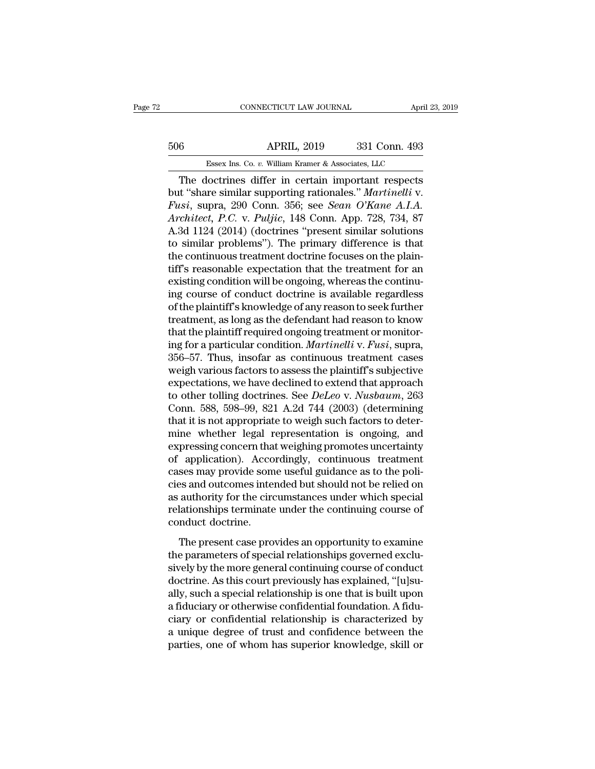## CONNECTICUT LAW JOURNAL April 23, 2019<br>506 APRIL, 2019 331 Conn. 493<br>Essex Ins. Co. v. William Kramer & Associates, LLC ESSEX Ins. Co. *v.* William Kramer & Associates, LLC<br>Resex Ins. Co. *v.* William Kramer & Associates, LLC<br>Contrines differ in certain important respects

CONNECTICUT LAW JOURNAL April 23, 2019<br>
6 APRIL, 2019 331 Conn. 493<br>
Essex Ins. Co. v. William Kramer & Associates, LLC<br>
The doctrines differ in certain important respects<br>
t. "share similar supporting rationales." *Marti* but the Seex Ins. Co. *v.* William Kramer & Associates, LLC<br>
The doctrines differ in certain important respects<br>
but "share similar supporting rationales." *Martinelli* v.<br>
Fusi, supra, 290 Conn. 356; see *Sean O'Kane A.I. Fusion APRIL, 2019* 331 Conn. 493<br> *Fusion Essex Ins. Co. v. William Kramer & Associates, LLC*<br> **Fusi**, supra, 290 Conn. 356; see *Sean O'Kane A.I.A.*<br> *Architect, P.C. v. Puljic, 148 Conn. App. 728, 734, 87*<br> *A 34 1124 APRIL*, 2019 331 Conn. 493<br> *Essex Ins. Co. v. William Kramer & Associates, LLC*<br> *The doctrines differ in certain important respects*<br>
but "share similar supporting rationales." *Martinelli v.*<br> *Fusi*, supra, 290 Conn. Essex Ins. Co. v. William Kramer & Associates, LLC<br>
The doctrines differ in certain important respects<br>
but "share similar supporting rationales." Martinelli v.<br>
Fusi, supra, 290 Conn. 356; see *Sean O'Kane A.I.A.*<br>
Archi ESSEX INS. Co. v. William Kramer & Associates, LLC<br>
The doctrines differ in certain important respects<br>
but "share similar supporting rationales." *Martinelli v.*<br> *Fusi*, supra, 290 Conn. 356; see *Sean O'Kane A.I.A.*<br> The doctrines differ in certain important respects<br>but "share similar supporting rationales." *Martinelli v.*<br>Fusi, supra, 290 Conn. 356; see *Sean O'Kane A.I.A.*<br>Architect, P.C. v. Puljic, 148 Conn. App. 728, 734, 87<br>A.3d but "share similar supporting rationales." *Martinelli v.*<br>Fusi, supra, 290 Conn. 356; see *Sean O'Kane A.I.A.*<br>Architect, P.C. v. Puljic, 148 Conn. App. 728, 734, 87<br>A.3d 1124 (2014) (doctrines "present similar solutions<br> Fusi, supra, 290 Conn. 356; see *Sean O'Kane A.I.A.*<br>Architect, P.C. v. Puljic, 148 Conn. App. 728, 734, 87<br>A.3d 1124 (2014) (doctrines "present similar solutions<br>to similar problems"). The primary difference is that<br>the c Architect, P.C. v. Puljic, 148 Conn. App. 728, 734, 87<br>A.3d 1124 (2014) (doctrines "present similar solutions<br>to similar problems"). The primary difference is that<br>the continuous treatment doctrine focuses on the plain-<br>ti A.3d 1124 (2014) (doctrines "present similar solutions<br>to similar problems"). The primary difference is that<br>the continuous treatment doctrine focuses on the plain-<br>tiff's reasonable expectation that the treatment for an<br>e to similar problems"). The primary difference is that<br>the continuous treatment doctrine focuses on the plain-<br>tiff's reasonable expectation that the treatment for an<br>existing condition will be ongoing, whereas the continu the continuous treatment doctrine focuses on the plaintiff's reasonable expectation that the treatment for an existing condition will be ongoing, whereas the continuing course of conduct doctrine is available regardless of tiff's reasonable expectation that the treatment for an existing condition will be ongoing, whereas the continuing course of conduct doctrine is available regardless of the plaintiff's knowledge of any reason to seek furth existing condition will be ongoing, whereas the continu-<br>ing course of conduct doctrine is available regardless<br>of the plaintiff's knowledge of any reason to seek further<br>treatment, as long as the defendant had reason to k ing course of conduct doctrine is available regardless<br>of the plaintiff's knowledge of any reason to seek further<br>treatment, as long as the defendant had reason to know<br>that the plaintiff required ongoing treatment or moni of the plaintiff's knowledge of any reason to seek further<br>treatment, as long as the defendant had reason to know<br>that the plaintiff required ongoing treatment or monitor-<br>ing for a particular condition. *Martinelli* v. treatment, as long as the defendant had reason to know<br>that the plaintiff required ongoing treatment or monitor-<br>ing for a particular condition. *Martinelli* v. *Fusi*, supra,<br>356–57. Thus, insofar as continuous treatment that the plaintiff required ongoing treatment or monitor-<br>ing for a particular condition. *Martinelli* v. *Fusi*, supra,<br>356–57. Thus, insofar as continuous treatment cases<br>weigh various factors to assess the plaintiff's s ing for a particular condition. *Martinelli* v. *Fusi*, supra, 356–57. Thus, insofar as continuous treatment cases<br>weigh various factors to assess the plaintiff's subjective<br>expectations, we have declined to extend that ap 356–57. Thus, insofar as continuous treatment cases<br>weigh various factors to assess the plaintiff's subjective<br>expectations, we have declined to extend that approach<br>to other tolling doctrines. See *DeLeo* v. *Nusbaum*, 2 weigh various factors to assess the plaintiff's subjective<br>expectations, we have declined to extend that approach<br>to other tolling doctrines. See *DeLeo* v. *Nusbaum*, 263<br>Conn. 588, 598–99, 821 A.2d 744 (2003) (determinin expectations, we have declined to extend that approach<br>to other tolling doctrines. See *DeLeo* v. *Nusbaum*, 263<br>Conn. 588, 598–99, 821 A.2d 744 (2003) (determining<br>that it is not appropriate to weigh such factors to deter to other tolling doctrines. See *DeLeo* v. *Nusbaum*, 263<br>Conn. 588, 598–99, 821 A.2d 744 (2003) (determining<br>that it is not appropriate to weigh such factors to deter-<br>mine whether legal representation is ongoing, and<br>exp Conn. 588, 598–99, 821 A.2d 744 (2003) (determining<br>that it is not appropriate to weigh such factors to deter-<br>mine whether legal representation is ongoing, and<br>expressing concern that weighing promotes uncertainty<br>of appl that it is not appropriate to weigh such factors to deter-<br>mine whether legal representation is ongoing, and<br>expressing concern that weighing promotes uncertainty<br>of application). Accordingly, continuous treatment<br>cases ma mine whether legal representation is ongoing, and<br>expressing concern that weighing promotes uncertainty<br>of application). Accordingly, continuous treatment<br>cases may provide some useful guidance as to the poli-<br>cies and out expressing concern tha<br>of application). Acco<br>cases may provide som<br>cies and outcomes inter<br>as authority for the circ<br>relationships terminate<br>conduct doctrine.<br>The present case pro Experiencely. The presentagely, contained as to the poli-<br>ses may provide some useful guidance as to the poli-<br>sand outcomes intended but should not be relied on<br>authority for the circumstances under which special<br>lationsh the parameters of special relationships terminate under the continuing course of conduct doctrine.<br>The present case provides an opportunity to examine the parameters of special relationships governed exclu-<br>sively by the m

sively and backness methated backness include the parallel relationships terminate under the continuing course of conduct doctrine.<br>The present case provides an opportunity to examine the parameters of special relationship doctrine.<br>
The present case provides an opportunity to examine<br>
the parameters of special relationships governed exclu-<br>
sively by the more general continuing course of conduct<br>
doctrine. As this court previously has expla Foldership conduct doctrine.<br>
The present case provides an opportunity to examine<br>
the parameters of special relationships governed exclu-<br>
sively by the more general continuing course of conduct<br>
doctrine. As this court p The present case provides an opportunity to examine<br>the parameters of special relationships governed exclu-<br>sively by the more general continuing course of conduct<br>doctrine. As this court previously has explained, "[u]su-<br> The present case provides an opportunity to examine<br>the parameters of special relationships governed exclu-<br>sively by the more general continuing course of conduct<br>doctrine. As this court previously has explained, "[u]su-<br> the parameters of special relationships governed exclusively by the more general continuing course of conduct<br>doctrine. As this court previously has explained, "[u]su-<br>ally, such a special relationship is one that is built sively by the more general continuing course of conduct<br>doctrine. As this court previously has explained, "[u]su-<br>ally, such a special relationship is one that is built upon<br>a fiduciary or otherwise confidential foundation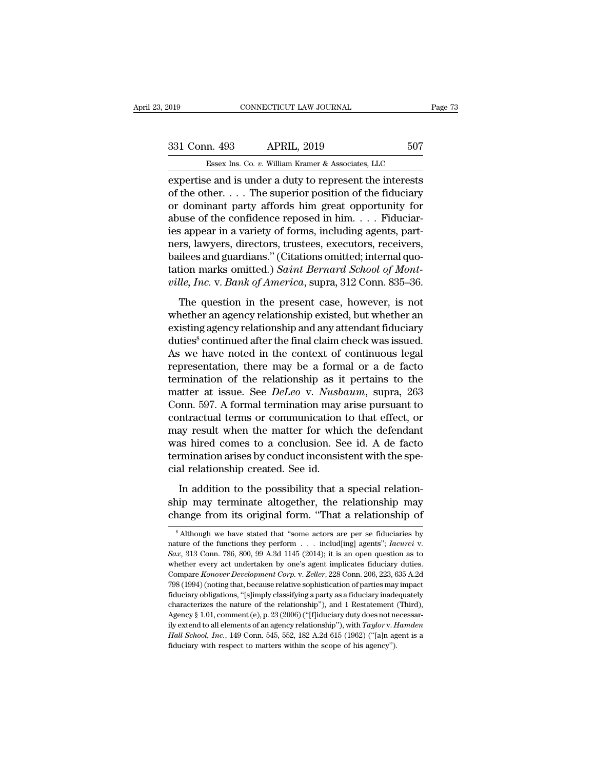expertise and is under a duty to represent the interests<br>of the other. . . . The superior position of the fiduciary<br>or dominant narty affords him areat apportunity for<br>an dominant narty affords him areat opportunity for 331 Conn. 493 APRIL, 2019 507<br>
Essex Ins. Co. v. William Kramer & Associates, LLC<br>
expertise and is under a duty to represent the interests<br>
of the other. . . . The superior position of the fiduciary<br>
or dominant party af 331 Conn. 493 APRIL, 2019 507<br>
Essex Ins. Co. v. William Kramer & Associates, LLC<br>
expertise and is under a duty to represent the interests<br>
of the other. . . . The superior position of the fiduciary<br>
or dominant party af 331 Conn. 493 APRIL, 2019 507<br>
Essex Ins. Co. v. William Kramer & Associates, LLC<br>
expertise and is under a duty to represent the interests<br>
of the other. . . . The superior position of the fiduciary<br>
or dominant party af Essex Ins. Co.  $v$ . William Kramer & Associates, LLC<br>expertise and is under a duty to represent the interests<br>of the other. . . . The superior position of the fiduciary<br>or dominant party affords him great opportunity for<br> ESSEX INS. Co. v. William Kramer & Associates, LLC<br>expertise and is under a duty to represent the interests<br>of the other.... The superior position of the fiduciary<br>or dominant party affords him great opportunity for<br>abuse expertise and is under a duty to represent the interests<br>of the other.... The superior position of the fiduciary<br>or dominant party affords him great opportunity for<br>abuse of the confidence reposed in him.... Fiduciar-<br>ies of the other. . . . The superior position of the fiduciary<br>or dominant party affords him great opportunity for<br>abuse of the confidence reposed in him. . . . Fiduciar-<br>ies appear in a variety of forms, including agents, par or dominant party affords him great opportunity for<br>abuse of the confidence reposed in him. . . . Fiduciar-<br>ies appear in a variety of forms, including agents, part-<br>ners, lawyers, directors, trustees, executors, receivers s appear in a variety of forms, including agents, part-<br>rs, lawyers, directors, trustees, executors, receivers,<br>ilees and guardians." (Citations omitted; internal quo-<br>tion marks omitted.) Saint Bernard School of Mont-<br>ll rest appear and variety of romal, meritaing agents, part<br>ners, lawyers, directors, trustees, executors, receivers,<br>bailees and guardians." (Citations omitted; internal quo-<br>tation marks omitted.) Saint Bernard School of Mo

existing and guardians." (Citations omitted; internal quotation marks omitted.) Saint Bernard School of Mont-<br>ville, Inc. v. Bank of America, supra, 312 Conn. 835–36.<br>The question in the present case, however, is not<br>wheth during the final claim of School of Mont-<br>tation marks omitted.) Saint Bernard School of Mont-<br>ville, Inc. v. Bank of America, supra, 312 Conn. 835–36.<br>The question in the present case, however, is not<br>whether an agency r As we have noted in the context of continuous legal The question in the present case, however, is not<br>whether an agency relationship existed, but whether an<br>existing agency relationship and any attendant fiduciary<br>duties<sup>8</sup> continued after the final claim check was issued. The question in the present case, however, is not<br>whether an agency relationship existed, but whether an<br>existing agency relationship and any attendant fiduciary<br>duties<sup>8</sup> continued after the final claim check was issued. whether an agency relationship existed, but whether an existing agency relationship and any attendant fiduciary duties<sup>8</sup> continued after the final claim check was issued. As we have noted in the context of continuous lega existing agency relationship and any attendant fiduciary<br>duties<sup>8</sup> continued after the final claim check was issued.<br>As we have noted in the context of continuous legal<br>representation, there may be a formal or a de facto<br>t duties<sup>8</sup> continued after the final claim check was issued.<br>As we have noted in the context of continuous legal<br>representation, there may be a formal or a de facto<br>termination of the relationship as it pertains to the<br>matt As we have noted in the context of continuous legal<br>representation, there may be a formal or a de facto<br>termination of the relationship as it pertains to the<br>matter at issue. See *DeLeo* v. *Nusbaum*, supra, 263<br>Conn. 597 representation, there may be a formal or a de facto<br>termination of the relationship as it pertains to the<br>matter at issue. See *DeLeo* v. *Nusbaum*, supra, 263<br>Conn. 597. A formal termination may arise pursuant to<br>contract termination of the relationship as it pertains to the<br>matter at issue. See *DeLeo* v. *Nusbaum*, supra, 263<br>Conn. 597. A formal termination may arise pursuant to<br>contractual terms or communication to that effect, or<br>may re matter at issue. See *DeLeo* v. *Nusb*<br>Conn. 597. A formal termination may<br>contractual terms or communication<br>may result when the matter for whic<br>was hired comes to a conclusion. Se<br>termination arises by conduct inconsis<br>c In a metallicians or communication to that effect, or<br>ay result when the matter for which the defendant<br>as hired comes to a conclusion. See id. A de facto<br>rmination arises by conduct inconsistent with the spe-<br>al relations may result when the matter for which the defendant<br>was hired comes to a conclusion. See id. A de facto<br>termination arises by conduct inconsistent with the spe-<br>cial relationship created. See id.<br>In addition to the possibil was hired comes to a conclusion. See id. A de facto<br>termination arises by conduct inconsistent with the spe-<br>cial relationship created. See id.<br>In addition to the possibility that a special relation-<br>ship may terminate alt

In addition to the possibility that a special relation-<br>ship may terminate altogether, the relationship may<br>change from its original form. "That a relationship of<br> $\overline{\phantom{a}}^s$  Although we have stated that "some actors ar

In addition to the possibility that a special relationship may change from its original form. "That a relationship of  $\overline{\phantom{a}}^8$  Although we have stated that "some actors are per se fiduciaries by nature of the functio **change from its original form. "That a relationship of**  $\overline{\phantom{a}}$  and  $\overline{\phantom{a}}$  and  $\overline{\phantom{a}}$  and  $\overline{\phantom{a}}$  and  $\overline{\phantom{a}}$  and  $\overline{\phantom{a}}$  and  $\overline{\phantom{a}}$  and  $\overline{\phantom{a}}$  and  $\overline{\phantom{a}}$  and  $\overline{\phantom{a}}$  and  $\overline$ Charige HOff its Original form. That a relationship of<br><sup>8</sup> Although we have stated that "some actors are per se fiduciaries by<br>mature of the functions they perform . . . includ[ing] agents"; *Iacurci* v.<br>*Sax*, 313 Conn. 7 <sup>8</sup> Although we have stated that "some actors are per se fiduciaries by nature of the functions they perform . . . includ[ing] agents"; *Iacurci* v. *Sax*, 313 Conn. 786, 800, 99 A.3d 1145 (2014); it is an open question a fiduciary obligations, "[s]imply classifying a party as a fiduciary independent of the functions they perform . . . includ[ing] agents"; *Iacurci* v. Sax, 313 Conn. 786, 800, 99 A.3d 1145 (2014); it is an open question as Exact, 313 Conn. 786, 800, 99 A.3d 1145 (2014); it is an open question as to whether every act undertaken by one's agent implicates fiduciary duties.<br>Compare *Konover Development Corp.* v. *Zeller*, 228 Conn. 206, 223, 63 whether every act undertaken by one's agent implicates fiduciary duties.<br>Compare *Konover Development Corp.* v. *Zeller*, 228 Conn. 206, 223, 635 A.2d<br>798 (1994) (noting that, because relative sophistication of parties ma Compare *Konover Development Corp.* v. *Zeller*, 228 Conn. 206, 223, 635 A.2d<br>798 (1994) (noting that, because relative sophistication of parties may impact<br>fiduciary obligations, "[s]imply classifying a party as a fiducia <sup>2</sup> *Hall School, Inc.*, 149 Conn. 545, 552, 182 A.2d 615 (1962) ("[a]n agent is a fiduciary obligations, "[s]imply classifying a party as a fiduciary inadequately characterizes the nature of the relationship"), and 1 Rest fiduciary obligations, "[s]imply classifying a party as a fiduciary inade characterizes the nature of the relationship"), and 1 Restatement Agency § 1.01, comment (e), p. 23 (2006) ("[f]iduciary duty does not nearly exten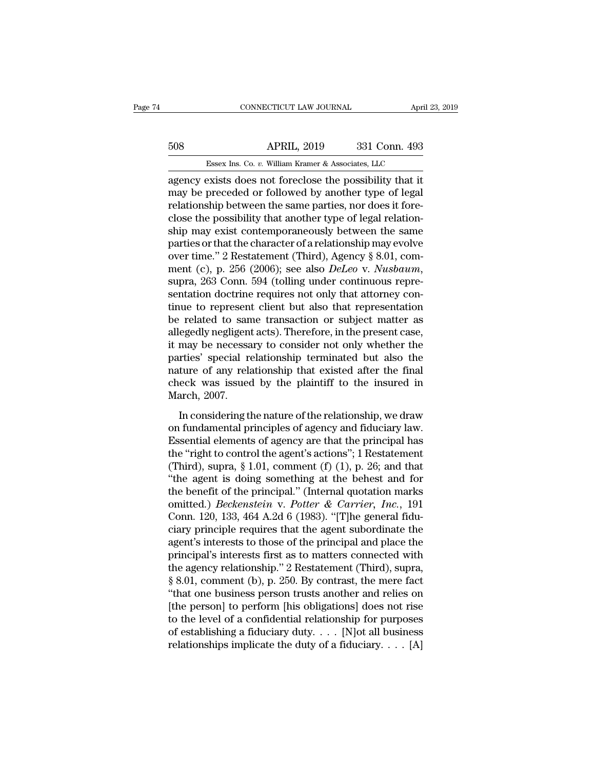# CONNECTICUT LAW JOURNAL April 23, 2019<br>508 APRIL, 2019 331 Conn. 493<br>Essex Ins. Co. v. William Kramer & Associates, LLC CONNECTICUT LAW JOURNAL April 3<br>APRIL, 2019 331 Conn. 493<br>Essex Ins. Co. *v.* William Kramer & Associates, LLC<br>exists does not foreclose the possibility that it

CONNECTICUT LAW JOURNAL April 23, 2019<br> **APRIL, 2019** 331 Conn. 493<br> **ESSEX INS. CO. v. William Kramer & Associates, LLC**<br> **Agency exists does not foreclose the possibility that it**<br>
may be preceded or followed by another 508 APRIL, 2019 331 Conn. 493<br>Essex Ins. Co. v. William Kramer & Associates, LLC<br>agency exists does not foreclose the possibility that it<br>may be preceded or followed by another type of legal<br>relationship between the same p For the same parties, nor does not foreclose the possibility that it may be preceded or followed by another type of legal relationship between the same parties, nor does it fore-<br>close the possibility that another type of 508 **ESSEX INC.** Co. v. William Kramer & Associates, LLC agency exists does not foreclose the possibility that it may be preceded or followed by another type of legal relationship between the same parties, nor does it for Essex Ins. Co. *v.* William Kramer & Associates, LLC<br>agency exists does not foreclose the possibility that it<br>may be preceded or followed by another type of legal<br>relationship between the same parties, nor does it fore-<br>c ESSEX INS. Co. *v.* William Kramer & Associates, LLC<br>agency exists does not foreclose the possibility that it<br>may be preceded or followed by another type of legal<br>relationship between the same parties, nor does it fore-<br>c agency exists does not foreclose the possibility that it<br>may be preceded or followed by another type of legal<br>relationship between the same parties, nor does it fore-<br>close the possibility that another type of legal relat may be preceded or followed by another type of legal<br>relationship between the same parties, nor does it fore-<br>close the possibility that another type of legal relation-<br>ship may exist contemporaneously between the same<br>par close the possibility that another type of legal relationship may exist contemporaneously between the same parties or that the character of a relationship may evolve over time." 2 Restatement (Third), Agency § 8.01, commen ship may exist contemporaneously between the same<br>parties or that the character of a relationship may evolve<br>over time." 2 Restatement (Third), Agency § 8.01, com-<br>ment (c), p. 256 (2006); see also *DeLeo* v. *Nusbaum*,<br>su parties or that the character of a relationship may evolve<br>over time." 2 Restatement (Third), Agency § 8.01, com-<br>ment (c), p. 256 (2006); see also *DeLeo* v. *Nusbaum*,<br>supra, 263 Conn. 594 (tolling under continuous repre over time." 2 Restatement (Third), Agency § 8.01, com-<br>ment (c), p. 256 (2006); see also *DeLeo* v. *Nusbaum*,<br>supra, 263 Conn. 594 (tolling under continuous repre-<br>sentation doctrine requires not only that attorney con-<br>t ment (c), p. 256 (2006); see also *DeLeo* v. *Nusbaum*,<br>supra, 263 Conn. 594 (tolling under continuous repre-<br>sentation doctrine requires not only that attorney con-<br>tinue to represent client but also that representation<br>b supra, 263 Conn. 594 (tolling under continuous representation doctrine requires not only that attorney continue to represent client but also that representation be related to same transaction or subject matter as allegedly sentation doctrine requires not only that attorney continue to represent client but also that representation<br>be related to same transaction or subject matter as<br>allegedly negligent acts). Therefore, in the present case,<br>it tinue to represent client but also that representation<br>be related to same transaction or subject matter as<br>allegedly negligent acts). Therefore, in the present case,<br>it may be necessary to consider not only whether the<br>par be related to san<br>allegedly negligent<br>it may be necessa<br>parties' special re<br>nature of any rela<br>check was issued<br>March, 2007.<br>In considering tl Egealy hegalgent acts). Therefore, in the present class,<br>
may be necessary to consider not only whether the<br>
rties' special relationship terminated but also the<br>
ture of any relationship that existed after the final<br>
eck w France is a may be recessary to consider not only wheater the<br>parties' special relationship terminated but also the<br>nature of any relationship that existed after the final<br>check was issued by the plaintiff to the insured i

paracs special relationship terminated such also are<br>nature of any relationship that existed after the final<br>check was issued by the plaintiff to the insured in<br>March, 2007.<br>In considering the nature of the relationship, the control to the plaintiff to the insured in<br>
March, 2007.<br>
In considering the nature of the relationship, we draw<br>
on fundamental principles of agency and fiduciary law.<br>
Essential elements of agency are that the princ March, 2007.<br>
In considering the nature of the relationship, we draw<br>
on fundamental principles of agency and fiduciary law.<br>
Essential elements of agency are that the principal has<br>
the "right to control the agent's acti In considering the nature of the relationship, we draw<br>on fundamental principles of agency and fiduciary law.<br>Essential elements of agency are that the principal has<br>the "right to control the agent's actions"; 1 Restateme In considering the nature of the relationship, we draw<br>on fundamental principles of agency and fiduciary law.<br>Essential elements of agency are that the principal has<br>the "right to control the agent's actions"; 1 Restateme on fundamental principles of agency and fiduciary law.<br>
Essential elements of agency are that the principal has<br>
the "right to control the agent's actions"; 1 Restatement<br>
(Third), supra, § 1.01, comment (f) (1), p. 26; an Essential elements of agency are that the principal has<br>the "right to control the agent's actions"; 1 Restatement<br>(Third), supra, § 1.01, comment (f) (1), p. 26; and that<br>"the agent is doing something at the behest and fo the "right to control the agent's actions"; 1 Restatement (Third), supra, § 1.01, comment (f) (1), p. 26; and that "the agent is doing something at the behest and for the benefit of the principal." (Internal quotation mar (Third), supra, § 1.01, comment (f) (1), p. 26; and that<br>
"the agent is doing something at the behest and for<br>
the benefit of the principal." (Internal quotation marks<br>
omitted.) *Beckenstein* v. *Potter & Carrier*, *Inc.* "the agent is doing something at the behest and for<br>the benefit of the principal." (Internal quotation marks<br>omitted.) *Beckenstein* v. *Potter & Carrier*, *Inc.*, 191<br>Conn. 120, 133, 464 A.2d 6 (1983). "[T]he general fid the benefit of the principal." (Internal quotation marks<br>
omitted.) *Beckenstein* v. *Potter* & *Carrier*, *Inc.*, 191<br>
Conn. 120, 133, 464 A.2d 6 (1983). "[T]he general fidu-<br>
ciary principle requires that the agent subo omitted.) *Beckenstein* v. *Potter* & *Carrier*, *Inc.*, 191<br>Conn. 120, 133, 464 A.2d 6 (1983). "[T]he general fidu-<br>ciary principle requires that the agent subordinate the<br>agent's interests to those of the principal and Conn. 120, 133, 464 A.2d 6 (1983). "[T]he general fiduciary principle requires that the agent subordinate the agent's interests to those of the principal and place the principal's interests first as to matters connected wi ciary principle requires that the agent subordinate the<br>agent's interests to those of the principal and place the<br>principal's interests first as to matters connected with<br>the agency relationship." 2 Restatement (Third), su agent's interests to those of the principal and place the<br>principal's interests first as to matters connected with<br>the agency relationship." 2 Restatement (Third), supra,<br>§ 8.01, comment (b), p. 250. By contrast, the mere principal's interests first as to matters connected with<br>the agency relationship." 2 Restatement (Third), supra,<br>§ 8.01, comment (b), p. 250. By contrast, the mere fact<br>"that one business person trusts another and relies the agency relationship." 2 Restatement (Third), supra, § 8.01, comment (b), p. 250. By contrast, the mere fact "that one business person trusts another and relies on [the person] to perform [his obligations] does not ris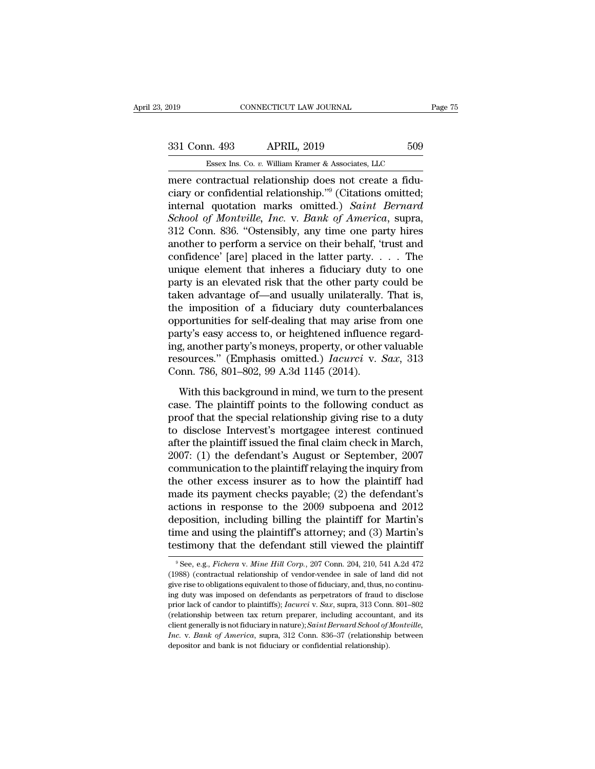CONNECTICUT LAW JOURNAL<br>
2019 609<br>
231 Conn. 493 APRIL, 2019 509<br>
25 Essex Ins. Co. v. William Kramer & Associates, LLC<br>
26 There contractual relationship does not create a fidu-<br>
2011 Citationship does not create a fidu-<br> 331 Conn. 493 APRIL, 2019 509<br>
Essex Ins. Co. v. William Kramer & Associates, LLC<br>
mere contractual relationship does not create a fidu-<br>
ciary or confidential relationship.<sup>79</sup> (Citations omitted;<br>
internal quotation mark 331 Conn. 493 APRIL, 2019 509<br>
<u>Essex Ins. Co. v. William Kramer & Associates, LLC</u><br>
mere contractual relationship does not create a fidu-<br>
ciary or confidential relationship."<sup>9</sup> (Citations omitted;<br>
internal quotation ma *School of Montville, Inc.* v. *Bank of America*, supra, Essex Ins. Co. v. William Kramer & Associates, LLC<br>
mere contractual relationship does not create a fidu-<br>
ciary or confidential relationship."<sup>9</sup> (Citations omitted;<br>
internal quotation marks omitted.) Saint Bernard<br>
Sch ESSEX INS. Co. *b.* William Kramer & Associates, LLC<br>
mere contractual relationship does not create a fidu-<br>
ciary or confidential relationship."<sup>9</sup> (Citations omitted;<br>
internal quotation marks omitted.) *Saint Bernard*<br> mere contractual relationship does not create a fiduciary or confidential relationship."<sup>9</sup> (Citations omitted; internal quotation marks omitted.) *Saint Bernard School of Montville, Inc.* v. *Bank of America*, supra, 312 ciary or confidential relationship."<sup>9</sup> (Citations omitted;<br>internal quotation marks omitted.) *Saint Bernard*<br>*School of Montville, Inc.* v. *Bank of America*, supra,<br>312 Conn. 836. "Ostensibly, any time one party hires<br> internal quotation marks omitted.) Saint Bernard<br>School of Montville, Inc. v. Bank of America, supra,<br>312 Conn. 836. "Ostensibly, any time one party hires<br>another to perform a service on their behalf, 'trust and<br>confidence School of Montville, Inc. v. Bank of America, supra,<br>312 Conn. 836. "Ostensibly, any time one party hires<br>another to perform a service on their behalf, 'trust and<br>confidence' [are] placed in the latter party. . . . . The<br> 312 Conn. 836. "Ostensibly, any time one party hires<br>another to perform a service on their behalf, 'trust and<br>confidence' [are] placed in the latter party. . . . The<br>unique element that inheres a fiduciary duty to one<br>par another to perform a service on their behalf, 'trust and<br>confidence' [are] placed in the latter party. . . . The<br>unique element that inheres a fiduciary duty to one<br>party is an elevated risk that the other party could be<br> confidence' [are] placed in the latter party. . . . The<br>unique element that inheres a fiduciary duty to one<br>party is an elevated risk that the other party could be<br>taken advantage of—and usually unilaterally. That is,<br>the unique element that inheres a fiduciary duty to one<br>party is an elevated risk that the other party could be<br>taken advantage of—and usually unilaterally. That is,<br>the imposition of a fiduciary duty counterbalances<br>opportun party is an elevated risk that the other party could be<br>taken advantage of—and usually unilaterally. That is,<br>the imposition of a fiduciary duty counterbalances<br>opportunities for self-dealing that may arise from one<br>party' taken advantage of—and usually unilaterally. That is,<br>the imposition of a fiduciary duty counterbalances<br>opportunities for self-dealing that may arise from one<br>party's easy access to, or heightened influence regard-<br>ing, portunities for self-dealing that may arise from one<br>rty's easy access to, or heightened influence regard-<br>g, another party's moneys, property, or other valuable<br>sources." (Emphasis omitted.) *Iacurci* v. *Sax*, 313<br>pnn. party's easy access to, or heightened influence regard-<br>ing, another party's moneys, property, or other valuable<br>resources." (Emphasis omitted.) *Iacurci* v. *Sax*, 313<br>Conn. 786, 801–802, 99 A.3d 1145 (2014).<br>With this b

proof that the party's moneys, property, or other valuable<br>resources." (Emphasis omitted.) *Iacurci* v. *Sax*, 313<br>Conn. 786, 801–802, 99 A.3d 1145 (2014).<br>With this background in mind, we turn to the present<br>case. The pl to disclose Intervest's monotoneurity and the presources." (Emphasis omitted.) *Iacurci* v. *Sax*, 313 Conn. 786, 801–802, 99 A.3d 1145 (2014).<br>With this background in mind, we turn to the present case. The plaintiff poin Form. 786, 801–802, 99 A.3d 1145 (2014).<br>
With this background in mind, we turn to the present<br>
case. The plaintiff points to the following conduct as<br>
proof that the special relationship giving rise to a duty<br>
to disclos 2011, 120, 2012, 2013, 2013, 2014, 2015).<br>
2011, 2012, 2013, 2014, 2015, 2016, 2017<br>
2018 case. The plaintiff points to the following conduct as<br>
proof that the special relationship giving rise to a duty<br>
to disclose Inter With this background in mind, we turn to the present<br>case. The plaintiff points to the following conduct as<br>proof that the special relationship giving rise to a duty<br>to disclose Intervest's mortgagee interest continued<br>aft case. The plaintiff points to the following conduct as<br>proof that the special relationship giving rise to a duty<br>to disclose Intervest's mortgagee interest continued<br>after the plaintiff issued the final claim check in Marc proof that the special relationship giving rise to a duty<br>to disclose Intervest's mortgagee interest continued<br>after the plaintiff issued the final claim check in March,<br>2007: (1) the defendant's August or September, 2007<br> to disclose Intervest's mortgagee interest continued<br>after the plaintiff issued the final claim check in March,<br>2007: (1) the defendant's August or September, 2007<br>communication to the plaintiff relaying the inquiry from<br> after the plaintiff issued the final claim check in March,<br>2007: (1) the defendant's August or September, 2007<br>communication to the plaintiff relaying the inquiry from<br>the other excess insurer as to how the plaintiff had<br>m 2007: (1) the defendant's August or September, 2007<br>communication to the plaintiff relaying the inquiry from<br>the other excess insurer as to how the plaintiff had<br>made its payment checks payable; (2) the defendant's<br>actions communication to the plaintiff relaying the inquiry from<br>the other excess insurer as to how the plaintiff had<br>made its payment checks payable; (2) the defendant's<br>actions in response to the 2009 subpoena and 2012<br>depositi eposition, including billing the plaintiff for Martin's<br>eposition, including billing the plaintiff for Martin's<br>me and using the plaintiff's attorney; and (3) Martin's<br>stimony that the defendant still viewed the plaintiff<br> deposition, including billing the plaintiff for Martin's time and using the plaintiff's attorney; and (3) Martin's testimony that the defendant still viewed the plaintiff  $\frac{9}{2}$  See, e.g., *Fichera v. Mine Hill Corp.*,

time and using the plaintiff's attorney; and (3) Martin's testimony that the defendant still viewed the plaintiff  $\degree$ See, e.g., *Fichera v. Mine Hill Corp.*, 207 Com. 204, 210, 541 A.2d 472 (1988) (contractual relationsh **Example 18 Following duty Constant III** viewed the plaintiff  ${}^9$  See, e.g., *Fichera v. Mine Hill Corp.*, 207 Conn. 204, 210, 541 A.2d 472 (1988) (contractual relationship of vendor-vendee in sale of land did not give <sup>9</sup> See, e.g., *Fichera v. Mine Hill Corp.*, 207 Conn. 204, 210, 541 A.2d 472 (1988) (contractual relationship of vendor-vendee in sale of land did not give rise to obligations equivalent to those of fiduciary, and, thus, <sup>9</sup> See, e.g., *Fichera v. Mine Hill Corp.*, 207 Conn. 204, 210, 541 A.2d 472 (1988) (contractual relationship of vendor-vendee in sale of land did not give rise to obligations equivalent to those of fiduciary, and, thus, client generally is not fiduciary in nature); *Saint Bernard School of Montville,*<br>(1988) (contractual relationship of vendor-vendee in sale of land did not<br>give rise to obligations equivalent to those of fiduciary, and, t *Inc. Inc. Inc. Inc. Inc. Inc. Inc. Bank of America*, *Bank of Billigations equivalent to those of fiduciary, and, thus, no continuing duty was imposed on defendants as perpetrators of fraud to disclose prior* ing duty was imposed on defendants as perpetrators of fraud to prior lack of candor to plaintiffs); *Iacurci* v. *Sax*, supra, 313 Conrectionship between tax return preparer, including accountant dient generally is not fi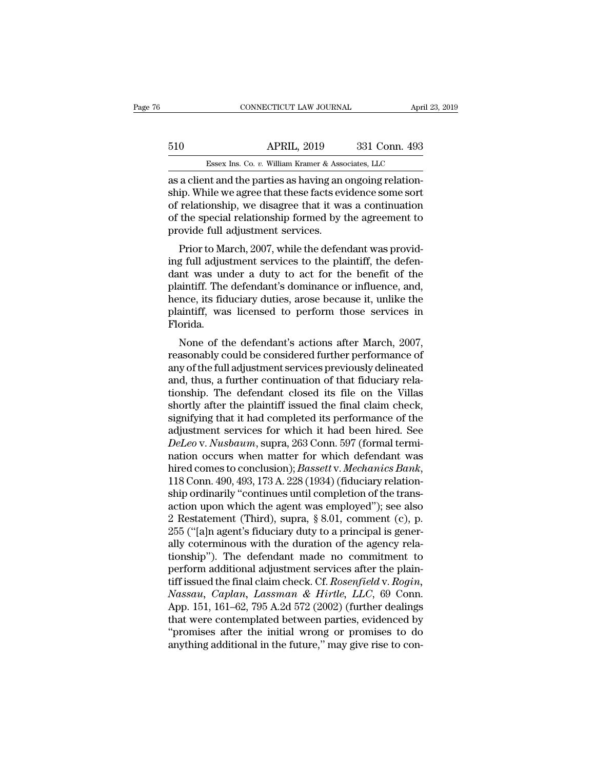# CONNECTICUT LAW JOURNAL April 23, 2019<br>510 APRIL, 2019 331 Conn. 493<br>Essex Ins. Co. v. William Kramer & Associates, LLC CONNECTICUT LAW JOURNAL April 3<br>APRIL, 2019 331 Conn. 493<br>Essex Ins. Co. *v.* William Kramer & Associates, LLC<br>nt and the parties as having an ongoing relation-

CONNECTICUT LAW JOURNAL Apr<br>
and the parties as a client and the parties as having an ongoing relation-<br>
as a client and the parties as having an ongoing relation-<br>
ship. While we agree that these facts evidence some sort<br> 510 APRIL, 2019 331 Conn. 493<br>Essex Ins. Co. v. William Kramer & Associates, LLC<br>as a client and the parties as having an ongoing relation-<br>ship. While we agree that these facts evidence some sort<br>of relationship, we disa 510 APRIL, 2019 331 Conn. 493<br>
Essex Ins. Co. v. William Kramer & Associates, LLC<br>
as a client and the parties as having an ongoing relation-<br>
ship. While we agree that these facts evidence some sort<br>
of relationship, we  $\frac{\text{APRIL, 2019}}{\text{Essex Ins. Co. } v. \text{ William Kramer & Associates, LLC}}$ <br>as a client and the parties as having an ongoing relationship. While we agree that these facts evidence some sort of relationship, we disagree that it was a continuation of the s Essex Ins. Co.  $v$ . William Kramer & Association and the parties as having an origin. While we agree that these facts every of relationship, we disagree that it was of the special relationship formed by the provide full a a client and the parties as having an ongoing relation-<br>ip. While we agree that these facts evidence some sort<br>relationship, we disagree that it was a continuation<br>the special relationship formed by the agreement to<br>ovide as a chent and the parties as naving an ongoing relation-<br>ship. While we agree that these facts evidence some sort<br>of relationship, we disagree that it was a continuation<br>of the special relationship formed by the agreement

sinp. while we agree that these facts evidence some soft<br>of relationship, we disagree that it was a continuation<br>of the special relationship formed by the agreement to<br>provide full adjustment services.<br>Prior to March, 2007 of the special relationship formed by the agreement to<br>provide full adjustment services.<br>Prior to March, 2007, while the defendant was provid-<br>ing full adjustment services to the plaintiff, the defen-<br>dant was under a duty of the special relationship formed by the agreement to<br>provide full adjustment services.<br>Prior to March, 2007, while the defendant was provid-<br>ing full adjustment services to the plaintiff, the defen-<br>dant was under a duty provide run adjustment services.<br>
Prior to March, 2007, while the defendant was provid-<br>
ing full adjustment services to the plaintiff, the defen-<br>
dant was under a duty to act for the benefit of the<br>
plaintiff. The defend Florida. g run adjustment services to the plantum, the defendant was under a duty to act for the benefit of the aintiff. The defendant's dominance or influence, and, nce, its fiduciary duties, arose because it, unlike the aintiff, Example 1 a day to act for the benefit of the<br>plaintiff. The defendant's dominance or influence, and,<br>hence, its fiduciary duties, arose because it, unlike the<br>plaintiff, was licensed to perform those services in<br>Florida.<br>

plantin. The defendant s'donfinance of influence, and,<br>hence, its fiduciary duties, arose because it, unlike the<br>plaintiff, was licensed to perform those services in<br>Florida.<br>None of the defendant's actions after March, 20 France, its nuclearly dutes, abse because it, unlike the plaintiff, was licensed to perform those services in Florida.<br>
None of the defendant's actions after March, 2007, reasonably could be considered further performance plantini, was incensed to perform those services in<br>Florida.<br>None of the defendant's actions after March, 2007,<br>reasonably could be considered further performance of<br>any of the full adjustment services previously delineate Fiorida.<br>None of the defendant's actions after March, 2007,<br>reasonably could be considered further performance of<br>any of the full adjustment services previously delineated<br>and, thus, a further continuation of that fiduciar None of the defendant's actions after March, 2007,<br>reasonably could be considered further performance of<br>any of the full adjustment services previously delineated<br>and, thus, a further continuation of that fiduciary rela-<br> reasonably could be considered further performance of<br>any of the full adjustment services previously delineated<br>and, thus, a further continuation of that fiduciary rela-<br>tionship. The defendant closed its file on the Villa any of the full adjustment services previously delineated<br>and, thus, a further continuation of that fiduciary rela-<br>tionship. The defendant closed its file on the Villas<br>shortly after the plaintiff issued the final claim c and, thus, a further continuation of that fiduciary rela-<br>tionship. The defendant closed its file on the Villas<br>shortly after the plaintiff issued the final claim check,<br>signifying that it had completed its performance of tionship. The defendant closed its file on the Villas<br>shortly after the plaintiff issued the final claim check,<br>signifying that it had completed its performance of the<br>adjustment services for which it had been hired. See<br> signifying that it had completed its performance of the adjustment services for which it had been hired. See *DeLeo* v. *Nusbaum*, supra, 263 Conn. 597 (formal termination occurs when matter for which defendant was hired adjustment services for which it had been hired. See<br>DeLeo v. Nusbaum, supra, 263 Conn. 597 (formal termi-<br>nation occurs when matter for which defendant was<br>hired comes to conclusion); Bassett v. Mechanics Bank,<br>118 Conn. DeLeo v. Nusbaum, supra, 263 Conn. 597 (formal termination occurs when matter for which defendant was<br>hired comes to conclusion); *Bassett* v. Mechanics Bank,<br>118 Conn. 490, 493, 173 A. 228 (1934) (fiduciary relation-<br>ship nation occurs when matter for which defendant was<br>hired comes to conclusion); *Bassett* v. Mechanics Bank,<br>118 Conn. 490, 493, 173 A. 228 (1934) (fiduciary relation-<br>ship ordinarily "continues until completion of the trans hired comes to conclusion); *Bassett* v. Mechanics Bank, 118 Conn. 490, 493, 173 A. 228 (1934) (fiduciary relationship ordinarily "continues until completion of the transaction upon which the agent was employed"); see also 118 Conn. 490, 493, 173 A. 228 (1934) (fiduciary relation-<br>ship ordinarily "continues until completion of the trans-<br>action upon which the agent was employed"); see also<br>2 Restatement (Third), supra, § 8.01, comment (c), ship ordinarily "continues until completion of the trans-<br>action upon which the agent was employed"); see also<br>2 Restatement (Third), supra, § 8.01, comment (c), p.<br>255 ("[a]n agent's fiduciary duty to a principal is gene action upon which the agent was employed"); see also<br>2 Restatement (Third), supra, § 8.01, comment (c), p.<br>255 ("[a]n agent's fiduciary duty to a principal is gener-<br>ally coterminous with the duration of the agency rela-<br>t 2 Restatement (Third), supra, § 8.01, comment (c), p.<br>255 ("[a]n agent's fiduciary duty to a principal is gener-<br>ally coterminous with the duration of the agency rela-<br>tionship"). The defendant made no commitment to<br>perfor 255 ("[a]n agent's fiduciary duty to a principal is generally coterminous with the duration of the agency relationship"). The defendant made no commitment to perform additional adjustment services after the plaintiff issue ally coterminous with the duration of the agency relationship"). The defendant made no commitment to<br>perform additional adjustment services after the plain-<br>tiff issued the final claim check. Cf. Rosenfield v. Rogin,<br>Nassa tionship"). The defendant made no commitment to<br>perform additional adjustment services after the plain-<br>tiff issued the final claim check. Cf. Rosenfield v. Rogin,<br>Nassau, Caplan, Lassman & Hirtle, LLC, 69 Conn.<br>App. 151, perform additional adjustment services after the plaintiff issued the final claim check. Cf. Rosenfield v. Rogin, Nassau, Caplan, Lassman & Hirtle, LLC, 69 Conn.<br>App. 151, 161–62, 795 A.2d 572 (2002) (further dealings that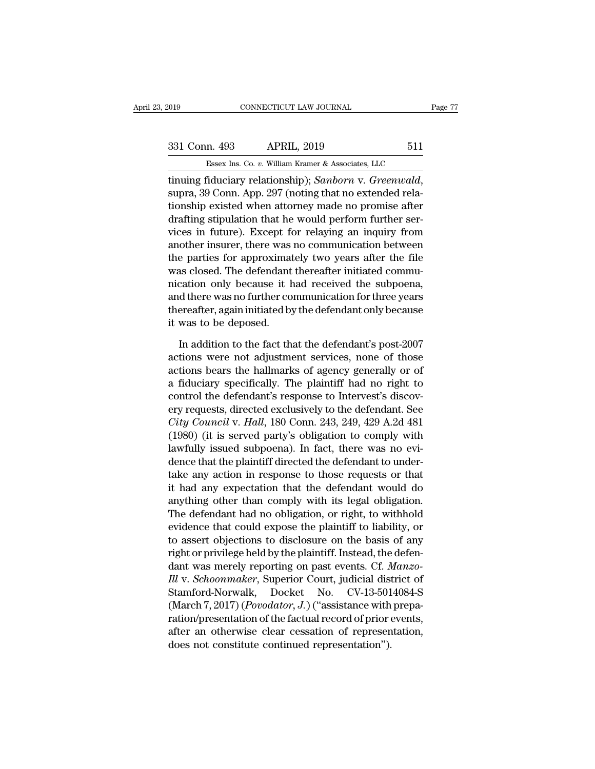| Page 77 |                         |      |
|---------|-------------------------|------|
|         | CONNECTICUT LAW JOURNAL | 2019 |

tinuing fiduciary relationship); *Sanborn* v. *Greenwald*, supra, 39 Conn. App. 297 (noting that no extended relationship existed when attorney made no promise after denting cinulation that ho would perform further series 331 Conn. 493 APRIL, 2019 511<br>
Essex Ins. Co. v. William Kramer & Associates, LLC<br>
tinuing fiduciary relationship); Sanborn v. Greenwald,<br>
supra, 39 Conn. App. 297 (noting that no extended rela-<br>
tionship existed when att  $\frac{331 \text{ Conn. } 493}{\text{Essex Ins. Co. } v. } \frac{\text{Alliam Kramer & Associates, LLC}}{\text{minuing fiduciary relationship}}; \frac{Sanborn v. *Greenwald*, \text{supra, 39 Conn. App. 297 (noting that no extended relationship existed when attorney made no promise after \text{draffing stipulation that he would perform further services in future). Except for relying an inquiry from \text{another insurance, there was no communication between the other image.}$ Essex Ins. Co.  $v$ . William Kramer & Associates, LLC<br>tinuing fiduciary relationship); Sanborn v. Greenwald,<br>supra, 39 Conn. App. 297 (noting that no extended rela-<br>tionship existed when attorney made no promise after<br>draf ESSEX IIS. Co. *b.* William Kramler & Associates, EEC<br>tinuing fiduciary relationship); Sanborn v. Greenwald,<br>supra, 39 Conn. App. 297 (noting that no extended rela-<br>tionship existed when attorney made no promise after<br>dra tinuing fiduciary relationship); *Sanborn* v. *Greenwald*,<br>supra, 39 Conn. App. 297 (noting that no extended rela-<br>tionship existed when attorney made no promise after<br>drafting stipulation that he would perform further ser supra, 39 Conn. App. 297 (noting that no extended relationship existed when attorney made no promise after drafting stipulation that he would perform further services in future). Except for relaying an inquiry from another tionship existed when attorney made no promise after<br>drafting stipulation that he would perform further ser-<br>vices in future). Except for relaying an inquiry from<br>another insurer, there was no communication between<br>the par drafting stipulation that he would perform further services in future). Except for relaying an inquiry from another insurer, there was no communication between the parties for approximately two years after the file was clo vices in future). Except for relaying an inquiry from<br>another insurer, there was no communication between<br>the parties for approximately two years after the file<br>was closed. The defendant thereafter initiated commu-<br>nicatio another insurer, there was<br>the parties for approximat<br>was closed. The defendant<br>nication only because it h<br>and there was no further co<br>thereafter, again initiated by<br>it was to be deposed.<br>In addition to the fact th: In a closed. The defendant thereafter initiated commu-<br>
Stration only because it had received the subpoena,<br>
d there was no further communication for three years<br>
ereafter, again initiated by the defendant only because<br>
wa mication only because it had received the subpoena,<br>and there was no further communication for three years<br>thereafter, again initiated by the defendant only because<br>it was to be deposed.<br>In addition to the fact that the de

and there was no further communication for three years<br>thereafter, again initiated by the defendant only because<br>it was to be deposed.<br>In addition to the fact that the defendant's post-2007<br>actions were not adjustment serv thereafter, again initiated by the defendant only because<br>it was to be deposed.<br>In addition to the fact that the defendant's post-2007<br>actions were not adjustment services, none of those<br>actions bears the hallmarks of agen it was to be deposed.<br>
In addition to the fact that the defendant's post-2007<br>
actions were not adjustment services, none of those<br>
actions bears the hallmarks of agency generally or of<br>
a fiduciary specifically. The plai In addition to the fact that the defendant's post-2007<br>actions were not adjustment services, none of those<br>actions bears the hallmarks of agency generally or of<br>a fiduciary specifically. The plaintiff had no right to<br>contr In addition to the fact that the defendant's post-2007<br>actions were not adjustment services, none of those<br>actions bears the hallmarks of agency generally or of<br>a fiduciary specifically. The plaintiff had no right to<br>contr actions were not adjustment services, none of those<br>actions bears the hallmarks of agency generally or of<br>a fiduciary specifically. The plaintiff had no right to<br>control the defendant's response to Intervest's discov-<br>ery actions bears the hallmarks of agency generally or of<br>a fiduciary specifically. The plaintiff had no right to<br>control the defendant's response to Intervest's discov-<br>ery requests, directed exclusively to the defendant. See a fiduciary specifically. The plaintiff had no right to<br>control the defendant's response to Intervest's discov-<br>ery requests, directed exclusively to the defendant. See<br>City Council v. Hall, 180 Conn. 243, 249, 429 A.2d 48 control the defendant's response to Intervest's discovery requests, directed exclusively to the defendant. See *City Council v. Hall*, 180 Conn. 243, 249, 429 A.2d 481 (1980) (it is served party's obligation to comply with ery requests, directed exclusively to the defendant. See<br>City Council v. Hall, 180 Conn. 243, 249, 429 A.2d 481<br>(1980) (it is served party's obligation to comply with<br>lawfully issued subpoena). In fact, there was no evi-<br>d City Council v. Hall, 180 Conn. 243, 249, 429 A.2d 481<br>(1980) (it is served party's obligation to comply with<br>lawfully issued subpoena). In fact, there was no evi-<br>dence that the plaintiff directed the defendant to under-<br> (1980) (it is served party's obligation to comply with<br>lawfully issued subpoena). In fact, there was no evi-<br>dence that the plaintiff directed the defendant to under-<br>take any action in response to those requests or that<br>i lawfully issued subpoena). In fact, there was no evidence that the plaintiff directed the defendant to undertake any action in response to those requests or that it had any expectation that the defendant would do anything dence that the plaintiff directed the defendant to under-<br>take any action in response to those requests or that<br>it had any expectation that the defendant would do<br>anything other than comply with its legal obligation.<br>The d take any action in response to those requests or that<br>it had any expectation that the defendant would do<br>anything other than comply with its legal obligation.<br>The defendant had no obligation, or right, to withhold<br>evidenc it had any expectation that the defendant would do<br>anything other than comply with its legal obligation.<br>The defendant had no obligation, or right, to withhold<br>evidence that could expose the plaintiff to liability, or<br>to a anything other than comply with its legal obligation.<br>The defendant had no obligation, or right, to withhold<br>evidence that could expose the plaintiff to liability, or<br>to assert objections to disclosure on the basis of any<br> The defendant had no obligation, or right, to withhold<br>evidence that could expose the plaintiff to liability, or<br>to assert objections to disclosure on the basis of any<br>right or privilege held by the plaintiff. Instead, the evidence that could expose the plaintiff to liability, or<br>to assert objections to disclosure on the basis of any<br>right or privilege held by the plaintiff. Instead, the defen-<br>dant was merely reporting on past events. Cf. to assert objections to disclosure on the basis of any<br>right or privilege held by the plaintiff. Instead, the defen-<br>dant was merely reporting on past events. Cf. *Manzo-<br>Ill v. Schoonmaker*, Superior Court, judicial dist right or privilege held by the plaintiff. Instead, the defendant was merely reporting on past events. Cf. *Manzo-<br>Ill v. Schoonmaker*, Superior Court, judicial district of<br>Stamford-Norwalk, Docket No. CV-13-5014084-S<br>(Marc dant was merely reporting on past events. Cf. *N*<br>*Ill v. Schoonmaker*, Superior Court, judicial dist<br>Stamford-Norwalk, Docket No. CV-13-501<br>(March 7, 2017) (*Povodator*, *J.*) ("assistance with<br>ration/presentation of the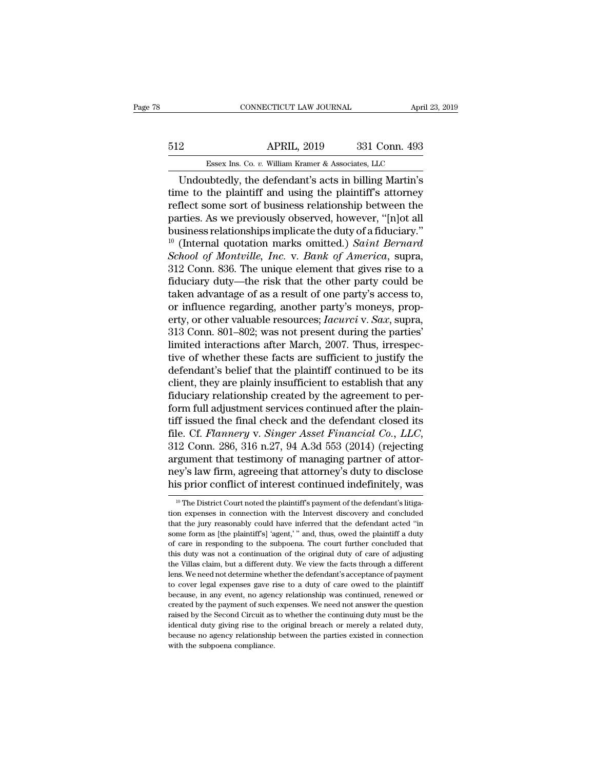# CONNECTICUT LAW JOURNAL April 23, 2019<br>512 APRIL, 2019 331 Conn. 493<br>Essex Ins. Co. v. William Kramer & Associates, LLC CONNECTICUT LAW JOURNAL April 3<br>APRIL, 2019 331 Conn. 493<br>Essex Ins. Co. *v.* William Kramer & Associates, LLC<br>ubtedly the defendant's acts in billing Martin's

CONNECTICUT LAW JOURNAL April 23, 2019<br>
2<br>
2<br>
APRIL, 2019 331 Conn. 493<br>
Essex Ins. Co. v. William Kramer & Associates, LLC<br>
Undoubtedly, the defendant's acts in billing Martin's<br>
ne to the plaintiff and using the plaintif the plaintiff and using the plaintiff's attorney and the plaintiff and using the plaintiff's attorney effect some sort of business relationship between the plaintiffs. As we previously observed bowever, "[plot all] For the distribution of the distribution of a state solution of the plaintiff sort of business relationship between the parties. As we previously observed, however, "[n]ot all business relationship between the parties. As For the Barnovick Co. *v.* William Kramer & Associates, LLC<br>
Undoubtedly, the defendant's acts in billing Martin's<br>
time to the plaintiff and using the plaintiff's attorney<br>
reflect some sort of business relationship betw Essex Ins. Co.  $v$ . William Kramer & Associates, LLC<br>
Undoubtedly, the defendant's acts in billing Martin's<br>
time to the plaintiff and using the plaintiff's attorney<br>
reflect some sort of business relationship between the Essex ins. Co. *v.* William Kramer & Associates, LLC<br>
Undoubtedly, the defendant's acts in billing Martin's<br>
time to the plaintiff and using the plaintiff's attorney<br>
reflect some sort of business relationship between the<br> Undoubtedly, the defendant's acts in billing Martin's<br>time to the plaintiff and using the plaintiff's attorney<br>reflect some sort of business relationship between the<br>parties. As we previously observed, however, "[n]ot all<br> time to the plaintiff and using the plaintiff's attorney<br>reflect some sort of business relationship between the<br>parties. As we previously observed, however, "[n]ot all<br>business relationships implicate the duty of a fiducia reflect some sort of business relationship between the<br>parties. As we previously observed, however, "[n]ot all<br>business relationships implicate the duty of a fiduciary."<br><sup>10</sup> (Internal quotation marks omitted.) *Saint Bern* parties. As we previously observed, however, "[n]ot all<br>business relationships implicate the duty of a fiduciary."<br> $^{10}$  (Internal quotation marks omitted.) *Saint Bernard*<br>*School of Montville, Inc.* v. *Bank of America* business relationships implicate the duty of a fiduciary."<br><sup>10</sup> (Internal quotation marks omitted.) *Saint Bernard*<br>*School of Montville, Inc.* v. *Bank of America*, supra,<br>312 Conn. 836. The unique element that gives ris <sup>10</sup> (Internal quotation marks omitted.) *Saint Bernard*<br>*School of Montville, Inc.* v. *Bank of America*, supra,<br>312 Conn. 836. The unique element that gives rise to a<br>fiduciary duty—the risk that the other party's access School of Montville, Inc. v. Bank of America, supra,<br>312 Conn. 836. The unique element that gives rise to a<br>fiduciary duty—the risk that the other party could be<br>taken advantage of as a result of one party's access to,<br>or 312 Conn. 836. The unique element that gives rise to a fiduciary duty—the risk that the other party could be taken advantage of as a result of one party's access to, or influence regarding, another party's moneys, propert fiduciary duty—the risk that the other party could be<br>taken advantage of as a result of one party's access to,<br>or influence regarding, another party's moneys, prop-<br>erty, or other valuable resources; *Iacurci* v. *Sax*, su taken advantage of as a result of one party's access to,<br>or influence regarding, another party's moneys, prop-<br>erty, or other valuable resources; *lacurci* v. *Sax*, supra,<br>313 Conn. 801–802; was not present during the pa or influence regarding, another party's moneys, property, or other valuable resources; *lacurci* v. *Sax*, supra, 313 Conn. 801–802; was not present during the parties' limited interactions after March, 2007. Thus, irrespe erty, or other valuable resources; *Iacurci* v. *Sax*, supra, 313 Conn. 801–802; was not present during the parties' limited interactions after March, 2007. Thus, irrespective of whether these facts are sufficient to justi 313 Conn. 801–802; was not present during the parties'<br>limited interactions after March, 2007. Thus, irrespec-<br>tive of whether these facts are sufficient to justify the<br>defendant's belief that the plaintiff continued to b limited interactions after March, 2007. Thus, irrespective of whether these facts are sufficient to justify the defendant's belief that the plaintiff continued to be its client, they are plainly insufficient to establish filter these facts are sufficient to justify the<br>defendant's belief that the plaintiff continued to be its<br>client, they are plainly insufficient to establish that any<br>fiduciary relationship created by the agreement to perclient, they are plainly insufficient to establish that any<br>fiduciary relationship created by the agreement to per-<br>form full adjustment services continued after the plain-<br>tiff issued the final check and the defendant clo fiduciary relationship created by the agreement to perform full adjustment services continued after the plaintiff issued the final check and the defendant closed its file. Cf. Flannery v. Singer Asset Financial Co., LLC, 3 form full adjustment services continued after the plain-<br>tiff issued the final check and the defendant closed its<br>file. Cf. Flannery v. Singer Asset Financial Co., LLC,<br>312 Conn. 286, 316 n.27, 94 A.3d 553 (2014) (rejecti 312 Conn. 286, 316 n.27, 94 A.3d 553 (2014) (rejecting argument that testimony of managing partner of attorney's law firm, agreeing that attorney's duty to disclose his prior conflict of interest continued indefinitely, w argument that testimony of managing partner of attorney's law firm, agreeing that attorney's duty to disclose<br>his prior conflict of interest continued indefinitely, was<br><sup>10</sup> The District Court noted the plaintiff's payment

ney's law firm, agreeing that attorney's duty to disclose<br>his prior conflict of interest continued indefinitely, was<br><sup>10</sup> The District Court noted the plaintiff's payment of the defendant's litiga-<br>tion expenses in connect This prior conflict of interest continued indefinitely, was  $\frac{1}{10}$  The District Court noted the plaintiff's payment of the defendant's litigation expenses in connection with the Intervest discovery and concluded that The District Correct of Interest Continued Indefinitely, was<br>
<sup>10</sup> The District Court noted the plaintiff's payment of the defendant's litiga-<br>
tion expenses in connection with the Intervest discovery and concluded<br>
that <sup>10</sup> The District Court noted the plaintiff's payment of the defendant's litigation expenses in connection with the Intervest discovery and concluded that the jury reasonably could have inferred that the defendant acted " the Villas claim, but a different duty. We view the factor of payment of that the jury reasonably could have inferred that the defendant acted "in some form as [the plaintiff's] 'agent,' " and, thus, owed the plaintiff a d that the jury reasonably could have inferred that the defendant acted "in some form as [the plaintiff's] 'agent,' " and, thus, owed the plaintiff a duty of care in responding to the subpoena. The court further concluded th show from as [the plaintiff's] 'agent,' " and, thus, owed the plaintiff a duty of care in responding to the subpoena. The court further concluded that this duty was not a continuation of the original duty of care of adjust because, in any event, no agency relationship was continued or created by the subpoena. The court further concluded that this duty was not a continuation of the original duty of care of adjusting the Villas claim, but a di created by the Second Circuit as to whether the continuing duty must be the Villas claim, but a different duty. We view the facts through a different lens. We need not determine whether the defendant's acceptance of paymen rate Willas claim, but a different duty. We view the facts through a different lens. We need not determine whether the defendant's acceptance of payment to cover legal expenses gave rise to a duty of care owed to the plain identical duty are determine whether the defendant's acceptance of payment<br>to cover legal expenses gave rise to a duty of care owed to the plaintiff<br>because, in any event, no agency relationship was continued, renewed or<br>c because, in any event, no agency relationship was continued, renewed or created by the payment of such expenses. We need not answer the question created by the payment of such expenses. We need not answer the question rais because, in any event, no agen<br>created by the payment of such<br>raised by the Second Circuit as<br>identical duty giving rise to the<br>because no agency relationship<br>with the subpoena compliance.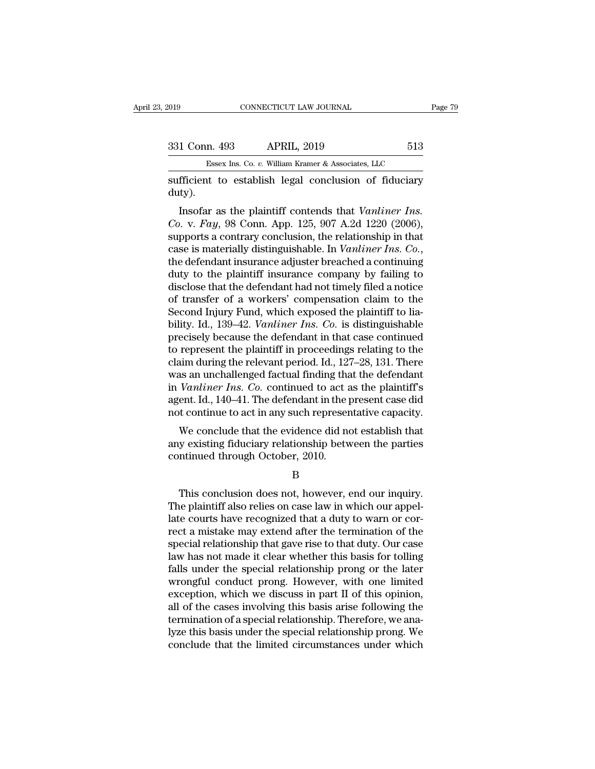| 019           | CONNECTICUT LAW JOURNAL                               |     | Page 79 |
|---------------|-------------------------------------------------------|-----|---------|
|               |                                                       |     |         |
| 331 Conn. 493 | <b>APRIL, 2019</b>                                    | 513 |         |
|               | Essex Ins. Co. v. William Kramer & Associates, LLC    |     |         |
|               | sufficient to establish legal conclusion of fiduciary |     |         |

sufficient to establish legal conclusion of fiduciary<br>
that to establish legal conclusion of fiduciary<br>
that to establish legal conclusion of fiduciary<br>
duty). duty).

1 Conn. 493 APRIL, 2019 513<br>
Essex Ins. Co. *v.* William Kramer & Associates, LLC<br>
fficient to establish legal conclusion of fiduciary<br>
tty).<br>
Insofar as the plaintiff contends that *Vanliner Ins.*<br>
p. *v. Fay*, 98 Conn. A <sup>231</sup> Conn. 493 APRIL, 2019 513<br> *Essex Ins. Co. v. William Kramer & Associates, LLC*<br>
sufficient to establish legal conclusion of fiduciary<br>
duty).<br>
Insofar as the plaintiff contends that *Vanliner Ins.*<br> *Co.* v. *Fay*, Essex Ins. Co. v. William Kramer & Associates, LLC<br>
sufficient to establish legal conclusion of fiduciary<br>
duty).<br>
Insofar as the plaintiff contends that *Vanliner Ins.*<br>
Co. v. *Fay*, 98 Conn. App. 125, 907 A.2d 1220 (20 sufficient to establish legal conclusion of fiduciary<br>duty).<br>Insofar as the plaintiff contends that *Vanliner Ins.*<br>Co. v. *Fay*, 98 Conn. App. 125, 907 A.2d 1220 (2006),<br>supports a contrary conclusion, the relationship in duty).<br>
Insofar as the plaintiff contends that *Vanliner Ins.*<br>
Co. v. Fay, 98 Conn. App. 125, 907 A.2d 1220 (2006),<br>
supports a contrary conclusion, the relationship in that<br>
case is materially distinguishable. In *Vanlin* Insofar as the plaintiff contends that *Vanliner Ins.*<br>Co. v. Fay, 98 Conn. App. 125, 907 A.2d 1220 (2006),<br>supports a contrary conclusion, the relationship in that<br>case is materially distinguishable. In *Vanliner Ins.* Co Co. v. Fay, 98 Conn. App. 125, 907 A.2d 1220 (2006),<br>supports a contrary conclusion, the relationship in that<br>case is materially distinguishable. In *Vanliner Ins. Co.*,<br>the defendant insurance adjuster breached a continu supports a contrary conclusion, the relationship in that<br>case is materially distinguishable. In *Vanliner Ins. Co.*,<br>the defendant insurance adjuster breached a continuing<br>duty to the plaintiff insurance company by failing case is materially distinguishable. In *Vanliner Ins. Co.*, the defendant insurance adjuster breached a continuing duty to the plaintiff insurance company by failing to disclose that the defendant had not timely filed a no the defendant insurance adjuster breached a continuing<br>duty to the plaintiff insurance company by failing to<br>disclose that the defendant had not timely filed a notice<br>of transfer of a workers' compensation claim to the<br>Sec duty to the plaintiff insurance company by failing to disclose that the defendant had not timely filed a notice of transfer of a workers' compensation claim to the Second Injury Fund, which exposed the plaintiff to liabili disclose that the defendant had not timely filed a notice<br>of transfer of a workers' compensation claim to the<br>Second Injury Fund, which exposed the plaintiff to lia-<br>bility. Id., 139–42. *Vanliner Ins. Co.* is distinguisha of transfer of a workers' compensation claim to the<br>Second Injury Fund, which exposed the plaintiff to lia-<br>bility. Id., 139–42. *Vanliner Ins. Co.* is distinguishable<br>precisely because the defendant in that case continued Second Injury Fund, which exposed the plaintiff to liability. Id., 139–42. *Vanliner Ins. Co.* is distinguishable precisely because the defendant in that case continued to represent the plaintiff in proceedings relating to bility. Id., 139–42. *Vanliner Ins. Co.* is distinguishable<br>precisely because the defendant in that case continued<br>to represent the plaintiff in proceedings relating to the<br>claim during the relevant period. Id., 127–28, 13 precisely because the defendant in that case continued<br>to represent the plaintiff in proceedings relating to the<br>claim during the relevant period. Id., 127–28, 131. There<br>was an unchallenged factual finding that the defend represent the plantiful in proceedings relating to the<br>aim during the relevant period. Id., 127–28, 131. There<br>as an unchallenged factual finding that the defendant<br>Vanliner Ins. Co. continued to act as the plaintiff's<br>ent claim during the relevant period. Id., 127–26, 151. There<br>was an unchallenged factual finding that the defendant<br>in *Vanliner Ins. Co.* continued to act as the plaintiff's<br>agent. Id., 140–41. The defendant in the present was an unchanning tractuar intuity in<br>in *Vanliner Ins. Co.* continued to act a<br>agent. Id., 140–41. The defendant in the p<br>not continue to act in any such represer<br>We conclude that the evidence did no<br>any existing fiduciar

Me conclude that the evidence did not establish that<br>y existing fiduciary relationship between the parties<br>intinued through October, 2010.<br>B<br>This conclusion does not, however, end our inquiry.<br>ne plaintiff also relies on c

B

We conclude that the evidence did not establish that<br>any existing fiduciary relationship between the parties<br>continued through October, 2010.<br>B<br>This conclusion does not, however, end our inquiry.<br>The plaintiff also relies any existing fiduciary relationship between the parties<br>
continued through October, 2010.<br>
B<br>
This conclusion does not, however, end our inquiry.<br>
The plaintiff also relies on case law in which our appel-<br>
late courts have continued through October, 2010.<br>
B<br>
This conclusion does not, however, end our inquiry.<br>
The plaintiff also relies on case law in which our appel-<br>
late courts have recognized that a duty to warn or cor-<br>
rect a mistake m B<br>This conclusion does not, however, end our inquiry.<br>The plaintiff also relies on case law in which our appel-<br>late courts have recognized that a duty to warn or cor-<br>rect a mistake may extend after the termination of the This conclusion does not, however, end our inquiry.<br>The plaintiff also relies on case law in which our appel-<br>late courts have recognized that a duty to warn or cor-<br>rect a mistake may extend after the termination of the<br>s This conclusion does not, however, end our inquiry.<br>The plaintiff also relies on case law in which our appel-<br>late courts have recognized that a duty to warn or cor-<br>rect a mistake may extend after the termination of the<br>s The plaintiff also relies on case law in which our appellate courts have recognized that a duty to warn or correct a mistake may extend after the termination of the special relationship that gave rise to that duty. Our cas late courts have recognized that a duty to warn or correct a mistake may extend after the termination of the special relationship that gave rise to that duty. Our case law has not made it clear whether this basis for tolli rect a mistake may extend after the termination of the<br>special relationship that gave rise to that duty. Our case<br>law has not made it clear whether this basis for tolling<br>falls under the special relationship prong or the l special relationship that gave rise to that duty. Our case<br>law has not made it clear whether this basis for tolling<br>falls under the special relationship prong or the later<br>wrongful conduct prong. However, with one limited<br> law has not made it clear whether this basis for tolling<br>falls under the special relationship prong or the later<br>wrongful conduct prong. However, with one limited<br>exception, which we discuss in part II of this opinion,<br>all falls under the special relationship prong or the later<br>wrongful conduct prong. However, with one limited<br>exception, which we discuss in part II of this opinion,<br>all of the cases involving this basis arise following the<br>te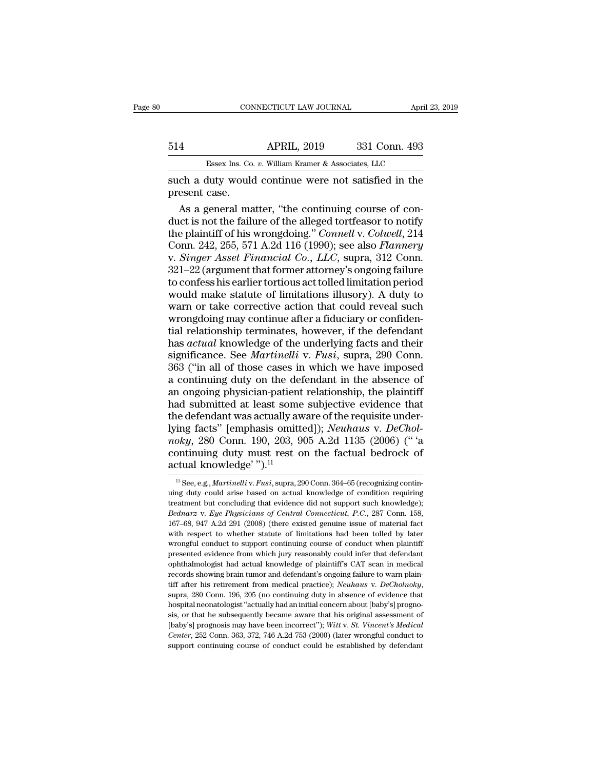# CONNECTICUT LAW JOURNAL April 23, 2019<br>514 APRIL, 2019 331 Conn. 493<br>Essex Ins. Co. v. William Kramer & Associates, LLC CONNECTICUT LAW JOURNAL April 3<br>APRIL, 2019 331 Conn. 493<br>Essex Ins. Co. *v.* William Kramer & Associates, LLC<br>duty would continue were not satisfied in the

Samme Connecticut LAW JOURNAL (1993, 2019)<br>
Sid (1994)<br>
APRIL, 2019 331 Conn. 493<br>
Side (1994)<br>
Essex Ins. Co. v. William Kramer & Associates, LLC<br>
Such a duty would continue were not satisfied in the present case. 514<br>Essex Ins. Co.<br>Such a duty would<br>present case.<br>As a general ma

**APRIL, 2019** 331 Conn. 493<br>
Essex Ins. Co. v. William Kramer & Associates, LLC<br>
ch a duty would continue were not satisfied in the<br>
esent case.<br>
As a general matter, "the continuing course of con-<br>
a plaintiff of his wro Essex Ins. Co. v. William Kramer & Associates, LLC<br>
such a duty would continue were not satisfied in the<br>
present case.<br>
As a general matter, "the continuing course of con-<br>
duct is not the failure of the alleged tortfeas Essex Ins. Co. *v.* William Kramer & Associates, LLC<br>
such a duty would continue were not satisfied in the<br>
present case.<br>
As a general matter, "the continuing course of con-<br>
duct is not the failure of the alleged tortfea ESSEE A.S. C.C. *R. WHARRET Q ESSEERARS, EXC.*<br>
Such a duty would continue were not satisfied in the<br>
present case.<br>
As a general matter, "the continuing course of con-<br>
duct is not the failure of the alleged tortfeasor to such a duty would continue were not satisfied in the<br>present case.<br>As a general matter, "the continuing course of con-<br>duct is not the failure of the alleged tortfeasor to notify<br>the plaintiff of his wrongdoing." *Connell* present case.<br>
As a general matter, "the continuing course of con-<br>
duct is not the failure of the alleged tortfeasor to notify<br>
the plaintiff of his wrongdoing." *Connell* v. *Colwell*, 214<br>
Conn. 242, 255, 571 A.2d 116 ( As a general matter, "the continuing course of conduct is not the failure of the alleged tortfeasor to notify<br>the plaintiff of his wrongdoing." *Connell v. Colwell*, 214<br>Conn. 242, 255, 571 A.2d 116 (1990); see also *Flann* duct is not the failure of the alleged tortfeasor to notify<br>the plaintiff of his wrongdoing." *Connell v. Colwell*, 214<br>Conn. 242, 255, 571 A.2d 116 (1990); see also *Flannery*<br>v. *Singer Asset Financial Co., LLC*, supra, the plaintiff of his wrongdoing." *Connell v. Colwell*, 214<br>Conn. 242, 255, 571 A.2d 116 (1990); see also *Flannery*<br>v. *Singer Asset Financial Co., LLC*, supra, 312 Conn.<br>321–22 (argument that former attorney's ongoing fa Conn. 242, 255, 571 A.2d 116 (1990); see also *Flannery*<br>v. *Singer Asset Financial Co., LLC*, supra, 312 Conn.<br>321–22 (argument that former attorney's ongoing failure<br>to confess his earlier tortious act tolled limitation v. *Singer Asset Financial Co., LLC,* supra, 312 Conn.<br>321–22 (argument that former attorney's ongoing failure<br>to confess his earlier tortious act tolled limitation period<br>would make statute of limitations illusory). A du 321–22 (argument that former attorney's ongoing failure<br>to confess his earlier tortious act tolled limitation period<br>would make statute of limitations illusory). A duty to<br>warn or take corrective action that could reveal s to confess his earlier tortious act tolled limitation period<br>would make statute of limitations illusory). A duty to<br>warn or take corrective action that could reveal such<br>wrongdoing may continue after a fiduciary or confide would make statute of limitations illusory). A duty to<br>warn or take corrective action that could reveal such<br>wrongdoing may continue after a fiduciary or confiden-<br>tial relationship terminates, however, if the defendant<br>ha warn or take corrective action that could reveal such<br>wrongdoing may continue after a fiduciary or confiden-<br>tial relationship terminates, however, if the defendant<br>has *actual* knowledge of the underlying facts and their<br> wrongdoing may continue after a fiduciary or confidential relationship terminates, however, if the defendant has *actual* knowledge of the underlying facts and their significance. See *Martinelli* v. *Fusi*, supra, 290 Con tial relationship terminates, however, if the defendant<br>has *actual* knowledge of the underlying facts and their<br>significance. See *Martinelli* v. *Fusi*, supra, 290 Conn.<br>363 ("in all of those cases in which we have impo has *actual* knowledge of the underlying facts and their<br>significance. See *Martinelli* v. *Fusi*, supra, 290 Conn.<br>363 ("in all of those cases in which we have imposed<br>a continuing duty on the defendant in the absence of significance. See *Martinelli* v. *Fusi*, supra, 290 Conn.<br>363 ("in all of those cases in which we have imposed<br>a continuing duty on the defendant in the absence of<br>an ongoing physician-patient relationship, the plaintiff<br> 363 ("in all of those cases in which we have imposed<br>a continuing duty on the defendant in the absence of<br>an ongoing physician-patient relationship, the plaintiff<br>had submitted at least some subjective evidence that<br>the de a continuing duty on the defendant in the absence of<br>an ongoing physician-patient relationship, the plaintiff<br>had submitted at least some subjective evidence that<br>the defendant was actually aware of the requisite under-<br>l an ongoing physician-patient<br>had submitted at least some<br>the defendant was actually av<br>lying facts" [emphasis omitt<br>*noky*, 280 Conn. 190, 203, 9<br>continuing duty must rest c<br>actual knowledge' ").<sup>11</sup> ing facts" [emphasis omitted]); *Neuhaus* v. *DeChol-*<br>oky, 280 Conn. 190, 203, 905 A.2d 1135 (2006) ("'a<br>ontinuing duty must rest on the factual bedrock of<br>tual knowledge'").<sup>11</sup><br><sup>11</sup> See, e.g., *Martinelli* v. *Fusi*, su moky, 280 Conn. 190, 203, 905 A.2d 1135 (2006) ("'a continuing duty must rest on the factual bedrock of actual knowledge'").<sup>11</sup><br> $\frac{1}{1}$  See, e.g., *Martinelliv. Fusi*, supra, 290 Conn. 364–65 (recognizing continuing du

continuing duty must rest on the factual bedrock of<br>actual knowledge'").<sup>11</sup><br> $^{\text{II}}$  See, e.g., *Martinelli* v. *Fusi*, supra, 290 Conn. 364–65 (recognizing continuing duty could arise based on actual knowledge of condit **Example 19.1**<br> **Begine 11.1**<br> **Begine 11.1**<br> **Begine 12.1**<br> **Begine 12.1**<br> **Bednarz** v. *Eye Physicians of Central Connecticut, P.C.*, 287 Conn. 158,<br> *Bednarz* v. *Eye Physicians of Central Connecticut, P.C.*, 287 Conn. **EXECUTE ATTOWTEGGE**<br>
<sup>11</sup> See, e.g., *Martinelliv. Fusi*, supra, 290 Conn. 364–65 (recognizing continuing duty could arise based on actual knowledge of condition requiring treatment but concluding that evidence did not s <sup>11</sup> See, e.g., *Martinelliv. Fusi*, supra, 290 Conn. 364–65 (recognizing continuing duty could arise based on actual knowledge of condition requiring treatment but concluding that evidence did not support such knowledge) uing duty could arise based on actual knowledge of condition requiring<br>treatment but concluding that evidence did not support such knowledge);<br>Bednarz v. Eye Physicians of Central Connecticut, P.C., 287 Conn. 158,<br>167–68, treatment but concluding that evidence did not support such knowledge);<br>Bednarz v. Eye Physicians of Central Connecticut, P.C., 287 Conn. 158,<br>167–68, 947 A.2d 291 (2008) (there existed genuine issue of material fact<br>with *Bednarz v. Eye Physicians of Central Connecticut, P.C.*, 287 Conn. 158, 167–68, 947 A.2d 291 (2008) (there existed genuine issue of material fact with respect to whether statute of limitations had been tolled by later wro 167–68, 947 A.2d 291 (2008) (there existed genuine issue of material fact with respect to whether statute of limitations had been tolled by later wrongful conduct to support continuing course of conduct when plaintiff pre tiff after his retirement from medical practice); *Alter* and the properties of conduct when plaintiff presented evidence from which jury reasonably could infer that defendant ophthalmologist had actual knowledge of plaint mented evidence from which jury reasonably could infer that defendant<br>ophthalmologist had actual knowledge of plaintiff's CAT scan in medical<br>records showing brain tumor and defendant's ongoing failure to warn plain-<br>tiff probability and actual knowledge of plaintiff's CAT scan in medical precords showing brain tumor and defendant's ongoing failure to warn plaintiff after his retirement from medical practice); *Neuhaus v. DeCholnoky*, supra records showing brain tumor and defendant's ongoing failure to warn plain-<br>records showing brain tumor and defendant's ongoing failure to warn plain-<br>tiff after his retirement from medical practice); *Neuhaus v. DeCholnoky* **CERT TO THE TERROOT THEOTES THEOTES THEOTES IN THE THEOTES IN SUPPRED 250 CONNUMBUT AS 205 (no continuing duty in absence of evidence that hospital neonatologist "actually had an initial concern about [baby's] prognosis,** supra, 280 Conn. 196, 205 (no continuing duty in absence of evidence that<br>hospital neonatologist "actually had an initial concern about [baby's] progno-<br>sis, or that he subsequently became aware that his original assessme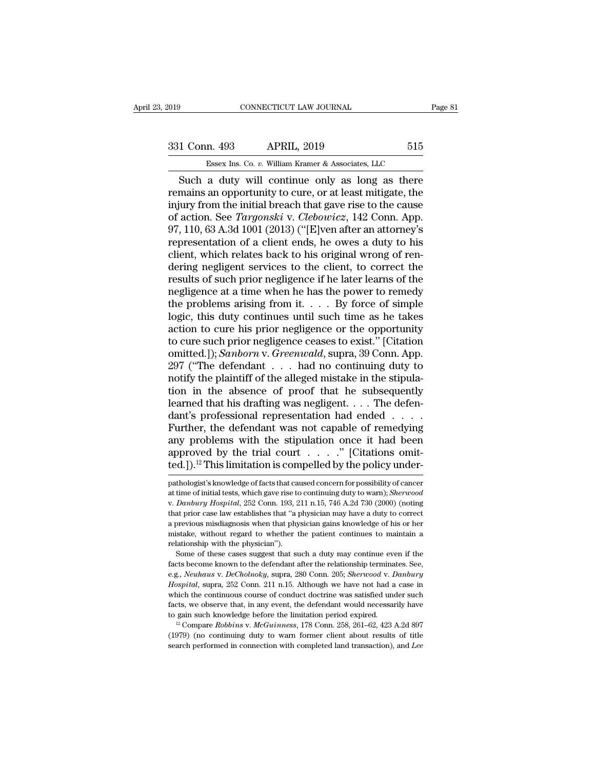# External CONNECTICUT LAW JOURNAL Page 81<br>331 Conn. 493 APRIL, 2019 515<br>Essex Ins. Co. v. William Kramer & Associates, LLC ESSEX Ins. Co. *v.* William Kramer & Associates, LLC<br>
2019 ESSEX Ins. Co. *v.* William Kramer & Associates, LLC<br>
2019 APRIL, 2019 ASSOCiates, LLC

Fage 81<br>
Such a duty will continue only as long as there<br>
Such a duty will continue only as long as there<br>
Such a duty will continue only as long as there<br>
the mains an opportunity to cure, or at least mitigate, the<br>
sury 331 Conn. 493 APRIL, 2019 515<br>
Essex Ins. Co. v. William Kramer & Associates, LLC<br>
Such a duty will continue only as long as there<br>
remains an opportunity to cure, or at least mitigate, the<br>
injury from the initial breach 331 Conn. 493 APRIL, 2019 515<br>
Essex Ins. Co. v. William Kramer & Associates, LLC<br>
Such a duty will continue only as long as there<br>
remains an opportunity to cure, or at least mitigate, the<br>
injury from the initial breach **ESSEX INS. CO. v. William Kramer & Associates, LLC**<br>
Such a duty will continue only as long as there<br>
remains an opportunity to cure, or at least mitigate, the<br>
injury from the initial breach that gave rise to the cause<br> Essex Ins. Co. v. William Kramer & Associates, LLC<br>
Such a duty will continue only as long as there<br>
remains an opportunity to cure, or at least mitigate, the<br>
injury from the initial breach that gave rise to the cause<br>
o Essex Ins. Co. v. William Kramer & Associates, LLC<br>
Such a duty will continue only as long as there<br>
remains an opportunity to cure, or at least mitigate, the<br>
injury from the initial breach that gave rise to the cause<br>
o Such a duty will continue only as long as there<br>remains an opportunity to cure, or at least mitigate, the<br>injury from the initial breach that gave rise to the cause<br>of action. See *Targonski* v. *Clebowicz*, 142 Conn. App remains an opportunity to cure, or at least mitigate, the<br>injury from the initial breach that gave rise to the cause<br>of action. See *Targonski* v. *Clebowicz*, 142 Conn. App.<br>97, 110, 63 A.3d 1001 (2013) ("[E]ven after an injury from the initial breach that gave rise to the cause<br>of action. See *Targonski* v. *Clebowicz*, 142 Conn. App.<br>97, 110, 63 A.3d 1001 (2013) ("[E]ven after an attorney's<br>representation of a client ends, he owes a duty of action. See *Targonski* v. *Clebowicz*, 142 Conn. App.<br>97, 110, 63 A.3d 1001 (2013) ("[E]ven after an attorney's<br>representation of a client ends, he owes a duty to his<br>client, which relates back to his original wrong o 97, 110, 63 A.3d 1001 (2013) ("[E]ven after an attorney's representation of a client ends, he owes a duty to his client, which relates back to his original wrong of rendering negligent services to the client, to correct t representation of a client ends, he owes a duty to his client, which relates back to his original wrong of rendering negligent services to the client, to correct the results of such prior negligence if he later learns of t client, which relates back to his original wrong of rendering negligent services to the client, to correct the results of such prior negligence if he later learns of the negligence at a time when he has the power to remed dering negligent services to the client, to correct the<br>results of such prior negligence if he later learns of the<br>negligence at a time when he has the power to remedy<br>the problems arising from it. . . . By force of simple results of such prior negligence if he later learns of the<br>negligence at a time when he has the power to remedy<br>the problems arising from it. . . . By force of simple<br>logic, this duty continues until such time as he takes<br> negligence at a time when he has the power to remedy<br>the problems arising from it. . . . By force of simple<br>logic, this duty continues until such time as he takes<br>action to cure his prior negligence or the opportunity<br>to c the problems arising from it.  $\ldots$  By force of simple logic, this duty continues until such time as he takes action to cure his prior negligence or the opportunity to cure such prior negligence ceases to exist." [Citatio logic, this duty continues until such time as he takes<br>action to cure his prior negligence or the opportunity<br>to cure such prior negligence ceases to exist." [Citation<br>omitted.]); *Sanborn* v. *Greenwald*, supra, 39 Conn. action to cure his prior negligence or the opportunity<br>to cure such prior negligence ceases to exist." [Citation<br>omitted.]); *Sanborn* v. *Greenwald*, supra, 39 Conn. App.<br>297 ("The defendant . . . had no continuing duty t to cure such prior negligence ceases to exist." [Citation omitted.]); *Sanborn* v. *Greenwald*, supra, 39 Conn. App. 297 ("The defendant  $\ldots$  had no continuing duty to notify the plaintiff of the alleged mistake in the s omitted.]); *Sanborn* v. *Greenwald*, supra, 39 Conn. App.<br>297 ("The defendant . . . . had no continuing duty to<br>notify the plaintiff of the alleged mistake in the stipula-<br>tion in the absence of proof that he subsequentl 297 ("The defendant . . . had no continuing duty to<br>notify the plaintiff of the alleged mistake in the stipula-<br>tion in the absence of proof that he subsequently<br>learned that his drafting was negligent. . . . The defen-<br>d notify the plaintiff of the alleged mistake in the stipulation in the absence of proof that he subsequently learned that his drafting was negligent. . . . The defendant's professional representation had ended . . . . . Fu tion in the absence of proof that he subsequently<br>learned that his drafting was negligent.... The defen-<br>dant's professional representation had ended....<br>Further, the defendant was not capable of remedying<br>any problems wi Further, the defendant was not capable of remedying<br>any problems with the stipulation once it had been<br>approved by the trial court . . . . . " [Citations omit-<br>ted.]).<sup>12</sup> This limitation is compelled by the policy underany problems with the stipulation once it had been<br>approved by the trial court . . . . . " [Citations omit-<br>ted.]).<sup>12</sup> This limitation is compelled by the policy under-<br>pathologist's knowledge of facts that caused concer

approved by the trial court . . . . . " [Citations omitted.]).<sup>12</sup> This limitation is compelled by the policy under-<br>pathologist's knowledge of facts that caused concern for possibility of cancer<br>at time of initial tests, ted.]).<sup>12</sup> This limitation is compelled by the policy under-<br>pathologist's knowledge of facts that caused concern for possibility of cancer<br>at time of initial tests, which gave rise to continuing duty to warn); *Sherwood* edd. J. <sup>2</sup> This infinited on is competied by the policy under-<br>pathologist's knowledge of facts that caused concern for possibility of cancer<br>at time of initial tests, which gave rise to continuing duty to warn); *Sherwoo* pathologist's knowledge of facts that caused concern for possibility of cancer<br>at time of initial tests, which gave rise to continuing duty to warn); *Sherwood*<br>v. *Danbury Hospital*, 252 Conn. 193, 211 n.15, 746 A.2d 730 pathologist's knowledge of facts that caused concern for possibility of cancer<br>at time of initial tests, which gave rise to continuing duty to warn); *Sherwood*<br>v. *Danbury Hospital*, 252 Conn. 193, 211 n.15, 746 A.2d 730 Danbury Hospital, 252 Conn. 193, 211 n.15, 746 A.2d 730 (2000) (noting at prior case law establishes that "a physician may have a duty to correct previous misdiagnosis when that physician gains knowledge of his or her stak factor and prior case law establishes that "a physician may have a duty to correct a previous misdiagnosis when that physician gains knowledge of his or her mistake, without regard to whether the patient continues to main

a. previous misdiagnosis when that hysician gains knowledge of his or her mistake, without regard to whether the patient continues to maintain a relationship with the physician").<br>Some of these cases suggest that such a du *Hospital*, without regard to whether the patient continues to maintain a relationship with the physician").<br>
Some of these cases suggest that such a duty may continue even if the facts become known to the defendant after meationship with the physician").<br>
Some of these cases suggest that such a duty may continue even if the<br>
facts become known to the defendant after the relationship terminates. See,<br>
e.g., *Neuhaus v. DeCholnoky*, supra, 2 Some of these cases suggest that such a duty may continue even if the facts become known to the defendant after the relationship terminates. See, e.g., *Neuhaus v. DeCholnoky*, supra, 280 Conn. 205; *Sherwood v. Danbury Ho* facts become known to the defendant after the relationship terminates. See, e.g., *Neuhaus v. DeCholnoky*, supra, 280 Conn. 205; *Sherwood v. Danbury Hospital*, supra, 252 Conn. 211 n.15. Although we have not had a case in Hospital, supra, 252 Conn. 211 n.15. Although we have not had a case in which the continuous course of conduct doctrine was satisfied under such facts, we observe that, in any event, the defendant would necessarily have t Hospital, supra, 252 Conn. 211 n.15. Although we have not had a case in which the continuous course of conduct doctrine was satisfied under such facts, we observe that, in any event, the defendant would necessarily have t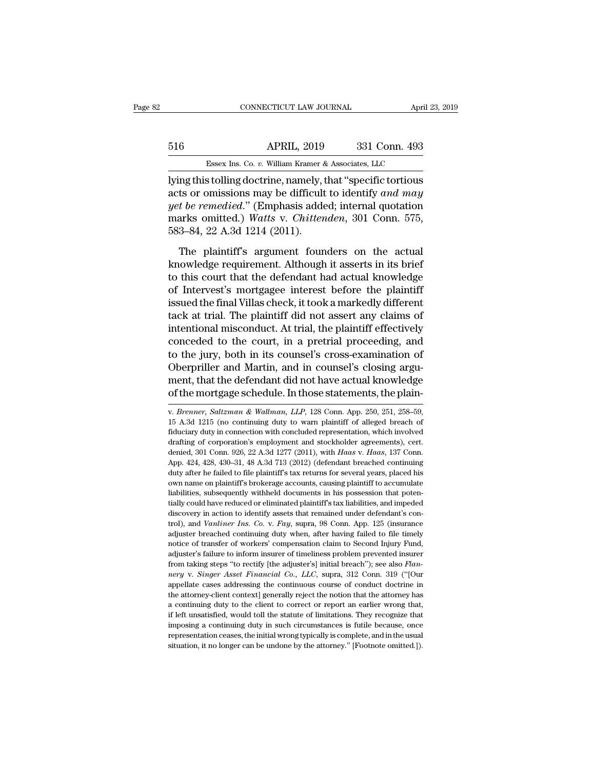# CONNECTICUT LAW JOURNAL April 23, 2019<br>516 APRIL, 2019 331 Conn. 493<br>Essex Ins. Co. v. William Kramer & Associates, LLC CONNECTICUT LAW JOURNAL April 3<br>APRIL, 2019 331 Conn. 493<br>Essex Ins. Co. *v.* William Kramer & Associates, LLC<br>s tolling doctrine, namely, that "specific tortious

CONNECTICUT LAW JOURNAL April 23, 2019<br>
516 APRIL, 2019 331 Conn. 493<br>
Essex Ins. Co. v. William Kramer & Associates, LLC<br>
Uying this tolling doctrine, namely, that "specific tortious<br>
acts or omissions may be difficult to acts or omissions may be difficult to identify *and may*<br>acts or omissions may be difficult to identify *and may*<br>*acts* or omissions may be difficult to identify *and may*<br>*get be remedied.*" (Emphasis added; internal quo *S16 APRIL, 2019 331 Conn. 493*<br>*Essex Ins. Co. v. William Kramer & Associates, LLC*<br>lying this tolling doctrine, namely, that "specific tortious<br>acts or omissions may be difficult to identify *and may*<br>*yet be remedie* Marks O. *v.* William Kramer & Associates, LLC<br>
Using this tolling doctrine, namely, that "specific tortious<br>
acts or omissions may be difficult to identify *and may*<br>
yet be remedied." (Emphasis added; internal quotation<br> Essex Ins. Co.  $v$ . William Kramer &<br>lying this tolling doctrine, namely, t<br>acts or omissions may be difficult<br>yet be remedied." (Emphasis adde<br>marks omitted.) Watts v. Chitten<br>583–84, 22 A.3d 1214 (2011).<br>The plaintiff's In this tolling doctrine, namely, that "specific tortious<br>
ts or omissions may be difficult to identify and may<br>
t be remedied." (Emphasis added; internal quotation<br>
arks omitted.) Watts v. Chittenden, 301 Conn. 575,<br>
3–84 acts or omissions may be difficult to identify and may<br>acts or omissions may be difficult to identify and may<br>yet be remedied." (Emphasis added; internal quotation<br>marks omitted.) Watts v. Chittenden, 301 Conn. 575,<br>583–8

get be remedied." (Emphasis added; internal quotation<br>marks omitted.) Watts v. Chittenden, 301 Conn. 575,<br>583–84, 22 A.3d 1214 (2011).<br>The plaintiff's argument founders on the actual<br>knowledge requirement. Although it ass marks omitted.) Watts v. Chittenden, 301 Conn. 575,<br>583–84, 22 A.3d 1214 (2011).<br>The plaintiff's argument founders on the actual<br>knowledge requirement. Although it asserts in its brief<br>to this court that the defendant had  $583-84$ , 22 A.3d 1214 (2011).<br>The plaintiff's argument founders on the actual<br>knowledge requirement. Although it asserts in its brief<br>to this court that the defendant had actual knowledge<br>of Intervest's mortgagee interes The plaintiff's argument founders on the actual<br>knowledge requirement. Although it asserts in its brief<br>to this court that the defendant had actual knowledge<br>of Intervest's mortgagee interest before the plaintiff<br>issued th The plaintiff's argument founders on the actual<br>knowledge requirement. Although it asserts in its brief<br>to this court that the defendant had actual knowledge<br>of Intervest's mortgagee interest before the plaintiff<br>issued th knowledge requirement. Although it asserts in its brief<br>to this court that the defendant had actual knowledge<br>of Intervest's mortgagee interest before the plaintiff<br>issued the final Villas check, it took a markedly differe to this court that the defendant had actual knowledge<br>of Intervest's mortgagee interest before the plaintiff<br>issued the final Villas check, it took a markedly different<br>tack at trial. The plaintiff did not assert any claim of Intervest's mortgagee interest before the plaintiff<br>issued the final Villas check, it took a markedly different<br>tack at trial. The plaintiff did not assert any claims of<br>intentional misconduct. At trial, the plaintiff e issued the final Villas check, it took a markedly different<br>tack at trial. The plaintiff did not assert any claims of<br>intentional misconduct. At trial, the plaintiff effectively<br>conceded to the court, in a pretrial proceed tack at trial. The plaintiff did not assert any claims of<br>intentional misconduct. At trial, the plaintiff effectively<br>conceded to the court, in a pretrial proceeding, and<br>to the jury, both in its counsel's cross-examinatio Oberpriller and Martin, and in counsel's closing argument, that the defendant did not have actual knowledge of the mortgage schedule. In those statements, the plain-<br>w. *Brenner*, *Saltzman & Wallman*, *LLP*, 128 Conn. App

ment, that the defendant did not have actual knowledge<br>of the mortgage schedule. In those statements, the plain-<br>v. Brenner, Saltzman & Wallman, LLP, 128 Conn. App. 250, 251, 258–59,<br>15 A.3d 1215 (no continuing duty to war of the mortgage schedule. In those statements, the plain-<br>v. *Brenner*, *Saltzman & Wallman*, *LLP*, 128 Conn. App. 250, 251, 258–59, 15 A.3d 1215 (no continuing duty to warn plaintiff of alleged breach of fiduciary duty v. *Brenner*, *Saltzman* & *Wallman*, *LLP*, 128 Conn. App. 250, 251, 258–59, 15 A.3d 1215 (no continuing duty to warn plaintiff of alleged breach of fiduciary duty in connection with concluded representation, which involv v. *Brenner*, *Saltzman* & *Wallman*, *LLP*, 128 Conn. App. 250, 251, 258–59, 15 A.3d 1215 (no continuing duty to warn plaintiff of alleged breach of fiduciary duty in connection with concluded representation, which involv 15 A.3d 1215 (no continuing duty to warn plaintiff of alleged breach of fiduciary duty in connection with concluded representation, which involved drafting of corporation's employment and stockholder agreements), cert. de Fiduciary duty in connection with concluded representation, which involved<br>drafting of corporation's employment and stockholder agreements), cert.<br>denied, 301 Conn. 926, 22 A.3d 1277 (2011), with *Haas* v. *Haas*, 137 Conn drafting of corporation's employment and stockholder agreements), cert.<br>denied, 301 Conn. 926, 22 A.3d 1277 (2011), with Haas v. Haas, 137 Conn.<br>App. 424, 428, 430–31, 48 A.3d 713 (2012) (defendant breached continuing<br>dut denied, 301 Conn. 926, 22 A.3d 1277 (2011), with *Haas* v. *Haas*, 137 Conn. App. 424, 428, 430–31, 48 A.3d 713 (2012) (defendant breached continuing duty after he failed to file plaintiff's tax returns for several years, App. 424, 428, 430–31, 48 A.3d 713 (2012) (defendant breached continuing duty after he failed to file plaintiff's tax returns for several years, placed his own name on plaintiff's brokerage accounts, causing plaintiff to The *Y* and *Y* and *Y* and *Y* and *Y* and *Y* and *Y* and *Y* and *Y* and *Y* and *Y* and *Y* and *Y* and *Y* and *Y* and *Y* and *Y* and *Y* and *Y* and *Y* and *Y* and *Y* and *Y* and *Y* and *Y* and *Y* and *Y* and *Y* adjuster on plaintiff's brokerage accounts, causing plaintiff to accumulate liabilities, subsequently withheld documents in his possession that potentially could have reduced or eliminated plaintiff's tax liabilities, and liabilities, subsequently withheld documents in his possession that potentially could have reduced or eliminated plaintiff's tax liabilities, and impeded discovery in action to identify assets that remained under defendan tially could have reduced or eliminated plaintiff's tax liabilities, and impeded discovery in action to identify assets that remained under defendant's control), and *Vanliner Ins. Co. v. Fay*, supra, 98 Conn. App. 125 (in discovery in action to identify assets that remained under defendant's control), and *Vanliner Ins. Co.* v. *Fay*, supra, 98 Conn. App. 125 (insurance adjuster breached continuing duty when, after having failed to file tim arold, and *Vanliner Ins. Co.* v. *Fay*, supra, 98 Conn. App. 125 (insurance adjuster breached continuing duty when, after having failed to file timely notice of transfer of workers' compensation claim to Second Injury Fun adjuster breached continuing duty when, after having failed to file timely notice of transfer of workers' compensation claim to Second Injury Fund, adjuster's failure to inform insurer of timeliness problem prevented insu any access of transfer of workers' compensation claim to Second Injury Fund, adjuster's failure to inform insurer of timeliness problem prevented insurer from taking steps "to rectify [the adjuster's] initial breach"); see adjuster's failure to inform insurer of timeliness problem prevented insurer from taking steps "to rectify [the adjuster's] initial breach"); see also Flan-<br>from taking steps "to rectify [the adjuster's] initial breach"); if from taking steps "to rectify [the adjuster's] initial breach"); see also *Flan-*<br>*nery* v. *Singer Asset Financial Co., LLC*, supra, 312 Conn. 319 ("[Our<br>appellate cases addressing the continuous course of conduct doc nery v. *Singer Asset Financial Co., LLC,* supra, 312 Conn. 319 ("[Our appellate cases addressing the continuous course of conduct doctrine in the attorney-client context] generally reject the notion that the attorney has representation ceases addressing the continuous course of conduct doctrine in the attorney-client context] generally reject the notion that the attorney has a continuing duty to the client to correct or report an earlier w the attorney-client context] generally reject the notion that the attorney has a continuing duty to the client to correct or report an earlier wrong that, if left unsatisfied, would toll the statute of limitations. They re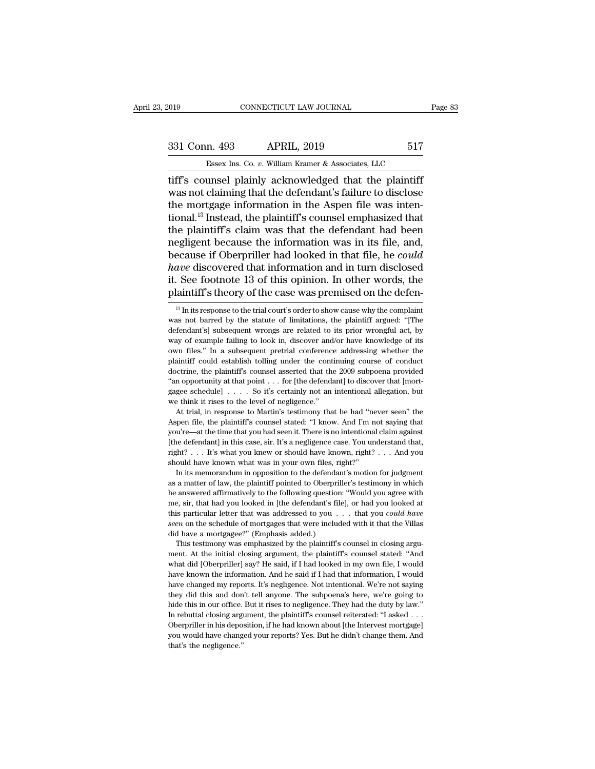# 331 Conn. 493 APRIL, 2019 517<br>Essex Ins. Co. v. William Kramer & Associates, LLC ESSEX Ins. Co. *v.* William Kramer & Associates, LLC<br>
Unsel plainly acknowledged that the plaintiff

the method of the MS-connection of the MS-connection of the MS-counsel plainly acknowledged that the plaintiff<br>tiff's counsel plainly acknowledged that the plaintiff<br>was not claiming that the defendant's failure to disclos 331 Conn. 493 APRIL, 2019 517<br>
Essex Ins. Co. v. William Kramer & Associates, LLC<br>
tiff's counsel plainly acknowledged that the plaintiff<br>
was not claiming that the defendant's failure to disclose<br>
the mortgage information 331 Conn. 493 APRIL, 2019 517<br>
Essex Ins. Co. v. William Kramer & Associates, LLC<br>
tiff's counsel plainly acknowledged that the plaintiff<br>
was not claiming that the defendant's failure to disclose<br>
the mortgage informatio 331 Conn. 493 APRIL, 2019 517<br>
Essex Ins. Co. v. William Kramer & Associates, LLC<br>
tiff's counsel plainly acknowledged that the plaintiff<br>
was not claiming that the defendant's failure to disclose<br>
the mortgage informatio Essex Ins. Co. v. William Kramer & Associates, LLC<br>
tiff's counsel plainly acknowledged that the plaintiff<br>
was not claiming that the defendant's failure to disclose<br>
the mortgage information in the Aspen file was inten-<br> Essex lins. Co.  $v$ . William Kramer & Associates, LLC<br>tiff's counsel plainly acknowledged that the plaintiff<br>was not claiming that the defendant's failure to disclose<br>the mortgage information in the Aspen file was inten-<br> tiff's counsel plainly acknowledged that the plaintiff<br>was not claiming that the defendant's failure to disclose<br>the mortgage information in the Aspen file was inten-<br>tional.<sup>13</sup> Instead, the plaintiff's counsel emphasized was not claiming that the defendant's failure to disclose<br>the mortgage information in the Aspen file was inten-<br>tional.<sup>13</sup> Instead, the plaintiff's counsel emphasized that<br>the plaintiff's claim was that the defendant had the mortgage information in the Aspen file was intentional.<sup>13</sup> Instead, the plaintiff's counsel emphasized that<br>the plaintiff's claim was that the defendant had been<br>negligent because the information was in its file, and, tional.<sup>13</sup> Instead, the plaintiff's counsel emphasized that<br>the plaintiff's claim was that the defendant had been<br>negligent because the information was in its file, and,<br>because if Oberpriller had looked in that file, he Example is a courter that information and in turn disclosed are discovered that information and in turn disclosed . See footnote 13 of this opinion. In other words, the laintiff's theory of the case was premised on the de have discovered that information and in turn disclosed<br>it. See footnote 13 of this opinion. In other words, the<br>plaintiff's theory of the case was premised on the defen-<br><sup>13</sup> In its response to the trial court's order to s

it. See footnote 13 of this opinion. In other words, the plaintiff's theory of the case was premised on the defendant's Inits response to the trial court's order to show cause why the complaint was not barred by the statu way of example failing to look in, discover and/or have knowledge of its own files." In a subsequent pretrial conference and and  $\alpha$  have knowledge of its own files." In a subsequent pertrial conference and  $\alpha$  have kno plantitum is theory of the case was premised on the defen-<br>
<sup>13</sup> In its response to the trial court's order to show cause why the complaint<br>
was not barred by the statute of limitations, the plaintiff argued: "[The<br>
defen <sup>13</sup> In its response to the trial court's order to show cause why the complaint was not barred by the statute of limitations, the plaintiff argued: "[The defendant's] subsequent wrongs are related to its prior wrongful ac was not barred by the statute of limitations, the plaintiff argued: "[The defendant's] subsequent wrongs are related to its prior wrongful act, by way of example failing to look in, discover and/or have knowledge of its o was not barred by the statute of limitations, the plaintiff argued: "[The defendant's] subsequent wrongs are related to its prior wrongful act, by way of example failing to look in, discover and/or have knowledge of its o way of example failing to look in, discover and/or have knowledge of its own files." In a subsequent pretrial conference addressing whether the plaintiff could establish tolling under the continuing course of conduct doct own files." In a subsequent pretrial conference addressing whether the At trial, in response to Martin's testimony that he had ''never seen'' the penaltiestic schedule] . . . . So it's certainly not an intentional allegation, but think it rises to the level of negligence."<br>At trial, in respo Fraction file, the plaintiff's counsel asserted that the 2009 subpoena provided "an opportunity at that point . . . for [the defendant] to discover that [mortgagee schedule] . . . . So it's certainly not an intentional al

"an opportunity at that point . . . for [the defendant] to discover that [mort-gagee schedule] . . . . So it's certainly not an intentional allegation, but we think it rises to the level of negligence."<br>At trial, in respo gagee schedule]  $\ldots$  So it's certainly not an intentional allegation, but we think it rises to the level of negligence."<br>At trial, in response to Martin's testimony that he had "never seen" the Aspen file, the plaintiff' right? . . . It's what you knew or should have known, right? . . . And you known what was in your computed with the defendant of the plaintiff's counsel stated: "I know. And I'm not saying that you're—at the time that you Aspen file, the plaintiff's counsel stated: "I know. And I'm not saying that you're—at the time that you had seen it. There is no intentional claim against [the defendant] in this case, sir. It's a negligence case. You un In its memorandum in opposition to the defendant's motional claim against with the plaintiff's counsel stated: "I know. And I'm not saying that with the defendant] in this case, sir. It's a negligence case. You understand as a matter of law, the plaintiff pointed to Oberpriller's testimon of law, the answered to the defendant in this case, sir. It's a negligence case. You understand that, right? . . . It's what you knew or should have know

Following the defendant] in this case, sir. It's a negligence case. You understand that, right? . . . It's what you knew or should have known, right? . . . And you should have known what was in your own files, right?" In right? . . . It's what you knew or should have known, right? . . . And you should have known what was in your own files, right?"<br>In its memorandum in opposition to the defendant's motion for judgment as a matter of law, t should have known what was in your own files, right?"<br>In its memorandum in opposition to the defendant's motion for judgment<br>as a matter of law, the plaintiff pointed to Oberpriller's testimony in which<br>he answered affirm In its memorandum in opposition to the defendant's motion for judgment<br>as a matter of law, the plaintiff pointed to Oberpriller's testimony in which<br>he answered affirmatively to the following question: "Would you agree wit as a matter of law, the plaintiff pointed to Oberprill<br>the answered affirmatively to the following question.<br>me, sir, that had you looked in [the defendant's file<br>this particular letter that was addressed to you .<br>seen on answered affirmatively to the following question: "Would you agree with e, sir, that had you looked in [the defendant's file], or had you looked at is particular letter that was addressed to you  $\ldots$  that you *could have* me, sir, that had you looked in [the defendant's file], or had you looked at this particular letter that was addressed to you  $\ldots$  that you *could have seen* on the schedule of mortgages that were included with it that t

whis particular letter that was addressed to you . . . that you *could have* seen on the schedule of mortgages that were included with it that the Villas did have a mortgagee?" (Emphasis added.) This testimony was emphasi seen on the schedule of mortgages that were included with it that the Villas did have a mortgagee?" (Emphasis added.)<br>This testimony was emphasized by the plaintiff's counsel in closing argument. At the initial closing arg did have a mortgagee?" (Emphasis added.)<br>This testimony was emphasized by the plaintiff's counsel in closing argu-<br>ment. At the initial closing argument, the plaintiff's counsel stated: "And<br>what did [Oberpriller] say? He This testimony was emphasized by the plaintiff's counsel in closing argument. At the initial closing argument, the plaintiff's counsel stated: "And what did [Oberpriller] say? He said, if I had looked in my own file, I wou here the this in our office. But it rises to negligence. They had the duty by law."<br>And what did [Oberpriller] say? He said, if I had looked in my own file, I would<br>have known the information. And he said if I had that inf What did [Oberpriller] say? He said, if I had looked in my own file, I would<br>have known the information. And he said if I had looked in my own file, I would<br>have changed my reports. It's negligence. Not intentional. We're Thave known the information. And he said if I had that information, I would have changed my reports. It's negligence. Not intentional. We're not saying they did this and don't tell anyone. The subpoena's here, we're going have changed my reports. It's negligence. Not intentional. We're not saying<br>they did this and don't tell anyone. The subpoena's here, we're going to<br>hide this in our office. But it rises to negligence. They had the duty by they did this and don<br>hide this in our office.<br>In rebuttal closing arge<br>Oberpriller in his depo<br>you would have chang<br>that's the negligence.''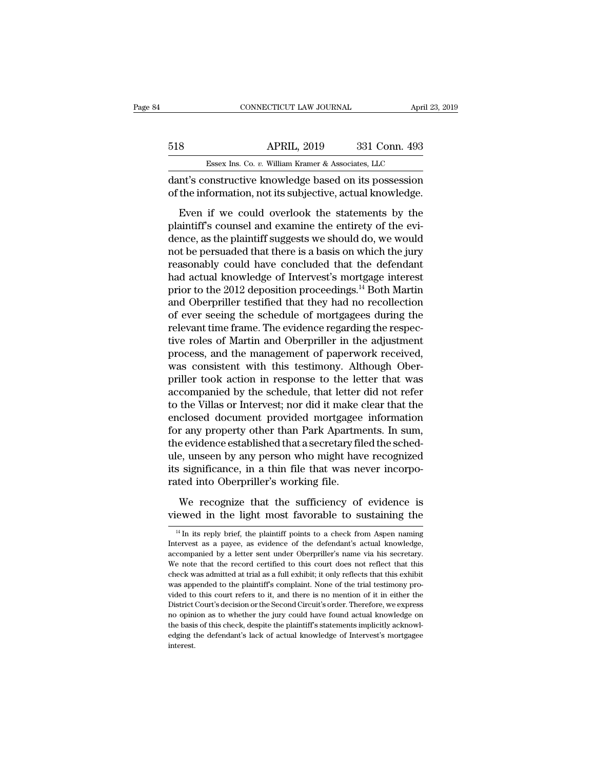|     | CONNECTICUT LAW JOURNAL                               |               | April 23, 2019 |
|-----|-------------------------------------------------------|---------------|----------------|
|     |                                                       |               |                |
| 518 | <b>APRIL, 2019</b>                                    | 331 Conn. 493 |                |
|     | Essex Ins. Co. v. William Kramer & Associates, LLC    |               |                |
|     | dant's constructive knowledge based on its possession |               |                |

CONNECTICUT LAW JOURNAL April 23, 2019<br>
331 Conn. 493<br>
618 APRIL, 2019 331 Conn. 493<br>
62 Essex Ins. Co. v. William Kramer & Associates, LLC<br>
62 dant's constructive knowledge based on its possession<br>
66 the information, not S18 APRIL, 2019 331 Conn. 493<br>Essex Ins. Co. v. William Kramer & Associates, LLC<br>dant's constructive knowledge based on its possession<br>of the information, not its subjective, actual knowledge.<br>Even if we could overlook the

Essex Ins. Co.  $v$ . William Kramer & Associates, LLC<br>
mt's constructive knowledge based on its possession<br>
the information, not its subjective, actual knowledge.<br>
Even if we could overlook the statements by the<br>
aintiff's Black Black Black Black Black Black Black Black Black Black Black Black Black Constructive knowledge based on its possession of the information, not its subjective, actual knowledge.<br>Even if we could overlook the statement Essex Ins. Co.  $v$ . William Kramer & Associates, LLC<br>dant's constructive knowledge based on its possession<br>of the information, not its subjective, actual knowledge.<br>Even if we could overlook the statements by the<br>plaintif dant's constructive knowledge based on its possession<br>of the information, not its subjective, actual knowledge.<br>Even if we could overlook the statements by the<br>plaintiff's counsel and examine the entirety of the evi-<br>dence reasonably could overlook the statements by the<br>plaintiff's counsel and examine the entirety of the evi-<br>dence, as the plaintiff suggests we should do, we would<br>not be persuaded that there is a basis on which the jury<br>reas Even if we could overlook the statements by the<br>plaintiff's counsel and examine the entirety of the evi-<br>dence, as the plaintiff suggests we should do, we would<br>not be persuaded that there is a basis on which the jury<br>reas Even if we could overlook the statements by the<br>plaintiff's counsel and examine the entirety of the evi-<br>dence, as the plaintiff suggests we should do, we would<br>not be persuaded that there is a basis on which the jury<br>rea plaintiff's counsel and examine the entirety of the evidence, as the plaintiff suggests we should do, we would<br>not be persuaded that there is a basis on which the jury<br>reasonably could have concluded that the defendant<br>had dence, as the plaintiff suggests we should do, we would<br>not be persuaded that there is a basis on which the jury<br>reasonably could have concluded that the defendant<br>had actual knowledge of Intervest's mortgage interest<br>prio not be persuaded that there is a basis on which the jury<br>reasonably could have concluded that the defendant<br>had actual knowledge of Intervest's mortgage interest<br>prior to the 2012 deposition proceedings.<sup>14</sup> Both Martin<br>an reasonably could have concluded that the defendant<br>had actual knowledge of Intervest's mortgage interest<br>prior to the 2012 deposition proceedings.<sup>14</sup> Both Martin<br>and Oberpriller testified that they had no recollection<br>of had actual knowledge of Intervest's mortgage interest<br>prior to the 2012 deposition proceedings.<sup>14</sup> Both Martin<br>and Oberpriller testified that they had no recollection<br>of ever seeing the schedule of mortgagees during the<br>r prior to the 2012 deposition proceedings.<sup>14</sup> Both Martin<br>and Oberpriller testified that they had no recollection<br>of ever seeing the schedule of mortgagees during the<br>relevant time frame. The evidence regarding the respecand Oberpriller testified that they had no recollection<br>of ever seeing the schedule of mortgagees during the<br>relevant time frame. The evidence regarding the respec-<br>tive roles of Martin and Oberpriller in the adjustment<br>pr of ever seeing the schedule of mortgagees during the relevant time frame. The evidence regarding the respective roles of Martin and Oberpriller in the adjustment process, and the management of paperwork received, was consi relevant time frame. The evidence regarding the respective roles of Martin and Oberpriller in the adjustment<br>process, and the management of paperwork received,<br>was consistent with this testimony. Although Ober-<br>priller too tive roles of Martin and Oberpriller in the adjustment<br>process, and the management of paperwork received,<br>was consistent with this testimony. Although Ober-<br>priller took action in response to the letter that was<br>accompanie process, and the management of paperwork received,<br>was consistent with this testimony. Although Ober-<br>priller took action in response to the letter that was<br>accompanied by the schedule, that letter did not refer<br>to the Vil was consistent with this testimony. Although Ober-<br>priller took action in response to the letter that was<br>accompanied by the schedule, that letter did not refer<br>to the Villas or Intervest; nor did it make clear that the<br>en priller took action in response to the letter that was<br>accompanied by the schedule, that letter did not refer<br>to the Villas or Intervest; nor did it make clear that the<br>enclosed document provided mortgagee information<br>for accompanied by the schedule, that letter did not refer<br>to the Villas or Intervest; nor did it make clear that the<br>enclosed document provided mortgagee information<br>for any property other than Park Apartments. In sum,<br>the ev to the Villas or Intervest; nor did it make enclosed document provided mortgagee<br>for any property other than Park Apartme<br>the evidence established that a secretary fil<br>ule, unseen by any person who might hav<br>its significan r any property other than Park Apartments. In sum,<br>e evidence established that a secretary filed the sched-<br>e, unseen by any person who might have recognized<br>isignificance, in a thin file that was never incorpo-<br>ted into O the evidence established that a secretary filed the sched-<br>ule, unseen by any person who might have recognized<br>its significance, in a thin file that was never incorpo-<br>rated into Oberpriller's working file.<br>We recognize t

the the sufficiency of evidence is<br>
14 In its reply brief, the plaintiff points to a check from Aspen naming<br>
14 In its reply brief, the plaintiff points to a check from Aspen naming<br>
tervest as a payee, as evidence of the We recognize that the sufficiency of evidence is<br>viewed in the light most favorable to sustaining the<br> $\frac{14 \text{ In its reply brief, the plaintiff points to a check from Aspen naming}$ <br>Intervest as a payee, as evidence of the defendant's actual knowledge,<br>accompanied by a lett We recognize that the sufficiency of evidence is viewed in the light most favorable to sustaining the  $\frac{14 \text{ In its reply brief, the plaintiff points to a check from Aspen naming Interest as a page, as evidence of the defendant's actual knowledge, accompanied by a letter sent under Oberpriller's name via his secretary. We note that the record certified to this court does not reflect that this$ viewed in the light most favorable to sustaining the  $\frac{14 \text{ In its reply brief}}{4 \text{ In its reply brief}}$ , the plaintiff points to a check from Aspen naming Intervest as a payee, as evidence of the defendant's actual knowledge, accompanied by a let <sup>14</sup> In its reply brief, the plaintiff points to a check from Aspen naming<br>Intervest as a payee, as evidence of the defendant's actual knowledge,<br>accompanied by a letter sent under Oberpriller's name via his secretary.<br>We  $^{14}$ In its reply brief, the plaintiff points to a check from Aspen naming Intervest as a payee, as evidence of the defendant's actual knowledge, accompanied by a letter sent under Oberpriller's name via his secretary. W Intervest as a payee, as evidence of the defendant's actual knowledge, accompanied by a letter sent under Oberpriller's name via his secretary. We note that the record certified to this court does not reflect that this che accompanied by a letter sent under Oberpriller's name via his secretary.<br>We note that the record certified to this court does not reflect that this<br>check was admitted at trial as a full exhibit; it only reflects that this We note that the record certified to this court does not reflect that this check was admitted at trial as a full exhibit; it only reflects that this exhibit was appended to the plaintiff's complaint. None of the trial test the basis admitted at trial as a full exhibit; it only reflects that this exhibit was appended to the plaintiff's complaint. None of the trial testimony provided to this court refers to it, and there is no mention of it in edging the defendant's complaint. None of the trial testimony provided to this court refers to it, and there is no mention of it in either the District Court's decision or the Second Circuit's order. Therefore, we express interest.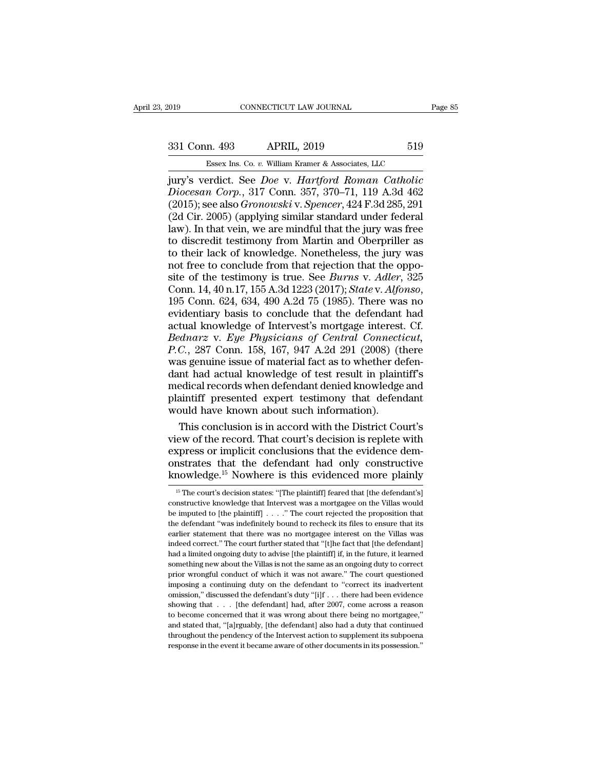External CONNECTICUT LAW JOURNAL Page 85<br>331 Conn. 493 APRIL, 2019 519<br>Essex Ins. Co. v. William Kramer & Associates, LLC ESSEX Ins. Co. *v.* William Kramer & Associates, LLC<br>
Prodict. See *Doe* v. *Hartford. Roman. Catholic* 

Fage 85<br>
331 Conn. 493 APRIL, 2019 519<br>
519<br>
Essex Ins. Co. *v.* William Kramer & Associates, LLC<br>
jury's verdict. See *Doe* v. *Hartford Roman Catholic<br>
Diocesan Corp.*, 317 Conn. 357, 370–71, 119 A.3d 462<br>
(2015): see al <sup>2</sup> Diocesan Corp., 317 Conn. 357, 370–71, 119 A.3d 462<br>*Diocesan Corp.*, 317 Conn. 357, 370–71, 119 A.3d 462<br>*Diocesan Corp.*, 317 Conn. 357, 370–71, 119 A.3d 462<br>(2015); see also *Gronowski* v. *Spencer*, 424 F.3d 285, 2 (2015); See also *Gronowski* v. *Spencer, 424 F.3d 285, 291*<br>
(2015); see also *Gronowski* v. *Spencer, 424 F.3d 285, 291*<br>
(2015); see also *Gronowski* v. *Spencer, 424 F.3d 285, 291*<br>
(2d Cir. 2005) (applying similar sta (2019)<br>
Essex Ins. Co. v. William Kramer & Associates, LLC<br>
jury's verdict. See *Doe* v. *Hartford Roman Catholic*<br>
Diocesan Corp., 317 Conn. 357, 370–71, 119 A.3d 462<br>
(2015); see also Gronowski v. Spencer, 424 F.3d 285, Essex Ins. Co. v. William Kramer & Associates, LLC<br>
jury's verdict. See *Doe* v. *Hartford Roman Catholic*<br>
Diocesan Corp., 317 Conn. 357, 370–71, 119 A.3d 462<br>
(2015); see also *Gronowski* v. *Spencer*, 424 F.3d 285, 291 Essex Ins. Co. v. William Kramer & Associates, LLC<br>jury's verdict. See *Doe* v. *Hartford Roman Catholic*<br>*Diocesan Corp.*, 317 Conn. 357, 370–71, 119 A.3d 462<br>(2015); see also *Gronowski* v. *Spencer*, 424 F.3d 285, 291<br> jury's verdict. See *Doe* v. Hartford Roman Catholic<br>Diocesan Corp., 317 Conn. 357, 370–71, 119 A.3d 462<br>(2015); see also Gronowski v. Spencer, 424 F.3d 285, 291<br>(2d Cir. 2005) (applying similar standard under federal<br>law) Diocesan Corp., 317 Conn. 357, 370–71, 119 A.3d 462 (2015); see also *Gronowski* v. *Spencer*, 424 F.3d 285, 291 (2d Cir. 2005) (applying similar standard under federal law). In that vein, we are mindful that the jury was (2015); see also *Gronowski* v. *Spencer*, 424 F.3d 285, 291 (2d Cir. 2005) (applying similar standard under federal law). In that vein, we are mindful that the jury was free to discredit testimony from Martin and Oberpri (2d Cir. 2005) (applying similar standard under federal<br>law). In that vein, we are mindful that the jury was free<br>to discredit testimony from Martin and Oberpriller as<br>to their lack of knowledge. Nonetheless, the jury was<br> to discredit testimony from Martin and Oberpriller as<br>to their lack of knowledge. Nonetheless, the jury was<br>not free to conclude from that rejection that the oppo-<br>site of the testimony is true. See *Burns v. Adler*, 325<br> to their lack of knowledge. Nonetheless, the jury was<br>not free to conclude from that rejection that the oppo-<br>site of the testimony is true. See *Burns v. Adler*, 325<br>Conn. 14, 40 n.17, 155 A.3d 1223 (2017); *State v. Alf* not free to conclude from that rejection that the opposite of the testimony is true. See *Burns* v. *Adler*, 325 Conn. 14, 40 n.17, 155 A.3d 1223 (2017); *State* v. *Alfonso*, 195 Conn. 624, 634, 490 A.2d 75 (1985). There site of the testimony is true. See *Burns v. Adler*, 325<br>Conn. 14, 40 n.17, 155 A.3d 1223 (2017); *State v. Alfonso*,<br>195 Conn. 624, 634, 490 A.2d 75 (1985). There was no<br>evidentiary basis to conclude that the defendant ha Conn. 14, 40 n.17, 155 A.3d 1223 (2017); *State v. Alfonso*, 195 Conn. 624, 634, 490 A.2d 75 (1985). There was no evidentiary basis to conclude that the defendant had actual knowledge of Intervest's mortgage interest. Cf. 195 Conn. 624, 634, 490 A.2d 75 (1985). There was no<br>evidentiary basis to conclude that the defendant had<br>actual knowledge of Intervest's mortgage interest. Cf.<br>Bednarz v. Eye Physicians of Central Connecticut,<br> $P.C.,$  287 evidentiary basis to conclude that the defendant had<br>actual knowledge of Intervest's mortgage interest. Cf.<br>Bednarz v. Eye Physicians of Central Connecticut,<br>P.C., 287 Conn. 158, 167, 947 A.2d 291 (2008) (there<br>was genuine actual knowledge of Intervest's mortgage interest. Cf.<br>Bednarz v. Eye Physicians of Central Connecticut,<br>P.C., 287 Conn. 158, 167, 947 A.2d 291 (2008) (there<br>was genuine issue of material fact as to whether defen-<br>dant had Bednarz v. Eye Physicians of Central Connectance P.C., 287 Conn. 158, 167, 947 A.2d 291 (2008) (t was genuine issue of material fact as to whether dedant had actual knowledge of test result in plain medical records when de C., 287 Conn. 158, 167, 947 A.2d 291 (2008) (there<br>as genuine issue of material fact as to whether defen-<br>nt had actual knowledge of test result in plaintiff's<br>edical records when defendant denied knowledge and<br>aintiff pre was genuine issue of material fact as to whether defendant had actual knowledge of test result in plaintiff's<br>medical records when defendant denied knowledge and<br>plaintiff presented expert testimony that defendant<br>would ha

dant had actual knowledge of test result in plaintiff's<br>medical records when defendant denied knowledge and<br>plaintiff presented expert testimony that defendant<br>would have known about such information).<br>This conclusion is i medical records when defendant denied knowledge and<br>plaintiff presented expert testimony that defendant<br>would have known about such information).<br>This conclusion is in accord with the District Court's<br>view of the record. T plaintiff presented expert testimony that defendant<br>would have known about such information).<br>This conclusion is in accord with the District Court's<br>view of the record. That court's decision is replete with<br>express or impl ew of the record. That court's decision is replete with<br>xpress or implicit conclusions that the evidence dem-<br>nstrates: that the defendant had only constructive<br>nowledge.<sup>15</sup> Nowhere is this evidenced more plainly<br><sup>15</sup> The express or implicit conclusions that the evidence demonstrates that the defendant had only constructive knowledge.<sup>15</sup> Nowhere is this evidenced more plainly  $\frac{15 \text{ The court's decision states: "[The plaintiff] feared that [the defendant's] constructive knowledge that Interest was a mortgage on the Villas would be imputed to [the plaintiff] . . . . "The court rejected the proposition that$ 

onstrates that the defendant had only constructive<br>knowledge.<sup>15</sup> Nowhere is this evidenced more plainly<br> $\frac{15 \text{ The court's decision states: "[The plaintiff] feared that [the defendant's] constructive knowledge that Interest was a mortgage on the Villas would be imputed to [the plaintiff] . . . . "The court rejected the proposition that the defendant "was indefinitely bound to recheck its files to ensure that its$ In the defendant of the defendant of the defendant of the defendant's  $\frac{15}{15}$  The court's decision states: "[The plaintiff] feared that [the defendant's] constructive knowledge that Intervest was a mortgagee on the Vi EXIOWED EXECT INOWHER IS THIS EVIDENCED INDIE PIRIHLY<br>
<sup>15</sup> The court's decision states: "[The plaintiff] feared that [the defendant's]<br>
constructive knowledge that Intervest was a mortgagee on the Villas would<br>
be impute <sup>15</sup> The court's decision states: "[The plaintiff] feared that [the defendant's] constructive knowledge that Intervest was a mortgagee on the Villas would be imputed to [the plaintiff]  $\ldots$  . " The court rejected the pro constructive knowledge that Intervest was a mortgagee on the Villas would<br>be imputed to [the plaintiff]  $\ldots$ ." The court rejected the proposition that<br>the defendant "was indefinitely bound to recheck its files to ensure be imputed to [the plaintiff]  $\ldots$ ." The court rejected the proposition that the defendant "was indefinitely bound to recheck its files to ensure that its earlier statement that there was no mortgage interest on the Vill be defendant "was indefinitely bound to recheck its files to ensure that its earlier statement that there was no mortgagee interest on the Villas was indeed correct." The court further stated that "[t]he fact that [the def earlier statement that there was no mortgagee interest on the Villas was<br>indeed correct." The court further stated that "[t]he fact that [the defendant]<br>had a limited ongoing duty to advise [the plaintiff] if, in the futur indeed correct." The court further stated that "[t]he fact that [the defendant] had a limited ongoing duty to advise [the plaintiff] if, in the future, it learned something new about the Villas is not the same as an ongoi had a limited ongoing duty to advise [the plaintiff] if, in the future, it learned something new about the Villas is not the same as an ongoing duty to correct prior wrongful conduct of which it was not aware." The court something new about the Villas is not the same as an ongoing duty to correct<br>prior wrongful conduct of which it was not aware." The court questioned<br>imposing a continuing duty on the defendant to "correct its inadvertent<br> prior wrongful conduct of which it was not aware." The court questioned imposing a continuing duty on the defendant to "correct its inadvertent omission," discussed the defendant's duty "[i]f  $\ldots$  there had been evidence imposing a continuing duty on the defendant to "correct its inadvertent<br>omission," discussed the defendant's duty "[i]f  $\ldots$  there had been evidence<br>showing that  $\ldots$  [the defendant] had, after 2007, come across a reaso in the event it became aware of other documents in its possession," discussed the defendant's duty "[i]f  $\ldots$  there had been evidence showing that  $\ldots$  [the defendant] had, after 2007, come across a reason to become con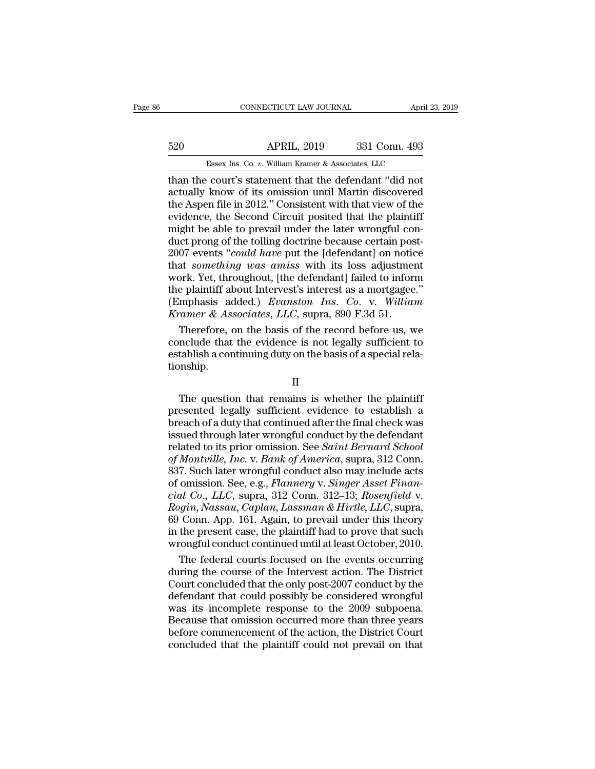# CONNECTICUT LAW JOURNAL April 23, 2019<br>520 APRIL, 2019 331 Conn. 493<br>Essex Ins. Co. v. William Kramer & Associates, LLC CONNECTICUT LAW JOURNAL April 3<br>APRIL, 2019 331 Conn. 493<br>Essex Ins. Co. *v.* William Kramer & Associates, LLC<br>Court's statement that the defendant "did not"

 $\begin{tabular}{ll} \multicolumn{1}{l}{{\bf CONRECTICUT LAW JOURNAL}} & {\bf April~23, 2019} \\ \hline \multicolumn{1}{l}{\bf 520} & {\bf APRIL, 2019} & {\bf 331 Conn. 493} \\ \hline \multicolumn{1}{l}{\bf 5888 X Ins. Co. $v. William Kramer & {\bf 493} \\ \hline \multicolumn{1}{l}{\bf 5919} & {\bf 131 Conn. 493} \\ \hline \multicolumn{1}{l}{\bf 5910} & {\bf 132.} & {\bf 13.} \\ \hline \multicolumn{1}{l}{\bf$ Factor Marketter (1919 Sale of the Second Circuit posited that the plaintiff endingled the Second Circuit posited that the plaintiff 520 APRIL, 2019 331 Conn. 493<br>
Essex Ins. Co. v. William Kramer & Associates, LLC<br>
than the court's statement that the defendant "did not<br>
actually know of its omission until Martin discovered<br>
the Aspen file in 2012." Co Essex Ins. Co.  $v$ . William Kramer & Associates, LLC<br>
than the court's statement that the defendant "did not<br>
actually know of its omission until Martin discovered<br>
the Aspen file in 2012." Consistent with that view of th Essex Ins. Co. v. William Kramer & Associates, LLC<br>than the court's statement that the defendant "did not<br>actually know of its omission until Martin discovered<br>the Aspen file in 2012." Consistent with that view of the<br>evi Essex Ins. Co.  $v$ . William Kramer & Associates, LLC<br>than the court's statement that the defendant "did not<br>actually know of its omission until Martin discovered<br>the Aspen file in 2012." Consistent with that view of the<br>e than the court's statement that the defendant "did not<br>actually know of its omission until Martin discovered<br>the Aspen file in 2012." Consistent with that view of the<br>evidence, the Second Circuit posited that the plaintiff actually know of its omission until Martin discovered<br>the Aspen file in 2012." Consistent with that view of the<br>evidence, the Second Circuit posited that the plaintiff<br>might be able to prevail under the later wrongful conthe Aspen file in 2012." Consistent with that view of the<br>evidence, the Second Circuit posited that the plaintiff<br>might be able to prevail under the later wrongful con-<br>duct prong of the tolling doctrine because certain po evidence, the Second Circuit posited that the plaintiff<br>might be able to prevail under the later wrongful con-<br>duct prong of the tolling doctrine because certain post-<br>2007 events "could have put the [defendant] on notice<br> might be able to prevail under the later wrongful con-<br>duct prong of the tolling doctrine because certain post-<br>2007 events "*could have* put the [defendant] on notice<br>that *something was amiss* with its loss adjustment<br>wo duct prong of the tolling doctrine because certain pose 2007 events "*could have* put the [defendant] on notic that *something was amiss* with its loss adjustmes work. Yet, throughout, [the defendant] failed to inform the 07 events "*could have* put the [defendant] on notice<br>at *something was amiss* with its loss adjustment<br>prk. Yet, throughout, [the defendant] failed to inform<br>e plaintiff about Intervest's interest as a mortgagee."<br>mphasi that *something was amiss* with its loss adjustment<br>work. Yet, throughout, [the defendant] failed to inform<br>the plaintiff about Intervest's interest as a mortgagee."<br>(Emphasis added.) *Evanston Ins. Co. v. William<br>Kramer &* 

work. Yet, throughout, [the defendant] failed to inform<br>the plaintiff about Intervest's interest as a mortgagee."<br>(Emphasis added.) *Evanston Ins. Co.* v. *William*<br>*Kramer & Associates, LLC*, supra, 890 F.3d 51.<br>Therefore tionship. Therefore, on the basis of the record before us, we<br>nclude that the evidence is not legally sufficient to<br>tablish a continuing duty on the basis of a special rela-<br>nnship.<br> $II$ <br>The question that remains is whether the plai

### II

Therefore, on the basis of the record before us, we<br>conclude that the evidence is not legally sufficient to<br>establish a continuing duty on the basis of a special rela-<br>tionship.<br>II<br>The question that remains is whether the  $\begin{array}{l} \text{conclude that the evidence is not regularly sufficient to establish a continuing duty on the basis of a special relationship.} \ \end{array}$   $\begin{array}{l} \text{II} \ \text{The question that remains is whether the plaintiff presented legally sufficient evidence to establish a breach of a duty that continued after the final check was issued through later wrongful conduct by the defendant related to its prior emission. See Saint Bernard School. \end{array}$  $\rm H$ <br>The question that remains is whether the plaintiff<br>presented legally sufficient evidence to establish a<br>breach of a duty that continued after the final check was<br>issued through later wrongful conduct by the defendan II<br>
The question that remains is whether the plaintiff<br>
presented legally sufficient evidence to establish a<br>
breach of a duty that continued after the final check was<br>
issued through later wrongful conduct by the defendan II<br>The question that remains is whether the plaintiff<br>presented legally sufficient evidence to establish a<br>breach of a duty that continued after the final check was<br>issued through later wrongful conduct by the defendant<br>re The question that remains is whether the plaintiff<br>presented legally sufficient evidence to establish a<br>breach of a duty that continued after the final check was<br>issued through later wrongful conduct by the defendant<br>relat presented legally sufficient evidence to establish a<br>breach of a duty that continued after the final check was<br>issued through later wrongful conduct by the defendant<br>related to its prior omission. See *Saint Bernard School* **c**ial Co., Let the final check was<br>issued through later wrongful conduct by the defendant<br>related to its prior omission. See *Saint Bernard School*<br>of *Montville, Inc.* v. *Bank of America*, supra, 312 Conn.<br>837. Such lat issued through later wrongful conduct by the defendant<br>related to its prior omission. See *Saint Bernard School*<br>of *Montville, Inc.* v. *Bank of America*, supra, 312 Conn.<br>837. Such later wrongful conduct also may include related to its prior omission. See *Saint Bernard School*<br>of *Montville, Inc.* v. *Bank of America*, supra, 312 Conn.<br>837. Such later wrongful conduct also may include acts<br>of omission. See, e.g., *Flannery* v. *Singer Ass* of Montville, Inc. v. Bank of America, supra, 312 Conn.<br>837. Such later wrongful conduct also may include acts<br>of omission. See, e.g., Flannery v. Singer Asset Finan-<br>cial Co., LLC, supra, 312 Conn. 312–13; Rosenfield v.<br>R 837. Such later wrongful conduct also may include acts<br>of omission. See, e.g., *Flannery v. Singer Asset Finan-<br>cial Co., LLC*, supra, 312 Conn. 312–13; *Rosenfield v.*<br>*Rogin, Nassau, Caplan, Lassman & Hirtle, LLC*, supra omission. See, e.g., *Flannery v. Singer Asset Finan-<br>al Co., LLC*, supra, 312 Conn. 312–13; *Rosenfield v.*<br>*ogin, Nassau, Caplan, Lassman & Hirtle, LLC*, supra,<br>Conn. App. 161. Again, to prevail under this theory<br>the pre cial Co., LLC, supra, 312 Conn. 312–13; Rosenfield v.<br>Rogin, Nassau, Caplan, Lassman & Hirtle, LLC, supra,<br>69 Conn. App. 161. Again, to prevail under this theory<br>in the present case, the plaintiff had to prove that such<br>wr

Rogin, Nassau, Caplan, Lassman & Hirtle, LLC, supra,<br>69 Conn. App. 161. Again, to prevail under this theory<br>in the present case, the plaintiff had to prove that such<br>wrongful conduct continued until at least October, 2010. 69 Conn. App. 161. Again, to prevail under this theory<br>in the present case, the plaintiff had to prove that such<br>wrongful conduct continued until at least October, 2010.<br>The federal courts focused on the events occurring<br>d in the present case, the plaintiff had to prove that such<br>wrongful conduct continued until at least October, 2010.<br>The federal courts focused on the events occurring<br>during the course of the Intervest action. The District<br> wrongful conduct continued until at least October, 2010.<br>The federal courts focused on the events occurring<br>during the course of the Intervest action. The District<br>Court concluded that the only post-2007 conduct by the<br>def The federal courts focused on the events occurring<br>during the course of the Intervest action. The District<br>Court concluded that the only post-2007 conduct by the<br>defendant that could possibly be considered wrongful<br>was its during the course of the Intervest action. The District<br>Court concluded that the only post-2007 conduct by the<br>defendant that could possibly be considered wrongful<br>was its incomplete response to the 2009 subpoena.<br>Because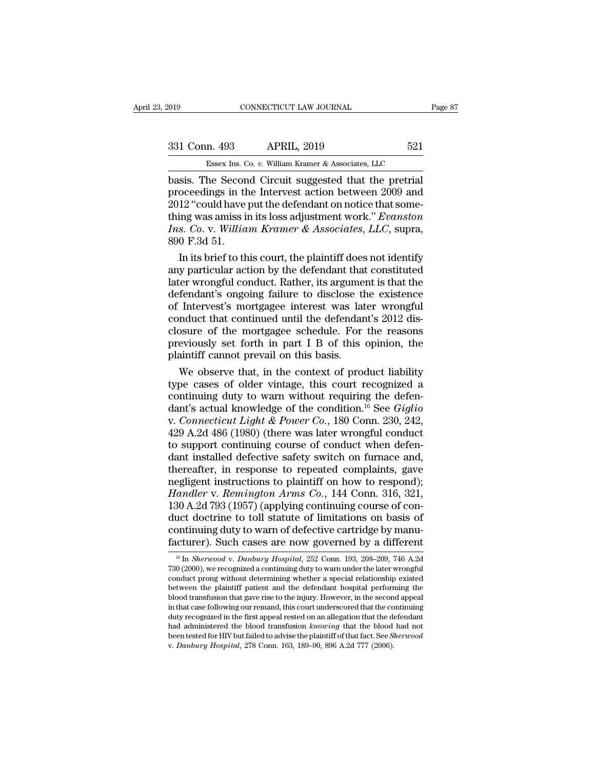| 019           | CONNECTICUT LAW JOURNAL                               |     | Page 87 |
|---------------|-------------------------------------------------------|-----|---------|
| 331 Conn. 493 | <b>APRIL, 2019</b>                                    | 521 |         |
|               | Essex Ins. Co. v. William Kramer & Associates, LLC    |     |         |
|               | hasis. The Second Circuit suggested that the pretrial |     |         |

connectricut LAW JOURNAL Page<br>
331 Conn. 493 APRIL, 2019 521<br>
Essex Ins. Co. v. William Kramer & Associates, LLC<br>
basis. The Second Circuit suggested that the pretrial<br>
proceedings in the Intervest action between 2009 and<br> 331 Conn. 493 APRIL, 2019 521<br>
Essex Ins. Co. v. William Kramer & Associates, LLC<br>
basis. The Second Circuit suggested that the pretrial<br>
proceedings in the Intervest action between 2009 and<br>
2012 "could have put the defen 331 Conn. 493 APRIL, 2019 521<br>
Essex Ins. Co. v. William Kramer & Associates, LLC<br>
basis. The Second Circuit suggested that the pretrial<br>
proceedings in the Intervest action between 2009 and<br>
2012 "could have put the defe 331 Conn. 493 APRIL, 2019 521<br>
Essex Ins. Co. v. William Kramer & Associates, LLC<br>
basis. The Second Circuit suggested that the pretrial<br>
proceedings in the Intervest action between 2009 and<br>
2012 "could have put the defen *Essex Ins. Co. v. William Kramer & Associates, LLC*<br>basis. The Second Circuit suggested that the pretrial<br>proceedings in the Intervest action between 2009 and<br>2012 "could have put the defendant on notice that some-<br>thing Essex Ins. C<br>
basis. The Secon<br>
proceedings in the<br>
2012 "could have<br>
thing was amiss in<br> *Ins. Co. v. Willia*<br>
890 F.3d 51.<br>
In its brief to the sis. The Second Circuit suggested that the pretrial<br>oceedings in the Intervest action between 2009 and<br>12 "could have put the defendant on notice that some-<br>ing was amiss in its loss adjustment work." *Evanston*<br>s. Co. v. proceedings in the Intervest action between 2009 and<br>2012 "could have put the defendant on notice that some-<br>thing was amiss in its loss adjustment work." *Evanston*<br>Ins. Co. v. William Kramer & Associates, LLC, supra,<br>89

2012 "could have put the defendant on notice that some-<br>thing was amiss in its loss adjustment work." *Evanston*<br>Ins. Co. v. William Kramer & Associates, LLC, supra,<br>890 F.3d 51.<br>In its brief to this court, the plaintiff d thing was amiss in its loss adjustment work." *Evanston*<br>
Ins. Co. v. William Kramer & Associates, LLC, supra,<br>
890 F.3d 51.<br>
In its brief to this court, the plaintiff does not identify<br>
any particular action by the defen *Ins. Co.* v. *William Kramer & Associates, LLC,* supra,<br>890 F.3d 51.<br>In its brief to this court, the plaintiff does not identify<br>any particular action by the defendant that constituted<br>later wrongful conduct. Rather, its 890 F.3d 51.<br>In its brief to this court, the plaintiff does not identify<br>any particular action by the defendant that constituted<br>later wrongful conduct. Rather, its argument is that the<br>defendant's ongoing failure to disc In its brief to this court, the plaintiff does not identify<br>any particular action by the defendant that constituted<br>later wrongful conduct. Rather, its argument is that the<br>defendant's ongoing failure to disclose the exist any particular action by the defendant that constituted<br>later wrongful conduct. Rather, its argument is that the<br>defendant's ongoing failure to disclose the existence<br>of Intervest's mortgagee interest was later wrongful<br>co later wrongful conduct. Rather, its argume<br>defendant's ongoing failure to disclose the<br>of Intervest's mortgagee interest was lat<br>conduct that continued until the defendar<br>closure of the mortgagee schedule. For<br>previously s fendant's ongoing failure to disclose the existence<br>Intervest's mortgagee interest was later wrongful<br>nduct that continued until the defendant's 2012 dis-<br>sure of the mortgagee schedule. For the reasons<br>eviously set forth of Intervest's mortgagee interest was later wrongful<br>conduct that continued until the defendant's 2012 dis-<br>closure of the mortgagee schedule. For the reasons<br>previously set forth in part I B of this opinion, the<br>plaintif

conduct that continued until the defendant's 2012 dis-<br>closure of the mortgagee schedule. For the reasons<br>previously set forth in part I B of this opinion, the<br>plaintiff cannot prevail on this basis.<br>We observe that, in t closure of the mortgagee schedule. For the reasons<br>previously set forth in part I B of this opinion, the<br>plaintiff cannot prevail on this basis.<br>We observe that, in the context of product liability<br>type cases of older vint previously set forth in part I B of this opinion, the plaintiff cannot prevail on this basis.<br>We observe that, in the context of product liability<br>type cases of older vintage, this court recognized a<br>continuing duty to war plaintiff cannot prevail on this basis.<br>
We observe that, in the context of product liability<br>
type cases of older vintage, this court recognized a<br>
continuing duty to warn without requiring the defen-<br>
dant's actual knowl We observe that, in the context of product liability<br>type cases of older vintage, this court recognized a<br>continuing duty to warn without requiring the defen-<br>dant's actual knowledge of the condition.<sup>16</sup> See *Giglio*<br>v. type cases of older vintage, this court recognized a<br>continuing duty to warn without requiring the defen-<br>dant's actual knowledge of the condition.<sup>16</sup> See *Giglio*<br>v. *Connecticut Light & Power Co.*, 180 Conn. 230, 242,<br> continuing duty to warn without requiring the defen-<br>dant's actual knowledge of the condition.<sup>16</sup> See *Giglio*<br>v. *Connecticut Light & Power Co.*, 180 Conn. 230, 242,<br>429 A.2d 486 (1980) (there was later wrongful conduct dant's actual knowledge of the condition.<sup>16</sup> See *Giglio*<br>v. *Connecticut Light & Power Co.*, 180 Conn. 230, 242,<br>429 A.2d 486 (1980) (there was later wrongful conduct<br>to support continuing course of conduct when defen-<br> *N. Connecticut Light & Power Co.*, 180 Conn. 230, 242, 429 A.2d 486 (1980) (there was later wrongful conduct to support continuing course of conduct when defendant installed defective safety switch on furnace and, thereaf 429 A.2d 486 (1980) (there was later wrongful conduct<br>to support continuing course of conduct when defen-<br>dant installed defective safety switch on furnace and,<br>thereafter, in response to repeated complaints, gave<br>neglige to support continuing course of conduct when defen-<br>dant installed defective safety switch on furnace and,<br>thereafter, in response to repeated complaints, gave<br>negligent instructions to plaintiff on how to respond);<br>*Handl* dant installed defective safety switch on furnace and,<br>thereafter, in response to repeated complaints, gave<br>negligent instructions to plaintiff on how to respond);<br>*Handler* v. *Remington Arms Co.*, 144 Conn. 316, 321,<br>130 thereafter, in response to repeated complaints, gave<br>negligent instructions to plaintiff on how to respond);<br>*Handler* v. *Remington Arms Co.*, 144 Conn. 316, 321,<br>130 A.2d 793 (1957) (applying continuing course of con-<br>du 30 A.2d 793 (1957) (applying continuing course of con-<br>uct doctrine to toll statute of limitations on basis of<br>ontinuing duty to warn of defective cartridge by manu-<br>cturer). Such cases are now governed by a different<br><sup>16</sup> duct doctrine to toll statute of limitations on basis of<br>continuing duty to warn of defective cartridge by manu-<br>facturer). Such cases are now governed by a different<br><sup>16</sup> In *Sherwood v. Danbury Hospital*, 252 Conn. 193,

continuing duty to warn of defective cartridge by manu-<br>facturer). Such cases are now governed by a different<br> $\frac{16}{10}$  In *Sherwood v. Danbury Hospital*, 252 Conn. 193, 208–209, 746 A.2d<br>730 (2000), we recognized a con CONLINUING OUT ON WATHET OF GENERAL TRIGGEON TRIGGEONT THE PRETTING BY A different  $\frac{16}{16}$  In *Sherwood v. Danbury Hospital*, 252 Conn. 193, 208–209, 746 A.2d 730 (2000), we recognized a continuing duty to warn under facturer). Such cases are now governed by a different  $\frac{16}{16}$  In *Sherwood v. Danbury Hospital*, 252 Conn. 193, 208–209, 746 A.2d 730 (2000), we recognized a continuing duty to warn under the later wrongful conduct pr <sup>16</sup> In *Sherwood v. Danbury Hospital*, 252 Conn. 193, 208–209, 746 A.2d 730 (2000), we recognized a continuing duty to warn under the later wrongful conduct prong without determining whether a special relationship existe <sup>to</sup> In *Sherwood v. Danbury Hospital*, 252 Conn. 193, 208–209, 746 A.2d 730 (2000), we recognized a continuing duty to warn under the later wrongful conduct prong without determining whether a special relationship existe 730 (2000), we recognized a continuing duty to warn under the later wrongful<br>conduct prong without determining whether a special relationship existed<br>between the plaintiff patient and the defendant hospital performing the<br> conduct prong without determining whether a special relationship existed<br>between the plaintiff patient and the defendant hospital performing the<br>blood transfusion that gave rise to the injury. However, in the second appeal between the plaintiff patient and the defendant hospital performing the blood transfusion that gave rise to the injury. However, in the second appeal in that case following our remand, this court underscored that the conti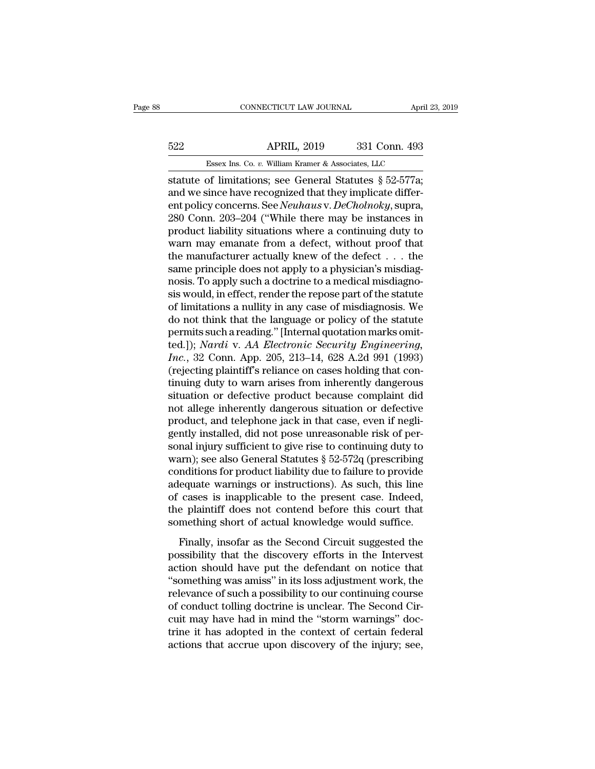# EXECUT CONNECTICUT LAW JOURNAL April 23, 2019<br>522 APRIL, 2019 331 Conn. 493<br>5888x Ins. Co. v. William Kramer & Associates, LLC CONNECTICUT LAW JOURNAL April 3<br>APRIL, 2019 331 Conn. 493<br>Essex Ins. Co. *v.* William Kramer & Associates, LLC<br>of limitations: see General Statutes & 52-577a:

STREET CONNECTICUT LAW JOURNAL April 23, 2019<br>
SESSEE INS. Co. v. William Kramer & Associates, LLC<br>
Statute of limitations; see General Statutes § 52-577a;<br>
and we since have recognized that they implicate differ-<br>
and pol ESSEX Ins. Co. v. William Kramer & Associates, LLC<br>
Statute of limitations; see General Statutes § 52-577a;<br>
and we since have recognized that they implicate differ-<br>
ent policy concerns. See *Neuhaus* v. *DeCholnoky*, sup Essex Ins. Co. v. William Kramer & Associates, LLC<br>
Essex Ins. Co. v. William Kramer & Associates, LLC<br>
statute of limitations; see General Statutes § 52-577a;<br>
and we since have recognized that they implicate differ-<br>
ent  $\frac{522}{2}$  APRIL, 2019 331 Conn. 493<br>
Essex Ins. Co. v. William Kramer & Associates, LLC<br>
statute of limitations; see General Statutes § 52-577a;<br>
and we since have recognized that they implicate differ-<br>
ent policy conc Essex Ins. Co. v. William Kramer & Associates, LLC<br>statute of limitations; see General Statutes § 52-577a;<br>and we since have recognized that they implicate differ-<br>ent policy concerns. See *Neuhaus* v. *DeCholnoky*, supra ESSEX INS. Co. v. William Kramer & Associates, LLC<br>statute of limitations; see General Statutes § 52-577a;<br>and we since have recognized that they implicate differ-<br>ent policy concerns. See *Neuhaus* v. *DeCholnoky*, supra statute of limitations; see General Statutes § 52-577a;<br>and we since have recognized that they implicate differ-<br>ent policy concerns. See *Neuhaus* v. *DeCholnoky*, supra,<br>280 Conn. 203–204 ("While there may be instances i and we since have recognized that they implicate different policy concerns. See *Neuhaus* v. *DeCholnoky*, supra, 280 Conn. 203–204 ("While there may be instances in product liability situations where a continuing duty to ent policy concerns. See *Neuhaus* v. *DeCholnoky*, supra, 280 Conn. 203–204 ("While there may be instances in product liability situations where a continuing duty to warn may emanate from a defect, without proof that the 280 Conn. 203–204 ("While there may be instances in product liability situations where a continuing duty to warn may emanate from a defect, without proof that the manufacturer actually knew of the defect  $\dots$  the same pri product liability situations where a continuing duty to<br>warn may emanate from a defect, without proof that<br>the manufacturer actually knew of the defect  $\dots$  the<br>same principle does not apply to a physician's misdiagno-<br>no warn may emanate from a defect, without proof that<br>the manufacturer actually knew of the defect . . . the<br>same principle does not apply to a physician's misdiag-<br>nosis. To apply such a doctrine to a medical misdiagno-<br>sis the manufacturer actually knew of the defect  $\dots$  the same principle does not apply to a physician's misdiagno-<br>nosis. To apply such a doctrine to a medical misdiagno-<br>sis would, in effect, render the repose part of the s same principle does not apply to a physician's misdiagnosis. To apply such a doctrine to a medical misdiagnosis would, in effect, render the repose part of the statute of limitations a nullity in any case of misdiagnosis. rosis. To apply such a doctrine to a medical misdiagnosis would, in effect, render the repose part of the statute of limitations a nullity in any case of misdiagnosis. We do not think that the language or policy of the sta sis would, in effect, render the repose part of the statute<br>of limitations a nullity in any case of misdiagnosis. We<br>do not think that the language or policy of the statute<br>permits such a reading." [Internal quotation mark of limitations a nullity in any case of misdiagnosis. We<br>do not think that the language or policy of the statute<br>permits such a reading." [Internal quotation marks omit-<br>ted.]); *Nardi* v. *AA Electronic Security Engineeri* do not think that the language or policy of the statute<br>permits such a reading." [Internal quotation marks omit-<br>ted.]); *Nardi* v. *AA Electronic Security Engineering*,<br>*Inc.*, 32 Conn. App. 205, 213–14, 628 A.2d 991 (199 permits such a reading." [Internal quotation marks omit-<br>ted.]); *Nardi* v. *AA Electronic Security Engineering,*<br>*Inc.*, 32 Conn. App. 205, 213–14, 628 A.2d 991 (1993)<br>(rejecting plaintiff's reliance on cases holding that ted.]); *Nardi* v. *AA Electronic Security Engineering, Inc.*, 32 Conn. App. 205, 213–14, 628 A.2d 991 (1993) (rejecting plaintiff's reliance on cases holding that continuing duty to warn arises from inherently dangerou *Inc.*, 32 Conn. App. 205, 213–14, 628 A.2d 991 (1993) (rejecting plaintiff's reliance on cases holding that continuing duty to warn arises from inherently dangerous situation or defective product because complaint did no (rejecting plaintiff's reliance on cases holding that continuing duty to warn arises from inherently dangerous<br>situation or defective product because complaint did<br>not allege inherently dangerous situation or defective<br>pr tinuing duty to warn arises from inherently dangerous<br>situation or defective product because complaint did<br>not allege inherently dangerous situation or defective<br>product, and telephone jack in that case, even if negli-<br>gen situation or defective product because complaint did<br>not allege inherently dangerous situation or defective<br>product, and telephone jack in that case, even if negli-<br>gently installed, did not pose unreasonable risk of per-<br> not allege inherently dangerous situation or defective<br>product, and telephone jack in that case, even if negli-<br>gently installed, did not pose unreasonable risk of per-<br>sonal injury sufficient to give rise to continuing du product, and telephone jack in that case, even if negligently installed, did not pose unreasonable risk of personal injury sufficient to give rise to continuing duty to warn); see also General Statutes § 52-572q (prescribi gently installed, did not pose unreasonable risk of personal injury sufficient to give rise to continuing duty to warn); see also General Statutes  $\S 52-572q$  (prescribing conditions for product liability due to failure t sonal injury sufficient to give rise to continuing duty to<br>warn); see also General Statutes  $\S~52-572q$  (prescribing<br>conditions for product liability due to failure to provide<br>adequate warnings or instructions). As such, Finally, see also denoted backatakes  $\frac{1}{3}$  or  $\frac{1}{2}$  or  $\frac{1}{4}$  (presentions) and ditions for product liability due to failure to provide equate warnings or instructions). As such, this line cases is inapplicable behaviors for product masing due to finally of provide<br>adequate warnings or instructions). As such, this line<br>of cases is inapplicable to the present case. Indeed,<br>the plaintiff does not contend before this court that<br>some

action should have put the defendant on notice that<br>absorber that something short of actual knowledge would suffice.<br>Finally, insofar as the Second Circuit suggested the<br>possibility that the discovery efforts in the Interv or eases is mappressive of are present ease. Indeed,<br>
the plaintiff does not contend before this court that<br>
something short of actual knowledge would suffice.<br>
Finally, insofar as the Second Circuit suggested the<br>
possibi something short of actual knowledge would suffice.<br>Finally, insofar as the Second Circuit suggested the<br>possibility that the discovery efforts in the Intervest<br>action should have put the defendant on notice that<br>"something Finally, insofar as the Second Circuit suggested the<br>possibility that the discovery efforts in the Intervest<br>action should have put the defendant on notice that<br>"something was amiss" in its loss adjustment work, the<br>releva Finally, insofar as the Second Circuit suggested the<br>possibility that the discovery efforts in the Intervest<br>action should have put the defendant on notice that<br>"something was amiss" in its loss adjustment work, the<br>releva possibility that the discovery efforts in the Intervest<br>action should have put the defendant on notice that<br>"something was amiss" in its loss adjustment work, the<br>relevance of such a possibility to our continuing course<br>of action should have put the defendant on notice that<br>"something was amiss" in its loss adjustment work, the<br>relevance of such a possibility to our continuing course<br>of conduct tolling doctrine is unclear. The Second Cir-<br>cu